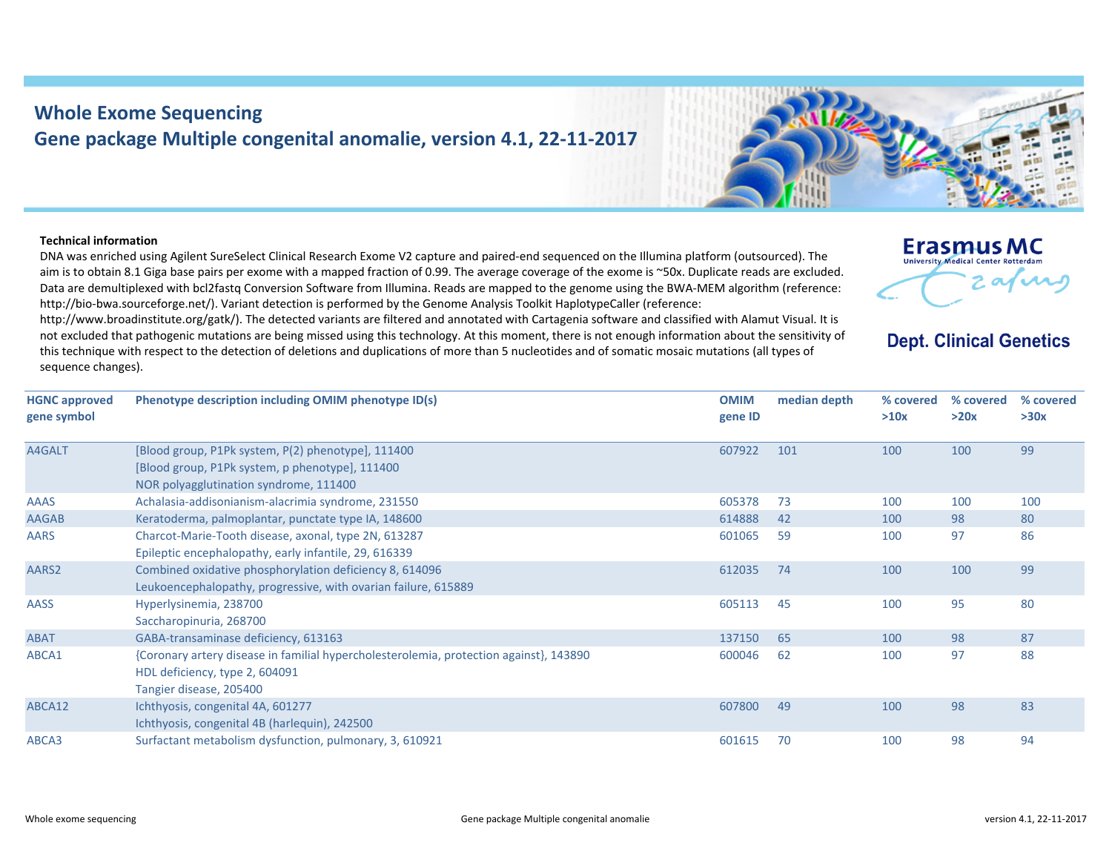## **Whole Exome Sequencing Gene package Multiple congenital anomalie, version 4.1, 22‐11‐2017**

## **Technical information**

**gene symbol**

DNA was enriched using Agilent SureSelect Clinical Research Exome V2 capture and paired‐end sequenced on the Illumina platform (outsourced). The aim is to obtain 8.1 Giga base pairs per exome with <sup>a</sup> mapped fraction of 0.99. The average coverage of the exome is ~50x. Duplicate reads are excluded. Data are demultiplexed with bcl2fastq Conversion Software from Illumina. Reads are mapped to the genome using the BWA‐MEM algorithm (reference: http://bio‐bwa.sourceforge.net/). Variant detection is performed by the Genome Analysis Toolkit HaplotypeCaller (reference:

http://www.broadinstitute.org/gatk/). The detected variants are filtered and annotated with Cartagenia software and classified with Alamut Visual. It is not excluded that pathogenic mutations are being missed using this technology. At this moment, there is not enough information about the sensitivity of this technique with respect to the detection of deletions and duplications of more than 5 nucleotides and of somatic mosaic mutations (all types of sequence changes).

**HGNC approved Phenotype description including OMIM phenotype ID(s) OMIM gene ID median depth % covered >10x**A4GALT [Blood group, P1Pk system, P(2) phenotype], 111400 [Blood group, P1Pk system, p phenotype], 111400 NOR polyagglutination syndrome, 111400 607922 101 100 100 99AAAS Achalasia‐addisonianism‐alacrimia syndrome, 231550 605378 73 100 100 100

AAGAB Keratoderma, palmoplantar, punctate type IA, 148600 614888 614888 614888 614888 614888 614888 61488 80

ABAT GABA‐transaminase deficiency, 613163 137150 137150 65 100 98 87

ABCA3 Surfactant metabolism dysfunction, pulmonary, 3, 610921 601615 70 94

ABCA12 Ichthyosis, congenital 4A, 601277

AASS Hyperlysinemia, 238700

AARS Charcot‐Marie‐Tooth disease, axonal, type 2N, 613287

Saccharopinuria, 268700

HDL deficiency, type 2, 604091 Tangier disease, 205400

Ichthyosis, congenital 4B (harlequin), 242500

AARS2 Combined oxidative phosphorylation deficiency 8, 614096

Epileptic encephalopathy, early infantile, 29, 616339

Leukoencephalopathy, progressive, with ovarian failure, 615889

ABCA1 {Coronary artery disease in familial hypercholesterolemia, protection against}, 143890



601065 59 100 97 86

612035 74 100 100 99

605113 45 100 95 80

600046 62 100 97 88

607800 49 100 98 83

## **Erasmus MC** University Medical Center Rotterdar arn

## **Dept. Clinical Genetics**

**% covered >20x**

**% covered >30x**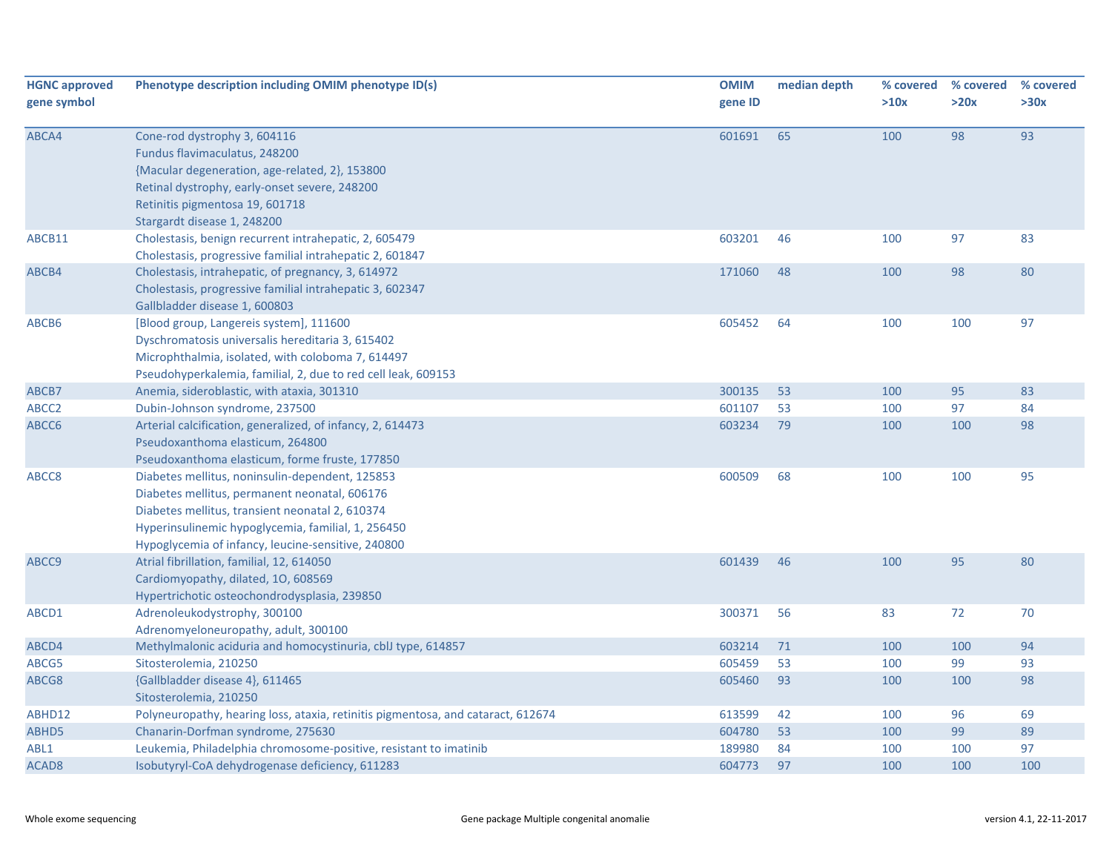| <b>HGNC approved</b><br>gene symbol | Phenotype description including OMIM phenotype ID(s)                                                                                                                                                                                                            | <b>OMIM</b><br>gene ID | median depth | % covered<br>>10x | % covered<br>>20x | % covered<br>>30x |
|-------------------------------------|-----------------------------------------------------------------------------------------------------------------------------------------------------------------------------------------------------------------------------------------------------------------|------------------------|--------------|-------------------|-------------------|-------------------|
| ABCA4                               | Cone-rod dystrophy 3, 604116<br>Fundus flavimaculatus, 248200<br>{Macular degeneration, age-related, 2}, 153800<br>Retinal dystrophy, early-onset severe, 248200<br>Retinitis pigmentosa 19, 601718<br>Stargardt disease 1, 248200                              | 601691                 | 65           | 100               | 98                | 93                |
| ABCB11                              | Cholestasis, benign recurrent intrahepatic, 2, 605479<br>Cholestasis, progressive familial intrahepatic 2, 601847                                                                                                                                               | 603201                 | 46           | 100               | 97                | 83                |
| ABCB4                               | Cholestasis, intrahepatic, of pregnancy, 3, 614972<br>Cholestasis, progressive familial intrahepatic 3, 602347<br>Gallbladder disease 1, 600803                                                                                                                 | 171060                 | 48           | 100               | 98                | 80                |
| ABCB6                               | [Blood group, Langereis system], 111600<br>Dyschromatosis universalis hereditaria 3, 615402<br>Microphthalmia, isolated, with coloboma 7, 614497<br>Pseudohyperkalemia, familial, 2, due to red cell leak, 609153                                               | 605452                 | 64           | 100               | 100               | 97                |
| ABCB7                               | Anemia, sideroblastic, with ataxia, 301310                                                                                                                                                                                                                      | 300135                 | 53           | 100               | 95                | 83                |
| ABCC2                               | Dubin-Johnson syndrome, 237500                                                                                                                                                                                                                                  | 601107                 | 53           | 100               | 97                | 84                |
| ABCC6                               | Arterial calcification, generalized, of infancy, 2, 614473<br>Pseudoxanthoma elasticum, 264800<br>Pseudoxanthoma elasticum, forme fruste, 177850                                                                                                                | 603234                 | 79           | 100               | 100               | 98                |
| ABCC8                               | Diabetes mellitus, noninsulin-dependent, 125853<br>Diabetes mellitus, permanent neonatal, 606176<br>Diabetes mellitus, transient neonatal 2, 610374<br>Hyperinsulinemic hypoglycemia, familial, 1, 256450<br>Hypoglycemia of infancy, leucine-sensitive, 240800 | 600509                 | 68           | 100               | 100               | 95                |
| ABCC9                               | Atrial fibrillation, familial, 12, 614050<br>Cardiomyopathy, dilated, 10, 608569<br>Hypertrichotic osteochondrodysplasia, 239850                                                                                                                                | 601439                 | 46           | 100               | 95                | 80                |
| ABCD1                               | Adrenoleukodystrophy, 300100<br>Adrenomyeloneuropathy, adult, 300100                                                                                                                                                                                            | 300371                 | 56           | 83                | 72                | 70                |
| ABCD4                               | Methylmalonic aciduria and homocystinuria, cblJ type, 614857                                                                                                                                                                                                    | 603214                 | 71           | 100               | 100               | 94                |
| ABCG5                               | Sitosterolemia, 210250                                                                                                                                                                                                                                          | 605459                 | 53           | 100               | 99                | 93                |
| ABCG8                               | {Gallbladder disease 4}, 611465<br>Sitosterolemia, 210250                                                                                                                                                                                                       | 605460                 | 93           | 100               | 100               | 98                |
| ABHD12                              | Polyneuropathy, hearing loss, ataxia, retinitis pigmentosa, and cataract, 612674                                                                                                                                                                                | 613599                 | 42           | 100               | 96                | 69                |
| ABHD5                               | Chanarin-Dorfman syndrome, 275630                                                                                                                                                                                                                               | 604780                 | 53           | 100               | 99                | 89                |
| ABL1                                | Leukemia, Philadelphia chromosome-positive, resistant to imatinib                                                                                                                                                                                               | 189980                 | 84           | 100               | 100               | 97                |
| ACAD <sub>8</sub>                   | Isobutyryl-CoA dehydrogenase deficiency, 611283                                                                                                                                                                                                                 | 604773                 | 97           | 100               | 100               | 100               |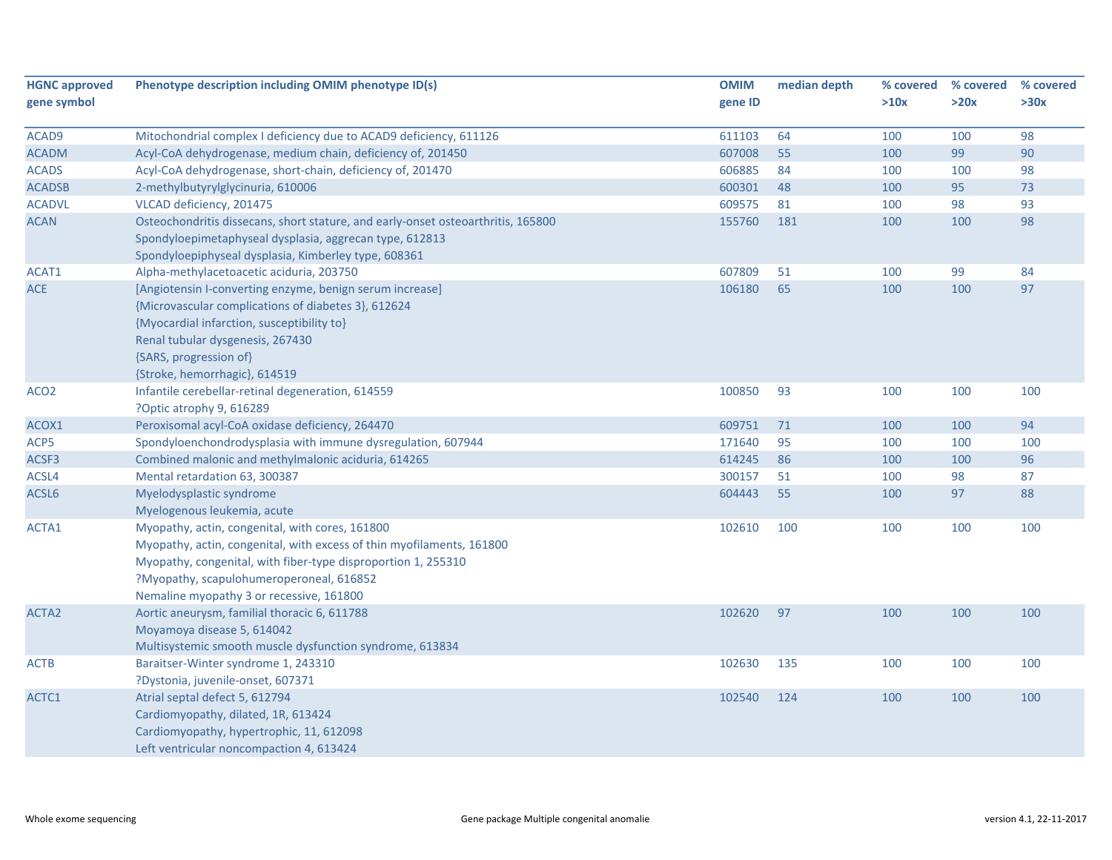| <b>HGNC approved</b> | Phenotype description including OMIM phenotype ID(s)                             | <b>OMIM</b> | median depth | % covered | % covered | % covered |
|----------------------|----------------------------------------------------------------------------------|-------------|--------------|-----------|-----------|-----------|
| gene symbol          |                                                                                  | gene ID     |              | >10x      | >20x      | >30x      |
|                      |                                                                                  |             |              |           |           |           |
| ACAD9                | Mitochondrial complex I deficiency due to ACAD9 deficiency, 611126               | 611103      | 64<br>55     | 100       | 100       | 98        |
| <b>ACADM</b>         | Acyl-CoA dehydrogenase, medium chain, deficiency of, 201450                      | 607008      |              | 100       | 99        | 90        |
| <b>ACADS</b>         | Acyl-CoA dehydrogenase, short-chain, deficiency of, 201470                       | 606885      | 84           | 100       | 100       | 98        |
| <b>ACADSB</b>        | 2-methylbutyrylglycinuria, 610006                                                | 600301      | 48           | 100       | 95        | 73        |
| <b>ACADVL</b>        | VLCAD deficiency, 201475                                                         | 609575      | 81           | 100       | 98        | 93        |
| <b>ACAN</b>          | Osteochondritis dissecans, short stature, and early-onset osteoarthritis, 165800 | 155760      | 181          | 100       | 100       | 98        |
|                      | Spondyloepimetaphyseal dysplasia, aggrecan type, 612813                          |             |              |           |           |           |
|                      | Spondyloepiphyseal dysplasia, Kimberley type, 608361                             |             |              |           |           |           |
| ACAT1                | Alpha-methylacetoacetic aciduria, 203750                                         | 607809      | 51           | 100       | 99        | 84        |
| <b>ACE</b>           | [Angiotensin I-converting enzyme, benign serum increase]                         | 106180      | 65           | 100       | 100       | 97        |
|                      | {Microvascular complications of diabetes 3}, 612624                              |             |              |           |           |           |
|                      | {Myocardial infarction, susceptibility to}                                       |             |              |           |           |           |
|                      | Renal tubular dysgenesis, 267430                                                 |             |              |           |           |           |
|                      | {SARS, progression of}                                                           |             |              |           |           |           |
|                      | {Stroke, hemorrhagic}, 614519                                                    |             |              |           |           |           |
| ACO <sub>2</sub>     | Infantile cerebellar-retinal degeneration, 614559                                | 100850      | 93           | 100       | 100       | 100       |
|                      | ?Optic atrophy 9, 616289                                                         |             |              |           |           |           |
| ACOX1                | Peroxisomal acyl-CoA oxidase deficiency, 264470                                  | 609751      | 71           | 100       | 100       | 94        |
| ACP5                 | Spondyloenchondrodysplasia with immune dysregulation, 607944                     | 171640      | 95           | 100       | 100       | 100       |
| ACSF3                | Combined malonic and methylmalonic aciduria, 614265                              | 614245      | 86           | 100       | 100       | 96        |
| ACSL4                | Mental retardation 63, 300387                                                    | 300157      | 51           | 100       | 98        | 87        |
| ACSL6                | Myelodysplastic syndrome                                                         | 604443      | 55           | 100       | 97        | 88        |
|                      | Myelogenous leukemia, acute                                                      |             |              |           |           |           |
| ACTA1                | Myopathy, actin, congenital, with cores, 161800                                  | 102610      | 100          | 100       | 100       | 100       |
|                      | Myopathy, actin, congenital, with excess of thin myofilaments, 161800            |             |              |           |           |           |
|                      | Myopathy, congenital, with fiber-type disproportion 1, 255310                    |             |              |           |           |           |
|                      | ?Myopathy, scapulohumeroperoneal, 616852                                         |             |              |           |           |           |
|                      | Nemaline myopathy 3 or recessive, 161800                                         |             |              |           |           |           |
| ACTA <sub>2</sub>    | Aortic aneurysm, familial thoracic 6, 611788                                     | 102620      | 97           | 100       | 100       | 100       |
|                      | Moyamoya disease 5, 614042                                                       |             |              |           |           |           |
|                      | Multisystemic smooth muscle dysfunction syndrome, 613834                         |             |              |           |           |           |
| <b>ACTB</b>          | Baraitser-Winter syndrome 1, 243310                                              | 102630      | 135          | 100       | 100       | 100       |
|                      | ?Dystonia, juvenile-onset, 607371                                                |             |              |           |           |           |
| ACTC1                | Atrial septal defect 5, 612794                                                   | 102540      | 124          | 100       | 100       | 100       |
|                      | Cardiomyopathy, dilated, 1R, 613424                                              |             |              |           |           |           |
|                      | Cardiomyopathy, hypertrophic, 11, 612098                                         |             |              |           |           |           |
|                      | Left ventricular noncompaction 4, 613424                                         |             |              |           |           |           |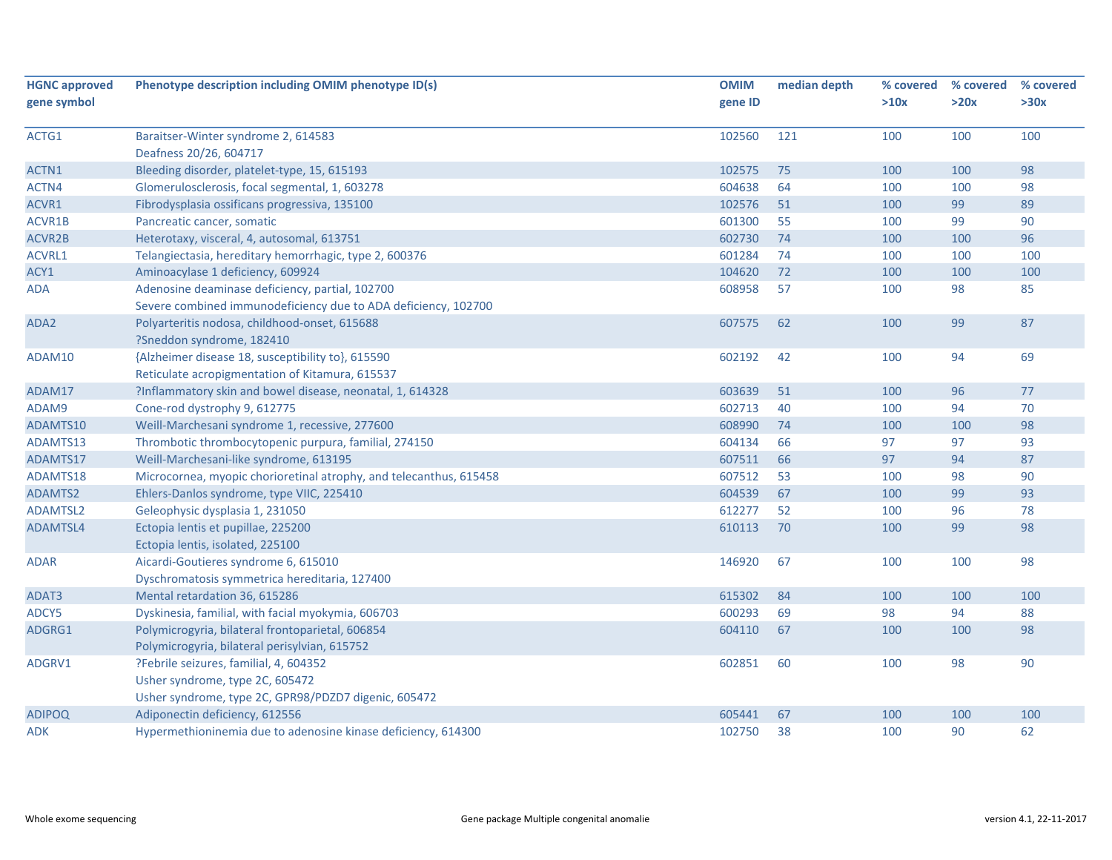| <b>HGNC approved</b> | Phenotype description including OMIM phenotype ID(s)               | <b>OMIM</b> | median depth | % covered | % covered | % covered |
|----------------------|--------------------------------------------------------------------|-------------|--------------|-----------|-----------|-----------|
| gene symbol          |                                                                    | gene ID     |              | >10x      | >20x      | >30x      |
|                      |                                                                    | 102560      | 121          | 100       | 100       | 100       |
| ACTG1                | Baraitser-Winter syndrome 2, 614583<br>Deafness 20/26, 604717      |             |              |           |           |           |
| ACTN1                | Bleeding disorder, platelet-type, 15, 615193                       | 102575      | 75           | 100       | 100       | 98        |
| ACTN4                | Glomerulosclerosis, focal segmental, 1, 603278                     | 604638      | 64           | 100       | 100       | 98        |
| ACVR1                | Fibrodysplasia ossificans progressiva, 135100                      | 102576      | 51           | 100       | 99        | 89        |
| ACVR1B               | Pancreatic cancer, somatic                                         | 601300      | 55           | 100       | 99        | 90        |
| ACVR2B               | Heterotaxy, visceral, 4, autosomal, 613751                         | 602730      | 74           | 100       | 100       | 96        |
| ACVRL1               | Telangiectasia, hereditary hemorrhagic, type 2, 600376             | 601284      | 74           | 100       | 100       | 100       |
| ACY1                 | Aminoacylase 1 deficiency, 609924                                  | 104620      | 72           | 100       | 100       | 100       |
| <b>ADA</b>           | Adenosine deaminase deficiency, partial, 102700                    | 608958      | 57           | 100       | 98        | 85        |
|                      | Severe combined immunodeficiency due to ADA deficiency, 102700     |             |              |           |           |           |
| ADA2                 | Polyarteritis nodosa, childhood-onset, 615688                      | 607575      | 62           | 100       | 99        | 87        |
|                      | ?Sneddon syndrome, 182410                                          |             |              |           |           |           |
| ADAM10               | {Alzheimer disease 18, susceptibility to}, 615590                  | 602192      | 42           | 100       | 94        | 69        |
|                      | Reticulate acropigmentation of Kitamura, 615537                    |             |              |           |           |           |
| ADAM17               | ?Inflammatory skin and bowel disease, neonatal, 1, 614328          | 603639      | 51           | 100       | 96        | 77        |
| ADAM9                | Cone-rod dystrophy 9, 612775                                       | 602713      | 40           | 100       | 94        | 70        |
| ADAMTS10             | Weill-Marchesani syndrome 1, recessive, 277600                     | 608990      | 74           | 100       | 100       | 98        |
| ADAMTS13             | Thrombotic thrombocytopenic purpura, familial, 274150              | 604134      | 66           | 97        | 97        | 93        |
| ADAMTS17             | Weill-Marchesani-like syndrome, 613195                             | 607511      | 66           | 97        | 94        | 87        |
| ADAMTS18             | Microcornea, myopic chorioretinal atrophy, and telecanthus, 615458 | 607512      | 53           | 100       | 98        | 90        |
| ADAMTS2              | Ehlers-Danlos syndrome, type VIIC, 225410                          | 604539      | 67           | 100       | 99        | 93        |
| <b>ADAMTSL2</b>      | Geleophysic dysplasia 1, 231050                                    | 612277      | 52           | 100       | 96        | 78        |
| ADAMTSL4             | Ectopia lentis et pupillae, 225200                                 | 610113      | 70           | 100       | 99        | 98        |
|                      | Ectopia lentis, isolated, 225100                                   |             |              |           |           |           |
| <b>ADAR</b>          | Aicardi-Goutieres syndrome 6, 615010                               | 146920      | 67           | 100       | 100       | 98        |
|                      | Dyschromatosis symmetrica hereditaria, 127400                      |             |              |           |           |           |
| ADAT3                | Mental retardation 36, 615286                                      | 615302      | 84           | 100       | 100       | 100       |
| ADCY5                | Dyskinesia, familial, with facial myokymia, 606703                 | 600293      | 69           | 98        | 94        | 88        |
| ADGRG1               | Polymicrogyria, bilateral frontoparietal, 606854                   | 604110      | 67           | 100       | 100       | 98        |
|                      | Polymicrogyria, bilateral perisylvian, 615752                      |             |              |           |           |           |
| ADGRV1               | ?Febrile seizures, familial, 4, 604352                             | 602851      | 60           | 100       | 98        | 90        |
|                      | Usher syndrome, type 2C, 605472                                    |             |              |           |           |           |
|                      | Usher syndrome, type 2C, GPR98/PDZD7 digenic, 605472               |             |              |           |           |           |
| <b>ADIPOQ</b>        | Adiponectin deficiency, 612556                                     | 605441      | 67           | 100       | 100       | 100       |
| ADK                  | Hypermethioninemia due to adenosine kinase deficiency, 614300      | 102750      | 38           | 100       | 90        | 62        |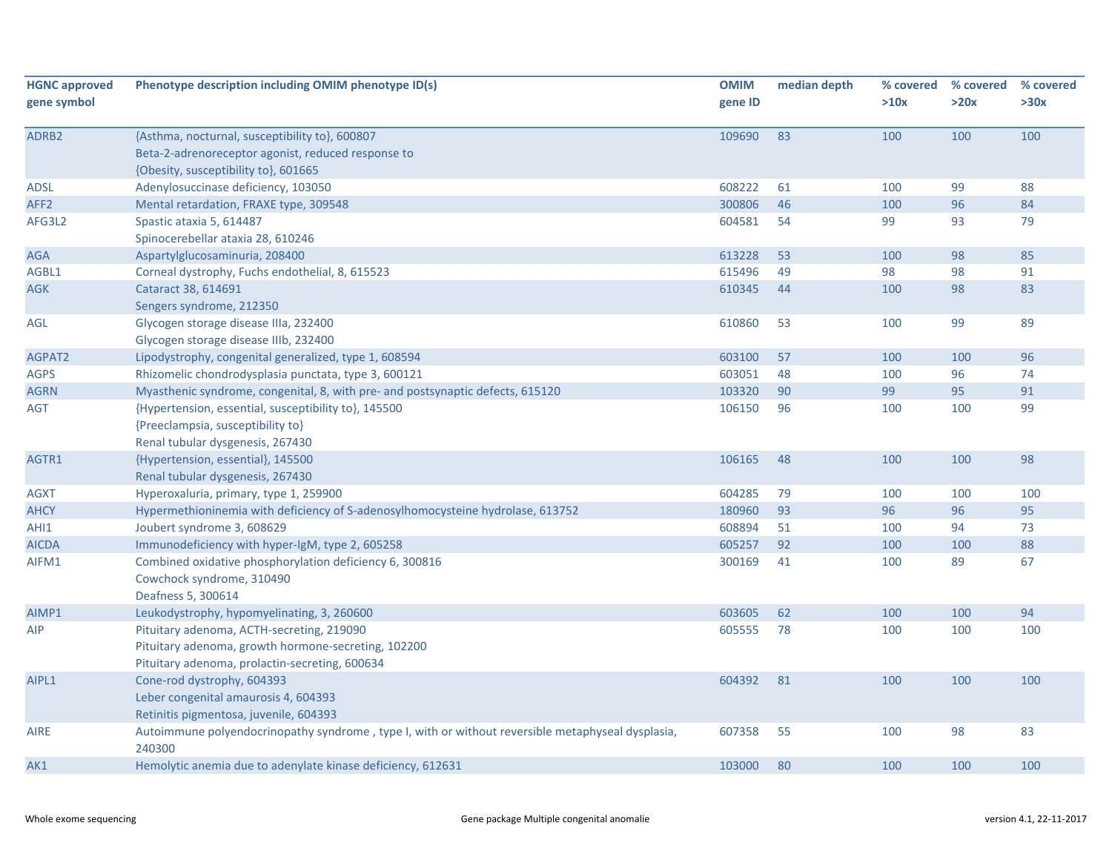| <b>HGNC approved</b><br>gene symbol | Phenotype description including OMIM phenotype ID(s)                                                        | <b>OMIM</b><br>gene ID | median depth | % covered<br>>10x | % covered<br>>20x | % covered<br>>30x |
|-------------------------------------|-------------------------------------------------------------------------------------------------------------|------------------------|--------------|-------------------|-------------------|-------------------|
|                                     |                                                                                                             |                        |              |                   |                   |                   |
| ADRB2                               | {Asthma, nocturnal, susceptibility to}, 600807                                                              | 109690                 | 83           | 100               | 100               | 100               |
|                                     | Beta-2-adrenoreceptor agonist, reduced response to                                                          |                        |              |                   |                   |                   |
|                                     | {Obesity, susceptibility to}, 601665                                                                        |                        |              |                   |                   |                   |
| <b>ADSL</b>                         | Adenylosuccinase deficiency, 103050                                                                         | 608222                 | 61           | 100               | 99                | 88                |
| AFF <sub>2</sub>                    | Mental retardation, FRAXE type, 309548                                                                      | 300806                 | 46           | 100               | 96                | 84                |
| AFG3L2                              | Spastic ataxia 5, 614487                                                                                    | 604581                 | 54           | 99                | 93                | 79                |
|                                     | Spinocerebellar ataxia 28, 610246                                                                           |                        |              |                   |                   |                   |
| <b>AGA</b>                          | Aspartylglucosaminuria, 208400                                                                              | 613228                 | 53           | 100               | 98                | 85                |
| AGBL1                               | Corneal dystrophy, Fuchs endothelial, 8, 615523                                                             | 615496                 | 49           | 98                | 98                | 91                |
| AGK                                 | Cataract 38, 614691                                                                                         | 610345                 | 44           | 100               | 98                | 83                |
|                                     | Sengers syndrome, 212350                                                                                    |                        |              |                   |                   |                   |
| AGL                                 | Glycogen storage disease IIIa, 232400                                                                       | 610860                 | 53           | 100               | 99                | 89                |
|                                     | Glycogen storage disease IIIb, 232400                                                                       |                        |              |                   |                   |                   |
| AGPAT2                              | Lipodystrophy, congenital generalized, type 1, 608594                                                       | 603100                 | 57           | 100               | 100               | 96                |
| <b>AGPS</b>                         | Rhizomelic chondrodysplasia punctata, type 3, 600121                                                        | 603051                 | 48           | 100               | 96                | 74                |
| <b>AGRN</b>                         | Myasthenic syndrome, congenital, 8, with pre- and postsynaptic defects, 615120                              | 103320                 | 90           | 99                | 95                | 91                |
| AGT                                 | {Hypertension, essential, susceptibility to}, 145500                                                        | 106150                 | 96           | 100               | 100               | 99                |
|                                     | {Preeclampsia, susceptibility to}                                                                           |                        |              |                   |                   |                   |
|                                     | Renal tubular dysgenesis, 267430                                                                            |                        |              |                   |                   |                   |
| AGTR1                               | {Hypertension, essential}, 145500                                                                           | 106165                 | 48           | 100               | 100               | 98                |
|                                     | Renal tubular dysgenesis, 267430                                                                            |                        |              |                   |                   |                   |
| <b>AGXT</b>                         | Hyperoxaluria, primary, type 1, 259900                                                                      | 604285                 | 79           | 100               | 100               | 100               |
| <b>AHCY</b>                         | Hypermethioninemia with deficiency of S-adenosylhomocysteine hydrolase, 613752                              | 180960                 | 93           | 96                | 96                | 95                |
| AHI1                                | Joubert syndrome 3, 608629                                                                                  | 608894                 | 51           | 100               | 94                | 73                |
| <b>AICDA</b>                        | Immunodeficiency with hyper-IgM, type 2, 605258                                                             | 605257                 | 92           | 100               | 100               | 88                |
| AIFM1                               | Combined oxidative phosphorylation deficiency 6, 300816                                                     | 300169                 | 41           | 100               | 89                | 67                |
|                                     | Cowchock syndrome, 310490                                                                                   |                        |              |                   |                   |                   |
|                                     | Deafness 5, 300614                                                                                          |                        |              |                   |                   |                   |
| AIMP1                               | Leukodystrophy, hypomyelinating, 3, 260600                                                                  | 603605                 | 62           | 100               | 100               | 94                |
| AIP                                 | Pituitary adenoma, ACTH-secreting, 219090                                                                   | 605555                 | 78           | 100               | 100               | 100               |
|                                     | Pituitary adenoma, growth hormone-secreting, 102200                                                         |                        |              |                   |                   |                   |
|                                     | Pituitary adenoma, prolactin-secreting, 600634                                                              |                        |              |                   |                   |                   |
| AIPL1                               | Cone-rod dystrophy, 604393                                                                                  | 604392                 | 81           | 100               | 100               | 100               |
|                                     | Leber congenital amaurosis 4, 604393                                                                        |                        |              |                   |                   |                   |
|                                     | Retinitis pigmentosa, juvenile, 604393                                                                      |                        |              |                   |                   |                   |
| AIRE                                | Autoimmune polyendocrinopathy syndrome, type I, with or without reversible metaphyseal dysplasia,<br>240300 | 607358                 | 55           | 100               | 98                | 83                |
| AK1                                 | Hemolytic anemia due to adenylate kinase deficiency, 612631                                                 | 103000                 | 80           | 100               | 100               | 100               |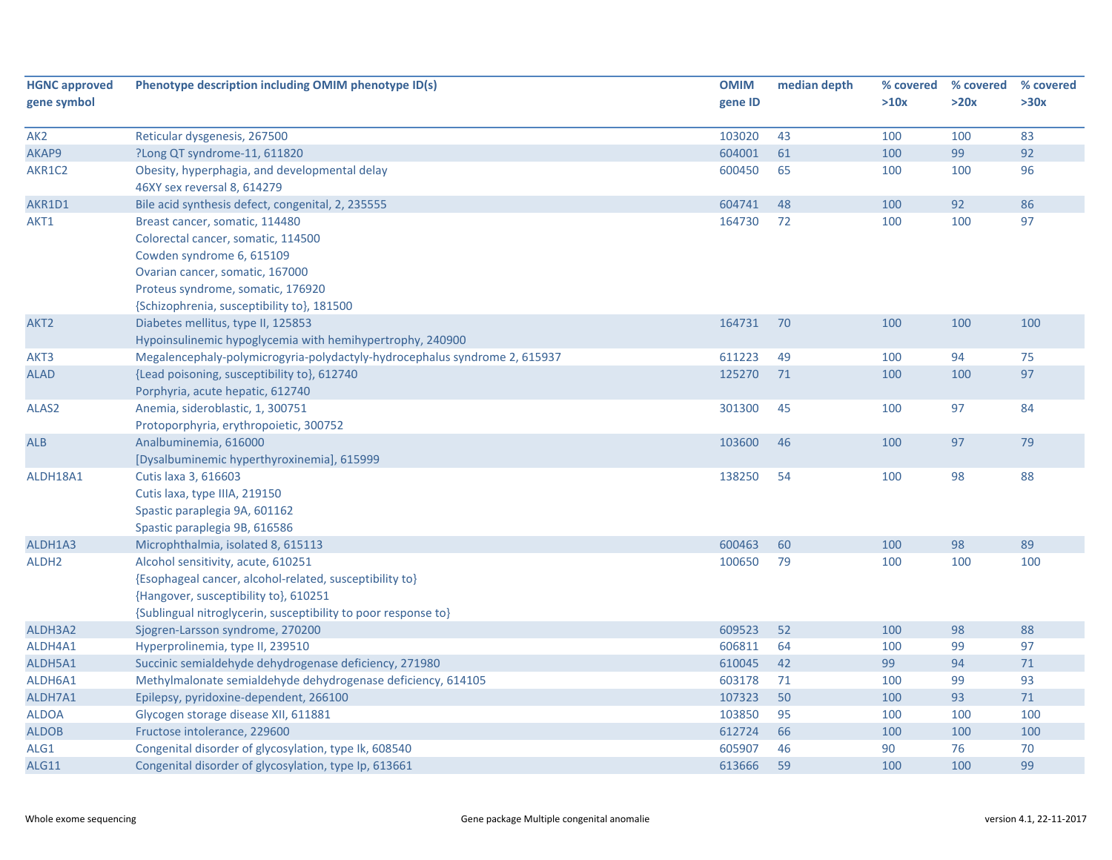| <b>HGNC approved</b> | Phenotype description including OMIM phenotype ID(s)                       | <b>OMIM</b> | median depth | % covered | % covered | % covered |
|----------------------|----------------------------------------------------------------------------|-------------|--------------|-----------|-----------|-----------|
| gene symbol          |                                                                            | gene ID     |              | >10x      | >20x      | >30x      |
|                      |                                                                            |             |              |           |           |           |
| AK <sub>2</sub>      | Reticular dysgenesis, 267500                                               | 103020      | 43           | 100       | 100       | 83        |
| AKAP9                | ?Long QT syndrome-11, 611820                                               | 604001      | 61           | 100       | 99        | 92        |
| AKR1C2               | Obesity, hyperphagia, and developmental delay                              | 600450      | 65           | 100       | 100       | 96        |
|                      | 46XY sex reversal 8, 614279                                                |             |              |           |           |           |
| AKR1D1               | Bile acid synthesis defect, congenital, 2, 235555                          | 604741      | 48           | 100       | 92        | 86        |
| AKT1                 | Breast cancer, somatic, 114480                                             | 164730      | 72           | 100       | 100       | 97        |
|                      | Colorectal cancer, somatic, 114500                                         |             |              |           |           |           |
|                      | Cowden syndrome 6, 615109                                                  |             |              |           |           |           |
|                      | Ovarian cancer, somatic, 167000                                            |             |              |           |           |           |
|                      | Proteus syndrome, somatic, 176920                                          |             |              |           |           |           |
|                      | {Schizophrenia, susceptibility to}, 181500                                 |             |              |           |           |           |
| AKT2                 | Diabetes mellitus, type II, 125853                                         | 164731      | 70           | 100       | 100       | 100       |
|                      | Hypoinsulinemic hypoglycemia with hemihypertrophy, 240900                  |             |              |           |           |           |
| AKT3                 | Megalencephaly-polymicrogyria-polydactyly-hydrocephalus syndrome 2, 615937 | 611223      | 49           | 100       | 94        | 75        |
| <b>ALAD</b>          | {Lead poisoning, susceptibility to}, 612740                                | 125270      | 71           | 100       | 100       | 97        |
|                      | Porphyria, acute hepatic, 612740                                           |             |              |           |           |           |
| ALAS <sub>2</sub>    | Anemia, sideroblastic, 1, 300751                                           | 301300      | 45           | 100       | 97        | 84        |
|                      | Protoporphyria, erythropoietic, 300752                                     |             |              |           |           |           |
| <b>ALB</b>           | Analbuminemia, 616000                                                      | 103600      | 46           | 100       | 97        | 79        |
|                      | [Dysalbuminemic hyperthyroxinemia], 615999                                 |             |              |           |           |           |
| ALDH18A1             | Cutis laxa 3, 616603                                                       | 138250      | 54           | 100       | 98        | 88        |
|                      | Cutis laxa, type IIIA, 219150                                              |             |              |           |           |           |
|                      | Spastic paraplegia 9A, 601162                                              |             |              |           |           |           |
|                      | Spastic paraplegia 9B, 616586                                              |             |              |           |           |           |
| ALDH1A3              | Microphthalmia, isolated 8, 615113                                         | 600463      | 60           | 100       | 98        | 89        |
| ALDH <sub>2</sub>    | Alcohol sensitivity, acute, 610251                                         | 100650      | 79           | 100       | 100       | 100       |
|                      | {Esophageal cancer, alcohol-related, susceptibility to}                    |             |              |           |           |           |
|                      | {Hangover, susceptibility to}, 610251                                      |             |              |           |           |           |
|                      | {Sublingual nitroglycerin, susceptibility to poor response to}             |             |              |           |           |           |
| ALDH3A2              | Sjogren-Larsson syndrome, 270200                                           | 609523      | 52           | 100       | 98        | 88        |
| ALDH4A1              | Hyperprolinemia, type II, 239510                                           | 606811      | 64           | 100       | 99        | 97        |
| ALDH5A1              | Succinic semialdehyde dehydrogenase deficiency, 271980                     | 610045      | 42           | 99        | 94        | $71\,$    |
| ALDH6A1              | Methylmalonate semialdehyde dehydrogenase deficiency, 614105               | 603178      | 71           | 100       | 99        | 93        |
| ALDH7A1              | Epilepsy, pyridoxine-dependent, 266100                                     | 107323      | 50           | 100       | 93        | $71$      |
| <b>ALDOA</b>         | Glycogen storage disease XII, 611881                                       | 103850      | 95           | 100       | 100       | 100       |
| <b>ALDOB</b>         | Fructose intolerance, 229600                                               | 612724      | 66           | 100       | 100       | 100       |
| ALG1                 | Congenital disorder of glycosylation, type Ik, 608540                      | 605907      | 46           | 90        | 76        | 70        |
| ALG11                | Congenital disorder of glycosylation, type Ip, 613661                      | 613666      | 59           | 100       | 100       | 99        |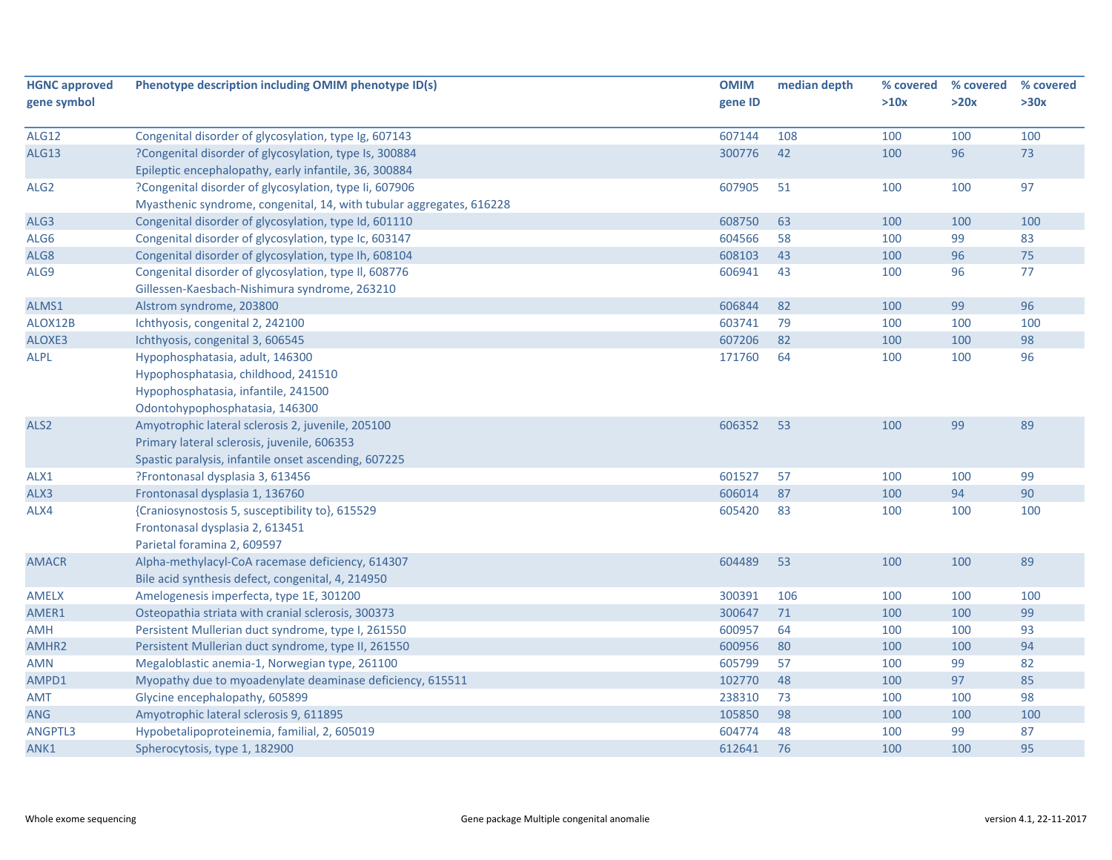| <b>HGNC approved</b> | Phenotype description including OMIM phenotype ID(s)                 | <b>OMIM</b> | median depth | % covered | % covered | % covered |
|----------------------|----------------------------------------------------------------------|-------------|--------------|-----------|-----------|-----------|
| gene symbol          |                                                                      | gene ID     |              | >10x      | >20x      | >30x      |
|                      |                                                                      |             |              |           |           |           |
| <b>ALG12</b>         | Congenital disorder of glycosylation, type Ig, 607143                | 607144      | 108          | 100       | 100       | 100       |
| <b>ALG13</b>         | ?Congenital disorder of glycosylation, type Is, 300884               | 300776      | 42           | 100       | 96        | 73        |
|                      | Epileptic encephalopathy, early infantile, 36, 300884                |             |              |           |           |           |
| ALG <sub>2</sub>     | ?Congenital disorder of glycosylation, type Ii, 607906               | 607905      | 51           | 100       | 100       | 97        |
|                      | Myasthenic syndrome, congenital, 14, with tubular aggregates, 616228 |             |              |           |           |           |
| ALG3                 | Congenital disorder of glycosylation, type Id, 601110                | 608750      | 63           | 100       | 100       | 100       |
| ALG6                 | Congenital disorder of glycosylation, type Ic, 603147                | 604566      | 58           | 100       | 99        | 83        |
| ALG8                 | Congenital disorder of glycosylation, type Ih, 608104                | 608103      | 43           | 100       | 96        | 75        |
| ALG9                 | Congenital disorder of glycosylation, type II, 608776                | 606941      | 43           | 100       | 96        | 77        |
|                      | Gillessen-Kaesbach-Nishimura syndrome, 263210                        |             |              |           |           |           |
| ALMS1                | Alstrom syndrome, 203800                                             | 606844      | 82           | 100       | 99        | 96        |
| ALOX12B              | Ichthyosis, congenital 2, 242100                                     | 603741      | 79           | 100       | 100       | 100       |
| ALOXE3               | Ichthyosis, congenital 3, 606545                                     | 607206      | 82           | 100       | 100       | 98        |
| <b>ALPL</b>          | Hypophosphatasia, adult, 146300                                      | 171760      | 64           | 100       | 100       | 96        |
|                      | Hypophosphatasia, childhood, 241510                                  |             |              |           |           |           |
|                      | Hypophosphatasia, infantile, 241500                                  |             |              |           |           |           |
|                      | Odontohypophosphatasia, 146300                                       |             |              |           |           |           |
| ALS <sub>2</sub>     | Amyotrophic lateral sclerosis 2, juvenile, 205100                    | 606352      | 53           | 100       | 99        | 89        |
|                      | Primary lateral sclerosis, juvenile, 606353                          |             |              |           |           |           |
|                      | Spastic paralysis, infantile onset ascending, 607225                 |             |              |           |           |           |
| ALX1                 | ?Frontonasal dysplasia 3, 613456                                     | 601527      | 57           | 100       | 100       | 99        |
| ALX3                 | Frontonasal dysplasia 1, 136760                                      | 606014      | 87           | 100       | 94        | 90        |
| ALX4                 | {Craniosynostosis 5, susceptibility to}, 615529                      | 605420      | 83           | 100       | 100       | 100       |
|                      | Frontonasal dysplasia 2, 613451                                      |             |              |           |           |           |
|                      | Parietal foramina 2, 609597                                          |             |              |           |           |           |
| <b>AMACR</b>         | Alpha-methylacyl-CoA racemase deficiency, 614307                     | 604489      | 53           | 100       | 100       | 89        |
|                      | Bile acid synthesis defect, congenital, 4, 214950                    |             |              |           |           |           |
| <b>AMELX</b>         | Amelogenesis imperfecta, type 1E, 301200                             | 300391      | 106          | 100       | 100       | 100       |
| AMER1                | Osteopathia striata with cranial sclerosis, 300373                   | 300647      | 71           | 100       | 100       | 99        |
| <b>AMH</b>           | Persistent Mullerian duct syndrome, type I, 261550                   | 600957      | 64           | 100       | 100       | 93        |
| AMHR2                | Persistent Mullerian duct syndrome, type II, 261550                  | 600956      | 80           | 100       | 100       | 94        |
| <b>AMN</b>           | Megaloblastic anemia-1, Norwegian type, 261100                       | 605799      | 57           | 100       | 99        | 82        |
| AMPD1                | Myopathy due to myoadenylate deaminase deficiency, 615511            | 102770      | 48           | 100       | 97        | 85        |
| <b>AMT</b>           | Glycine encephalopathy, 605899                                       | 238310      | 73           | 100       | 100       | 98        |
| <b>ANG</b>           | Amyotrophic lateral sclerosis 9, 611895                              | 105850      | 98           | 100       | 100       | 100       |
| ANGPTL3              | Hypobetalipoproteinemia, familial, 2, 605019                         | 604774      | 48           | 100       | 99        | 87        |
| ANK1                 | Spherocytosis, type 1, 182900                                        | 612641      | 76           | 100       | 100       | 95        |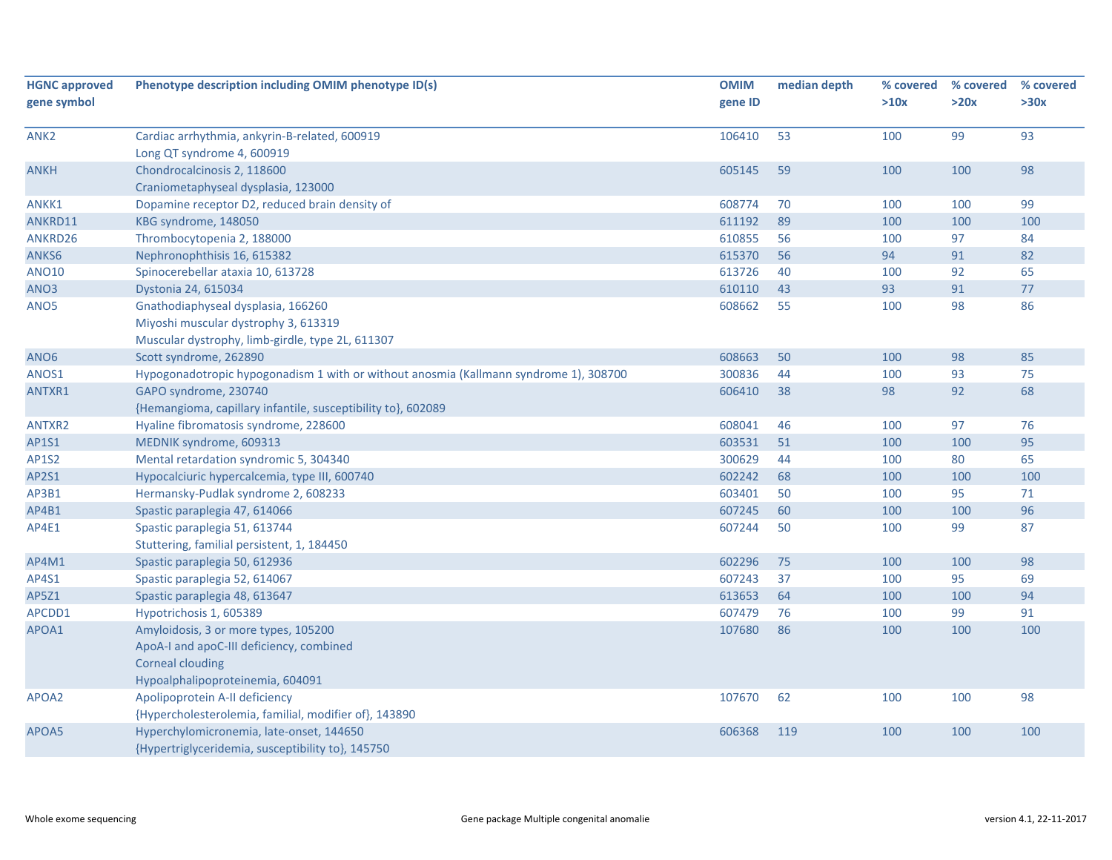| <b>HGNC approved</b> | Phenotype description including OMIM phenotype ID(s)                                  | <b>OMIM</b> | median depth | % covered | % covered | % covered |
|----------------------|---------------------------------------------------------------------------------------|-------------|--------------|-----------|-----------|-----------|
| gene symbol          |                                                                                       | gene ID     |              | >10x      | >20x      | >30x      |
| ANK2                 | Cardiac arrhythmia, ankyrin-B-related, 600919                                         | 106410      | 53           | 100       | 99        | 93        |
|                      | Long QT syndrome 4, 600919                                                            |             |              |           |           |           |
| <b>ANKH</b>          | Chondrocalcinosis 2, 118600                                                           | 605145      | 59           | 100       | 100       | 98        |
|                      | Craniometaphyseal dysplasia, 123000                                                   |             |              |           |           |           |
| ANKK1                | Dopamine receptor D2, reduced brain density of                                        | 608774      | 70           | 100       | 100       | 99        |
| ANKRD11              | KBG syndrome, 148050                                                                  | 611192      | 89           | 100       | 100       | 100       |
| ANKRD26              | Thrombocytopenia 2, 188000                                                            | 610855      | 56           | 100       | 97        | 84        |
| ANKS6                | Nephronophthisis 16, 615382                                                           | 615370      | 56           | 94        | 91        | 82        |
| <b>ANO10</b>         | Spinocerebellar ataxia 10, 613728                                                     | 613726      | 40           | 100       | 92        | 65        |
| ANO3                 | Dystonia 24, 615034                                                                   | 610110      | 43           | 93        | 91        | 77        |
| ANO <sub>5</sub>     | Gnathodiaphyseal dysplasia, 166260                                                    | 608662      | 55           | 100       | 98        | 86        |
|                      | Miyoshi muscular dystrophy 3, 613319                                                  |             |              |           |           |           |
|                      | Muscular dystrophy, limb-girdle, type 2L, 611307                                      |             |              |           |           |           |
| ANO <sub>6</sub>     | Scott syndrome, 262890                                                                | 608663      | 50           | 100       | 98        | 85        |
| ANOS1                | Hypogonadotropic hypogonadism 1 with or without anosmia (Kallmann syndrome 1), 308700 | 300836      | 44           | 100       | 93        | 75        |
| ANTXR1               | GAPO syndrome, 230740                                                                 | 606410      | 38           | 98        | 92        | 68        |
|                      | {Hemangioma, capillary infantile, susceptibility to}, 602089                          |             |              |           |           |           |
| ANTXR2               | Hyaline fibromatosis syndrome, 228600                                                 | 608041      | 46           | 100       | 97        | 76        |
| AP1S1                | MEDNIK syndrome, 609313                                                               | 603531      | 51           | 100       | 100       | 95        |
| <b>AP1S2</b>         | Mental retardation syndromic 5, 304340                                                | 300629      | 44           | 100       | 80        | 65        |
| AP2S1                | Hypocalciuric hypercalcemia, type III, 600740                                         | 602242      | 68           | 100       | 100       | 100       |
| AP3B1                | Hermansky-Pudlak syndrome 2, 608233                                                   | 603401      | 50           | 100       | 95        | 71        |
| AP4B1                | Spastic paraplegia 47, 614066                                                         | 607245      | 60           | 100       | 100       | 96        |
| AP4E1                | Spastic paraplegia 51, 613744                                                         | 607244      | 50           | 100       | 99        | 87        |
|                      | Stuttering, familial persistent, 1, 184450                                            |             |              |           |           |           |
| AP4M1                | Spastic paraplegia 50, 612936                                                         | 602296      | 75           | 100       | 100       | 98        |
| AP4S1                | Spastic paraplegia 52, 614067                                                         | 607243      | 37           | 100       | 95        | 69        |
| AP5Z1                | Spastic paraplegia 48, 613647                                                         | 613653      | 64           | 100       | 100       | 94        |
| APCDD1               | Hypotrichosis 1, 605389                                                               | 607479      | 76           | 100       | 99        | 91        |
| APOA1                | Amyloidosis, 3 or more types, 105200                                                  | 107680      | 86           | 100       | 100       | 100       |
|                      | ApoA-I and apoC-III deficiency, combined                                              |             |              |           |           |           |
|                      | <b>Corneal clouding</b>                                                               |             |              |           |           |           |
|                      | Hypoalphalipoproteinemia, 604091                                                      |             |              |           |           |           |
| APOA2                | Apolipoprotein A-II deficiency                                                        | 107670      | 62           | 100       | 100       | 98        |
|                      | {Hypercholesterolemia, familial, modifier of}, 143890                                 |             |              |           |           |           |
| APOA5                | Hyperchylomicronemia, late-onset, 144650                                              | 606368      | 119          | 100       | 100       | 100       |
|                      | {Hypertriglyceridemia, susceptibility to}, 145750                                     |             |              |           |           |           |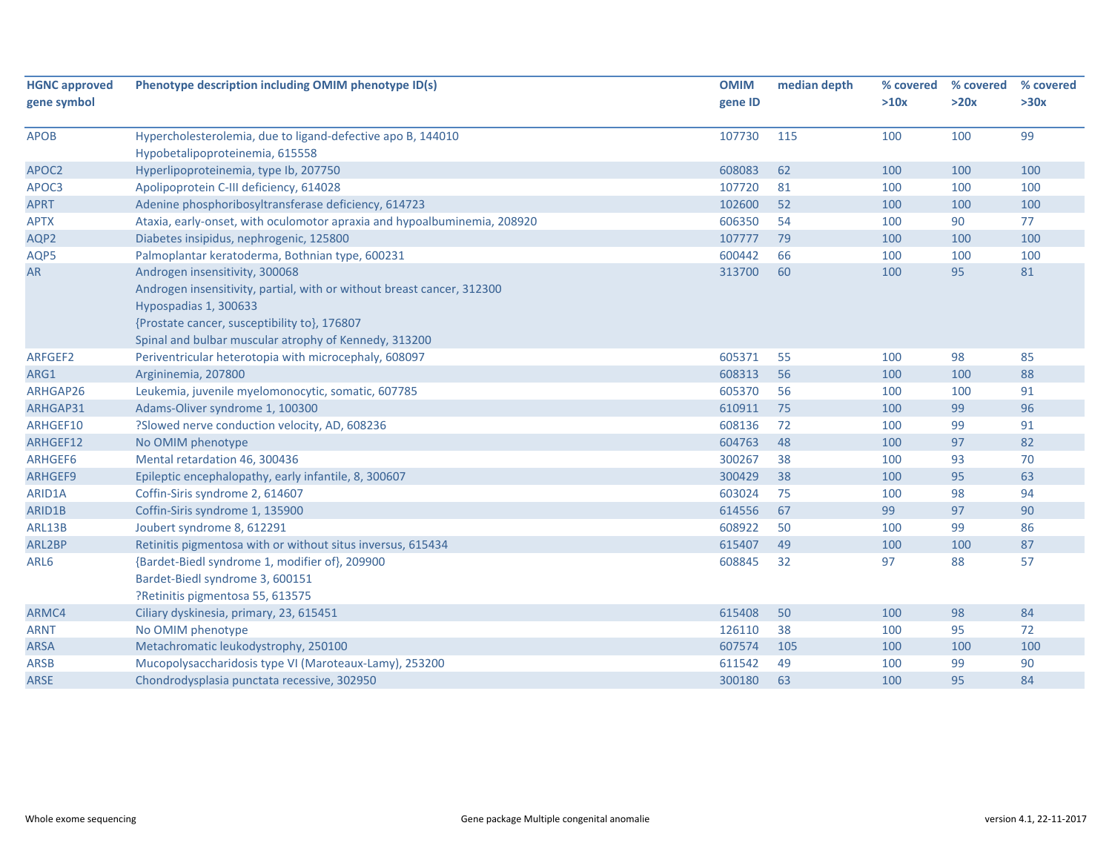| <b>HGNC approved</b> | Phenotype description including OMIM phenotype ID(s)                     | <b>OMIM</b> | median depth | % covered | % covered | % covered |
|----------------------|--------------------------------------------------------------------------|-------------|--------------|-----------|-----------|-----------|
| gene symbol          |                                                                          | gene ID     |              | >10x      | >20x      | >30x      |
| <b>APOB</b>          | Hypercholesterolemia, due to ligand-defective apo B, 144010              | 107730      | 115          | 100       | 100       | 99        |
|                      | Hypobetalipoproteinemia, 615558                                          |             |              |           |           |           |
| APOC2                | Hyperlipoproteinemia, type Ib, 207750                                    | 608083      | 62           | 100       | 100       | 100       |
| APOC3                | Apolipoprotein C-III deficiency, 614028                                  | 107720      | 81           | 100       | 100       | 100       |
| <b>APRT</b>          | Adenine phosphoribosyltransferase deficiency, 614723                     | 102600      | 52           | 100       | 100       | 100       |
| <b>APTX</b>          | Ataxia, early-onset, with oculomotor apraxia and hypoalbuminemia, 208920 | 606350      | 54           | 100       | 90        | 77        |
| AQP2                 | Diabetes insipidus, nephrogenic, 125800                                  | 107777      | 79           | 100       | 100       | 100       |
| AQP5                 | Palmoplantar keratoderma, Bothnian type, 600231                          | 600442      | 66           | 100       | 100       | 100       |
| AR                   | Androgen insensitivity, 300068                                           | 313700      | 60           | 100       | 95        | 81        |
|                      | Androgen insensitivity, partial, with or without breast cancer, 312300   |             |              |           |           |           |
|                      | Hypospadias 1, 300633                                                    |             |              |           |           |           |
|                      | {Prostate cancer, susceptibility to}, 176807                             |             |              |           |           |           |
|                      | Spinal and bulbar muscular atrophy of Kennedy, 313200                    |             |              |           |           |           |
| ARFGEF2              | Periventricular heterotopia with microcephaly, 608097                    | 605371      | 55           | 100       | 98        | 85        |
| ARG1                 | Argininemia, 207800                                                      | 608313      | 56           | 100       | 100       | 88        |
| ARHGAP26             | Leukemia, juvenile myelomonocytic, somatic, 607785                       | 605370      | 56           | 100       | 100       | 91        |
| ARHGAP31             | Adams-Oliver syndrome 1, 100300                                          | 610911      | 75           | 100       | 99        | 96        |
| ARHGEF10             | ?Slowed nerve conduction velocity, AD, 608236                            | 608136      | 72           | 100       | 99        | 91        |
| ARHGEF12             | No OMIM phenotype                                                        | 604763      | 48           | 100       | 97        | 82        |
| ARHGEF6              | Mental retardation 46, 300436                                            | 300267      | 38           | 100       | 93        | 70        |
| ARHGEF9              | Epileptic encephalopathy, early infantile, 8, 300607                     | 300429      | 38           | 100       | 95        | 63        |
| ARID1A               | Coffin-Siris syndrome 2, 614607                                          | 603024      | 75           | 100       | 98        | 94        |
| ARID1B               | Coffin-Siris syndrome 1, 135900                                          | 614556      | 67           | 99        | 97        | 90        |
| ARL13B               | Joubert syndrome 8, 612291                                               | 608922      | 50           | 100       | 99        | 86        |
| ARL2BP               | Retinitis pigmentosa with or without situs inversus, 615434              | 615407      | 49           | 100       | 100       | 87        |
| ARL6                 | {Bardet-Biedl syndrome 1, modifier of}, 209900                           | 608845      | 32           | 97        | 88        | 57        |
|                      | Bardet-Biedl syndrome 3, 600151                                          |             |              |           |           |           |
|                      | ?Retinitis pigmentosa 55, 613575                                         |             |              |           |           |           |
| ARMC4                | Ciliary dyskinesia, primary, 23, 615451                                  | 615408      | 50           | 100       | 98        | 84        |
| <b>ARNT</b>          | No OMIM phenotype                                                        | 126110      | 38           | 100       | 95        | 72        |
| <b>ARSA</b>          | Metachromatic leukodystrophy, 250100                                     | 607574      | 105          | 100       | 100       | 100       |
| <b>ARSB</b>          | Mucopolysaccharidosis type VI (Maroteaux-Lamy), 253200                   | 611542      | 49           | 100       | 99        | 90        |
| ARSE                 | Chondrodysplasia punctata recessive, 302950                              | 300180      | 63           | 100       | 95        | 84        |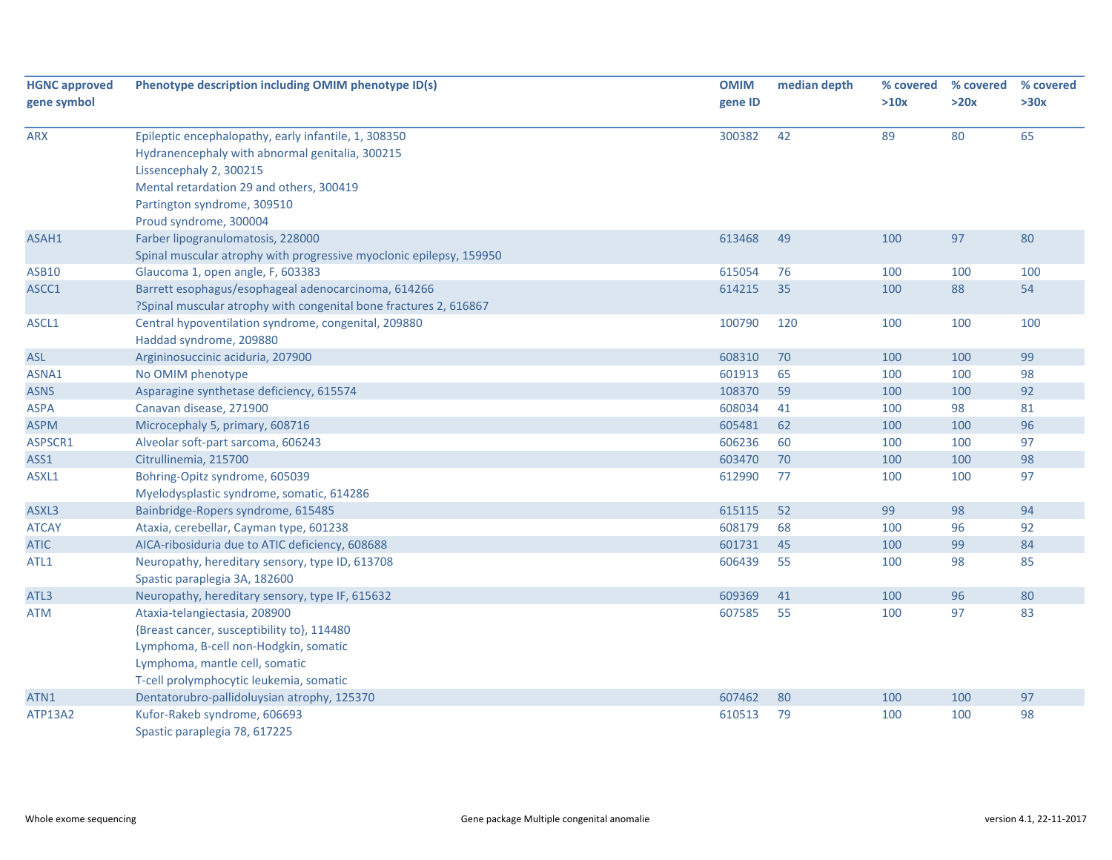| <b>HGNC approved</b> | Phenotype description including OMIM phenotype ID(s)                | <b>OMIM</b> | median depth | % covered | % covered | % covered |
|----------------------|---------------------------------------------------------------------|-------------|--------------|-----------|-----------|-----------|
| gene symbol          |                                                                     | gene ID     |              | >10x      | >20x      | >30x      |
| <b>ARX</b>           | Epileptic encephalopathy, early infantile, 1, 308350                | 300382      | 42           | 89        | 80        | 65        |
|                      | Hydranencephaly with abnormal genitalia, 300215                     |             |              |           |           |           |
|                      | Lissencephaly 2, 300215                                             |             |              |           |           |           |
|                      | Mental retardation 29 and others, 300419                            |             |              |           |           |           |
|                      | Partington syndrome, 309510                                         |             |              |           |           |           |
|                      | Proud syndrome, 300004                                              |             |              |           |           |           |
| ASAH1                | Farber lipogranulomatosis, 228000                                   | 613468      | 49           | 100       | 97        | 80        |
|                      | Spinal muscular atrophy with progressive myoclonic epilepsy, 159950 |             |              |           |           |           |
| <b>ASB10</b>         | Glaucoma 1, open angle, F, 603383                                   | 615054      | 76           | 100       | 100       | 100       |
| ASCC1                | Barrett esophagus/esophageal adenocarcinoma, 614266                 | 614215      | 35           | 100       | 88        | 54        |
|                      | ?Spinal muscular atrophy with congenital bone fractures 2, 616867   |             |              |           |           |           |
| ASCL1                | Central hypoventilation syndrome, congenital, 209880                | 100790      | 120          | 100       | 100       | 100       |
|                      | Haddad syndrome, 209880                                             |             |              |           |           |           |
| <b>ASL</b>           | Argininosuccinic aciduria, 207900                                   | 608310      | 70           | 100       | 100       | 99        |
| ASNA1                | No OMIM phenotype                                                   | 601913      | 65           | 100       | 100       | 98        |
| <b>ASNS</b>          | Asparagine synthetase deficiency, 615574                            | 108370      | 59           | 100       | 100       | 92        |
| <b>ASPA</b>          | Canavan disease, 271900                                             | 608034      | 41           | 100       | 98        | 81        |
| <b>ASPM</b>          | Microcephaly 5, primary, 608716                                     | 605481      | 62           | 100       | 100       | 96        |
| ASPSCR1              | Alveolar soft-part sarcoma, 606243                                  | 606236      | 60           | 100       | 100       | 97        |
| ASS1                 | Citrullinemia, 215700                                               | 603470      | 70           | 100       | 100       | 98        |
| ASXL1                | Bohring-Opitz syndrome, 605039                                      | 612990      | 77           | 100       | 100       | 97        |
|                      | Myelodysplastic syndrome, somatic, 614286                           |             |              |           |           |           |
| ASXL3                | Bainbridge-Ropers syndrome, 615485                                  | 615115      | 52           | 99        | 98        | 94        |
| <b>ATCAY</b>         | Ataxia, cerebellar, Cayman type, 601238                             | 608179      | 68           | 100       | 96        | 92        |
| <b>ATIC</b>          | AICA-ribosiduria due to ATIC deficiency, 608688                     | 601731      | 45           | 100       | 99        | 84        |
| ATL1                 | Neuropathy, hereditary sensory, type ID, 613708                     | 606439      | 55           | 100       | 98        | 85        |
|                      | Spastic paraplegia 3A, 182600                                       |             |              |           |           |           |
| ATL3                 | Neuropathy, hereditary sensory, type IF, 615632                     | 609369      | 41           | 100       | 96        | 80        |
| <b>ATM</b>           | Ataxia-telangiectasia, 208900                                       | 607585      | 55           | 100       | 97        | 83        |
|                      | {Breast cancer, susceptibility to}, 114480                          |             |              |           |           |           |
|                      | Lymphoma, B-cell non-Hodgkin, somatic                               |             |              |           |           |           |
|                      | Lymphoma, mantle cell, somatic                                      |             |              |           |           |           |
|                      | T-cell prolymphocytic leukemia, somatic                             |             |              |           |           |           |
| ATN1                 | Dentatorubro-pallidoluysian atrophy, 125370                         | 607462      | 80           | 100       | 100       | 97        |
| <b>ATP13A2</b>       | Kufor-Rakeb syndrome, 606693                                        | 610513      | 79           | 100       | 100       | 98        |
|                      | Spastic paraplegia 78, 617225                                       |             |              |           |           |           |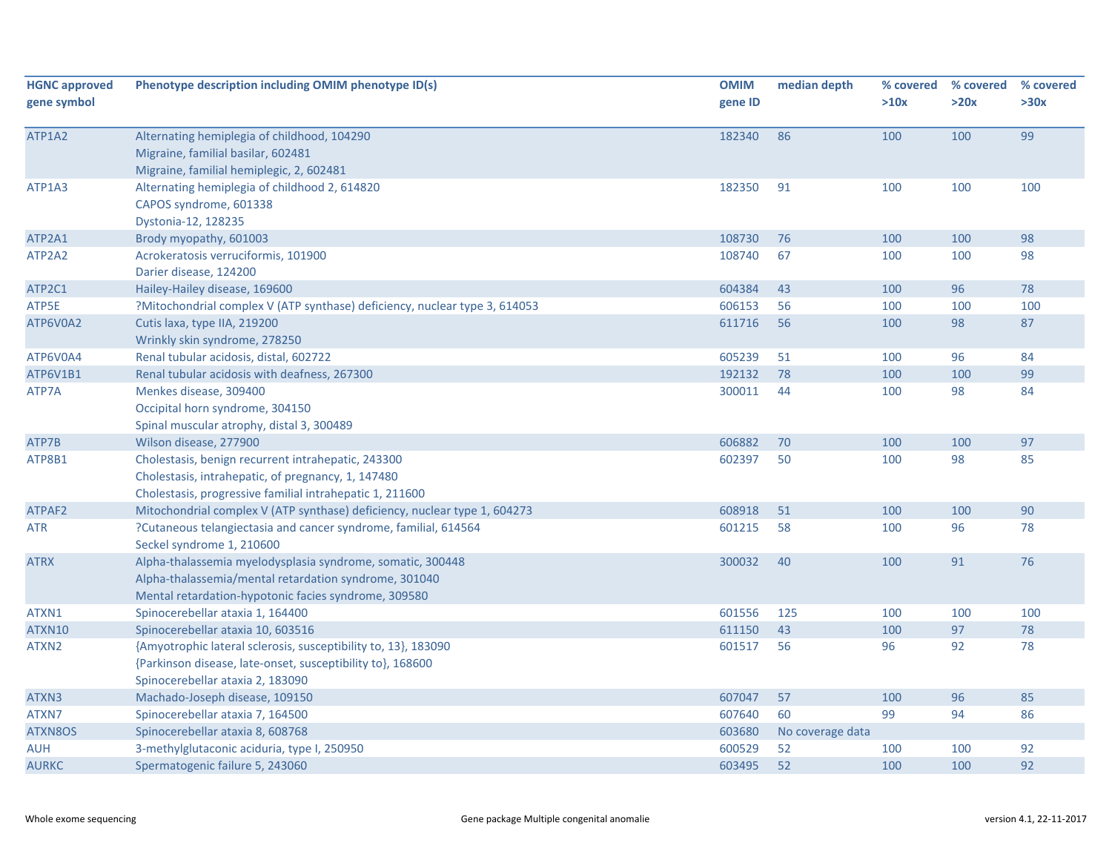| <b>HGNC approved</b><br>gene symbol | Phenotype description including OMIM phenotype ID(s)                                                                                                                        | <b>OMIM</b><br>gene ID | median depth     | % covered<br>>10x | % covered<br>>20x | % covered<br>>30x |
|-------------------------------------|-----------------------------------------------------------------------------------------------------------------------------------------------------------------------------|------------------------|------------------|-------------------|-------------------|-------------------|
| ATP1A2                              | Alternating hemiplegia of childhood, 104290<br>Migraine, familial basilar, 602481<br>Migraine, familial hemiplegic, 2, 602481                                               | 182340                 | 86               | 100               | 100               | 99                |
| ATP1A3                              | Alternating hemiplegia of childhood 2, 614820<br>CAPOS syndrome, 601338<br>Dystonia-12, 128235                                                                              | 182350                 | 91               | 100               | 100               | 100               |
| ATP2A1                              | Brody myopathy, 601003                                                                                                                                                      | 108730                 | 76               | 100               | 100               | 98                |
| ATP2A2                              | Acrokeratosis verruciformis, 101900<br>Darier disease, 124200                                                                                                               | 108740                 | 67               | 100               | 100               | 98                |
| ATP2C1                              | Hailey-Hailey disease, 169600                                                                                                                                               | 604384                 | 43               | 100               | 96                | 78                |
| ATP5E                               | ?Mitochondrial complex V (ATP synthase) deficiency, nuclear type 3, 614053                                                                                                  | 606153                 | 56               | 100               | 100               | 100               |
| ATP6V0A2                            | Cutis laxa, type IIA, 219200<br>Wrinkly skin syndrome, 278250                                                                                                               | 611716                 | 56               | 100               | 98                | 87                |
| ATP6V0A4                            | Renal tubular acidosis, distal, 602722                                                                                                                                      | 605239                 | 51               | 100               | 96                | 84                |
| ATP6V1B1                            | Renal tubular acidosis with deafness, 267300                                                                                                                                | 192132                 | 78               | 100               | 100               | 99                |
| ATP7A                               | Menkes disease, 309400<br>Occipital horn syndrome, 304150<br>Spinal muscular atrophy, distal 3, 300489                                                                      | 300011                 | 44               | 100               | 98                | 84                |
| ATP7B                               | Wilson disease, 277900                                                                                                                                                      | 606882                 | 70               | 100               | 100               | 97                |
| ATP8B1                              | Cholestasis, benign recurrent intrahepatic, 243300<br>Cholestasis, intrahepatic, of pregnancy, 1, 147480<br>Cholestasis, progressive familial intrahepatic 1, 211600        | 602397                 | 50               | 100               | 98                | 85                |
| ATPAF2                              | Mitochondrial complex V (ATP synthase) deficiency, nuclear type 1, 604273                                                                                                   | 608918                 | 51               | 100               | 100               | 90                |
| ATR                                 | ?Cutaneous telangiectasia and cancer syndrome, familial, 614564<br>Seckel syndrome 1, 210600                                                                                | 601215                 | 58               | 100               | 96                | 78                |
| <b>ATRX</b>                         | Alpha-thalassemia myelodysplasia syndrome, somatic, 300448<br>Alpha-thalassemia/mental retardation syndrome, 301040<br>Mental retardation-hypotonic facies syndrome, 309580 | 300032                 | 40               | 100               | 91                | 76                |
| ATXN1                               | Spinocerebellar ataxia 1, 164400                                                                                                                                            | 601556                 | 125              | 100               | 100               | 100               |
| ATXN10                              | Spinocerebellar ataxia 10, 603516                                                                                                                                           | 611150                 | 43               | 100               | 97                | 78                |
| ATXN2                               | {Amyotrophic lateral sclerosis, susceptibility to, 13}, 183090<br>{Parkinson disease, late-onset, susceptibility to}, 168600<br>Spinocerebellar ataxia 2, 183090            | 601517                 | 56               | 96                | 92                | 78                |
| ATXN3                               | Machado-Joseph disease, 109150                                                                                                                                              | 607047                 | 57               | 100               | 96                | 85                |
| ATXN7                               | Spinocerebellar ataxia 7, 164500                                                                                                                                            | 607640                 | 60               | 99                | 94                | 86                |
| ATXN8OS                             | Spinocerebellar ataxia 8, 608768                                                                                                                                            | 603680                 | No coverage data |                   |                   |                   |
| <b>AUH</b>                          | 3-methylglutaconic aciduria, type I, 250950                                                                                                                                 | 600529                 | 52               | 100               | 100               | 92                |
| <b>AURKC</b>                        | Spermatogenic failure 5, 243060                                                                                                                                             | 603495                 | 52               | 100               | 100               | 92                |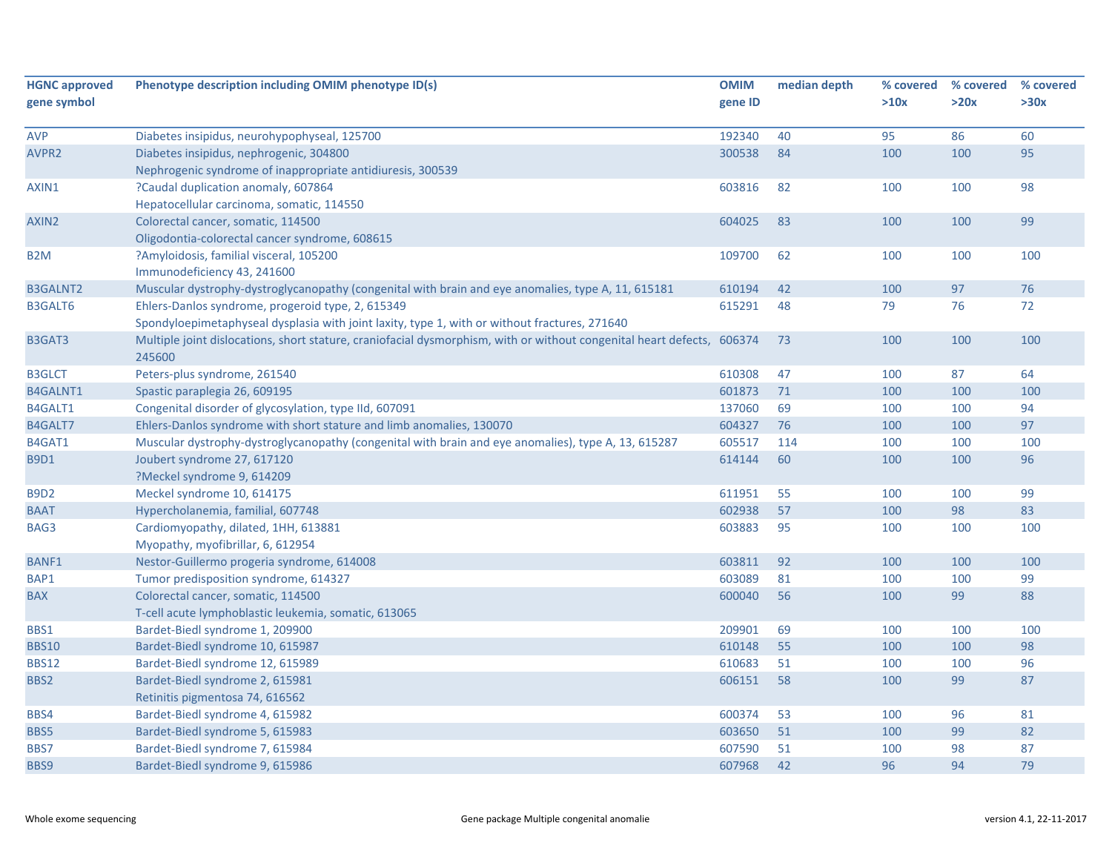| <b>HGNC approved</b> | Phenotype description including OMIM phenotype ID(s)                                                            | <b>OMIM</b> | median depth | % covered | % covered | % covered |
|----------------------|-----------------------------------------------------------------------------------------------------------------|-------------|--------------|-----------|-----------|-----------|
| gene symbol          |                                                                                                                 | gene ID     |              | >10x      | >20x      | >30x      |
|                      |                                                                                                                 |             |              |           |           |           |
| <b>AVP</b>           | Diabetes insipidus, neurohypophyseal, 125700                                                                    | 192340      | 40           | 95        | 86        | 60        |
| AVPR <sub>2</sub>    | Diabetes insipidus, nephrogenic, 304800                                                                         | 300538      | 84           | 100       | 100       | 95        |
|                      | Nephrogenic syndrome of inappropriate antidiuresis, 300539                                                      |             |              |           |           |           |
| AXIN1                | ?Caudal duplication anomaly, 607864                                                                             | 603816      | 82           | 100       | 100       | 98        |
|                      | Hepatocellular carcinoma, somatic, 114550                                                                       |             |              |           |           |           |
| AXIN2                | Colorectal cancer, somatic, 114500                                                                              | 604025      | 83           | 100       | 100       | 99        |
|                      | Oligodontia-colorectal cancer syndrome, 608615                                                                  |             |              |           |           |           |
| B <sub>2</sub> M     | ?Amyloidosis, familial visceral, 105200                                                                         | 109700      | 62           | 100       | 100       | 100       |
|                      | Immunodeficiency 43, 241600                                                                                     |             |              |           |           |           |
| <b>B3GALNT2</b>      | Muscular dystrophy-dystroglycanopathy (congenital with brain and eye anomalies, type A, 11, 615181              | 610194      | 42           | 100       | 97        | 76        |
| <b>B3GALT6</b>       | Ehlers-Danlos syndrome, progeroid type, 2, 615349                                                               | 615291      | 48           | 79        | 76        | 72        |
|                      | Spondyloepimetaphyseal dysplasia with joint laxity, type 1, with or without fractures, 271640                   |             |              |           |           |           |
| B3GAT3               | Multiple joint dislocations, short stature, craniofacial dysmorphism, with or without congenital heart defects, | 606374      | 73           | 100       | 100       | 100       |
|                      | 245600                                                                                                          |             |              |           |           |           |
| <b>B3GLCT</b>        | Peters-plus syndrome, 261540                                                                                    | 610308      | 47           | 100       | 87        | 64        |
| <b>B4GALNT1</b>      | Spastic paraplegia 26, 609195                                                                                   | 601873      | 71           | 100       | 100       | 100       |
| B4GALT1              | Congenital disorder of glycosylation, type IId, 607091                                                          | 137060      | 69           | 100       | 100       | 94        |
| B4GALT7              | Ehlers-Danlos syndrome with short stature and limb anomalies, 130070                                            | 604327      | 76           | 100       | 100       | 97        |
| B4GAT1               | Muscular dystrophy-dystroglycanopathy (congenital with brain and eye anomalies), type A, 13, 615287             | 605517      | 114          | 100       | 100       | 100       |
| <b>B9D1</b>          | Joubert syndrome 27, 617120                                                                                     | 614144      | 60           | 100       | 100       | 96        |
|                      | ?Meckel syndrome 9, 614209                                                                                      |             |              |           |           |           |
| <b>B9D2</b>          | Meckel syndrome 10, 614175                                                                                      | 611951      | 55           | 100       | 100       | 99        |
| <b>BAAT</b>          | Hypercholanemia, familial, 607748                                                                               | 602938      | 57           | 100       | 98        | 83        |
| BAG3                 | Cardiomyopathy, dilated, 1HH, 613881                                                                            | 603883      | 95           | 100       | 100       | 100       |
|                      | Myopathy, myofibrillar, 6, 612954                                                                               |             |              |           |           |           |
| <b>BANF1</b>         | Nestor-Guillermo progeria syndrome, 614008                                                                      | 603811      | 92           | 100       | 100       | 100       |
| BAP1                 | Tumor predisposition syndrome, 614327                                                                           | 603089      | 81           | 100       | 100       | 99        |
| <b>BAX</b>           | Colorectal cancer, somatic, 114500                                                                              | 600040      | 56           | 100       | 99        | 88        |
|                      | T-cell acute lymphoblastic leukemia, somatic, 613065                                                            |             |              |           |           |           |
| BBS1                 | Bardet-Biedl syndrome 1, 209900                                                                                 | 209901      | 69           | 100       | 100       | 100       |
| <b>BBS10</b>         | Bardet-Biedl syndrome 10, 615987                                                                                | 610148      | 55           | 100       | 100       | 98        |
| <b>BBS12</b>         | Bardet-Biedl syndrome 12, 615989                                                                                | 610683      | 51           | 100       | 100       | 96        |
| BBS2                 | Bardet-Biedl syndrome 2, 615981                                                                                 | 606151      | 58           | 100       | 99        | 87        |
|                      | Retinitis pigmentosa 74, 616562                                                                                 |             |              |           |           |           |
| BBS4                 | Bardet-Biedl syndrome 4, 615982                                                                                 | 600374      | 53           | 100       | 96        | 81        |
| BBS5                 | Bardet-Biedl syndrome 5, 615983                                                                                 | 603650      | 51           | 100       | 99        | 82        |
| BBS7                 | Bardet-Biedl syndrome 7, 615984                                                                                 | 607590      | 51           | 100       | 98        | 87        |
| BBS9                 | Bardet-Biedl syndrome 9, 615986                                                                                 | 607968      | 42           | 96        | 94        | 79        |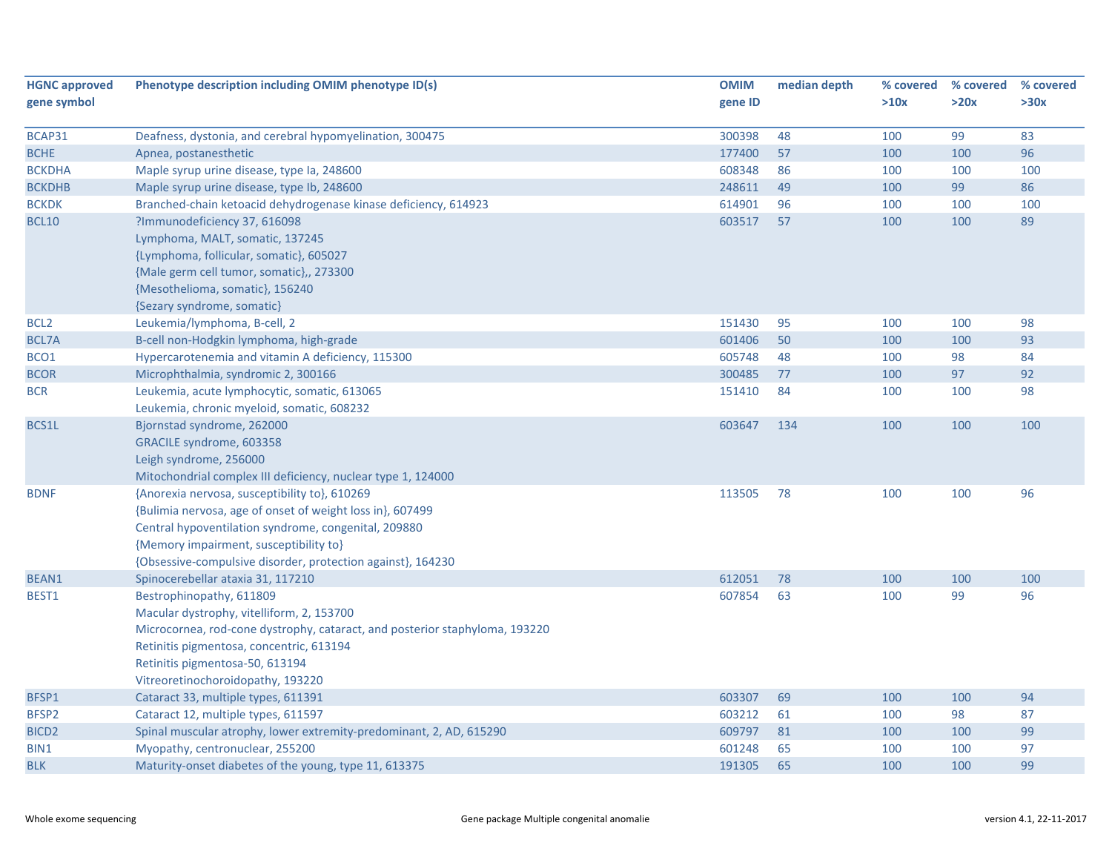| <b>HGNC approved</b> | Phenotype description including OMIM phenotype ID(s)                        | <b>OMIM</b> | median depth | % covered | % covered | % covered |
|----------------------|-----------------------------------------------------------------------------|-------------|--------------|-----------|-----------|-----------|
| gene symbol          |                                                                             | gene ID     |              | >10x      | >20x      | >30x      |
|                      |                                                                             |             |              |           |           |           |
| BCAP31               | Deafness, dystonia, and cerebral hypomyelination, 300475                    | 300398      | 48           | 100       | 99        | 83        |
| <b>BCHE</b>          | Apnea, postanesthetic                                                       | 177400      | 57           | 100       | 100       | 96        |
| <b>BCKDHA</b>        | Maple syrup urine disease, type Ia, 248600                                  | 608348      | 86           | 100       | 100       | 100       |
| <b>BCKDHB</b>        | Maple syrup urine disease, type lb, 248600                                  | 248611      | 49           | 100       | 99        | 86        |
| <b>BCKDK</b>         | Branched-chain ketoacid dehydrogenase kinase deficiency, 614923             | 614901      | 96           | 100       | 100       | 100       |
| <b>BCL10</b>         | ?Immunodeficiency 37, 616098                                                | 603517      | 57           | 100       | 100       | 89        |
|                      | Lymphoma, MALT, somatic, 137245                                             |             |              |           |           |           |
|                      | {Lymphoma, follicular, somatic}, 605027                                     |             |              |           |           |           |
|                      | {Male germ cell tumor, somatic},, 273300                                    |             |              |           |           |           |
|                      | {Mesothelioma, somatic}, 156240                                             |             |              |           |           |           |
|                      | {Sezary syndrome, somatic}                                                  |             |              |           |           |           |
| BCL <sub>2</sub>     | Leukemia/lymphoma, B-cell, 2                                                | 151430      | 95           | 100       | 100       | 98        |
| <b>BCL7A</b>         | B-cell non-Hodgkin lymphoma, high-grade                                     | 601406      | 50           | 100       | 100       | 93        |
| BCO1                 | Hypercarotenemia and vitamin A deficiency, 115300                           | 605748      | 48           | 100       | 98        | 84        |
| <b>BCOR</b>          | Microphthalmia, syndromic 2, 300166                                         | 300485      | 77           | 100       | 97        | 92        |
| <b>BCR</b>           | Leukemia, acute lymphocytic, somatic, 613065                                | 151410      | 84           | 100       | 100       | 98        |
|                      | Leukemia, chronic myeloid, somatic, 608232                                  |             |              |           |           |           |
| BCS1L                | Bjornstad syndrome, 262000                                                  | 603647      | 134          | 100       | 100       | 100       |
|                      | GRACILE syndrome, 603358                                                    |             |              |           |           |           |
|                      | Leigh syndrome, 256000                                                      |             |              |           |           |           |
|                      | Mitochondrial complex III deficiency, nuclear type 1, 124000                |             |              |           |           |           |
| <b>BDNF</b>          | {Anorexia nervosa, susceptibility to}, 610269                               | 113505      | 78           | 100       | 100       | 96        |
|                      | {Bulimia nervosa, age of onset of weight loss in}, 607499                   |             |              |           |           |           |
|                      | Central hypoventilation syndrome, congenital, 209880                        |             |              |           |           |           |
|                      | {Memory impairment, susceptibility to}                                      |             |              |           |           |           |
|                      | {Obsessive-compulsive disorder, protection against}, 164230                 |             |              |           |           |           |
| <b>BEAN1</b>         | Spinocerebellar ataxia 31, 117210                                           | 612051      | 78           | 100       | 100       | 100       |
| BEST1                | Bestrophinopathy, 611809                                                    | 607854      | 63           | 100       | 99        | 96        |
|                      | Macular dystrophy, vitelliform, 2, 153700                                   |             |              |           |           |           |
|                      | Microcornea, rod-cone dystrophy, cataract, and posterior staphyloma, 193220 |             |              |           |           |           |
|                      | Retinitis pigmentosa, concentric, 613194                                    |             |              |           |           |           |
|                      | Retinitis pigmentosa-50, 613194                                             |             |              |           |           |           |
|                      | Vitreoretinochoroidopathy, 193220                                           |             |              |           |           |           |
| BFSP1                | Cataract 33, multiple types, 611391                                         | 603307      | 69           | 100       | 100       | 94        |
| BFSP2                | Cataract 12, multiple types, 611597                                         | 603212      | 61           | 100       | 98        | 87        |
| BICD <sub>2</sub>    | Spinal muscular atrophy, lower extremity-predominant, 2, AD, 615290         | 609797      | 81           | 100       | 100       | 99        |
| BIN1                 | Myopathy, centronuclear, 255200                                             | 601248      | 65           | 100       | 100       | 97        |
| <b>BLK</b>           | Maturity-onset diabetes of the young, type 11, 613375                       | 191305      | 65           | 100       | 100       | 99        |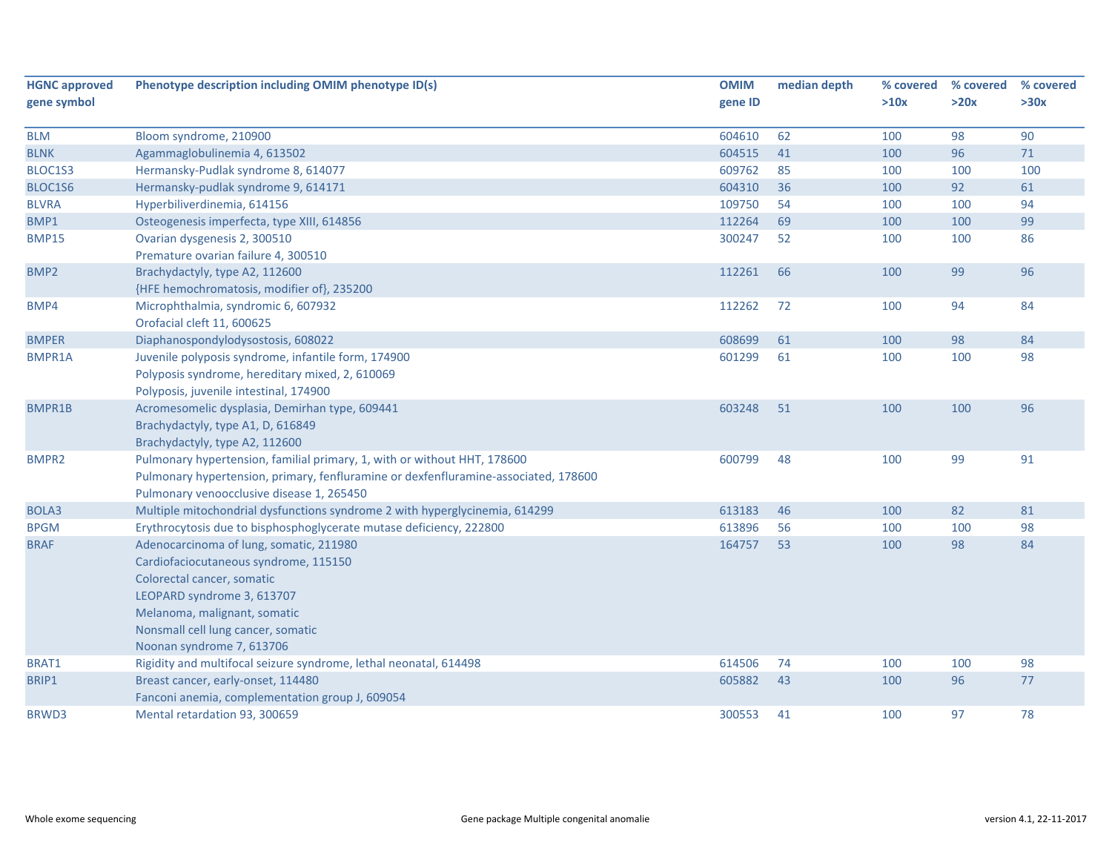| <b>HGNC approved</b> | Phenotype description including OMIM phenotype ID(s)                                                                                                                                                                                            | <b>OMIM</b> | median depth | % covered | % covered | % covered |
|----------------------|-------------------------------------------------------------------------------------------------------------------------------------------------------------------------------------------------------------------------------------------------|-------------|--------------|-----------|-----------|-----------|
| gene symbol          |                                                                                                                                                                                                                                                 | gene ID     |              | >10x      | >20x      | >30x      |
|                      |                                                                                                                                                                                                                                                 |             |              |           |           |           |
| <b>BLM</b>           | Bloom syndrome, 210900                                                                                                                                                                                                                          | 604610      | 62           | 100       | 98        | 90        |
| <b>BLNK</b>          | Agammaglobulinemia 4, 613502                                                                                                                                                                                                                    | 604515      | 41<br>85     | 100       | 96        | $71\,$    |
| BLOC1S3              | Hermansky-Pudlak syndrome 8, 614077                                                                                                                                                                                                             | 609762      |              | 100       | 100       | 100       |
| BLOC1S6              | Hermansky-pudlak syndrome 9, 614171                                                                                                                                                                                                             | 604310      | 36           | 100       | 92        | 61        |
| <b>BLVRA</b>         | Hyperbiliverdinemia, 614156                                                                                                                                                                                                                     | 109750      | 54           | 100       | 100       | 94        |
| BMP1                 | Osteogenesis imperfecta, type XIII, 614856                                                                                                                                                                                                      | 112264      | 69           | 100       | 100       | 99        |
| <b>BMP15</b>         | Ovarian dysgenesis 2, 300510                                                                                                                                                                                                                    | 300247      | 52           | 100       | 100       | 86        |
|                      | Premature ovarian failure 4, 300510                                                                                                                                                                                                             |             |              |           |           |           |
| BMP <sub>2</sub>     | Brachydactyly, type A2, 112600                                                                                                                                                                                                                  | 112261      | 66           | 100       | 99        | 96        |
|                      | {HFE hemochromatosis, modifier of}, 235200                                                                                                                                                                                                      |             |              |           |           |           |
| BMP4                 | Microphthalmia, syndromic 6, 607932<br>Orofacial cleft 11, 600625                                                                                                                                                                               | 112262      | 72           | 100       | 94        | 84        |
| <b>BMPER</b>         | Diaphanospondylodysostosis, 608022                                                                                                                                                                                                              | 608699      | 61           | 100       | 98        | 84        |
| <b>BMPR1A</b>        | Juvenile polyposis syndrome, infantile form, 174900<br>Polyposis syndrome, hereditary mixed, 2, 610069<br>Polyposis, juvenile intestinal, 174900                                                                                                | 601299      | 61           | 100       | 100       | 98        |
| BMPR1B               | Acromesomelic dysplasia, Demirhan type, 609441<br>Brachydactyly, type A1, D, 616849<br>Brachydactyly, type A2, 112600                                                                                                                           | 603248      | 51           | 100       | 100       | 96        |
| BMPR <sub>2</sub>    | Pulmonary hypertension, familial primary, 1, with or without HHT, 178600<br>Pulmonary hypertension, primary, fenfluramine or dexfenfluramine-associated, 178600<br>Pulmonary venoocclusive disease 1, 265450                                    | 600799      | 48           | 100       | 99        | 91        |
| BOLA3                | Multiple mitochondrial dysfunctions syndrome 2 with hyperglycinemia, 614299                                                                                                                                                                     | 613183      | 46           | 100       | 82        | 81        |
| <b>BPGM</b>          | Erythrocytosis due to bisphosphoglycerate mutase deficiency, 222800                                                                                                                                                                             | 613896      | 56           | 100       | 100       | 98        |
| <b>BRAF</b>          | Adenocarcinoma of lung, somatic, 211980<br>Cardiofaciocutaneous syndrome, 115150<br>Colorectal cancer, somatic<br>LEOPARD syndrome 3, 613707<br>Melanoma, malignant, somatic<br>Nonsmall cell lung cancer, somatic<br>Noonan syndrome 7, 613706 | 164757      | 53           | 100       | 98        | 84        |
| BRAT1                | Rigidity and multifocal seizure syndrome, lethal neonatal, 614498                                                                                                                                                                               | 614506      | 74           | 100       | 100       | 98        |
| BRIP1                | Breast cancer, early-onset, 114480<br>Fanconi anemia, complementation group J, 609054                                                                                                                                                           | 605882      | 43           | 100       | 96        | 77        |
| BRWD3                | Mental retardation 93, 300659                                                                                                                                                                                                                   | 300553      | 41           | 100       | 97        | 78        |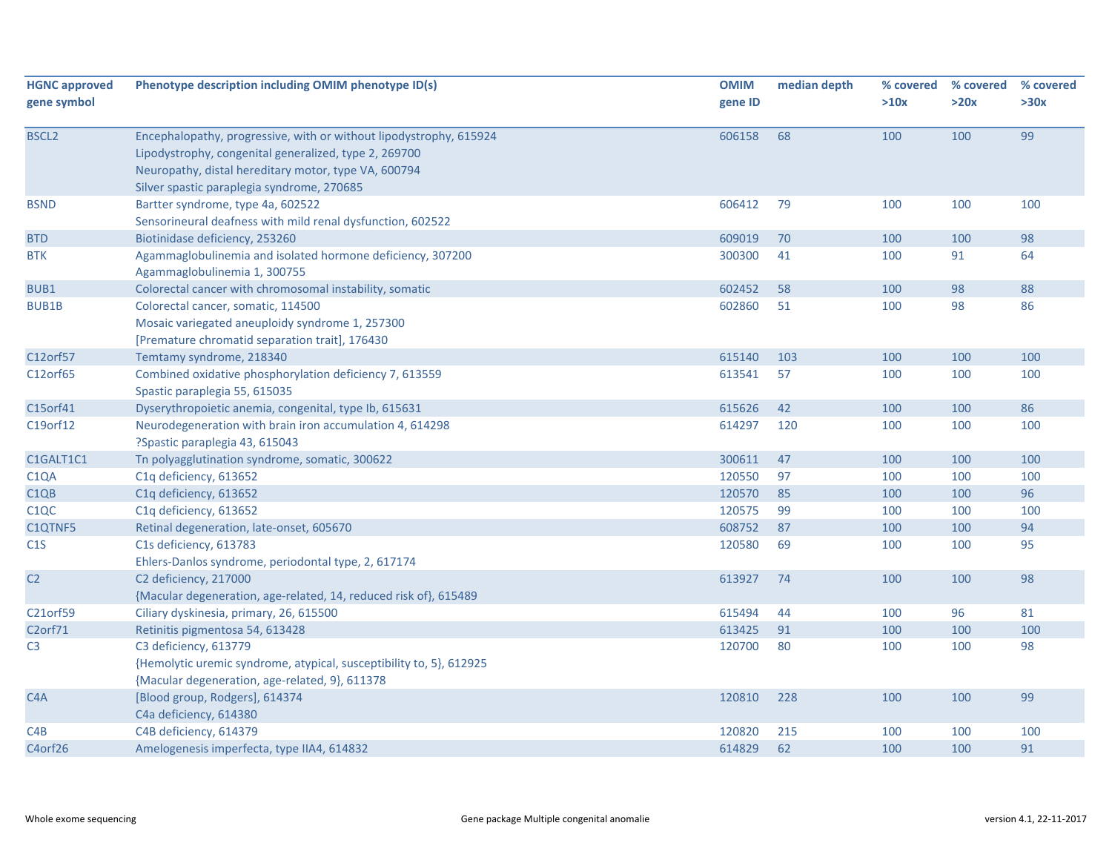| <b>HGNC approved</b><br>gene symbol | Phenotype description including OMIM phenotype ID(s)                                                                                                                                                                              | <b>OMIM</b><br>gene ID | median depth | % covered<br>>10x | % covered<br>>20x | % covered<br>>30x |
|-------------------------------------|-----------------------------------------------------------------------------------------------------------------------------------------------------------------------------------------------------------------------------------|------------------------|--------------|-------------------|-------------------|-------------------|
| <b>BSCL2</b>                        | Encephalopathy, progressive, with or without lipodystrophy, 615924<br>Lipodystrophy, congenital generalized, type 2, 269700<br>Neuropathy, distal hereditary motor, type VA, 600794<br>Silver spastic paraplegia syndrome, 270685 | 606158                 | 68           | 100               | 100               | 99                |
| <b>BSND</b>                         | Bartter syndrome, type 4a, 602522<br>Sensorineural deafness with mild renal dysfunction, 602522                                                                                                                                   | 606412                 | 79           | 100               | 100               | 100               |
| <b>BTD</b>                          | Biotinidase deficiency, 253260                                                                                                                                                                                                    | 609019                 | 70           | 100               | 100               | 98                |
| <b>BTK</b>                          | Agammaglobulinemia and isolated hormone deficiency, 307200<br>Agammaglobulinemia 1, 300755                                                                                                                                        | 300300                 | 41           | 100               | 91                | 64                |
| BUB1                                | Colorectal cancer with chromosomal instability, somatic                                                                                                                                                                           | 602452                 | 58           | 100               | 98                | 88                |
| <b>BUB1B</b>                        | Colorectal cancer, somatic, 114500<br>Mosaic variegated aneuploidy syndrome 1, 257300<br>[Premature chromatid separation trait], 176430                                                                                           | 602860                 | 51           | 100               | 98                | 86                |
| C12orf57                            | Temtamy syndrome, 218340                                                                                                                                                                                                          | 615140                 | 103          | 100               | 100               | 100               |
| C12orf65                            | Combined oxidative phosphorylation deficiency 7, 613559<br>Spastic paraplegia 55, 615035                                                                                                                                          | 613541                 | 57           | 100               | 100               | 100               |
| C15orf41                            | Dyserythropoietic anemia, congenital, type Ib, 615631                                                                                                                                                                             | 615626                 | 42           | 100               | 100               | 86                |
| C19orf12                            | Neurodegeneration with brain iron accumulation 4, 614298<br>?Spastic paraplegia 43, 615043                                                                                                                                        | 614297                 | 120          | 100               | 100               | 100               |
| C1GALT1C1                           | Tn polyagglutination syndrome, somatic, 300622                                                                                                                                                                                    | 300611                 | 47           | 100               | 100               | 100               |
| C <sub>1</sub> QA                   | C1q deficiency, 613652                                                                                                                                                                                                            | 120550                 | 97           | 100               | 100               | 100               |
| C1QB                                | C1q deficiency, 613652                                                                                                                                                                                                            | 120570                 | 85           | 100               | 100               | 96                |
| C <sub>1</sub> QC                   | C1q deficiency, 613652                                                                                                                                                                                                            | 120575                 | 99           | 100               | 100               | 100               |
| C1QTNF5                             | Retinal degeneration, late-onset, 605670                                                                                                                                                                                          | 608752                 | 87           | 100               | 100               | 94                |
| C1S                                 | C1s deficiency, 613783<br>Ehlers-Danlos syndrome, periodontal type, 2, 617174                                                                                                                                                     | 120580                 | 69           | 100               | 100               | 95                |
| C <sub>2</sub>                      | C2 deficiency, 217000<br>{Macular degeneration, age-related, 14, reduced risk of}, 615489                                                                                                                                         | 613927                 | 74           | 100               | 100               | 98                |
| C21orf59                            | Ciliary dyskinesia, primary, 26, 615500                                                                                                                                                                                           | 615494                 | 44           | 100               | 96                | 81                |
| C2orf71                             | Retinitis pigmentosa 54, 613428                                                                                                                                                                                                   | 613425                 | 91           | 100               | 100               | 100               |
| C <sub>3</sub>                      | C3 deficiency, 613779<br>{Hemolytic uremic syndrome, atypical, susceptibility to, 5}, 612925<br>{Macular degeneration, age-related, 9}, 611378                                                                                    | 120700                 | 80           | 100               | 100               | 98                |
| C <sub>4</sub> A                    | [Blood group, Rodgers], 614374<br>C4a deficiency, 614380                                                                                                                                                                          | 120810                 | 228          | 100               | 100               | 99                |
| C4B                                 | C4B deficiency, 614379                                                                                                                                                                                                            | 120820                 | 215          | 100               | 100               | 100               |
| C4orf26                             | Amelogenesis imperfecta, type IIA4, 614832                                                                                                                                                                                        | 614829                 | 62           | 100               | 100               | 91                |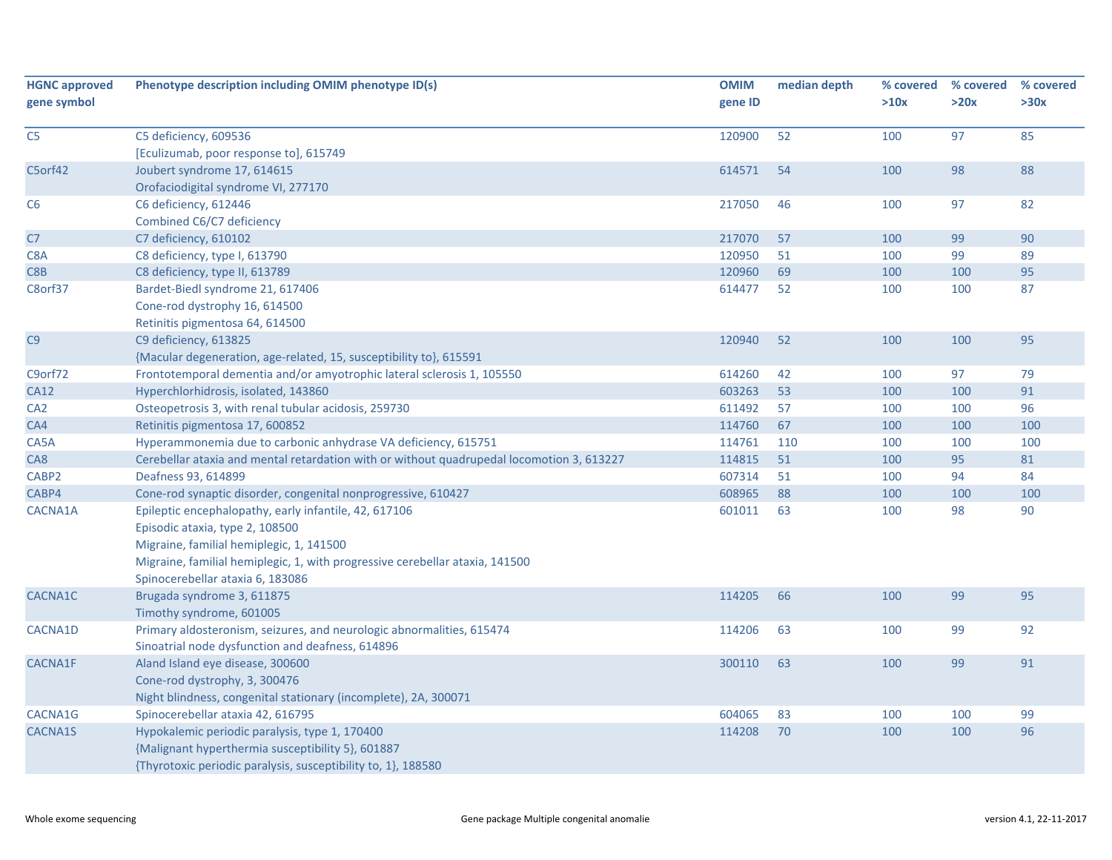| <b>HGNC approved</b><br>gene symbol | Phenotype description including OMIM phenotype ID(s)                                      | <b>OMIM</b><br>gene ID | median depth | % covered<br>>10x | % covered<br>>20x | % covered<br>>30x |
|-------------------------------------|-------------------------------------------------------------------------------------------|------------------------|--------------|-------------------|-------------------|-------------------|
| C <sub>5</sub>                      | C5 deficiency, 609536                                                                     | 120900                 | 52           | 100               | 97                | 85                |
|                                     | [Eculizumab, poor response to], 615749                                                    |                        |              |                   |                   |                   |
| C5orf42                             | Joubert syndrome 17, 614615                                                               | 614571                 | 54           | 100               | 98                | 88                |
|                                     | Orofaciodigital syndrome VI, 277170                                                       |                        |              |                   |                   |                   |
| C6                                  | C6 deficiency, 612446                                                                     | 217050                 | 46           | 100               | 97                | 82                |
|                                     | Combined C6/C7 deficiency                                                                 |                        |              |                   |                   |                   |
| C7                                  | C7 deficiency, 610102                                                                     | 217070                 | 57           | 100               | 99                | 90                |
| C8A                                 | C8 deficiency, type I, 613790                                                             | 120950                 | 51           | 100               | 99                | 89                |
| C8B                                 | C8 deficiency, type II, 613789                                                            | 120960                 | 69           | 100               | 100               | 95                |
| C8orf37                             | Bardet-Biedl syndrome 21, 617406                                                          | 614477                 | 52           | 100               | 100               | 87                |
|                                     | Cone-rod dystrophy 16, 614500                                                             |                        |              |                   |                   |                   |
|                                     | Retinitis pigmentosa 64, 614500                                                           |                        |              |                   |                   |                   |
| C9                                  | C9 deficiency, 613825                                                                     | 120940                 | 52           | 100               | 100               | 95                |
|                                     | {Macular degeneration, age-related, 15, susceptibility to}, 615591                        |                        |              |                   |                   |                   |
| C9orf72                             | Frontotemporal dementia and/or amyotrophic lateral sclerosis 1, 105550                    | 614260                 | 42           | 100               | 97                | 79                |
| <b>CA12</b>                         | Hyperchlorhidrosis, isolated, 143860                                                      | 603263                 | 53           | 100               | 100               | 91                |
| CA <sub>2</sub>                     | Osteopetrosis 3, with renal tubular acidosis, 259730                                      | 611492                 | 57           | 100               | 100               | 96                |
| CA4                                 | Retinitis pigmentosa 17, 600852                                                           | 114760                 | 67           | 100               | 100               | 100               |
| CA5A                                | Hyperammonemia due to carbonic anhydrase VA deficiency, 615751                            | 114761                 | 110          | 100               | 100               | 100               |
| CA8                                 | Cerebellar ataxia and mental retardation with or without quadrupedal locomotion 3, 613227 | 114815                 | 51           | 100               | 95                | 81                |
| CABP <sub>2</sub>                   | Deafness 93, 614899                                                                       | 607314                 | 51           | 100               | 94                | 84                |
| CABP4                               | Cone-rod synaptic disorder, congenital nonprogressive, 610427                             | 608965                 | 88           | 100               | 100               | 100               |
| CACNA1A                             | Epileptic encephalopathy, early infantile, 42, 617106                                     | 601011                 | 63           | 100               | 98                | 90                |
|                                     | Episodic ataxia, type 2, 108500                                                           |                        |              |                   |                   |                   |
|                                     | Migraine, familial hemiplegic, 1, 141500                                                  |                        |              |                   |                   |                   |
|                                     | Migraine, familial hemiplegic, 1, with progressive cerebellar ataxia, 141500              |                        |              |                   |                   |                   |
|                                     | Spinocerebellar ataxia 6, 183086                                                          |                        |              |                   |                   |                   |
| CACNA1C                             | Brugada syndrome 3, 611875                                                                | 114205                 | 66           | 100               | 99                | 95                |
|                                     | Timothy syndrome, 601005                                                                  |                        |              |                   |                   |                   |
| CACNA1D                             | Primary aldosteronism, seizures, and neurologic abnormalities, 615474                     | 114206                 | 63           | 100               | 99                | 92                |
|                                     | Sinoatrial node dysfunction and deafness, 614896                                          |                        |              |                   |                   |                   |
| <b>CACNA1F</b>                      | Aland Island eye disease, 300600                                                          | 300110                 | 63           | 100               | 99                | 91                |
|                                     | Cone-rod dystrophy, 3, 300476                                                             |                        |              |                   |                   |                   |
|                                     | Night blindness, congenital stationary (incomplete), 2A, 300071                           |                        |              |                   |                   |                   |
| CACNA1G                             | Spinocerebellar ataxia 42, 616795                                                         | 604065                 | 83           | 100               | 100               | 99                |
| CACNA1S                             | Hypokalemic periodic paralysis, type 1, 170400                                            | 114208                 | 70           | 100               | 100               | 96                |
|                                     | {Malignant hyperthermia susceptibility 5}, 601887                                         |                        |              |                   |                   |                   |
|                                     | {Thyrotoxic periodic paralysis, susceptibility to, 1}, 188580                             |                        |              |                   |                   |                   |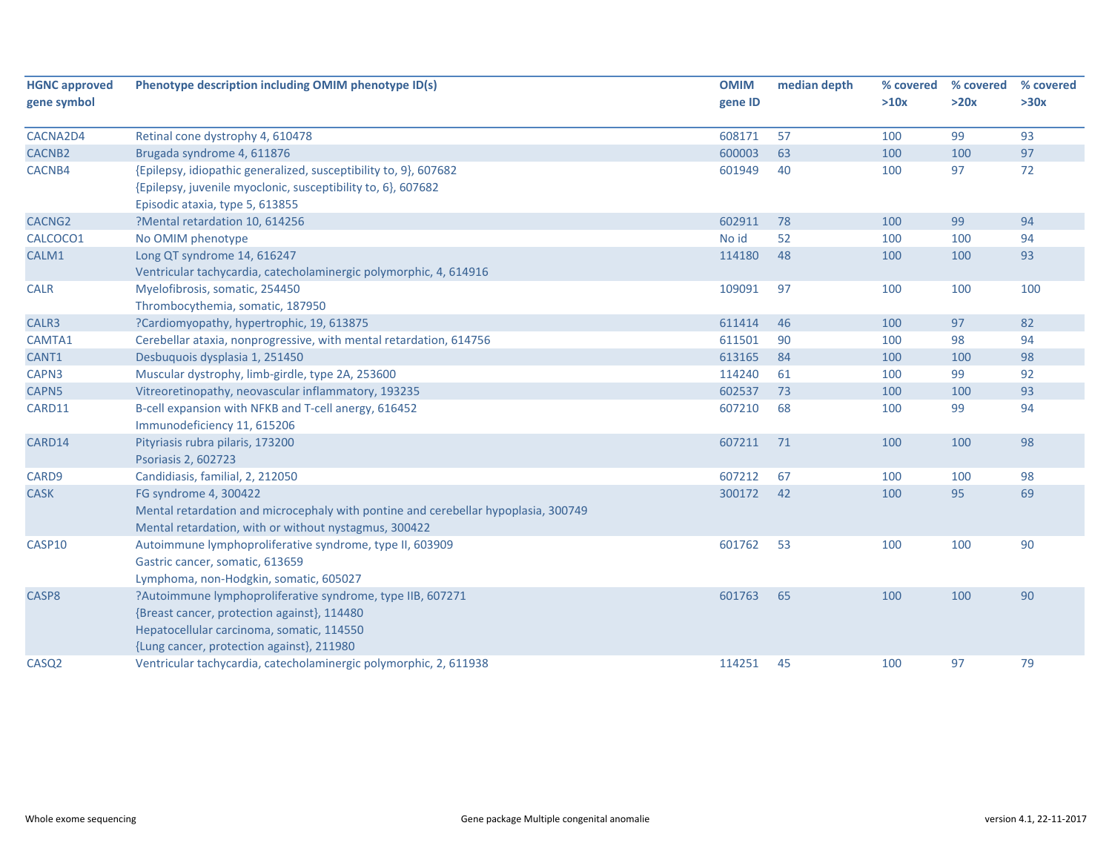| <b>HGNC approved</b> | Phenotype description including OMIM phenotype ID(s)                               | <b>OMIM</b> | median depth | % covered | % covered | % covered |
|----------------------|------------------------------------------------------------------------------------|-------------|--------------|-----------|-----------|-----------|
| gene symbol          |                                                                                    | gene ID     |              | >10x      | >20x      | >30x      |
| CACNA2D4             | Retinal cone dystrophy 4, 610478                                                   | 608171      | 57           | 100       | 99        | 93        |
| CACNB <sub>2</sub>   | Brugada syndrome 4, 611876                                                         | 600003      | 63           | 100       | 100       | 97        |
| CACNB4               | {Epilepsy, idiopathic generalized, susceptibility to, 9}, 607682                   | 601949      | 40           | 100       | 97        | 72        |
|                      | {Epilepsy, juvenile myoclonic, susceptibility to, 6}, 607682                       |             |              |           |           |           |
|                      | Episodic ataxia, type 5, 613855                                                    |             |              |           |           |           |
| CACNG <sub>2</sub>   | ?Mental retardation 10, 614256                                                     | 602911      | 78           | 100       | 99        | 94        |
| CALCOCO1             | No OMIM phenotype                                                                  | No id       | 52           | 100       | 100       | 94        |
| CALM1                | Long QT syndrome 14, 616247                                                        | 114180      | 48           | 100       | 100       | 93        |
|                      | Ventricular tachycardia, catecholaminergic polymorphic, 4, 614916                  |             |              |           |           |           |
| <b>CALR</b>          | Myelofibrosis, somatic, 254450                                                     | 109091      | 97           | 100       | 100       | 100       |
|                      | Thrombocythemia, somatic, 187950                                                   |             |              |           |           |           |
| CALR3                | ?Cardiomyopathy, hypertrophic, 19, 613875                                          | 611414      | 46           | 100       | 97        | 82        |
| CAMTA1               | Cerebellar ataxia, nonprogressive, with mental retardation, 614756                 | 611501      | 90           | 100       | 98        | 94        |
| CANT1                | Desbuquois dysplasia 1, 251450                                                     | 613165      | 84           | 100       | 100       | 98        |
| CAPN3                | Muscular dystrophy, limb-girdle, type 2A, 253600                                   | 114240      | 61           | 100       | 99        | 92        |
| CAPN5                | Vitreoretinopathy, neovascular inflammatory, 193235                                | 602537      | 73           | 100       | 100       | 93        |
| CARD11               | B-cell expansion with NFKB and T-cell anergy, 616452                               | 607210      | 68           | 100       | 99        | 94        |
|                      | Immunodeficiency 11, 615206                                                        |             |              |           |           |           |
| CARD14               | Pityriasis rubra pilaris, 173200                                                   | 607211      | 71           | 100       | 100       | 98        |
|                      | Psoriasis 2, 602723                                                                |             |              |           |           |           |
| CARD9                | Candidiasis, familial, 2, 212050                                                   | 607212      | 67           | 100       | 100       | 98        |
| <b>CASK</b>          | FG syndrome 4, 300422                                                              | 300172      | 42           | 100       | 95        | 69        |
|                      | Mental retardation and microcephaly with pontine and cerebellar hypoplasia, 300749 |             |              |           |           |           |
|                      | Mental retardation, with or without nystagmus, 300422                              |             |              |           |           |           |
| CASP10               | Autoimmune lymphoproliferative syndrome, type II, 603909                           | 601762      | 53           | 100       | 100       | 90        |
|                      | Gastric cancer, somatic, 613659                                                    |             |              |           |           |           |
|                      | Lymphoma, non-Hodgkin, somatic, 605027                                             |             |              |           |           |           |
| CASP8                | ?Autoimmune lymphoproliferative syndrome, type IIB, 607271                         | 601763      | 65           | 100       | 100       | 90        |
|                      | {Breast cancer, protection against}, 114480                                        |             |              |           |           |           |
|                      | Hepatocellular carcinoma, somatic, 114550                                          |             |              |           |           |           |
|                      | {Lung cancer, protection against}, 211980                                          |             |              |           |           |           |
| CASQ <sub>2</sub>    | Ventricular tachycardia, catecholaminergic polymorphic, 2, 611938                  | 114251      | 45           | 100       | 97        | 79        |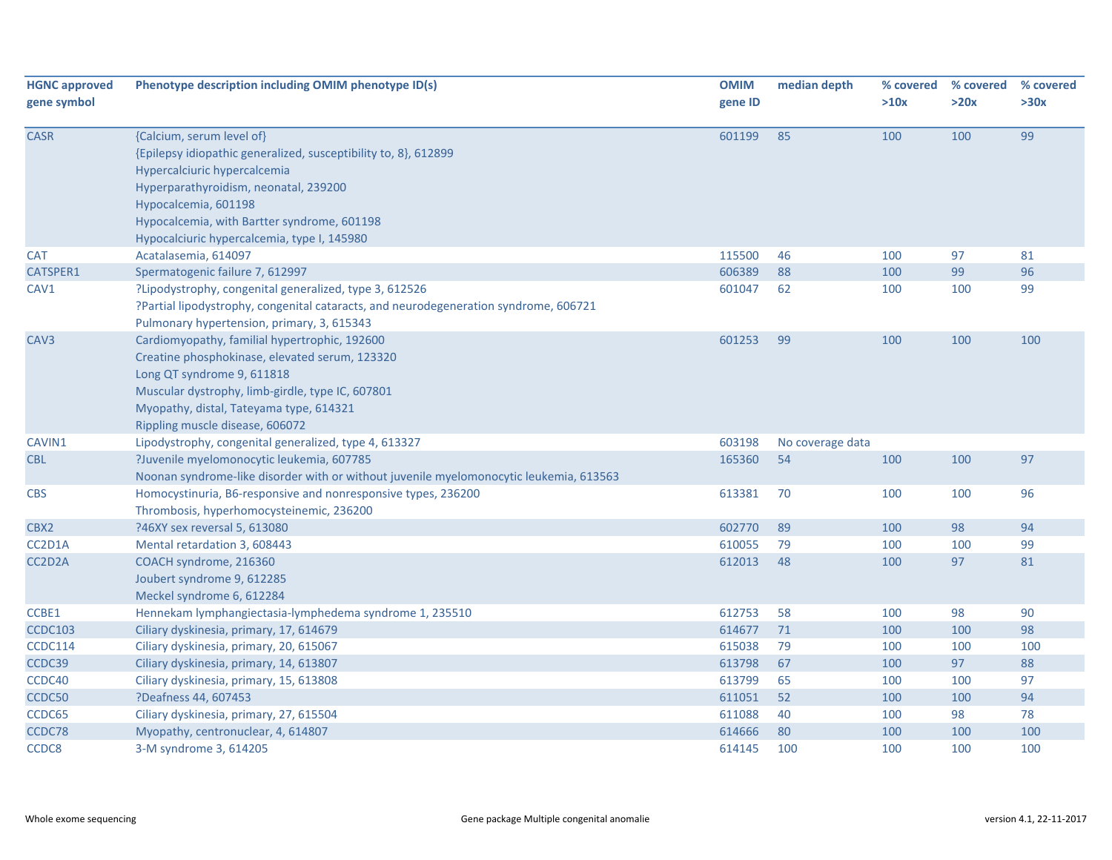| <b>HGNC approved</b><br>gene symbol | Phenotype description including OMIM phenotype ID(s)                                                                                                                                                                                                                                        | <b>OMIM</b><br>gene ID | median depth     | % covered<br>>10x | % covered<br>>20x | % covered<br>>30x |
|-------------------------------------|---------------------------------------------------------------------------------------------------------------------------------------------------------------------------------------------------------------------------------------------------------------------------------------------|------------------------|------------------|-------------------|-------------------|-------------------|
|                                     |                                                                                                                                                                                                                                                                                             |                        |                  |                   |                   |                   |
| <b>CASR</b>                         | {Calcium, serum level of}<br>{Epilepsy idiopathic generalized, susceptibility to, 8}, 612899<br>Hypercalciuric hypercalcemia<br>Hyperparathyroidism, neonatal, 239200<br>Hypocalcemia, 601198<br>Hypocalcemia, with Bartter syndrome, 601198<br>Hypocalciuric hypercalcemia, type I, 145980 | 601199                 | 85               | 100               | 100               | 99                |
| <b>CAT</b>                          |                                                                                                                                                                                                                                                                                             | 115500                 | 46               |                   | 97                | 81                |
| CATSPER1                            | Acatalasemia, 614097<br>Spermatogenic failure 7, 612997                                                                                                                                                                                                                                     | 606389                 | 88               | 100<br>100        | 99                | 96                |
| CAV1                                | ?Lipodystrophy, congenital generalized, type 3, 612526<br>?Partial lipodystrophy, congenital cataracts, and neurodegeneration syndrome, 606721<br>Pulmonary hypertension, primary, 3, 615343                                                                                                | 601047                 | 62               | 100               | 100               | 99                |
| CAV <sub>3</sub>                    | Cardiomyopathy, familial hypertrophic, 192600<br>Creatine phosphokinase, elevated serum, 123320<br>Long QT syndrome 9, 611818<br>Muscular dystrophy, limb-girdle, type IC, 607801<br>Myopathy, distal, Tateyama type, 614321<br>Rippling muscle disease, 606072                             | 601253                 | 99               | 100               | 100               | 100               |
| CAVIN1                              | Lipodystrophy, congenital generalized, type 4, 613327                                                                                                                                                                                                                                       | 603198                 | No coverage data |                   |                   |                   |
| CBL                                 | ?Juvenile myelomonocytic leukemia, 607785<br>Noonan syndrome-like disorder with or without juvenile myelomonocytic leukemia, 613563                                                                                                                                                         | 165360                 | 54               | 100               | 100               | 97                |
| <b>CBS</b>                          | Homocystinuria, B6-responsive and nonresponsive types, 236200<br>Thrombosis, hyperhomocysteinemic, 236200                                                                                                                                                                                   | 613381                 | 70               | 100               | 100               | 96                |
| CBX2                                | ?46XY sex reversal 5, 613080                                                                                                                                                                                                                                                                | 602770                 | 89               | 100               | 98                | 94                |
| CC2D1A                              | Mental retardation 3, 608443                                                                                                                                                                                                                                                                | 610055                 | 79               | 100               | 100               | 99                |
| CC2D2A                              | COACH syndrome, 216360<br>Joubert syndrome 9, 612285<br>Meckel syndrome 6, 612284                                                                                                                                                                                                           | 612013                 | 48               | 100               | 97                | 81                |
| CCBE1                               | Hennekam lymphangiectasia-lymphedema syndrome 1, 235510                                                                                                                                                                                                                                     | 612753                 | 58               | 100               | 98                | 90                |
| <b>CCDC103</b>                      | Ciliary dyskinesia, primary, 17, 614679                                                                                                                                                                                                                                                     | 614677                 | 71               | 100               | 100               | 98                |
| <b>CCDC114</b>                      | Ciliary dyskinesia, primary, 20, 615067                                                                                                                                                                                                                                                     | 615038                 | 79               | 100               | 100               | 100               |
| CCDC39                              | Ciliary dyskinesia, primary, 14, 613807                                                                                                                                                                                                                                                     | 613798                 | 67               | 100               | 97                | 88                |
| CCDC40                              | Ciliary dyskinesia, primary, 15, 613808                                                                                                                                                                                                                                                     | 613799                 | 65               | 100               | 100               | 97                |
| CCDC50                              | ?Deafness 44, 607453                                                                                                                                                                                                                                                                        | 611051                 | 52               | 100               | 100               | 94                |
| CCDC65                              | Ciliary dyskinesia, primary, 27, 615504                                                                                                                                                                                                                                                     | 611088                 | 40               | 100               | 98                | 78                |
| CCDC78                              | Myopathy, centronuclear, 4, 614807                                                                                                                                                                                                                                                          | 614666                 | 80               | 100               | 100               | 100               |
| CCDC8                               | 3-M syndrome 3, 614205                                                                                                                                                                                                                                                                      | 614145                 | 100              | 100               | 100               | 100               |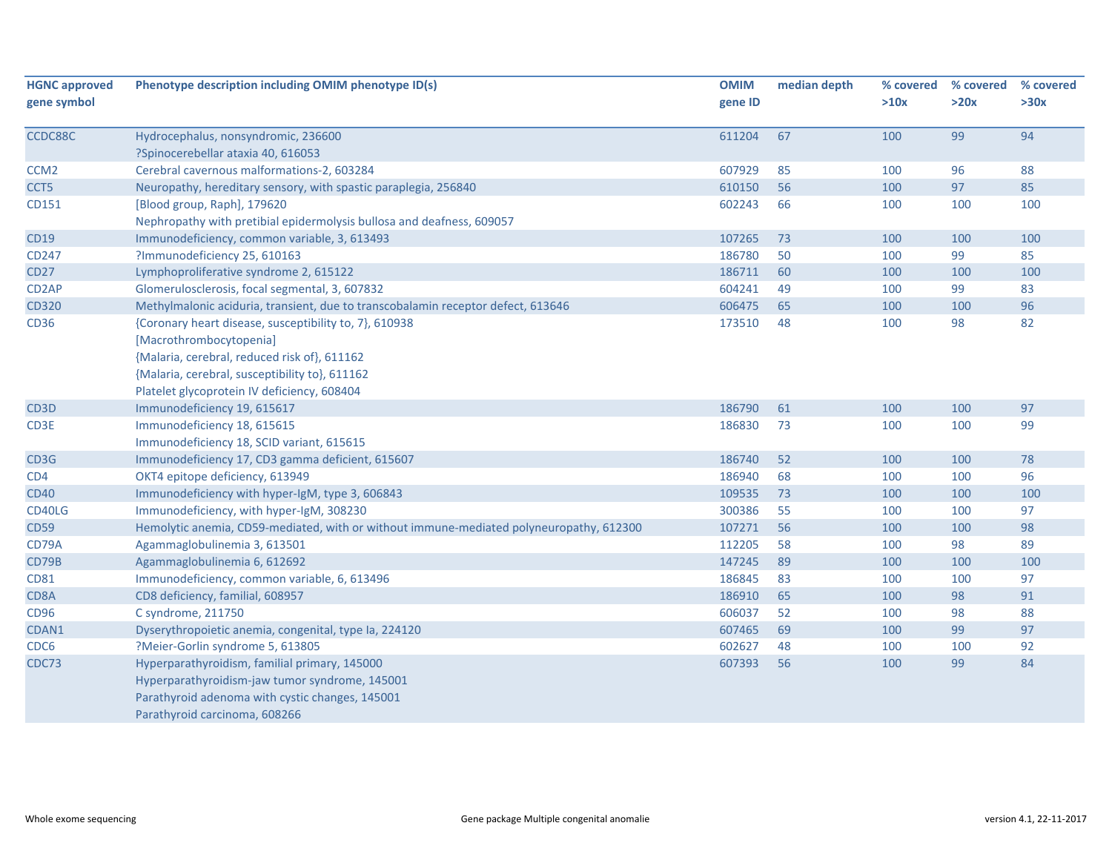| <b>HGNC approved</b> | Phenotype description including OMIM phenotype ID(s)                                    | <b>OMIM</b> | median depth | % covered | % covered | % covered |
|----------------------|-----------------------------------------------------------------------------------------|-------------|--------------|-----------|-----------|-----------|
| gene symbol          |                                                                                         | gene ID     |              | >10x      | >20x      | >30x      |
|                      |                                                                                         |             |              |           |           |           |
| CCDC88C              | Hydrocephalus, nonsyndromic, 236600                                                     | 611204      | 67           | 100       | 99        | 94        |
|                      | ?Spinocerebellar ataxia 40, 616053                                                      |             |              |           |           |           |
| CCM <sub>2</sub>     | Cerebral cavernous malformations-2, 603284                                              | 607929      | 85           | 100       | 96        | 88        |
| CCT5                 | Neuropathy, hereditary sensory, with spastic paraplegia, 256840                         | 610150      | 56           | 100       | 97        | 85        |
| CD151                | [Blood group, Raph], 179620                                                             | 602243      | 66           | 100       | 100       | 100       |
|                      | Nephropathy with pretibial epidermolysis bullosa and deafness, 609057                   |             |              |           |           |           |
| <b>CD19</b>          | Immunodeficiency, common variable, 3, 613493                                            | 107265      | 73           | 100       | 100       | 100       |
| CD247                | ?Immunodeficiency 25, 610163                                                            | 186780      | 50           | 100       | 99        | 85        |
| <b>CD27</b>          | Lymphoproliferative syndrome 2, 615122                                                  | 186711      | 60           | 100       | 100       | 100       |
| CD <sub>2</sub> AP   | Glomerulosclerosis, focal segmental, 3, 607832                                          | 604241      | 49           | 100       | 99        | 83        |
| CD320                | Methylmalonic aciduria, transient, due to transcobalamin receptor defect, 613646        | 606475      | 65           | 100       | 100       | 96        |
| CD36                 | {Coronary heart disease, susceptibility to, 7}, 610938                                  | 173510      | 48           | 100       | 98        | 82        |
|                      | [Macrothrombocytopenia]                                                                 |             |              |           |           |           |
|                      | {Malaria, cerebral, reduced risk of}, 611162                                            |             |              |           |           |           |
|                      | {Malaria, cerebral, susceptibility to}, 611162                                          |             |              |           |           |           |
|                      | Platelet glycoprotein IV deficiency, 608404                                             |             |              |           |           |           |
| CD <sub>3</sub> D    | Immunodeficiency 19, 615617                                                             | 186790      | 61           | 100       | 100       | 97        |
| CD3E                 | Immunodeficiency 18, 615615                                                             | 186830      | 73           | 100       | 100       | 99        |
|                      | Immunodeficiency 18, SCID variant, 615615                                               |             |              |           |           |           |
| CD3G                 | Immunodeficiency 17, CD3 gamma deficient, 615607                                        | 186740      | 52           | 100       | 100       | 78        |
| CD4                  | OKT4 epitope deficiency, 613949                                                         | 186940      | 68           | 100       | 100       | 96        |
| <b>CD40</b>          | Immunodeficiency with hyper-IgM, type 3, 606843                                         | 109535      | 73           | 100       | 100       | 100       |
| CD40LG               | Immunodeficiency, with hyper-IgM, 308230                                                | 300386      | 55           | 100       | 100       | 97        |
| <b>CD59</b>          | Hemolytic anemia, CD59-mediated, with or without immune-mediated polyneuropathy, 612300 | 107271      | 56           | 100       | 100       | 98        |
| CD79A                | Agammaglobulinemia 3, 613501                                                            | 112205      | 58           | 100       | 98        | 89        |
| CD79B                | Agammaglobulinemia 6, 612692                                                            | 147245      | 89           | 100       | 100       | 100       |
| <b>CD81</b>          | Immunodeficiency, common variable, 6, 613496                                            | 186845      | 83           | 100       | 100       | 97        |
| CD8A                 | CD8 deficiency, familial, 608957                                                        | 186910      | 65           | 100       | 98        | 91        |
| CD96                 | C syndrome, 211750                                                                      | 606037      | 52           | 100       | 98        | 88        |
| CDAN1                | Dyserythropoietic anemia, congenital, type Ia, 224120                                   | 607465      | 69           | 100       | 99        | 97        |
| CDC <sub>6</sub>     | ?Meier-Gorlin syndrome 5, 613805                                                        | 602627      | 48           | 100       | 100       | 92        |
| CDC73                | Hyperparathyroidism, familial primary, 145000                                           | 607393      | 56           | 100       | 99        | 84        |
|                      | Hyperparathyroidism-jaw tumor syndrome, 145001                                          |             |              |           |           |           |
|                      | Parathyroid adenoma with cystic changes, 145001                                         |             |              |           |           |           |
|                      | Parathyroid carcinoma, 608266                                                           |             |              |           |           |           |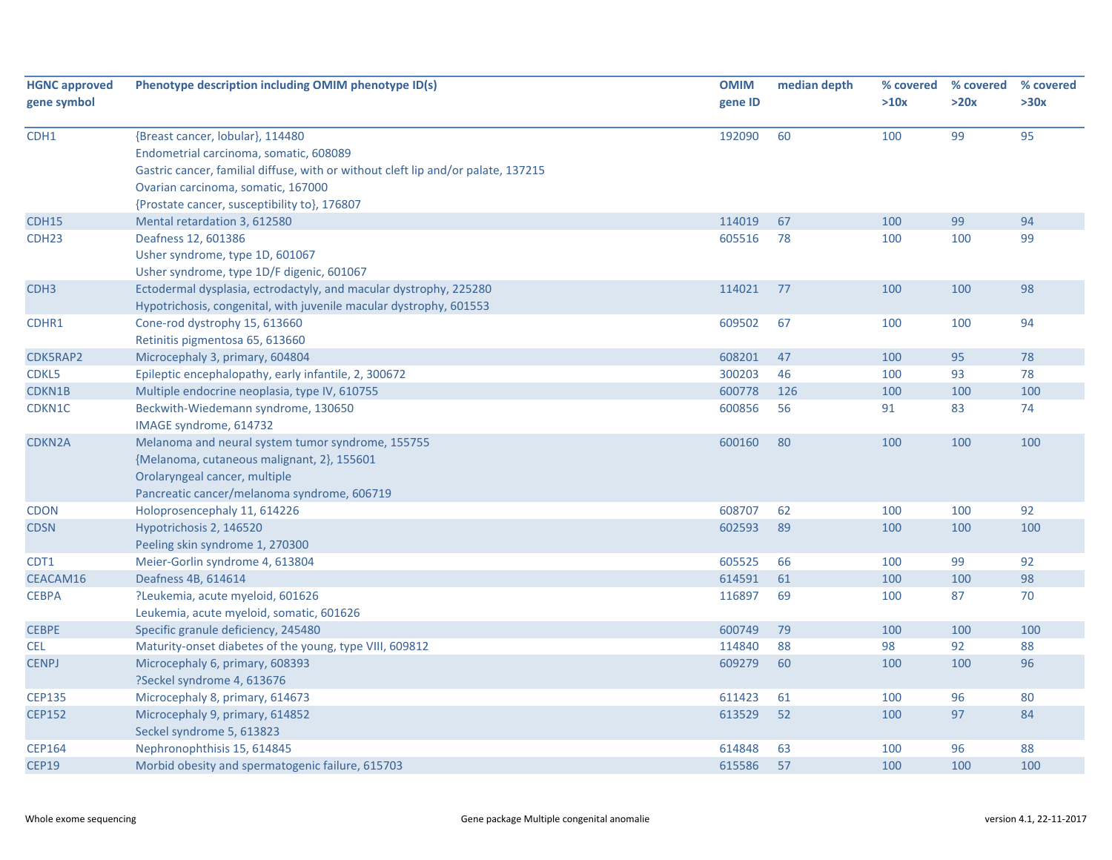| <b>HGNC approved</b><br>gene symbol | Phenotype description including OMIM phenotype ID(s)                                                                                                                                                                                                  | <b>OMIM</b><br>gene ID | median depth | % covered<br>>10x | % covered<br>>20x | % covered<br>>30x |
|-------------------------------------|-------------------------------------------------------------------------------------------------------------------------------------------------------------------------------------------------------------------------------------------------------|------------------------|--------------|-------------------|-------------------|-------------------|
| CDH1                                | {Breast cancer, lobular}, 114480<br>Endometrial carcinoma, somatic, 608089<br>Gastric cancer, familial diffuse, with or without cleft lip and/or palate, 137215<br>Ovarian carcinoma, somatic, 167000<br>{Prostate cancer, susceptibility to}, 176807 | 192090                 | 60           | 100               | 99                | 95                |
| CDH15                               | Mental retardation 3, 612580                                                                                                                                                                                                                          | 114019                 | 67           | 100               | 99                | 94                |
| CDH <sub>23</sub>                   | Deafness 12, 601386<br>Usher syndrome, type 1D, 601067<br>Usher syndrome, type 1D/F digenic, 601067                                                                                                                                                   | 605516                 | 78           | 100               | 100               | 99                |
| CDH <sub>3</sub>                    | Ectodermal dysplasia, ectrodactyly, and macular dystrophy, 225280<br>Hypotrichosis, congenital, with juvenile macular dystrophy, 601553                                                                                                               | 114021                 | 77           | 100               | 100               | 98                |
| CDHR1                               | Cone-rod dystrophy 15, 613660<br>Retinitis pigmentosa 65, 613660                                                                                                                                                                                      | 609502                 | 67           | 100               | 100               | 94                |
| CDK5RAP2                            | Microcephaly 3, primary, 604804                                                                                                                                                                                                                       | 608201                 | 47           | 100               | 95                | 78                |
| CDKL5                               | Epileptic encephalopathy, early infantile, 2, 300672                                                                                                                                                                                                  | 300203                 | 46           | 100               | 93                | 78                |
| CDKN1B                              | Multiple endocrine neoplasia, type IV, 610755                                                                                                                                                                                                         | 600778                 | 126          | 100               | 100               | 100               |
| CDKN1C                              | Beckwith-Wiedemann syndrome, 130650<br>IMAGE syndrome, 614732                                                                                                                                                                                         | 600856                 | 56           | 91                | 83                | 74                |
| CDKN2A                              | Melanoma and neural system tumor syndrome, 155755<br>{Melanoma, cutaneous malignant, 2}, 155601<br>Orolaryngeal cancer, multiple<br>Pancreatic cancer/melanoma syndrome, 606719                                                                       | 600160                 | 80           | 100               | 100               | 100               |
| <b>CDON</b>                         | Holoprosencephaly 11, 614226                                                                                                                                                                                                                          | 608707                 | 62           | 100               | 100               | 92                |
| <b>CDSN</b>                         | Hypotrichosis 2, 146520<br>Peeling skin syndrome 1, 270300                                                                                                                                                                                            | 602593                 | 89           | 100               | 100               | 100               |
| CDT1                                | Meier-Gorlin syndrome 4, 613804                                                                                                                                                                                                                       | 605525                 | 66           | 100               | 99                | 92                |
| CEACAM16                            | Deafness 4B, 614614                                                                                                                                                                                                                                   | 614591                 | 61           | 100               | 100               | 98                |
| <b>CEBPA</b>                        | ?Leukemia, acute myeloid, 601626<br>Leukemia, acute myeloid, somatic, 601626                                                                                                                                                                          | 116897                 | 69           | 100               | 87                | 70                |
| <b>CEBPE</b>                        | Specific granule deficiency, 245480                                                                                                                                                                                                                   | 600749                 | 79           | 100               | 100               | 100               |
| <b>CEL</b>                          | Maturity-onset diabetes of the young, type VIII, 609812                                                                                                                                                                                               | 114840                 | 88           | 98                | 92                | 88                |
| <b>CENPJ</b>                        | Microcephaly 6, primary, 608393<br>?Seckel syndrome 4, 613676                                                                                                                                                                                         | 609279                 | 60           | 100               | 100               | 96                |
| <b>CEP135</b>                       | Microcephaly 8, primary, 614673                                                                                                                                                                                                                       | 611423                 | 61           | 100               | 96                | 80                |
| <b>CEP152</b>                       | Microcephaly 9, primary, 614852<br>Seckel syndrome 5, 613823                                                                                                                                                                                          | 613529                 | 52           | 100               | 97                | 84                |
| <b>CEP164</b>                       | Nephronophthisis 15, 614845                                                                                                                                                                                                                           | 614848                 | 63           | 100               | 96                | 88                |
| <b>CEP19</b>                        | Morbid obesity and spermatogenic failure, 615703                                                                                                                                                                                                      | 615586                 | 57           | 100               | 100               | 100               |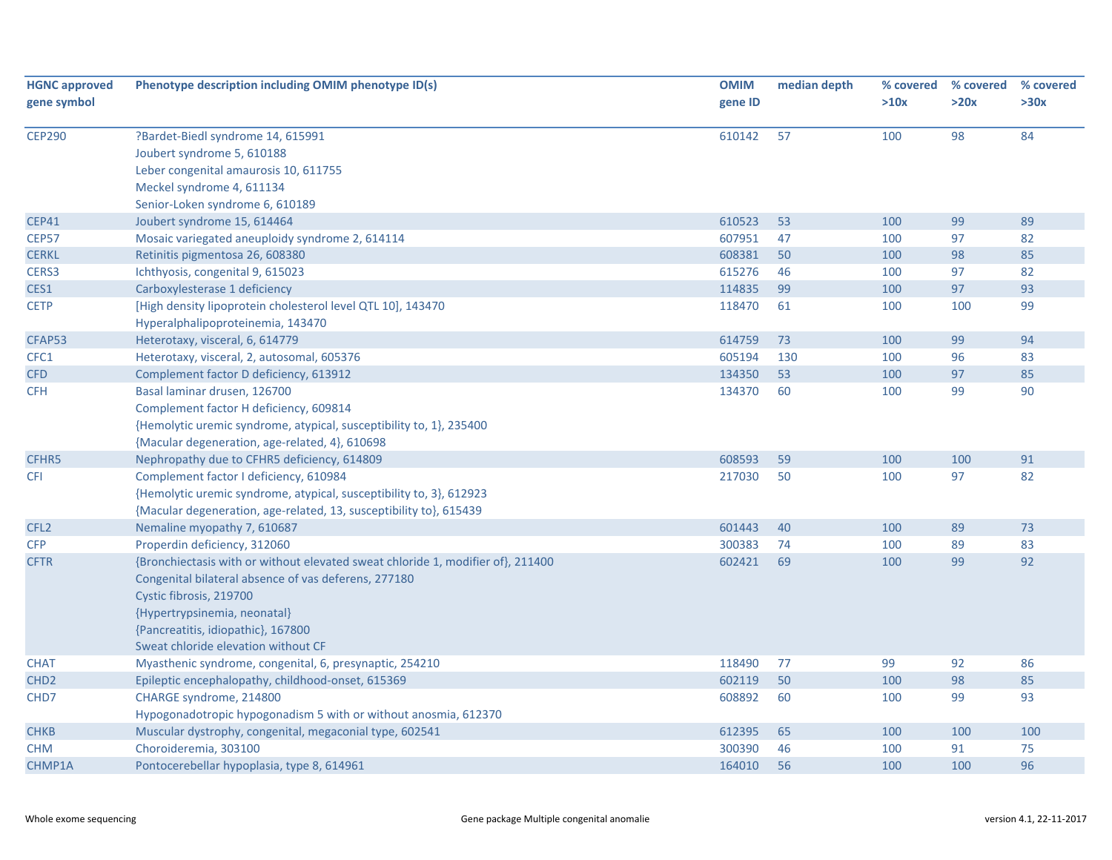| <b>HGNC approved</b> | Phenotype description including OMIM phenotype ID(s)                            | <b>OMIM</b> | median depth | % covered | % covered | % covered |
|----------------------|---------------------------------------------------------------------------------|-------------|--------------|-----------|-----------|-----------|
| gene symbol          |                                                                                 | gene ID     |              | >10x      | >20x      | >30x      |
| <b>CEP290</b>        | ?Bardet-Biedl syndrome 14, 615991                                               | 610142      | 57           | 100       | 98        | 84        |
|                      | Joubert syndrome 5, 610188                                                      |             |              |           |           |           |
|                      | Leber congenital amaurosis 10, 611755                                           |             |              |           |           |           |
|                      | Meckel syndrome 4, 611134                                                       |             |              |           |           |           |
|                      | Senior-Loken syndrome 6, 610189                                                 |             |              |           |           |           |
| <b>CEP41</b>         | Joubert syndrome 15, 614464                                                     | 610523      | 53           | 100       | 99        | 89        |
| <b>CEP57</b>         | Mosaic variegated aneuploidy syndrome 2, 614114                                 | 607951      | 47           | 100       | 97        | 82        |
| <b>CERKL</b>         | Retinitis pigmentosa 26, 608380                                                 | 608381      | 50           | 100       | 98        | 85        |
| CERS3                | Ichthyosis, congenital 9, 615023                                                | 615276      | 46           | 100       | 97        | 82        |
| CES1                 | Carboxylesterase 1 deficiency                                                   | 114835      | 99           | 100       | 97        | 93        |
| <b>CETP</b>          | [High density lipoprotein cholesterol level QTL 10], 143470                     | 118470      | 61           | 100       | 100       | 99        |
|                      | Hyperalphalipoproteinemia, 143470                                               |             |              |           |           |           |
| CFAP53               | Heterotaxy, visceral, 6, 614779                                                 | 614759      | 73           | 100       | 99        | 94        |
| CFC1                 | Heterotaxy, visceral, 2, autosomal, 605376                                      | 605194      | 130          | 100       | 96        | 83        |
| <b>CFD</b>           | Complement factor D deficiency, 613912                                          | 134350      | 53           | 100       | 97        | 85        |
| <b>CFH</b>           | Basal laminar drusen, 126700                                                    | 134370      | 60           | 100       | 99        | 90        |
|                      | Complement factor H deficiency, 609814                                          |             |              |           |           |           |
|                      | {Hemolytic uremic syndrome, atypical, susceptibility to, 1}, 235400             |             |              |           |           |           |
|                      | {Macular degeneration, age-related, 4}, 610698                                  |             |              |           |           |           |
| CFHR5                | Nephropathy due to CFHR5 deficiency, 614809                                     | 608593      | 59           | 100       | 100       | 91        |
| <b>CFI</b>           | Complement factor I deficiency, 610984                                          | 217030      | 50           | 100       | 97        | 82        |
|                      | {Hemolytic uremic syndrome, atypical, susceptibility to, 3}, 612923             |             |              |           |           |           |
|                      | {Macular degeneration, age-related, 13, susceptibility to}, 615439              |             |              |           |           |           |
| CFL <sub>2</sub>     | Nemaline myopathy 7, 610687                                                     | 601443      | 40           | 100       | 89        | 73        |
| <b>CFP</b>           | Properdin deficiency, 312060                                                    | 300383      | 74           | 100       | 89        | 83        |
| <b>CFTR</b>          | {Bronchiectasis with or without elevated sweat chloride 1, modifier of}, 211400 | 602421      | 69           | 100       | 99        | 92        |
|                      | Congenital bilateral absence of vas deferens, 277180                            |             |              |           |           |           |
|                      | Cystic fibrosis, 219700                                                         |             |              |           |           |           |
|                      | {Hypertrypsinemia, neonatal}                                                    |             |              |           |           |           |
|                      | {Pancreatitis, idiopathic}, 167800                                              |             |              |           |           |           |
|                      | Sweat chloride elevation without CF                                             |             |              |           |           |           |
| <b>CHAT</b>          | Myasthenic syndrome, congenital, 6, presynaptic, 254210                         | 118490      | 77           | 99        | 92        | 86        |
| CHD <sub>2</sub>     | Epileptic encephalopathy, childhood-onset, 615369                               | 602119      | 50           | 100       | 98        | 85        |
| CHD7                 | CHARGE syndrome, 214800                                                         | 608892      | 60           | 100       | 99        | 93        |
|                      | Hypogonadotropic hypogonadism 5 with or without anosmia, 612370                 |             |              |           |           |           |
| <b>CHKB</b>          | Muscular dystrophy, congenital, megaconial type, 602541                         | 612395      | 65           | 100       | 100       | 100       |
| <b>CHM</b>           | Choroideremia, 303100                                                           | 300390      | 46           | 100       | 91        | 75        |
| CHMP1A               | Pontocerebellar hypoplasia, type 8, 614961                                      | 164010      | 56           | 100       | 100       | 96        |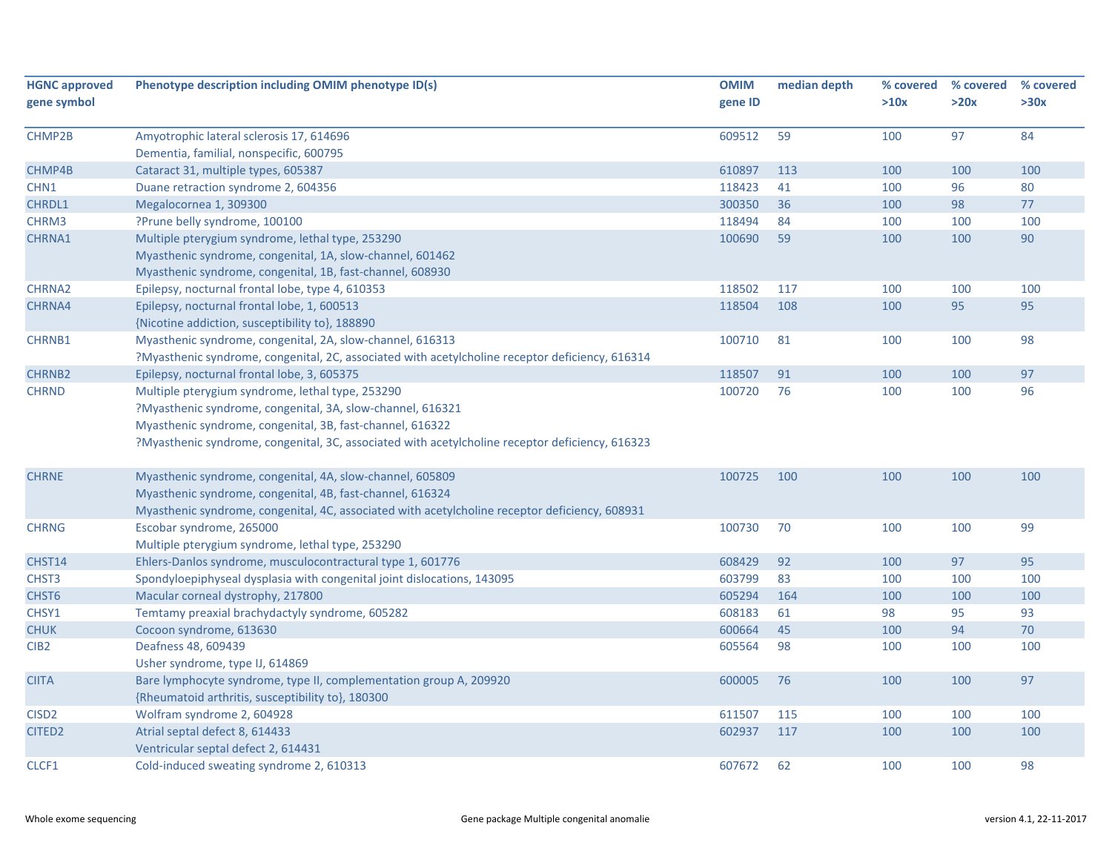| <b>HGNC approved</b> | Phenotype description including OMIM phenotype ID(s)                                            | <b>OMIM</b> | median depth | % covered | % covered | % covered |
|----------------------|-------------------------------------------------------------------------------------------------|-------------|--------------|-----------|-----------|-----------|
| gene symbol          |                                                                                                 | gene ID     |              | >10x      | >20x      | >30x      |
|                      |                                                                                                 |             |              |           |           |           |
| CHMP2B               | Amyotrophic lateral sclerosis 17, 614696                                                        | 609512      | 59           | 100       | 97        | 84        |
|                      | Dementia, familial, nonspecific, 600795                                                         |             |              |           |           |           |
| CHMP4B               | Cataract 31, multiple types, 605387                                                             | 610897      | 113          | 100       | 100       | 100       |
| CHN1                 | Duane retraction syndrome 2, 604356                                                             | 118423      | 41           | 100       | 96        | 80        |
| <b>CHRDL1</b>        | Megalocornea 1, 309300                                                                          | 300350      | 36           | 100       | 98        | 77        |
| CHRM3                | ?Prune belly syndrome, 100100                                                                   | 118494      | 84           | 100       | 100       | 100       |
| CHRNA1               | Multiple pterygium syndrome, lethal type, 253290                                                | 100690      | 59           | 100       | 100       | 90        |
|                      | Myasthenic syndrome, congenital, 1A, slow-channel, 601462                                       |             |              |           |           |           |
|                      | Myasthenic syndrome, congenital, 1B, fast-channel, 608930                                       |             |              |           |           |           |
| <b>CHRNA2</b>        | Epilepsy, nocturnal frontal lobe, type 4, 610353                                                | 118502      | 117          | 100       | 100       | 100       |
| CHRNA4               | Epilepsy, nocturnal frontal lobe, 1, 600513                                                     | 118504      | 108          | 100       | 95        | 95        |
|                      | {Nicotine addiction, susceptibility to}, 188890                                                 |             |              |           |           |           |
| CHRNB1               | Myasthenic syndrome, congenital, 2A, slow-channel, 616313                                       | 100710      | 81           | 100       | 100       | 98        |
|                      | ?Myasthenic syndrome, congenital, 2C, associated with acetylcholine receptor deficiency, 616314 |             |              |           |           |           |
| <b>CHRNB2</b>        | Epilepsy, nocturnal frontal lobe, 3, 605375                                                     | 118507      | 91           | 100       | 100       | 97        |
| <b>CHRND</b>         | Multiple pterygium syndrome, lethal type, 253290                                                | 100720      | 76           | 100       | 100       | 96        |
|                      | ?Myasthenic syndrome, congenital, 3A, slow-channel, 616321                                      |             |              |           |           |           |
|                      | Myasthenic syndrome, congenital, 3B, fast-channel, 616322                                       |             |              |           |           |           |
|                      | ?Myasthenic syndrome, congenital, 3C, associated with acetylcholine receptor deficiency, 616323 |             |              |           |           |           |
|                      |                                                                                                 |             |              |           |           |           |
| <b>CHRNE</b>         | Myasthenic syndrome, congenital, 4A, slow-channel, 605809                                       | 100725      | 100          | 100       | 100       | 100       |
|                      | Myasthenic syndrome, congenital, 4B, fast-channel, 616324                                       |             |              |           |           |           |
|                      | Myasthenic syndrome, congenital, 4C, associated with acetylcholine receptor deficiency, 608931  |             |              |           |           |           |
| <b>CHRNG</b>         | Escobar syndrome, 265000                                                                        | 100730      | 70           | 100       | 100       | 99        |
|                      | Multiple pterygium syndrome, lethal type, 253290                                                |             |              |           |           |           |
| CHST14               | Ehlers-Danlos syndrome, musculocontractural type 1, 601776                                      | 608429      | 92           | 100       | 97        | 95        |
| CHST <sub>3</sub>    | Spondyloepiphyseal dysplasia with congenital joint dislocations, 143095                         | 603799      | 83           | 100       | 100       | 100       |
| CHST <sub>6</sub>    | Macular corneal dystrophy, 217800                                                               | 605294      | 164          | 100       | 100       | 100       |
| CHSY1                | Temtamy preaxial brachydactyly syndrome, 605282                                                 | 608183      | 61           | 98        | 95        | 93        |
| <b>CHUK</b>          | Cocoon syndrome, 613630                                                                         | 600664      | 45           | 100       | 94        | 70        |
| CIB <sub>2</sub>     | Deafness 48, 609439                                                                             | 605564      | 98           | 100       | 100       | 100       |
|                      | Usher syndrome, type IJ, 614869                                                                 |             |              |           |           |           |
| <b>CIITA</b>         | Bare lymphocyte syndrome, type II, complementation group A, 209920                              | 600005      | 76           | 100       | 100       | 97        |
|                      | {Rheumatoid arthritis, susceptibility to}, 180300                                               |             |              |           |           |           |
| CISD <sub>2</sub>    | Wolfram syndrome 2, 604928                                                                      | 611507      | 115          | 100       | 100       | 100       |
| CITED <sub>2</sub>   | Atrial septal defect 8, 614433                                                                  | 602937      | 117          | 100       | 100       | 100       |
|                      | Ventricular septal defect 2, 614431                                                             |             |              |           |           |           |
| CLCF1                | Cold-induced sweating syndrome 2, 610313                                                        | 607672      | 62           | 100       | 100       | 98        |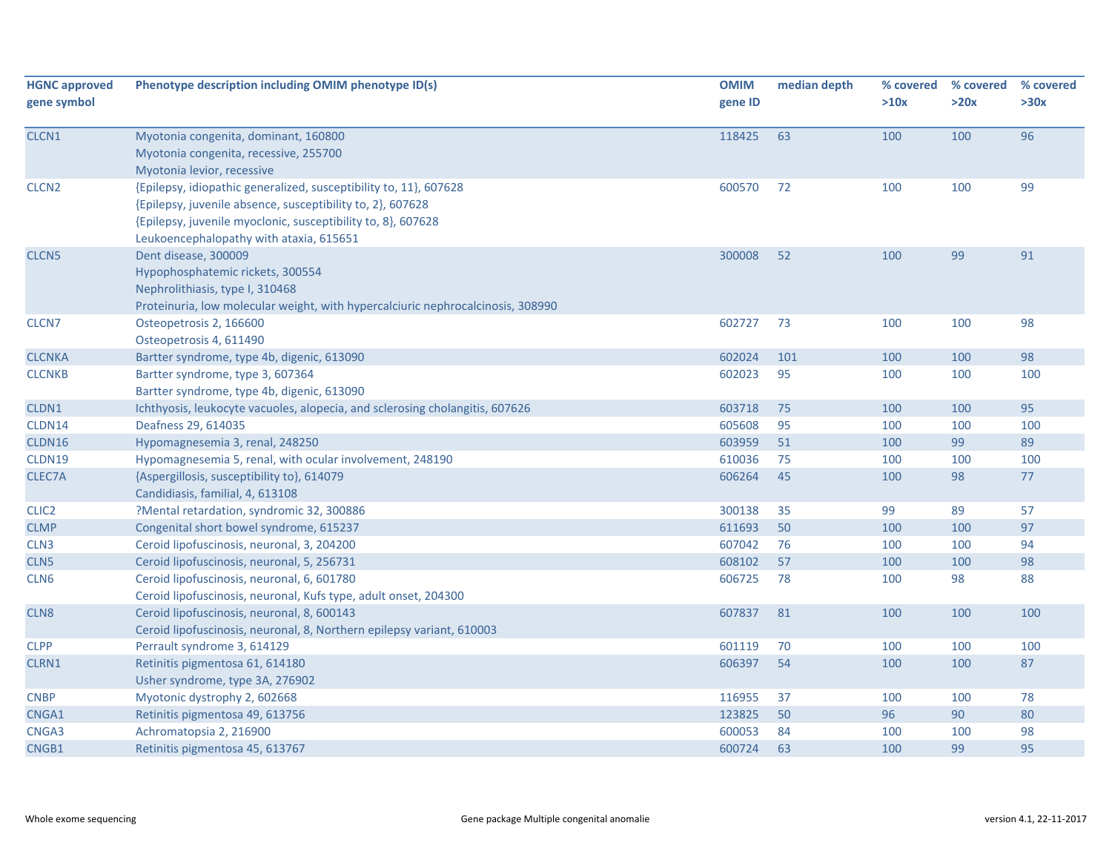| <b>HGNC approved</b><br>gene symbol | Phenotype description including OMIM phenotype ID(s)                                                                                                                                                                                       | <b>OMIM</b><br>gene ID | median depth | % covered<br>>10x | % covered<br>>20x | % covered<br>>30x |
|-------------------------------------|--------------------------------------------------------------------------------------------------------------------------------------------------------------------------------------------------------------------------------------------|------------------------|--------------|-------------------|-------------------|-------------------|
| CLCN1                               | Myotonia congenita, dominant, 160800<br>Myotonia congenita, recessive, 255700<br>Myotonia levior, recessive                                                                                                                                | 118425                 | 63           | 100               | 100               | 96                |
| CLCN <sub>2</sub>                   | {Epilepsy, idiopathic generalized, susceptibility to, 11}, 607628<br>{Epilepsy, juvenile absence, susceptibility to, 2}, 607628<br>{Epilepsy, juvenile myoclonic, susceptibility to, 8}, 607628<br>Leukoencephalopathy with ataxia, 615651 | 600570                 | 72           | 100               | 100               | 99                |
| CLCN <sub>5</sub>                   | Dent disease, 300009<br>Hypophosphatemic rickets, 300554<br>Nephrolithiasis, type I, 310468<br>Proteinuria, low molecular weight, with hypercalciuric nephrocalcinosis, 308990                                                             | 300008                 | 52           | 100               | 99                | 91                |
| CLCN7                               | Osteopetrosis 2, 166600<br>Osteopetrosis 4, 611490                                                                                                                                                                                         | 602727                 | 73           | 100               | 100               | 98                |
| <b>CLCNKA</b>                       | Bartter syndrome, type 4b, digenic, 613090                                                                                                                                                                                                 | 602024                 | 101          | 100               | 100               | 98                |
| <b>CLCNKB</b>                       | Bartter syndrome, type 3, 607364<br>Bartter syndrome, type 4b, digenic, 613090                                                                                                                                                             | 602023                 | 95           | 100               | 100               | 100               |
| CLDN1                               | Ichthyosis, leukocyte vacuoles, alopecia, and sclerosing cholangitis, 607626                                                                                                                                                               | 603718                 | 75           | 100               | 100               | 95                |
| CLDN14                              | Deafness 29, 614035                                                                                                                                                                                                                        | 605608                 | 95           | 100               | 100               | 100               |
| CLDN16                              | Hypomagnesemia 3, renal, 248250                                                                                                                                                                                                            | 603959                 | 51           | 100               | 99                | 89                |
| CLDN19                              | Hypomagnesemia 5, renal, with ocular involvement, 248190                                                                                                                                                                                   | 610036                 | 75           | 100               | 100               | 100               |
| CLEC7A                              | {Aspergillosis, susceptibility to}, 614079<br>Candidiasis, familial, 4, 613108                                                                                                                                                             | 606264                 | 45           | 100               | 98                | $77$              |
| CLIC <sub>2</sub>                   | ?Mental retardation, syndromic 32, 300886                                                                                                                                                                                                  | 300138                 | 35           | 99                | 89                | 57                |
| <b>CLMP</b>                         | Congenital short bowel syndrome, 615237                                                                                                                                                                                                    | 611693                 | 50           | 100               | 100               | 97                |
| CLN <sub>3</sub>                    | Ceroid lipofuscinosis, neuronal, 3, 204200                                                                                                                                                                                                 | 607042                 | 76           | 100               | 100               | 94                |
| CLN5                                | Ceroid lipofuscinosis, neuronal, 5, 256731                                                                                                                                                                                                 | 608102                 | 57           | 100               | 100               | 98                |
| CLN <sub>6</sub>                    | Ceroid lipofuscinosis, neuronal, 6, 601780<br>Ceroid lipofuscinosis, neuronal, Kufs type, adult onset, 204300                                                                                                                              | 606725                 | 78           | 100               | 98                | 88                |
| CLN <sub>8</sub>                    | Ceroid lipofuscinosis, neuronal, 8, 600143<br>Ceroid lipofuscinosis, neuronal, 8, Northern epilepsy variant, 610003                                                                                                                        | 607837                 | 81           | 100               | 100               | 100               |
| <b>CLPP</b>                         | Perrault syndrome 3, 614129                                                                                                                                                                                                                | 601119                 | 70           | 100               | 100               | 100               |
| CLRN1                               | Retinitis pigmentosa 61, 614180<br>Usher syndrome, type 3A, 276902                                                                                                                                                                         | 606397                 | 54           | 100               | 100               | 87                |
| <b>CNBP</b>                         | Myotonic dystrophy 2, 602668                                                                                                                                                                                                               | 116955                 | 37           | 100               | 100               | 78                |
| CNGA1                               | Retinitis pigmentosa 49, 613756                                                                                                                                                                                                            | 123825                 | 50           | 96                | 90                | 80                |
| CNGA3                               | Achromatopsia 2, 216900                                                                                                                                                                                                                    | 600053                 | 84           | 100               | 100               | 98                |
| CNGB1                               | Retinitis pigmentosa 45, 613767                                                                                                                                                                                                            | 600724                 | 63           | 100               | 99                | 95                |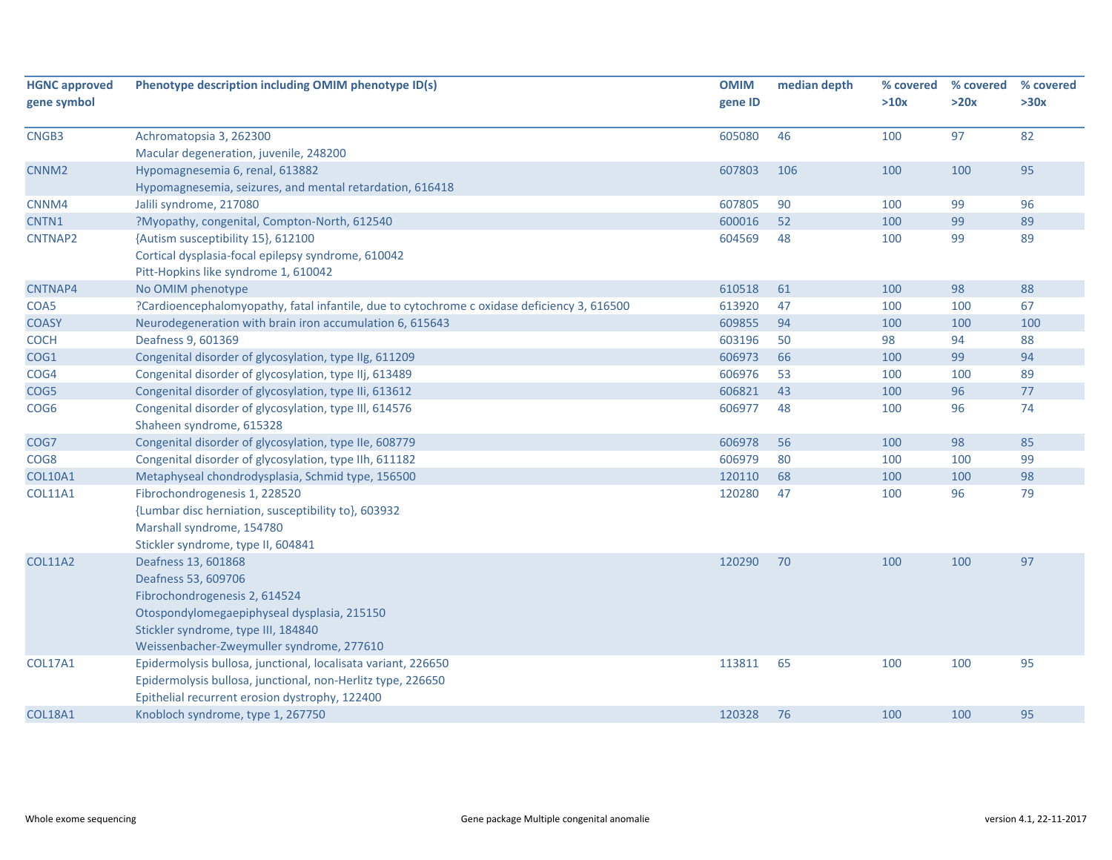| <b>HGNC approved</b> | Phenotype description including OMIM phenotype ID(s)                                        | <b>OMIM</b> | median depth | % covered | % covered | % covered |
|----------------------|---------------------------------------------------------------------------------------------|-------------|--------------|-----------|-----------|-----------|
| gene symbol          |                                                                                             | gene ID     |              | >10x      | >20x      | >30x      |
|                      |                                                                                             |             |              |           |           |           |
| CNGB3                | Achromatopsia 3, 262300                                                                     | 605080      | 46           | 100       | 97        | 82        |
| CNNM <sub>2</sub>    | Macular degeneration, juvenile, 248200                                                      | 607803      | 106          | 100       | 100       | 95        |
|                      | Hypomagnesemia 6, renal, 613882                                                             |             |              |           |           |           |
| CNNM4                | Hypomagnesemia, seizures, and mental retardation, 616418<br>Jalili syndrome, 217080         | 607805      | 90           | 100       | 99        | 96        |
| CNTN1                | ?Myopathy, congenital, Compton-North, 612540                                                | 600016      | 52           | 100       | 99        | 89        |
| <b>CNTNAP2</b>       | {Autism susceptibility 15}, 612100                                                          | 604569      | 48           | 100       | 99        | 89        |
|                      | Cortical dysplasia-focal epilepsy syndrome, 610042                                          |             |              |           |           |           |
|                      | Pitt-Hopkins like syndrome 1, 610042                                                        |             |              |           |           |           |
| CNTNAP4              | No OMIM phenotype                                                                           | 610518      | 61           | 100       | 98        | 88        |
| COA5                 | ?Cardioencephalomyopathy, fatal infantile, due to cytochrome c oxidase deficiency 3, 616500 | 613920      | 47           | 100       | 100       | 67        |
| <b>COASY</b>         | Neurodegeneration with brain iron accumulation 6, 615643                                    | 609855      | 94           | 100       | 100       | 100       |
| COCH                 | Deafness 9, 601369                                                                          | 603196      | 50           | 98        | 94        | 88        |
| COG1                 | Congenital disorder of glycosylation, type IIg, 611209                                      | 606973      | 66           | 100       | 99        | 94        |
| COG4                 | Congenital disorder of glycosylation, type IIj, 613489                                      | 606976      | 53           | 100       | 100       | 89        |
| COG5                 | Congenital disorder of glycosylation, type IIi, 613612                                      | 606821      | 43           | 100       | 96        | 77        |
| COG <sub>6</sub>     | Congenital disorder of glycosylation, type III, 614576                                      | 606977      | 48           | 100       | 96        | 74        |
|                      | Shaheen syndrome, 615328                                                                    |             |              |           |           |           |
| COG7                 | Congenital disorder of glycosylation, type IIe, 608779                                      | 606978      | 56           | 100       | 98        | 85        |
| COG8                 | Congenital disorder of glycosylation, type IIh, 611182                                      | 606979      | 80           | 100       | 100       | 99        |
| <b>COL10A1</b>       | Metaphyseal chondrodysplasia, Schmid type, 156500                                           | 120110      | 68           | 100       | 100       | 98        |
| <b>COL11A1</b>       | Fibrochondrogenesis 1, 228520                                                               | 120280      | 47           | 100       | 96        | 79        |
|                      | {Lumbar disc herniation, susceptibility to}, 603932                                         |             |              |           |           |           |
|                      | Marshall syndrome, 154780                                                                   |             |              |           |           |           |
|                      | Stickler syndrome, type II, 604841                                                          |             |              |           |           |           |
| <b>COL11A2</b>       | Deafness 13, 601868                                                                         | 120290      | 70           | 100       | 100       | 97        |
|                      | Deafness 53, 609706                                                                         |             |              |           |           |           |
|                      | Fibrochondrogenesis 2, 614524                                                               |             |              |           |           |           |
|                      | Otospondylomegaepiphyseal dysplasia, 215150                                                 |             |              |           |           |           |
|                      | Stickler syndrome, type III, 184840                                                         |             |              |           |           |           |
|                      | Weissenbacher-Zweymuller syndrome, 277610                                                   |             |              |           |           |           |
| <b>COL17A1</b>       | Epidermolysis bullosa, junctional, localisata variant, 226650                               | 113811      | 65           | 100       | 100       | 95        |
|                      | Epidermolysis bullosa, junctional, non-Herlitz type, 226650                                 |             |              |           |           |           |
|                      | Epithelial recurrent erosion dystrophy, 122400                                              |             |              |           |           |           |
| <b>COL18A1</b>       | Knobloch syndrome, type 1, 267750                                                           | 120328      | 76           | 100       | 100       | 95        |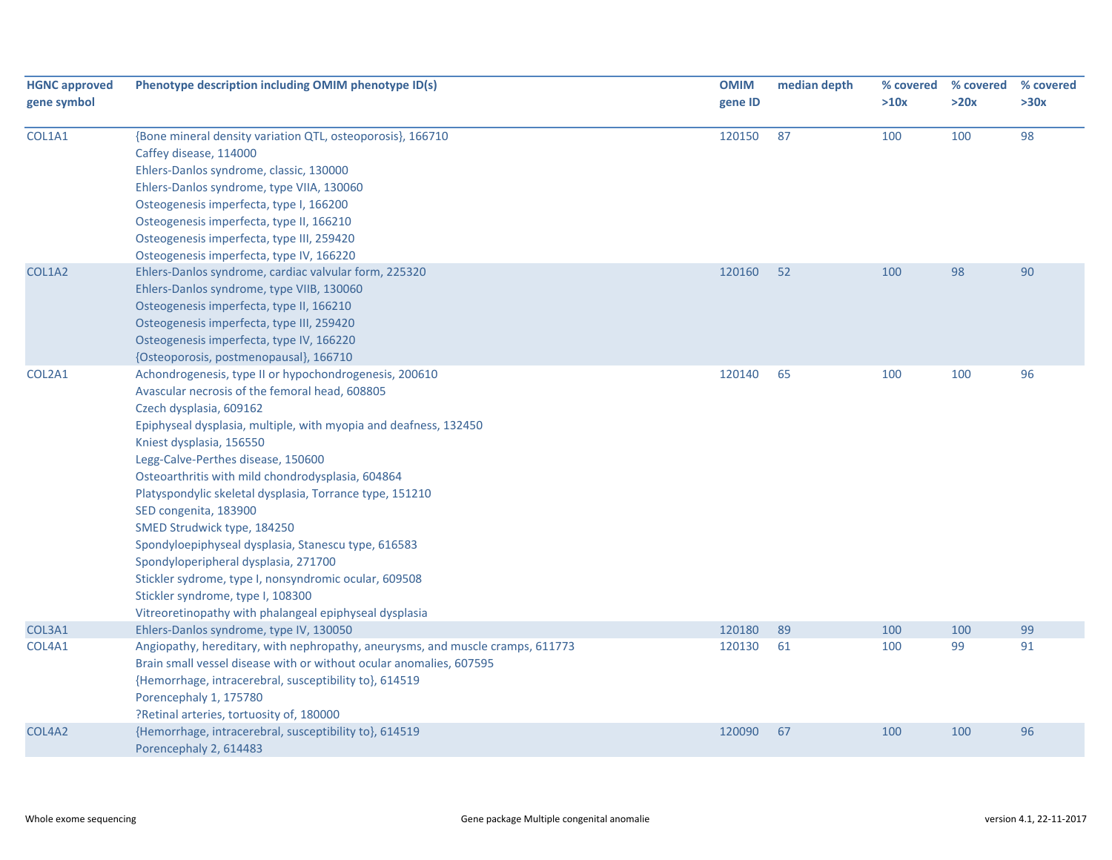| <b>HGNC approved</b><br>gene symbol | Phenotype description including OMIM phenotype ID(s)                                                                                                                                                                                                                                                                                                                                                                                                                                                                                                                                                                                                                                                      | <b>OMIM</b><br>gene ID | median depth | % covered<br>>10x | % covered<br>>20x | % covered<br>>30x |
|-------------------------------------|-----------------------------------------------------------------------------------------------------------------------------------------------------------------------------------------------------------------------------------------------------------------------------------------------------------------------------------------------------------------------------------------------------------------------------------------------------------------------------------------------------------------------------------------------------------------------------------------------------------------------------------------------------------------------------------------------------------|------------------------|--------------|-------------------|-------------------|-------------------|
| COL1A1                              | {Bone mineral density variation QTL, osteoporosis}, 166710<br>Caffey disease, 114000<br>Ehlers-Danlos syndrome, classic, 130000<br>Ehlers-Danlos syndrome, type VIIA, 130060<br>Osteogenesis imperfecta, type I, 166200<br>Osteogenesis imperfecta, type II, 166210<br>Osteogenesis imperfecta, type III, 259420<br>Osteogenesis imperfecta, type IV, 166220                                                                                                                                                                                                                                                                                                                                              | 120150                 | 87           | 100               | 100               | 98                |
| COL1A2                              | Ehlers-Danlos syndrome, cardiac valvular form, 225320<br>Ehlers-Danlos syndrome, type VIIB, 130060<br>Osteogenesis imperfecta, type II, 166210<br>Osteogenesis imperfecta, type III, 259420<br>Osteogenesis imperfecta, type IV, 166220<br>{Osteoporosis, postmenopausal}, 166710                                                                                                                                                                                                                                                                                                                                                                                                                         | 120160                 | 52           | 100               | 98                | 90                |
| COL2A1                              | Achondrogenesis, type II or hypochondrogenesis, 200610<br>Avascular necrosis of the femoral head, 608805<br>Czech dysplasia, 609162<br>Epiphyseal dysplasia, multiple, with myopia and deafness, 132450<br>Kniest dysplasia, 156550<br>Legg-Calve-Perthes disease, 150600<br>Osteoarthritis with mild chondrodysplasia, 604864<br>Platyspondylic skeletal dysplasia, Torrance type, 151210<br>SED congenita, 183900<br>SMED Strudwick type, 184250<br>Spondyloepiphyseal dysplasia, Stanescu type, 616583<br>Spondyloperipheral dysplasia, 271700<br>Stickler sydrome, type I, nonsyndromic ocular, 609508<br>Stickler syndrome, type I, 108300<br>Vitreoretinopathy with phalangeal epiphyseal dysplasia | 120140                 | 65           | 100               | 100               | 96                |
| COL3A1                              | Ehlers-Danlos syndrome, type IV, 130050                                                                                                                                                                                                                                                                                                                                                                                                                                                                                                                                                                                                                                                                   | 120180                 | 89           | 100               | 100               | 99                |
| COL4A1                              | Angiopathy, hereditary, with nephropathy, aneurysms, and muscle cramps, 611773<br>Brain small vessel disease with or without ocular anomalies, 607595<br>{Hemorrhage, intracerebral, susceptibility to}, 614519<br>Porencephaly 1, 175780<br>?Retinal arteries, tortuosity of, 180000                                                                                                                                                                                                                                                                                                                                                                                                                     | 120130                 | 61           | 100               | 99                | 91                |
| COL4A2                              | {Hemorrhage, intracerebral, susceptibility to}, 614519<br>Porencephaly 2, 614483                                                                                                                                                                                                                                                                                                                                                                                                                                                                                                                                                                                                                          | 120090                 | 67           | 100               | 100               | 96                |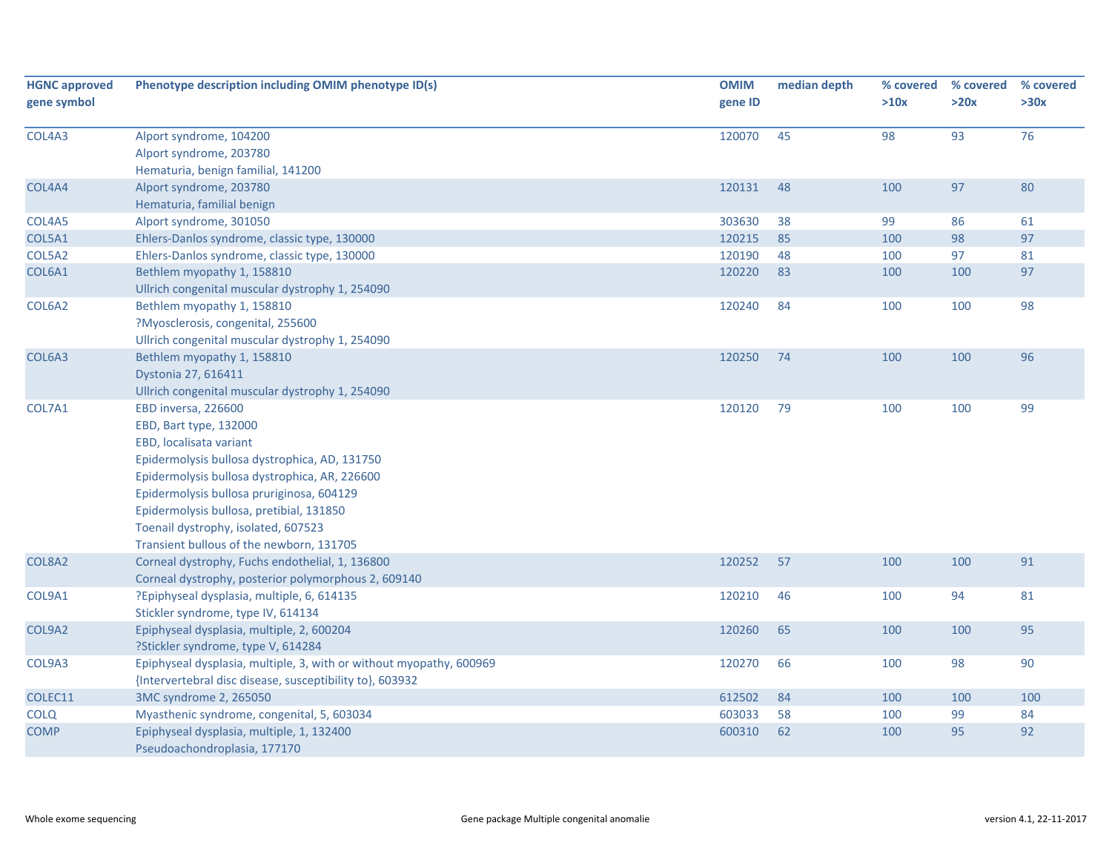| <b>HGNC approved</b><br>gene symbol | Phenotype description including OMIM phenotype ID(s)                                                                                                                                                                                                                                                                                                   | <b>OMIM</b><br>gene ID | median depth | % covered<br>>10x | % covered<br>>20x | % covered<br>>30x |
|-------------------------------------|--------------------------------------------------------------------------------------------------------------------------------------------------------------------------------------------------------------------------------------------------------------------------------------------------------------------------------------------------------|------------------------|--------------|-------------------|-------------------|-------------------|
| COL4A3                              | Alport syndrome, 104200<br>Alport syndrome, 203780<br>Hematuria, benign familial, 141200                                                                                                                                                                                                                                                               | 120070                 | 45           | 98                | 93                | 76                |
| COL4A4                              | Alport syndrome, 203780<br>Hematuria, familial benign                                                                                                                                                                                                                                                                                                  | 120131                 | 48           | 100               | 97                | 80                |
| COL4A5                              | Alport syndrome, 301050                                                                                                                                                                                                                                                                                                                                | 303630                 | 38           | 99                | 86                | 61                |
| COL5A1                              | Ehlers-Danlos syndrome, classic type, 130000                                                                                                                                                                                                                                                                                                           | 120215                 | 85           | 100               | 98                | 97                |
| COL5A2                              | Ehlers-Danlos syndrome, classic type, 130000                                                                                                                                                                                                                                                                                                           | 120190                 | 48           | 100               | 97                | 81                |
| COL6A1                              | Bethlem myopathy 1, 158810<br>Ullrich congenital muscular dystrophy 1, 254090                                                                                                                                                                                                                                                                          | 120220                 | 83           | 100               | 100               | 97                |
| COL6A2                              | Bethlem myopathy 1, 158810<br>?Myosclerosis, congenital, 255600<br>Ullrich congenital muscular dystrophy 1, 254090                                                                                                                                                                                                                                     | 120240                 | 84           | 100               | 100               | 98                |
| COL6A3                              | Bethlem myopathy 1, 158810<br>Dystonia 27, 616411<br>Ullrich congenital muscular dystrophy 1, 254090                                                                                                                                                                                                                                                   | 120250                 | 74           | 100               | 100               | 96                |
| COL7A1                              | EBD inversa, 226600<br>EBD, Bart type, 132000<br>EBD, localisata variant<br>Epidermolysis bullosa dystrophica, AD, 131750<br>Epidermolysis bullosa dystrophica, AR, 226600<br>Epidermolysis bullosa pruriginosa, 604129<br>Epidermolysis bullosa, pretibial, 131850<br>Toenail dystrophy, isolated, 607523<br>Transient bullous of the newborn, 131705 | 120120                 | 79           | 100               | 100               | 99                |
| COL8A2                              | Corneal dystrophy, Fuchs endothelial, 1, 136800<br>Corneal dystrophy, posterior polymorphous 2, 609140                                                                                                                                                                                                                                                 | 120252                 | 57           | 100               | 100               | 91                |
| COL9A1                              | ?Epiphyseal dysplasia, multiple, 6, 614135<br>Stickler syndrome, type IV, 614134                                                                                                                                                                                                                                                                       | 120210                 | 46           | 100               | 94                | 81                |
| COL9A2                              | Epiphyseal dysplasia, multiple, 2, 600204<br>?Stickler syndrome, type V, 614284                                                                                                                                                                                                                                                                        | 120260                 | 65           | 100               | 100               | 95                |
| COL9A3                              | Epiphyseal dysplasia, multiple, 3, with or without myopathy, 600969<br>{Intervertebral disc disease, susceptibility to}, 603932                                                                                                                                                                                                                        | 120270                 | 66           | 100               | 98                | 90                |
| COLEC11                             | 3MC syndrome 2, 265050                                                                                                                                                                                                                                                                                                                                 | 612502                 | 84           | 100               | 100               | 100               |
| <b>COLQ</b>                         | Myasthenic syndrome, congenital, 5, 603034                                                                                                                                                                                                                                                                                                             | 603033                 | 58           | 100               | 99                | 84                |
| <b>COMP</b>                         | Epiphyseal dysplasia, multiple, 1, 132400<br>Pseudoachondroplasia, 177170                                                                                                                                                                                                                                                                              | 600310                 | 62           | 100               | 95                | 92                |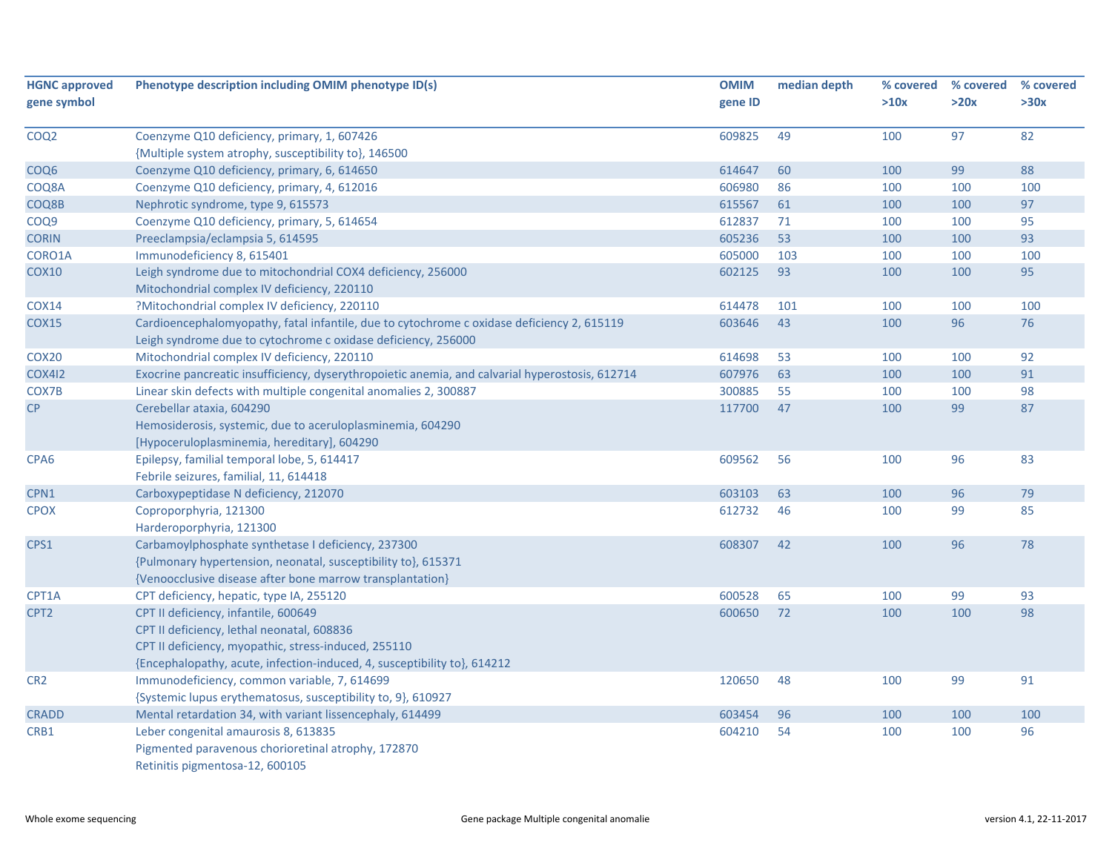| <b>HGNC approved</b> | Phenotype description including OMIM phenotype ID(s)                                            | <b>OMIM</b> | median depth | % covered | % covered | % covered |
|----------------------|-------------------------------------------------------------------------------------------------|-------------|--------------|-----------|-----------|-----------|
| gene symbol          |                                                                                                 | gene ID     |              | >10x      | >20x      | >30x      |
| COQ <sub>2</sub>     | Coenzyme Q10 deficiency, primary, 1, 607426                                                     | 609825      | 49           | 100       | 97        | 82        |
|                      | {Multiple system atrophy, susceptibility to}, 146500                                            |             |              |           |           |           |
| COQ <sub>6</sub>     | Coenzyme Q10 deficiency, primary, 6, 614650                                                     | 614647      | 60           | 100       | 99        | 88        |
| COQ8A                | Coenzyme Q10 deficiency, primary, 4, 612016                                                     | 606980      | 86           | 100       | 100       | 100       |
| COQ8B                | Nephrotic syndrome, type 9, 615573                                                              | 615567      | 61           | 100       | 100       | 97        |
| COQ <sub>9</sub>     | Coenzyme Q10 deficiency, primary, 5, 614654                                                     | 612837      | 71           | 100       | 100       | 95        |
| <b>CORIN</b>         | Preeclampsia/eclampsia 5, 614595                                                                | 605236      | 53           | 100       | 100       | 93        |
| CORO1A               | Immunodeficiency 8, 615401                                                                      | 605000      | 103          | 100       | 100       | 100       |
| <b>COX10</b>         | Leigh syndrome due to mitochondrial COX4 deficiency, 256000                                     | 602125      | 93           | 100       | 100       | 95        |
|                      | Mitochondrial complex IV deficiency, 220110                                                     |             |              |           |           |           |
| <b>COX14</b>         | ?Mitochondrial complex IV deficiency, 220110                                                    | 614478      | 101          | 100       | 100       | 100       |
| <b>COX15</b>         | Cardioencephalomyopathy, fatal infantile, due to cytochrome c oxidase deficiency 2, 615119      | 603646      | 43           | 100       | 96        | 76        |
|                      | Leigh syndrome due to cytochrome c oxidase deficiency, 256000                                   |             |              |           |           |           |
| COX20                | Mitochondrial complex IV deficiency, 220110                                                     | 614698      | 53           | 100       | 100       | 92        |
| <b>COX412</b>        | Exocrine pancreatic insufficiency, dyserythropoietic anemia, and calvarial hyperostosis, 612714 | 607976      | 63           | 100       | 100       | 91        |
| COX7B                | Linear skin defects with multiple congenital anomalies 2, 300887                                | 300885      | 55           | 100       | 100       | 98        |
| CP                   | Cerebellar ataxia, 604290                                                                       | 117700      | 47           | 100       | 99        | 87        |
|                      | Hemosiderosis, systemic, due to aceruloplasminemia, 604290                                      |             |              |           |           |           |
|                      | [Hypoceruloplasminemia, hereditary], 604290                                                     |             |              |           |           |           |
| CPA <sub>6</sub>     | Epilepsy, familial temporal lobe, 5, 614417                                                     | 609562      | 56           | 100       | 96        | 83        |
|                      | Febrile seizures, familial, 11, 614418                                                          |             |              |           |           |           |
| CPN1                 | Carboxypeptidase N deficiency, 212070                                                           | 603103      | 63           | 100       | 96        | 79        |
| <b>CPOX</b>          | Coproporphyria, 121300                                                                          | 612732      | 46           | 100       | 99        | 85        |
|                      | Harderoporphyria, 121300                                                                        |             |              |           |           |           |
| CPS1                 | Carbamoylphosphate synthetase I deficiency, 237300                                              | 608307      | 42           | 100       | 96        | 78        |
|                      | {Pulmonary hypertension, neonatal, susceptibility to}, 615371                                   |             |              |           |           |           |
|                      | {Venoocclusive disease after bone marrow transplantation}                                       |             |              |           |           |           |
| CPT1A                | CPT deficiency, hepatic, type IA, 255120                                                        | 600528      | 65           | 100       | 99        | 93        |
| CPT <sub>2</sub>     | CPT II deficiency, infantile, 600649                                                            | 600650      | 72           | 100       | 100       | 98        |
|                      | CPT II deficiency, lethal neonatal, 608836                                                      |             |              |           |           |           |
|                      | CPT II deficiency, myopathic, stress-induced, 255110                                            |             |              |           |           |           |
|                      | {Encephalopathy, acute, infection-induced, 4, susceptibility to}, 614212                        |             |              |           |           |           |
| CR <sub>2</sub>      | Immunodeficiency, common variable, 7, 614699                                                    | 120650      | 48           | 100       | 99        | 91        |
|                      | {Systemic lupus erythematosus, susceptibility to, 9}, 610927                                    |             |              |           |           |           |
| <b>CRADD</b>         | Mental retardation 34, with variant lissencephaly, 614499                                       | 603454      | 96           | 100       | 100       | 100       |
| CRB1                 | Leber congenital amaurosis 8, 613835                                                            | 604210      | 54           | 100       | 100       | 96        |
|                      | Pigmented paravenous chorioretinal atrophy, 172870                                              |             |              |           |           |           |
|                      | Retinitis pigmentosa-12, 600105                                                                 |             |              |           |           |           |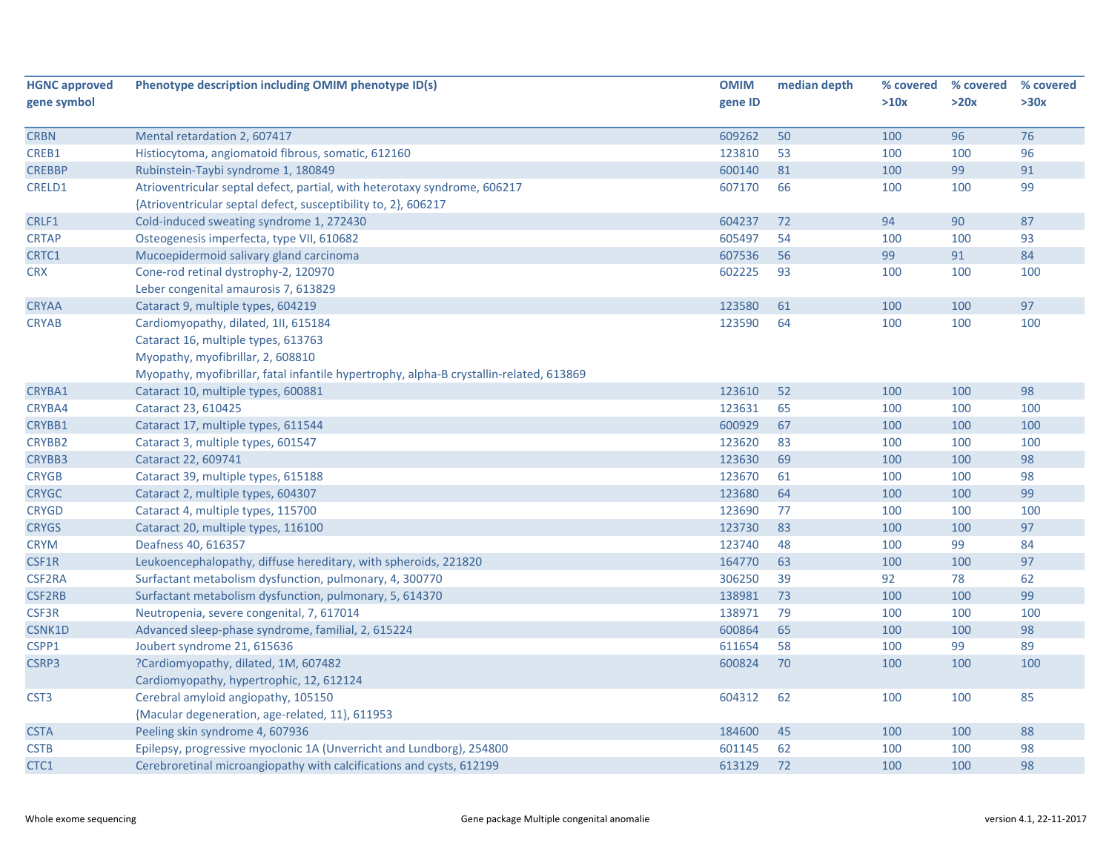| <b>HGNC approved</b> | Phenotype description including OMIM phenotype ID(s)                                    | <b>OMIM</b> | median depth | % covered | % covered | % covered |
|----------------------|-----------------------------------------------------------------------------------------|-------------|--------------|-----------|-----------|-----------|
| gene symbol          |                                                                                         | gene ID     |              | >10x      | >20x      | >30x      |
|                      |                                                                                         |             |              |           |           |           |
| <b>CRBN</b>          | Mental retardation 2, 607417                                                            | 609262      | 50           | 100       | 96        | 76        |
| CREB1                | Histiocytoma, angiomatoid fibrous, somatic, 612160                                      | 123810      | 53           | 100       | 100       | 96        |
| <b>CREBBP</b>        | Rubinstein-Taybi syndrome 1, 180849                                                     | 600140      | 81           | 100       | 99        | 91        |
| <b>CRELD1</b>        | Atrioventricular septal defect, partial, with heterotaxy syndrome, 606217               | 607170      | 66           | 100       | 100       | 99        |
|                      | {Atrioventricular septal defect, susceptibility to, 2}, 606217                          |             |              |           |           |           |
| CRLF1                | Cold-induced sweating syndrome 1, 272430                                                | 604237      | 72           | 94        | 90        | 87        |
| <b>CRTAP</b>         | Osteogenesis imperfecta, type VII, 610682                                               | 605497      | 54           | 100       | 100       | 93        |
| CRTC1                | Mucoepidermoid salivary gland carcinoma                                                 | 607536      | 56           | 99        | 91        | 84        |
| <b>CRX</b>           | Cone-rod retinal dystrophy-2, 120970                                                    | 602225      | 93           | 100       | 100       | 100       |
|                      | Leber congenital amaurosis 7, 613829                                                    |             |              |           |           |           |
| <b>CRYAA</b>         | Cataract 9, multiple types, 604219                                                      | 123580      | 61           | 100       | 100       | 97        |
| <b>CRYAB</b>         | Cardiomyopathy, dilated, 1II, 615184                                                    | 123590      | 64           | 100       | 100       | 100       |
|                      | Cataract 16, multiple types, 613763                                                     |             |              |           |           |           |
|                      | Myopathy, myofibrillar, 2, 608810                                                       |             |              |           |           |           |
|                      | Myopathy, myofibrillar, fatal infantile hypertrophy, alpha-B crystallin-related, 613869 |             |              |           |           |           |
| CRYBA1               | Cataract 10, multiple types, 600881                                                     | 123610      | 52           | 100       | 100       | 98        |
| CRYBA4               | Cataract 23, 610425                                                                     | 123631      | 65           | 100       | 100       | 100       |
| CRYBB1               | Cataract 17, multiple types, 611544                                                     | 600929      | 67           | 100       | 100       | 100       |
| CRYBB2               | Cataract 3, multiple types, 601547                                                      | 123620      | 83           | 100       | 100       | 100       |
| <b>CRYBB3</b>        | Cataract 22, 609741                                                                     | 123630      | 69           | 100       | 100       | 98        |
| <b>CRYGB</b>         | Cataract 39, multiple types, 615188                                                     | 123670      | 61           | 100       | 100       | 98        |
| <b>CRYGC</b>         | Cataract 2, multiple types, 604307                                                      | 123680      | 64           | 100       | 100       | 99        |
| <b>CRYGD</b>         | Cataract 4, multiple types, 115700                                                      | 123690      | 77           | 100       | 100       | 100       |
| <b>CRYGS</b>         | Cataract 20, multiple types, 116100                                                     | 123730      | 83           | 100       | 100       | 97        |
| <b>CRYM</b>          | Deafness 40, 616357                                                                     | 123740      | 48           | 100       | 99        | 84        |
| CSF1R                | Leukoencephalopathy, diffuse hereditary, with spheroids, 221820                         | 164770      | 63           | 100       | 100       | 97        |
| <b>CSF2RA</b>        | Surfactant metabolism dysfunction, pulmonary, 4, 300770                                 | 306250      | 39           | 92        | 78        | 62        |
| CSF2RB               | Surfactant metabolism dysfunction, pulmonary, 5, 614370                                 | 138981      | 73           | 100       | 100       | 99        |
| CSF3R                | Neutropenia, severe congenital, 7, 617014                                               | 138971      | 79           | 100       | 100       | 100       |
| CSNK1D               | Advanced sleep-phase syndrome, familial, 2, 615224                                      | 600864      | 65           | 100       | 100       | 98        |
| CSPP1                | Joubert syndrome 21, 615636                                                             | 611654      | 58           | 100       | 99        | 89        |
| CSRP3                | ?Cardiomyopathy, dilated, 1M, 607482                                                    | 600824      | 70           | 100       | 100       | 100       |
|                      | Cardiomyopathy, hypertrophic, 12, 612124                                                |             |              |           |           |           |
| CST <sub>3</sub>     | Cerebral amyloid angiopathy, 105150                                                     | 604312      | 62           | 100       | 100       | 85        |
|                      | {Macular degeneration, age-related, 11}, 611953                                         |             |              |           |           |           |
| <b>CSTA</b>          | Peeling skin syndrome 4, 607936                                                         | 184600      | 45           | 100       | 100       | 88        |
| <b>CSTB</b>          | Epilepsy, progressive myoclonic 1A (Unverricht and Lundborg), 254800                    | 601145      | 62           | 100       | 100       | 98        |
| CTC1                 | Cerebroretinal microangiopathy with calcifications and cysts, 612199                    | 613129      | 72           | 100       | 100       | 98        |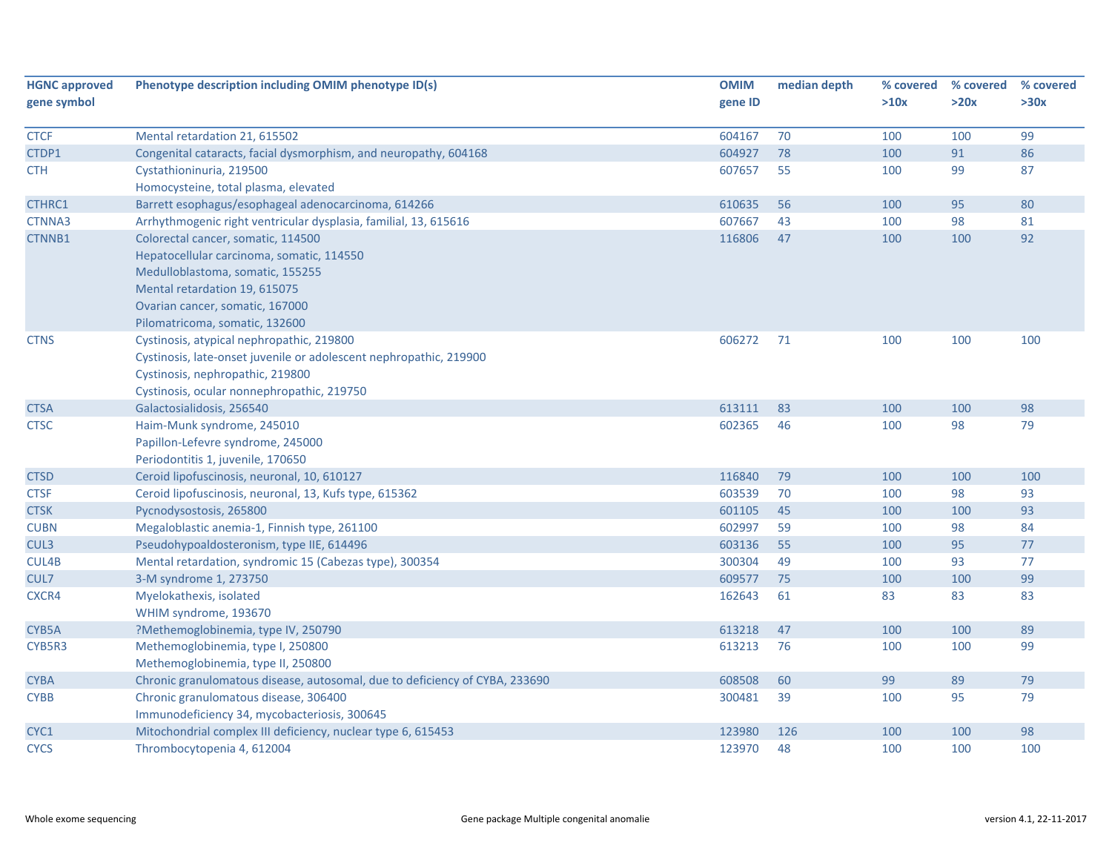| <b>HGNC approved</b> | Phenotype description including OMIM phenotype ID(s)                        | <b>OMIM</b> | median depth | % covered | % covered | % covered |
|----------------------|-----------------------------------------------------------------------------|-------------|--------------|-----------|-----------|-----------|
| gene symbol          |                                                                             | gene ID     |              | >10x      | >20x      | >30x      |
|                      |                                                                             |             |              |           |           |           |
| <b>CTCF</b>          | Mental retardation 21, 615502                                               | 604167      | 70           | 100       | 100       | 99        |
| CTDP1                | Congenital cataracts, facial dysmorphism, and neuropathy, 604168            | 604927      | 78           | 100       | 91        | 86        |
| <b>CTH</b>           | Cystathioninuria, 219500                                                    | 607657      | 55           | 100       | 99        | 87        |
|                      | Homocysteine, total plasma, elevated                                        |             |              |           |           |           |
| CTHRC1               | Barrett esophagus/esophageal adenocarcinoma, 614266                         | 610635      | 56           | 100       | 95        | 80        |
| CTNNA3               | Arrhythmogenic right ventricular dysplasia, familial, 13, 615616            | 607667      | 43           | 100       | 98        | 81        |
| CTNNB1               | Colorectal cancer, somatic, 114500                                          | 116806      | 47           | 100       | 100       | 92        |
|                      | Hepatocellular carcinoma, somatic, 114550                                   |             |              |           |           |           |
|                      | Medulloblastoma, somatic, 155255                                            |             |              |           |           |           |
|                      | Mental retardation 19, 615075                                               |             |              |           |           |           |
|                      | Ovarian cancer, somatic, 167000                                             |             |              |           |           |           |
|                      | Pilomatricoma, somatic, 132600                                              |             |              |           |           |           |
| <b>CTNS</b>          | Cystinosis, atypical nephropathic, 219800                                   | 606272      | 71           | 100       | 100       | 100       |
|                      | Cystinosis, late-onset juvenile or adolescent nephropathic, 219900          |             |              |           |           |           |
|                      | Cystinosis, nephropathic, 219800                                            |             |              |           |           |           |
|                      | Cystinosis, ocular nonnephropathic, 219750                                  |             |              |           |           |           |
| <b>CTSA</b>          | Galactosialidosis, 256540                                                   | 613111      | 83           | 100       | 100       | 98        |
| <b>CTSC</b>          | Haim-Munk syndrome, 245010                                                  | 602365      | 46           | 100       | 98        | 79        |
|                      | Papillon-Lefevre syndrome, 245000                                           |             |              |           |           |           |
|                      | Periodontitis 1, juvenile, 170650                                           |             |              |           |           |           |
| <b>CTSD</b>          | Ceroid lipofuscinosis, neuronal, 10, 610127                                 | 116840      | 79           | 100       | 100       | 100       |
| <b>CTSF</b>          | Ceroid lipofuscinosis, neuronal, 13, Kufs type, 615362                      | 603539      | 70           | 100       | 98        | 93        |
| <b>CTSK</b>          | Pycnodysostosis, 265800                                                     | 601105      | 45           | 100       | 100       | 93        |
| <b>CUBN</b>          | Megaloblastic anemia-1, Finnish type, 261100                                | 602997      | 59           | 100       | 98        | 84        |
| CUL3                 | Pseudohypoaldosteronism, type IIE, 614496                                   | 603136      | 55           | 100       | 95        | $77$      |
| CUL4B                | Mental retardation, syndromic 15 (Cabezas type), 300354                     | 300304      | 49           | 100       | 93        | 77        |
| CUL7                 | 3-M syndrome 1, 273750                                                      | 609577      | 75           | 100       | 100       | 99        |
| CXCR4                | Myelokathexis, isolated                                                     | 162643      | 61           | 83        | 83        | 83        |
|                      | WHIM syndrome, 193670                                                       |             |              |           |           |           |
| CYB5A                | ?Methemoglobinemia, type IV, 250790                                         | 613218      | 47           | 100       | 100       | 89        |
| CYB5R3               | Methemoglobinemia, type I, 250800                                           | 613213      | 76           | 100       | 100       | 99        |
|                      | Methemoglobinemia, type II, 250800                                          |             |              |           |           |           |
| <b>CYBA</b>          | Chronic granulomatous disease, autosomal, due to deficiency of CYBA, 233690 | 608508      | 60           | 99        | 89        | 79        |
| <b>CYBB</b>          | Chronic granulomatous disease, 306400                                       | 300481      | 39           | 100       | 95        | 79        |
|                      | Immunodeficiency 34, mycobacteriosis, 300645                                |             |              |           |           |           |
| CYC1                 | Mitochondrial complex III deficiency, nuclear type 6, 615453                | 123980      | 126          | 100       | 100       | 98        |
| <b>CYCS</b>          | Thrombocytopenia 4, 612004                                                  | 123970      | 48           | 100       | 100       | 100       |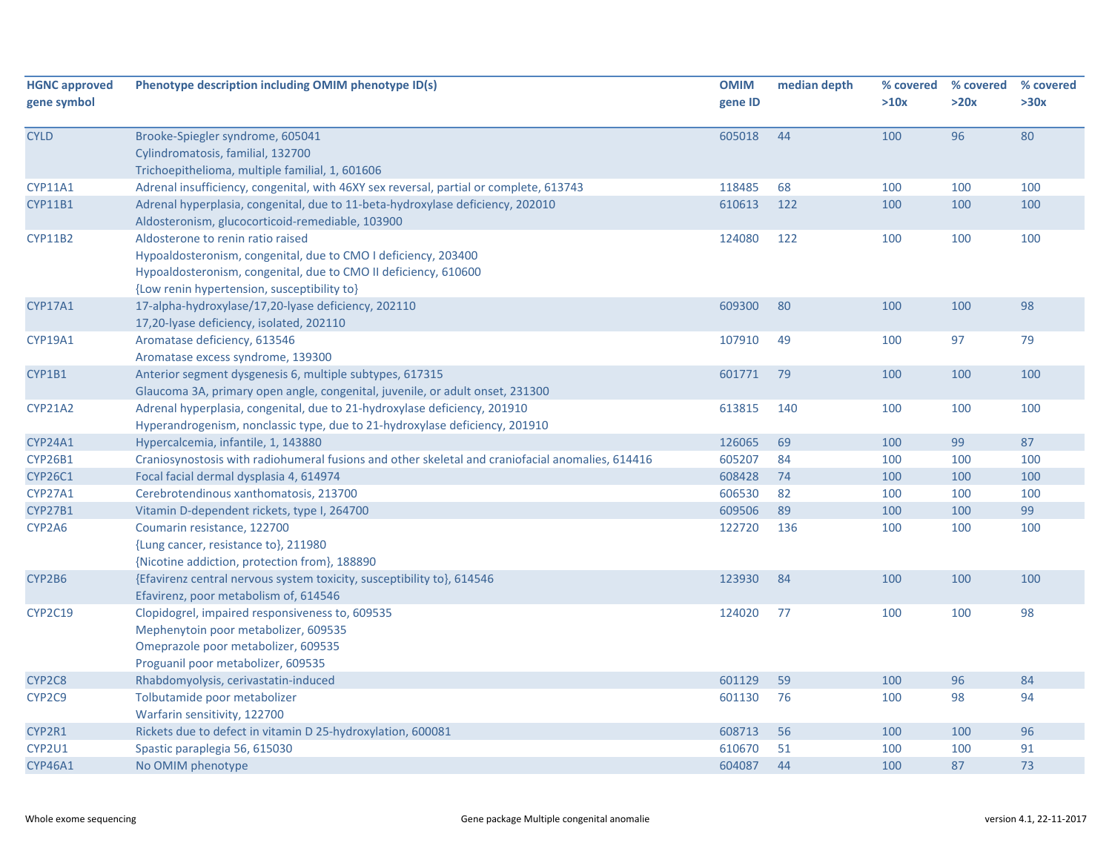| <b>HGNC approved</b><br>gene symbol | Phenotype description including OMIM phenotype ID(s)                                                                                                                                                                  | <b>OMIM</b><br>gene ID | median depth | % covered<br>>10x | % covered<br>>20x | % covered<br>>30x |
|-------------------------------------|-----------------------------------------------------------------------------------------------------------------------------------------------------------------------------------------------------------------------|------------------------|--------------|-------------------|-------------------|-------------------|
| <b>CYLD</b>                         | Brooke-Spiegler syndrome, 605041<br>Cylindromatosis, familial, 132700<br>Trichoepithelioma, multiple familial, 1, 601606                                                                                              | 605018                 | 44           | 100               | 96                | 80                |
| CYP11A1                             | Adrenal insufficiency, congenital, with 46XY sex reversal, partial or complete, 613743                                                                                                                                | 118485                 | 68           | 100               | 100               | 100               |
| <b>CYP11B1</b>                      | Adrenal hyperplasia, congenital, due to 11-beta-hydroxylase deficiency, 202010<br>Aldosteronism, glucocorticoid-remediable, 103900                                                                                    | 610613                 | 122          | 100               | 100               | 100               |
| <b>CYP11B2</b>                      | Aldosterone to renin ratio raised<br>Hypoaldosteronism, congenital, due to CMO I deficiency, 203400<br>Hypoaldosteronism, congenital, due to CMO II deficiency, 610600<br>{Low renin hypertension, susceptibility to} | 124080                 | 122          | 100               | 100               | 100               |
| <b>CYP17A1</b>                      | 17-alpha-hydroxylase/17,20-lyase deficiency, 202110<br>17,20-lyase deficiency, isolated, 202110                                                                                                                       | 609300                 | 80           | 100               | 100               | 98                |
| CYP19A1                             | Aromatase deficiency, 613546<br>Aromatase excess syndrome, 139300                                                                                                                                                     | 107910                 | 49           | 100               | 97                | 79                |
| CYP1B1                              | Anterior segment dysgenesis 6, multiple subtypes, 617315<br>Glaucoma 3A, primary open angle, congenital, juvenile, or adult onset, 231300                                                                             | 601771                 | 79           | 100               | 100               | 100               |
| <b>CYP21A2</b>                      | Adrenal hyperplasia, congenital, due to 21-hydroxylase deficiency, 201910<br>Hyperandrogenism, nonclassic type, due to 21-hydroxylase deficiency, 201910                                                              | 613815                 | 140          | 100               | 100               | 100               |
| CYP24A1                             | Hypercalcemia, infantile, 1, 143880                                                                                                                                                                                   | 126065                 | 69           | 100               | 99                | 87                |
| CYP26B1                             | Craniosynostosis with radiohumeral fusions and other skeletal and craniofacial anomalies, 614416                                                                                                                      | 605207                 | 84           | 100               | 100               | 100               |
| <b>CYP26C1</b>                      | Focal facial dermal dysplasia 4, 614974                                                                                                                                                                               | 608428                 | 74           | 100               | 100               | 100               |
| CYP27A1                             | Cerebrotendinous xanthomatosis, 213700                                                                                                                                                                                | 606530                 | 82           | 100               | 100               | 100               |
| <b>CYP27B1</b>                      | Vitamin D-dependent rickets, type I, 264700                                                                                                                                                                           | 609506                 | 89           | 100               | 100               | 99                |
| CYP2A6                              | Coumarin resistance, 122700<br>{Lung cancer, resistance to}, 211980<br>{Nicotine addiction, protection from}, 188890                                                                                                  | 122720                 | 136          | 100               | 100               | 100               |
| CYP2B6                              | {Efavirenz central nervous system toxicity, susceptibility to}, 614546<br>Efavirenz, poor metabolism of, 614546                                                                                                       | 123930                 | 84           | 100               | 100               | 100               |
| CYP2C19                             | Clopidogrel, impaired responsiveness to, 609535<br>Mephenytoin poor metabolizer, 609535<br>Omeprazole poor metabolizer, 609535<br>Proguanil poor metabolizer, 609535                                                  | 124020                 | 77           | 100               | 100               | 98                |
| CYP2C8                              | Rhabdomyolysis, cerivastatin-induced                                                                                                                                                                                  | 601129                 | 59           | 100               | 96                | 84                |
| CYP2C9                              | Tolbutamide poor metabolizer<br>Warfarin sensitivity, 122700                                                                                                                                                          | 601130                 | 76           | 100               | 98                | 94                |
| CYP2R1                              | Rickets due to defect in vitamin D 25-hydroxylation, 600081                                                                                                                                                           | 608713                 | 56           | 100               | 100               | 96                |
| CYP2U1                              | Spastic paraplegia 56, 615030                                                                                                                                                                                         | 610670                 | 51           | 100               | 100               | 91                |
| <b>CYP46A1</b>                      | No OMIM phenotype                                                                                                                                                                                                     | 604087                 | 44           | 100               | 87                | 73                |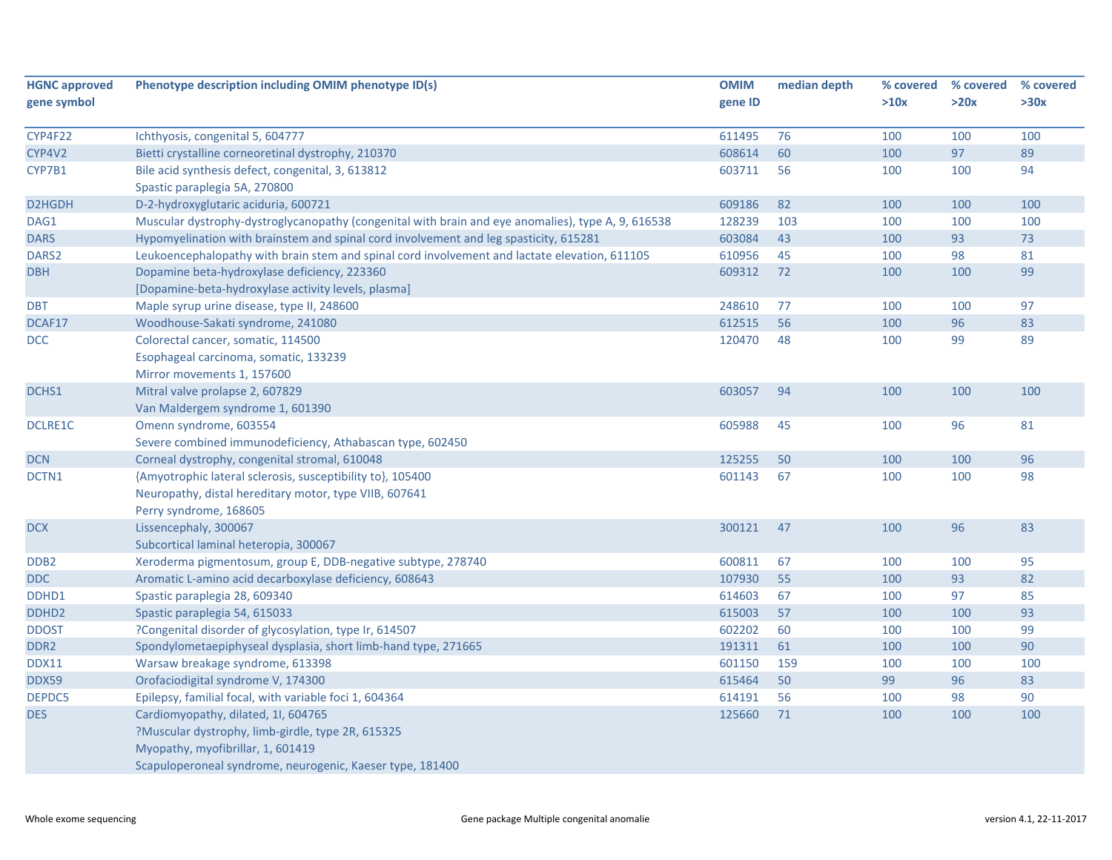| <b>HGNC approved</b> | Phenotype description including OMIM phenotype ID(s)                                               | <b>OMIM</b> | median depth | % covered | % covered | % covered |
|----------------------|----------------------------------------------------------------------------------------------------|-------------|--------------|-----------|-----------|-----------|
| gene symbol          |                                                                                                    | gene ID     |              | >10x      | >20x      | >30x      |
|                      |                                                                                                    |             |              |           |           |           |
| CYP4F22              | Ichthyosis, congenital 5, 604777                                                                   | 611495      | 76           | 100       | 100       | 100       |
| CYP4V2               | Bietti crystalline corneoretinal dystrophy, 210370                                                 | 608614      | 60           | 100       | 97        | 89        |
| CYP7B1               | Bile acid synthesis defect, congenital, 3, 613812                                                  | 603711      | 56           | 100       | 100       | 94        |
|                      | Spastic paraplegia 5A, 270800                                                                      |             |              |           |           |           |
| D2HGDH               | D-2-hydroxyglutaric aciduria, 600721                                                               | 609186      | 82           | 100       | 100       | 100       |
| DAG1                 | Muscular dystrophy-dystroglycanopathy (congenital with brain and eye anomalies), type A, 9, 616538 | 128239      | 103          | 100       | 100       | 100       |
| <b>DARS</b>          | Hypomyelination with brainstem and spinal cord involvement and leg spasticity, 615281              | 603084      | 43           | 100       | 93        | 73        |
| DARS2                | Leukoencephalopathy with brain stem and spinal cord involvement and lactate elevation, 611105      | 610956      | 45           | 100       | 98        | 81        |
| <b>DBH</b>           | Dopamine beta-hydroxylase deficiency, 223360                                                       | 609312      | 72           | 100       | 100       | 99        |
|                      | [Dopamine-beta-hydroxylase activity levels, plasma]                                                |             |              |           |           |           |
| <b>DBT</b>           | Maple syrup urine disease, type II, 248600                                                         | 248610      | 77           | 100       | 100       | 97        |
| DCAF17               | Woodhouse-Sakati syndrome, 241080                                                                  | 612515      | 56           | 100       | 96        | 83        |
| <b>DCC</b>           | Colorectal cancer, somatic, 114500                                                                 | 120470      | 48           | 100       | 99        | 89        |
|                      | Esophageal carcinoma, somatic, 133239                                                              |             |              |           |           |           |
|                      | Mirror movements 1, 157600                                                                         |             |              |           |           |           |
| DCHS1                | Mitral valve prolapse 2, 607829                                                                    | 603057      | 94           | 100       | 100       | 100       |
|                      | Van Maldergem syndrome 1, 601390                                                                   |             |              |           |           |           |
| <b>DCLRE1C</b>       | Omenn syndrome, 603554                                                                             | 605988      | 45           | 100       | 96        | 81        |
|                      | Severe combined immunodeficiency, Athabascan type, 602450                                          |             |              |           |           |           |
| <b>DCN</b>           | Corneal dystrophy, congenital stromal, 610048                                                      | 125255      | 50           | 100       | 100       | 96        |
| DCTN1                | {Amyotrophic lateral sclerosis, susceptibility to}, 105400                                         | 601143      | 67           | 100       | 100       | 98        |
|                      | Neuropathy, distal hereditary motor, type VIIB, 607641                                             |             |              |           |           |           |
|                      | Perry syndrome, 168605                                                                             |             |              |           |           |           |
| <b>DCX</b>           | Lissencephaly, 300067                                                                              | 300121      | 47           | 100       | 96        | 83        |
|                      | Subcortical laminal heteropia, 300067                                                              |             |              |           |           |           |
| DDB <sub>2</sub>     | Xeroderma pigmentosum, group E, DDB-negative subtype, 278740                                       | 600811      | 67           | 100       | 100       | 95        |
| <b>DDC</b>           | Aromatic L-amino acid decarboxylase deficiency, 608643                                             | 107930      | 55           | 100       | 93        | 82        |
| DDHD1                | Spastic paraplegia 28, 609340                                                                      | 614603      | 67           | 100       | 97        | 85        |
| DDHD <sub>2</sub>    | Spastic paraplegia 54, 615033                                                                      | 615003      | 57           | 100       | 100       | 93        |
| <b>DDOST</b>         | ?Congenital disorder of glycosylation, type Ir, 614507                                             | 602202      | 60           | 100       | 100       | 99        |
| DDR2                 | Spondylometaepiphyseal dysplasia, short limb-hand type, 271665                                     | 191311      | 61           | 100       | 100       | 90        |
| <b>DDX11</b>         | Warsaw breakage syndrome, 613398                                                                   | 601150      | 159          | 100       | 100       | 100       |
| <b>DDX59</b>         | Orofaciodigital syndrome V, 174300                                                                 | 615464      | 50           | 99        | 96        | 83        |
| DEPDC5               | Epilepsy, familial focal, with variable foci 1, 604364                                             | 614191      | 56           | 100       | 98        | 90        |
| <b>DES</b>           | Cardiomyopathy, dilated, 1I, 604765                                                                | 125660      | 71           | 100       | 100       | 100       |
|                      | ?Muscular dystrophy, limb-girdle, type 2R, 615325                                                  |             |              |           |           |           |
|                      | Myopathy, myofibrillar, 1, 601419                                                                  |             |              |           |           |           |
|                      | Scapuloperoneal syndrome, neurogenic, Kaeser type, 181400                                          |             |              |           |           |           |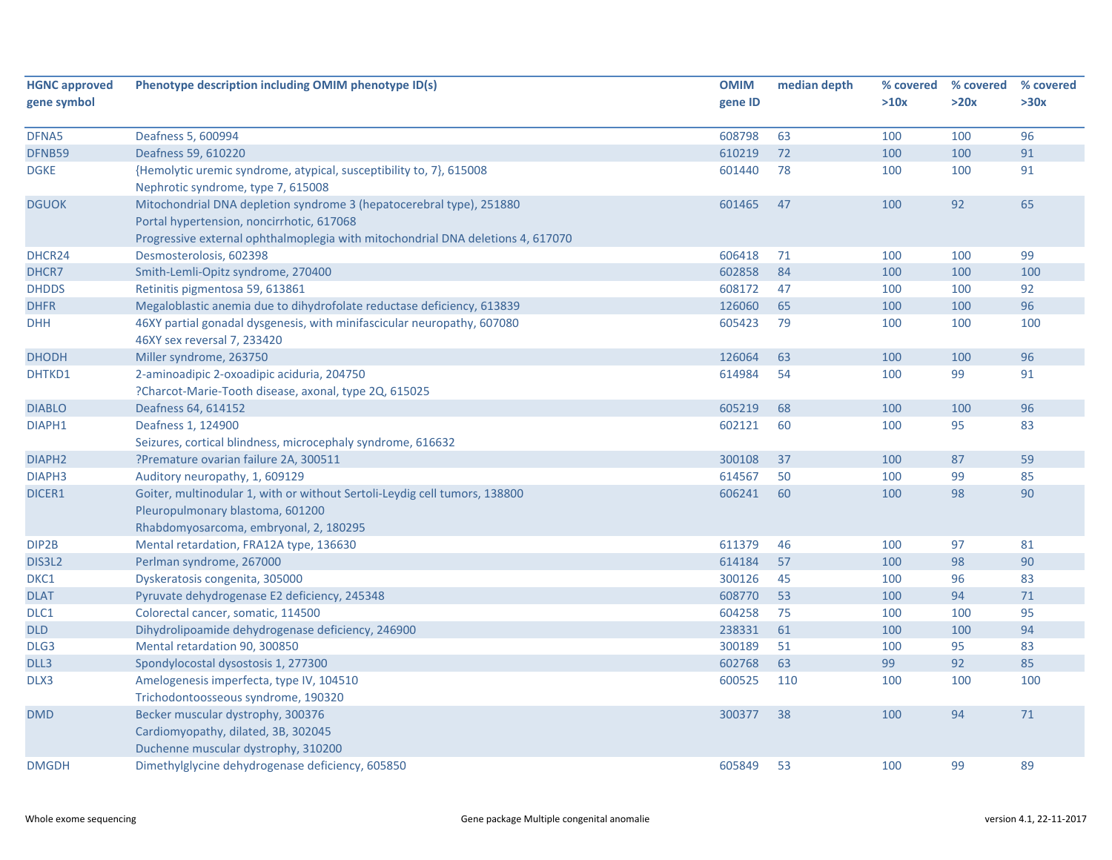| <b>HGNC approved</b> | Phenotype description including OMIM phenotype ID(s)                            | <b>OMIM</b> | median depth | % covered | % covered | % covered |
|----------------------|---------------------------------------------------------------------------------|-------------|--------------|-----------|-----------|-----------|
| gene symbol          |                                                                                 | gene ID     |              | >10x      | >20x      | >30x      |
|                      |                                                                                 |             |              |           |           |           |
| DFNA5                | Deafness 5, 600994                                                              | 608798      | 63           | 100       | 100       | 96        |
| DFNB59               | Deafness 59, 610220                                                             | 610219      | 72           | 100       | 100       | 91        |
| <b>DGKE</b>          | {Hemolytic uremic syndrome, atypical, susceptibility to, 7}, 615008             | 601440      | 78           | 100       | 100       | 91        |
|                      | Nephrotic syndrome, type 7, 615008                                              |             |              |           |           |           |
| <b>DGUOK</b>         | Mitochondrial DNA depletion syndrome 3 (hepatocerebral type), 251880            | 601465      | 47           | 100       | 92        | 65        |
|                      | Portal hypertension, noncirrhotic, 617068                                       |             |              |           |           |           |
|                      | Progressive external ophthalmoplegia with mitochondrial DNA deletions 4, 617070 |             |              |           |           |           |
| DHCR24               | Desmosterolosis, 602398                                                         | 606418      | 71           | 100       | 100       | 99        |
| DHCR7                | Smith-Lemli-Opitz syndrome, 270400                                              | 602858      | 84           | 100       | 100       | 100       |
| <b>DHDDS</b>         | Retinitis pigmentosa 59, 613861                                                 | 608172      | 47           | 100       | 100       | 92        |
| <b>DHFR</b>          | Megaloblastic anemia due to dihydrofolate reductase deficiency, 613839          | 126060      | 65           | 100       | 100       | 96        |
| <b>DHH</b>           | 46XY partial gonadal dysgenesis, with minifascicular neuropathy, 607080         | 605423      | 79           | 100       | 100       | 100       |
|                      | 46XY sex reversal 7, 233420                                                     |             |              |           |           |           |
| <b>DHODH</b>         | Miller syndrome, 263750                                                         | 126064      | 63           | 100       | 100       | 96        |
| DHTKD1               | 2-aminoadipic 2-oxoadipic aciduria, 204750                                      | 614984      | 54           | 100       | 99        | 91        |
|                      | ?Charcot-Marie-Tooth disease, axonal, type 2Q, 615025                           |             |              |           |           |           |
| <b>DIABLO</b>        | Deafness 64, 614152                                                             | 605219      | 68           | 100       | 100       | 96        |
| DIAPH1               | Deafness 1, 124900                                                              | 602121      | 60           | 100       | 95        | 83        |
|                      | Seizures, cortical blindness, microcephaly syndrome, 616632                     |             |              |           |           |           |
| DIAPH <sub>2</sub>   | ?Premature ovarian failure 2A, 300511                                           | 300108      | 37           | 100       | 87        | 59        |
| DIAPH <sub>3</sub>   | Auditory neuropathy, 1, 609129                                                  | 614567      | 50           | 100       | 99        | 85        |
| DICER1               | Goiter, multinodular 1, with or without Sertoli-Leydig cell tumors, 138800      | 606241      | 60           | 100       | 98        | 90        |
|                      | Pleuropulmonary blastoma, 601200                                                |             |              |           |           |           |
|                      | Rhabdomyosarcoma, embryonal, 2, 180295                                          |             |              |           |           |           |
| DIP2B                | Mental retardation, FRA12A type, 136630                                         | 611379      | 46           | 100       | 97        | 81        |
| DIS3L2               | Perlman syndrome, 267000                                                        | 614184      | 57           | 100       | 98        | 90        |
| DKC1                 | Dyskeratosis congenita, 305000                                                  | 300126      | 45           | 100       | 96        | 83        |
| <b>DLAT</b>          | Pyruvate dehydrogenase E2 deficiency, 245348                                    | 608770      | 53           | 100       | 94        | $71\,$    |
| DLC1                 | Colorectal cancer, somatic, 114500                                              | 604258      | 75           | 100       | 100       | 95        |
| <b>DLD</b>           | Dihydrolipoamide dehydrogenase deficiency, 246900                               | 238331      | 61           | 100       | 100       | 94        |
| DLG3                 | Mental retardation 90, 300850                                                   | 300189      | 51           | 100       | 95        | 83        |
| DLL3                 | Spondylocostal dysostosis 1, 277300                                             | 602768      | 63           | 99        | 92        | 85        |
| DLX3                 | Amelogenesis imperfecta, type IV, 104510                                        | 600525      | 110          | 100       | 100       | 100       |
|                      | Trichodontoosseous syndrome, 190320                                             |             |              |           |           |           |
| <b>DMD</b>           | Becker muscular dystrophy, 300376                                               | 300377      | 38           | 100       | 94        | 71        |
|                      | Cardiomyopathy, dilated, 3B, 302045                                             |             |              |           |           |           |
|                      | Duchenne muscular dystrophy, 310200                                             |             |              |           |           |           |
| <b>DMGDH</b>         | Dimethylglycine dehydrogenase deficiency, 605850                                | 605849      | 53           | 100       | 99        | 89        |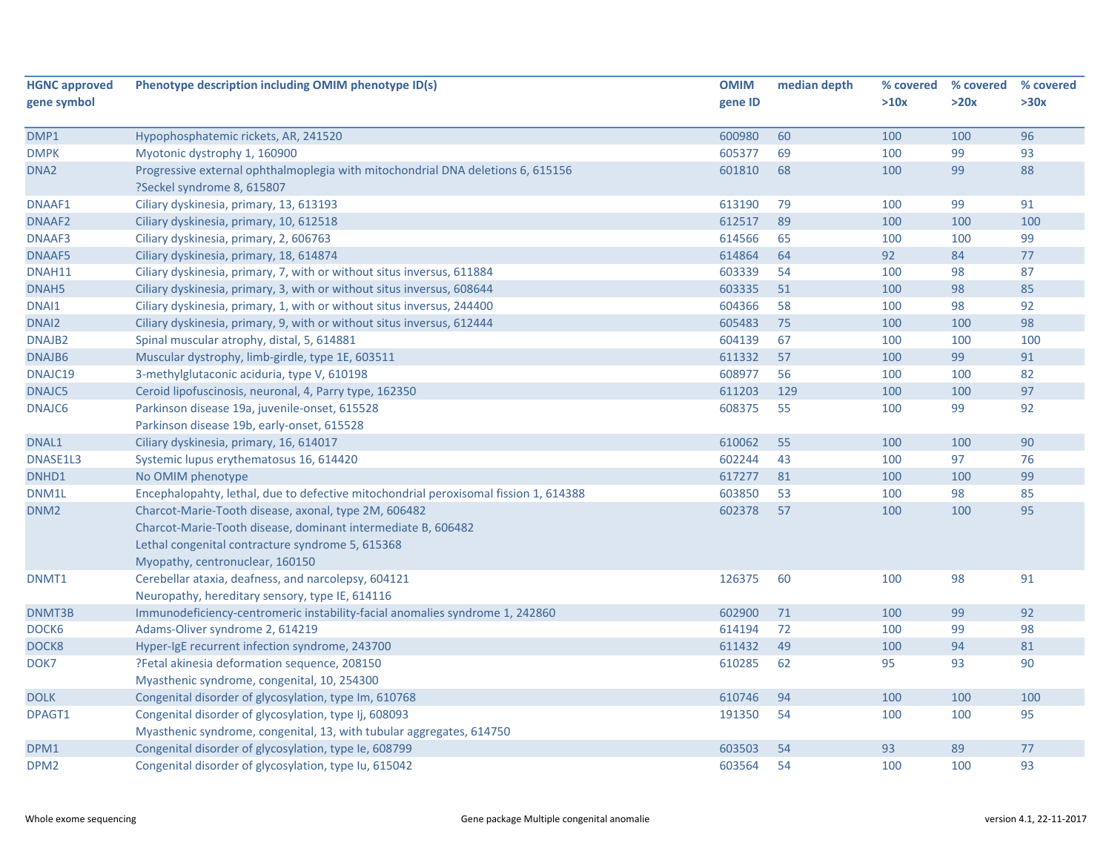| <b>HGNC approved</b> | Phenotype description including OMIM phenotype ID(s)                                 | <b>OMIM</b> | median depth | % covered | % covered | % covered |
|----------------------|--------------------------------------------------------------------------------------|-------------|--------------|-----------|-----------|-----------|
| gene symbol          |                                                                                      | gene ID     |              | >10x      | >20x      | >30x      |
|                      |                                                                                      |             |              |           |           |           |
| DMP1                 | Hypophosphatemic rickets, AR, 241520                                                 | 600980      | 60           | 100       | 100       | 96        |
| <b>DMPK</b>          | Myotonic dystrophy 1, 160900                                                         | 605377      | 69           | 100       | 99        | 93        |
| DNA <sub>2</sub>     | Progressive external ophthalmoplegia with mitochondrial DNA deletions 6, 615156      | 601810      | 68           | 100       | 99        | 88        |
|                      | ?Seckel syndrome 8, 615807                                                           |             |              |           |           |           |
| DNAAF1               | Ciliary dyskinesia, primary, 13, 613193                                              | 613190      | 79           | 100       | 99        | 91        |
| <b>DNAAF2</b>        | Ciliary dyskinesia, primary, 10, 612518                                              | 612517      | 89           | 100       | 100       | 100       |
| DNAAF3               | Ciliary dyskinesia, primary, 2, 606763                                               | 614566      | 65           | 100       | 100       | 99        |
| DNAAF5               | Ciliary dyskinesia, primary, 18, 614874                                              | 614864      | 64           | 92        | 84        | 77        |
| DNAH11               | Ciliary dyskinesia, primary, 7, with or without situs inversus, 611884               | 603339      | 54           | 100       | 98        | 87        |
| DNAH5                | Ciliary dyskinesia, primary, 3, with or without situs inversus, 608644               | 603335      | 51           | 100       | 98        | 85        |
| DNAI1                | Ciliary dyskinesia, primary, 1, with or without situs inversus, 244400               | 604366      | 58           | 100       | 98        | 92        |
| DNAI2                | Ciliary dyskinesia, primary, 9, with or without situs inversus, 612444               | 605483      | 75           | 100       | 100       | 98        |
| DNAJB <sub>2</sub>   | Spinal muscular atrophy, distal, 5, 614881                                           | 604139      | 67           | 100       | 100       | 100       |
| DNAJB6               | Muscular dystrophy, limb-girdle, type 1E, 603511                                     | 611332      | 57           | 100       | 99        | 91        |
| DNAJC19              | 3-methylglutaconic aciduria, type V, 610198                                          | 608977      | 56           | 100       | 100       | 82        |
| DNAJC5               | Ceroid lipofuscinosis, neuronal, 4, Parry type, 162350                               | 611203      | 129          | 100       | 100       | 97        |
| DNAJC6               | Parkinson disease 19a, juvenile-onset, 615528                                        | 608375      | 55           | 100       | 99        | 92        |
|                      | Parkinson disease 19b, early-onset, 615528                                           |             |              |           |           |           |
| DNAL1                | Ciliary dyskinesia, primary, 16, 614017                                              | 610062      | 55           | 100       | 100       | 90        |
| DNASE1L3             | Systemic lupus erythematosus 16, 614420                                              | 602244      | 43           | 100       | 97        | 76        |
| DNHD1                | No OMIM phenotype                                                                    | 617277      | 81           | 100       | 100       | 99        |
| DNM1L                | Encephalopahty, lethal, due to defective mitochondrial peroxisomal fission 1, 614388 | 603850      | 53           | 100       | 98        | 85        |
| DNM <sub>2</sub>     | Charcot-Marie-Tooth disease, axonal, type 2M, 606482                                 | 602378      | 57           | 100       | 100       | 95        |
|                      | Charcot-Marie-Tooth disease, dominant intermediate B, 606482                         |             |              |           |           |           |
|                      | Lethal congenital contracture syndrome 5, 615368                                     |             |              |           |           |           |
|                      | Myopathy, centronuclear, 160150                                                      |             |              |           |           |           |
| DNMT1                | Cerebellar ataxia, deafness, and narcolepsy, 604121                                  | 126375      | 60           | 100       | 98        | 91        |
|                      | Neuropathy, hereditary sensory, type IE, 614116                                      |             |              |           |           |           |
| DNMT3B               | Immunodeficiency-centromeric instability-facial anomalies syndrome 1, 242860         | 602900      | 71           | 100       | 99        | 92        |
| DOCK6                | Adams-Oliver syndrome 2, 614219                                                      | 614194      | 72           | 100       | 99        | 98        |
| DOCK8                | Hyper-IgE recurrent infection syndrome, 243700                                       | 611432      | 49           | 100       | 94        | 81        |
| DOK7                 | ?Fetal akinesia deformation sequence, 208150                                         | 610285      | 62           | 95        | 93        | 90        |
|                      | Myasthenic syndrome, congenital, 10, 254300                                          |             |              |           |           |           |
| <b>DOLK</b>          | Congenital disorder of glycosylation, type Im, 610768                                | 610746      | 94           | 100       | 100       | 100       |
| DPAGT1               | Congenital disorder of glycosylation, type Ij, 608093                                | 191350      | 54           | 100       | 100       | 95        |
|                      | Myasthenic syndrome, congenital, 13, with tubular aggregates, 614750                 |             |              |           |           |           |
| DPM1                 | Congenital disorder of glycosylation, type Ie, 608799                                | 603503      | 54           | 93        | 89        | 77        |
| DPM <sub>2</sub>     | Congenital disorder of glycosylation, type Iu, 615042                                | 603564      | 54           | 100       | 100       | 93        |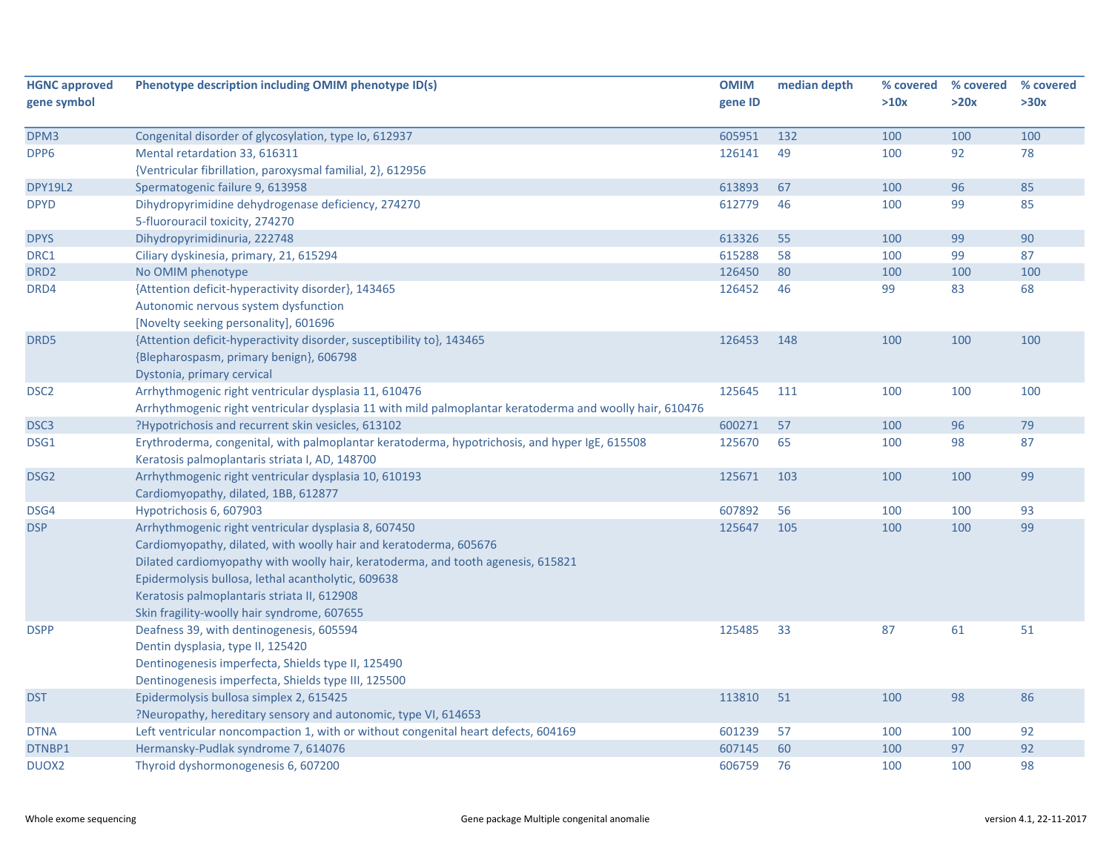| <b>HGNC approved</b> | Phenotype description including OMIM phenotype ID(s)                                                     | <b>OMIM</b> | median depth | % covered | % covered | % covered |
|----------------------|----------------------------------------------------------------------------------------------------------|-------------|--------------|-----------|-----------|-----------|
| gene symbol          |                                                                                                          | gene ID     |              | >10x      | >20x      | >30x      |
| DPM3                 | Congenital disorder of glycosylation, type Io, 612937                                                    | 605951      | 132          | 100       | 100       | 100       |
| DPP6                 | Mental retardation 33, 616311                                                                            | 126141      | 49           | 100       | 92        | 78        |
|                      | {Ventricular fibrillation, paroxysmal familial, 2}, 612956                                               |             |              |           |           |           |
| <b>DPY19L2</b>       | Spermatogenic failure 9, 613958                                                                          | 613893      | 67           | 100       | 96        | 85        |
| <b>DPYD</b>          | Dihydropyrimidine dehydrogenase deficiency, 274270                                                       | 612779      | 46           | 100       | 99        | 85        |
|                      | 5-fluorouracil toxicity, 274270                                                                          |             |              |           |           |           |
| <b>DPYS</b>          | Dihydropyrimidinuria, 222748                                                                             | 613326      | 55           | 100       | 99        | 90        |
| DRC1                 | Ciliary dyskinesia, primary, 21, 615294                                                                  | 615288      | 58           | 100       | 99        | 87        |
| DRD <sub>2</sub>     | No OMIM phenotype                                                                                        | 126450      | 80           | 100       | 100       | 100       |
| DRD4                 | {Attention deficit-hyperactivity disorder}, 143465                                                       | 126452      | 46           | 99        | 83        | 68        |
|                      | Autonomic nervous system dysfunction                                                                     |             |              |           |           |           |
|                      | [Novelty seeking personality], 601696                                                                    |             |              |           |           |           |
| DRD5                 | {Attention deficit-hyperactivity disorder, susceptibility to}, 143465                                    | 126453      | 148          | 100       | 100       | 100       |
|                      | {Blepharospasm, primary benign}, 606798                                                                  |             |              |           |           |           |
|                      | Dystonia, primary cervical                                                                               |             |              |           |           |           |
| DSC <sub>2</sub>     | Arrhythmogenic right ventricular dysplasia 11, 610476                                                    | 125645      | 111          | 100       | 100       | 100       |
|                      | Arrhythmogenic right ventricular dysplasia 11 with mild palmoplantar keratoderma and woolly hair, 610476 |             |              |           |           |           |
| DSC <sub>3</sub>     | ?Hypotrichosis and recurrent skin vesicles, 613102                                                       | 600271      | 57           | 100       | 96        | 79        |
| DSG1                 | Erythroderma, congenital, with palmoplantar keratoderma, hypotrichosis, and hyper IgE, 615508            | 125670      | 65           | 100       | 98        | 87        |
|                      | Keratosis palmoplantaris striata I, AD, 148700                                                           |             |              |           |           |           |
| DSG <sub>2</sub>     | Arrhythmogenic right ventricular dysplasia 10, 610193                                                    | 125671      | 103          | 100       | 100       | 99        |
|                      | Cardiomyopathy, dilated, 1BB, 612877                                                                     |             |              |           |           |           |
| DSG4                 | Hypotrichosis 6, 607903                                                                                  | 607892      | 56           | 100       | 100       | 93        |
| <b>DSP</b>           | Arrhythmogenic right ventricular dysplasia 8, 607450                                                     | 125647      | 105          | 100       | 100       | 99        |
|                      | Cardiomyopathy, dilated, with woolly hair and keratoderma, 605676                                        |             |              |           |           |           |
|                      | Dilated cardiomyopathy with woolly hair, keratoderma, and tooth agenesis, 615821                         |             |              |           |           |           |
|                      | Epidermolysis bullosa, lethal acantholytic, 609638                                                       |             |              |           |           |           |
|                      | Keratosis palmoplantaris striata II, 612908                                                              |             |              |           |           |           |
|                      | Skin fragility-woolly hair syndrome, 607655                                                              |             |              |           |           |           |
| <b>DSPP</b>          | Deafness 39, with dentinogenesis, 605594                                                                 | 125485      | 33           | 87        | 61        | 51        |
|                      | Dentin dysplasia, type II, 125420                                                                        |             |              |           |           |           |
|                      | Dentinogenesis imperfecta, Shields type II, 125490                                                       |             |              |           |           |           |
|                      | Dentinogenesis imperfecta, Shields type III, 125500                                                      |             |              |           |           |           |
| <b>DST</b>           | Epidermolysis bullosa simplex 2, 615425                                                                  | 113810      | 51           | 100       | 98        | 86        |
|                      | ?Neuropathy, hereditary sensory and autonomic, type VI, 614653                                           |             |              |           |           |           |
| <b>DTNA</b>          | Left ventricular noncompaction 1, with or without congenital heart defects, 604169                       | 601239      | 57           | 100       | 100       | 92        |
| DTNBP1               | Hermansky-Pudlak syndrome 7, 614076                                                                      | 607145      | 60           | 100       | 97        | 92        |
| DUOX <sub>2</sub>    | Thyroid dyshormonogenesis 6, 607200                                                                      | 606759      | 76           | 100       | 100       | 98        |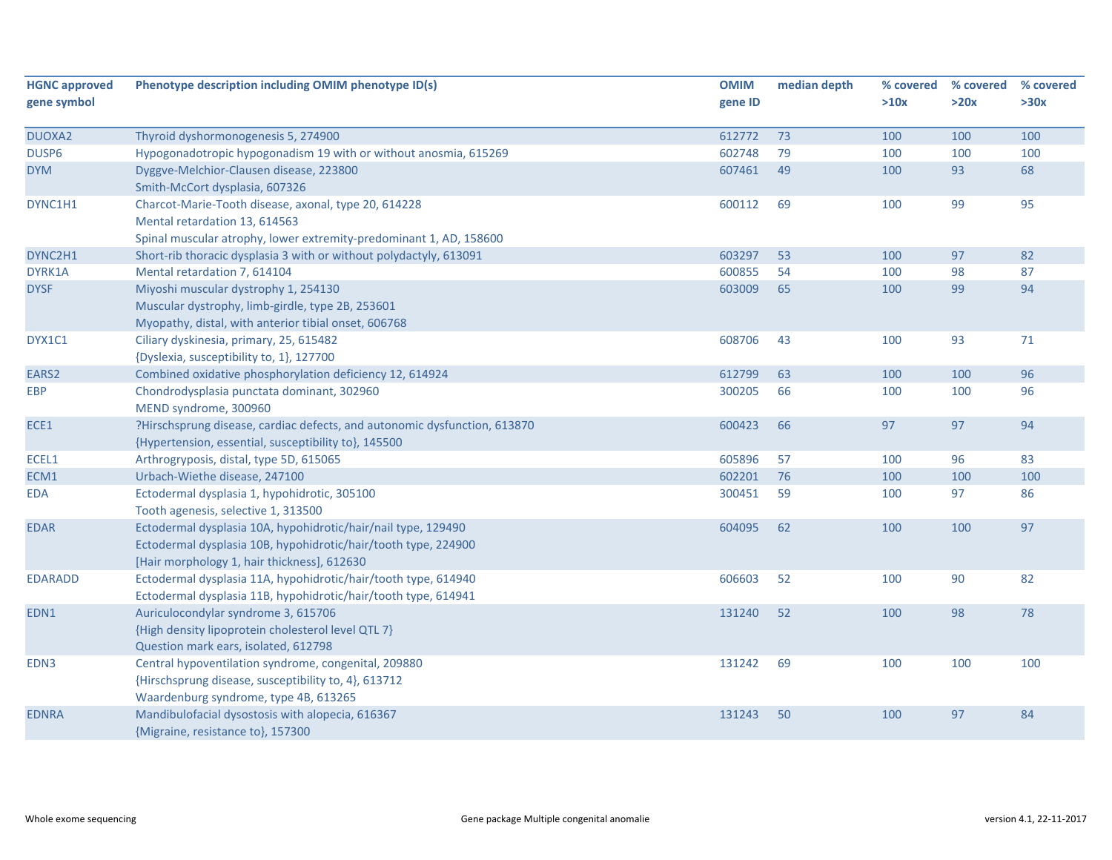| <b>HGNC approved</b><br>gene symbol | Phenotype description including OMIM phenotype ID(s)                      | <b>OMIM</b><br>gene ID | median depth | % covered<br>>10x | % covered<br>>20x | % covered<br>>30x |
|-------------------------------------|---------------------------------------------------------------------------|------------------------|--------------|-------------------|-------------------|-------------------|
|                                     |                                                                           |                        |              |                   |                   |                   |
| DUOXA2                              | Thyroid dyshormonogenesis 5, 274900                                       | 612772                 | 73           | 100               | 100               | 100               |
| DUSP6                               | Hypogonadotropic hypogonadism 19 with or without anosmia, 615269          | 602748                 | 79           | 100               | 100               | 100               |
| <b>DYM</b>                          | Dyggve-Melchior-Clausen disease, 223800                                   | 607461                 | 49           | 100               | 93                | 68                |
|                                     | Smith-McCort dysplasia, 607326                                            |                        |              |                   |                   |                   |
| DYNC1H1                             | Charcot-Marie-Tooth disease, axonal, type 20, 614228                      | 600112                 | 69           | 100               | 99                | 95                |
|                                     | Mental retardation 13, 614563                                             |                        |              |                   |                   |                   |
|                                     | Spinal muscular atrophy, lower extremity-predominant 1, AD, 158600        |                        |              |                   |                   |                   |
| DYNC2H1                             | Short-rib thoracic dysplasia 3 with or without polydactyly, 613091        | 603297                 | 53           | 100               | 97                | 82                |
| DYRK1A                              | Mental retardation 7, 614104                                              | 600855                 | 54           | 100               | 98                | 87                |
| <b>DYSF</b>                         | Miyoshi muscular dystrophy 1, 254130                                      | 603009                 | 65           | 100               | 99                | 94                |
|                                     | Muscular dystrophy, limb-girdle, type 2B, 253601                          |                        |              |                   |                   |                   |
|                                     | Myopathy, distal, with anterior tibial onset, 606768                      |                        |              |                   |                   |                   |
| DYX1C1                              | Ciliary dyskinesia, primary, 25, 615482                                   | 608706                 | 43           | 100               | 93                | 71                |
|                                     | {Dyslexia, susceptibility to, 1}, 127700                                  |                        |              |                   |                   |                   |
| EARS2                               | Combined oxidative phosphorylation deficiency 12, 614924                  | 612799                 | 63           | 100               | 100               | 96                |
| <b>EBP</b>                          | Chondrodysplasia punctata dominant, 302960                                | 300205                 | 66           | 100               | 100               | 96                |
|                                     | MEND syndrome, 300960                                                     |                        |              |                   |                   |                   |
| ECE1                                | ?Hirschsprung disease, cardiac defects, and autonomic dysfunction, 613870 | 600423                 | 66           | 97                | 97                | 94                |
|                                     | {Hypertension, essential, susceptibility to}, 145500                      |                        |              |                   |                   |                   |
| ECEL1                               | Arthrogryposis, distal, type 5D, 615065                                   | 605896                 | 57           | 100               | 96                | 83                |
| ECM1                                | Urbach-Wiethe disease, 247100                                             | 602201                 | 76           | 100               | 100               | 100               |
| <b>EDA</b>                          | Ectodermal dysplasia 1, hypohidrotic, 305100                              | 300451                 | 59           | 100               | 97                | 86                |
|                                     | Tooth agenesis, selective 1, 313500                                       |                        |              |                   |                   |                   |
| <b>EDAR</b>                         | Ectodermal dysplasia 10A, hypohidrotic/hair/nail type, 129490             | 604095                 | 62           | 100               | 100               | 97                |
|                                     | Ectodermal dysplasia 10B, hypohidrotic/hair/tooth type, 224900            |                        |              |                   |                   |                   |
|                                     | [Hair morphology 1, hair thickness], 612630                               |                        |              |                   |                   |                   |
| <b>EDARADD</b>                      | Ectodermal dysplasia 11A, hypohidrotic/hair/tooth type, 614940            | 606603                 | 52           | 100               | 90                | 82                |
|                                     | Ectodermal dysplasia 11B, hypohidrotic/hair/tooth type, 614941            |                        |              |                   |                   |                   |
| EDN1                                | Auriculocondylar syndrome 3, 615706                                       | 131240                 | 52           | 100               | 98                | 78                |
|                                     | {High density lipoprotein cholesterol level QTL 7}                        |                        |              |                   |                   |                   |
|                                     | Question mark ears, isolated, 612798                                      |                        |              |                   |                   |                   |
| EDN3                                | Central hypoventilation syndrome, congenital, 209880                      | 131242                 | 69           | 100               | 100               | 100               |
|                                     | {Hirschsprung disease, susceptibility to, 4}, 613712                      |                        |              |                   |                   |                   |
|                                     | Waardenburg syndrome, type 4B, 613265                                     |                        |              |                   |                   |                   |
| <b>EDNRA</b>                        | Mandibulofacial dysostosis with alopecia, 616367                          | 131243                 | 50           | 100               | 97                | 84                |
|                                     | {Migraine, resistance to}, 157300                                         |                        |              |                   |                   |                   |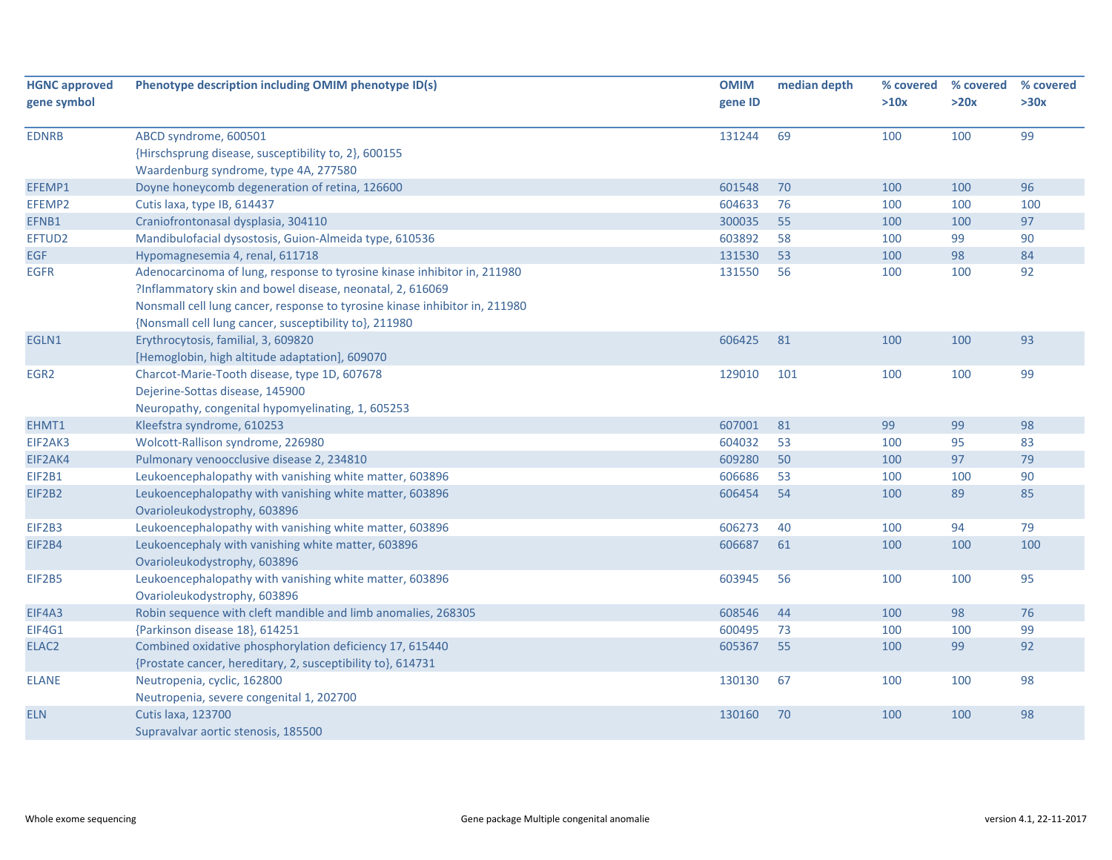| <b>HGNC approved</b> | Phenotype description including OMIM phenotype ID(s)                        | <b>OMIM</b> | median depth | % covered | % covered | % covered |
|----------------------|-----------------------------------------------------------------------------|-------------|--------------|-----------|-----------|-----------|
| gene symbol          |                                                                             | gene ID     |              | >10x      | >20x      | >30x      |
| <b>EDNRB</b>         | ABCD syndrome, 600501                                                       | 131244      | 69           | 100       | 100       | 99        |
|                      | {Hirschsprung disease, susceptibility to, 2}, 600155                        |             |              |           |           |           |
|                      | Waardenburg syndrome, type 4A, 277580                                       |             |              |           |           |           |
| EFEMP1               | Doyne honeycomb degeneration of retina, 126600                              | 601548      | 70           | 100       | 100       | 96        |
| EFEMP2               | Cutis laxa, type IB, 614437                                                 | 604633      | 76           | 100       | 100       | 100       |
| EFNB1                | Craniofrontonasal dysplasia, 304110                                         | 300035      | 55           | 100       | 100       | 97        |
| EFTUD2               | Mandibulofacial dysostosis, Guion-Almeida type, 610536                      | 603892      | 58           | 100       | 99        | 90        |
| <b>EGF</b>           | Hypomagnesemia 4, renal, 611718                                             | 131530      | 53           | 100       | 98        | 84        |
| <b>EGFR</b>          | Adenocarcinoma of lung, response to tyrosine kinase inhibitor in, 211980    | 131550      | 56           | 100       | 100       | 92        |
|                      | ?Inflammatory skin and bowel disease, neonatal, 2, 616069                   |             |              |           |           |           |
|                      | Nonsmall cell lung cancer, response to tyrosine kinase inhibitor in, 211980 |             |              |           |           |           |
|                      | {Nonsmall cell lung cancer, susceptibility to}, 211980                      |             |              |           |           |           |
| EGLN1                | Erythrocytosis, familial, 3, 609820                                         | 606425      | 81           | 100       | 100       | 93        |
|                      | [Hemoglobin, high altitude adaptation], 609070                              |             |              |           |           |           |
| EGR <sub>2</sub>     | Charcot-Marie-Tooth disease, type 1D, 607678                                | 129010      | 101          | 100       | 100       | 99        |
|                      | Dejerine-Sottas disease, 145900                                             |             |              |           |           |           |
|                      | Neuropathy, congenital hypomyelinating, 1, 605253                           |             |              |           |           |           |
| EHMT1                | Kleefstra syndrome, 610253                                                  | 607001      | 81           | 99        | 99        | 98        |
| EIF2AK3              | Wolcott-Rallison syndrome, 226980                                           | 604032      | 53           | 100       | 95        | 83        |
| EIF2AK4              | Pulmonary venoocclusive disease 2, 234810                                   | 609280      | 50           | 100       | 97        | 79        |
| EIF2B1               | Leukoencephalopathy with vanishing white matter, 603896                     | 606686      | 53           | 100       | 100       | 90        |
| EIF2B2               | Leukoencephalopathy with vanishing white matter, 603896                     | 606454      | 54           | 100       | 89        | 85        |
|                      | Ovarioleukodystrophy, 603896                                                |             |              |           |           |           |
| EIF2B3               | Leukoencephalopathy with vanishing white matter, 603896                     | 606273      | 40           | 100       | 94        | 79        |
| EIF2B4               | Leukoencephaly with vanishing white matter, 603896                          | 606687      | 61           | 100       | 100       | 100       |
|                      | Ovarioleukodystrophy, 603896                                                |             |              |           |           |           |
| <b>EIF2B5</b>        | Leukoencephalopathy with vanishing white matter, 603896                     | 603945      | 56           | 100       | 100       | 95        |
|                      | Ovarioleukodystrophy, 603896                                                |             |              |           |           |           |
| EIF4A3               | Robin sequence with cleft mandible and limb anomalies, 268305               | 608546      | 44           | 100       | 98        | 76        |
| EIF4G1               | {Parkinson disease 18}, 614251                                              | 600495      | 73           | 100       | 100       | 99        |
| ELAC <sub>2</sub>    | Combined oxidative phosphorylation deficiency 17, 615440                    | 605367      | 55           | 100       | 99        | 92        |
|                      | {Prostate cancer, hereditary, 2, susceptibility to}, 614731                 |             |              |           |           |           |
| <b>ELANE</b>         | Neutropenia, cyclic, 162800                                                 | 130130      | 67           | 100       | 100       | 98        |
|                      | Neutropenia, severe congenital 1, 202700                                    |             |              |           |           |           |
| <b>ELN</b>           | <b>Cutis laxa, 123700</b>                                                   | 130160      | 70           | 100       | 100       | 98        |
|                      | Supravalvar aortic stenosis, 185500                                         |             |              |           |           |           |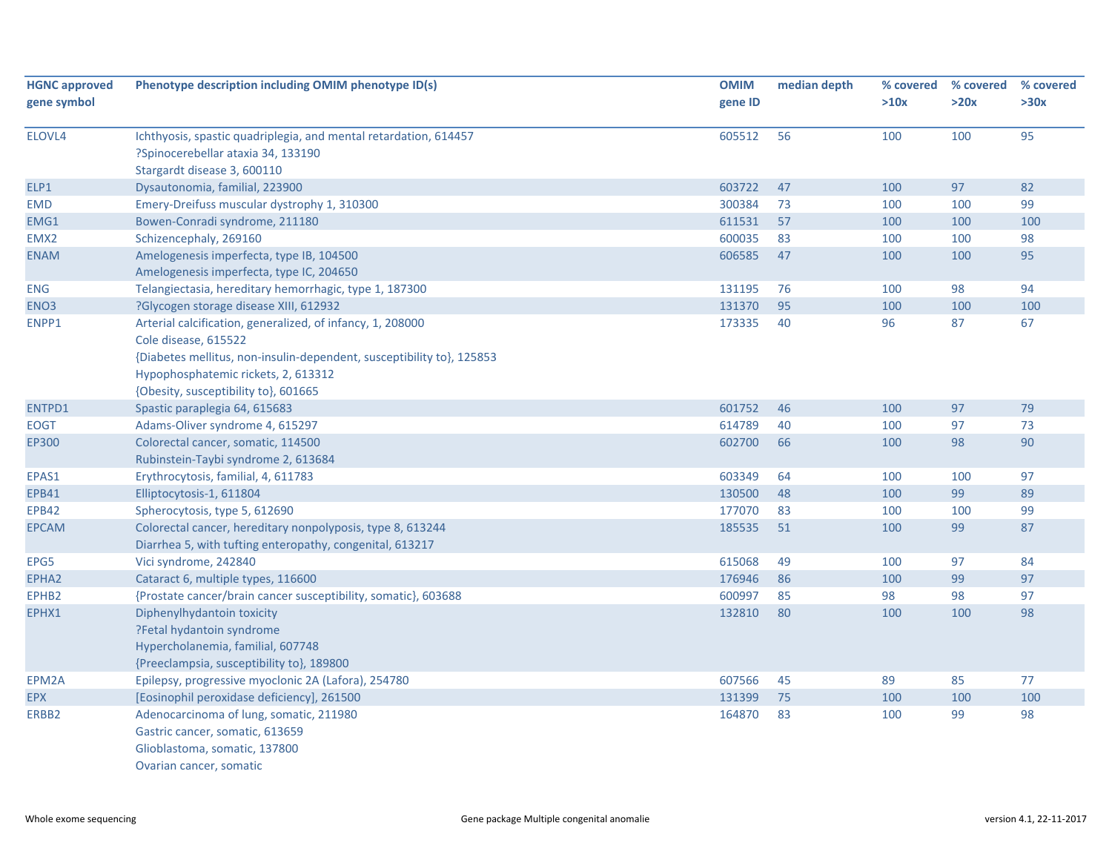| <b>HGNC approved</b> | Phenotype description including OMIM phenotype ID(s)                                                                                                                                                                                       | <b>OMIM</b> | median depth | % covered | % covered | % covered |
|----------------------|--------------------------------------------------------------------------------------------------------------------------------------------------------------------------------------------------------------------------------------------|-------------|--------------|-----------|-----------|-----------|
| gene symbol          |                                                                                                                                                                                                                                            | gene ID     |              | >10x      | >20x      | >30x      |
| ELOVL4               | Ichthyosis, spastic quadriplegia, and mental retardation, 614457<br>?Spinocerebellar ataxia 34, 133190<br>Stargardt disease 3, 600110                                                                                                      | 605512      | 56           | 100       | 100       | 95        |
| ELP1                 | Dysautonomia, familial, 223900                                                                                                                                                                                                             | 603722      | 47           | 100       | 97        | 82        |
| <b>EMD</b>           | Emery-Dreifuss muscular dystrophy 1, 310300                                                                                                                                                                                                | 300384      | 73           | 100       | 100       | 99        |
| EMG1                 | Bowen-Conradi syndrome, 211180                                                                                                                                                                                                             | 611531      | 57           | 100       | 100       | 100       |
| EMX <sub>2</sub>     | Schizencephaly, 269160                                                                                                                                                                                                                     | 600035      | 83           | 100       | 100       | 98        |
| <b>ENAM</b>          | Amelogenesis imperfecta, type IB, 104500<br>Amelogenesis imperfecta, type IC, 204650                                                                                                                                                       | 606585      | 47           | 100       | 100       | 95        |
| <b>ENG</b>           | Telangiectasia, hereditary hemorrhagic, type 1, 187300                                                                                                                                                                                     | 131195      | 76           | 100       | 98        | 94        |
| ENO3                 | ?Glycogen storage disease XIII, 612932                                                                                                                                                                                                     | 131370      | 95           | 100       | 100       | 100       |
| ENPP1                | Arterial calcification, generalized, of infancy, 1, 208000<br>Cole disease, 615522<br>{Diabetes mellitus, non-insulin-dependent, susceptibility to}, 125853<br>Hypophosphatemic rickets, 2, 613312<br>{Obesity, susceptibility to}, 601665 | 173335      | 40           | 96        | 87        | 67        |
| ENTPD1               | Spastic paraplegia 64, 615683                                                                                                                                                                                                              | 601752      | 46           | 100       | 97        | 79        |
| <b>EOGT</b>          | Adams-Oliver syndrome 4, 615297                                                                                                                                                                                                            | 614789      | 40           | 100       | 97        | 73        |
| EP300                | Colorectal cancer, somatic, 114500                                                                                                                                                                                                         | 602700      | 66           | 100       | 98        | 90        |
|                      | Rubinstein-Taybi syndrome 2, 613684                                                                                                                                                                                                        |             |              |           |           |           |
| EPAS1                | Erythrocytosis, familial, 4, 611783                                                                                                                                                                                                        | 603349      | 64           | 100       | 100       | 97        |
| <b>EPB41</b>         | Elliptocytosis-1, 611804                                                                                                                                                                                                                   | 130500      | 48           | 100       | 99        | 89        |
| <b>EPB42</b>         | Spherocytosis, type 5, 612690                                                                                                                                                                                                              | 177070      | 83           | 100       | 100       | 99        |
| <b>EPCAM</b>         | Colorectal cancer, hereditary nonpolyposis, type 8, 613244<br>Diarrhea 5, with tufting enteropathy, congenital, 613217                                                                                                                     | 185535      | 51           | 100       | 99        | 87        |
| EPG5                 | Vici syndrome, 242840                                                                                                                                                                                                                      | 615068      | 49           | 100       | 97        | 84        |
| EPHA2                | Cataract 6, multiple types, 116600                                                                                                                                                                                                         | 176946      | 86           | 100       | 99        | 97        |
| EPHB2                | {Prostate cancer/brain cancer susceptibility, somatic}, 603688                                                                                                                                                                             | 600997      | 85           | 98        | 98        | 97        |
| EPHX1                | Diphenylhydantoin toxicity<br>?Fetal hydantoin syndrome<br>Hypercholanemia, familial, 607748<br>{Preeclampsia, susceptibility to}, 189800                                                                                                  | 132810      | 80           | 100       | 100       | 98        |
| EPM2A                | Epilepsy, progressive myoclonic 2A (Lafora), 254780                                                                                                                                                                                        | 607566      | 45           | 89        | 85        | 77        |
| <b>EPX</b>           | [Eosinophil peroxidase deficiency], 261500                                                                                                                                                                                                 | 131399      | 75           | 100       | 100       | 100       |
| ERBB2                | Adenocarcinoma of lung, somatic, 211980<br>Gastric cancer, somatic, 613659<br>Glioblastoma, somatic, 137800<br>Ovarian cancer, somatic                                                                                                     | 164870      | 83           | 100       | 99        | 98        |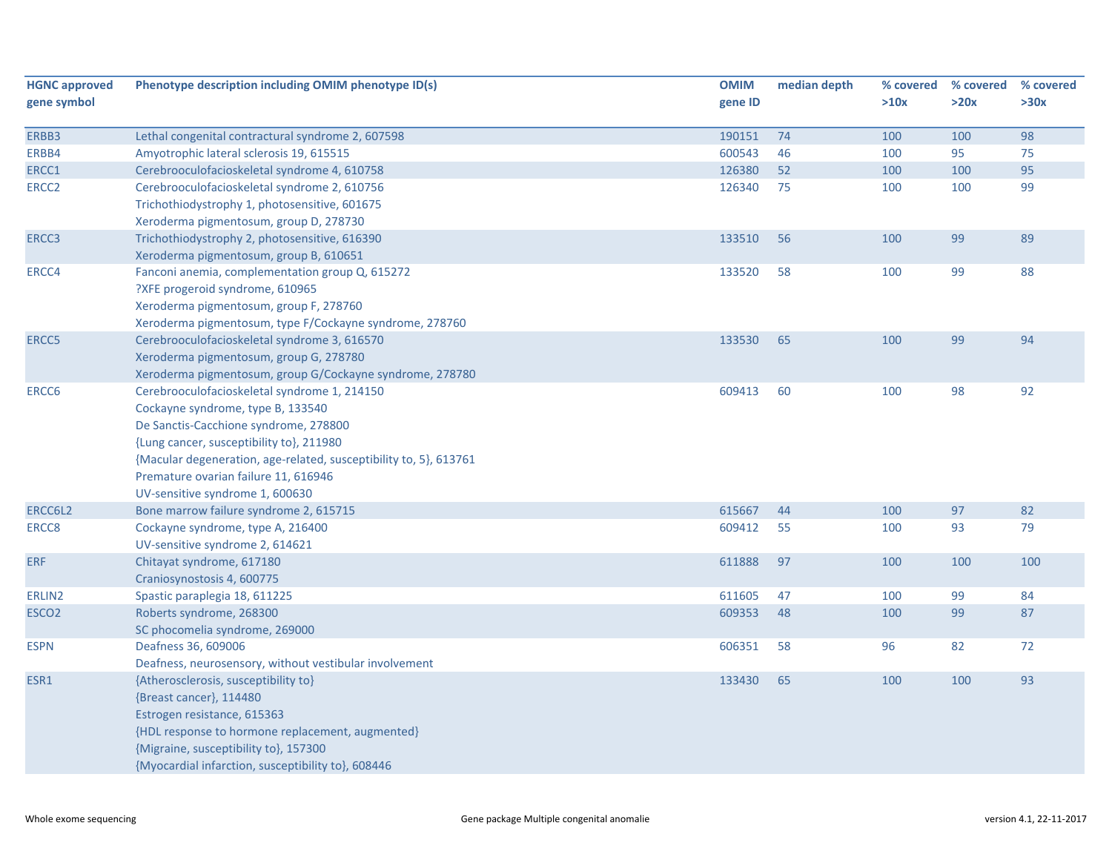| <b>HGNC approved</b> | Phenotype description including OMIM phenotype ID(s)              | <b>OMIM</b> | median depth | % covered | % covered | % covered |
|----------------------|-------------------------------------------------------------------|-------------|--------------|-----------|-----------|-----------|
| gene symbol          |                                                                   | gene ID     |              | >10x      | >20x      | >30x      |
| ERBB3                | Lethal congenital contractural syndrome 2, 607598                 | 190151      | 74           | 100       | 100       | 98        |
| ERBB4                | Amyotrophic lateral sclerosis 19, 615515                          | 600543      | 46           | 100       | 95        | 75        |
| ERCC1                | Cerebrooculofacioskeletal syndrome 4, 610758                      | 126380      | 52           | 100       | 100       | 95        |
| ERCC <sub>2</sub>    | Cerebrooculofacioskeletal syndrome 2, 610756                      | 126340      | 75           | 100       | 100       | 99        |
|                      | Trichothiodystrophy 1, photosensitive, 601675                     |             |              |           |           |           |
|                      | Xeroderma pigmentosum, group D, 278730                            |             |              |           |           |           |
| ERCC3                | Trichothiodystrophy 2, photosensitive, 616390                     | 133510      | 56           | 100       | 99        | 89        |
|                      | Xeroderma pigmentosum, group B, 610651                            |             |              |           |           |           |
| ERCC4                | Fanconi anemia, complementation group Q, 615272                   | 133520      | 58           | 100       | 99        | 88        |
|                      | ?XFE progeroid syndrome, 610965                                   |             |              |           |           |           |
|                      | Xeroderma pigmentosum, group F, 278760                            |             |              |           |           |           |
|                      | Xeroderma pigmentosum, type F/Cockayne syndrome, 278760           |             |              |           |           |           |
| ERCC5                | Cerebrooculofacioskeletal syndrome 3, 616570                      | 133530      | 65           | 100       | 99        | 94        |
|                      | Xeroderma pigmentosum, group G, 278780                            |             |              |           |           |           |
|                      | Xeroderma pigmentosum, group G/Cockayne syndrome, 278780          |             |              |           |           |           |
| ERCC6                | Cerebrooculofacioskeletal syndrome 1, 214150                      | 609413      | 60           | 100       | 98        | 92        |
|                      | Cockayne syndrome, type B, 133540                                 |             |              |           |           |           |
|                      | De Sanctis-Cacchione syndrome, 278800                             |             |              |           |           |           |
|                      | {Lung cancer, susceptibility to}, 211980                          |             |              |           |           |           |
|                      | {Macular degeneration, age-related, susceptibility to, 5}, 613761 |             |              |           |           |           |
|                      | Premature ovarian failure 11, 616946                              |             |              |           |           |           |
|                      | UV-sensitive syndrome 1, 600630                                   |             |              |           |           |           |
| ERCC6L2              | Bone marrow failure syndrome 2, 615715                            | 615667      | 44           | 100       | 97        | 82        |
| ERCC8                | Cockayne syndrome, type A, 216400                                 | 609412      | 55           | 100       | 93        | 79        |
|                      | UV-sensitive syndrome 2, 614621                                   |             |              |           |           |           |
| <b>ERF</b>           | Chitayat syndrome, 617180                                         | 611888      | 97           | 100       | 100       | 100       |
|                      | Craniosynostosis 4, 600775                                        |             |              |           |           |           |
| ERLIN2               | Spastic paraplegia 18, 611225                                     | 611605      | 47           | 100       | 99        | 84        |
| ESCO <sub>2</sub>    | Roberts syndrome, 268300                                          | 609353      | 48           | 100       | 99        | 87        |
|                      | SC phocomelia syndrome, 269000                                    |             |              |           |           |           |
| <b>ESPN</b>          | Deafness 36, 609006                                               | 606351      | 58           | 96        | 82        | 72        |
|                      | Deafness, neurosensory, without vestibular involvement            |             |              |           |           |           |
| ESR1                 | {Atherosclerosis, susceptibility to}                              | 133430      | 65           | 100       | 100       | 93        |
|                      | {Breast cancer}, 114480                                           |             |              |           |           |           |
|                      | Estrogen resistance, 615363                                       |             |              |           |           |           |
|                      | {HDL response to hormone replacement, augmented}                  |             |              |           |           |           |
|                      | {Migraine, susceptibility to}, 157300                             |             |              |           |           |           |
|                      | {Myocardial infarction, susceptibility to}, 608446                |             |              |           |           |           |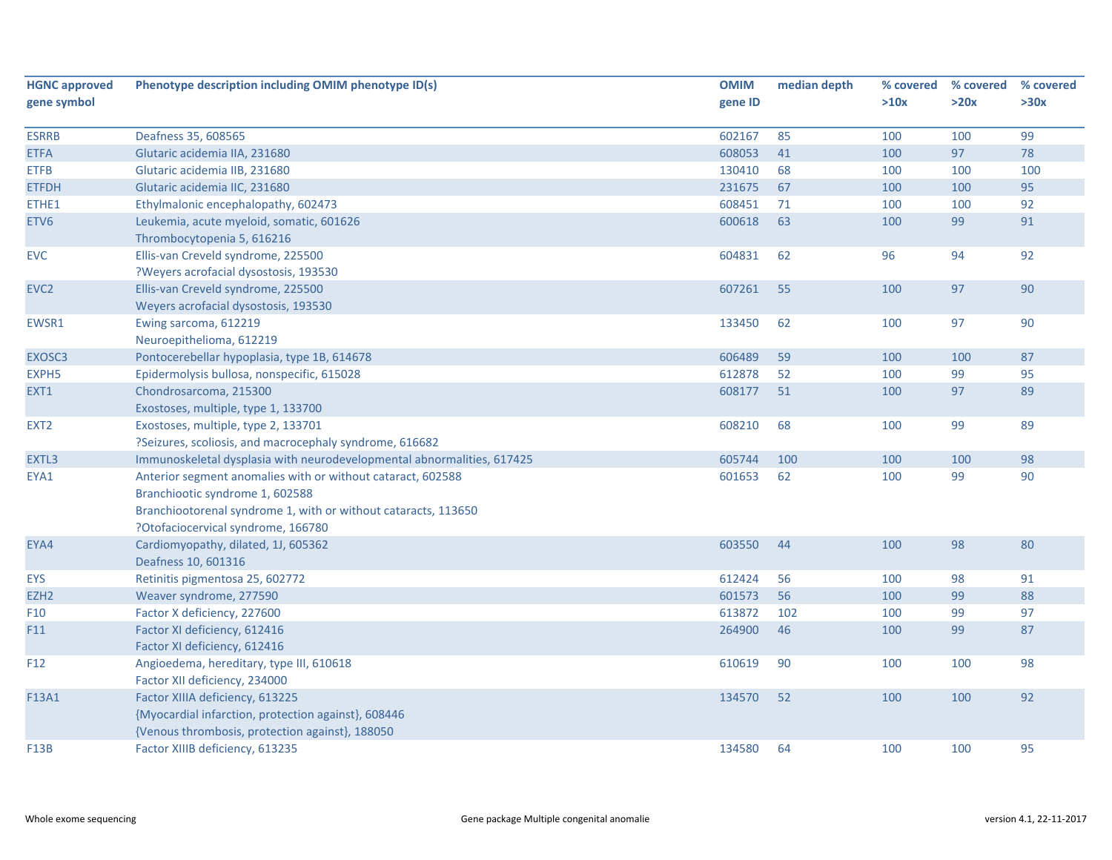| gene symbol<br>gene ID<br>>10x<br>>20x<br>>30x<br>85<br>99<br>Deafness 35, 608565<br>602167<br>100<br>100<br><b>ESRRB</b><br>41<br>97<br>78<br><b>ETFA</b><br>608053<br>100<br>Glutaric acidemia IIA, 231680<br>130410<br>100<br><b>ETFB</b><br>Glutaric acidemia IIB, 231680<br>68<br>100<br>100<br>95<br><b>ETFDH</b><br>Glutaric acidemia IIC, 231680<br>231675<br>67<br>100<br>100<br>608451<br>100<br>92<br>ETHE1<br>Ethylmalonic encephalopathy, 602473<br>71<br>100<br>99<br>91<br>Leukemia, acute myeloid, somatic, 601626<br>600618<br>63<br>ETV <sub>6</sub><br>100<br>Thrombocytopenia 5, 616216<br>92<br>Ellis-van Creveld syndrome, 225500<br>604831<br>62<br>96<br>94<br><b>EVC</b><br>?Weyers acrofacial dysostosis, 193530<br>607261<br>97<br>90<br>EVC <sub>2</sub><br>Ellis-van Creveld syndrome, 225500<br>55<br>100<br>Weyers acrofacial dysostosis, 193530<br>90<br>133450<br>62<br>97<br>EWSR1<br>Ewing sarcoma, 612219<br>100 | <b>HGNC approved</b> | Phenotype description including OMIM phenotype ID(s) | <b>OMIM</b> | median depth | % covered | % covered | % covered |
|------------------------------------------------------------------------------------------------------------------------------------------------------------------------------------------------------------------------------------------------------------------------------------------------------------------------------------------------------------------------------------------------------------------------------------------------------------------------------------------------------------------------------------------------------------------------------------------------------------------------------------------------------------------------------------------------------------------------------------------------------------------------------------------------------------------------------------------------------------------------------------------------------------------------------------------------------|----------------------|------------------------------------------------------|-------------|--------------|-----------|-----------|-----------|
|                                                                                                                                                                                                                                                                                                                                                                                                                                                                                                                                                                                                                                                                                                                                                                                                                                                                                                                                                      |                      |                                                      |             |              |           |           |           |
|                                                                                                                                                                                                                                                                                                                                                                                                                                                                                                                                                                                                                                                                                                                                                                                                                                                                                                                                                      |                      |                                                      |             |              |           |           |           |
|                                                                                                                                                                                                                                                                                                                                                                                                                                                                                                                                                                                                                                                                                                                                                                                                                                                                                                                                                      |                      |                                                      |             |              |           |           |           |
|                                                                                                                                                                                                                                                                                                                                                                                                                                                                                                                                                                                                                                                                                                                                                                                                                                                                                                                                                      |                      |                                                      |             |              |           |           |           |
|                                                                                                                                                                                                                                                                                                                                                                                                                                                                                                                                                                                                                                                                                                                                                                                                                                                                                                                                                      |                      |                                                      |             |              |           |           |           |
|                                                                                                                                                                                                                                                                                                                                                                                                                                                                                                                                                                                                                                                                                                                                                                                                                                                                                                                                                      |                      |                                                      |             |              |           |           |           |
|                                                                                                                                                                                                                                                                                                                                                                                                                                                                                                                                                                                                                                                                                                                                                                                                                                                                                                                                                      |                      |                                                      |             |              |           |           |           |
|                                                                                                                                                                                                                                                                                                                                                                                                                                                                                                                                                                                                                                                                                                                                                                                                                                                                                                                                                      |                      |                                                      |             |              |           |           |           |
|                                                                                                                                                                                                                                                                                                                                                                                                                                                                                                                                                                                                                                                                                                                                                                                                                                                                                                                                                      |                      |                                                      |             |              |           |           |           |
|                                                                                                                                                                                                                                                                                                                                                                                                                                                                                                                                                                                                                                                                                                                                                                                                                                                                                                                                                      |                      |                                                      |             |              |           |           |           |
|                                                                                                                                                                                                                                                                                                                                                                                                                                                                                                                                                                                                                                                                                                                                                                                                                                                                                                                                                      |                      |                                                      |             |              |           |           |           |
|                                                                                                                                                                                                                                                                                                                                                                                                                                                                                                                                                                                                                                                                                                                                                                                                                                                                                                                                                      |                      |                                                      |             |              |           |           |           |
|                                                                                                                                                                                                                                                                                                                                                                                                                                                                                                                                                                                                                                                                                                                                                                                                                                                                                                                                                      |                      |                                                      |             |              |           |           |           |
|                                                                                                                                                                                                                                                                                                                                                                                                                                                                                                                                                                                                                                                                                                                                                                                                                                                                                                                                                      |                      |                                                      |             |              |           |           |           |
| Neuroepithelioma, 612219                                                                                                                                                                                                                                                                                                                                                                                                                                                                                                                                                                                                                                                                                                                                                                                                                                                                                                                             |                      |                                                      |             |              |           |           |           |
| 87<br>Pontocerebellar hypoplasia, type 1B, 614678<br>59<br>100<br>EXOSC3<br>606489<br>100                                                                                                                                                                                                                                                                                                                                                                                                                                                                                                                                                                                                                                                                                                                                                                                                                                                            |                      |                                                      |             |              |           |           |           |
| 95<br>EXPH <sub>5</sub><br>Epidermolysis bullosa, nonspecific, 615028<br>612878<br>52<br>100<br>99                                                                                                                                                                                                                                                                                                                                                                                                                                                                                                                                                                                                                                                                                                                                                                                                                                                   |                      |                                                      |             |              |           |           |           |
| Chondrosarcoma, 215300<br>608177<br>51<br>97<br>89<br>EXT1<br>100                                                                                                                                                                                                                                                                                                                                                                                                                                                                                                                                                                                                                                                                                                                                                                                                                                                                                    |                      |                                                      |             |              |           |           |           |
| Exostoses, multiple, type 1, 133700                                                                                                                                                                                                                                                                                                                                                                                                                                                                                                                                                                                                                                                                                                                                                                                                                                                                                                                  |                      |                                                      |             |              |           |           |           |
| 608210<br>68<br>99<br>89<br>EXT <sub>2</sub><br>Exostoses, multiple, type 2, 133701<br>100                                                                                                                                                                                                                                                                                                                                                                                                                                                                                                                                                                                                                                                                                                                                                                                                                                                           |                      |                                                      |             |              |           |           |           |
| ?Seizures, scoliosis, and macrocephaly syndrome, 616682                                                                                                                                                                                                                                                                                                                                                                                                                                                                                                                                                                                                                                                                                                                                                                                                                                                                                              |                      |                                                      |             |              |           |           |           |
| Immunoskeletal dysplasia with neurodevelopmental abnormalities, 617425<br>100<br>100<br>98<br>EXTL3<br>605744<br>100                                                                                                                                                                                                                                                                                                                                                                                                                                                                                                                                                                                                                                                                                                                                                                                                                                 |                      |                                                      |             |              |           |           |           |
| 90<br>Anterior segment anomalies with or without cataract, 602588<br>601653<br>62<br>100<br>99<br>EYA1                                                                                                                                                                                                                                                                                                                                                                                                                                                                                                                                                                                                                                                                                                                                                                                                                                               |                      |                                                      |             |              |           |           |           |
| Branchiootic syndrome 1, 602588                                                                                                                                                                                                                                                                                                                                                                                                                                                                                                                                                                                                                                                                                                                                                                                                                                                                                                                      |                      |                                                      |             |              |           |           |           |
| Branchiootorenal syndrome 1, with or without cataracts, 113650                                                                                                                                                                                                                                                                                                                                                                                                                                                                                                                                                                                                                                                                                                                                                                                                                                                                                       |                      |                                                      |             |              |           |           |           |
| ?Otofaciocervical syndrome, 166780                                                                                                                                                                                                                                                                                                                                                                                                                                                                                                                                                                                                                                                                                                                                                                                                                                                                                                                   |                      |                                                      |             |              |           |           |           |
| 98<br>80<br>603550<br>44<br>100<br>EYA4<br>Cardiomyopathy, dilated, 1J, 605362                                                                                                                                                                                                                                                                                                                                                                                                                                                                                                                                                                                                                                                                                                                                                                                                                                                                       |                      |                                                      |             |              |           |           |           |
| Deafness 10, 601316                                                                                                                                                                                                                                                                                                                                                                                                                                                                                                                                                                                                                                                                                                                                                                                                                                                                                                                                  |                      |                                                      |             |              |           |           |           |
| 612424<br>56<br>100<br>98<br>91<br>EYS<br>Retinitis pigmentosa 25, 602772                                                                                                                                                                                                                                                                                                                                                                                                                                                                                                                                                                                                                                                                                                                                                                                                                                                                            |                      |                                                      |             |              |           |           |           |
| 601573<br>56<br>99<br>88<br>EZH <sub>2</sub><br>Weaver syndrome, 277590<br>100                                                                                                                                                                                                                                                                                                                                                                                                                                                                                                                                                                                                                                                                                                                                                                                                                                                                       |                      |                                                      |             |              |           |           |           |
| 102<br>99<br>97<br>Factor X deficiency, 227600<br>613872<br>100<br>F10                                                                                                                                                                                                                                                                                                                                                                                                                                                                                                                                                                                                                                                                                                                                                                                                                                                                               |                      |                                                      |             |              |           |           |           |
| Factor XI deficiency, 612416<br>46<br>87<br>F11<br>264900<br>100<br>99                                                                                                                                                                                                                                                                                                                                                                                                                                                                                                                                                                                                                                                                                                                                                                                                                                                                               |                      |                                                      |             |              |           |           |           |
| Factor XI deficiency, 612416                                                                                                                                                                                                                                                                                                                                                                                                                                                                                                                                                                                                                                                                                                                                                                                                                                                                                                                         |                      |                                                      |             |              |           |           |           |
| 90<br>98<br>Angioedema, hereditary, type III, 610618<br>610619<br>100<br>100<br>F12                                                                                                                                                                                                                                                                                                                                                                                                                                                                                                                                                                                                                                                                                                                                                                                                                                                                  |                      |                                                      |             |              |           |           |           |
| Factor XII deficiency, 234000                                                                                                                                                                                                                                                                                                                                                                                                                                                                                                                                                                                                                                                                                                                                                                                                                                                                                                                        |                      |                                                      |             |              |           |           |           |
| Factor XIIIA deficiency, 613225<br>134570<br>52<br>100<br>100<br>92<br>F13A1                                                                                                                                                                                                                                                                                                                                                                                                                                                                                                                                                                                                                                                                                                                                                                                                                                                                         |                      |                                                      |             |              |           |           |           |
| {Myocardial infarction, protection against}, 608446                                                                                                                                                                                                                                                                                                                                                                                                                                                                                                                                                                                                                                                                                                                                                                                                                                                                                                  |                      |                                                      |             |              |           |           |           |
| {Venous thrombosis, protection against}, 188050                                                                                                                                                                                                                                                                                                                                                                                                                                                                                                                                                                                                                                                                                                                                                                                                                                                                                                      |                      |                                                      |             |              |           |           |           |
| 134580<br>64<br>100<br>95<br><b>F13B</b><br>Factor XIIIB deficiency, 613235<br>100                                                                                                                                                                                                                                                                                                                                                                                                                                                                                                                                                                                                                                                                                                                                                                                                                                                                   |                      |                                                      |             |              |           |           |           |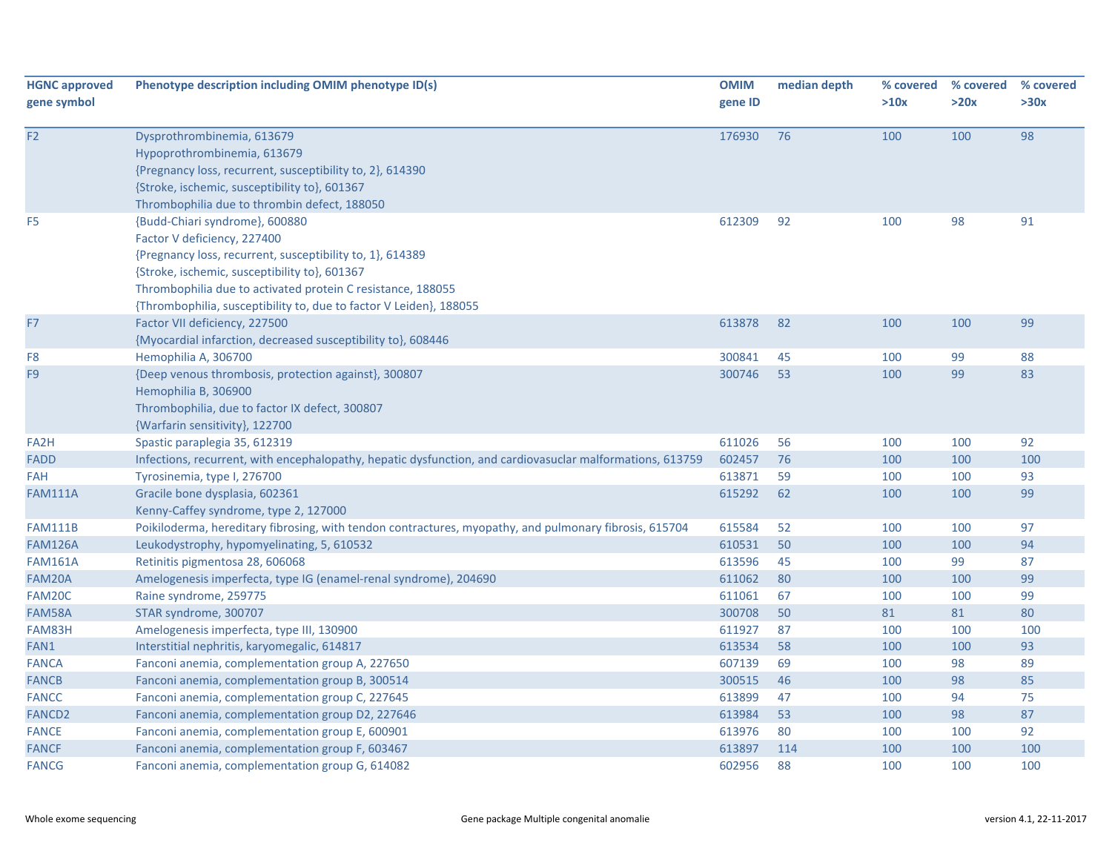| <b>HGNC approved</b><br>gene symbol | Phenotype description including OMIM phenotype ID(s)                                                                                                                                                                                                                                                             | <b>OMIM</b><br>gene ID | median depth | % covered<br>>10x | % covered<br>>20x | % covered<br>>30x |
|-------------------------------------|------------------------------------------------------------------------------------------------------------------------------------------------------------------------------------------------------------------------------------------------------------------------------------------------------------------|------------------------|--------------|-------------------|-------------------|-------------------|
| F <sub>2</sub>                      | Dysprothrombinemia, 613679<br>Hypoprothrombinemia, 613679<br>{Pregnancy loss, recurrent, susceptibility to, 2}, 614390<br>{Stroke, ischemic, susceptibility to}, 601367<br>Thrombophilia due to thrombin defect, 188050                                                                                          | 176930                 | 76           | 100               | 100               | 98                |
| F <sub>5</sub>                      | {Budd-Chiari syndrome}, 600880<br>Factor V deficiency, 227400<br>{Pregnancy loss, recurrent, susceptibility to, 1}, 614389<br>{Stroke, ischemic, susceptibility to}, 601367<br>Thrombophilia due to activated protein C resistance, 188055<br>{Thrombophilia, susceptibility to, due to factor V Leiden}, 188055 | 612309                 | 92           | 100               | 98                | 91                |
| F7                                  | Factor VII deficiency, 227500<br>{Myocardial infarction, decreased susceptibility to}, 608446                                                                                                                                                                                                                    | 613878                 | 82           | 100               | 100               | 99                |
| F8                                  | Hemophilia A, 306700                                                                                                                                                                                                                                                                                             | 300841                 | 45           | 100               | 99                | 88                |
| F <sub>9</sub>                      | {Deep venous thrombosis, protection against}, 300807<br>Hemophilia B, 306900<br>Thrombophilia, due to factor IX defect, 300807<br>{Warfarin sensitivity}, 122700                                                                                                                                                 | 300746                 | 53           | 100               | 99                | 83                |
| FA <sub>2</sub> H                   | Spastic paraplegia 35, 612319                                                                                                                                                                                                                                                                                    | 611026                 | 56           | 100               | 100               | 92                |
| <b>FADD</b>                         | Infections, recurrent, with encephalopathy, hepatic dysfunction, and cardiovasuclar malformations, 613759                                                                                                                                                                                                        | 602457                 | 76           | 100               | 100               | 100               |
| <b>FAH</b>                          | Tyrosinemia, type I, 276700                                                                                                                                                                                                                                                                                      | 613871                 | 59           | 100               | 100               | 93                |
| <b>FAM111A</b>                      | Gracile bone dysplasia, 602361<br>Kenny-Caffey syndrome, type 2, 127000                                                                                                                                                                                                                                          | 615292                 | 62           | 100               | 100               | 99                |
| <b>FAM111B</b>                      | Poikiloderma, hereditary fibrosing, with tendon contractures, myopathy, and pulmonary fibrosis, 615704                                                                                                                                                                                                           | 615584                 | 52           | 100               | 100               | 97                |
| <b>FAM126A</b>                      | Leukodystrophy, hypomyelinating, 5, 610532                                                                                                                                                                                                                                                                       | 610531                 | 50           | 100               | 100               | 94                |
| <b>FAM161A</b>                      | Retinitis pigmentosa 28, 606068                                                                                                                                                                                                                                                                                  | 613596                 | 45           | 100               | 99                | 87                |
| FAM20A                              | Amelogenesis imperfecta, type IG (enamel-renal syndrome), 204690                                                                                                                                                                                                                                                 | 611062                 | 80           | 100               | 100               | 99                |
| FAM20C                              | Raine syndrome, 259775                                                                                                                                                                                                                                                                                           | 611061                 | 67           | 100               | 100               | 99                |
| FAM58A                              | STAR syndrome, 300707                                                                                                                                                                                                                                                                                            | 300708                 | 50           | 81                | 81                | 80                |
| FAM83H                              | Amelogenesis imperfecta, type III, 130900                                                                                                                                                                                                                                                                        | 611927                 | 87           | 100               | 100               | 100               |
| FAN1                                | Interstitial nephritis, karyomegalic, 614817                                                                                                                                                                                                                                                                     | 613534                 | 58           | 100               | 100               | 93                |
| <b>FANCA</b>                        | Fanconi anemia, complementation group A, 227650                                                                                                                                                                                                                                                                  | 607139                 | 69           | 100               | 98                | 89                |
| <b>FANCB</b>                        | Fanconi anemia, complementation group B, 300514                                                                                                                                                                                                                                                                  | 300515                 | 46           | 100               | 98                | 85                |
| <b>FANCC</b>                        | Fanconi anemia, complementation group C, 227645                                                                                                                                                                                                                                                                  | 613899                 | 47           | 100               | 94                | 75                |
| <b>FANCD2</b>                       | Fanconi anemia, complementation group D2, 227646                                                                                                                                                                                                                                                                 | 613984                 | 53           | 100               | 98                | 87                |
| <b>FANCE</b>                        | Fanconi anemia, complementation group E, 600901                                                                                                                                                                                                                                                                  | 613976                 | 80           | 100               | 100               | 92                |
| <b>FANCF</b>                        | Fanconi anemia, complementation group F, 603467                                                                                                                                                                                                                                                                  | 613897                 | 114          | 100               | 100               | 100               |
| <b>FANCG</b>                        | Fanconi anemia, complementation group G, 614082                                                                                                                                                                                                                                                                  | 602956                 | 88           | 100               | 100               | 100               |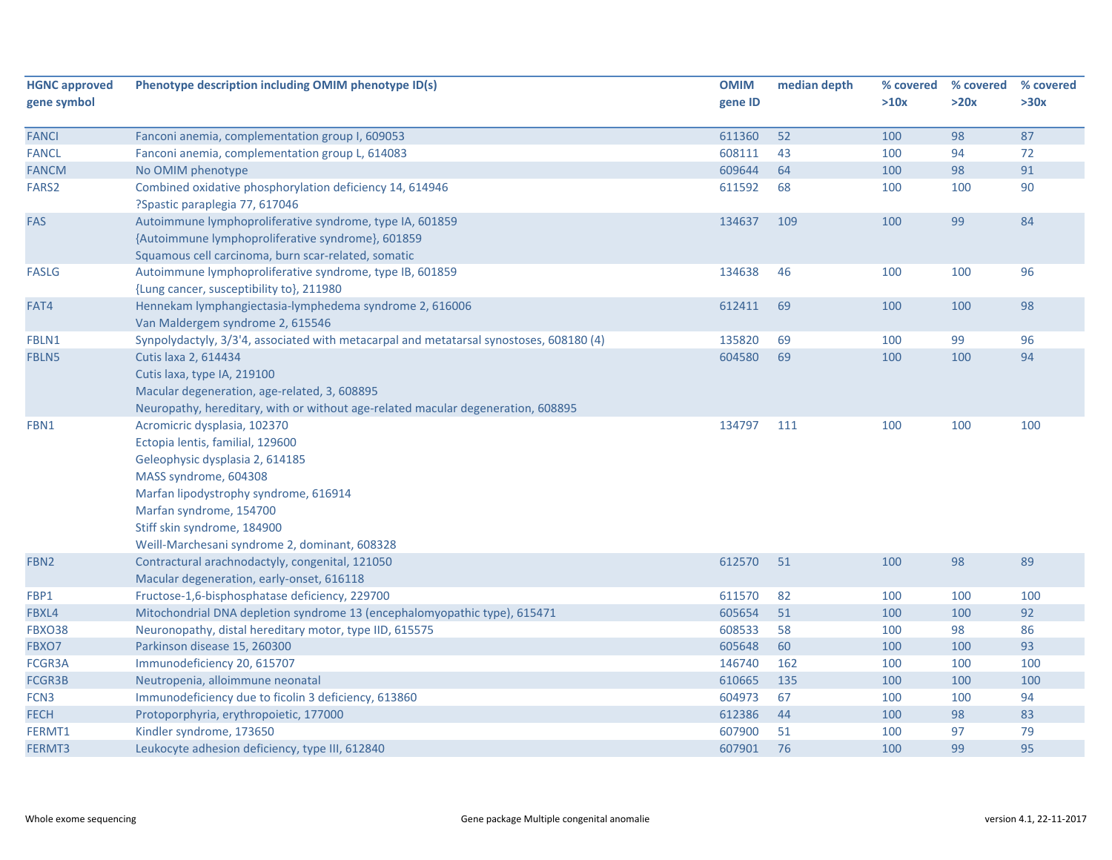| <b>HGNC approved</b> | Phenotype description including OMIM phenotype ID(s)                                    | <b>OMIM</b> | median depth | % covered | % covered | % covered |
|----------------------|-----------------------------------------------------------------------------------------|-------------|--------------|-----------|-----------|-----------|
| gene symbol          |                                                                                         | gene ID     |              | >10x      | >20x      | >30x      |
|                      |                                                                                         |             |              |           |           |           |
| <b>FANCI</b>         | Fanconi anemia, complementation group I, 609053                                         | 611360      | 52           | 100       | 98        | 87        |
| <b>FANCL</b>         | Fanconi anemia, complementation group L, 614083                                         | 608111      | 43           | 100       | 94        | 72        |
| <b>FANCM</b>         | No OMIM phenotype                                                                       | 609644      | 64           | 100       | 98        | 91        |
| FARS2                | Combined oxidative phosphorylation deficiency 14, 614946                                | 611592      | 68           | 100       | 100       | 90        |
|                      | ?Spastic paraplegia 77, 617046                                                          |             |              |           |           |           |
| FAS                  | Autoimmune lymphoproliferative syndrome, type IA, 601859                                | 134637      | 109          | 100       | 99        | 84        |
|                      | {Autoimmune lymphoproliferative syndrome}, 601859                                       |             |              |           |           |           |
|                      | Squamous cell carcinoma, burn scar-related, somatic                                     |             |              |           |           |           |
| <b>FASLG</b>         | Autoimmune lymphoproliferative syndrome, type IB, 601859                                | 134638      | 46           | 100       | 100       | 96        |
|                      | {Lung cancer, susceptibility to}, 211980                                                |             |              |           |           |           |
| FAT4                 | Hennekam lymphangiectasia-lymphedema syndrome 2, 616006                                 | 612411      | 69           | 100       | 100       | 98        |
|                      | Van Maldergem syndrome 2, 615546                                                        |             |              |           |           |           |
| FBLN1                | Synpolydactyly, 3/3'4, associated with metacarpal and metatarsal synostoses, 608180 (4) | 135820      | 69           | 100       | 99        | 96        |
| FBLN5                | Cutis laxa 2, 614434                                                                    | 604580      | 69           | 100       | 100       | 94        |
|                      | Cutis laxa, type IA, 219100                                                             |             |              |           |           |           |
|                      | Macular degeneration, age-related, 3, 608895                                            |             |              |           |           |           |
|                      | Neuropathy, hereditary, with or without age-related macular degeneration, 608895        |             |              |           |           |           |
| FBN1                 | Acromicric dysplasia, 102370                                                            | 134797      | 111          | 100       | 100       | 100       |
|                      | Ectopia lentis, familial, 129600                                                        |             |              |           |           |           |
|                      | Geleophysic dysplasia 2, 614185                                                         |             |              |           |           |           |
|                      | MASS syndrome, 604308                                                                   |             |              |           |           |           |
|                      | Marfan lipodystrophy syndrome, 616914                                                   |             |              |           |           |           |
|                      | Marfan syndrome, 154700                                                                 |             |              |           |           |           |
|                      | Stiff skin syndrome, 184900                                                             |             |              |           |           |           |
|                      | Weill-Marchesani syndrome 2, dominant, 608328                                           |             |              |           |           |           |
| FBN <sub>2</sub>     | Contractural arachnodactyly, congenital, 121050                                         | 612570      | 51           | 100       | 98        | 89        |
|                      | Macular degeneration, early-onset, 616118                                               |             |              |           |           |           |
| FBP1                 | Fructose-1,6-bisphosphatase deficiency, 229700                                          | 611570      | 82           | 100       | 100       | 100       |
| FBXL4                | Mitochondrial DNA depletion syndrome 13 (encephalomyopathic type), 615471               | 605654      | 51           | 100       | 100       | 92        |
| <b>FBXO38</b>        | Neuronopathy, distal hereditary motor, type IID, 615575                                 | 608533      | 58           | 100       | 98        | 86        |
| FBXO7                | Parkinson disease 15, 260300                                                            | 605648      | 60           | 100       | 100       | 93        |
| FCGR3A               | Immunodeficiency 20, 615707                                                             | 146740      | 162          | 100       | 100       | 100       |
| FCGR3B               | Neutropenia, alloimmune neonatal                                                        | 610665      | 135          | 100       | 100       | 100       |
| FCN <sub>3</sub>     | Immunodeficiency due to ficolin 3 deficiency, 613860                                    | 604973      | 67           | 100       | 100       | 94        |
| <b>FECH</b>          | Protoporphyria, erythropoietic, 177000                                                  | 612386      | 44           | 100       | 98        | 83        |
| FERMT1               | Kindler syndrome, 173650                                                                | 607900      | 51           | 100       | 97        | 79        |
| FERMT3               | Leukocyte adhesion deficiency, type III, 612840                                         | 607901      | 76           | 100       | 99        | 95        |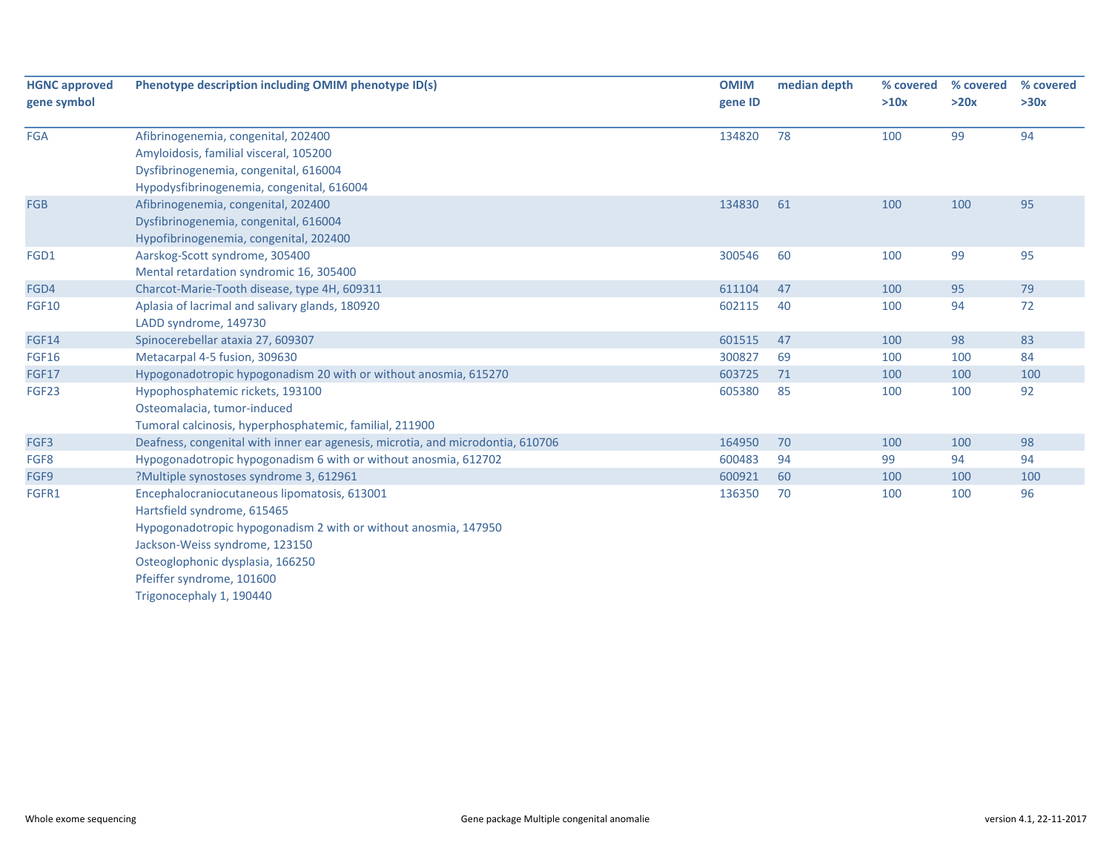| <b>HGNC approved</b><br>gene symbol | Phenotype description including OMIM phenotype ID(s)                                                                                                                                                                                                                          | <b>OMIM</b><br>gene ID | median depth | % covered<br>>10x | % covered<br>>20x | % covered<br>>30x |
|-------------------------------------|-------------------------------------------------------------------------------------------------------------------------------------------------------------------------------------------------------------------------------------------------------------------------------|------------------------|--------------|-------------------|-------------------|-------------------|
| <b>FGA</b>                          | Afibrinogenemia, congenital, 202400<br>Amyloidosis, familial visceral, 105200<br>Dysfibrinogenemia, congenital, 616004<br>Hypodysfibrinogenemia, congenital, 616004                                                                                                           | 134820                 | 78           | 100               | 99                | 94                |
| <b>FGB</b>                          | Afibrinogenemia, congenital, 202400<br>Dysfibrinogenemia, congenital, 616004<br>Hypofibrinogenemia, congenital, 202400                                                                                                                                                        | 134830                 | 61           | 100               | 100               | 95                |
| FGD1                                | Aarskog-Scott syndrome, 305400<br>Mental retardation syndromic 16, 305400                                                                                                                                                                                                     | 300546                 | 60           | 100               | 99                | 95                |
| FGD4                                | Charcot-Marie-Tooth disease, type 4H, 609311                                                                                                                                                                                                                                  | 611104                 | 47           | 100               | 95                | 79                |
| <b>FGF10</b>                        | Aplasia of lacrimal and salivary glands, 180920<br>LADD syndrome, 149730                                                                                                                                                                                                      | 602115                 | 40           | 100               | 94                | 72                |
| <b>FGF14</b>                        | Spinocerebellar ataxia 27, 609307                                                                                                                                                                                                                                             | 601515                 | 47           | 100               | 98                | 83                |
| <b>FGF16</b>                        | Metacarpal 4-5 fusion, 309630                                                                                                                                                                                                                                                 | 300827                 | 69           | 100               | 100               | 84                |
| <b>FGF17</b>                        | Hypogonadotropic hypogonadism 20 with or without anosmia, 615270                                                                                                                                                                                                              | 603725                 | 71           | 100               | 100               | 100               |
| FGF23                               | Hypophosphatemic rickets, 193100<br>Osteomalacia, tumor-induced<br>Tumoral calcinosis, hyperphosphatemic, familial, 211900                                                                                                                                                    | 605380                 | 85           | 100               | 100               | 92                |
| FGF3                                | Deafness, congenital with inner ear agenesis, microtia, and microdontia, 610706                                                                                                                                                                                               | 164950                 | 70           | 100               | 100               | 98                |
| FGF8                                | Hypogonadotropic hypogonadism 6 with or without anosmia, 612702                                                                                                                                                                                                               | 600483                 | 94           | 99                | 94                | 94                |
| FGF9                                | ?Multiple synostoses syndrome 3, 612961                                                                                                                                                                                                                                       | 600921                 | 60           | 100               | 100               | 100               |
| FGFR1                               | Encephalocraniocutaneous lipomatosis, 613001<br>Hartsfield syndrome, 615465<br>Hypogonadotropic hypogonadism 2 with or without anosmia, 147950<br>Jackson-Weiss syndrome, 123150<br>Osteoglophonic dysplasia, 166250<br>Pfeiffer syndrome, 101600<br>Trigonocephaly 1, 190440 | 136350                 | 70           | 100               | 100               | 96                |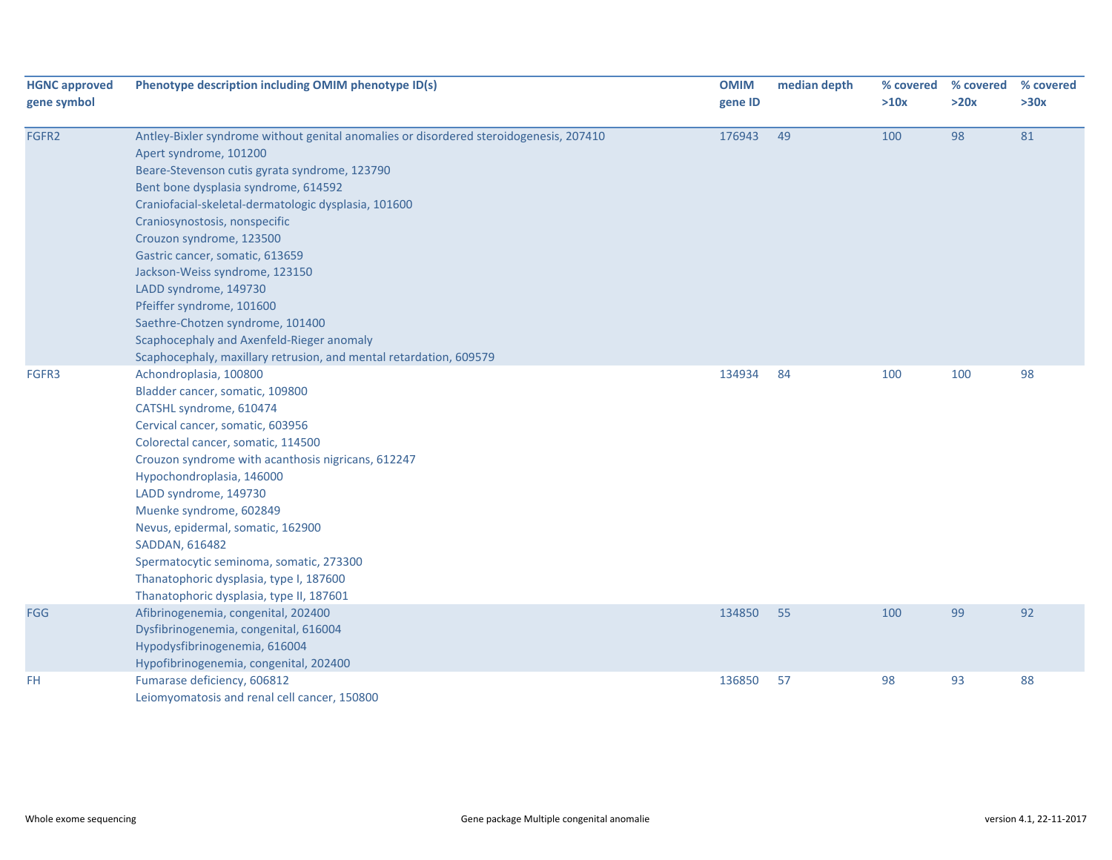| <b>HGNC approved</b><br>gene symbol | Phenotype description including OMIM phenotype ID(s)                                   | <b>OMIM</b><br>gene ID | median depth | % covered<br>>10x | % covered<br>>20x | % covered<br>>30x |
|-------------------------------------|----------------------------------------------------------------------------------------|------------------------|--------------|-------------------|-------------------|-------------------|
| FGFR2                               | Antley-Bixler syndrome without genital anomalies or disordered steroidogenesis, 207410 | 176943                 | 49           | 100               | 98                | 81                |
|                                     | Apert syndrome, 101200                                                                 |                        |              |                   |                   |                   |
|                                     | Beare-Stevenson cutis gyrata syndrome, 123790                                          |                        |              |                   |                   |                   |
|                                     | Bent bone dysplasia syndrome, 614592                                                   |                        |              |                   |                   |                   |
|                                     | Craniofacial-skeletal-dermatologic dysplasia, 101600                                   |                        |              |                   |                   |                   |
|                                     | Craniosynostosis, nonspecific                                                          |                        |              |                   |                   |                   |
|                                     | Crouzon syndrome, 123500                                                               |                        |              |                   |                   |                   |
|                                     | Gastric cancer, somatic, 613659                                                        |                        |              |                   |                   |                   |
|                                     | Jackson-Weiss syndrome, 123150                                                         |                        |              |                   |                   |                   |
|                                     | LADD syndrome, 149730                                                                  |                        |              |                   |                   |                   |
|                                     | Pfeiffer syndrome, 101600                                                              |                        |              |                   |                   |                   |
|                                     | Saethre-Chotzen syndrome, 101400                                                       |                        |              |                   |                   |                   |
|                                     | Scaphocephaly and Axenfeld-Rieger anomaly                                              |                        |              |                   |                   |                   |
|                                     | Scaphocephaly, maxillary retrusion, and mental retardation, 609579                     |                        |              |                   |                   |                   |
| FGFR3                               | Achondroplasia, 100800                                                                 | 134934                 | 84           | 100               | 100               | 98                |
|                                     | Bladder cancer, somatic, 109800                                                        |                        |              |                   |                   |                   |
|                                     | CATSHL syndrome, 610474                                                                |                        |              |                   |                   |                   |
|                                     | Cervical cancer, somatic, 603956                                                       |                        |              |                   |                   |                   |
|                                     | Colorectal cancer, somatic, 114500                                                     |                        |              |                   |                   |                   |
|                                     | Crouzon syndrome with acanthosis nigricans, 612247                                     |                        |              |                   |                   |                   |
|                                     | Hypochondroplasia, 146000                                                              |                        |              |                   |                   |                   |
|                                     | LADD syndrome, 149730                                                                  |                        |              |                   |                   |                   |
|                                     | Muenke syndrome, 602849                                                                |                        |              |                   |                   |                   |
|                                     | Nevus, epidermal, somatic, 162900                                                      |                        |              |                   |                   |                   |
|                                     | SADDAN, 616482                                                                         |                        |              |                   |                   |                   |
|                                     | Spermatocytic seminoma, somatic, 273300                                                |                        |              |                   |                   |                   |
|                                     | Thanatophoric dysplasia, type I, 187600                                                |                        |              |                   |                   |                   |
|                                     | Thanatophoric dysplasia, type II, 187601                                               |                        |              |                   |                   |                   |
| <b>FGG</b>                          | Afibrinogenemia, congenital, 202400                                                    | 134850                 | 55           | 100               | 99                | 92                |
|                                     | Dysfibrinogenemia, congenital, 616004                                                  |                        |              |                   |                   |                   |
|                                     | Hypodysfibrinogenemia, 616004                                                          |                        |              |                   |                   |                   |
|                                     | Hypofibrinogenemia, congenital, 202400                                                 |                        |              |                   |                   |                   |
| FH                                  | Fumarase deficiency, 606812                                                            | 136850                 | 57           | 98                | 93                | 88                |
|                                     | Leiomyomatosis and renal cell cancer, 150800                                           |                        |              |                   |                   |                   |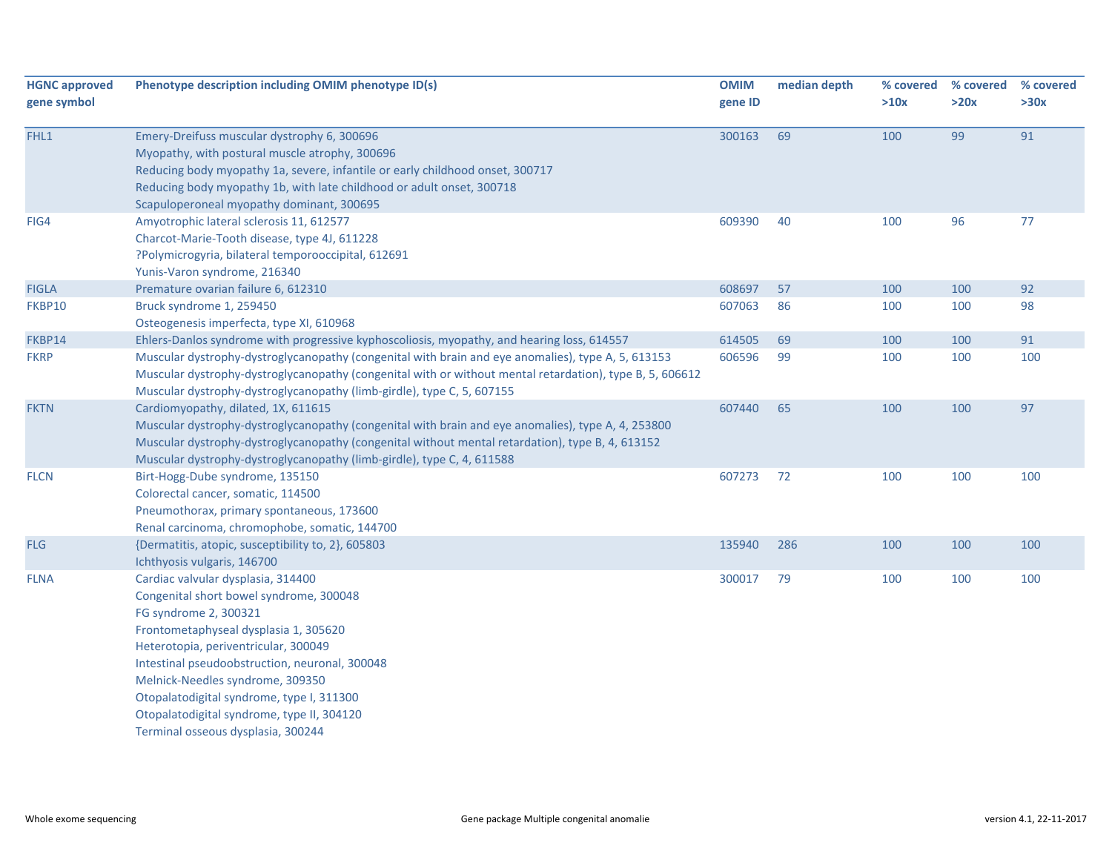| <b>HGNC approved</b><br>gene symbol | Phenotype description including OMIM phenotype ID(s)                                                                                                                                                                                                                                                                                                                     | <b>OMIM</b><br>gene ID | median depth | % covered<br>>10x | % covered<br>>20x | % covered<br>>30x |
|-------------------------------------|--------------------------------------------------------------------------------------------------------------------------------------------------------------------------------------------------------------------------------------------------------------------------------------------------------------------------------------------------------------------------|------------------------|--------------|-------------------|-------------------|-------------------|
| FHL1                                | Emery-Dreifuss muscular dystrophy 6, 300696<br>Myopathy, with postural muscle atrophy, 300696<br>Reducing body myopathy 1a, severe, infantile or early childhood onset, 300717<br>Reducing body myopathy 1b, with late childhood or adult onset, 300718<br>Scapuloperoneal myopathy dominant, 300695                                                                     | 300163                 | 69           | 100               | 99                | 91                |
| FIG4                                | Amyotrophic lateral sclerosis 11, 612577<br>Charcot-Marie-Tooth disease, type 4J, 611228<br>?Polymicrogyria, bilateral temporooccipital, 612691<br>Yunis-Varon syndrome, 216340                                                                                                                                                                                          | 609390                 | 40           | 100               | 96                | 77                |
| <b>FIGLA</b>                        | Premature ovarian failure 6, 612310                                                                                                                                                                                                                                                                                                                                      | 608697                 | 57           | 100               | 100               | 92                |
| FKBP10                              | Bruck syndrome 1, 259450<br>Osteogenesis imperfecta, type XI, 610968                                                                                                                                                                                                                                                                                                     | 607063                 | 86           | 100               | 100               | 98                |
| FKBP14                              | Ehlers-Danlos syndrome with progressive kyphoscoliosis, myopathy, and hearing loss, 614557                                                                                                                                                                                                                                                                               | 614505                 | 69           | 100               | 100               | 91                |
| <b>FKRP</b>                         | Muscular dystrophy-dystroglycanopathy (congenital with brain and eye anomalies), type A, 5, 613153<br>Muscular dystrophy-dystroglycanopathy (congenital with or without mental retardation), type B, 5, 606612<br>Muscular dystrophy-dystroglycanopathy (limb-girdle), type C, 5, 607155                                                                                 | 606596                 | 99           | 100               | 100               | 100               |
| <b>FKTN</b>                         | Cardiomyopathy, dilated, 1X, 611615<br>Muscular dystrophy-dystroglycanopathy (congenital with brain and eye anomalies), type A, 4, 253800<br>Muscular dystrophy-dystroglycanopathy (congenital without mental retardation), type B, 4, 613152<br>Muscular dystrophy-dystroglycanopathy (limb-girdle), type C, 4, 611588                                                  | 607440                 | 65           | 100               | 100               | 97                |
| <b>FLCN</b>                         | Birt-Hogg-Dube syndrome, 135150<br>Colorectal cancer, somatic, 114500<br>Pneumothorax, primary spontaneous, 173600<br>Renal carcinoma, chromophobe, somatic, 144700                                                                                                                                                                                                      | 607273                 | 72           | 100               | 100               | 100               |
| <b>FLG</b>                          | {Dermatitis, atopic, susceptibility to, 2}, 605803<br>Ichthyosis vulgaris, 146700                                                                                                                                                                                                                                                                                        | 135940                 | 286          | 100               | 100               | 100               |
| <b>FLNA</b>                         | Cardiac valvular dysplasia, 314400<br>Congenital short bowel syndrome, 300048<br>FG syndrome 2, 300321<br>Frontometaphyseal dysplasia 1, 305620<br>Heterotopia, periventricular, 300049<br>Intestinal pseudoobstruction, neuronal, 300048<br>Melnick-Needles syndrome, 309350<br>Otopalatodigital syndrome, type I, 311300<br>Otopalatodigital syndrome, type II, 304120 | 300017                 | 79           | 100               | 100               | 100               |
|                                     | Terminal osseous dysplasia, 300244                                                                                                                                                                                                                                                                                                                                       |                        |              |                   |                   |                   |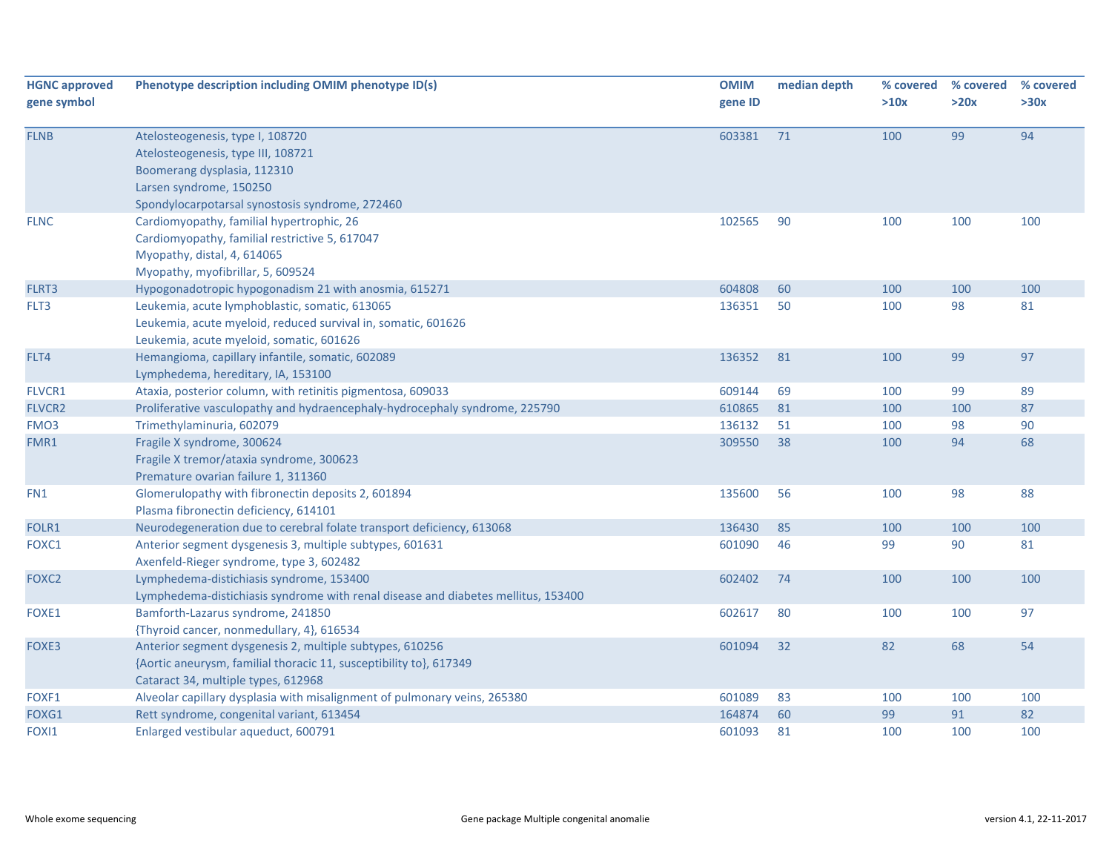| <b>HGNC approved</b> | Phenotype description including OMIM phenotype ID(s)                              | <b>OMIM</b> | median depth | % covered | % covered | % covered |
|----------------------|-----------------------------------------------------------------------------------|-------------|--------------|-----------|-----------|-----------|
| gene symbol          |                                                                                   | gene ID     |              | >10x      | >20x      | >30x      |
| <b>FLNB</b>          | Atelosteogenesis, type I, 108720                                                  | 603381      | 71           | 100       | 99        | 94        |
|                      | Atelosteogenesis, type III, 108721                                                |             |              |           |           |           |
|                      | Boomerang dysplasia, 112310                                                       |             |              |           |           |           |
|                      | Larsen syndrome, 150250                                                           |             |              |           |           |           |
|                      | Spondylocarpotarsal synostosis syndrome, 272460                                   |             |              |           |           |           |
| <b>FLNC</b>          | Cardiomyopathy, familial hypertrophic, 26                                         | 102565      | 90           | 100       | 100       | 100       |
|                      | Cardiomyopathy, familial restrictive 5, 617047                                    |             |              |           |           |           |
|                      | Myopathy, distal, 4, 614065                                                       |             |              |           |           |           |
|                      | Myopathy, myofibrillar, 5, 609524                                                 |             |              |           |           |           |
| FLRT3                | Hypogonadotropic hypogonadism 21 with anosmia, 615271                             | 604808      | 60           | 100       | 100       | 100       |
| FLT3                 | Leukemia, acute lymphoblastic, somatic, 613065                                    | 136351      | 50           | 100       | 98        | 81        |
|                      | Leukemia, acute myeloid, reduced survival in, somatic, 601626                     |             |              |           |           |           |
|                      | Leukemia, acute myeloid, somatic, 601626                                          |             |              |           |           |           |
| FLT4                 | Hemangioma, capillary infantile, somatic, 602089                                  | 136352      | 81           | 100       | 99        | 97        |
|                      | Lymphedema, hereditary, IA, 153100                                                |             |              |           |           |           |
| FLVCR1               | Ataxia, posterior column, with retinitis pigmentosa, 609033                       | 609144      | 69           | 100       | 99        | 89        |
| <b>FLVCR2</b>        | Proliferative vasculopathy and hydraencephaly-hydrocephaly syndrome, 225790       | 610865      | 81           | 100       | 100       | 87        |
| FMO <sub>3</sub>     | Trimethylaminuria, 602079                                                         | 136132      | 51           | 100       | 98        | 90        |
| FMR1                 | Fragile X syndrome, 300624                                                        | 309550      | 38           | 100       | 94        | 68        |
|                      | Fragile X tremor/ataxia syndrome, 300623                                          |             |              |           |           |           |
|                      | Premature ovarian failure 1, 311360                                               |             |              |           |           |           |
| FN1                  | Glomerulopathy with fibronectin deposits 2, 601894                                | 135600      | 56           | 100       | 98        | 88        |
|                      | Plasma fibronectin deficiency, 614101                                             |             |              |           |           |           |
| FOLR1                | Neurodegeneration due to cerebral folate transport deficiency, 613068             | 136430      | 85           | 100       | 100       | 100       |
| FOXC1                | Anterior segment dysgenesis 3, multiple subtypes, 601631                          | 601090      | 46           | 99        | 90        | 81        |
|                      | Axenfeld-Rieger syndrome, type 3, 602482                                          |             |              |           |           |           |
| FOXC <sub>2</sub>    | Lymphedema-distichiasis syndrome, 153400                                          | 602402      | 74           | 100       | 100       | 100       |
|                      | Lymphedema-distichiasis syndrome with renal disease and diabetes mellitus, 153400 |             |              |           |           |           |
| FOXE1                | Bamforth-Lazarus syndrome, 241850                                                 | 602617      | 80           | 100       | 100       | 97        |
|                      | {Thyroid cancer, nonmedullary, 4}, 616534                                         |             |              |           |           |           |
| FOXE3                | Anterior segment dysgenesis 2, multiple subtypes, 610256                          | 601094      | 32           | 82        | 68        | 54        |
|                      | {Aortic aneurysm, familial thoracic 11, susceptibility to}, 617349                |             |              |           |           |           |
|                      | Cataract 34, multiple types, 612968                                               |             |              |           |           |           |
| FOXF1                | Alveolar capillary dysplasia with misalignment of pulmonary veins, 265380         | 601089      | 83           | 100       | 100       | 100       |
| FOXG1                | Rett syndrome, congenital variant, 613454                                         | 164874      | 60           | 99        | 91        | 82        |
| FOXI1                | Enlarged vestibular aqueduct, 600791                                              | 601093      | 81           | 100       | 100       | 100       |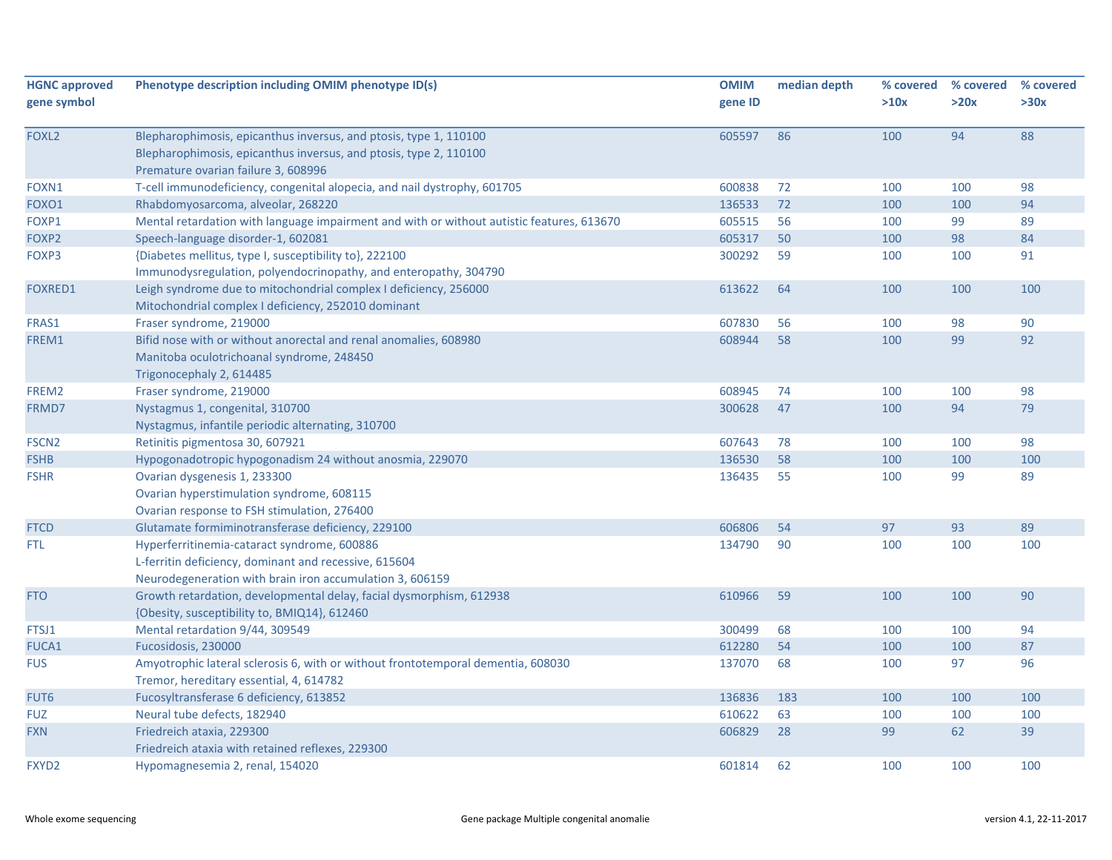| <b>HGNC approved</b><br>gene symbol | Phenotype description including OMIM phenotype ID(s)                                                                                                                          | <b>OMIM</b><br>gene ID | median depth | % covered<br>>10x | % covered<br>>20x | % covered<br>>30x |
|-------------------------------------|-------------------------------------------------------------------------------------------------------------------------------------------------------------------------------|------------------------|--------------|-------------------|-------------------|-------------------|
| FOXL <sub>2</sub>                   | Blepharophimosis, epicanthus inversus, and ptosis, type 1, 110100<br>Blepharophimosis, epicanthus inversus, and ptosis, type 2, 110100<br>Premature ovarian failure 3, 608996 | 605597                 | 86           | 100               | 94                | 88                |
| FOXN1                               | T-cell immunodeficiency, congenital alopecia, and nail dystrophy, 601705                                                                                                      | 600838                 | 72           | 100               | 100               | 98                |
| FOXO1                               | Rhabdomyosarcoma, alveolar, 268220                                                                                                                                            | 136533                 | 72           | 100               | 100               | 94                |
| FOXP1                               | Mental retardation with language impairment and with or without autistic features, 613670                                                                                     | 605515                 | 56           | 100               | 99                | 89                |
| FOXP2                               | Speech-language disorder-1, 602081                                                                                                                                            | 605317                 | 50           | 100               | 98                | 84                |
| FOXP3                               | {Diabetes mellitus, type I, susceptibility to}, 222100<br>Immunodysregulation, polyendocrinopathy, and enteropathy, 304790                                                    | 300292                 | 59           | 100               | 100               | 91                |
| <b>FOXRED1</b>                      | Leigh syndrome due to mitochondrial complex I deficiency, 256000<br>Mitochondrial complex I deficiency, 252010 dominant                                                       | 613622                 | 64           | 100               | 100               | 100               |
| FRAS1                               | Fraser syndrome, 219000                                                                                                                                                       | 607830                 | 56           | 100               | 98                | 90                |
| FREM1                               | Bifid nose with or without anorectal and renal anomalies, 608980<br>Manitoba oculotrichoanal syndrome, 248450<br>Trigonocephaly 2, 614485                                     | 608944                 | 58           | 100               | 99                | 92                |
| FREM2                               | Fraser syndrome, 219000                                                                                                                                                       | 608945                 | 74           | 100               | 100               | 98                |
| FRMD7                               | Nystagmus 1, congenital, 310700<br>Nystagmus, infantile periodic alternating, 310700                                                                                          | 300628                 | 47           | 100               | 94                | 79                |
| FSCN <sub>2</sub>                   | Retinitis pigmentosa 30, 607921                                                                                                                                               | 607643                 | 78           | 100               | 100               | 98                |
| <b>FSHB</b>                         | Hypogonadotropic hypogonadism 24 without anosmia, 229070                                                                                                                      | 136530                 | 58           | 100               | 100               | 100               |
| <b>FSHR</b>                         | Ovarian dysgenesis 1, 233300<br>Ovarian hyperstimulation syndrome, 608115<br>Ovarian response to FSH stimulation, 276400                                                      | 136435                 | 55           | 100               | 99                | 89                |
| <b>FTCD</b>                         | Glutamate formiminotransferase deficiency, 229100                                                                                                                             | 606806                 | 54           | 97                | 93                | 89                |
| FTL.                                | Hyperferritinemia-cataract syndrome, 600886<br>L-ferritin deficiency, dominant and recessive, 615604<br>Neurodegeneration with brain iron accumulation 3, 606159              | 134790                 | 90           | 100               | 100               | 100               |
| <b>FTO</b>                          | Growth retardation, developmental delay, facial dysmorphism, 612938<br>{Obesity, susceptibility to, BMIQ14}, 612460                                                           | 610966                 | 59           | 100               | 100               | 90                |
| FTSJ1                               | Mental retardation 9/44, 309549                                                                                                                                               | 300499                 | 68           | 100               | 100               | 94                |
| <b>FUCA1</b>                        | Fucosidosis, 230000                                                                                                                                                           | 612280                 | 54           | 100               | 100               | 87                |
| <b>FUS</b>                          | Amyotrophic lateral sclerosis 6, with or without frontotemporal dementia, 608030<br>Tremor, hereditary essential, 4, 614782                                                   | 137070                 | 68           | 100               | 97                | 96                |
| FUT6                                | Fucosyltransferase 6 deficiency, 613852                                                                                                                                       | 136836                 | 183          | 100               | 100               | 100               |
| <b>FUZ</b>                          | Neural tube defects, 182940                                                                                                                                                   | 610622                 | 63           | 100               | 100               | 100               |
| <b>FXN</b>                          | Friedreich ataxia, 229300<br>Friedreich ataxia with retained reflexes, 229300                                                                                                 | 606829                 | 28           | 99                | 62                | 39                |
| FXYD <sub>2</sub>                   | Hypomagnesemia 2, renal, 154020                                                                                                                                               | 601814                 | 62           | 100               | 100               | 100               |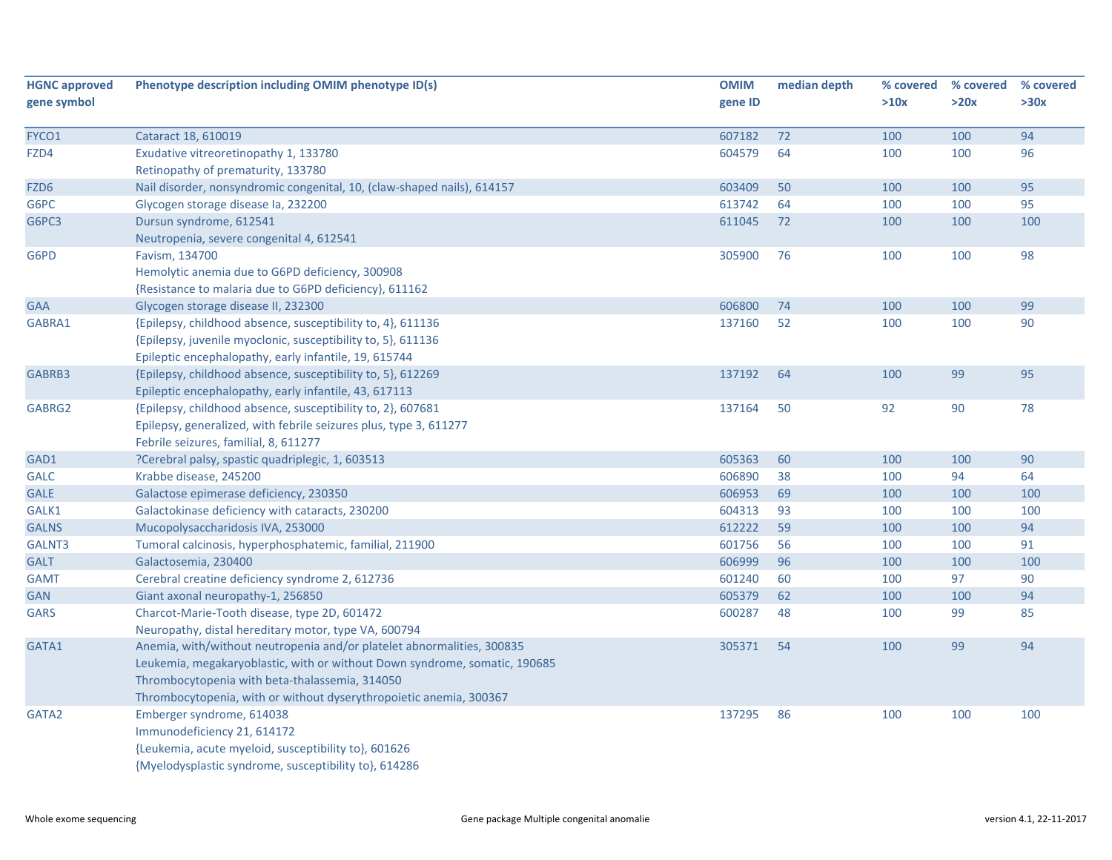| <b>HGNC approved</b> | Phenotype description including OMIM phenotype ID(s)                       | <b>OMIM</b> | median depth | % covered | % covered | % covered |
|----------------------|----------------------------------------------------------------------------|-------------|--------------|-----------|-----------|-----------|
| gene symbol          |                                                                            | gene ID     |              | >10x      | >20x      | >30x      |
|                      |                                                                            |             |              |           |           |           |
| FYCO1                | Cataract 18, 610019                                                        | 607182      | 72           | 100       | 100       | 94        |
| FZD4                 | Exudative vitreoretinopathy 1, 133780                                      | 604579      | 64           | 100       | 100       | 96        |
|                      | Retinopathy of prematurity, 133780                                         |             |              |           |           |           |
| FZD <sub>6</sub>     | Nail disorder, nonsyndromic congenital, 10, (claw-shaped nails), 614157    | 603409      | 50           | 100       | 100       | 95        |
| G6PC                 | Glycogen storage disease la, 232200                                        | 613742      | 64           | 100       | 100       | 95        |
| G6PC3                | Dursun syndrome, 612541                                                    | 611045      | 72           | 100       | 100       | 100       |
|                      | Neutropenia, severe congenital 4, 612541                                   |             |              |           |           |           |
| G6PD                 | Favism, 134700                                                             | 305900      | 76           | 100       | 100       | 98        |
|                      | Hemolytic anemia due to G6PD deficiency, 300908                            |             |              |           |           |           |
|                      | {Resistance to malaria due to G6PD deficiency}, 611162                     |             |              |           |           |           |
| <b>GAA</b>           | Glycogen storage disease II, 232300                                        | 606800      | 74           | 100       | 100       | 99        |
| GABRA1               | {Epilepsy, childhood absence, susceptibility to, 4}, 611136                | 137160      | 52           | 100       | 100       | 90        |
|                      | {Epilepsy, juvenile myoclonic, susceptibility to, 5}, 611136               |             |              |           |           |           |
|                      | Epileptic encephalopathy, early infantile, 19, 615744                      |             |              |           |           |           |
| GABRB3               | {Epilepsy, childhood absence, susceptibility to, 5}, 612269                | 137192      | 64           | 100       | 99        | 95        |
|                      | Epileptic encephalopathy, early infantile, 43, 617113                      |             |              |           |           |           |
| GABRG2               | {Epilepsy, childhood absence, susceptibility to, 2}, 607681                | 137164      | 50           | 92        | 90        | 78        |
|                      | Epilepsy, generalized, with febrile seizures plus, type 3, 611277          |             |              |           |           |           |
|                      | Febrile seizures, familial, 8, 611277                                      |             |              |           |           |           |
| GAD1                 | ?Cerebral palsy, spastic quadriplegic, 1, 603513                           | 605363      | 60           | 100       | 100       | 90        |
| <b>GALC</b>          | Krabbe disease, 245200                                                     | 606890      | 38           | 100       | 94        | 64        |
| <b>GALE</b>          | Galactose epimerase deficiency, 230350                                     | 606953      | 69           | 100       | 100       | 100       |
| GALK1                | Galactokinase deficiency with cataracts, 230200                            | 604313      | 93           | 100       | 100       | 100       |
| <b>GALNS</b>         | Mucopolysaccharidosis IVA, 253000                                          | 612222      | 59           | 100       | 100       | 94        |
| GALNT3               | Tumoral calcinosis, hyperphosphatemic, familial, 211900                    | 601756      | 56           | 100       | 100       | 91        |
| <b>GALT</b>          | Galactosemia, 230400                                                       | 606999      | 96           | 100       | 100       | 100       |
| <b>GAMT</b>          | Cerebral creatine deficiency syndrome 2, 612736                            | 601240      | 60           | 100       | 97        | 90        |
| <b>GAN</b>           | Giant axonal neuropathy-1, 256850                                          | 605379      | 62           | 100       | 100       | 94        |
| <b>GARS</b>          | Charcot-Marie-Tooth disease, type 2D, 601472                               | 600287      | 48           | 100       | 99        | 85        |
|                      | Neuropathy, distal hereditary motor, type VA, 600794                       |             |              |           |           |           |
| GATA1                | Anemia, with/without neutropenia and/or platelet abnormalities, 300835     | 305371      | 54           | 100       | 99        | 94        |
|                      | Leukemia, megakaryoblastic, with or without Down syndrome, somatic, 190685 |             |              |           |           |           |
|                      | Thrombocytopenia with beta-thalassemia, 314050                             |             |              |           |           |           |
|                      | Thrombocytopenia, with or without dyserythropoietic anemia, 300367         |             |              |           |           |           |
| GATA2                | Emberger syndrome, 614038                                                  | 137295      | 86           | 100       | 100       | 100       |
|                      | Immunodeficiency 21, 614172                                                |             |              |           |           |           |
|                      | {Leukemia, acute myeloid, susceptibility to}, 601626                       |             |              |           |           |           |
|                      | {Myelodysplastic syndrome, susceptibility to}, 614286                      |             |              |           |           |           |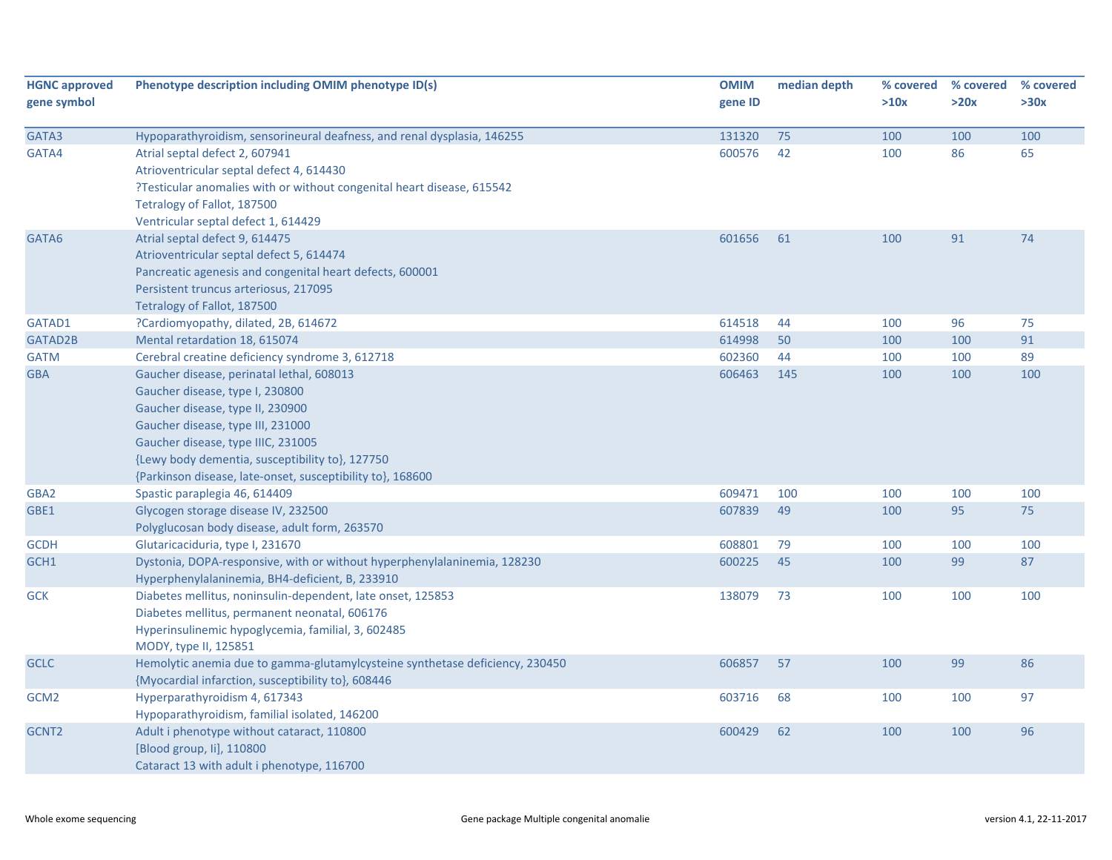| <b>HGNC approved</b><br>gene symbol | Phenotype description including OMIM phenotype ID(s)                         | <b>OMIM</b><br>gene ID | median depth | % covered<br>>10x | % covered<br>>20x | % covered<br>>30x |
|-------------------------------------|------------------------------------------------------------------------------|------------------------|--------------|-------------------|-------------------|-------------------|
|                                     |                                                                              |                        |              |                   |                   |                   |
| GATA3                               | Hypoparathyroidism, sensorineural deafness, and renal dysplasia, 146255      | 131320                 | 75           | 100               | 100               | 100               |
| GATA4                               | Atrial septal defect 2, 607941                                               | 600576                 | 42           | 100               | 86                | 65                |
|                                     | Atrioventricular septal defect 4, 614430                                     |                        |              |                   |                   |                   |
|                                     | ?Testicular anomalies with or without congenital heart disease, 615542       |                        |              |                   |                   |                   |
|                                     | Tetralogy of Fallot, 187500                                                  |                        |              |                   |                   |                   |
|                                     | Ventricular septal defect 1, 614429                                          |                        |              |                   |                   |                   |
| GATA6                               | Atrial septal defect 9, 614475                                               | 601656                 | 61           | 100               | 91                | 74                |
|                                     | Atrioventricular septal defect 5, 614474                                     |                        |              |                   |                   |                   |
|                                     | Pancreatic agenesis and congenital heart defects, 600001                     |                        |              |                   |                   |                   |
|                                     | Persistent truncus arteriosus, 217095                                        |                        |              |                   |                   |                   |
|                                     | Tetralogy of Fallot, 187500                                                  |                        |              |                   |                   |                   |
| GATAD1                              | ?Cardiomyopathy, dilated, 2B, 614672                                         | 614518                 | 44           | 100               | 96                | 75                |
| GATAD2B                             | Mental retardation 18, 615074                                                | 614998                 | 50           | 100               | 100               | 91                |
| <b>GATM</b>                         | Cerebral creatine deficiency syndrome 3, 612718                              | 602360                 | 44           | 100               | 100               | 89                |
| <b>GBA</b>                          | Gaucher disease, perinatal lethal, 608013                                    | 606463                 | 145          | 100               | 100               | 100               |
|                                     | Gaucher disease, type I, 230800                                              |                        |              |                   |                   |                   |
|                                     | Gaucher disease, type II, 230900                                             |                        |              |                   |                   |                   |
|                                     | Gaucher disease, type III, 231000                                            |                        |              |                   |                   |                   |
|                                     | Gaucher disease, type IIIC, 231005                                           |                        |              |                   |                   |                   |
|                                     | {Lewy body dementia, susceptibility to}, 127750                              |                        |              |                   |                   |                   |
|                                     | {Parkinson disease, late-onset, susceptibility to}, 168600                   |                        |              |                   |                   |                   |
| GBA2                                | Spastic paraplegia 46, 614409                                                | 609471                 | 100          | 100               | 100               | 100               |
| GBE1                                | Glycogen storage disease IV, 232500                                          | 607839                 | 49           | 100               | 95                | 75                |
|                                     | Polyglucosan body disease, adult form, 263570                                |                        |              |                   |                   |                   |
| <b>GCDH</b>                         | Glutaricaciduria, type I, 231670                                             | 608801                 | 79           | 100               | 100               | 100               |
| GCH1                                | Dystonia, DOPA-responsive, with or without hyperphenylalaninemia, 128230     | 600225                 | 45           | 100               | 99                | 87                |
|                                     | Hyperphenylalaninemia, BH4-deficient, B, 233910                              |                        |              |                   |                   |                   |
| <b>GCK</b>                          | Diabetes mellitus, noninsulin-dependent, late onset, 125853                  | 138079                 | 73           | 100               | 100               | 100               |
|                                     | Diabetes mellitus, permanent neonatal, 606176                                |                        |              |                   |                   |                   |
|                                     | Hyperinsulinemic hypoglycemia, familial, 3, 602485                           |                        |              |                   |                   |                   |
|                                     | MODY, type II, 125851                                                        |                        |              |                   |                   |                   |
| <b>GCLC</b>                         | Hemolytic anemia due to gamma-glutamylcysteine synthetase deficiency, 230450 | 606857                 | 57           | 100               | 99                | 86                |
|                                     | {Myocardial infarction, susceptibility to}, 608446                           |                        |              |                   |                   |                   |
| GCM <sub>2</sub>                    | Hyperparathyroidism 4, 617343                                                | 603716                 | 68           | 100               | 100               | 97                |
|                                     | Hypoparathyroidism, familial isolated, 146200                                |                        |              |                   |                   |                   |
| GCNT <sub>2</sub>                   | Adult i phenotype without cataract, 110800                                   | 600429                 | 62           | 100               | 100               | 96                |
|                                     | [Blood group, Ii], 110800                                                    |                        |              |                   |                   |                   |
|                                     | Cataract 13 with adult i phenotype, 116700                                   |                        |              |                   |                   |                   |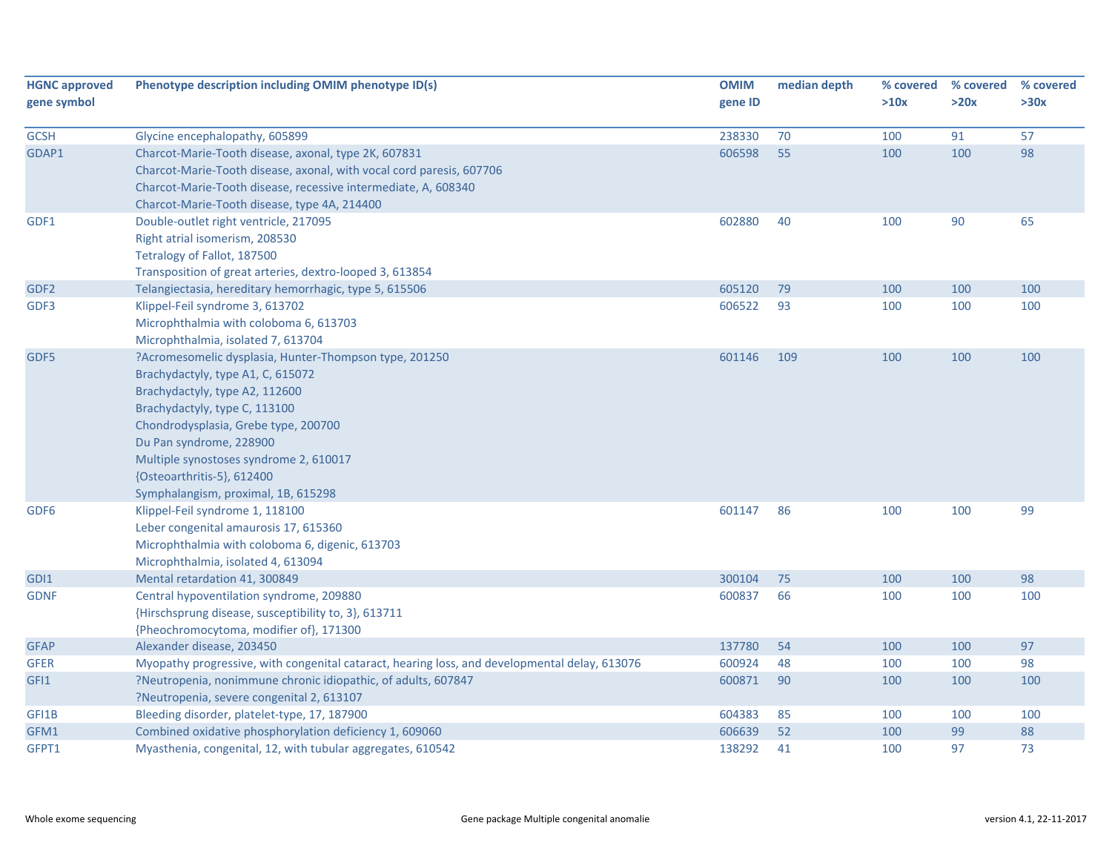| <b>HGNC approved</b><br>gene symbol | Phenotype description including OMIM phenotype ID(s)                                          | <b>OMIM</b><br>gene ID | median depth | % covered<br>>10x | % covered<br>>20x | % covered<br>>30x |
|-------------------------------------|-----------------------------------------------------------------------------------------------|------------------------|--------------|-------------------|-------------------|-------------------|
|                                     |                                                                                               |                        |              |                   |                   |                   |
| <b>GCSH</b>                         | Glycine encephalopathy, 605899                                                                | 238330                 | 70           | 100               | 91                | 57                |
| GDAP1                               | Charcot-Marie-Tooth disease, axonal, type 2K, 607831                                          | 606598                 | 55           | 100               | 100               | 98                |
|                                     | Charcot-Marie-Tooth disease, axonal, with vocal cord paresis, 607706                          |                        |              |                   |                   |                   |
|                                     | Charcot-Marie-Tooth disease, recessive intermediate, A, 608340                                |                        |              |                   |                   |                   |
|                                     | Charcot-Marie-Tooth disease, type 4A, 214400                                                  |                        |              |                   |                   |                   |
| GDF1                                | Double-outlet right ventricle, 217095                                                         | 602880                 | 40           | 100               | 90                | 65                |
|                                     | Right atrial isomerism, 208530                                                                |                        |              |                   |                   |                   |
|                                     | Tetralogy of Fallot, 187500                                                                   |                        |              |                   |                   |                   |
|                                     | Transposition of great arteries, dextro-looped 3, 613854                                      |                        |              |                   |                   |                   |
| GDF <sub>2</sub>                    | Telangiectasia, hereditary hemorrhagic, type 5, 615506                                        | 605120                 | 79           | 100               | 100               | 100               |
| GDF3                                | Klippel-Feil syndrome 3, 613702                                                               | 606522                 | 93           | 100               | 100               | 100               |
|                                     | Microphthalmia with coloboma 6, 613703                                                        |                        |              |                   |                   |                   |
|                                     | Microphthalmia, isolated 7, 613704                                                            |                        |              |                   |                   |                   |
| GDF5                                | ?Acromesomelic dysplasia, Hunter-Thompson type, 201250                                        | 601146                 | 109          | 100               | 100               | 100               |
|                                     | Brachydactyly, type A1, C, 615072                                                             |                        |              |                   |                   |                   |
|                                     | Brachydactyly, type A2, 112600                                                                |                        |              |                   |                   |                   |
|                                     | Brachydactyly, type C, 113100                                                                 |                        |              |                   |                   |                   |
|                                     | Chondrodysplasia, Grebe type, 200700                                                          |                        |              |                   |                   |                   |
|                                     | Du Pan syndrome, 228900                                                                       |                        |              |                   |                   |                   |
|                                     | Multiple synostoses syndrome 2, 610017                                                        |                        |              |                   |                   |                   |
|                                     | {Osteoarthritis-5}, 612400                                                                    |                        |              |                   |                   |                   |
|                                     | Symphalangism, proximal, 1B, 615298                                                           |                        |              |                   |                   |                   |
| GDF6                                | Klippel-Feil syndrome 1, 118100                                                               | 601147                 | 86           | 100               | 100               | 99                |
|                                     | Leber congenital amaurosis 17, 615360                                                         |                        |              |                   |                   |                   |
|                                     | Microphthalmia with coloboma 6, digenic, 613703                                               |                        |              |                   |                   |                   |
|                                     | Microphthalmia, isolated 4, 613094                                                            |                        |              |                   |                   |                   |
| GDI1                                | Mental retardation 41, 300849                                                                 | 300104                 | 75           | 100               | 100               | 98                |
| <b>GDNF</b>                         | Central hypoventilation syndrome, 209880                                                      | 600837                 | 66           | 100               | 100               | 100               |
|                                     | {Hirschsprung disease, susceptibility to, 3}, 613711                                          |                        |              |                   |                   |                   |
|                                     | {Pheochromocytoma, modifier of}, 171300                                                       |                        |              |                   |                   |                   |
| <b>GFAP</b>                         | Alexander disease, 203450                                                                     | 137780                 | 54           | 100               | 100               | 97                |
| <b>GFER</b>                         | Myopathy progressive, with congenital cataract, hearing loss, and developmental delay, 613076 | 600924                 | 48           | 100               | 100               | 98                |
| GFI1                                | ?Neutropenia, nonimmune chronic idiopathic, of adults, 607847                                 | 600871                 | 90           | 100               | 100               | 100               |
|                                     | ?Neutropenia, severe congenital 2, 613107                                                     |                        |              |                   |                   |                   |
| GFI1B                               | Bleeding disorder, platelet-type, 17, 187900                                                  | 604383                 | 85           | 100               | 100               | 100               |
| GFM1                                | Combined oxidative phosphorylation deficiency 1, 609060                                       | 606639                 | 52           | 100               | 99                | 88                |
| GFPT1                               | Myasthenia, congenital, 12, with tubular aggregates, 610542                                   | 138292                 | 41           | 100               | 97                | 73                |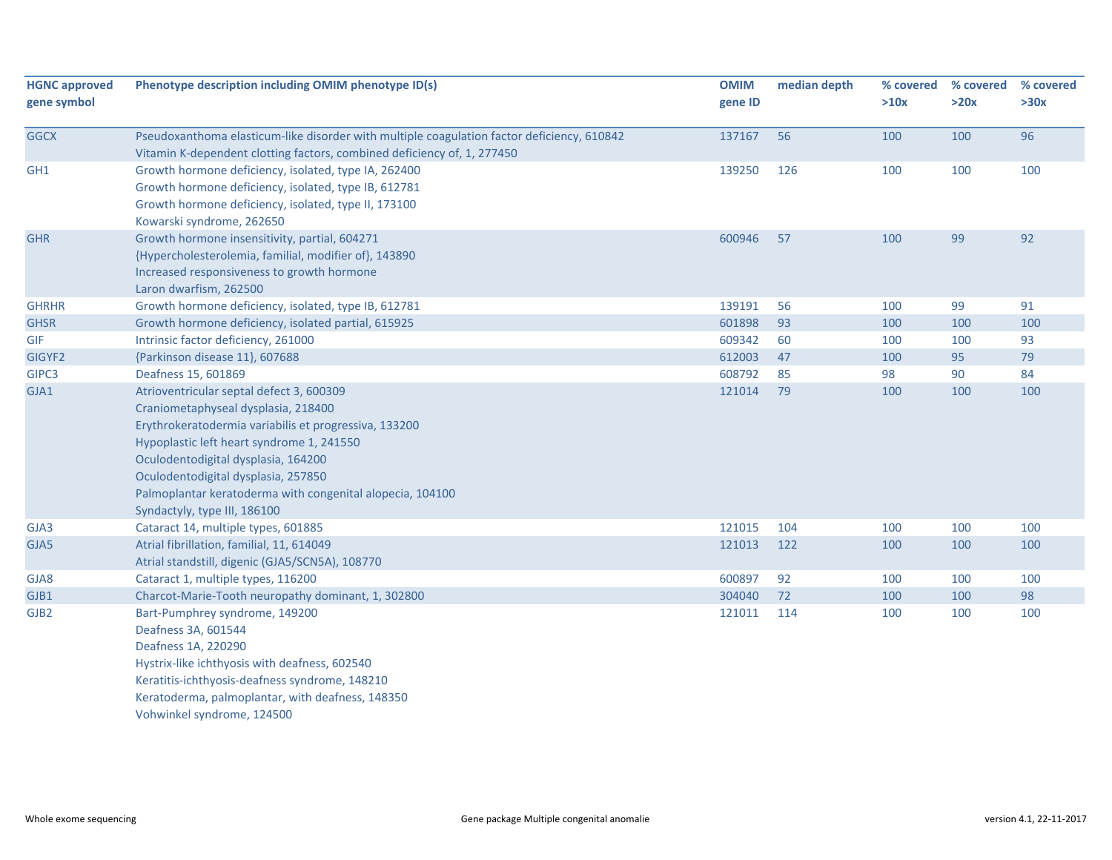| <b>HGNC approved</b><br>gene symbol | Phenotype description including OMIM phenotype ID(s)                                             | <b>OMIM</b><br>gene ID | median depth | % covered<br>>10x | % covered<br>>20x | % covered<br>>30x |
|-------------------------------------|--------------------------------------------------------------------------------------------------|------------------------|--------------|-------------------|-------------------|-------------------|
| <b>GGCX</b>                         | Pseudoxanthoma elasticum-like disorder with multiple coagulation factor deficiency, 610842       | 137167                 | 56           | 100               | 100               | 96                |
|                                     | Vitamin K-dependent clotting factors, combined deficiency of, 1, 277450                          |                        |              |                   |                   |                   |
| GH <sub>1</sub>                     | Growth hormone deficiency, isolated, type IA, 262400                                             | 139250                 | 126          | 100               | 100               | 100               |
|                                     | Growth hormone deficiency, isolated, type IB, 612781                                             |                        |              |                   |                   |                   |
|                                     | Growth hormone deficiency, isolated, type II, 173100                                             |                        |              |                   |                   |                   |
|                                     | Kowarski syndrome, 262650                                                                        |                        |              |                   |                   |                   |
| <b>GHR</b>                          | Growth hormone insensitivity, partial, 604271                                                    | 600946                 | 57           | 100               | 99                | 92                |
|                                     | {Hypercholesterolemia, familial, modifier of}, 143890                                            |                        |              |                   |                   |                   |
|                                     | Increased responsiveness to growth hormone                                                       |                        |              |                   |                   |                   |
|                                     | Laron dwarfism, 262500                                                                           |                        |              |                   |                   |                   |
| <b>GHRHR</b>                        | Growth hormone deficiency, isolated, type IB, 612781                                             | 139191                 | 56           | 100               | 99                | 91                |
| <b>GHSR</b>                         | Growth hormone deficiency, isolated partial, 615925                                              | 601898                 | 93           | 100               | 100               | 100               |
| <b>GIF</b>                          | Intrinsic factor deficiency, 261000                                                              | 609342                 | 60           | 100               | 100               | 93                |
| GIGYF <sub>2</sub>                  | {Parkinson disease 11}, 607688                                                                   | 612003                 | 47           | 100               | 95                | 79                |
| GIPC3                               | Deafness 15, 601869                                                                              | 608792                 | 85           | 98                | 90                | 84                |
| GJA1                                | Atrioventricular septal defect 3, 600309                                                         | 121014                 | 79           | 100               | 100               | 100               |
|                                     | Craniometaphyseal dysplasia, 218400                                                              |                        |              |                   |                   |                   |
|                                     | Erythrokeratodermia variabilis et progressiva, 133200                                            |                        |              |                   |                   |                   |
|                                     | Hypoplastic left heart syndrome 1, 241550                                                        |                        |              |                   |                   |                   |
|                                     | Oculodentodigital dysplasia, 164200                                                              |                        |              |                   |                   |                   |
|                                     | Oculodentodigital dysplasia, 257850<br>Palmoplantar keratoderma with congenital alopecia, 104100 |                        |              |                   |                   |                   |
|                                     | Syndactyly, type III, 186100                                                                     |                        |              |                   |                   |                   |
| GJA3                                | Cataract 14, multiple types, 601885                                                              | 121015                 | 104          | 100               | 100               | 100               |
| GJA5                                | Atrial fibrillation, familial, 11, 614049                                                        | 121013                 | 122          | 100               | 100               | 100               |
|                                     | Atrial standstill, digenic (GJA5/SCN5A), 108770                                                  |                        |              |                   |                   |                   |
| GJA8                                | Cataract 1, multiple types, 116200                                                               | 600897                 | 92           | 100               | 100               | 100               |
| GJB1                                | Charcot-Marie-Tooth neuropathy dominant, 1, 302800                                               | 304040                 | 72           | 100               | 100               | 98                |
| GJB2                                | Bart-Pumphrey syndrome, 149200                                                                   | 121011                 | 114          | 100               | 100               | 100               |
|                                     | Deafness 3A, 601544                                                                              |                        |              |                   |                   |                   |
|                                     | Deafness 1A, 220290                                                                              |                        |              |                   |                   |                   |
|                                     | Hystrix-like ichthyosis with deafness, 602540                                                    |                        |              |                   |                   |                   |
|                                     | Keratitis-ichthyosis-deafness syndrome, 148210                                                   |                        |              |                   |                   |                   |
|                                     | Keratoderma, palmoplantar, with deafness, 148350                                                 |                        |              |                   |                   |                   |
|                                     | Vohwinkel syndrome, 124500                                                                       |                        |              |                   |                   |                   |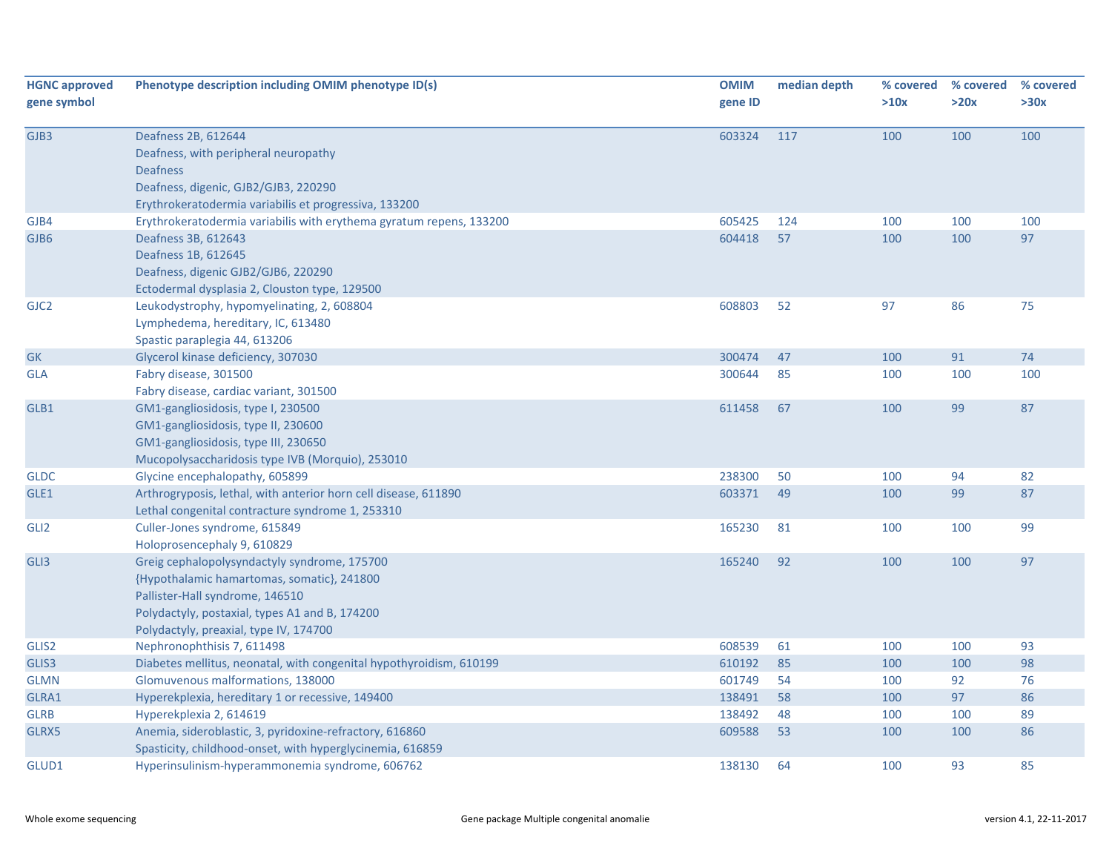| <b>HGNC approved</b><br>gene symbol | Phenotype description including OMIM phenotype ID(s)                                                                                                                                                                      | <b>OMIM</b><br>gene ID | median depth | % covered<br>>10x | % covered<br>>20x | % covered<br>>30x |
|-------------------------------------|---------------------------------------------------------------------------------------------------------------------------------------------------------------------------------------------------------------------------|------------------------|--------------|-------------------|-------------------|-------------------|
| GJB3                                | Deafness 2B, 612644<br>Deafness, with peripheral neuropathy<br><b>Deafness</b><br>Deafness, digenic, GJB2/GJB3, 220290<br>Erythrokeratodermia variabilis et progressiva, 133200                                           | 603324                 | 117          | 100               | 100               | 100               |
| GJB4                                | Erythrokeratodermia variabilis with erythema gyratum repens, 133200                                                                                                                                                       | 605425                 | 124          | 100               | 100               | 100               |
| GJB6                                | Deafness 3B, 612643<br>Deafness 1B, 612645<br>Deafness, digenic GJB2/GJB6, 220290<br>Ectodermal dysplasia 2, Clouston type, 129500                                                                                        | 604418                 | 57           | 100               | 100               | 97                |
| GJC <sub>2</sub>                    | Leukodystrophy, hypomyelinating, 2, 608804<br>Lymphedema, hereditary, IC, 613480<br>Spastic paraplegia 44, 613206                                                                                                         | 608803                 | 52           | 97                | 86                | 75                |
| <b>GK</b>                           | Glycerol kinase deficiency, 307030                                                                                                                                                                                        | 300474                 | 47           | 100               | 91                | 74                |
| <b>GLA</b>                          | Fabry disease, 301500<br>Fabry disease, cardiac variant, 301500                                                                                                                                                           | 300644                 | 85           | 100               | 100               | 100               |
| GLB1                                | GM1-gangliosidosis, type I, 230500<br>GM1-gangliosidosis, type II, 230600<br>GM1-gangliosidosis, type III, 230650<br>Mucopolysaccharidosis type IVB (Morquio), 253010                                                     | 611458                 | 67           | 100               | 99                | 87                |
| <b>GLDC</b>                         | Glycine encephalopathy, 605899                                                                                                                                                                                            | 238300                 | 50           | 100               | 94                | 82                |
| GLE1                                | Arthrogryposis, lethal, with anterior horn cell disease, 611890<br>Lethal congenital contracture syndrome 1, 253310                                                                                                       | 603371                 | 49           | 100               | 99                | 87                |
| GLI2                                | Culler-Jones syndrome, 615849<br>Holoprosencephaly 9, 610829                                                                                                                                                              | 165230                 | 81           | 100               | 100               | 99                |
| GLI3                                | Greig cephalopolysyndactyly syndrome, 175700<br>{Hypothalamic hamartomas, somatic}, 241800<br>Pallister-Hall syndrome, 146510<br>Polydactyly, postaxial, types A1 and B, 174200<br>Polydactyly, preaxial, type IV, 174700 | 165240                 | 92           | 100               | 100               | 97                |
| GLIS2                               | Nephronophthisis 7, 611498                                                                                                                                                                                                | 608539                 | 61           | 100               | 100               | 93                |
| GLIS3                               | Diabetes mellitus, neonatal, with congenital hypothyroidism, 610199                                                                                                                                                       | 610192                 | 85           | 100               | 100               | 98                |
| <b>GLMN</b>                         | Glomuvenous malformations, 138000                                                                                                                                                                                         | 601749                 | 54           | 100               | 92                | 76                |
| GLRA1                               | Hyperekplexia, hereditary 1 or recessive, 149400                                                                                                                                                                          | 138491                 | 58           | 100               | 97                | 86                |
| <b>GLRB</b>                         | Hyperekplexia 2, 614619                                                                                                                                                                                                   | 138492                 | 48           | 100               | 100               | 89                |
| GLRX5                               | Anemia, sideroblastic, 3, pyridoxine-refractory, 616860<br>Spasticity, childhood-onset, with hyperglycinemia, 616859                                                                                                      | 609588                 | 53           | 100               | 100               | 86                |
| GLUD1                               | Hyperinsulinism-hyperammonemia syndrome, 606762                                                                                                                                                                           | 138130                 | 64           | 100               | 93                | 85                |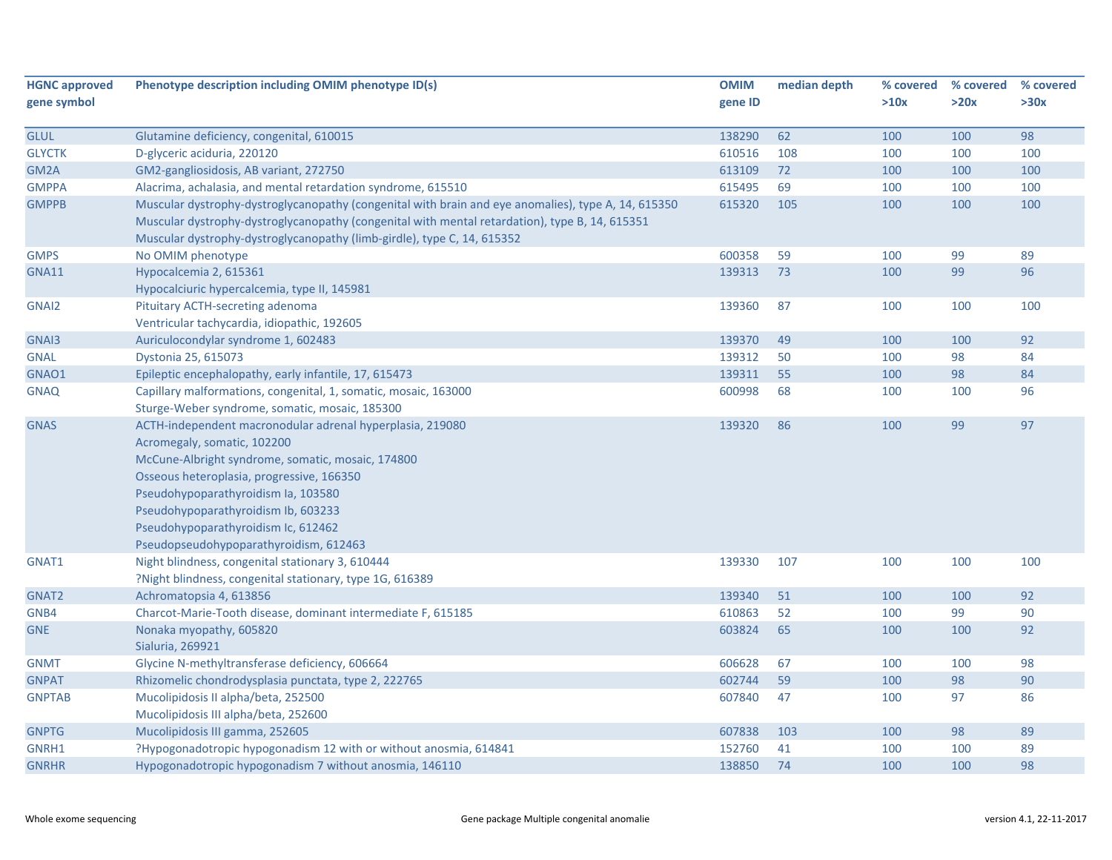| <b>HGNC approved</b> | Phenotype description including OMIM phenotype ID(s)                                                | <b>OMIM</b> | median depth | % covered | % covered | % covered |
|----------------------|-----------------------------------------------------------------------------------------------------|-------------|--------------|-----------|-----------|-----------|
| gene symbol          |                                                                                                     | gene ID     |              | >10x      | >20x      | >30x      |
| <b>GLUL</b>          | Glutamine deficiency, congenital, 610015                                                            | 138290      | 62           | 100       | 100       | 98        |
| <b>GLYCTK</b>        | D-glyceric aciduria, 220120                                                                         | 610516      | 108          | 100       | 100       | 100       |
| GM2A                 | GM2-gangliosidosis, AB variant, 272750                                                              | 613109      | 72           | 100       | 100       | 100       |
| <b>GMPPA</b>         | Alacrima, achalasia, and mental retardation syndrome, 615510                                        | 615495      | 69           | 100       | 100       | 100       |
| <b>GMPPB</b>         | Muscular dystrophy-dystroglycanopathy (congenital with brain and eye anomalies), type A, 14, 615350 | 615320      | 105          | 100       | 100       | 100       |
|                      | Muscular dystrophy-dystroglycanopathy (congenital with mental retardation), type B, 14, 615351      |             |              |           |           |           |
|                      | Muscular dystrophy-dystroglycanopathy (limb-girdle), type C, 14, 615352                             |             |              |           |           |           |
| <b>GMPS</b>          | No OMIM phenotype                                                                                   | 600358      | 59           | 100       | 99        | 89        |
| <b>GNA11</b>         | Hypocalcemia 2, 615361                                                                              | 139313      | 73           | 100       | 99        | 96        |
|                      | Hypocalciuric hypercalcemia, type II, 145981                                                        |             |              |           |           |           |
| GNAI2                | Pituitary ACTH-secreting adenoma                                                                    | 139360      | 87           | 100       | 100       | 100       |
|                      | Ventricular tachycardia, idiopathic, 192605                                                         |             |              |           |           |           |
| GNAI3                | Auriculocondylar syndrome 1, 602483                                                                 | 139370      | 49           | 100       | 100       | 92        |
| <b>GNAL</b>          | Dystonia 25, 615073                                                                                 | 139312      | 50           | 100       | 98        | 84        |
| GNAO1                | Epileptic encephalopathy, early infantile, 17, 615473                                               | 139311      | 55           | 100       | 98        | 84        |
| <b>GNAQ</b>          | Capillary malformations, congenital, 1, somatic, mosaic, 163000                                     | 600998      | 68           | 100       | 100       | 96        |
|                      | Sturge-Weber syndrome, somatic, mosaic, 185300                                                      |             |              |           |           |           |
| <b>GNAS</b>          | ACTH-independent macronodular adrenal hyperplasia, 219080                                           | 139320      | 86           | 100       | 99        | 97        |
|                      | Acromegaly, somatic, 102200                                                                         |             |              |           |           |           |
|                      | McCune-Albright syndrome, somatic, mosaic, 174800                                                   |             |              |           |           |           |
|                      | Osseous heteroplasia, progressive, 166350                                                           |             |              |           |           |           |
|                      | Pseudohypoparathyroidism Ia, 103580                                                                 |             |              |           |           |           |
|                      | Pseudohypoparathyroidism Ib, 603233                                                                 |             |              |           |           |           |
|                      | Pseudohypoparathyroidism Ic, 612462                                                                 |             |              |           |           |           |
|                      | Pseudopseudohypoparathyroidism, 612463                                                              |             |              |           |           |           |
| GNAT1                | Night blindness, congenital stationary 3, 610444                                                    | 139330      | 107          | 100       | 100       | 100       |
|                      | ?Night blindness, congenital stationary, type 1G, 616389                                            |             |              |           |           |           |
| GNAT2                | Achromatopsia 4, 613856                                                                             | 139340      | 51           | 100       | 100       | 92        |
| GNB4                 | Charcot-Marie-Tooth disease, dominant intermediate F, 615185                                        | 610863      | 52           | 100       | 99        | 90        |
| <b>GNE</b>           | Nonaka myopathy, 605820                                                                             | 603824      | 65           | 100       | 100       | 92        |
|                      | Sialuria, 269921                                                                                    |             |              |           |           |           |
| <b>GNMT</b>          | Glycine N-methyltransferase deficiency, 606664                                                      | 606628      | 67           | 100       | 100       | 98        |
| <b>GNPAT</b>         | Rhizomelic chondrodysplasia punctata, type 2, 222765                                                | 602744      | 59           | 100       | 98        | 90        |
| <b>GNPTAB</b>        | Mucolipidosis II alpha/beta, 252500                                                                 | 607840      | 47           | 100       | 97        | 86        |
|                      | Mucolipidosis III alpha/beta, 252600                                                                |             |              |           |           |           |
| <b>GNPTG</b>         | Mucolipidosis III gamma, 252605                                                                     | 607838      | 103          | 100       | 98        | 89        |
| GNRH1                | ?Hypogonadotropic hypogonadism 12 with or without anosmia, 614841                                   | 152760      | 41           | 100       | 100       | 89        |
| <b>GNRHR</b>         | Hypogonadotropic hypogonadism 7 without anosmia, 146110                                             | 138850      | 74           | 100       | 100       | 98        |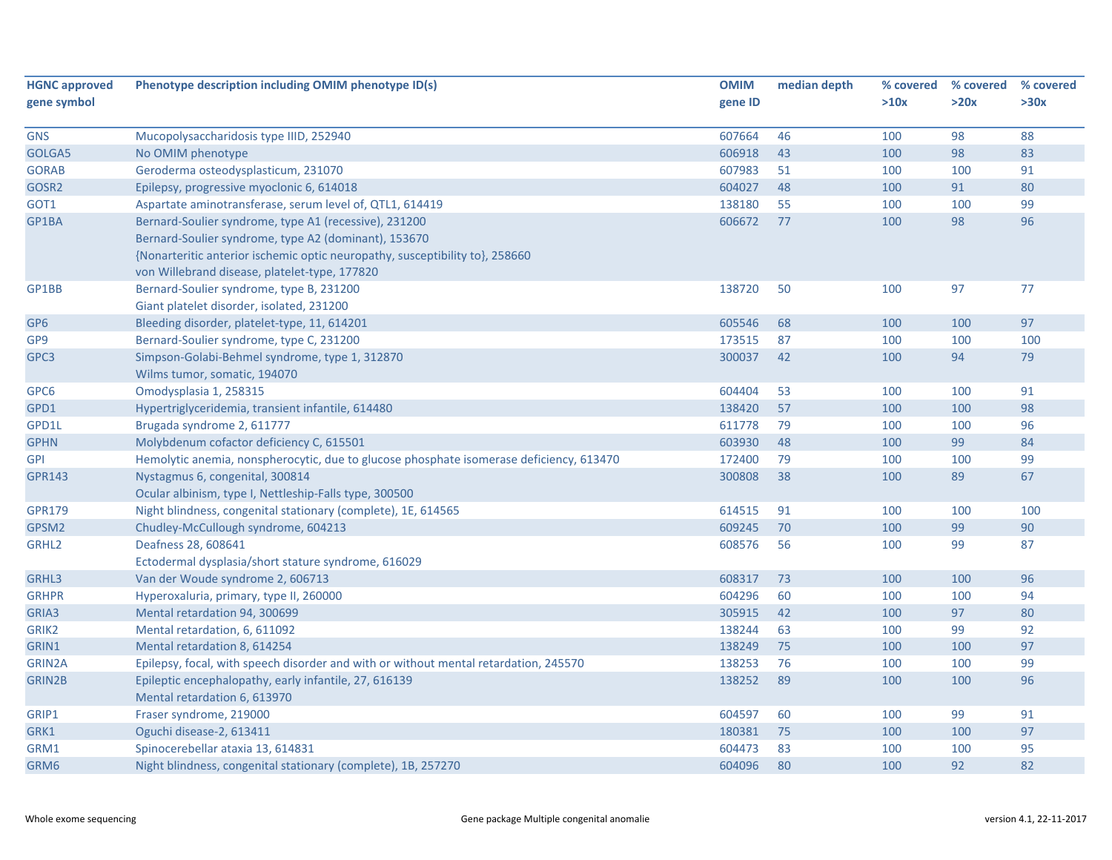| <b>HGNC approved</b> | Phenotype description including OMIM phenotype ID(s)                                    | <b>OMIM</b> | median depth | % covered | % covered | % covered |
|----------------------|-----------------------------------------------------------------------------------------|-------------|--------------|-----------|-----------|-----------|
| gene symbol          |                                                                                         | gene ID     |              | >10x      | >20x      | >30x      |
|                      |                                                                                         |             |              |           |           |           |
| <b>GNS</b>           | Mucopolysaccharidosis type IIID, 252940                                                 | 607664      | 46           | 100       | 98        | 88        |
| GOLGA5               | No OMIM phenotype                                                                       | 606918      | 43           | 100       | 98        | 83        |
| <b>GORAB</b>         | Geroderma osteodysplasticum, 231070                                                     | 607983      | 51           | 100       | 100       | 91        |
| GOSR2                | Epilepsy, progressive myoclonic 6, 614018                                               | 604027      | 48           | 100       | 91        | 80        |
| GOT1                 | Aspartate aminotransferase, serum level of, QTL1, 614419                                | 138180      | 55           | 100       | 100       | 99        |
| GP1BA                | Bernard-Soulier syndrome, type A1 (recessive), 231200                                   | 606672      | 77           | 100       | 98        | 96        |
|                      | Bernard-Soulier syndrome, type A2 (dominant), 153670                                    |             |              |           |           |           |
|                      | {Nonarteritic anterior ischemic optic neuropathy, susceptibility to}, 258660            |             |              |           |           |           |
|                      | von Willebrand disease, platelet-type, 177820                                           |             |              |           |           |           |
| GP1BB                | Bernard-Soulier syndrome, type B, 231200                                                | 138720      | 50           | 100       | 97        | 77        |
|                      | Giant platelet disorder, isolated, 231200                                               |             |              |           |           |           |
| GP <sub>6</sub>      | Bleeding disorder, platelet-type, 11, 614201                                            | 605546      | 68           | 100       | 100       | 97        |
| GP9                  | Bernard-Soulier syndrome, type C, 231200                                                | 173515      | 87           | 100       | 100       | 100       |
| GPC3                 | Simpson-Golabi-Behmel syndrome, type 1, 312870                                          | 300037      | 42           | 100       | 94        | 79        |
|                      | Wilms tumor, somatic, 194070                                                            |             |              |           |           |           |
| GPC6                 | Omodysplasia 1, 258315                                                                  | 604404      | 53           | 100       | 100       | 91        |
| GPD1                 | Hypertriglyceridemia, transient infantile, 614480                                       | 138420      | 57           | 100       | 100       | 98        |
| GPD1L                | Brugada syndrome 2, 611777                                                              | 611778      | 79           | 100       | 100       | 96        |
| <b>GPHN</b>          | Molybdenum cofactor deficiency C, 615501                                                | 603930      | 48           | 100       | 99        | 84        |
| <b>GPI</b>           | Hemolytic anemia, nonspherocytic, due to glucose phosphate isomerase deficiency, 613470 | 172400      | 79           | 100       | 100       | 99        |
| <b>GPR143</b>        | Nystagmus 6, congenital, 300814                                                         | 300808      | 38           | 100       | 89        | 67        |
|                      | Ocular albinism, type I, Nettleship-Falls type, 300500                                  |             |              |           |           |           |
| <b>GPR179</b>        | Night blindness, congenital stationary (complete), 1E, 614565                           | 614515      | 91           | 100       | 100       | 100       |
| GPSM2                | Chudley-McCullough syndrome, 604213                                                     | 609245      | 70           | 100       | 99        | 90        |
| GRHL <sub>2</sub>    | Deafness 28, 608641                                                                     | 608576      | 56           | 100       | 99        | 87        |
|                      | Ectodermal dysplasia/short stature syndrome, 616029                                     |             |              |           |           |           |
| GRHL3                | Van der Woude syndrome 2, 606713                                                        | 608317      | 73           | 100       | 100       | 96        |
| <b>GRHPR</b>         | Hyperoxaluria, primary, type II, 260000                                                 | 604296      | 60           | 100       | 100       | 94        |
| GRIA3                | Mental retardation 94, 300699                                                           | 305915      | 42           | 100       | 97        | 80        |
| GRIK2                | Mental retardation, 6, 611092                                                           | 138244      | 63           | 100       | 99        | 92        |
| GRIN1                | Mental retardation 8, 614254                                                            | 138249      | 75           | 100       | 100       | 97        |
| <b>GRIN2A</b>        | Epilepsy, focal, with speech disorder and with or without mental retardation, 245570    | 138253      | 76           | 100       | 100       | 99        |
| GRIN2B               | Epileptic encephalopathy, early infantile, 27, 616139                                   | 138252      | 89           | 100       | 100       | 96        |
|                      | Mental retardation 6, 613970                                                            |             |              |           |           |           |
| GRIP1                | Fraser syndrome, 219000                                                                 | 604597      | 60           | 100       | 99        | 91        |
| GRK1                 | Oguchi disease-2, 613411                                                                | 180381      | 75           | 100       | 100       | 97        |
| GRM1                 | Spinocerebellar ataxia 13, 614831                                                       | 604473      | 83           | 100       | 100       | 95        |
| GRM6                 | Night blindness, congenital stationary (complete), 1B, 257270                           | 604096      | 80           | 100       | 92        | 82        |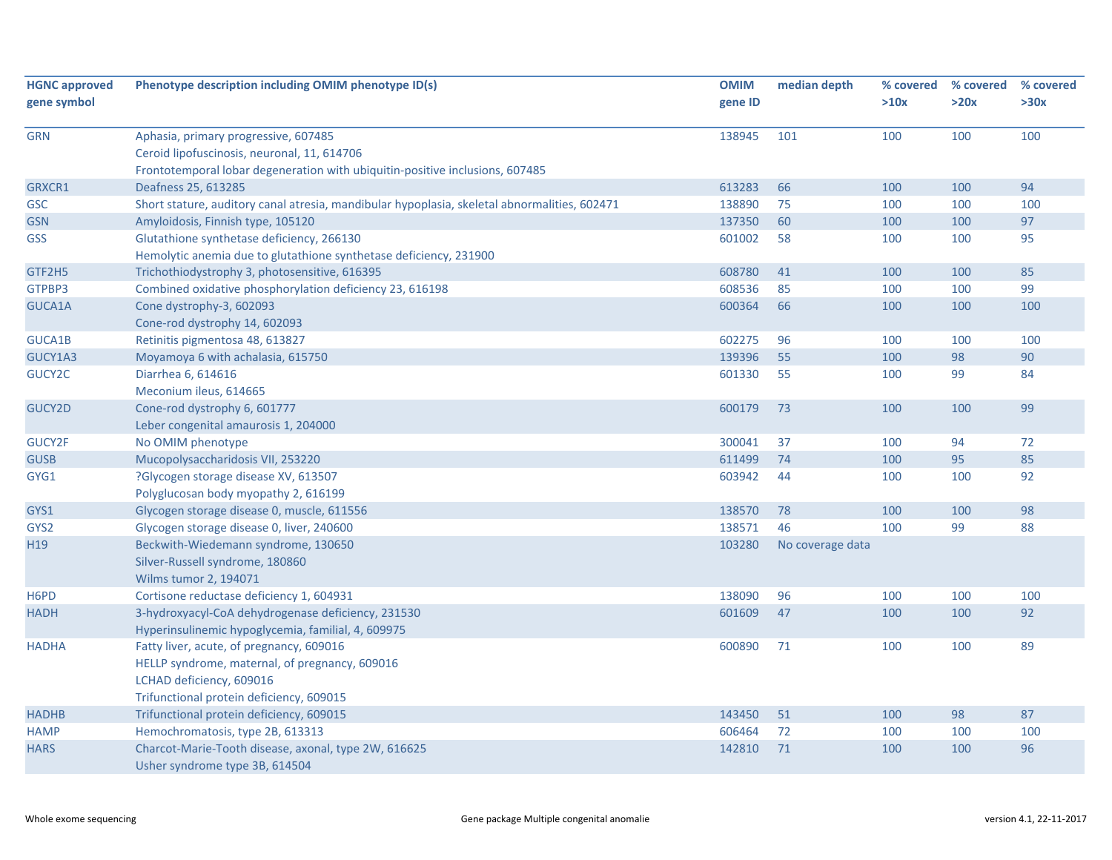| <b>HGNC approved</b><br>gene symbol | Phenotype description including OMIM phenotype ID(s)                                         | <b>OMIM</b><br>gene ID | median depth     | % covered<br>>10x | % covered<br>>20x | % covered<br>>30x |
|-------------------------------------|----------------------------------------------------------------------------------------------|------------------------|------------------|-------------------|-------------------|-------------------|
|                                     |                                                                                              |                        |                  |                   |                   |                   |
| <b>GRN</b>                          | Aphasia, primary progressive, 607485                                                         | 138945                 | 101              | 100               | 100               | 100               |
|                                     | Ceroid lipofuscinosis, neuronal, 11, 614706                                                  |                        |                  |                   |                   |                   |
|                                     | Frontotemporal lobar degeneration with ubiquitin-positive inclusions, 607485                 |                        |                  |                   |                   |                   |
| GRXCR1                              | Deafness 25, 613285                                                                          | 613283                 | 66               | 100               | 100               | 94                |
| <b>GSC</b>                          | Short stature, auditory canal atresia, mandibular hypoplasia, skeletal abnormalities, 602471 | 138890                 | 75               | 100               | 100               | 100               |
| <b>GSN</b>                          | Amyloidosis, Finnish type, 105120                                                            | 137350                 | 60               | 100               | 100               | 97                |
| <b>GSS</b>                          | Glutathione synthetase deficiency, 266130                                                    | 601002                 | 58               | 100               | 100               | 95                |
|                                     | Hemolytic anemia due to glutathione synthetase deficiency, 231900                            |                        |                  |                   |                   |                   |
| GTF2H5                              | Trichothiodystrophy 3, photosensitive, 616395                                                | 608780                 | 41               | 100               | 100               | 85                |
| GTPBP3                              | Combined oxidative phosphorylation deficiency 23, 616198                                     | 608536                 | 85               | 100               | 100               | 99                |
| GUCA1A                              | Cone dystrophy-3, 602093                                                                     | 600364                 | 66               | 100               | 100               | 100               |
|                                     | Cone-rod dystrophy 14, 602093                                                                |                        |                  |                   |                   |                   |
| GUCA1B                              | Retinitis pigmentosa 48, 613827                                                              | 602275                 | 96               | 100               | 100               | 100               |
| GUCY1A3                             | Moyamoya 6 with achalasia, 615750                                                            | 139396                 | 55               | 100               | 98                | 90                |
| GUCY2C                              | Diarrhea 6, 614616                                                                           | 601330                 | 55               | 100               | 99                | 84                |
|                                     | Meconium ileus, 614665                                                                       |                        |                  |                   |                   |                   |
| GUCY2D                              | Cone-rod dystrophy 6, 601777                                                                 | 600179                 | 73               | 100               | 100               | 99                |
|                                     | Leber congenital amaurosis 1, 204000                                                         |                        |                  |                   |                   |                   |
| GUCY2F                              | No OMIM phenotype                                                                            | 300041                 | 37               | 100               | 94                | 72                |
| <b>GUSB</b>                         | Mucopolysaccharidosis VII, 253220                                                            | 611499                 | 74               | 100               | 95                | 85                |
| GYG1                                | ?Glycogen storage disease XV, 613507                                                         | 603942                 | 44               | 100               | 100               | 92                |
|                                     | Polyglucosan body myopathy 2, 616199                                                         |                        |                  |                   |                   |                   |
| GYS1                                | Glycogen storage disease 0, muscle, 611556                                                   | 138570                 | 78               | 100               | 100               | 98                |
| GYS2                                | Glycogen storage disease 0, liver, 240600                                                    | 138571                 | 46               | 100               | 99                | 88                |
| H19                                 | Beckwith-Wiedemann syndrome, 130650                                                          | 103280                 | No coverage data |                   |                   |                   |
|                                     | Silver-Russell syndrome, 180860                                                              |                        |                  |                   |                   |                   |
|                                     | Wilms tumor 2, 194071                                                                        |                        |                  |                   |                   |                   |
| H6PD                                | Cortisone reductase deficiency 1, 604931                                                     | 138090                 | 96               | 100               | 100               | 100               |
| <b>HADH</b>                         | 3-hydroxyacyl-CoA dehydrogenase deficiency, 231530                                           | 601609                 | 47               | 100               | 100               | 92                |
|                                     | Hyperinsulinemic hypoglycemia, familial, 4, 609975                                           |                        |                  |                   |                   |                   |
| <b>HADHA</b>                        | Fatty liver, acute, of pregnancy, 609016                                                     | 600890                 | 71               | 100               | 100               | 89                |
|                                     | HELLP syndrome, maternal, of pregnancy, 609016                                               |                        |                  |                   |                   |                   |
|                                     | LCHAD deficiency, 609016                                                                     |                        |                  |                   |                   |                   |
|                                     | Trifunctional protein deficiency, 609015                                                     |                        |                  |                   |                   |                   |
| <b>HADHB</b>                        | Trifunctional protein deficiency, 609015                                                     | 143450                 | 51               | 100               | 98                | 87                |
| <b>HAMP</b>                         | Hemochromatosis, type 2B, 613313                                                             | 606464                 | 72               | 100               | 100               | 100               |
| <b>HARS</b>                         | Charcot-Marie-Tooth disease, axonal, type 2W, 616625                                         | 142810                 | 71               | 100               | 100               | 96                |
|                                     | Usher syndrome type 3B, 614504                                                               |                        |                  |                   |                   |                   |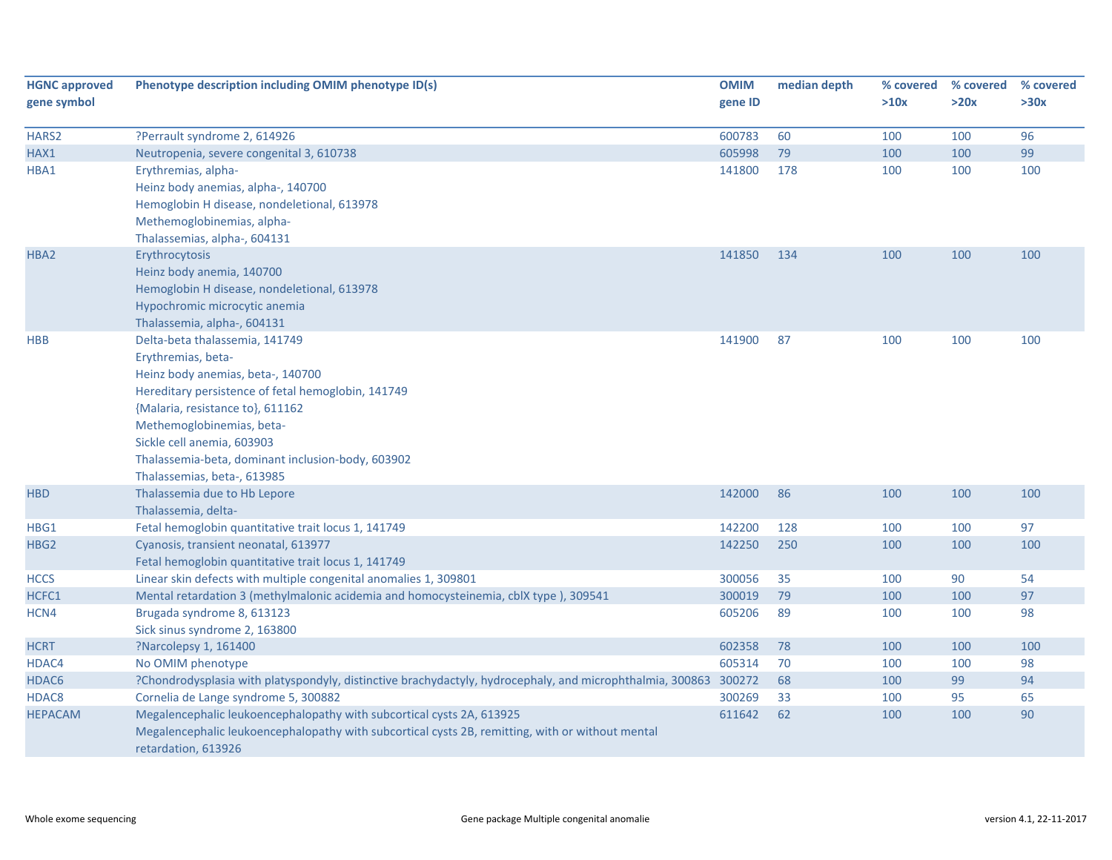| <b>HGNC approved</b> | Phenotype description including OMIM phenotype ID(s)                                                             | <b>OMIM</b> | median depth | % covered | % covered | % covered |
|----------------------|------------------------------------------------------------------------------------------------------------------|-------------|--------------|-----------|-----------|-----------|
| gene symbol          |                                                                                                                  | gene ID     |              | >10x      | >20x      | >30x      |
|                      |                                                                                                                  |             |              |           |           |           |
| HARS2                | ?Perrault syndrome 2, 614926                                                                                     | 600783      | 60           | 100       | 100       | 96        |
| HAX1                 | Neutropenia, severe congenital 3, 610738                                                                         | 605998      | 79           | 100       | 100       | 99        |
| HBA1                 | Erythremias, alpha-                                                                                              | 141800      | 178          | 100       | 100       | 100       |
|                      | Heinz body anemias, alpha-, 140700                                                                               |             |              |           |           |           |
|                      | Hemoglobin H disease, nondeletional, 613978                                                                      |             |              |           |           |           |
|                      | Methemoglobinemias, alpha-                                                                                       |             |              |           |           |           |
|                      | Thalassemias, alpha-, 604131                                                                                     |             |              |           |           |           |
| HBA2                 | Erythrocytosis                                                                                                   | 141850      | 134          | 100       | 100       | 100       |
|                      | Heinz body anemia, 140700                                                                                        |             |              |           |           |           |
|                      | Hemoglobin H disease, nondeletional, 613978                                                                      |             |              |           |           |           |
|                      | Hypochromic microcytic anemia                                                                                    |             |              |           |           |           |
|                      | Thalassemia, alpha-, 604131                                                                                      |             |              |           |           |           |
| <b>HBB</b>           | Delta-beta thalassemia, 141749                                                                                   | 141900      | 87           | 100       | 100       | 100       |
|                      | Erythremias, beta-                                                                                               |             |              |           |           |           |
|                      | Heinz body anemias, beta-, 140700                                                                                |             |              |           |           |           |
|                      | Hereditary persistence of fetal hemoglobin, 141749                                                               |             |              |           |           |           |
|                      | {Malaria, resistance to}, 611162                                                                                 |             |              |           |           |           |
|                      | Methemoglobinemias, beta-                                                                                        |             |              |           |           |           |
|                      | Sickle cell anemia, 603903                                                                                       |             |              |           |           |           |
|                      | Thalassemia-beta, dominant inclusion-body, 603902                                                                |             |              |           |           |           |
|                      | Thalassemias, beta-, 613985                                                                                      |             |              |           |           |           |
| <b>HBD</b>           | Thalassemia due to Hb Lepore                                                                                     | 142000      | 86           | 100       | 100       | 100       |
|                      | Thalassemia, delta-                                                                                              |             |              |           |           |           |
| HBG1                 | Fetal hemoglobin quantitative trait locus 1, 141749                                                              | 142200      | 128          | 100       | 100       | 97        |
| HBG <sub>2</sub>     | Cyanosis, transient neonatal, 613977                                                                             | 142250      | 250          | 100       | 100       | 100       |
|                      | Fetal hemoglobin quantitative trait locus 1, 141749                                                              |             |              |           |           |           |
| <b>HCCS</b>          | Linear skin defects with multiple congenital anomalies 1, 309801                                                 | 300056      | 35           | 100       | 90        | 54        |
| HCFC1                | Mental retardation 3 (methylmalonic acidemia and homocysteinemia, cblX type), 309541                             | 300019      | 79           | 100       | 100       | 97        |
| HCN4                 | Brugada syndrome 8, 613123                                                                                       | 605206      | 89           | 100       | 100       | 98        |
|                      | Sick sinus syndrome 2, 163800                                                                                    |             |              |           |           |           |
| <b>HCRT</b>          | ?Narcolepsy 1, 161400                                                                                            | 602358      | 78           | 100       | 100       | 100       |
| HDAC4                | No OMIM phenotype                                                                                                | 605314      | 70           | 100       | 100       | 98        |
| HDAC6                | ?Chondrodysplasia with platyspondyly, distinctive brachydactyly, hydrocephaly, and microphthalmia, 300863 300272 |             | 68           | 100       | 99        | 94        |
| HDAC8                | Cornelia de Lange syndrome 5, 300882                                                                             | 300269      | 33           | 100       | 95        | 65        |
| <b>HEPACAM</b>       | Megalencephalic leukoencephalopathy with subcortical cysts 2A, 613925                                            | 611642      | 62           | 100       | 100       | 90        |
|                      | Megalencephalic leukoencephalopathy with subcortical cysts 2B, remitting, with or without mental                 |             |              |           |           |           |
|                      | retardation, 613926                                                                                              |             |              |           |           |           |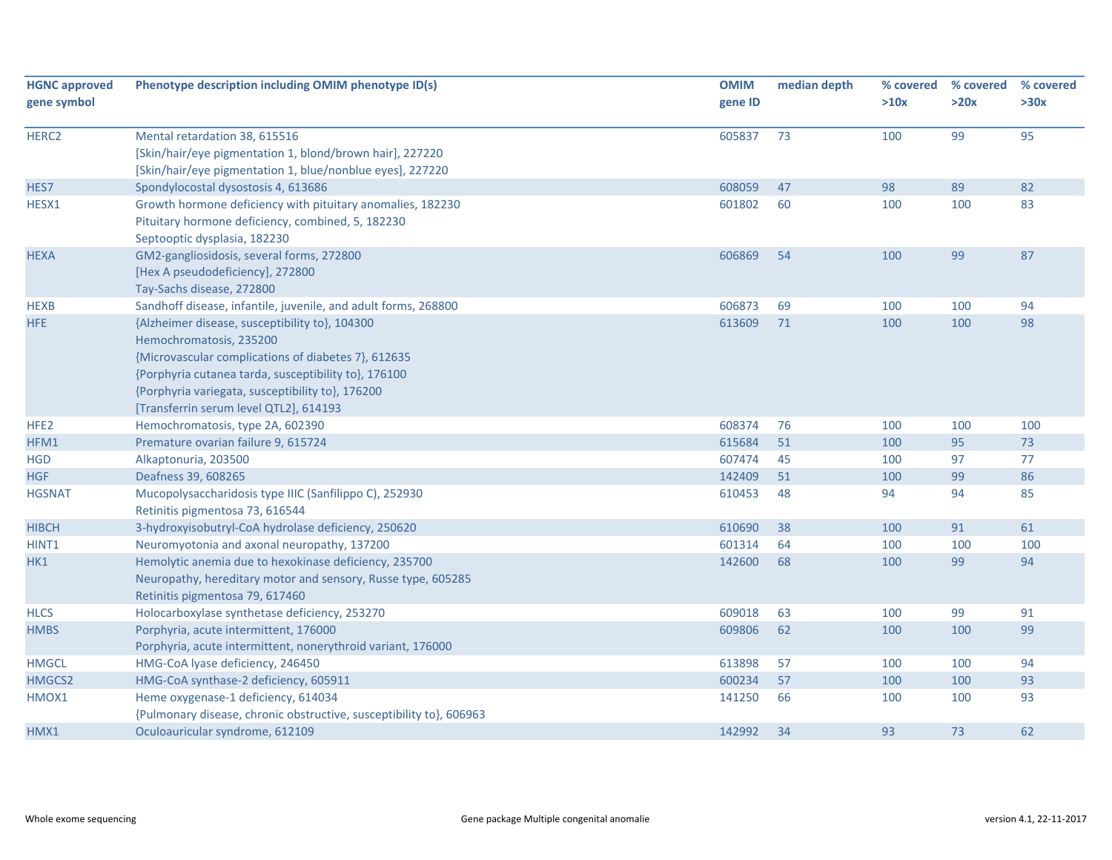| <b>HGNC approved</b><br>gene symbol | Phenotype description including OMIM phenotype ID(s)                                                                                                                                                                                                                                   | <b>OMIM</b><br>gene ID | median depth | % covered<br>>10x | % covered<br>>20x | % covered<br>>30x |
|-------------------------------------|----------------------------------------------------------------------------------------------------------------------------------------------------------------------------------------------------------------------------------------------------------------------------------------|------------------------|--------------|-------------------|-------------------|-------------------|
|                                     |                                                                                                                                                                                                                                                                                        |                        |              |                   |                   |                   |
| HERC <sub>2</sub>                   | Mental retardation 38, 615516<br>[Skin/hair/eye pigmentation 1, blond/brown hair], 227220<br>[Skin/hair/eye pigmentation 1, blue/nonblue eyes], 227220                                                                                                                                 | 605837                 | 73           | 100               | 99                | 95                |
| HES7                                | Spondylocostal dysostosis 4, 613686                                                                                                                                                                                                                                                    | 608059                 | 47           | 98                | 89                | 82                |
| HESX1                               | Growth hormone deficiency with pituitary anomalies, 182230<br>Pituitary hormone deficiency, combined, 5, 182230<br>Septooptic dysplasia, 182230                                                                                                                                        | 601802                 | 60           | 100               | 100               | 83                |
| <b>HEXA</b>                         | GM2-gangliosidosis, several forms, 272800<br>[Hex A pseudodeficiency], 272800<br>Tay-Sachs disease, 272800                                                                                                                                                                             | 606869                 | 54           | 100               | 99                | 87                |
| <b>HEXB</b>                         | Sandhoff disease, infantile, juvenile, and adult forms, 268800                                                                                                                                                                                                                         | 606873                 | 69           | 100               | 100               | 94                |
| HFE                                 | {Alzheimer disease, susceptibility to}, 104300<br>Hemochromatosis, 235200<br>{Microvascular complications of diabetes 7}, 612635<br>{Porphyria cutanea tarda, susceptibility to}, 176100<br>{Porphyria variegata, susceptibility to}, 176200<br>[Transferrin serum level QTL2], 614193 | 613609                 | 71           | 100               | 100               | 98                |
| HFE <sub>2</sub>                    | Hemochromatosis, type 2A, 602390                                                                                                                                                                                                                                                       | 608374                 | 76           | 100               | 100               | 100               |
| HFM1                                | Premature ovarian failure 9, 615724                                                                                                                                                                                                                                                    | 615684                 | 51           | 100               | 95                | 73                |
| <b>HGD</b>                          | Alkaptonuria, 203500                                                                                                                                                                                                                                                                   | 607474                 | 45           | 100               | 97                | 77                |
| <b>HGF</b>                          | Deafness 39, 608265                                                                                                                                                                                                                                                                    | 142409                 | 51           | 100               | 99                | 86                |
| <b>HGSNAT</b>                       | Mucopolysaccharidosis type IIIC (Sanfilippo C), 252930<br>Retinitis pigmentosa 73, 616544                                                                                                                                                                                              | 610453                 | 48           | 94                | 94                | 85                |
| <b>HIBCH</b>                        | 3-hydroxyisobutryl-CoA hydrolase deficiency, 250620                                                                                                                                                                                                                                    | 610690                 | 38           | 100               | 91                | 61                |
| HINT <sub>1</sub>                   | Neuromyotonia and axonal neuropathy, 137200                                                                                                                                                                                                                                            | 601314                 | 64           | 100               | 100               | 100               |
| HK1                                 | Hemolytic anemia due to hexokinase deficiency, 235700<br>Neuropathy, hereditary motor and sensory, Russe type, 605285<br>Retinitis pigmentosa 79, 617460                                                                                                                               | 142600                 | 68           | 100               | 99                | 94                |
| <b>HLCS</b>                         | Holocarboxylase synthetase deficiency, 253270                                                                                                                                                                                                                                          | 609018                 | 63           | 100               | 99                | 91                |
| <b>HMBS</b>                         | Porphyria, acute intermittent, 176000                                                                                                                                                                                                                                                  | 609806                 | 62           | 100               | 100               | 99                |
|                                     | Porphyria, acute intermittent, nonerythroid variant, 176000                                                                                                                                                                                                                            |                        |              |                   |                   |                   |
| <b>HMGCL</b>                        | HMG-CoA lyase deficiency, 246450                                                                                                                                                                                                                                                       | 613898                 | 57           | 100               | 100               | 94                |
| HMGCS2                              | HMG-CoA synthase-2 deficiency, 605911                                                                                                                                                                                                                                                  | 600234                 | 57           | 100               | 100               | 93                |
| HMOX1                               | Heme oxygenase-1 deficiency, 614034<br>{Pulmonary disease, chronic obstructive, susceptibility to}, 606963                                                                                                                                                                             | 141250                 | 66           | 100               | 100               | 93                |
| HMX1                                | Oculoauricular syndrome, 612109                                                                                                                                                                                                                                                        | 142992                 | 34           | 93                | 73                | 62                |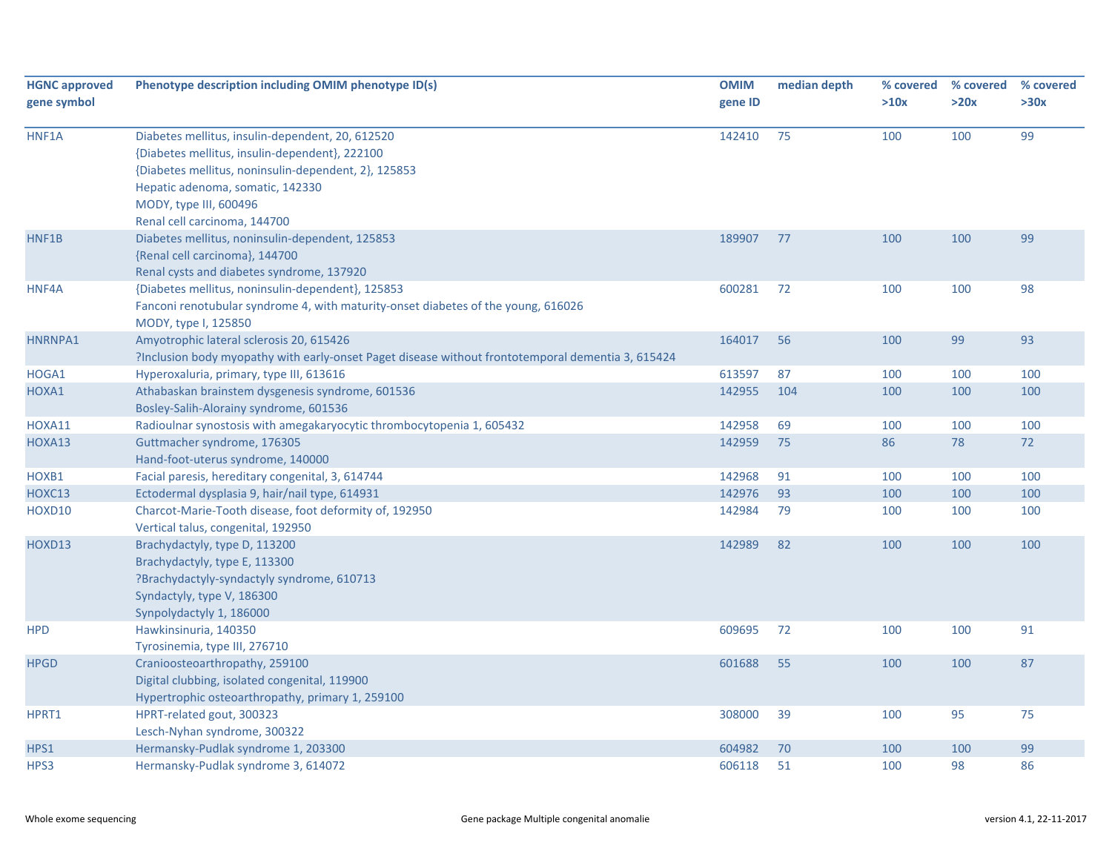| <b>HGNC approved</b><br>gene symbol | Phenotype description including OMIM phenotype ID(s)                                                                                                                                                                                                     | <b>OMIM</b><br>gene ID | median depth | % covered<br>>10x | % covered<br>>20x | % covered<br>>30x |
|-------------------------------------|----------------------------------------------------------------------------------------------------------------------------------------------------------------------------------------------------------------------------------------------------------|------------------------|--------------|-------------------|-------------------|-------------------|
| HNF1A                               | Diabetes mellitus, insulin-dependent, 20, 612520<br>{Diabetes mellitus, insulin-dependent}, 222100<br>{Diabetes mellitus, noninsulin-dependent, 2}, 125853<br>Hepatic adenoma, somatic, 142330<br>MODY, type III, 600496<br>Renal cell carcinoma, 144700 | 142410                 | 75           | 100               | 100               | 99                |
| HNF1B                               | Diabetes mellitus, noninsulin-dependent, 125853<br>{Renal cell carcinoma}, 144700<br>Renal cysts and diabetes syndrome, 137920                                                                                                                           | 189907                 | 77           | 100               | 100               | 99                |
| HNF4A                               | {Diabetes mellitus, noninsulin-dependent}, 125853<br>Fanconi renotubular syndrome 4, with maturity-onset diabetes of the young, 616026<br>MODY, type I, 125850                                                                                           | 600281                 | 72           | 100               | 100               | 98                |
| HNRNPA1                             | Amyotrophic lateral sclerosis 20, 615426<br>?Inclusion body myopathy with early-onset Paget disease without frontotemporal dementia 3, 615424                                                                                                            | 164017                 | 56           | 100               | 99                | 93                |
| HOGA1                               | Hyperoxaluria, primary, type III, 613616                                                                                                                                                                                                                 | 613597                 | 87           | 100               | 100               | 100               |
| HOXA1                               | Athabaskan brainstem dysgenesis syndrome, 601536<br>Bosley-Salih-Alorainy syndrome, 601536                                                                                                                                                               | 142955                 | 104          | 100               | 100               | 100               |
| HOXA11                              | Radioulnar synostosis with amegakaryocytic thrombocytopenia 1, 605432                                                                                                                                                                                    | 142958                 | 69           | 100               | 100               | 100               |
| HOXA13                              | Guttmacher syndrome, 176305<br>Hand-foot-uterus syndrome, 140000                                                                                                                                                                                         | 142959                 | 75           | 86                | 78                | 72                |
| HOXB1                               | Facial paresis, hereditary congenital, 3, 614744                                                                                                                                                                                                         | 142968                 | 91           | 100               | 100               | 100               |
| HOXC13                              | Ectodermal dysplasia 9, hair/nail type, 614931                                                                                                                                                                                                           | 142976                 | 93           | 100               | 100               | 100               |
| HOXD10                              | Charcot-Marie-Tooth disease, foot deformity of, 192950<br>Vertical talus, congenital, 192950                                                                                                                                                             | 142984                 | 79           | 100               | 100               | 100               |
| HOXD13                              | Brachydactyly, type D, 113200<br>Brachydactyly, type E, 113300<br>?Brachydactyly-syndactyly syndrome, 610713<br>Syndactyly, type V, 186300<br>Synpolydactyly 1, 186000                                                                                   | 142989                 | 82           | 100               | 100               | 100               |
| <b>HPD</b>                          | Hawkinsinuria, 140350<br>Tyrosinemia, type III, 276710                                                                                                                                                                                                   | 609695                 | 72           | 100               | 100               | 91                |
| <b>HPGD</b>                         | Cranioosteoarthropathy, 259100<br>Digital clubbing, isolated congenital, 119900<br>Hypertrophic osteoarthropathy, primary 1, 259100                                                                                                                      | 601688                 | 55           | 100               | 100               | 87                |
| HPRT1                               | HPRT-related gout, 300323<br>Lesch-Nyhan syndrome, 300322                                                                                                                                                                                                | 308000                 | 39           | 100               | 95                | 75                |
| HPS1                                | Hermansky-Pudlak syndrome 1, 203300                                                                                                                                                                                                                      | 604982                 | 70           | 100               | 100               | 99                |
| HPS3                                | Hermansky-Pudlak syndrome 3, 614072                                                                                                                                                                                                                      | 606118                 | 51           | 100               | 98                | 86                |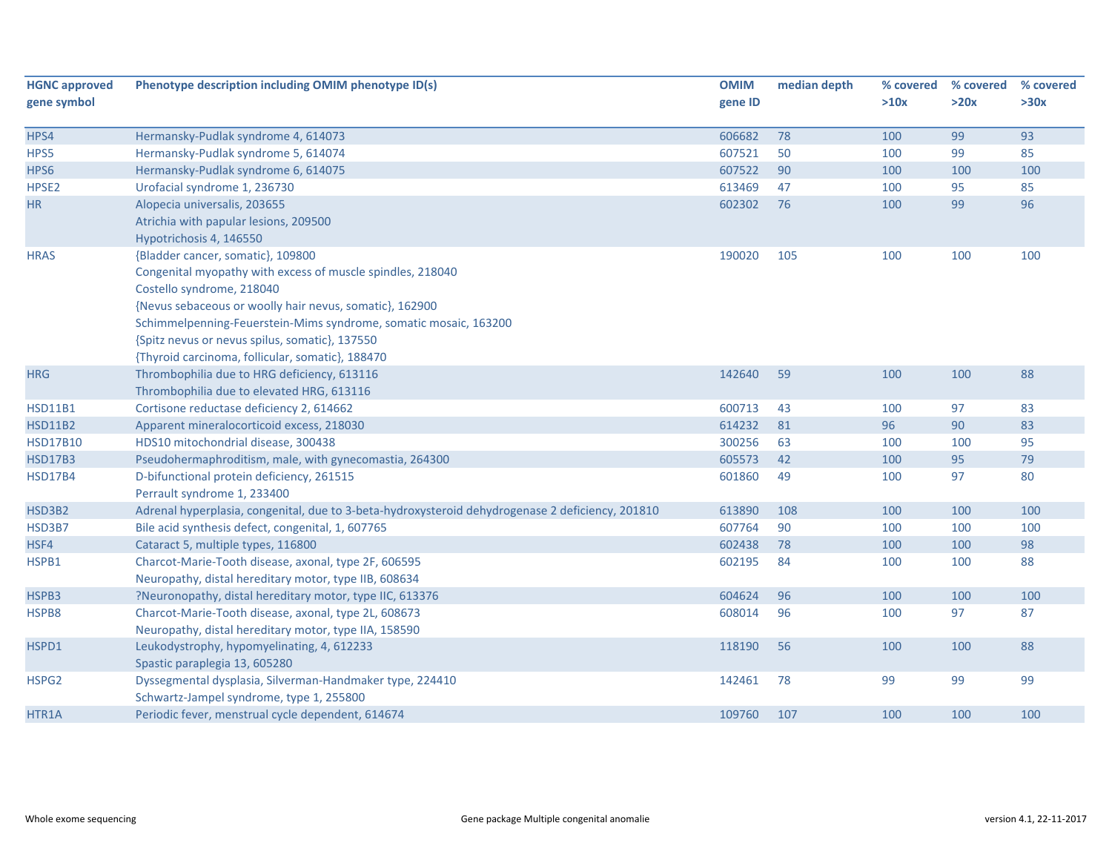| <b>HGNC approved</b> | Phenotype description including OMIM phenotype ID(s)                                             | <b>OMIM</b> | median depth | % covered | % covered | % covered |
|----------------------|--------------------------------------------------------------------------------------------------|-------------|--------------|-----------|-----------|-----------|
| gene symbol          |                                                                                                  | gene ID     |              | >10x      | >20x      | >30x      |
| HPS4                 | Hermansky-Pudlak syndrome 4, 614073                                                              | 606682      | 78           | 100       | 99        | 93        |
| HPS5                 | Hermansky-Pudlak syndrome 5, 614074                                                              | 607521      | 50           | 100       | 99        | 85        |
| HPS6                 | Hermansky-Pudlak syndrome 6, 614075                                                              | 607522      | 90           | 100       | 100       | 100       |
| HPSE <sub>2</sub>    | Urofacial syndrome 1, 236730                                                                     | 613469      | 47           | 100       | 95        | 85        |
| HR                   | Alopecia universalis, 203655                                                                     | 602302      | 76           | 100       | 99        | 96        |
|                      | Atrichia with papular lesions, 209500                                                            |             |              |           |           |           |
|                      | Hypotrichosis 4, 146550                                                                          |             |              |           |           |           |
| <b>HRAS</b>          | {Bladder cancer, somatic}, 109800                                                                | 190020      | 105          | 100       | 100       | 100       |
|                      | Congenital myopathy with excess of muscle spindles, 218040                                       |             |              |           |           |           |
|                      | Costello syndrome, 218040                                                                        |             |              |           |           |           |
|                      | {Nevus sebaceous or woolly hair nevus, somatic}, 162900                                          |             |              |           |           |           |
|                      | Schimmelpenning-Feuerstein-Mims syndrome, somatic mosaic, 163200                                 |             |              |           |           |           |
|                      | {Spitz nevus or nevus spilus, somatic}, 137550                                                   |             |              |           |           |           |
|                      | {Thyroid carcinoma, follicular, somatic}, 188470                                                 |             |              |           |           |           |
| <b>HRG</b>           | Thrombophilia due to HRG deficiency, 613116                                                      | 142640      | 59           | 100       | 100       | 88        |
|                      | Thrombophilia due to elevated HRG, 613116                                                        |             |              |           |           |           |
| <b>HSD11B1</b>       | Cortisone reductase deficiency 2, 614662                                                         | 600713      | 43           | 100       | 97        | 83        |
| <b>HSD11B2</b>       | Apparent mineralocorticoid excess, 218030                                                        | 614232      | 81           | 96        | 90        | 83        |
| <b>HSD17B10</b>      | HDS10 mitochondrial disease, 300438                                                              | 300256      | 63           | 100       | 100       | 95        |
| <b>HSD17B3</b>       | Pseudohermaphroditism, male, with gynecomastia, 264300                                           | 605573      | 42           | 100       | 95        | 79        |
| <b>HSD17B4</b>       | D-bifunctional protein deficiency, 261515                                                        | 601860      | 49           | 100       | 97        | 80        |
|                      | Perrault syndrome 1, 233400                                                                      |             |              |           |           |           |
| HSD3B2               | Adrenal hyperplasia, congenital, due to 3-beta-hydroxysteroid dehydrogenase 2 deficiency, 201810 | 613890      | 108          | 100       | 100       | 100       |
| HSD3B7               | Bile acid synthesis defect, congenital, 1, 607765                                                | 607764      | 90           | 100       | 100       | 100       |
| HSF4                 | Cataract 5, multiple types, 116800                                                               | 602438      | 78           | 100       | 100       | 98        |
| HSPB1                | Charcot-Marie-Tooth disease, axonal, type 2F, 606595                                             | 602195      | 84           | 100       | 100       | 88        |
|                      | Neuropathy, distal hereditary motor, type IIB, 608634                                            |             |              |           |           |           |
| HSPB3                | ?Neuronopathy, distal hereditary motor, type IIC, 613376                                         | 604624      | 96           | 100       | 100       | 100       |
| HSPB8                | Charcot-Marie-Tooth disease, axonal, type 2L, 608673                                             | 608014      | 96           | 100       | 97        | 87        |
|                      | Neuropathy, distal hereditary motor, type IIA, 158590                                            |             |              |           |           |           |
| HSPD1                | Leukodystrophy, hypomyelinating, 4, 612233                                                       | 118190      | 56           | 100       | 100       | 88        |
|                      | Spastic paraplegia 13, 605280                                                                    |             |              |           |           |           |
| HSPG2                | Dyssegmental dysplasia, Silverman-Handmaker type, 224410                                         | 142461      | 78           | 99        | 99        | 99        |
|                      | Schwartz-Jampel syndrome, type 1, 255800                                                         |             |              |           |           |           |
| HTR1A                | Periodic fever, menstrual cycle dependent, 614674                                                | 109760      | 107          | 100       | 100       | 100       |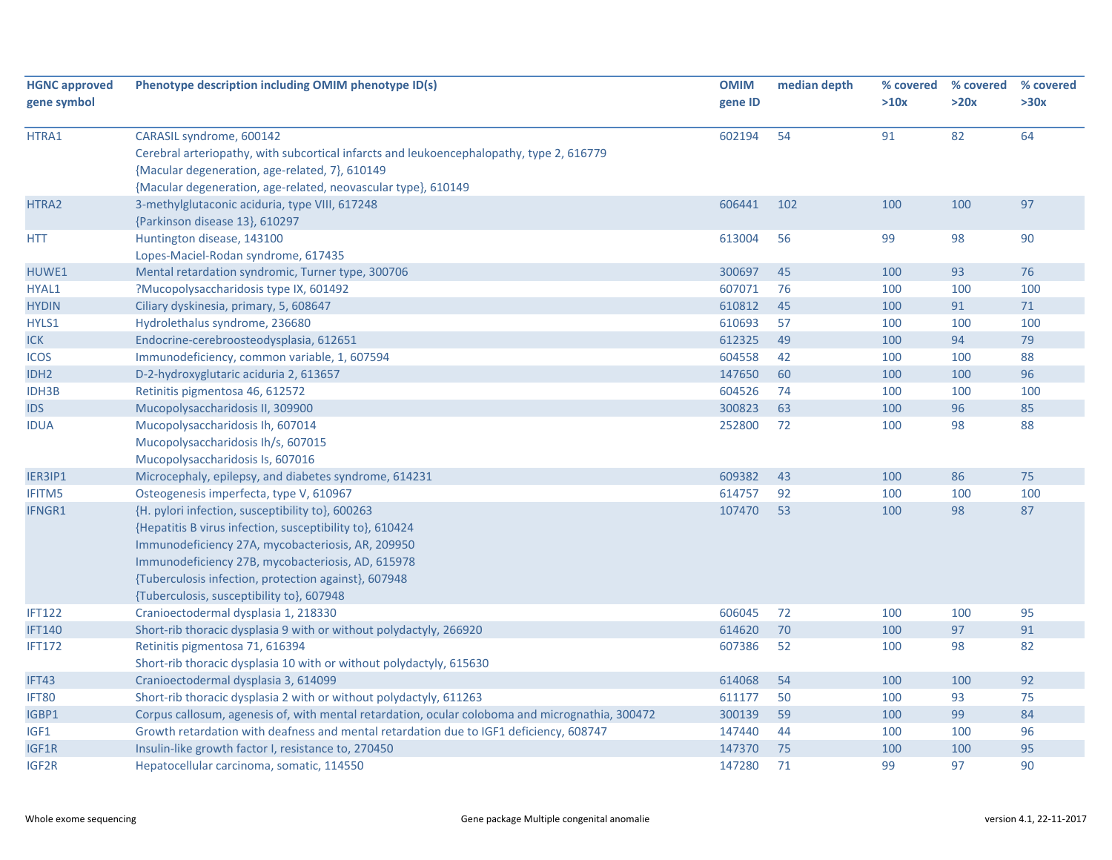| <b>HGNC approved</b> | Phenotype description including OMIM phenotype ID(s)                                            | <b>OMIM</b> | median depth | % covered | % covered | % covered |
|----------------------|-------------------------------------------------------------------------------------------------|-------------|--------------|-----------|-----------|-----------|
| gene symbol          |                                                                                                 | gene ID     |              | >10x      | >20x      | >30x      |
|                      |                                                                                                 |             |              |           |           |           |
| HTRA1                | CARASIL syndrome, 600142                                                                        | 602194      | 54           | 91        | 82        | 64        |
|                      | Cerebral arteriopathy, with subcortical infarcts and leukoencephalopathy, type 2, 616779        |             |              |           |           |           |
|                      | {Macular degeneration, age-related, 7}, 610149                                                  |             |              |           |           |           |
|                      | {Macular degeneration, age-related, neovascular type}, 610149                                   |             |              |           |           |           |
| HTRA2                | 3-methylglutaconic aciduria, type VIII, 617248                                                  | 606441      | 102          | 100       | 100       | 97        |
|                      | {Parkinson disease 13}, 610297                                                                  |             |              |           |           |           |
| <b>HTT</b>           | Huntington disease, 143100                                                                      | 613004      | 56           | 99        | 98        | 90        |
|                      | Lopes-Maciel-Rodan syndrome, 617435                                                             |             |              |           |           |           |
| HUWE1                | Mental retardation syndromic, Turner type, 300706                                               | 300697      | 45           | 100       | 93        | 76        |
| HYAL1                | ?Mucopolysaccharidosis type IX, 601492                                                          | 607071      | 76           | 100       | 100       | 100       |
| <b>HYDIN</b>         | Ciliary dyskinesia, primary, 5, 608647                                                          | 610812      | 45           | 100       | 91        | 71        |
| HYLS1                | Hydrolethalus syndrome, 236680                                                                  | 610693      | 57           | 100       | 100       | 100       |
| ICK                  | Endocrine-cerebroosteodysplasia, 612651                                                         | 612325      | 49           | 100       | 94        | 79        |
| <b>ICOS</b>          | Immunodeficiency, common variable, 1, 607594                                                    | 604558      | 42           | 100       | 100       | 88        |
| IDH <sub>2</sub>     | D-2-hydroxyglutaric aciduria 2, 613657                                                          | 147650      | 60           | 100       | 100       | 96        |
| <b>IDH3B</b>         | Retinitis pigmentosa 46, 612572                                                                 | 604526      | 74           | 100       | 100       | 100       |
| <b>IDS</b>           | Mucopolysaccharidosis II, 309900                                                                | 300823      | 63           | 100       | 96        | 85        |
| <b>IDUA</b>          | Mucopolysaccharidosis Ih, 607014                                                                | 252800      | 72           | 100       | 98        | 88        |
|                      | Mucopolysaccharidosis Ih/s, 607015                                                              |             |              |           |           |           |
|                      | Mucopolysaccharidosis Is, 607016                                                                |             |              |           |           |           |
| IER3IP1              | Microcephaly, epilepsy, and diabetes syndrome, 614231                                           | 609382      | 43           | 100       | 86        | 75        |
| <b>IFITM5</b>        | Osteogenesis imperfecta, type V, 610967                                                         | 614757      | 92           | 100       | 100       | 100       |
| IFNGR1               | {H. pylori infection, susceptibility to}, 600263                                                | 107470      | 53           | 100       | 98        | 87        |
|                      | {Hepatitis B virus infection, susceptibility to}, 610424                                        |             |              |           |           |           |
|                      | Immunodeficiency 27A, mycobacteriosis, AR, 209950                                               |             |              |           |           |           |
|                      | Immunodeficiency 27B, mycobacteriosis, AD, 615978                                               |             |              |           |           |           |
|                      | {Tuberculosis infection, protection against}, 607948                                            |             |              |           |           |           |
|                      | {Tuberculosis, susceptibility to}, 607948                                                       |             |              |           |           |           |
| <b>IFT122</b>        | Cranioectodermal dysplasia 1, 218330                                                            | 606045      | 72           | 100       | 100       | 95        |
| <b>IFT140</b>        | Short-rib thoracic dysplasia 9 with or without polydactyly, 266920                              | 614620      | 70           | 100       | 97        | 91        |
| <b>IFT172</b>        | Retinitis pigmentosa 71, 616394                                                                 | 607386      | 52           | 100       | 98        | 82        |
|                      | Short-rib thoracic dysplasia 10 with or without polydactyly, 615630                             |             |              |           |           |           |
| IFT43                | Cranioectodermal dysplasia 3, 614099                                                            | 614068      | 54           | 100       | 100       | 92        |
| IFT80                | Short-rib thoracic dysplasia 2 with or without polydactyly, 611263                              | 611177      | 50           | 100       | 93        | 75        |
| IGBP1                | Corpus callosum, agenesis of, with mental retardation, ocular coloboma and micrognathia, 300472 | 300139      | 59           | 100       | 99        | 84        |
| IGF1                 | Growth retardation with deafness and mental retardation due to IGF1 deficiency, 608747          | 147440      | 44           | 100       | 100       | 96        |
| IGF1R                | Insulin-like growth factor I, resistance to, 270450                                             | 147370      | 75           | 100       | 100       | 95        |
| IGF2R                | Hepatocellular carcinoma, somatic, 114550                                                       | 147280      | 71           | 99        | 97        | 90        |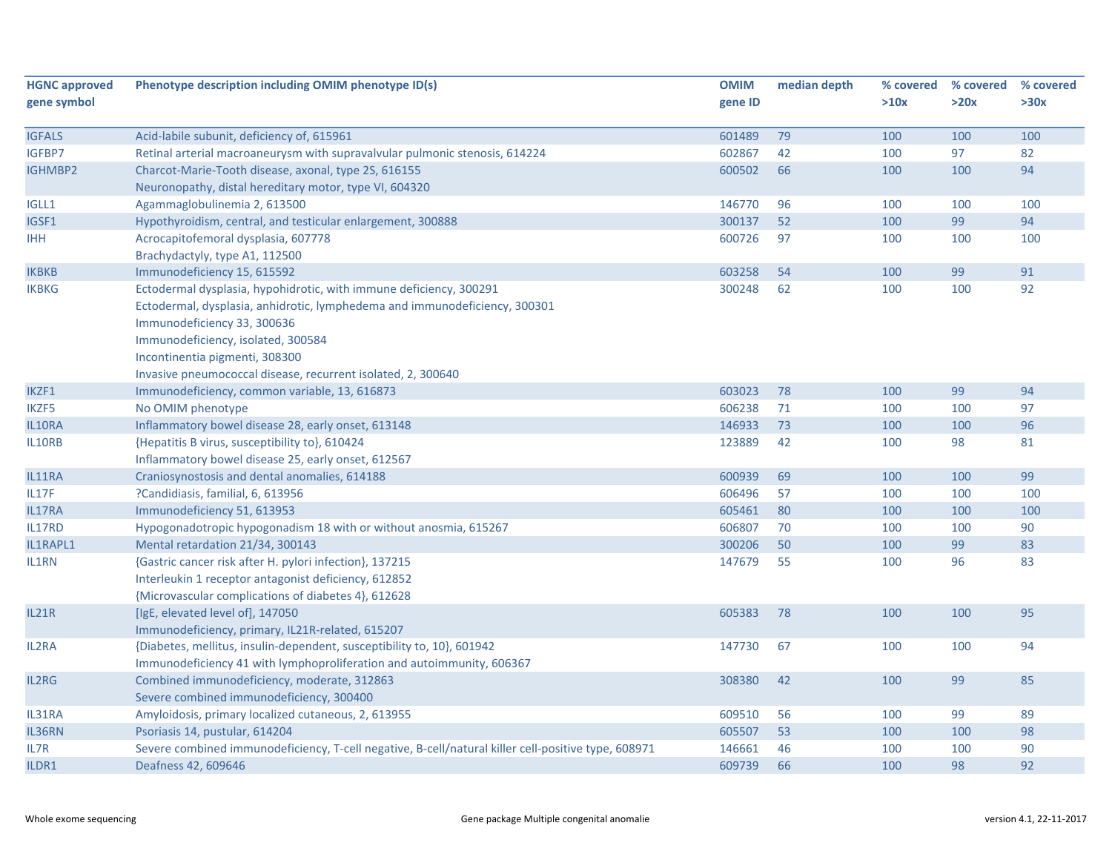| <b>HGNC approved</b> | Phenotype description including OMIM phenotype ID(s)                                                | <b>OMIM</b> | median depth | % covered | % covered | % covered |
|----------------------|-----------------------------------------------------------------------------------------------------|-------------|--------------|-----------|-----------|-----------|
| gene symbol          |                                                                                                     | gene ID     |              | >10x      | >20x      | >30x      |
|                      |                                                                                                     |             |              |           |           |           |
| <b>IGFALS</b>        | Acid-labile subunit, deficiency of, 615961                                                          | 601489      | 79           | 100       | 100       | 100       |
| IGFBP7               | Retinal arterial macroaneurysm with supravalvular pulmonic stenosis, 614224                         | 602867      | 42           | 100       | 97        | 82        |
| <b>IGHMBP2</b>       | Charcot-Marie-Tooth disease, axonal, type 2S, 616155                                                | 600502      | 66           | 100       | 100       | 94        |
|                      | Neuronopathy, distal hereditary motor, type VI, 604320                                              |             |              |           |           |           |
| IGLL1                | Agammaglobulinemia 2, 613500                                                                        | 146770      | 96           | 100       | 100       | 100       |
| IGSF1                | Hypothyroidism, central, and testicular enlargement, 300888                                         | 300137      | 52           | 100       | 99        | 94        |
| <b>IHH</b>           | Acrocapitofemoral dysplasia, 607778                                                                 | 600726      | 97           | 100       | 100       | 100       |
|                      | Brachydactyly, type A1, 112500                                                                      |             |              |           |           |           |
| <b>IKBKB</b>         | Immunodeficiency 15, 615592                                                                         | 603258      | 54           | 100       | 99        | 91        |
| <b>IKBKG</b>         | Ectodermal dysplasia, hypohidrotic, with immune deficiency, 300291                                  | 300248      | 62           | 100       | 100       | 92        |
|                      | Ectodermal, dysplasia, anhidrotic, lymphedema and immunodeficiency, 300301                          |             |              |           |           |           |
|                      | Immunodeficiency 33, 300636                                                                         |             |              |           |           |           |
|                      | Immunodeficiency, isolated, 300584                                                                  |             |              |           |           |           |
|                      | Incontinentia pigmenti, 308300                                                                      |             |              |           |           |           |
|                      | Invasive pneumococcal disease, recurrent isolated, 2, 300640                                        |             |              |           |           |           |
| IKZF1                | Immunodeficiency, common variable, 13, 616873                                                       | 603023      | 78           | 100       | 99        | 94        |
| <b>IKZF5</b>         | No OMIM phenotype                                                                                   | 606238      | 71           | 100       | 100       | 97        |
| IL10RA               | Inflammatory bowel disease 28, early onset, 613148                                                  | 146933      | 73           | 100       | 100       | 96        |
| IL10RB               | {Hepatitis B virus, susceptibility to}, 610424                                                      | 123889      | 42           | 100       | 98        | 81        |
|                      | Inflammatory bowel disease 25, early onset, 612567                                                  |             |              |           |           |           |
| IL11RA               | Craniosynostosis and dental anomalies, 614188                                                       | 600939      | 69           | 100       | 100       | 99        |
| IL17F                | ?Candidiasis, familial, 6, 613956                                                                   | 606496      | 57           | 100       | 100       | 100       |
| IL17RA               | Immunodeficiency 51, 613953                                                                         | 605461      | 80           | 100       | 100       | 100       |
| IL17RD               | Hypogonadotropic hypogonadism 18 with or without anosmia, 615267                                    | 606807      | 70           | 100       | 100       | 90        |
| IL1RAPL1             | Mental retardation 21/34, 300143                                                                    | 300206      | 50           | 100       | 99        | 83        |
| IL1RN                | {Gastric cancer risk after H. pylori infection}, 137215                                             | 147679      | 55           | 100       | 96        | 83        |
|                      | Interleukin 1 receptor antagonist deficiency, 612852                                                |             |              |           |           |           |
|                      | {Microvascular complications of diabetes 4}, 612628                                                 |             |              |           |           |           |
| <b>IL21R</b>         | [IgE, elevated level of], 147050                                                                    | 605383      | 78           | 100       | 100       | 95        |
|                      | Immunodeficiency, primary, IL21R-related, 615207                                                    |             |              |           |           |           |
| IL2RA                | {Diabetes, mellitus, insulin-dependent, susceptibility to, 10}, 601942                              | 147730      | 67           | 100       | 100       | 94        |
|                      | Immunodeficiency 41 with lymphoproliferation and autoimmunity, 606367                               |             |              |           |           |           |
| IL2RG                | Combined immunodeficiency, moderate, 312863                                                         | 308380      | 42           | 100       | 99        | 85        |
|                      | Severe combined immunodeficiency, 300400                                                            |             |              |           |           |           |
| IL31RA               | Amyloidosis, primary localized cutaneous, 2, 613955                                                 | 609510      | 56           | 100       | 99        | 89        |
| IL36RN               | Psoriasis 14, pustular, 614204                                                                      | 605507      | 53           | 100       | 100       | 98        |
| IL7R                 | Severe combined immunodeficiency, T-cell negative, B-cell/natural killer cell-positive type, 608971 | 146661      | 46           | 100       | 100       | 90        |
| ILDR1                | Deafness 42, 609646                                                                                 | 609739      | 66           | 100       | 98        | 92        |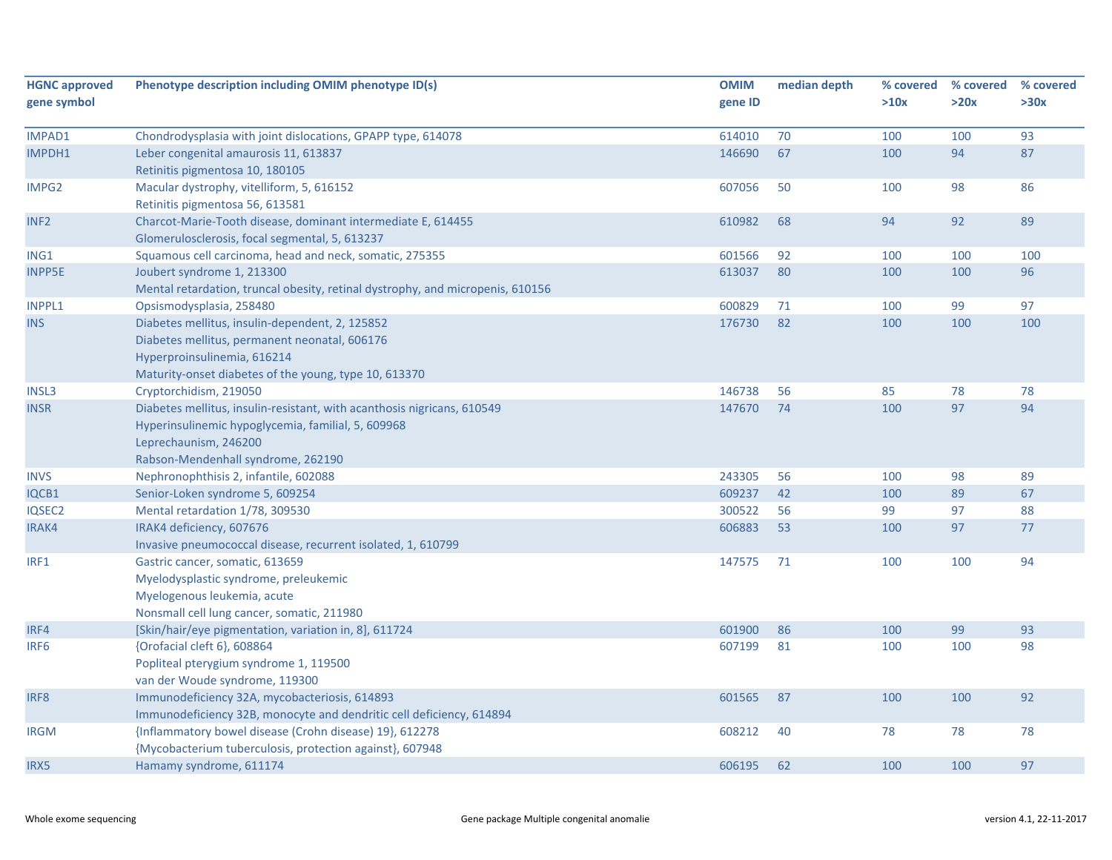| <b>HGNC approved</b> | Phenotype description including OMIM phenotype ID(s)                                                           | <b>OMIM</b> | median depth | % covered | % covered | % covered |
|----------------------|----------------------------------------------------------------------------------------------------------------|-------------|--------------|-----------|-----------|-----------|
| gene symbol          |                                                                                                                | gene ID     |              | >10x      | >20x      | >30x      |
| IMPAD1               | Chondrodysplasia with joint dislocations, GPAPP type, 614078                                                   | 614010      | 70           | 100       | 100       | 93        |
| IMPDH1               | Leber congenital amaurosis 11, 613837<br>Retinitis pigmentosa 10, 180105                                       | 146690      | 67           | 100       | 94        | 87        |
| IMPG2                | Macular dystrophy, vitelliform, 5, 616152<br>Retinitis pigmentosa 56, 613581                                   | 607056      | 50           | 100       | 98        | 86        |
| INF <sub>2</sub>     | Charcot-Marie-Tooth disease, dominant intermediate E, 614455<br>Glomerulosclerosis, focal segmental, 5, 613237 | 610982      | 68           | 94        | 92        | 89        |
| ING1                 | Squamous cell carcinoma, head and neck, somatic, 275355                                                        | 601566      | 92           | 100       | 100       | 100       |
| <b>INPP5E</b>        | Joubert syndrome 1, 213300                                                                                     | 613037      | 80           | 100       | 100       | 96        |
|                      | Mental retardation, truncal obesity, retinal dystrophy, and micropenis, 610156                                 |             |              |           |           |           |
| <b>INPPL1</b>        | Opsismodysplasia, 258480                                                                                       | 600829      | 71           | 100       | 99        | 97        |
| <b>INS</b>           | Diabetes mellitus, insulin-dependent, 2, 125852                                                                | 176730      | 82           | 100       | 100       | 100       |
|                      | Diabetes mellitus, permanent neonatal, 606176                                                                  |             |              |           |           |           |
|                      | Hyperproinsulinemia, 616214                                                                                    |             |              |           |           |           |
|                      | Maturity-onset diabetes of the young, type 10, 613370                                                          |             |              |           |           |           |
| <b>INSL3</b>         | Cryptorchidism, 219050                                                                                         | 146738      | 56           | 85        | 78        | 78        |
| <b>INSR</b>          | Diabetes mellitus, insulin-resistant, with acanthosis nigricans, 610549                                        | 147670      | 74           | 100       | 97        | 94        |
|                      | Hyperinsulinemic hypoglycemia, familial, 5, 609968                                                             |             |              |           |           |           |
|                      | Leprechaunism, 246200                                                                                          |             |              |           |           |           |
|                      | Rabson-Mendenhall syndrome, 262190                                                                             |             |              |           |           |           |
| <b>INVS</b>          | Nephronophthisis 2, infantile, 602088                                                                          | 243305      | 56           | 100       | 98        | 89        |
| IQCB1                | Senior-Loken syndrome 5, 609254                                                                                | 609237      | 42           | 100       | 89        | 67        |
| <b>IQSEC2</b>        | Mental retardation 1/78, 309530                                                                                | 300522      | 56           | 99        | 97        | 88        |
| IRAK4                | IRAK4 deficiency, 607676                                                                                       | 606883      | 53           | 100       | 97        | 77        |
|                      | Invasive pneumococcal disease, recurrent isolated, 1, 610799                                                   |             |              |           |           |           |
| IRF1                 | Gastric cancer, somatic, 613659                                                                                | 147575      | 71           | 100       | 100       | 94        |
|                      | Myelodysplastic syndrome, preleukemic                                                                          |             |              |           |           |           |
|                      | Myelogenous leukemia, acute                                                                                    |             |              |           |           |           |
|                      | Nonsmall cell lung cancer, somatic, 211980                                                                     |             |              |           |           |           |
| IRF4                 | [Skin/hair/eye pigmentation, variation in, 8], 611724                                                          | 601900      | 86           | 100       | 99        | 93        |
| IRF <sub>6</sub>     | {Orofacial cleft 6}, 608864                                                                                    | 607199      | 81           | 100       | 100       | 98        |
|                      | Popliteal pterygium syndrome 1, 119500                                                                         |             |              |           |           |           |
|                      | van der Woude syndrome, 119300                                                                                 |             |              |           |           |           |
| IRF8                 | Immunodeficiency 32A, mycobacteriosis, 614893                                                                  | 601565      | 87           | 100       | 100       | 92        |
|                      | Immunodeficiency 32B, monocyte and dendritic cell deficiency, 614894                                           |             |              |           |           |           |
| <b>IRGM</b>          | {Inflammatory bowel disease (Crohn disease) 19}, 612278                                                        | 608212      | 40           | 78        | 78        | 78        |
|                      | {Mycobacterium tuberculosis, protection against}, 607948                                                       |             |              |           |           |           |
| IRX5                 | Hamamy syndrome, 611174                                                                                        | 606195      | 62           | 100       | 100       | 97        |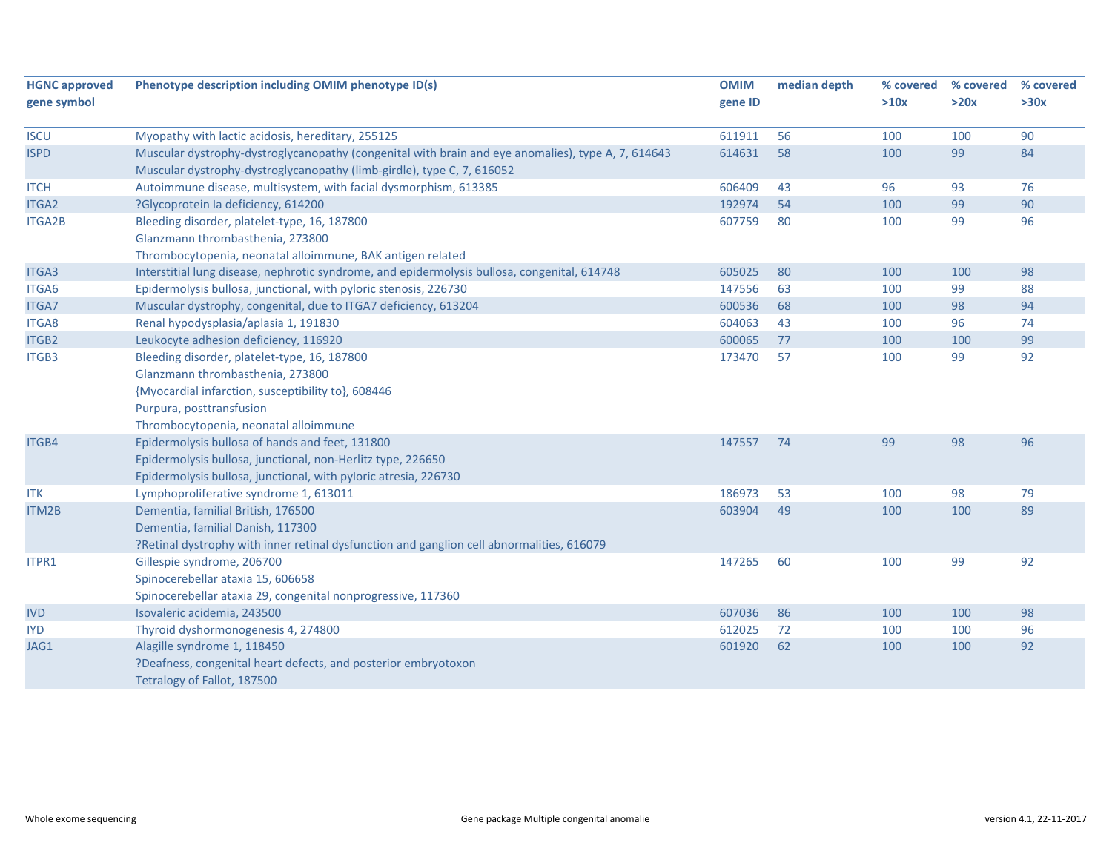| <b>HGNC approved</b> | Phenotype description including OMIM phenotype ID(s)                                               | <b>OMIM</b> | median depth | % covered | % covered | % covered |
|----------------------|----------------------------------------------------------------------------------------------------|-------------|--------------|-----------|-----------|-----------|
| gene symbol          |                                                                                                    | gene ID     |              | >10x      | >20x      | >30x      |
| <b>ISCU</b>          | Myopathy with lactic acidosis, hereditary, 255125                                                  | 611911      | 56           | 100       | 100       | 90        |
| <b>ISPD</b>          | Muscular dystrophy-dystroglycanopathy (congenital with brain and eye anomalies), type A, 7, 614643 | 614631      | 58           | 100       | 99        | 84        |
|                      | Muscular dystrophy-dystroglycanopathy (limb-girdle), type C, 7, 616052                             |             |              |           |           |           |
| <b>ITCH</b>          | Autoimmune disease, multisystem, with facial dysmorphism, 613385                                   | 606409      | 43           | 96        | 93        | 76        |
| <b>ITGA2</b>         | ?Glycoprotein la deficiency, 614200                                                                | 192974      | 54           | 100       | 99        | 90        |
| <b>ITGA2B</b>        | Bleeding disorder, platelet-type, 16, 187800                                                       | 607759      | 80           | 100       | 99        | 96        |
|                      | Glanzmann thrombasthenia, 273800                                                                   |             |              |           |           |           |
|                      | Thrombocytopenia, neonatal alloimmune, BAK antigen related                                         |             |              |           |           |           |
| ITGA3                | Interstitial lung disease, nephrotic syndrome, and epidermolysis bullosa, congenital, 614748       | 605025      | 80           | 100       | 100       | 98        |
| ITGA6                | Epidermolysis bullosa, junctional, with pyloric stenosis, 226730                                   | 147556      | 63           | 100       | 99        | 88        |
| <b>ITGA7</b>         | Muscular dystrophy, congenital, due to ITGA7 deficiency, 613204                                    | 600536      | 68           | 100       | 98        | 94        |
| ITGA8                | Renal hypodysplasia/aplasia 1, 191830                                                              | 604063      | 43           | 100       | 96        | 74        |
| ITGB2                | Leukocyte adhesion deficiency, 116920                                                              | 600065      | 77           | 100       | 100       | 99        |
| ITGB3                | Bleeding disorder, platelet-type, 16, 187800                                                       | 173470      | 57           | 100       | 99        | 92        |
|                      | Glanzmann thrombasthenia, 273800                                                                   |             |              |           |           |           |
|                      | {Myocardial infarction, susceptibility to}, 608446                                                 |             |              |           |           |           |
|                      | Purpura, posttransfusion                                                                           |             |              |           |           |           |
|                      | Thrombocytopenia, neonatal alloimmune                                                              |             |              |           |           |           |
| ITGB4                | Epidermolysis bullosa of hands and feet, 131800                                                    | 147557      | 74           | 99        | 98        | 96        |
|                      | Epidermolysis bullosa, junctional, non-Herlitz type, 226650                                        |             |              |           |           |           |
|                      | Epidermolysis bullosa, junctional, with pyloric atresia, 226730                                    |             |              |           |           |           |
| <b>ITK</b>           | Lymphoproliferative syndrome 1, 613011                                                             | 186973      | 53           | 100       | 98        | 79        |
| ITM2B                | Dementia, familial British, 176500                                                                 | 603904      | 49           | 100       | 100       | 89        |
|                      | Dementia, familial Danish, 117300                                                                  |             |              |           |           |           |
|                      | ?Retinal dystrophy with inner retinal dysfunction and ganglion cell abnormalities, 616079          |             |              |           |           |           |
| ITPR1                | Gillespie syndrome, 206700                                                                         | 147265      | 60           | 100       | 99        | 92        |
|                      | Spinocerebellar ataxia 15, 606658                                                                  |             |              |           |           |           |
|                      | Spinocerebellar ataxia 29, congenital nonprogressive, 117360                                       |             |              |           |           |           |
| <b>IVD</b>           | Isovaleric acidemia, 243500                                                                        | 607036      | 86           | 100       | 100       | 98        |
| <b>IYD</b>           | Thyroid dyshormonogenesis 4, 274800                                                                | 612025      | 72           | 100       | 100       | 96        |
| JAG1                 | Alagille syndrome 1, 118450                                                                        | 601920      | 62           | 100       | 100       | 92        |
|                      | ?Deafness, congenital heart defects, and posterior embryotoxon                                     |             |              |           |           |           |
|                      | Tetralogy of Fallot, 187500                                                                        |             |              |           |           |           |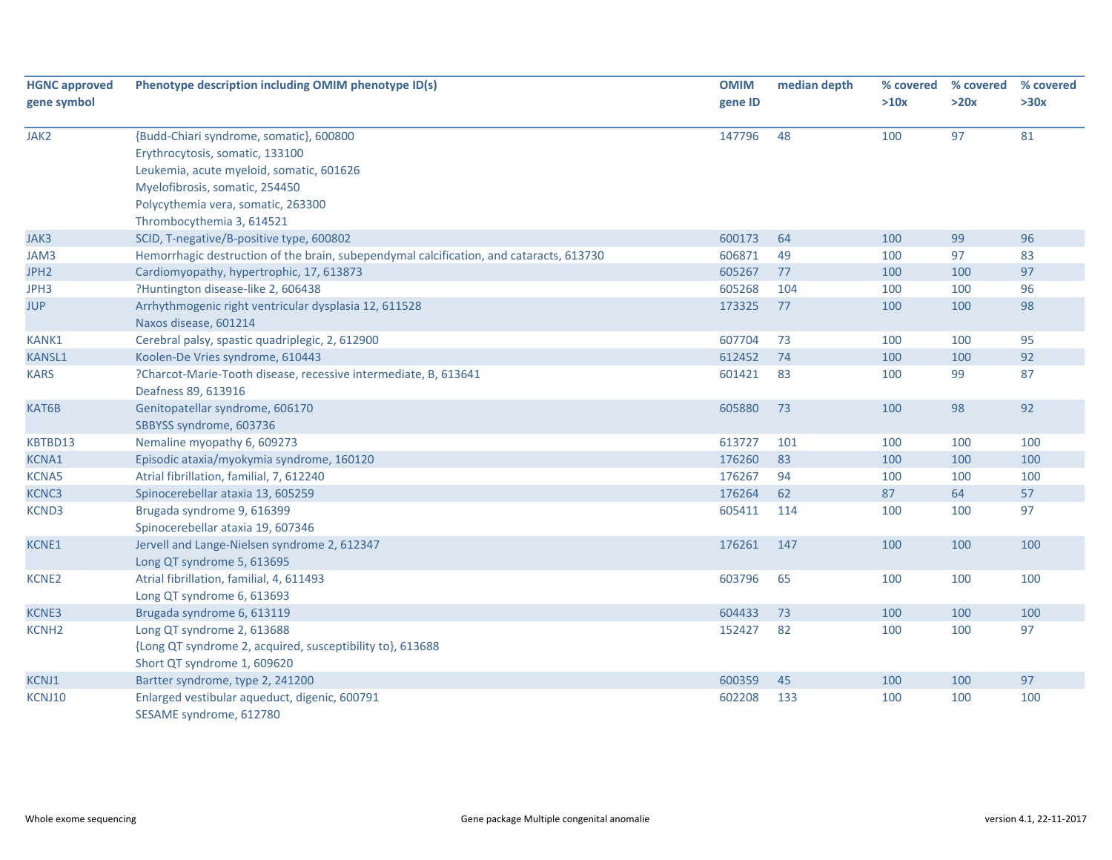| <b>HGNC approved</b> | Phenotype description including OMIM phenotype ID(s)                                    | <b>OMIM</b> | median depth | % covered | % covered | % covered |
|----------------------|-----------------------------------------------------------------------------------------|-------------|--------------|-----------|-----------|-----------|
| gene symbol          |                                                                                         | gene ID     |              | >10x      | >20x      | >30x      |
| JAK2                 | {Budd-Chiari syndrome, somatic}, 600800                                                 | 147796      | 48           | 100       | 97        | 81        |
|                      | Erythrocytosis, somatic, 133100                                                         |             |              |           |           |           |
|                      | Leukemia, acute myeloid, somatic, 601626                                                |             |              |           |           |           |
|                      | Myelofibrosis, somatic, 254450                                                          |             |              |           |           |           |
|                      | Polycythemia vera, somatic, 263300                                                      |             |              |           |           |           |
|                      | Thrombocythemia 3, 614521                                                               |             |              |           |           |           |
| JAK3                 | SCID, T-negative/B-positive type, 600802                                                | 600173      | 64           | 100       | 99        | 96        |
| JAM3                 | Hemorrhagic destruction of the brain, subependymal calcification, and cataracts, 613730 | 606871      | 49           | 100       | 97        | 83        |
| JPH <sub>2</sub>     | Cardiomyopathy, hypertrophic, 17, 613873                                                | 605267      | 77           | 100       | 100       | 97        |
| JPH3                 | ?Huntington disease-like 2, 606438                                                      | 605268      | 104          | 100       | 100       | 96        |
| <b>JUP</b>           | Arrhythmogenic right ventricular dysplasia 12, 611528                                   | 173325      | 77           | 100       | 100       | 98        |
|                      | Naxos disease, 601214                                                                   |             |              |           |           |           |
| KANK1                | Cerebral palsy, spastic quadriplegic, 2, 612900                                         | 607704      | 73           | 100       | 100       | 95        |
| <b>KANSL1</b>        | Koolen-De Vries syndrome, 610443                                                        | 612452      | 74           | 100       | 100       | 92        |
| <b>KARS</b>          | ?Charcot-Marie-Tooth disease, recessive intermediate, B, 613641                         | 601421      | 83           | 100       | 99        | 87        |
|                      | Deafness 89, 613916                                                                     |             |              |           |           |           |
| KAT6B                | Genitopatellar syndrome, 606170                                                         | 605880      | 73           | 100       | 98        | 92        |
|                      | SBBYSS syndrome, 603736                                                                 |             |              |           |           |           |
| KBTBD13              | Nemaline myopathy 6, 609273                                                             | 613727      | 101          | 100       | 100       | 100       |
| <b>KCNA1</b>         | Episodic ataxia/myokymia syndrome, 160120                                               | 176260      | 83           | 100       | 100       | 100       |
| <b>KCNA5</b>         | Atrial fibrillation, familial, 7, 612240                                                | 176267      | 94           | 100       | 100       | 100       |
| <b>KCNC3</b>         | Spinocerebellar ataxia 13, 605259                                                       | 176264      | 62           | 87        | 64        | 57        |
| <b>KCND3</b>         | Brugada syndrome 9, 616399                                                              | 605411      | 114          | 100       | 100       | 97        |
|                      | Spinocerebellar ataxia 19, 607346                                                       |             |              |           |           |           |
| KCNE1                | Jervell and Lange-Nielsen syndrome 2, 612347                                            | 176261      | 147          | 100       | 100       | 100       |
|                      | Long QT syndrome 5, 613695                                                              |             |              |           |           |           |
| <b>KCNE2</b>         | Atrial fibrillation, familial, 4, 611493                                                | 603796      | 65           | 100       | 100       | 100       |
|                      | Long QT syndrome 6, 613693                                                              |             |              |           |           |           |
| KCNE3                | Brugada syndrome 6, 613119                                                              | 604433      | 73           | 100       | 100       | 100       |
| <b>KCNH2</b>         | Long QT syndrome 2, 613688                                                              | 152427      | 82           | 100       | 100       | 97        |
|                      | {Long QT syndrome 2, acquired, susceptibility to}, 613688                               |             |              |           |           |           |
|                      | Short QT syndrome 1, 609620                                                             |             |              |           |           |           |
| KCNJ1                | Bartter syndrome, type 2, 241200                                                        | 600359      | 45           | 100       | 100       | 97        |
| KCNJ10               | Enlarged vestibular aqueduct, digenic, 600791                                           | 602208      | 133          | 100       | 100       | 100       |
|                      | SESAME syndrome, 612780                                                                 |             |              |           |           |           |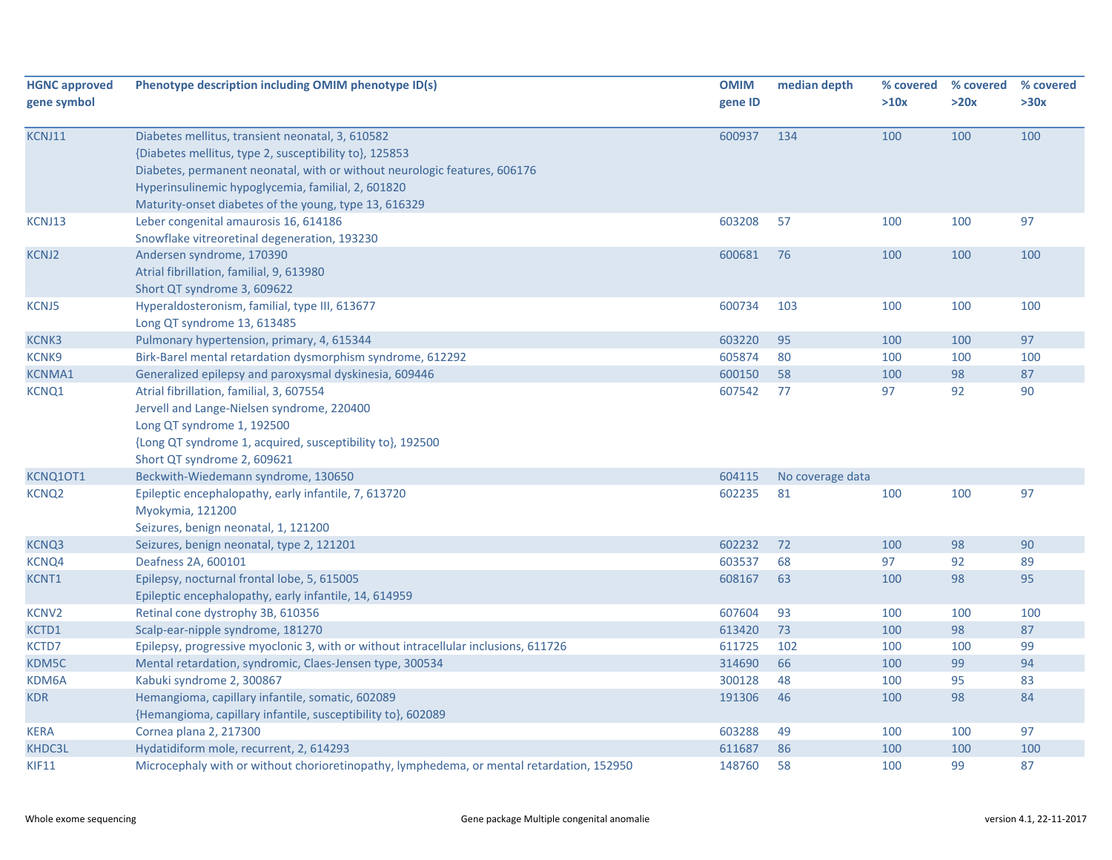| <b>HGNC approved</b><br>gene symbol | Phenotype description including OMIM phenotype ID(s)                                                                                                                                                                                                                                                   | <b>OMIM</b><br>gene ID | median depth     | % covered<br>>10x | % covered<br>>20x | % covered<br>>30x |
|-------------------------------------|--------------------------------------------------------------------------------------------------------------------------------------------------------------------------------------------------------------------------------------------------------------------------------------------------------|------------------------|------------------|-------------------|-------------------|-------------------|
| KCNJ11                              | Diabetes mellitus, transient neonatal, 3, 610582<br>{Diabetes mellitus, type 2, susceptibility to}, 125853<br>Diabetes, permanent neonatal, with or without neurologic features, 606176<br>Hyperinsulinemic hypoglycemia, familial, 2, 601820<br>Maturity-onset diabetes of the young, type 13, 616329 | 600937                 | 134              | 100               | 100               | 100               |
| KCNJ13                              | Leber congenital amaurosis 16, 614186<br>Snowflake vitreoretinal degeneration, 193230                                                                                                                                                                                                                  | 603208                 | 57               | 100               | 100               | 97                |
| <b>KCNJ2</b>                        | Andersen syndrome, 170390<br>Atrial fibrillation, familial, 9, 613980<br>Short QT syndrome 3, 609622                                                                                                                                                                                                   | 600681                 | 76               | 100               | 100               | 100               |
| <b>KCNJ5</b>                        | Hyperaldosteronism, familial, type III, 613677<br>Long QT syndrome 13, 613485                                                                                                                                                                                                                          | 600734                 | 103              | 100               | 100               | 100               |
| <b>KCNK3</b>                        | Pulmonary hypertension, primary, 4, 615344                                                                                                                                                                                                                                                             | 603220                 | 95               | 100               | 100               | 97                |
| KCNK9                               | Birk-Barel mental retardation dysmorphism syndrome, 612292                                                                                                                                                                                                                                             | 605874                 | 80               | 100               | 100               | 100               |
| <b>KCNMA1</b>                       | Generalized epilepsy and paroxysmal dyskinesia, 609446                                                                                                                                                                                                                                                 | 600150                 | 58               | 100               | 98                | 87                |
| KCNQ1                               | Atrial fibrillation, familial, 3, 607554<br>Jervell and Lange-Nielsen syndrome, 220400<br>Long QT syndrome 1, 192500<br>{Long QT syndrome 1, acquired, susceptibility to}, 192500<br>Short QT syndrome 2, 609621                                                                                       | 607542                 | 77               | 97                | 92                | 90                |
| KCNQ10T1                            | Beckwith-Wiedemann syndrome, 130650                                                                                                                                                                                                                                                                    | 604115                 | No coverage data |                   |                   |                   |
| <b>KCNQ2</b>                        | Epileptic encephalopathy, early infantile, 7, 613720<br>Myokymia, 121200<br>Seizures, benign neonatal, 1, 121200                                                                                                                                                                                       | 602235                 | 81               | 100               | 100               | 97                |
| KCNQ3                               | Seizures, benign neonatal, type 2, 121201                                                                                                                                                                                                                                                              | 602232                 | 72               | 100               | 98                | 90                |
| KCNQ4                               | Deafness 2A, 600101                                                                                                                                                                                                                                                                                    | 603537                 | 68               | 97                | 92                | 89                |
| KCNT1                               | Epilepsy, nocturnal frontal lobe, 5, 615005<br>Epileptic encephalopathy, early infantile, 14, 614959                                                                                                                                                                                                   | 608167                 | 63               | 100               | 98                | 95                |
| <b>KCNV2</b>                        | Retinal cone dystrophy 3B, 610356                                                                                                                                                                                                                                                                      | 607604                 | 93               | 100               | 100               | 100               |
| KCTD1                               | Scalp-ear-nipple syndrome, 181270                                                                                                                                                                                                                                                                      | 613420                 | 73               | 100               | 98                | 87                |
| KCTD7                               | Epilepsy, progressive myoclonic 3, with or without intracellular inclusions, 611726                                                                                                                                                                                                                    | 611725                 | 102              | 100               | 100               | 99                |
| KDM5C                               | Mental retardation, syndromic, Claes-Jensen type, 300534                                                                                                                                                                                                                                               | 314690                 | 66               | 100               | 99                | 94                |
| KDM6A                               | Kabuki syndrome 2, 300867                                                                                                                                                                                                                                                                              | 300128                 | 48               | 100               | 95                | 83                |
| <b>KDR</b>                          | Hemangioma, capillary infantile, somatic, 602089<br>{Hemangioma, capillary infantile, susceptibility to}, 602089                                                                                                                                                                                       | 191306                 | 46               | 100               | 98                | 84                |
| <b>KERA</b>                         | Cornea plana 2, 217300                                                                                                                                                                                                                                                                                 | 603288                 | 49               | 100               | 100               | 97                |
| KHDC3L                              | Hydatidiform mole, recurrent, 2, 614293                                                                                                                                                                                                                                                                | 611687                 | 86               | 100               | 100               | 100               |
| <b>KIF11</b>                        | Microcephaly with or without chorioretinopathy, lymphedema, or mental retardation, 152950                                                                                                                                                                                                              | 148760                 | 58               | 100               | 99                | 87                |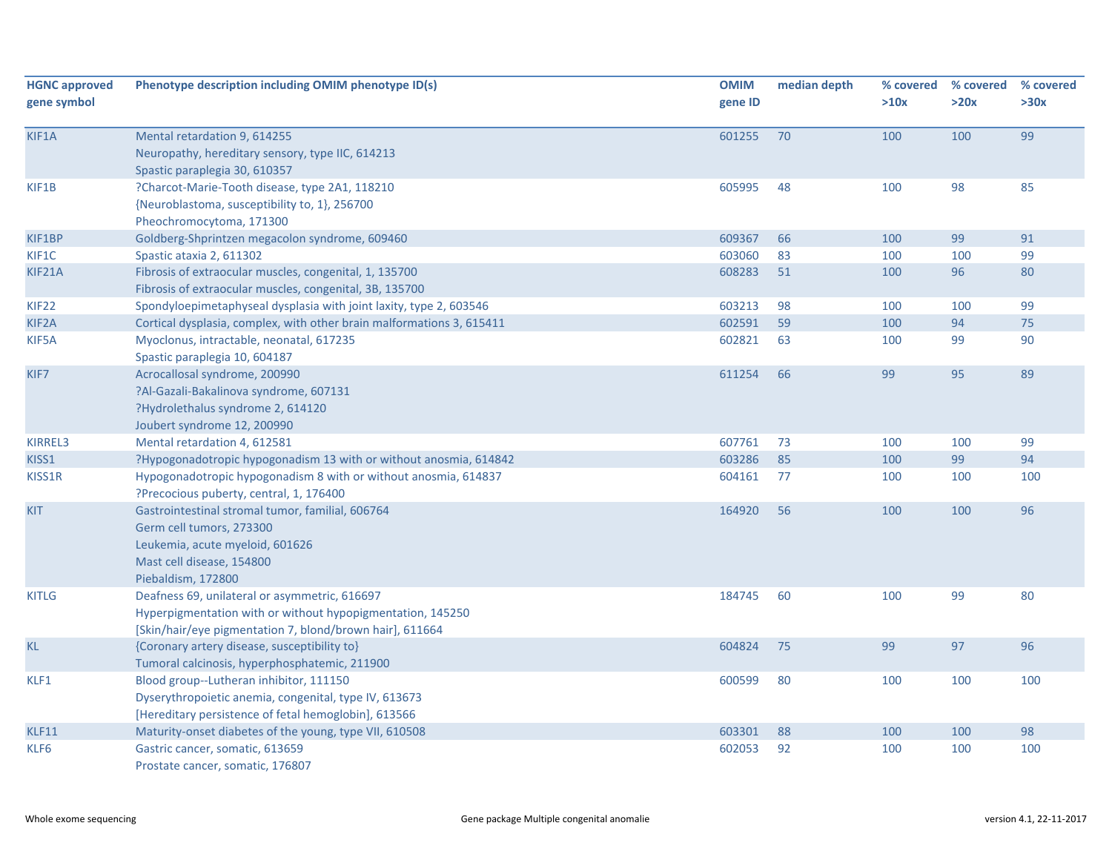| <b>HGNC approved</b><br>gene symbol | Phenotype description including OMIM phenotype ID(s)                                                                                                                    | <b>OMIM</b><br>gene ID | median depth | % covered<br>>10x | % covered<br>>20x | % covered<br>>30x |
|-------------------------------------|-------------------------------------------------------------------------------------------------------------------------------------------------------------------------|------------------------|--------------|-------------------|-------------------|-------------------|
| KIF1A                               | Mental retardation 9, 614255<br>Neuropathy, hereditary sensory, type IIC, 614213<br>Spastic paraplegia 30, 610357                                                       | 601255                 | 70           | 100               | 100               | 99                |
| KIF1B                               | ?Charcot-Marie-Tooth disease, type 2A1, 118210<br>{Neuroblastoma, susceptibility to, 1}, 256700<br>Pheochromocytoma, 171300                                             | 605995                 | 48           | 100               | 98                | 85                |
| KIF1BP                              | Goldberg-Shprintzen megacolon syndrome, 609460                                                                                                                          | 609367                 | 66           | 100               | 99                | 91                |
| KIF1C                               | Spastic ataxia 2, 611302                                                                                                                                                | 603060                 | 83           | 100               | 100               | 99                |
| KIF21A                              | Fibrosis of extraocular muscles, congenital, 1, 135700<br>Fibrosis of extraocular muscles, congenital, 3B, 135700                                                       | 608283                 | 51           | 100               | 96                | 80                |
| <b>KIF22</b>                        | Spondyloepimetaphyseal dysplasia with joint laxity, type 2, 603546                                                                                                      | 603213                 | 98           | 100               | 100               | 99                |
| KIF2A                               | Cortical dysplasia, complex, with other brain malformations 3, 615411                                                                                                   | 602591                 | 59           | 100               | 94                | 75                |
| KIF5A                               | Myoclonus, intractable, neonatal, 617235<br>Spastic paraplegia 10, 604187                                                                                               | 602821                 | 63           | 100               | 99                | 90                |
| KIF7                                | Acrocallosal syndrome, 200990<br>?Al-Gazali-Bakalinova syndrome, 607131<br>?Hydrolethalus syndrome 2, 614120<br>Joubert syndrome 12, 200990                             | 611254                 | 66           | 99                | 95                | 89                |
| KIRREL3                             | Mental retardation 4, 612581                                                                                                                                            | 607761                 | 73           | 100               | 100               | 99                |
| KISS1                               | ?Hypogonadotropic hypogonadism 13 with or without anosmia, 614842                                                                                                       | 603286                 | 85           | 100               | 99                | 94                |
| KISS1R                              | Hypogonadotropic hypogonadism 8 with or without anosmia, 614837<br>?Precocious puberty, central, 1, 176400                                                              | 604161                 | 77           | 100               | 100               | 100               |
| <b>KIT</b>                          | Gastrointestinal stromal tumor, familial, 606764<br>Germ cell tumors, 273300<br>Leukemia, acute myeloid, 601626<br>Mast cell disease, 154800<br>Piebaldism, 172800      | 164920                 | 56           | 100               | 100               | 96                |
| <b>KITLG</b>                        | Deafness 69, unilateral or asymmetric, 616697<br>Hyperpigmentation with or without hypopigmentation, 145250<br>[Skin/hair/eye pigmentation 7, blond/brown hair], 611664 | 184745                 | 60           | 100               | 99                | 80                |
| <b>KL</b>                           | {Coronary artery disease, susceptibility to}<br>Tumoral calcinosis, hyperphosphatemic, 211900                                                                           | 604824                 | 75           | 99                | 97                | 96                |
| KLF1                                | Blood group--Lutheran inhibitor, 111150<br>Dyserythropoietic anemia, congenital, type IV, 613673<br>[Hereditary persistence of fetal hemoglobin], 613566                | 600599                 | 80           | 100               | 100               | 100               |
| KLF11                               | Maturity-onset diabetes of the young, type VII, 610508                                                                                                                  | 603301                 | 88           | 100               | 100               | 98                |
| KLF6                                | Gastric cancer, somatic, 613659<br>Prostate cancer, somatic, 176807                                                                                                     | 602053                 | 92           | 100               | 100               | 100               |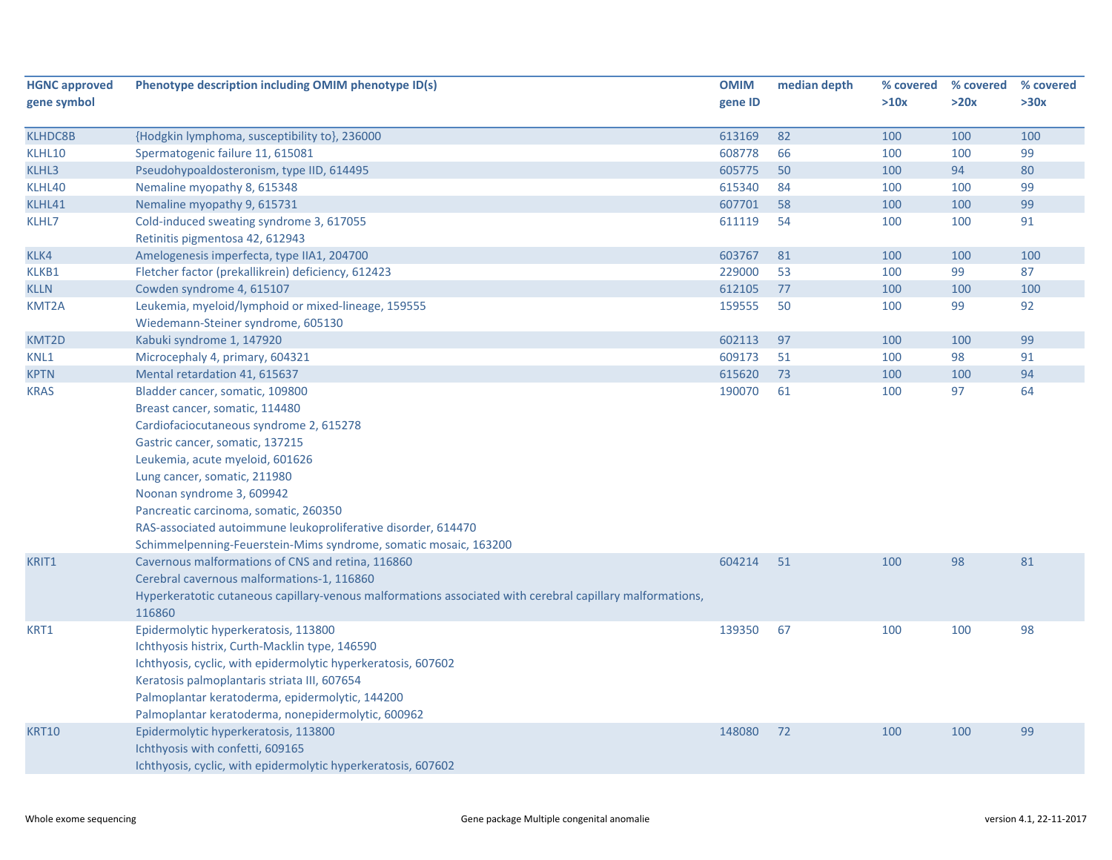| <b>HGNC approved</b> | Phenotype description including OMIM phenotype ID(s)                                                      | <b>OMIM</b> | median depth | % covered | % covered | % covered |
|----------------------|-----------------------------------------------------------------------------------------------------------|-------------|--------------|-----------|-----------|-----------|
| gene symbol          |                                                                                                           | gene ID     |              | >10x      | >20x      | >30x      |
|                      |                                                                                                           |             |              |           |           |           |
| <b>KLHDC8B</b>       | {Hodgkin lymphoma, susceptibility to}, 236000                                                             | 613169      | 82           | 100       | 100       | 100       |
| KLHL10               | Spermatogenic failure 11, 615081                                                                          | 608778      | 66           | 100       | 100       | 99        |
| KLHL3                | Pseudohypoaldosteronism, type IID, 614495                                                                 | 605775      | 50           | 100       | 94        | 80        |
| KLHL40               | Nemaline myopathy 8, 615348                                                                               | 615340      | 84           | 100       | 100       | 99        |
| KLHL41               | Nemaline myopathy 9, 615731                                                                               | 607701      | 58           | 100       | 100       | 99        |
| KLHL7                | Cold-induced sweating syndrome 3, 617055                                                                  | 611119      | 54           | 100       | 100       | 91        |
|                      | Retinitis pigmentosa 42, 612943                                                                           |             |              |           |           |           |
| KLK4                 | Amelogenesis imperfecta, type IIA1, 204700                                                                | 603767      | 81           | 100       | 100       | 100       |
| KLKB1                | Fletcher factor (prekallikrein) deficiency, 612423                                                        | 229000      | 53           | 100       | 99        | 87        |
| <b>KLLN</b>          | Cowden syndrome 4, 615107                                                                                 | 612105      | 77           | 100       | 100       | 100       |
| KMT2A                | Leukemia, myeloid/lymphoid or mixed-lineage, 159555                                                       | 159555      | 50           | 100       | 99        | 92        |
|                      | Wiedemann-Steiner syndrome, 605130                                                                        |             |              |           |           |           |
| KMT2D                | Kabuki syndrome 1, 147920                                                                                 | 602113      | 97           | 100       | 100       | 99        |
| KNL1                 | Microcephaly 4, primary, 604321                                                                           | 609173      | 51           | 100       | 98        | 91        |
| <b>KPTN</b>          | Mental retardation 41, 615637                                                                             | 615620      | 73           | 100       | 100       | 94        |
| <b>KRAS</b>          | Bladder cancer, somatic, 109800                                                                           | 190070      | 61           | 100       | 97        | 64        |
|                      | Breast cancer, somatic, 114480                                                                            |             |              |           |           |           |
|                      | Cardiofaciocutaneous syndrome 2, 615278                                                                   |             |              |           |           |           |
|                      | Gastric cancer, somatic, 137215                                                                           |             |              |           |           |           |
|                      | Leukemia, acute myeloid, 601626                                                                           |             |              |           |           |           |
|                      | Lung cancer, somatic, 211980                                                                              |             |              |           |           |           |
|                      | Noonan syndrome 3, 609942                                                                                 |             |              |           |           |           |
|                      | Pancreatic carcinoma, somatic, 260350                                                                     |             |              |           |           |           |
|                      | RAS-associated autoimmune leukoproliferative disorder, 614470                                             |             |              |           |           |           |
|                      | Schimmelpenning-Feuerstein-Mims syndrome, somatic mosaic, 163200                                          |             |              |           |           |           |
| KRIT1                | Cavernous malformations of CNS and retina, 116860                                                         | 604214      | 51           | 100       | 98        | 81        |
|                      | Cerebral cavernous malformations-1, 116860                                                                |             |              |           |           |           |
|                      | Hyperkeratotic cutaneous capillary-venous malformations associated with cerebral capillary malformations, |             |              |           |           |           |
|                      | 116860                                                                                                    |             |              |           |           |           |
| KRT1                 | Epidermolytic hyperkeratosis, 113800                                                                      | 139350      | 67           | 100       | 100       | 98        |
|                      | Ichthyosis histrix, Curth-Macklin type, 146590                                                            |             |              |           |           |           |
|                      | Ichthyosis, cyclic, with epidermolytic hyperkeratosis, 607602                                             |             |              |           |           |           |
|                      | Keratosis palmoplantaris striata III, 607654                                                              |             |              |           |           |           |
|                      | Palmoplantar keratoderma, epidermolytic, 144200                                                           |             |              |           |           |           |
|                      | Palmoplantar keratoderma, nonepidermolytic, 600962                                                        |             |              |           |           |           |
| <b>KRT10</b>         | Epidermolytic hyperkeratosis, 113800                                                                      | 148080      | 72           | 100       | 100       | 99        |
|                      | Ichthyosis with confetti, 609165                                                                          |             |              |           |           |           |
|                      | Ichthyosis, cyclic, with epidermolytic hyperkeratosis, 607602                                             |             |              |           |           |           |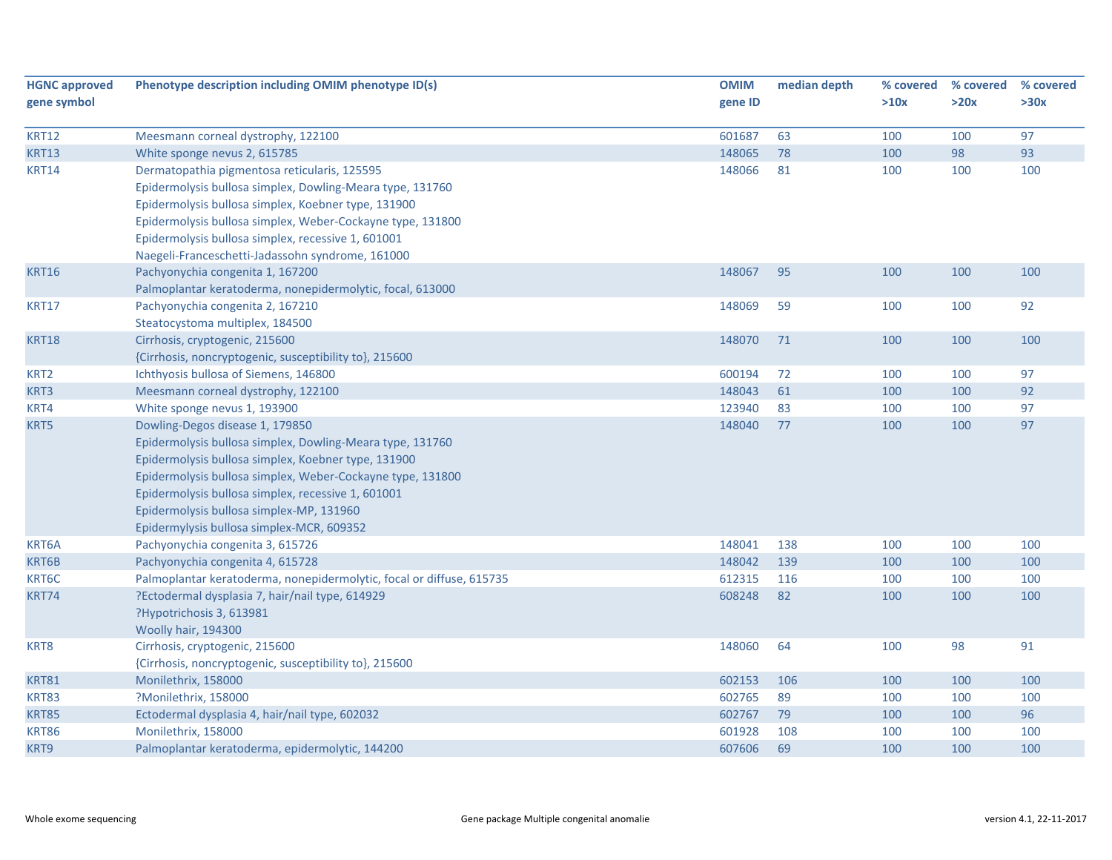| <b>HGNC approved</b><br>gene symbol | Phenotype description including OMIM phenotype ID(s)                 | <b>OMIM</b><br>gene ID | median depth | % covered<br>>10x | % covered<br>>20x | % covered<br>>30x |
|-------------------------------------|----------------------------------------------------------------------|------------------------|--------------|-------------------|-------------------|-------------------|
| <b>KRT12</b>                        | Meesmann corneal dystrophy, 122100                                   | 601687                 | 63           | 100               | 100               | 97                |
| <b>KRT13</b>                        | White sponge nevus 2, 615785                                         | 148065                 | 78           | 100               | 98                | 93                |
| <b>KRT14</b>                        | Dermatopathia pigmentosa reticularis, 125595                         | 148066                 | 81           | 100               | 100               | 100               |
|                                     | Epidermolysis bullosa simplex, Dowling-Meara type, 131760            |                        |              |                   |                   |                   |
|                                     | Epidermolysis bullosa simplex, Koebner type, 131900                  |                        |              |                   |                   |                   |
|                                     | Epidermolysis bullosa simplex, Weber-Cockayne type, 131800           |                        |              |                   |                   |                   |
|                                     | Epidermolysis bullosa simplex, recessive 1, 601001                   |                        |              |                   |                   |                   |
|                                     | Naegeli-Franceschetti-Jadassohn syndrome, 161000                     |                        |              |                   |                   |                   |
| <b>KRT16</b>                        | Pachyonychia congenita 1, 167200                                     | 148067                 | 95           | 100               | 100               | 100               |
|                                     | Palmoplantar keratoderma, nonepidermolytic, focal, 613000            |                        |              |                   |                   |                   |
| <b>KRT17</b>                        | Pachyonychia congenita 2, 167210                                     | 148069                 | 59           | 100               | 100               | 92                |
|                                     | Steatocystoma multiplex, 184500                                      |                        |              |                   |                   |                   |
| <b>KRT18</b>                        | Cirrhosis, cryptogenic, 215600                                       | 148070                 | 71           | 100               | 100               | 100               |
|                                     | {Cirrhosis, noncryptogenic, susceptibility to}, 215600               |                        |              |                   |                   |                   |
| KRT2                                | Ichthyosis bullosa of Siemens, 146800                                | 600194                 | 72           | 100               | 100               | 97                |
| KRT3                                | Meesmann corneal dystrophy, 122100                                   | 148043                 | 61           | 100               | 100               | 92                |
| KRT4                                | White sponge nevus 1, 193900                                         | 123940                 | 83           | 100               | 100               | 97                |
| KRT5                                | Dowling-Degos disease 1, 179850                                      | 148040                 | 77           | 100               | 100               | 97                |
|                                     | Epidermolysis bullosa simplex, Dowling-Meara type, 131760            |                        |              |                   |                   |                   |
|                                     | Epidermolysis bullosa simplex, Koebner type, 131900                  |                        |              |                   |                   |                   |
|                                     | Epidermolysis bullosa simplex, Weber-Cockayne type, 131800           |                        |              |                   |                   |                   |
|                                     | Epidermolysis bullosa simplex, recessive 1, 601001                   |                        |              |                   |                   |                   |
|                                     | Epidermolysis bullosa simplex-MP, 131960                             |                        |              |                   |                   |                   |
|                                     | Epidermylysis bullosa simplex-MCR, 609352                            |                        |              |                   |                   |                   |
| KRT6A                               | Pachyonychia congenita 3, 615726                                     | 148041                 | 138          | 100               | 100               | 100               |
| KRT6B                               | Pachyonychia congenita 4, 615728                                     | 148042                 | 139          | 100               | 100               | 100               |
| KRT6C                               | Palmoplantar keratoderma, nonepidermolytic, focal or diffuse, 615735 | 612315                 | 116          | 100               | 100               | 100               |
| KRT74                               | ?Ectodermal dysplasia 7, hair/nail type, 614929                      | 608248                 | 82           | 100               | 100               | 100               |
|                                     | ?Hypotrichosis 3, 613981                                             |                        |              |                   |                   |                   |
|                                     | Woolly hair, 194300                                                  |                        |              |                   |                   |                   |
| KRT8                                | Cirrhosis, cryptogenic, 215600                                       | 148060                 | 64           | 100               | 98                | 91                |
|                                     | {Cirrhosis, noncryptogenic, susceptibility to}, 215600               |                        |              |                   |                   |                   |
| <b>KRT81</b>                        | Monilethrix, 158000                                                  | 602153                 | 106          | 100               | 100               | 100               |
| <b>KRT83</b>                        | ?Monilethrix, 158000                                                 | 602765                 | 89           | 100               | 100               | 100               |
| <b>KRT85</b>                        | Ectodermal dysplasia 4, hair/nail type, 602032                       | 602767                 | 79           | 100               | 100               | 96                |
| <b>KRT86</b>                        | Monilethrix, 158000                                                  | 601928                 | 108          | 100               | 100               | 100               |
| KRT9                                | Palmoplantar keratoderma, epidermolytic, 144200                      | 607606                 | 69           | 100               | 100               | 100               |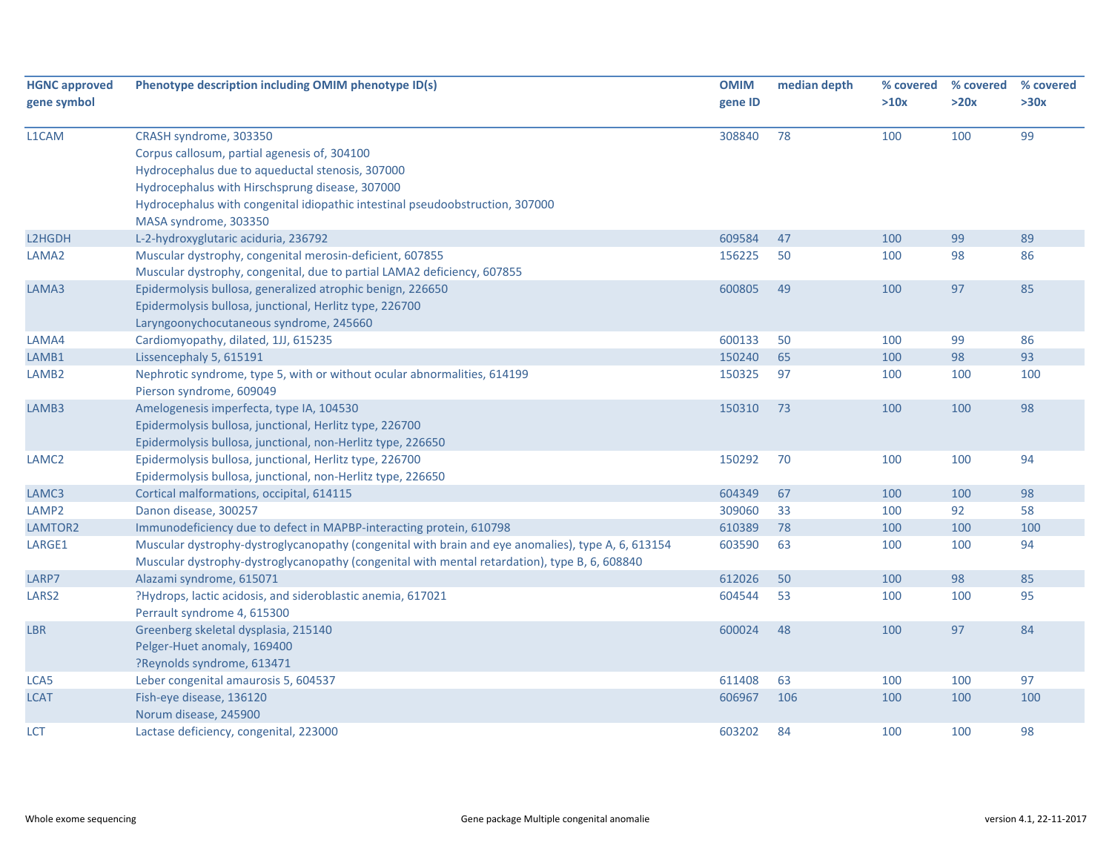| <b>HGNC approved</b><br>gene symbol | Phenotype description including OMIM phenotype ID(s)                                                                                                                                                                                                           | <b>OMIM</b><br>gene ID | median depth | % covered<br>>10x | % covered<br>>20x | % covered<br>>30x |
|-------------------------------------|----------------------------------------------------------------------------------------------------------------------------------------------------------------------------------------------------------------------------------------------------------------|------------------------|--------------|-------------------|-------------------|-------------------|
| L1CAM                               | CRASH syndrome, 303350<br>Corpus callosum, partial agenesis of, 304100<br>Hydrocephalus due to aqueductal stenosis, 307000<br>Hydrocephalus with Hirschsprung disease, 307000<br>Hydrocephalus with congenital idiopathic intestinal pseudoobstruction, 307000 | 308840                 | 78           | 100               | 100               | 99                |
|                                     | MASA syndrome, 303350                                                                                                                                                                                                                                          |                        |              |                   |                   |                   |
| L2HGDH                              | L-2-hydroxyglutaric aciduria, 236792                                                                                                                                                                                                                           | 609584                 | 47           | 100               | 99                | 89                |
| LAMA2                               | Muscular dystrophy, congenital merosin-deficient, 607855<br>Muscular dystrophy, congenital, due to partial LAMA2 deficiency, 607855                                                                                                                            | 156225                 | 50           | 100               | 98                | 86                |
| LAMA3                               | Epidermolysis bullosa, generalized atrophic benign, 226650<br>Epidermolysis bullosa, junctional, Herlitz type, 226700<br>Laryngoonychocutaneous syndrome, 245660                                                                                               | 600805                 | 49           | 100               | 97                | 85                |
| LAMA4                               | Cardiomyopathy, dilated, 1JJ, 615235                                                                                                                                                                                                                           | 600133                 | 50           | 100               | 99                | 86                |
| LAMB1                               | Lissencephaly 5, 615191                                                                                                                                                                                                                                        | 150240                 | 65           | 100               | 98                | 93                |
| LAMB <sub>2</sub>                   | Nephrotic syndrome, type 5, with or without ocular abnormalities, 614199<br>Pierson syndrome, 609049                                                                                                                                                           | 150325                 | 97           | 100               | 100               | 100               |
| LAMB3                               | Amelogenesis imperfecta, type IA, 104530<br>Epidermolysis bullosa, junctional, Herlitz type, 226700<br>Epidermolysis bullosa, junctional, non-Herlitz type, 226650                                                                                             | 150310                 | 73           | 100               | 100               | 98                |
| LAMC <sub>2</sub>                   | Epidermolysis bullosa, junctional, Herlitz type, 226700<br>Epidermolysis bullosa, junctional, non-Herlitz type, 226650                                                                                                                                         | 150292                 | 70           | 100               | 100               | 94                |
| LAMC3                               | Cortical malformations, occipital, 614115                                                                                                                                                                                                                      | 604349                 | 67           | 100               | 100               | 98                |
| LAMP <sub>2</sub>                   | Danon disease, 300257                                                                                                                                                                                                                                          | 309060                 | 33           | 100               | 92                | 58                |
| LAMTOR2                             | Immunodeficiency due to defect in MAPBP-interacting protein, 610798                                                                                                                                                                                            | 610389                 | 78           | 100               | 100               | 100               |
| LARGE1                              | Muscular dystrophy-dystroglycanopathy (congenital with brain and eye anomalies), type A, 6, 613154<br>Muscular dystrophy-dystroglycanopathy (congenital with mental retardation), type B, 6, 608840                                                            | 603590                 | 63           | 100               | 100               | 94                |
| LARP7                               | Alazami syndrome, 615071                                                                                                                                                                                                                                       | 612026                 | 50           | 100               | 98                | 85                |
| LARS <sub>2</sub>                   | ?Hydrops, lactic acidosis, and sideroblastic anemia, 617021<br>Perrault syndrome 4, 615300                                                                                                                                                                     | 604544                 | 53           | 100               | 100               | 95                |
| <b>LBR</b>                          | Greenberg skeletal dysplasia, 215140<br>Pelger-Huet anomaly, 169400<br>?Reynolds syndrome, 613471                                                                                                                                                              | 600024                 | 48           | 100               | 97                | 84                |
| LCA5                                | Leber congenital amaurosis 5, 604537                                                                                                                                                                                                                           | 611408                 | 63           | 100               | 100               | 97                |
| LCAT                                | Fish-eye disease, 136120<br>Norum disease, 245900                                                                                                                                                                                                              | 606967                 | 106          | 100               | 100               | 100               |
| LCT                                 | Lactase deficiency, congenital, 223000                                                                                                                                                                                                                         | 603202                 | 84           | 100               | 100               | 98                |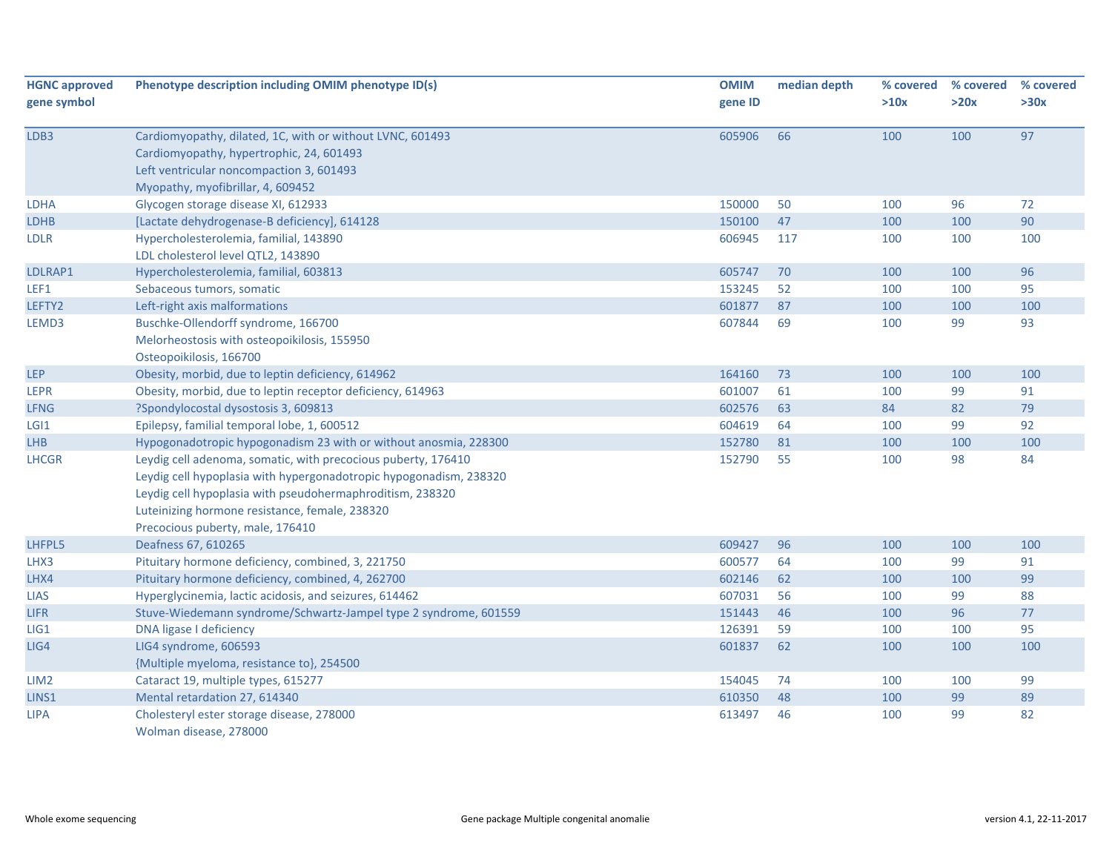| <b>HGNC approved</b> | Phenotype description including OMIM phenotype ID(s)               | <b>OMIM</b> | median depth | % covered | % covered | % covered |
|----------------------|--------------------------------------------------------------------|-------------|--------------|-----------|-----------|-----------|
| gene symbol          |                                                                    | gene ID     |              | >10x      | >20x      | >30x      |
| LDB3                 | Cardiomyopathy, dilated, 1C, with or without LVNC, 601493          | 605906      | 66           | 100       | 100       | 97        |
|                      | Cardiomyopathy, hypertrophic, 24, 601493                           |             |              |           |           |           |
|                      | Left ventricular noncompaction 3, 601493                           |             |              |           |           |           |
|                      | Myopathy, myofibrillar, 4, 609452                                  |             |              |           |           |           |
| <b>LDHA</b>          | Glycogen storage disease XI, 612933                                | 150000      | 50           | 100       | 96        | 72        |
| <b>LDHB</b>          | [Lactate dehydrogenase-B deficiency], 614128                       | 150100      | 47           | 100       | 100       | 90        |
| <b>LDLR</b>          | Hypercholesterolemia, familial, 143890                             | 606945      | 117          | 100       | 100       | 100       |
|                      | LDL cholesterol level QTL2, 143890                                 |             |              |           |           |           |
| LDLRAP1              | Hypercholesterolemia, familial, 603813                             | 605747      | 70           | 100       | 100       | 96        |
| LEF1                 | Sebaceous tumors, somatic                                          | 153245      | 52           | 100       | 100       | 95        |
| LEFTY2               | Left-right axis malformations                                      | 601877      | 87           | 100       | 100       | 100       |
| LEMD3                | Buschke-Ollendorff syndrome, 166700                                | 607844      | 69           | 100       | 99        | 93        |
|                      | Melorheostosis with osteopoikilosis, 155950                        |             |              |           |           |           |
|                      | Osteopoikilosis, 166700                                            |             |              |           |           |           |
| <b>LEP</b>           | Obesity, morbid, due to leptin deficiency, 614962                  | 164160      | 73           | 100       | 100       | 100       |
| <b>LEPR</b>          | Obesity, morbid, due to leptin receptor deficiency, 614963         | 601007      | 61           | 100       | 99        | 91        |
| <b>LFNG</b>          | ?Spondylocostal dysostosis 3, 609813                               | 602576      | 63           | 84        | 82        | 79        |
| LGI <sub>1</sub>     | Epilepsy, familial temporal lobe, 1, 600512                        | 604619      | 64           | 100       | 99        | 92        |
| <b>LHB</b>           | Hypogonadotropic hypogonadism 23 with or without anosmia, 228300   | 152780      | 81           | 100       | 100       | 100       |
| <b>LHCGR</b>         | Leydig cell adenoma, somatic, with precocious puberty, 176410      | 152790      | 55           | 100       | 98        | 84        |
|                      | Leydig cell hypoplasia with hypergonadotropic hypogonadism, 238320 |             |              |           |           |           |
|                      | Leydig cell hypoplasia with pseudohermaphroditism, 238320          |             |              |           |           |           |
|                      | Luteinizing hormone resistance, female, 238320                     |             |              |           |           |           |
|                      | Precocious puberty, male, 176410                                   |             |              |           |           |           |
| LHFPL5               | Deafness 67, 610265                                                | 609427      | 96           | 100       | 100       | 100       |
| LHX3                 | Pituitary hormone deficiency, combined, 3, 221750                  | 600577      | 64           | 100       | 99        | 91        |
| LHX4                 | Pituitary hormone deficiency, combined, 4, 262700                  | 602146      | 62           | 100       | 100       | 99        |
| <b>LIAS</b>          | Hyperglycinemia, lactic acidosis, and seizures, 614462             | 607031      | 56           | 100       | 99        | 88        |
| <b>LIFR</b>          | Stuve-Wiedemann syndrome/Schwartz-Jampel type 2 syndrome, 601559   | 151443      | 46           | 100       | 96        | 77        |
| LIG1                 | DNA ligase I deficiency                                            | 126391      | 59           | 100       | 100       | 95        |
| LIG4                 | LIG4 syndrome, 606593                                              | 601837      | 62           | 100       | 100       | 100       |
|                      | {Multiple myeloma, resistance to}, 254500                          |             |              |           |           |           |
| LIM <sub>2</sub>     | Cataract 19, multiple types, 615277                                | 154045      | 74           | 100       | 100       | 99        |
| LINS1                | Mental retardation 27, 614340                                      | 610350      | 48           | 100       | 99        | 89        |
| <b>LIPA</b>          | Cholesteryl ester storage disease, 278000                          | 613497      | 46           | 100       | 99        | 82        |
|                      | Wolman disease, 278000                                             |             |              |           |           |           |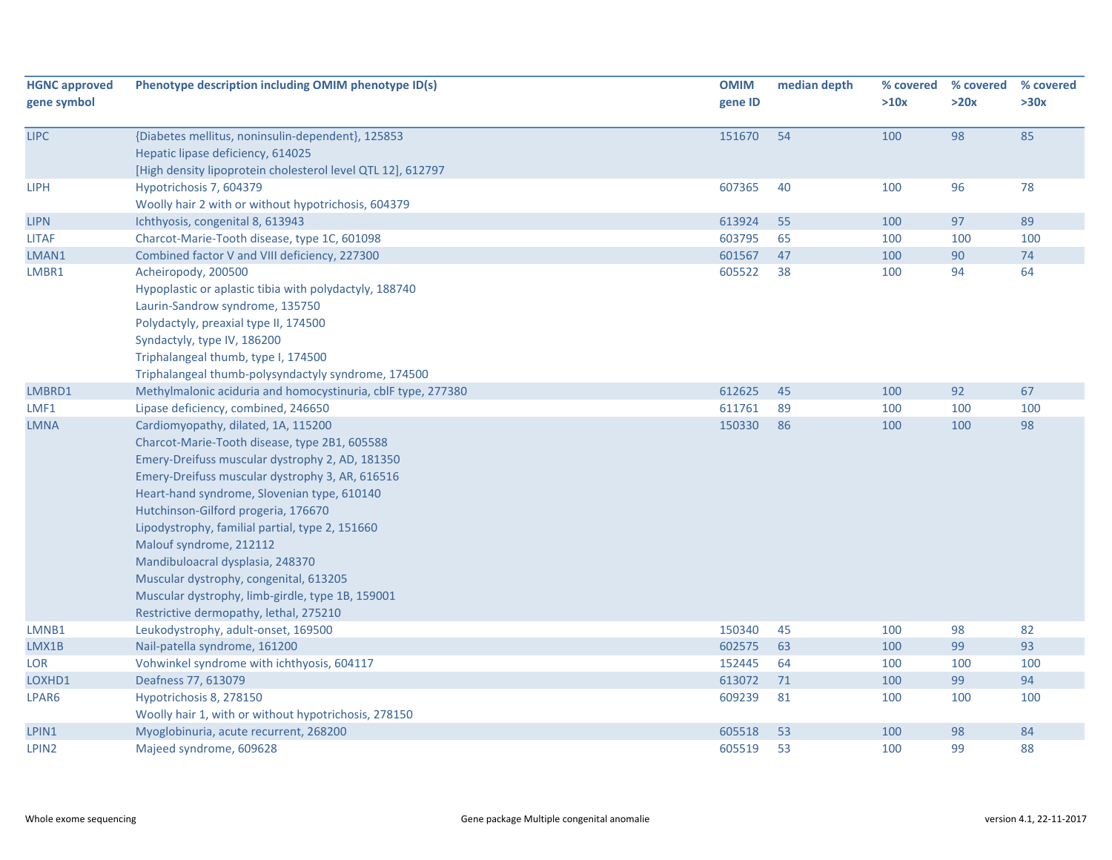| <b>HGNC approved</b> | Phenotype description including OMIM phenotype ID(s)         | <b>OMIM</b> | median depth | % covered | % covered | % covered |
|----------------------|--------------------------------------------------------------|-------------|--------------|-----------|-----------|-----------|
| gene symbol          |                                                              | gene ID     |              | >10x      | >20x      | >30x      |
| <b>LIPC</b>          | {Diabetes mellitus, noninsulin-dependent}, 125853            | 151670      | 54           | 100       | 98        | 85        |
|                      | Hepatic lipase deficiency, 614025                            |             |              |           |           |           |
|                      | [High density lipoprotein cholesterol level QTL 12], 612797  |             |              |           |           |           |
| <b>LIPH</b>          | Hypotrichosis 7, 604379                                      | 607365      | 40           | 100       | 96        | 78        |
|                      | Woolly hair 2 with or without hypotrichosis, 604379          |             |              |           |           |           |
| <b>LIPN</b>          | Ichthyosis, congenital 8, 613943                             | 613924      | 55           | 100       | 97        | 89        |
| <b>LITAF</b>         | Charcot-Marie-Tooth disease, type 1C, 601098                 | 603795      | 65           | 100       | 100       | 100       |
| LMAN1                | Combined factor V and VIII deficiency, 227300                | 601567      | 47           | 100       | 90        | 74        |
| LMBR1                | Acheiropody, 200500                                          | 605522      | 38           | 100       | 94        | 64        |
|                      | Hypoplastic or aplastic tibia with polydactyly, 188740       |             |              |           |           |           |
|                      | Laurin-Sandrow syndrome, 135750                              |             |              |           |           |           |
|                      | Polydactyly, preaxial type II, 174500                        |             |              |           |           |           |
|                      | Syndactyly, type IV, 186200                                  |             |              |           |           |           |
|                      | Triphalangeal thumb, type I, 174500                          |             |              |           |           |           |
|                      | Triphalangeal thumb-polysyndactyly syndrome, 174500          |             |              |           |           |           |
| LMBRD1               | Methylmalonic aciduria and homocystinuria, cblF type, 277380 | 612625      | 45           | 100       | 92        | 67        |
| LMF1                 | Lipase deficiency, combined, 246650                          | 611761      | 89           | 100       | 100       | 100       |
| <b>LMNA</b>          | Cardiomyopathy, dilated, 1A, 115200                          | 150330      | 86           | 100       | 100       | 98        |
|                      | Charcot-Marie-Tooth disease, type 2B1, 605588                |             |              |           |           |           |
|                      | Emery-Dreifuss muscular dystrophy 2, AD, 181350              |             |              |           |           |           |
|                      | Emery-Dreifuss muscular dystrophy 3, AR, 616516              |             |              |           |           |           |
|                      | Heart-hand syndrome, Slovenian type, 610140                  |             |              |           |           |           |
|                      | Hutchinson-Gilford progeria, 176670                          |             |              |           |           |           |
|                      | Lipodystrophy, familial partial, type 2, 151660              |             |              |           |           |           |
|                      | Malouf syndrome, 212112                                      |             |              |           |           |           |
|                      | Mandibuloacral dysplasia, 248370                             |             |              |           |           |           |
|                      | Muscular dystrophy, congenital, 613205                       |             |              |           |           |           |
|                      | Muscular dystrophy, limb-girdle, type 1B, 159001             |             |              |           |           |           |
|                      | Restrictive dermopathy, lethal, 275210                       |             |              |           |           |           |
| LMNB1                | Leukodystrophy, adult-onset, 169500                          | 150340      | 45           | 100       | 98        | 82        |
| LMX1B                | Nail-patella syndrome, 161200                                | 602575      | 63           | 100       | 99        | 93        |
| <b>LOR</b>           | Vohwinkel syndrome with ichthyosis, 604117                   | 152445      | 64           | 100       | 100       | 100       |
| LOXHD1               | Deafness 77, 613079                                          | 613072      | 71           | 100       | 99        | 94        |
| LPAR6                | Hypotrichosis 8, 278150                                      | 609239      | 81           | 100       | 100       | 100       |
|                      | Woolly hair 1, with or without hypotrichosis, 278150         |             |              |           |           |           |
| LPIN1                | Myoglobinuria, acute recurrent, 268200                       | 605518      | 53           | 100       | 98        | 84        |
| LPIN2                | Majeed syndrome, 609628                                      | 605519      | 53           | 100       | 99        | 88        |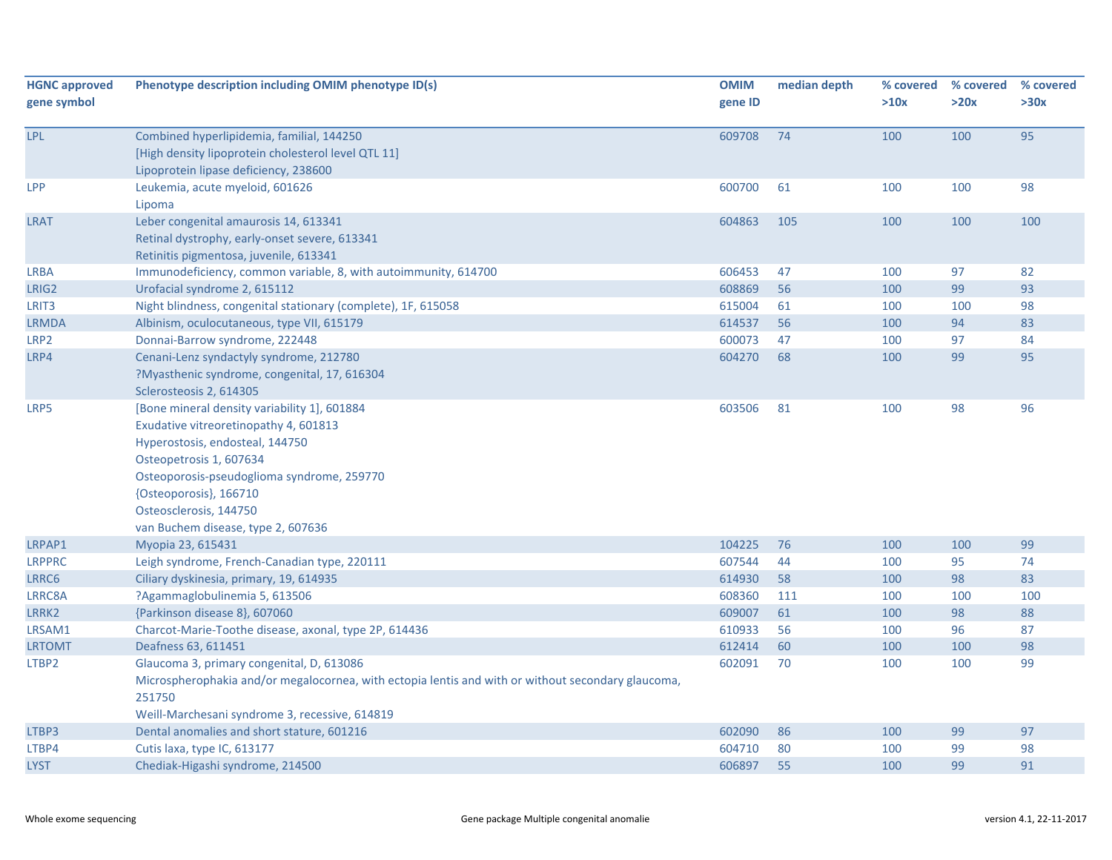| <b>HGNC approved</b><br>gene symbol | Phenotype description including OMIM phenotype ID(s)                                                                                                                                                                                                                                        | <b>OMIM</b><br>gene ID | median depth | % covered<br>>10x | % covered<br>>20x | % covered<br>>30x |
|-------------------------------------|---------------------------------------------------------------------------------------------------------------------------------------------------------------------------------------------------------------------------------------------------------------------------------------------|------------------------|--------------|-------------------|-------------------|-------------------|
| LPL                                 | Combined hyperlipidemia, familial, 144250<br>[High density lipoprotein cholesterol level QTL 11]<br>Lipoprotein lipase deficiency, 238600                                                                                                                                                   | 609708                 | 74           | 100               | 100               | 95                |
| LPP                                 | Leukemia, acute myeloid, 601626<br>Lipoma                                                                                                                                                                                                                                                   | 600700                 | 61           | 100               | 100               | 98                |
| <b>LRAT</b>                         | Leber congenital amaurosis 14, 613341<br>Retinal dystrophy, early-onset severe, 613341<br>Retinitis pigmentosa, juvenile, 613341                                                                                                                                                            | 604863                 | 105          | 100               | 100               | 100               |
| <b>LRBA</b>                         | Immunodeficiency, common variable, 8, with autoimmunity, 614700                                                                                                                                                                                                                             | 606453                 | 47           | 100               | 97                | 82                |
| LRIG2                               | Urofacial syndrome 2, 615112                                                                                                                                                                                                                                                                | 608869                 | 56           | 100               | 99                | 93                |
| LRIT <sub>3</sub>                   | Night blindness, congenital stationary (complete), 1F, 615058                                                                                                                                                                                                                               | 615004                 | 61           | 100               | 100               | 98                |
| <b>LRMDA</b>                        | Albinism, oculocutaneous, type VII, 615179                                                                                                                                                                                                                                                  | 614537                 | 56           | 100               | 94                | 83                |
| LRP2                                | Donnai-Barrow syndrome, 222448                                                                                                                                                                                                                                                              | 600073                 | 47           | 100               | 97                | 84                |
| LRP4                                | Cenani-Lenz syndactyly syndrome, 212780<br>?Myasthenic syndrome, congenital, 17, 616304<br>Sclerosteosis 2, 614305                                                                                                                                                                          | 604270                 | 68           | 100               | 99                | 95                |
| LRP5                                | [Bone mineral density variability 1], 601884<br>Exudative vitreoretinopathy 4, 601813<br>Hyperostosis, endosteal, 144750<br>Osteopetrosis 1, 607634<br>Osteoporosis-pseudoglioma syndrome, 259770<br>{Osteoporosis}, 166710<br>Osteosclerosis, 144750<br>van Buchem disease, type 2, 607636 | 603506                 | 81           | 100               | 98                | 96                |
| LRPAP1                              | Myopia 23, 615431                                                                                                                                                                                                                                                                           | 104225                 | 76           | 100               | 100               | 99                |
| <b>LRPPRC</b>                       | Leigh syndrome, French-Canadian type, 220111                                                                                                                                                                                                                                                | 607544                 | 44           | 100               | 95                | 74                |
| LRRC6                               | Ciliary dyskinesia, primary, 19, 614935                                                                                                                                                                                                                                                     | 614930                 | 58           | 100               | 98                | 83                |
| LRRC8A                              | ?Agammaglobulinemia 5, 613506                                                                                                                                                                                                                                                               | 608360                 | 111          | 100               | 100               | 100               |
| LRRK2                               | {Parkinson disease 8}, 607060                                                                                                                                                                                                                                                               | 609007                 | 61           | 100               | 98                | 88                |
| LRSAM1                              | Charcot-Marie-Toothe disease, axonal, type 2P, 614436                                                                                                                                                                                                                                       | 610933                 | 56           | 100               | 96                | 87                |
| <b>LRTOMT</b>                       | Deafness 63, 611451                                                                                                                                                                                                                                                                         | 612414                 | 60           | 100               | 100               | 98                |
| LTBP2                               | Glaucoma 3, primary congenital, D, 613086<br>Microspherophakia and/or megalocornea, with ectopia lentis and with or without secondary glaucoma,<br>251750<br>Weill-Marchesani syndrome 3, recessive, 614819                                                                                 | 602091                 | 70           | 100               | 100               | 99                |
| LTBP3                               | Dental anomalies and short stature, 601216                                                                                                                                                                                                                                                  | 602090                 | 86           | 100               | 99                | 97                |
| LTBP4                               | Cutis laxa, type IC, 613177                                                                                                                                                                                                                                                                 | 604710                 | 80           | 100               | 99                | 98                |
| <b>LYST</b>                         | Chediak-Higashi syndrome, 214500                                                                                                                                                                                                                                                            | 606897                 | 55           | 100               | 99                | 91                |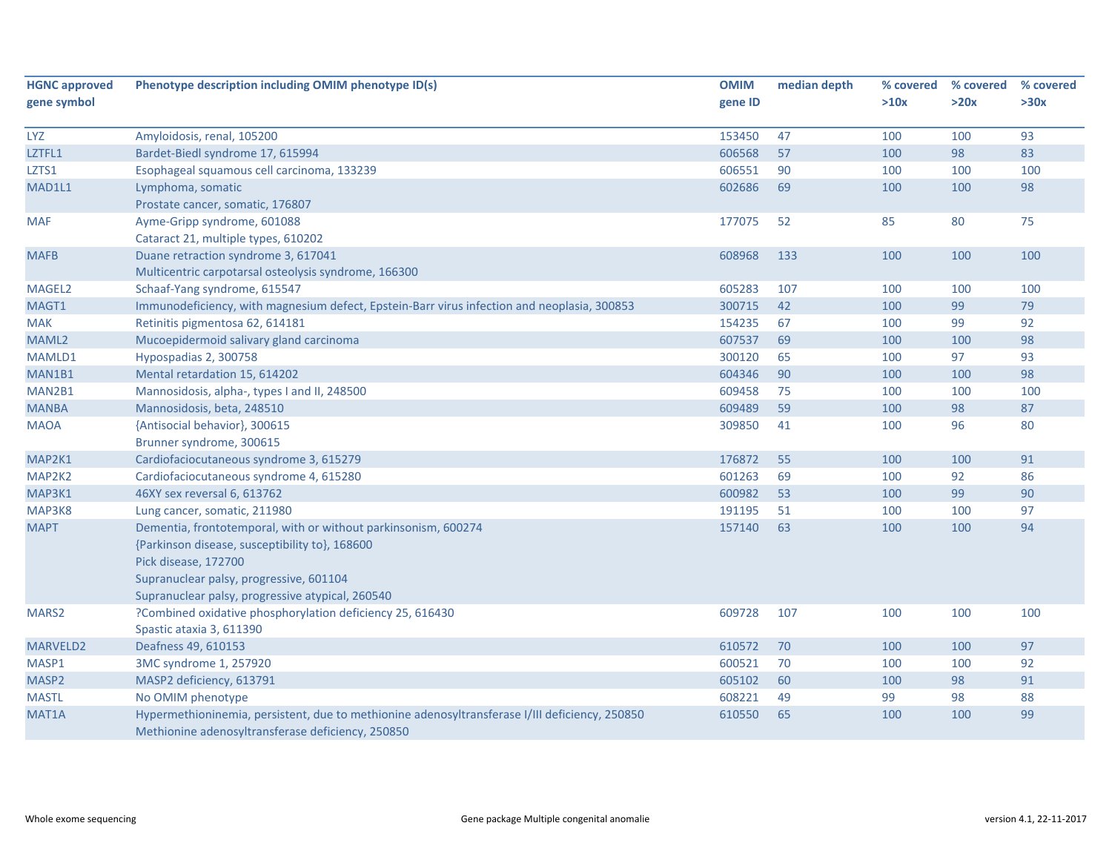| <b>HGNC approved</b> | Phenotype description including OMIM phenotype ID(s)                                           | <b>OMIM</b> | median depth | % covered | % covered | % covered |
|----------------------|------------------------------------------------------------------------------------------------|-------------|--------------|-----------|-----------|-----------|
| gene symbol          |                                                                                                | gene ID     |              | >10x      | >20x      | >30x      |
|                      |                                                                                                |             |              |           |           |           |
| <b>LYZ</b>           | Amyloidosis, renal, 105200                                                                     | 153450      | 47           | 100       | 100       | 93<br>83  |
| LZTFL1               | Bardet-Biedl syndrome 17, 615994                                                               | 606568      | 57           | 100       | 98        |           |
| LZTS1                | Esophageal squamous cell carcinoma, 133239                                                     | 606551      | 90           | 100       | 100       | 100       |
| MAD1L1               | Lymphoma, somatic                                                                              | 602686      | 69           | 100       | 100       | 98        |
|                      | Prostate cancer, somatic, 176807                                                               |             |              |           |           |           |
| <b>MAF</b>           | Ayme-Gripp syndrome, 601088                                                                    | 177075      | 52           | 85        | 80        | 75        |
|                      | Cataract 21, multiple types, 610202                                                            |             |              |           |           |           |
| <b>MAFB</b>          | Duane retraction syndrome 3, 617041                                                            | 608968      | 133          | 100       | 100       | 100       |
|                      | Multicentric carpotarsal osteolysis syndrome, 166300                                           |             |              |           |           |           |
| MAGEL <sub>2</sub>   | Schaaf-Yang syndrome, 615547                                                                   | 605283      | 107          | 100       | 100       | 100       |
| MAGT1                | Immunodeficiency, with magnesium defect, Epstein-Barr virus infection and neoplasia, 300853    | 300715      | 42           | 100       | 99        | 79        |
| <b>MAK</b>           | Retinitis pigmentosa 62, 614181                                                                | 154235      | 67           | 100       | 99        | 92        |
| MAML2                | Mucoepidermoid salivary gland carcinoma                                                        | 607537      | 69           | 100       | 100       | 98        |
| MAMLD1               | Hypospadias 2, 300758                                                                          | 300120      | 65           | 100       | 97        | 93        |
| MAN1B1               | Mental retardation 15, 614202                                                                  | 604346      | 90           | 100       | 100       | 98        |
| MAN2B1               | Mannosidosis, alpha-, types I and II, 248500                                                   | 609458      | 75           | 100       | 100       | 100       |
| <b>MANBA</b>         | Mannosidosis, beta, 248510                                                                     | 609489      | 59           | 100       | 98        | 87        |
| <b>MAOA</b>          | {Antisocial behavior}, 300615                                                                  | 309850      | 41           | 100       | 96        | 80        |
|                      | Brunner syndrome, 300615                                                                       |             |              |           |           |           |
| MAP2K1               | Cardiofaciocutaneous syndrome 3, 615279                                                        | 176872      | 55           | 100       | 100       | 91        |
| MAP2K2               | Cardiofaciocutaneous syndrome 4, 615280                                                        | 601263      | 69           | 100       | 92        | 86        |
| MAP3K1               | 46XY sex reversal 6, 613762                                                                    | 600982      | 53           | 100       | 99        | 90        |
| MAP3K8               | Lung cancer, somatic, 211980                                                                   | 191195      | 51           | 100       | 100       | 97        |
| <b>MAPT</b>          | Dementia, frontotemporal, with or without parkinsonism, 600274                                 | 157140      | 63           | 100       | 100       | 94        |
|                      | {Parkinson disease, susceptibility to}, 168600                                                 |             |              |           |           |           |
|                      | Pick disease, 172700                                                                           |             |              |           |           |           |
|                      | Supranuclear palsy, progressive, 601104                                                        |             |              |           |           |           |
|                      | Supranuclear palsy, progressive atypical, 260540                                               |             |              |           |           |           |
| MARS2                | ?Combined oxidative phosphorylation deficiency 25, 616430                                      | 609728      | 107          | 100       | 100       | 100       |
|                      | Spastic ataxia 3, 611390                                                                       |             |              |           |           |           |
| MARVELD2             | Deafness 49, 610153                                                                            | 610572      | 70           | 100       | 100       | 97        |
| MASP1                | 3MC syndrome 1, 257920                                                                         | 600521      | 70           | 100       | 100       | 92        |
| MASP2                | MASP2 deficiency, 613791                                                                       | 605102      | 60           | 100       | 98        | 91        |
| <b>MASTL</b>         | No OMIM phenotype                                                                              | 608221      | 49           | 99        | 98        | 88        |
|                      | Hypermethioninemia, persistent, due to methionine adenosyltransferase I/III deficiency, 250850 | 610550      | 65           | 100       | 100       | 99        |
| MAT <sub>1</sub> A   | Methionine adenosyltransferase deficiency, 250850                                              |             |              |           |           |           |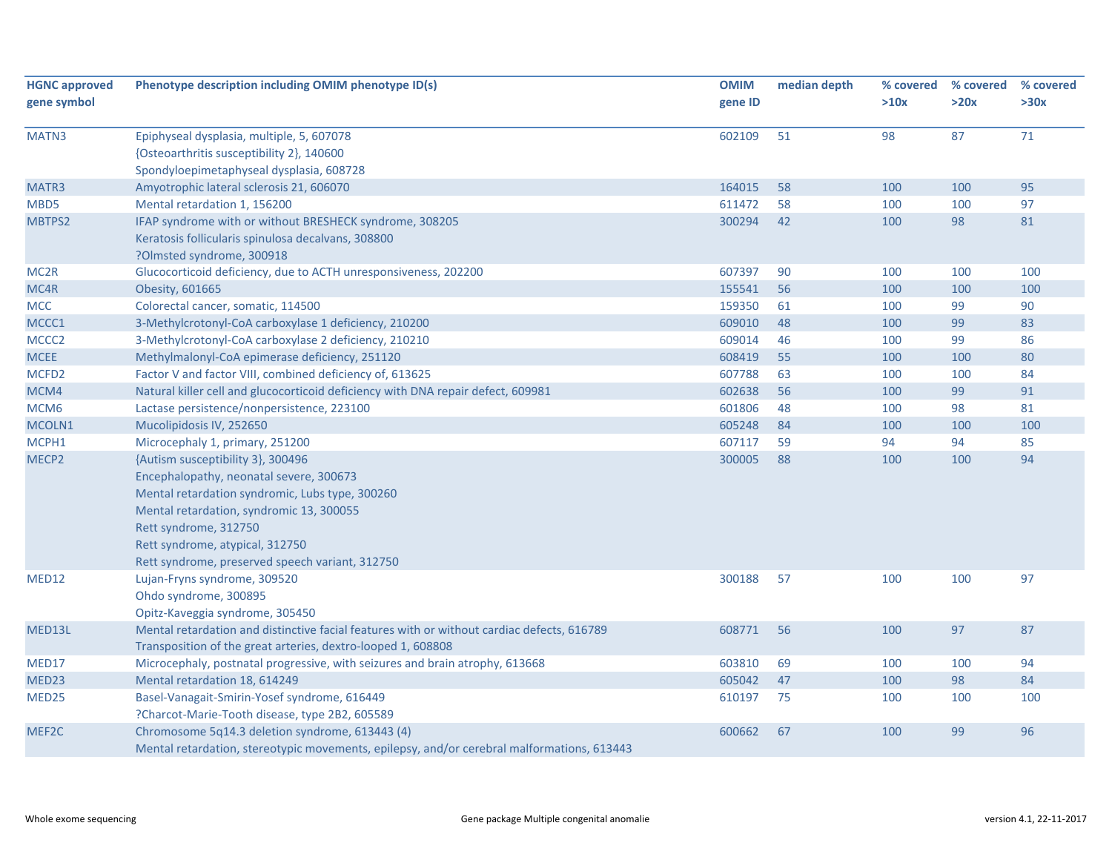| <b>HGNC approved</b> | Phenotype description including OMIM phenotype ID(s)                                                                                                                                                                                                                                       | <b>OMIM</b> | median depth | % covered | % covered | % covered |
|----------------------|--------------------------------------------------------------------------------------------------------------------------------------------------------------------------------------------------------------------------------------------------------------------------------------------|-------------|--------------|-----------|-----------|-----------|
| gene symbol          |                                                                                                                                                                                                                                                                                            | gene ID     |              | >10x      | >20x      | >30x      |
| MATN3                | Epiphyseal dysplasia, multiple, 5, 607078<br>{Osteoarthritis susceptibility 2}, 140600<br>Spondyloepimetaphyseal dysplasia, 608728                                                                                                                                                         | 602109      | 51           | 98        | 87        | 71        |
| MATR3                | Amyotrophic lateral sclerosis 21, 606070                                                                                                                                                                                                                                                   | 164015      | 58           | 100       | 100       | 95        |
| MBD5                 | Mental retardation 1, 156200                                                                                                                                                                                                                                                               | 611472      | 58           | 100       | 100       | 97        |
| MBTPS2               | IFAP syndrome with or without BRESHECK syndrome, 308205<br>Keratosis follicularis spinulosa decalvans, 308800<br>?Olmsted syndrome, 300918                                                                                                                                                 | 300294      | 42           | 100       | 98        | 81        |
| MC <sub>2R</sub>     | Glucocorticoid deficiency, due to ACTH unresponsiveness, 202200                                                                                                                                                                                                                            | 607397      | 90           | 100       | 100       | 100       |
| MC4R                 | Obesity, 601665                                                                                                                                                                                                                                                                            | 155541      | 56           | 100       | 100       | 100       |
| <b>MCC</b>           | Colorectal cancer, somatic, 114500                                                                                                                                                                                                                                                         | 159350      | 61           | 100       | 99        | 90        |
| MCCC1                | 3-Methylcrotonyl-CoA carboxylase 1 deficiency, 210200                                                                                                                                                                                                                                      | 609010      | 48           | 100       | 99        | 83        |
| MCCC <sub>2</sub>    | 3-Methylcrotonyl-CoA carboxylase 2 deficiency, 210210                                                                                                                                                                                                                                      | 609014      | 46           | 100       | 99        | 86        |
| <b>MCEE</b>          | Methylmalonyl-CoA epimerase deficiency, 251120                                                                                                                                                                                                                                             | 608419      | 55           | 100       | 100       | 80        |
| MCFD <sub>2</sub>    | Factor V and factor VIII, combined deficiency of, 613625                                                                                                                                                                                                                                   | 607788      | 63           | 100       | 100       | 84        |
| MCM4                 | Natural killer cell and glucocorticoid deficiency with DNA repair defect, 609981                                                                                                                                                                                                           | 602638      | 56           | 100       | 99        | 91        |
| MCM <sub>6</sub>     | Lactase persistence/nonpersistence, 223100                                                                                                                                                                                                                                                 | 601806      | 48           | 100       | 98        | 81        |
| MCOLN1               | Mucolipidosis IV, 252650                                                                                                                                                                                                                                                                   | 605248      | 84           | 100       | 100       | 100       |
| MCPH1                | Microcephaly 1, primary, 251200                                                                                                                                                                                                                                                            | 607117      | 59           | 94        | 94        | 85        |
| MECP2                | {Autism susceptibility 3}, 300496<br>Encephalopathy, neonatal severe, 300673<br>Mental retardation syndromic, Lubs type, 300260<br>Mental retardation, syndromic 13, 300055<br>Rett syndrome, 312750<br>Rett syndrome, atypical, 312750<br>Rett syndrome, preserved speech variant, 312750 | 300005      | 88           | 100       | 100       | 94        |
| MED12                | Lujan-Fryns syndrome, 309520<br>Ohdo syndrome, 300895<br>Opitz-Kaveggia syndrome, 305450                                                                                                                                                                                                   | 300188      | 57           | 100       | 100       | 97        |
| MED13L               | Mental retardation and distinctive facial features with or without cardiac defects, 616789<br>Transposition of the great arteries, dextro-looped 1, 608808                                                                                                                                 | 608771      | 56           | 100       | 97        | 87        |
| MED17                | Microcephaly, postnatal progressive, with seizures and brain atrophy, 613668                                                                                                                                                                                                               | 603810      | 69           | 100       | 100       | 94        |
| MED23                | Mental retardation 18, 614249                                                                                                                                                                                                                                                              | 605042      | 47           | 100       | 98        | 84        |
| MED25                | Basel-Vanagait-Smirin-Yosef syndrome, 616449<br>?Charcot-Marie-Tooth disease, type 2B2, 605589                                                                                                                                                                                             | 610197      | 75           | 100       | 100       | 100       |
| MEF2C                | Chromosome 5q14.3 deletion syndrome, 613443 (4)<br>Mental retardation, stereotypic movements, epilepsy, and/or cerebral malformations, 613443                                                                                                                                              | 600662      | 67           | 100       | 99        | 96        |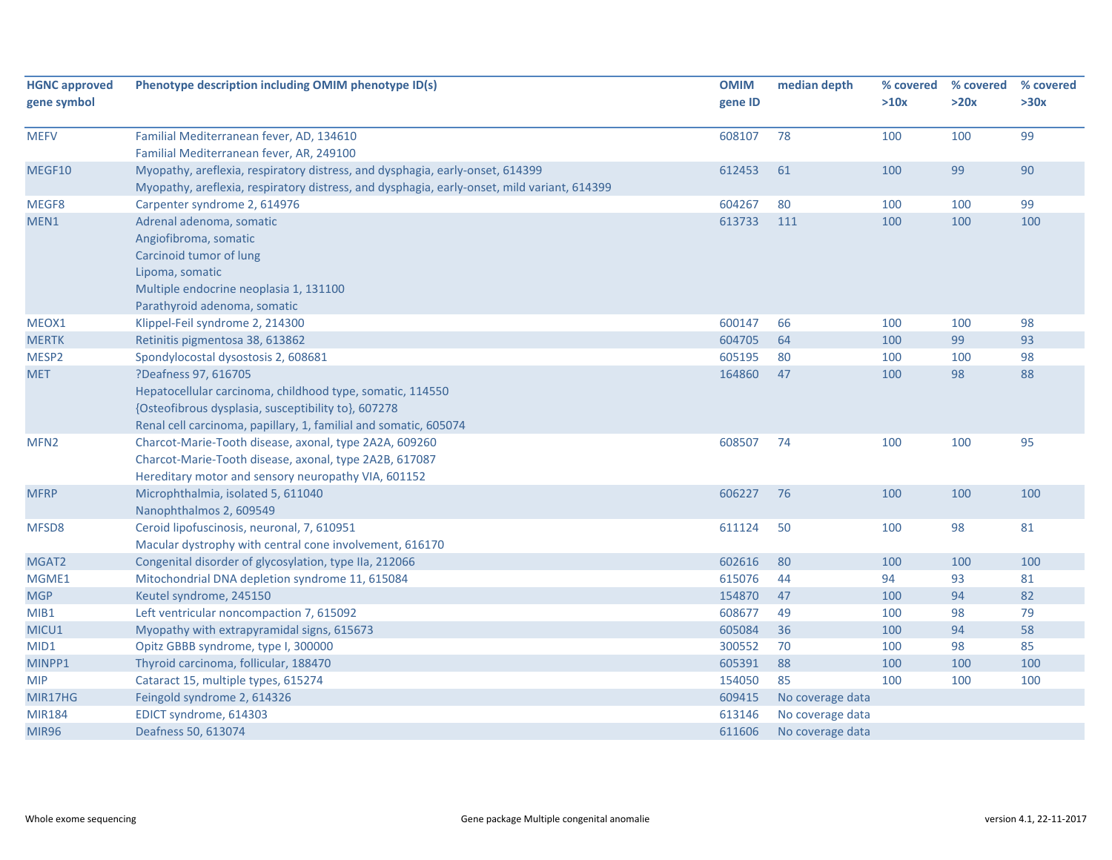| <b>HGNC approved</b> | Phenotype description including OMIM phenotype ID(s)                                        | <b>OMIM</b> | median depth     | % covered | % covered | % covered |
|----------------------|---------------------------------------------------------------------------------------------|-------------|------------------|-----------|-----------|-----------|
| gene symbol          |                                                                                             | gene ID     |                  | >10x      | >20x      | >30x      |
|                      |                                                                                             |             |                  |           |           |           |
| <b>MEFV</b>          | Familial Mediterranean fever, AD, 134610                                                    | 608107      | 78               | 100       | 100       | 99        |
|                      | Familial Mediterranean fever, AR, 249100                                                    |             |                  |           |           |           |
| MEGF10               | Myopathy, areflexia, respiratory distress, and dysphagia, early-onset, 614399               | 612453      | 61               | 100       | 99        | 90        |
|                      | Myopathy, areflexia, respiratory distress, and dysphagia, early-onset, mild variant, 614399 |             |                  |           |           |           |
| MEGF8                | Carpenter syndrome 2, 614976                                                                | 604267      | 80               | 100       | 100       | 99        |
| MEN1                 | Adrenal adenoma, somatic                                                                    | 613733      | 111              | 100       | 100       | 100       |
|                      | Angiofibroma, somatic                                                                       |             |                  |           |           |           |
|                      | Carcinoid tumor of lung                                                                     |             |                  |           |           |           |
|                      | Lipoma, somatic                                                                             |             |                  |           |           |           |
|                      | Multiple endocrine neoplasia 1, 131100                                                      |             |                  |           |           |           |
|                      | Parathyroid adenoma, somatic                                                                |             |                  |           |           |           |
| MEOX1                | Klippel-Feil syndrome 2, 214300                                                             | 600147      | 66               | 100       | 100       | 98        |
| <b>MERTK</b>         | Retinitis pigmentosa 38, 613862                                                             | 604705      | 64               | 100       | 99        | 93        |
| MESP2                | Spondylocostal dysostosis 2, 608681                                                         | 605195      | 80               | 100       | 100       | 98        |
| <b>MET</b>           | ?Deafness 97, 616705                                                                        | 164860      | 47               | 100       | 98        | 88        |
|                      | Hepatocellular carcinoma, childhood type, somatic, 114550                                   |             |                  |           |           |           |
|                      | {Osteofibrous dysplasia, susceptibility to}, 607278                                         |             |                  |           |           |           |
|                      | Renal cell carcinoma, papillary, 1, familial and somatic, 605074                            |             |                  |           |           |           |
| MFN <sub>2</sub>     | Charcot-Marie-Tooth disease, axonal, type 2A2A, 609260                                      | 608507      | 74               | 100       | 100       | 95        |
|                      | Charcot-Marie-Tooth disease, axonal, type 2A2B, 617087                                      |             |                  |           |           |           |
|                      | Hereditary motor and sensory neuropathy VIA, 601152                                         |             |                  |           |           |           |
| <b>MFRP</b>          | Microphthalmia, isolated 5, 611040                                                          | 606227      | 76               | 100       | 100       | 100       |
|                      | Nanophthalmos 2, 609549                                                                     |             |                  |           |           |           |
| MFSD8                | Ceroid lipofuscinosis, neuronal, 7, 610951                                                  | 611124      | 50               | 100       | 98        | 81        |
|                      | Macular dystrophy with central cone involvement, 616170                                     |             |                  |           |           |           |
| MGAT2                | Congenital disorder of glycosylation, type IIa, 212066                                      | 602616      | 80               | 100       | 100       | 100       |
| MGME1                | Mitochondrial DNA depletion syndrome 11, 615084                                             | 615076      | 44               | 94        | 93        | 81        |
| <b>MGP</b>           | Keutel syndrome, 245150                                                                     | 154870      | 47               | 100       | 94        | 82        |
| MIB1                 | Left ventricular noncompaction 7, 615092                                                    | 608677      | 49               | 100       | 98        | 79        |
| MICU1                | Myopathy with extrapyramidal signs, 615673                                                  | 605084      | 36               | 100       | 94        | 58        |
| MID1                 | Opitz GBBB syndrome, type I, 300000                                                         | 300552      | 70               | 100       | 98        | 85        |
| MINPP1               | Thyroid carcinoma, follicular, 188470                                                       | 605391      | 88               | 100       | 100       | 100       |
| <b>MIP</b>           | Cataract 15, multiple types, 615274                                                         | 154050      | 85               | 100       | 100       | 100       |
| MIR17HG              | Feingold syndrome 2, 614326                                                                 | 609415      | No coverage data |           |           |           |
| <b>MIR184</b>        | EDICT syndrome, 614303                                                                      | 613146      | No coverage data |           |           |           |
| <b>MIR96</b>         | Deafness 50, 613074                                                                         | 611606      | No coverage data |           |           |           |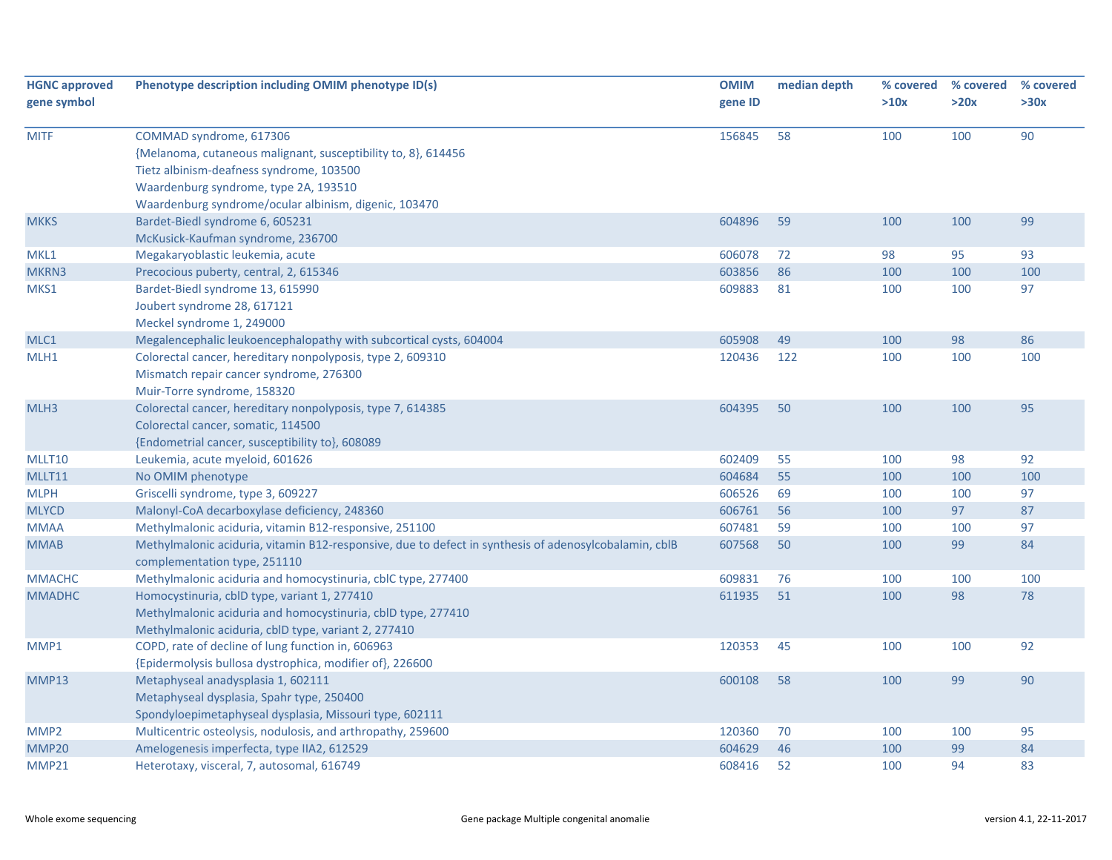| <b>HGNC approved</b><br>gene symbol | Phenotype description including OMIM phenotype ID(s)                                                                                                                                                                                   | <b>OMIM</b><br>gene ID | median depth | % covered<br>>10x | % covered<br>>20x | % covered<br>>30x |
|-------------------------------------|----------------------------------------------------------------------------------------------------------------------------------------------------------------------------------------------------------------------------------------|------------------------|--------------|-------------------|-------------------|-------------------|
| <b>MITF</b>                         | COMMAD syndrome, 617306<br>{Melanoma, cutaneous malignant, susceptibility to, 8}, 614456<br>Tietz albinism-deafness syndrome, 103500<br>Waardenburg syndrome, type 2A, 193510<br>Waardenburg syndrome/ocular albinism, digenic, 103470 | 156845                 | 58           | 100               | 100               | 90                |
| <b>MKKS</b>                         | Bardet-Biedl syndrome 6, 605231<br>McKusick-Kaufman syndrome, 236700                                                                                                                                                                   | 604896                 | 59           | 100               | 100               | 99                |
| MKL1                                | Megakaryoblastic leukemia, acute                                                                                                                                                                                                       | 606078                 | 72           | 98                | 95                | 93                |
| MKRN3                               | Precocious puberty, central, 2, 615346                                                                                                                                                                                                 | 603856                 | 86           | 100               | 100               | 100               |
| MKS1                                | Bardet-Biedl syndrome 13, 615990<br>Joubert syndrome 28, 617121<br>Meckel syndrome 1, 249000                                                                                                                                           | 609883                 | 81           | 100               | 100               | 97                |
| MLC1                                | Megalencephalic leukoencephalopathy with subcortical cysts, 604004                                                                                                                                                                     | 605908                 | 49           | 100               | 98                | 86                |
| MLH1                                | Colorectal cancer, hereditary nonpolyposis, type 2, 609310<br>Mismatch repair cancer syndrome, 276300<br>Muir-Torre syndrome, 158320                                                                                                   | 120436                 | 122          | 100               | 100               | 100               |
| MLH3                                | Colorectal cancer, hereditary nonpolyposis, type 7, 614385<br>Colorectal cancer, somatic, 114500<br>{Endometrial cancer, susceptibility to}, 608089                                                                                    | 604395                 | 50           | 100               | 100               | 95                |
| MLLT10                              | Leukemia, acute myeloid, 601626                                                                                                                                                                                                        | 602409                 | 55           | 100               | 98                | 92                |
| MLLT11                              | No OMIM phenotype                                                                                                                                                                                                                      | 604684                 | 55           | 100               | 100               | 100               |
| <b>MLPH</b>                         | Griscelli syndrome, type 3, 609227                                                                                                                                                                                                     | 606526                 | 69           | 100               | 100               | 97                |
| <b>MLYCD</b>                        | Malonyl-CoA decarboxylase deficiency, 248360                                                                                                                                                                                           | 606761                 | 56           | 100               | 97                | 87                |
| <b>MMAA</b>                         | Methylmalonic aciduria, vitamin B12-responsive, 251100                                                                                                                                                                                 | 607481                 | 59           | 100               | 100               | 97                |
| <b>MMAB</b>                         | Methylmalonic aciduria, vitamin B12-responsive, due to defect in synthesis of adenosylcobalamin, cblB<br>complementation type, 251110                                                                                                  | 607568                 | 50           | 100               | 99                | 84                |
| <b>MMACHC</b>                       | Methylmalonic aciduria and homocystinuria, cblC type, 277400                                                                                                                                                                           | 609831                 | 76           | 100               | 100               | 100               |
| <b>MMADHC</b>                       | Homocystinuria, cblD type, variant 1, 277410<br>Methylmalonic aciduria and homocystinuria, cblD type, 277410<br>Methylmalonic aciduria, cblD type, variant 2, 277410                                                                   | 611935                 | 51           | 100               | 98                | 78                |
| MMP1                                | COPD, rate of decline of lung function in, 606963<br>{Epidermolysis bullosa dystrophica, modifier of}, 226600                                                                                                                          | 120353                 | 45           | 100               | 100               | 92                |
| MMP13                               | Metaphyseal anadysplasia 1, 602111<br>Metaphyseal dysplasia, Spahr type, 250400<br>Spondyloepimetaphyseal dysplasia, Missouri type, 602111                                                                                             | 600108                 | 58           | 100               | 99                | 90                |
| MMP <sub>2</sub>                    | Multicentric osteolysis, nodulosis, and arthropathy, 259600                                                                                                                                                                            | 120360                 | 70           | 100               | 100               | 95                |
| MMP20                               | Amelogenesis imperfecta, type IIA2, 612529                                                                                                                                                                                             | 604629                 | 46           | 100               | 99                | 84                |
| MMP21                               | Heterotaxy, visceral, 7, autosomal, 616749                                                                                                                                                                                             | 608416                 | 52           | 100               | 94                | 83                |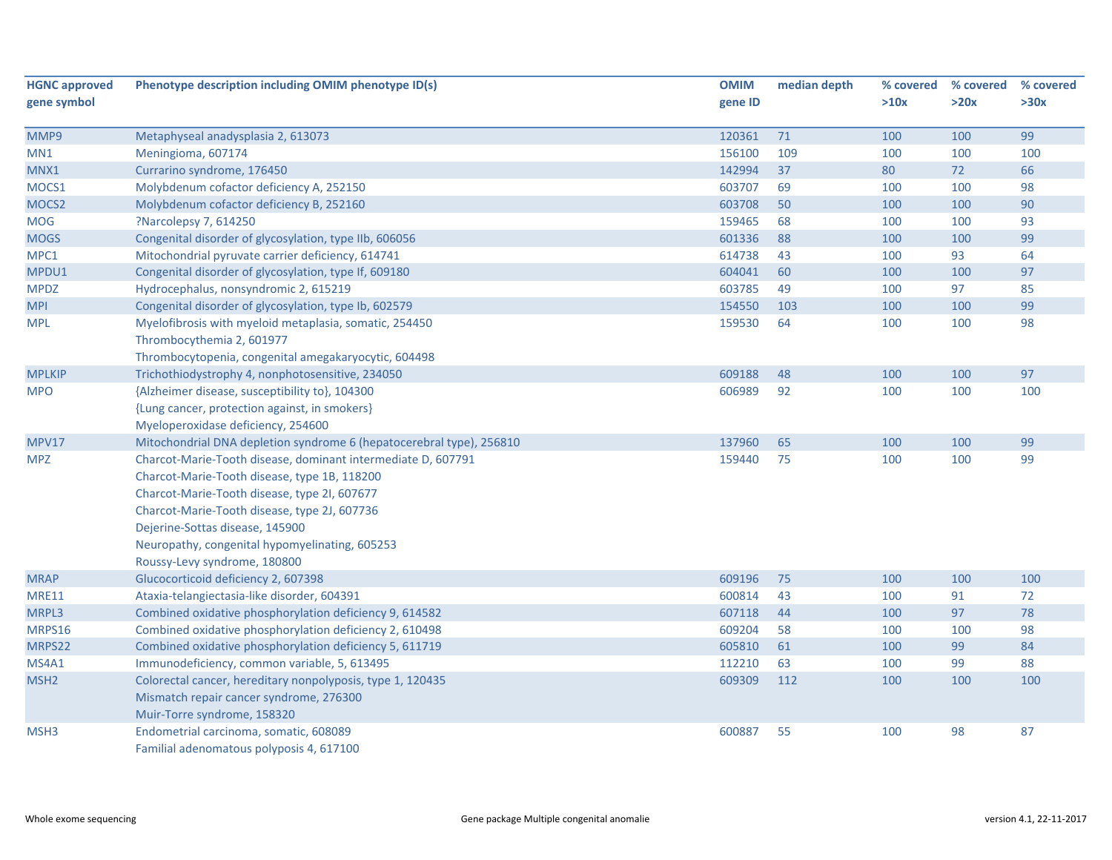| <b>HGNC approved</b> | Phenotype description including OMIM phenotype ID(s)                 | <b>OMIM</b> | median depth | % covered | % covered | % covered |
|----------------------|----------------------------------------------------------------------|-------------|--------------|-----------|-----------|-----------|
| gene symbol          |                                                                      | gene ID     |              | >10x      | >20x      | >30x      |
|                      |                                                                      |             |              |           |           |           |
| MMP9                 | Metaphyseal anadysplasia 2, 613073                                   | 120361      | 71           | 100       | 100       | 99        |
| MN1                  | Meningioma, 607174                                                   | 156100      | 109          | 100       | 100       | 100       |
| MNX1                 | Currarino syndrome, 176450                                           | 142994      | 37           | 80        | 72        | 66        |
| MOCS1                | Molybdenum cofactor deficiency A, 252150                             | 603707      | 69           | 100       | 100       | 98        |
| MOCS2                | Molybdenum cofactor deficiency B, 252160                             | 603708      | 50           | 100       | 100       | 90        |
| <b>MOG</b>           | ?Narcolepsy 7, 614250                                                | 159465      | 68           | 100       | 100       | 93        |
| <b>MOGS</b>          | Congenital disorder of glycosylation, type IIb, 606056               | 601336      | 88           | 100       | 100       | 99        |
| MPC1                 | Mitochondrial pyruvate carrier deficiency, 614741                    | 614738      | 43           | 100       | 93        | 64        |
| MPDU1                | Congenital disorder of glycosylation, type If, 609180                | 604041      | 60           | 100       | 100       | 97        |
| <b>MPDZ</b>          | Hydrocephalus, nonsyndromic 2, 615219                                | 603785      | 49           | 100       | 97        | 85        |
| <b>MPI</b>           | Congenital disorder of glycosylation, type Ib, 602579                | 154550      | 103          | 100       | 100       | 99        |
| <b>MPL</b>           | Myelofibrosis with myeloid metaplasia, somatic, 254450               | 159530      | 64           | 100       | 100       | 98        |
|                      | Thrombocythemia 2, 601977                                            |             |              |           |           |           |
|                      | Thrombocytopenia, congenital amegakaryocytic, 604498                 |             |              |           |           |           |
| <b>MPLKIP</b>        | Trichothiodystrophy 4, nonphotosensitive, 234050                     | 609188      | 48           | 100       | 100       | 97        |
| <b>MPO</b>           | {Alzheimer disease, susceptibility to}, 104300                       | 606989      | 92           | 100       | 100       | 100       |
|                      | {Lung cancer, protection against, in smokers}                        |             |              |           |           |           |
|                      | Myeloperoxidase deficiency, 254600                                   |             |              |           |           |           |
| <b>MPV17</b>         | Mitochondrial DNA depletion syndrome 6 (hepatocerebral type), 256810 | 137960      | 65           | 100       | 100       | 99        |
| <b>MPZ</b>           | Charcot-Marie-Tooth disease, dominant intermediate D, 607791         | 159440      | 75           | 100       | 100       | 99        |
|                      | Charcot-Marie-Tooth disease, type 1B, 118200                         |             |              |           |           |           |
|                      | Charcot-Marie-Tooth disease, type 2I, 607677                         |             |              |           |           |           |
|                      | Charcot-Marie-Tooth disease, type 2J, 607736                         |             |              |           |           |           |
|                      | Dejerine-Sottas disease, 145900                                      |             |              |           |           |           |
|                      | Neuropathy, congenital hypomyelinating, 605253                       |             |              |           |           |           |
|                      | Roussy-Levy syndrome, 180800                                         |             |              |           |           |           |
| <b>MRAP</b>          | Glucocorticoid deficiency 2, 607398                                  | 609196      | 75           | 100       | 100       | 100       |
| <b>MRE11</b>         | Ataxia-telangiectasia-like disorder, 604391                          | 600814      | 43           | 100       | 91        | 72        |
| MRPL3                | Combined oxidative phosphorylation deficiency 9, 614582              | 607118      | 44           | 100       | 97        | 78        |
| MRPS16               | Combined oxidative phosphorylation deficiency 2, 610498              | 609204      | 58           | 100       | 100       | 98        |
| MRPS22               | Combined oxidative phosphorylation deficiency 5, 611719              | 605810      | 61           | 100       | 99        | 84        |
| MS4A1                | Immunodeficiency, common variable, 5, 613495                         | 112210      | 63           | 100       | 99        | 88        |
| MSH <sub>2</sub>     | Colorectal cancer, hereditary nonpolyposis, type 1, 120435           | 609309      | 112          | 100       | 100       | 100       |
|                      | Mismatch repair cancer syndrome, 276300                              |             |              |           |           |           |
|                      | Muir-Torre syndrome, 158320                                          |             |              |           |           |           |
| MSH3                 | Endometrial carcinoma, somatic, 608089                               | 600887      | 55           | 100       | 98        | 87        |
|                      | Familial adenomatous polyposis 4, 617100                             |             |              |           |           |           |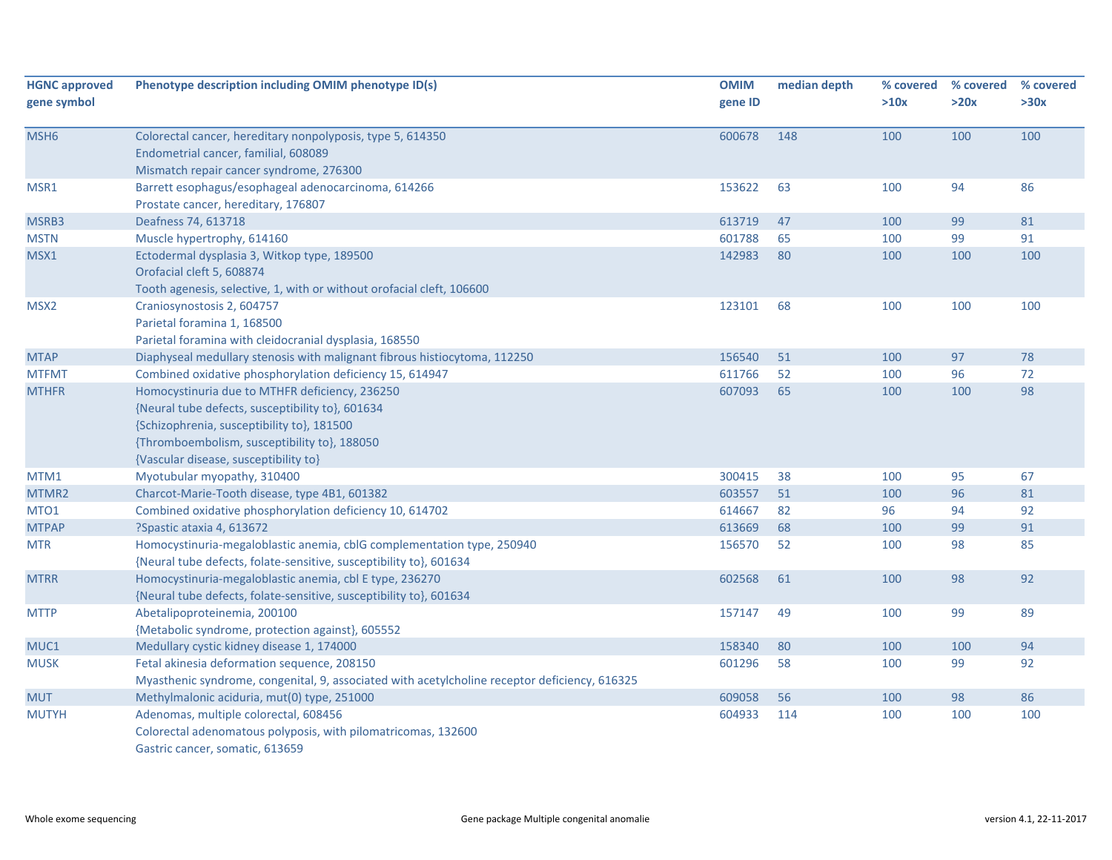| <b>HGNC approved</b> | Phenotype description including OMIM phenotype ID(s)                                          | <b>OMIM</b> | median depth | % covered | % covered | % covered |
|----------------------|-----------------------------------------------------------------------------------------------|-------------|--------------|-----------|-----------|-----------|
| gene symbol          |                                                                                               | gene ID     |              | >10x      | >20x      | >30x      |
| MSH <sub>6</sub>     | Colorectal cancer, hereditary nonpolyposis, type 5, 614350                                    | 600678      | 148          | 100       | 100       | 100       |
|                      | Endometrial cancer, familial, 608089                                                          |             |              |           |           |           |
|                      | Mismatch repair cancer syndrome, 276300                                                       |             |              |           |           |           |
| MSR1                 | Barrett esophagus/esophageal adenocarcinoma, 614266<br>Prostate cancer, hereditary, 176807    | 153622      | 63           | 100       | 94        | 86        |
| MSRB3                | Deafness 74, 613718                                                                           | 613719      | 47           | 100       | 99        | 81        |
| <b>MSTN</b>          | Muscle hypertrophy, 614160                                                                    | 601788      | 65           | 100       | 99        | 91        |
| MSX1                 | Ectodermal dysplasia 3, Witkop type, 189500                                                   | 142983      | 80           | 100       | 100       | 100       |
|                      | Orofacial cleft 5, 608874                                                                     |             |              |           |           |           |
|                      | Tooth agenesis, selective, 1, with or without orofacial cleft, 106600                         |             |              |           |           |           |
| MSX <sub>2</sub>     | Craniosynostosis 2, 604757                                                                    | 123101      | 68           | 100       | 100       | 100       |
|                      | Parietal foramina 1, 168500                                                                   |             |              |           |           |           |
|                      | Parietal foramina with cleidocranial dysplasia, 168550                                        |             |              |           |           |           |
| <b>MTAP</b>          | Diaphyseal medullary stenosis with malignant fibrous histiocytoma, 112250                     | 156540      | 51           | 100       | 97        | 78        |
| <b>MTFMT</b>         | Combined oxidative phosphorylation deficiency 15, 614947                                      | 611766      | 52           | 100       | 96        | 72        |
| <b>MTHFR</b>         | Homocystinuria due to MTHFR deficiency, 236250                                                | 607093      | 65           | 100       | 100       | 98        |
|                      | {Neural tube defects, susceptibility to}, 601634                                              |             |              |           |           |           |
|                      | {Schizophrenia, susceptibility to}, 181500                                                    |             |              |           |           |           |
|                      | {Thromboembolism, susceptibility to}, 188050                                                  |             |              |           |           |           |
|                      | {Vascular disease, susceptibility to}                                                         |             |              |           |           |           |
| MTM1                 | Myotubular myopathy, 310400                                                                   | 300415      | 38           | 100       | 95        | 67        |
| MTMR2                | Charcot-Marie-Tooth disease, type 4B1, 601382                                                 | 603557      | 51           | 100       | 96        | 81        |
| MTO <sub>1</sub>     | Combined oxidative phosphorylation deficiency 10, 614702                                      | 614667      | 82           | 96        | 94        | 92        |
| <b>MTPAP</b>         | ?Spastic ataxia 4, 613672                                                                     | 613669      | 68           | 100       | 99        | 91        |
| <b>MTR</b>           | Homocystinuria-megaloblastic anemia, cblG complementation type, 250940                        | 156570      | 52           | 100       | 98        | 85        |
|                      | {Neural tube defects, folate-sensitive, susceptibility to}, 601634                            |             |              |           |           |           |
| <b>MTRR</b>          | Homocystinuria-megaloblastic anemia, cbl E type, 236270                                       | 602568      | 61           | 100       | 98        | 92        |
|                      | {Neural tube defects, folate-sensitive, susceptibility to}, 601634                            |             |              |           |           |           |
| <b>MTTP</b>          | Abetalipoproteinemia, 200100                                                                  | 157147      | 49           | 100       | 99        | 89        |
|                      | {Metabolic syndrome, protection against}, 605552                                              |             |              |           |           |           |
| MUC1                 | Medullary cystic kidney disease 1, 174000                                                     | 158340      | 80           | 100       | 100       | 94        |
| <b>MUSK</b>          | Fetal akinesia deformation sequence, 208150                                                   | 601296      | 58           | 100       | 99        | 92        |
|                      | Myasthenic syndrome, congenital, 9, associated with acetylcholine receptor deficiency, 616325 |             |              |           |           |           |
| <b>MUT</b>           | Methylmalonic aciduria, mut(0) type, 251000                                                   | 609058      | 56           | 100       | 98        | 86        |
| <b>MUTYH</b>         | Adenomas, multiple colorectal, 608456                                                         | 604933      | 114          | 100       | 100       | 100       |
|                      | Colorectal adenomatous polyposis, with pilomatricomas, 132600                                 |             |              |           |           |           |
|                      | Gastric cancer, somatic, 613659                                                               |             |              |           |           |           |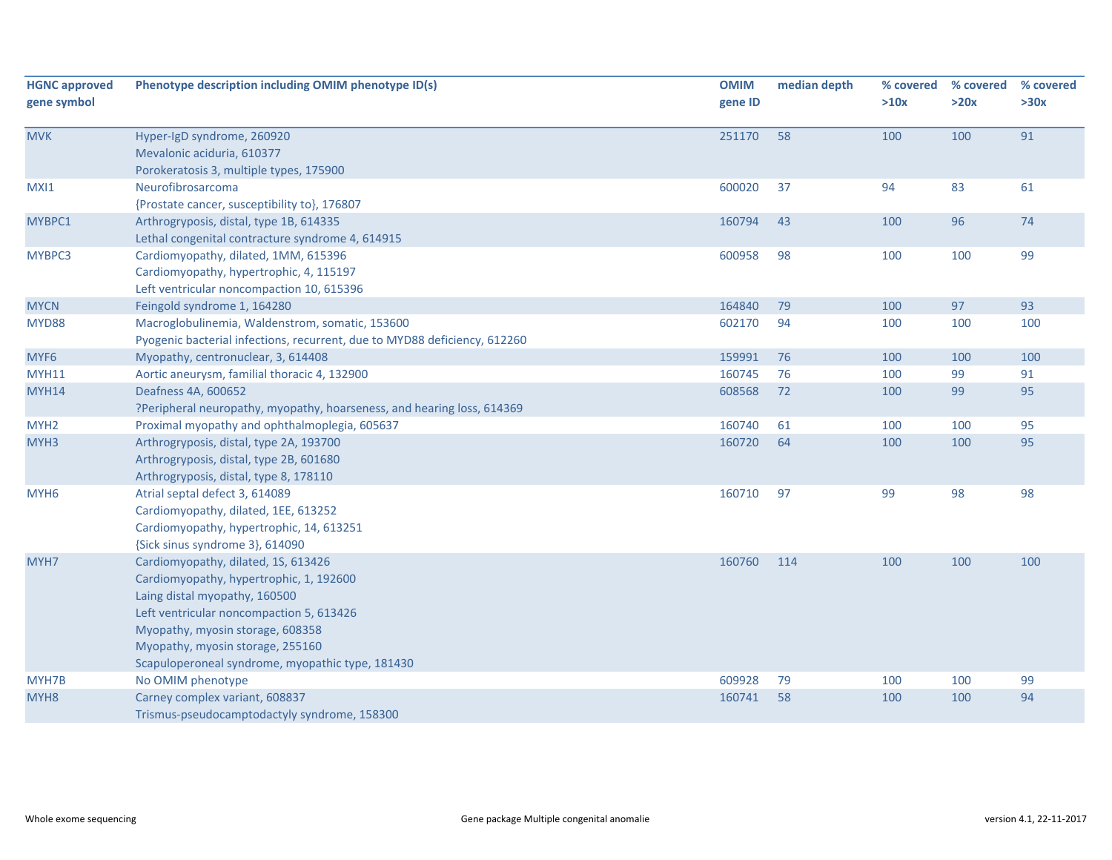| <b>HGNC approved</b><br>gene symbol | Phenotype description including OMIM phenotype ID(s)                                                                                                                                                                                                                                    | <b>OMIM</b><br>gene ID | median depth | % covered<br>>10x | % covered<br>>20x | % covered<br>>30x |
|-------------------------------------|-----------------------------------------------------------------------------------------------------------------------------------------------------------------------------------------------------------------------------------------------------------------------------------------|------------------------|--------------|-------------------|-------------------|-------------------|
| <b>MVK</b>                          | Hyper-IgD syndrome, 260920<br>Mevalonic aciduria, 610377<br>Porokeratosis 3, multiple types, 175900                                                                                                                                                                                     | 251170                 | 58           | 100               | 100               | 91                |
| MXI1                                | Neurofibrosarcoma<br>{Prostate cancer, susceptibility to}, 176807                                                                                                                                                                                                                       | 600020                 | 37           | 94                | 83                | 61                |
| MYBPC1                              | Arthrogryposis, distal, type 1B, 614335<br>Lethal congenital contracture syndrome 4, 614915                                                                                                                                                                                             | 160794                 | 43           | 100               | 96                | 74                |
| MYBPC3                              | Cardiomyopathy, dilated, 1MM, 615396<br>Cardiomyopathy, hypertrophic, 4, 115197<br>Left ventricular noncompaction 10, 615396                                                                                                                                                            | 600958                 | 98           | 100               | 100               | 99                |
| <b>MYCN</b>                         | Feingold syndrome 1, 164280                                                                                                                                                                                                                                                             | 164840                 | 79           | 100               | 97                | 93                |
| MYD88                               | Macroglobulinemia, Waldenstrom, somatic, 153600<br>Pyogenic bacterial infections, recurrent, due to MYD88 deficiency, 612260                                                                                                                                                            | 602170                 | 94           | 100               | 100               | 100               |
| MYF6                                | Myopathy, centronuclear, 3, 614408                                                                                                                                                                                                                                                      | 159991                 | 76           | 100               | 100               | 100               |
| <b>MYH11</b>                        | Aortic aneurysm, familial thoracic 4, 132900                                                                                                                                                                                                                                            | 160745                 | 76           | 100               | 99                | 91                |
| <b>MYH14</b>                        | Deafness 4A, 600652<br>?Peripheral neuropathy, myopathy, hoarseness, and hearing loss, 614369                                                                                                                                                                                           | 608568                 | 72           | 100               | 99                | 95                |
| MYH <sub>2</sub>                    | Proximal myopathy and ophthalmoplegia, 605637                                                                                                                                                                                                                                           | 160740                 | 61           | 100               | 100               | 95                |
| MYH3                                | Arthrogryposis, distal, type 2A, 193700<br>Arthrogryposis, distal, type 2B, 601680<br>Arthrogryposis, distal, type 8, 178110                                                                                                                                                            | 160720                 | 64           | 100               | 100               | 95                |
| MYH <sub>6</sub>                    | Atrial septal defect 3, 614089<br>Cardiomyopathy, dilated, 1EE, 613252<br>Cardiomyopathy, hypertrophic, 14, 613251<br>{Sick sinus syndrome 3}, 614090                                                                                                                                   | 160710                 | 97           | 99                | 98                | 98                |
| MYH7                                | Cardiomyopathy, dilated, 1S, 613426<br>Cardiomyopathy, hypertrophic, 1, 192600<br>Laing distal myopathy, 160500<br>Left ventricular noncompaction 5, 613426<br>Myopathy, myosin storage, 608358<br>Myopathy, myosin storage, 255160<br>Scapuloperoneal syndrome, myopathic type, 181430 | 160760                 | 114          | 100               | 100               | 100               |
| MYH7B                               | No OMIM phenotype                                                                                                                                                                                                                                                                       | 609928                 | 79           | 100               | 100               | 99                |
| MYH <sub>8</sub>                    | Carney complex variant, 608837<br>Trismus-pseudocamptodactyly syndrome, 158300                                                                                                                                                                                                          | 160741                 | 58           | 100               | 100               | 94                |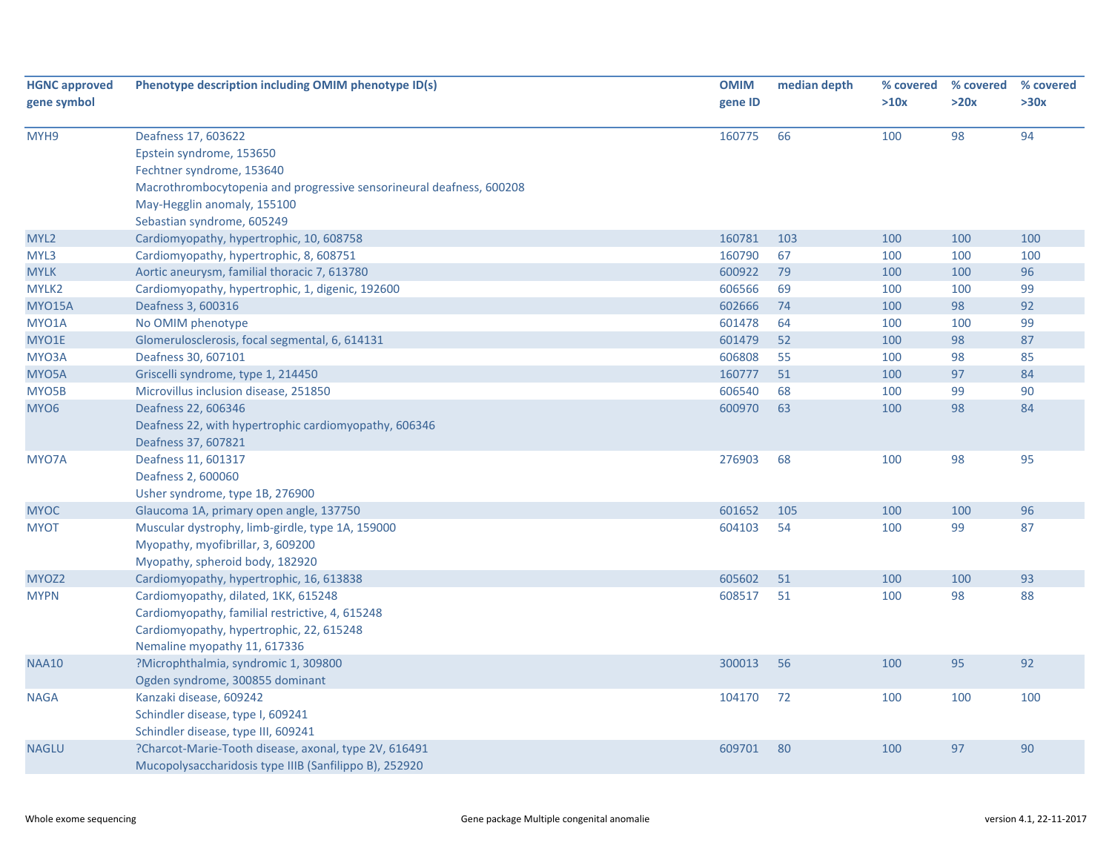| <b>HGNC approved</b><br>gene symbol | Phenotype description including OMIM phenotype ID(s)                                                                                                                                                              | <b>OMIM</b><br>gene ID | median depth | % covered<br>>10x | % covered<br>>20x | % covered<br>>30x |
|-------------------------------------|-------------------------------------------------------------------------------------------------------------------------------------------------------------------------------------------------------------------|------------------------|--------------|-------------------|-------------------|-------------------|
|                                     |                                                                                                                                                                                                                   |                        |              |                   |                   |                   |
| MYH9                                | Deafness 17, 603622<br>Epstein syndrome, 153650<br>Fechtner syndrome, 153640<br>Macrothrombocytopenia and progressive sensorineural deafness, 600208<br>May-Hegglin anomaly, 155100<br>Sebastian syndrome, 605249 | 160775                 | 66           | 100               | 98                | 94                |
| MYL <sub>2</sub>                    | Cardiomyopathy, hypertrophic, 10, 608758                                                                                                                                                                          | 160781                 | 103          | 100               | 100               | 100               |
| MYL3                                | Cardiomyopathy, hypertrophic, 8, 608751                                                                                                                                                                           | 160790                 | 67           | 100               | 100               | 100               |
| <b>MYLK</b>                         | Aortic aneurysm, familial thoracic 7, 613780                                                                                                                                                                      | 600922                 | 79           | 100               | 100               | 96                |
| MYLK2                               | Cardiomyopathy, hypertrophic, 1, digenic, 192600                                                                                                                                                                  | 606566                 | 69           | 100               | 100               | 99                |
| <b>MYO15A</b>                       | Deafness 3, 600316                                                                                                                                                                                                | 602666                 | 74           | 100               | 98                | 92                |
| MYO1A                               | No OMIM phenotype                                                                                                                                                                                                 | 601478                 | 64           | 100               | 100               | 99                |
| MYO1E                               | Glomerulosclerosis, focal segmental, 6, 614131                                                                                                                                                                    | 601479                 | 52           | 100               | 98                | 87                |
| MYO3A                               | Deafness 30, 607101                                                                                                                                                                                               | 606808                 | 55           | 100               | 98                | 85                |
| MYO5A                               | Griscelli syndrome, type 1, 214450                                                                                                                                                                                | 160777                 | 51           | 100               | 97                | 84                |
| MYO5B                               | Microvillus inclusion disease, 251850                                                                                                                                                                             | 606540                 | 68           | 100               | 99                | 90                |
| MYO <sub>6</sub>                    | Deafness 22, 606346<br>Deafness 22, with hypertrophic cardiomyopathy, 606346<br>Deafness 37, 607821                                                                                                               | 600970                 | 63           | 100               | 98                | 84                |
| MYO7A                               | Deafness 11, 601317<br>Deafness 2, 600060<br>Usher syndrome, type 1B, 276900                                                                                                                                      | 276903                 | 68           | 100               | 98                | 95                |
| <b>MYOC</b>                         | Glaucoma 1A, primary open angle, 137750                                                                                                                                                                           | 601652                 | 105          | 100               | 100               | 96                |
| <b>MYOT</b>                         | Muscular dystrophy, limb-girdle, type 1A, 159000<br>Myopathy, myofibrillar, 3, 609200<br>Myopathy, spheroid body, 182920                                                                                          | 604103                 | 54           | 100               | 99                | 87                |
| MYOZ2                               | Cardiomyopathy, hypertrophic, 16, 613838                                                                                                                                                                          | 605602                 | 51           | 100               | 100               | 93                |
| <b>MYPN</b>                         | Cardiomyopathy, dilated, 1KK, 615248<br>Cardiomyopathy, familial restrictive, 4, 615248<br>Cardiomyopathy, hypertrophic, 22, 615248<br>Nemaline myopathy 11, 617336                                               | 608517                 | 51           | 100               | 98                | 88                |
| <b>NAA10</b>                        | ?Microphthalmia, syndromic 1, 309800<br>Ogden syndrome, 300855 dominant                                                                                                                                           | 300013                 | 56           | 100               | 95                | 92                |
| <b>NAGA</b>                         | Kanzaki disease, 609242<br>Schindler disease, type I, 609241<br>Schindler disease, type III, 609241                                                                                                               | 104170                 | 72           | 100               | 100               | 100               |
| <b>NAGLU</b>                        | ?Charcot-Marie-Tooth disease, axonal, type 2V, 616491<br>Mucopolysaccharidosis type IIIB (Sanfilippo B), 252920                                                                                                   | 609701                 | 80           | 100               | 97                | 90                |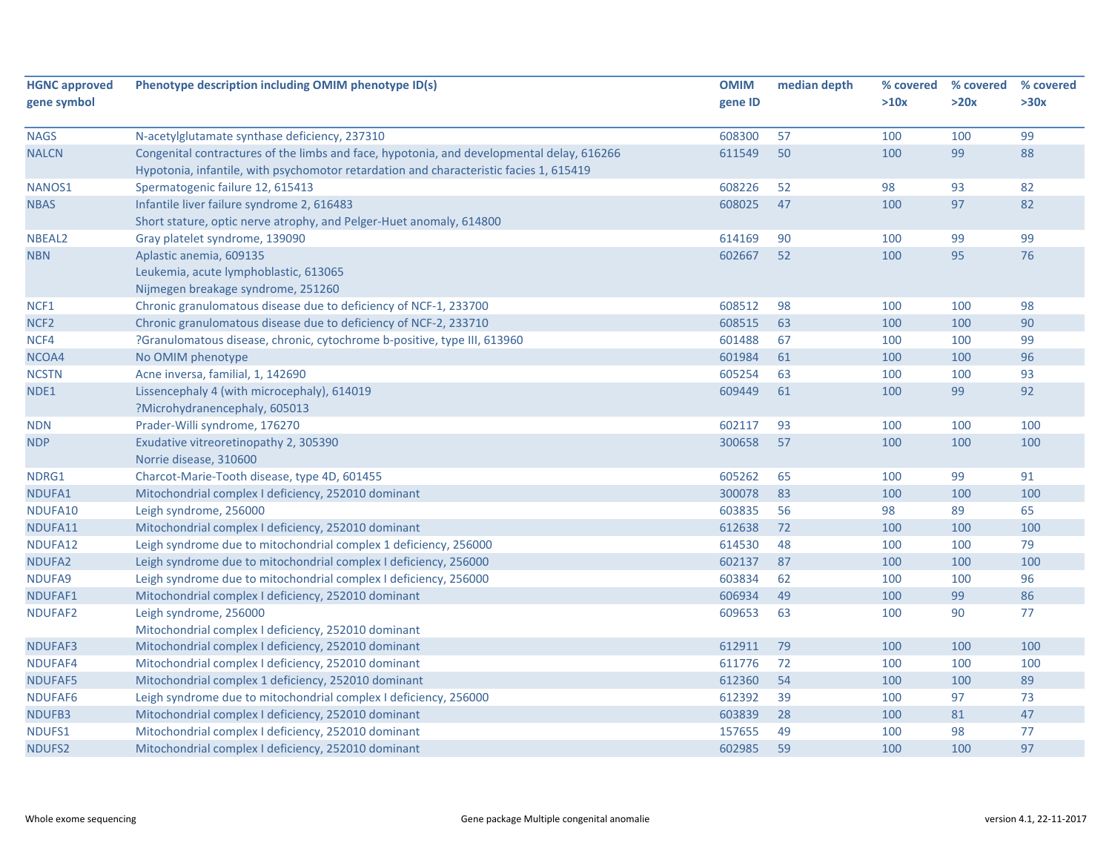| <b>HGNC approved</b> | Phenotype description including OMIM phenotype ID(s)                                      | <b>OMIM</b> | median depth | % covered | % covered | % covered |
|----------------------|-------------------------------------------------------------------------------------------|-------------|--------------|-----------|-----------|-----------|
| gene symbol          |                                                                                           | gene ID     |              | >10x      | >20x      | >30x      |
|                      |                                                                                           |             |              |           |           |           |
| <b>NAGS</b>          | N-acetylglutamate synthase deficiency, 237310                                             | 608300      | 57           | 100       | 100       | 99        |
| <b>NALCN</b>         | Congenital contractures of the limbs and face, hypotonia, and developmental delay, 616266 | 611549      | 50           | 100       | 99        | 88        |
|                      | Hypotonia, infantile, with psychomotor retardation and characteristic facies 1, 615419    |             |              |           |           |           |
| NANOS1               | Spermatogenic failure 12, 615413                                                          | 608226      | 52           | 98        | 93        | 82        |
| <b>NBAS</b>          | Infantile liver failure syndrome 2, 616483                                                | 608025      | 47           | 100       | 97        | 82        |
|                      | Short stature, optic nerve atrophy, and Pelger-Huet anomaly, 614800                       |             |              |           |           |           |
| NBEAL <sub>2</sub>   | Gray platelet syndrome, 139090                                                            | 614169      | 90           | 100       | 99        | 99        |
| <b>NBN</b>           | Aplastic anemia, 609135                                                                   | 602667      | 52           | 100       | 95        | 76        |
|                      | Leukemia, acute lymphoblastic, 613065                                                     |             |              |           |           |           |
|                      | Nijmegen breakage syndrome, 251260                                                        |             |              |           |           |           |
| NCF1                 | Chronic granulomatous disease due to deficiency of NCF-1, 233700                          | 608512      | 98           | 100       | 100       | 98        |
| NCF <sub>2</sub>     | Chronic granulomatous disease due to deficiency of NCF-2, 233710                          | 608515      | 63           | 100       | 100       | 90        |
| NCF4                 | ?Granulomatous disease, chronic, cytochrome b-positive, type III, 613960                  | 601488      | 67           | 100       | 100       | 99        |
| NCOA4                | No OMIM phenotype                                                                         | 601984      | 61           | 100       | 100       | 96        |
| <b>NCSTN</b>         | Acne inversa, familial, 1, 142690                                                         | 605254      | 63           | 100       | 100       | 93        |
| NDE1                 | Lissencephaly 4 (with microcephaly), 614019                                               | 609449      | 61           | 100       | 99        | 92        |
|                      | ?Microhydranencephaly, 605013                                                             |             |              |           |           |           |
| <b>NDN</b>           | Prader-Willi syndrome, 176270                                                             | 602117      | 93           | 100       | 100       | 100       |
| <b>NDP</b>           | Exudative vitreoretinopathy 2, 305390                                                     | 300658      | 57           | 100       | 100       | 100       |
|                      | Norrie disease, 310600                                                                    |             |              |           |           |           |
| NDRG1                | Charcot-Marie-Tooth disease, type 4D, 601455                                              | 605262      | 65           | 100       | 99        | 91        |
| NDUFA1               | Mitochondrial complex I deficiency, 252010 dominant                                       | 300078      | 83           | 100       | 100       | 100       |
| NDUFA10              | Leigh syndrome, 256000                                                                    | 603835      | 56           | 98        | 89        | 65        |
| NDUFA11              | Mitochondrial complex I deficiency, 252010 dominant                                       | 612638      | 72           | 100       | 100       | 100       |
| NDUFA12              | Leigh syndrome due to mitochondrial complex 1 deficiency, 256000                          | 614530      | 48           | 100       | 100       | 79        |
| NDUFA2               | Leigh syndrome due to mitochondrial complex I deficiency, 256000                          | 602137      | 87           | 100       | 100       | 100       |
| NDUFA9               | Leigh syndrome due to mitochondrial complex I deficiency, 256000                          | 603834      | 62           | 100       | 100       | 96        |
| NDUFAF1              | Mitochondrial complex I deficiency, 252010 dominant                                       | 606934      | 49           | 100       | 99        | 86        |
| NDUFAF2              | Leigh syndrome, 256000                                                                    | 609653      | 63           | 100       | 90        | 77        |
|                      | Mitochondrial complex I deficiency, 252010 dominant                                       |             |              |           |           |           |
| NDUFAF3              | Mitochondrial complex I deficiency, 252010 dominant                                       | 612911      | 79           | 100       | 100       | 100       |
| NDUFAF4              | Mitochondrial complex I deficiency, 252010 dominant                                       | 611776      | 72           | 100       | 100       | 100       |
| NDUFAF5              | Mitochondrial complex 1 deficiency, 252010 dominant                                       | 612360      | 54           | 100       | 100       | 89        |
| NDUFAF6              | Leigh syndrome due to mitochondrial complex I deficiency, 256000                          | 612392      | 39           | 100       | 97        | 73        |
| NDUFB3               | Mitochondrial complex I deficiency, 252010 dominant                                       | 603839      | 28           | 100       | 81        | 47        |
| NDUFS1               | Mitochondrial complex I deficiency, 252010 dominant                                       | 157655      | 49           | 100       | 98        | 77        |
| NDUFS2               | Mitochondrial complex I deficiency, 252010 dominant                                       | 602985      | 59           | 100       | 100       | 97        |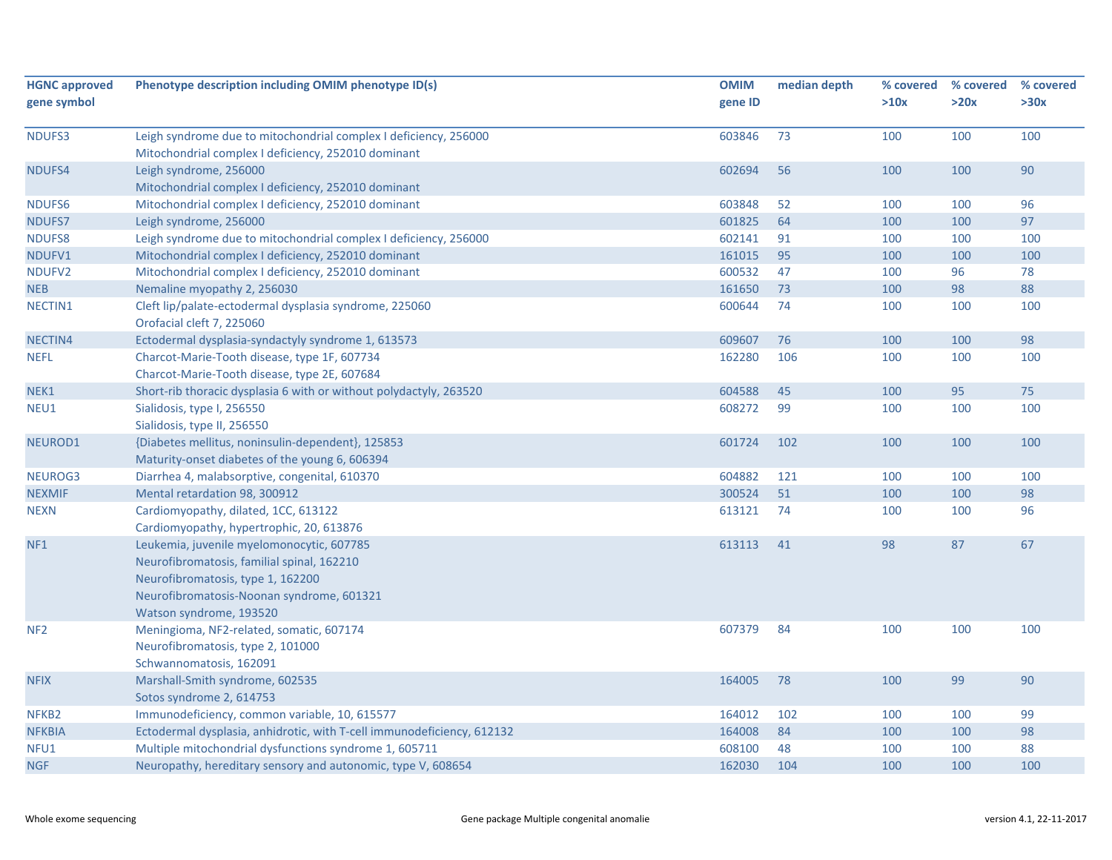| >20x<br>gene symbol<br>>10x<br>>30x<br>gene ID<br>100<br>Leigh syndrome due to mitochondrial complex I deficiency, 256000<br>603846<br>73<br>100<br>100<br>NDUFS3<br>Mitochondrial complex I deficiency, 252010 dominant<br>602694<br>56<br>100<br>100<br>90<br>NDUFS4<br>Leigh syndrome, 256000<br>Mitochondrial complex I deficiency, 252010 dominant |  |
|---------------------------------------------------------------------------------------------------------------------------------------------------------------------------------------------------------------------------------------------------------------------------------------------------------------------------------------------------------|--|
|                                                                                                                                                                                                                                                                                                                                                         |  |
|                                                                                                                                                                                                                                                                                                                                                         |  |
|                                                                                                                                                                                                                                                                                                                                                         |  |
|                                                                                                                                                                                                                                                                                                                                                         |  |
|                                                                                                                                                                                                                                                                                                                                                         |  |
|                                                                                                                                                                                                                                                                                                                                                         |  |
| NDUFS6<br>603848<br>52<br>100<br>96<br>Mitochondrial complex I deficiency, 252010 dominant<br>100                                                                                                                                                                                                                                                       |  |
| 601825<br>64<br>97<br>100<br>100<br>NDUFS7<br>Leigh syndrome, 256000                                                                                                                                                                                                                                                                                    |  |
| Leigh syndrome due to mitochondrial complex I deficiency, 256000<br>602141<br>100<br><b>NDUFS8</b><br>91<br>100<br>100                                                                                                                                                                                                                                  |  |
| 161015<br>100<br>NDUFV1<br>Mitochondrial complex I deficiency, 252010 dominant<br>95<br>100<br>100                                                                                                                                                                                                                                                      |  |
| 600532<br>47<br>96<br>78<br>NDUFV2<br>Mitochondrial complex I deficiency, 252010 dominant<br>100                                                                                                                                                                                                                                                        |  |
| 98<br>88<br>161650<br>73<br>100<br><b>NEB</b><br>Nemaline myopathy 2, 256030                                                                                                                                                                                                                                                                            |  |
| Cleft lip/palate-ectodermal dysplasia syndrome, 225060<br>600644<br>74<br>NECTIN1<br>100<br>100<br>100                                                                                                                                                                                                                                                  |  |
| Orofacial cleft 7, 225060                                                                                                                                                                                                                                                                                                                               |  |
| 98<br>Ectodermal dysplasia-syndactyly syndrome 1, 613573<br>609607<br>76<br>100<br>100<br>NECTIN4                                                                                                                                                                                                                                                       |  |
| Charcot-Marie-Tooth disease, type 1F, 607734<br>162280<br>106<br>100<br>100<br>100<br><b>NEFL</b>                                                                                                                                                                                                                                                       |  |
| Charcot-Marie-Tooth disease, type 2E, 607684                                                                                                                                                                                                                                                                                                            |  |
| 604588<br>45<br>100<br>95<br>75<br>NEK1<br>Short-rib thoracic dysplasia 6 with or without polydactyly, 263520                                                                                                                                                                                                                                           |  |
| 99<br>NEU1<br>Sialidosis, type I, 256550<br>608272<br>100<br>100<br>100                                                                                                                                                                                                                                                                                 |  |
| Sialidosis, type II, 256550                                                                                                                                                                                                                                                                                                                             |  |
| NEUROD1<br>{Diabetes mellitus, noninsulin-dependent}, 125853<br>601724<br>102<br>100<br>100<br>100                                                                                                                                                                                                                                                      |  |
| Maturity-onset diabetes of the young 6, 606394                                                                                                                                                                                                                                                                                                          |  |
| NEUROG3<br>Diarrhea 4, malabsorptive, congenital, 610370<br>604882<br>121<br>100<br>100<br>100                                                                                                                                                                                                                                                          |  |
| <b>NEXMIF</b><br>300524<br>51<br>100<br>100<br>98<br>Mental retardation 98, 300912                                                                                                                                                                                                                                                                      |  |
| 613121<br>74<br>96<br><b>NEXN</b><br>Cardiomyopathy, dilated, 1CC, 613122<br>100<br>100                                                                                                                                                                                                                                                                 |  |
| Cardiomyopathy, hypertrophic, 20, 613876                                                                                                                                                                                                                                                                                                                |  |
| 613113<br>87<br>NF <sub>1</sub><br>Leukemia, juvenile myelomonocytic, 607785<br>41<br>98<br>67                                                                                                                                                                                                                                                          |  |
| Neurofibromatosis, familial spinal, 162210                                                                                                                                                                                                                                                                                                              |  |
| Neurofibromatosis, type 1, 162200                                                                                                                                                                                                                                                                                                                       |  |
| Neurofibromatosis-Noonan syndrome, 601321                                                                                                                                                                                                                                                                                                               |  |
| Watson syndrome, 193520                                                                                                                                                                                                                                                                                                                                 |  |
| 607379<br>100<br>100<br>NF <sub>2</sub><br>Meningioma, NF2-related, somatic, 607174<br>84<br>100                                                                                                                                                                                                                                                        |  |
| Neurofibromatosis, type 2, 101000                                                                                                                                                                                                                                                                                                                       |  |
| Schwannomatosis, 162091                                                                                                                                                                                                                                                                                                                                 |  |
| 164005<br>78<br>100<br>99<br>90<br><b>NFIX</b><br>Marshall-Smith syndrome, 602535                                                                                                                                                                                                                                                                       |  |
| Sotos syndrome 2, 614753                                                                                                                                                                                                                                                                                                                                |  |
| Immunodeficiency, common variable, 10, 615577<br>164012<br>102<br>99<br>NFKB <sub>2</sub><br>100<br>100                                                                                                                                                                                                                                                 |  |
| 164008<br>98<br><b>NFKBIA</b><br>Ectodermal dysplasia, anhidrotic, with T-cell immunodeficiency, 612132<br>84<br>100<br>100                                                                                                                                                                                                                             |  |
| 608100<br>48<br>100<br>100<br>88<br>Multiple mitochondrial dysfunctions syndrome 1, 605711<br>NFU1                                                                                                                                                                                                                                                      |  |
| 162030<br>100<br>100<br><b>NGF</b><br>Neuropathy, hereditary sensory and autonomic, type V, 608654<br>104<br>100                                                                                                                                                                                                                                        |  |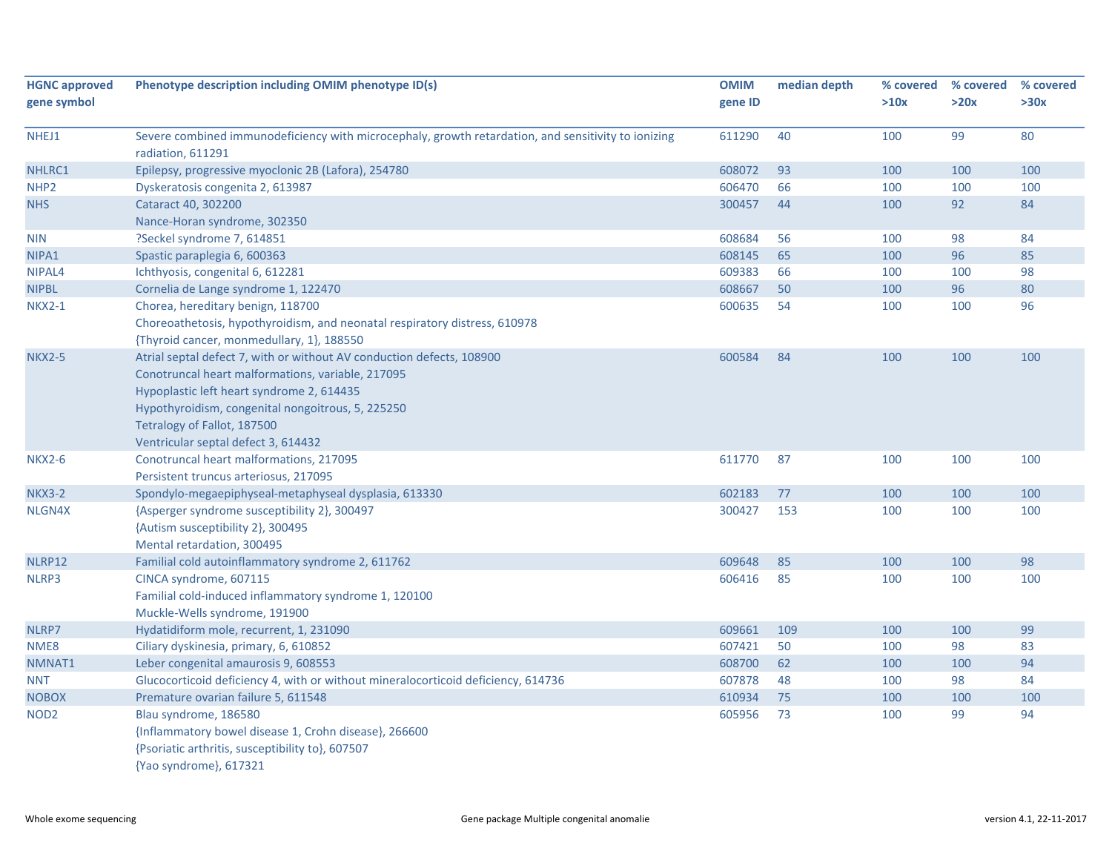| <b>HGNC approved</b> | Phenotype description including OMIM phenotype ID(s)                                                                     | <b>OMIM</b> | median depth | % covered | % covered | % covered |
|----------------------|--------------------------------------------------------------------------------------------------------------------------|-------------|--------------|-----------|-----------|-----------|
| gene symbol          |                                                                                                                          | gene ID     |              | >10x      | >20x      | >30x      |
| NHEJ1                | Severe combined immunodeficiency with microcephaly, growth retardation, and sensitivity to ionizing<br>radiation, 611291 | 611290      | 40           | 100       | 99        | 80        |
| NHLRC1               | Epilepsy, progressive myoclonic 2B (Lafora), 254780                                                                      | 608072      | 93           | 100       | 100       | 100       |
| NHP <sub>2</sub>     | Dyskeratosis congenita 2, 613987                                                                                         | 606470      | 66           | 100       | 100       | 100       |
| <b>NHS</b>           | Cataract 40, 302200                                                                                                      | 300457      | 44           | 100       | 92        | 84        |
|                      | Nance-Horan syndrome, 302350                                                                                             |             |              |           |           |           |
| <b>NIN</b>           | ?Seckel syndrome 7, 614851                                                                                               | 608684      | 56           | 100       | 98        | 84        |
| NIPA1                | Spastic paraplegia 6, 600363                                                                                             | 608145      | 65           | 100       | 96        | 85        |
| NIPAL4               | Ichthyosis, congenital 6, 612281                                                                                         | 609383      | 66           | 100       | 100       | 98        |
| <b>NIPBL</b>         | Cornelia de Lange syndrome 1, 122470                                                                                     | 608667      | 50           | 100       | 96        | 80        |
| <b>NKX2-1</b>        | Chorea, hereditary benign, 118700                                                                                        | 600635      | 54           | 100       | 100       | 96        |
|                      | Choreoathetosis, hypothyroidism, and neonatal respiratory distress, 610978                                               |             |              |           |           |           |
|                      | {Thyroid cancer, monmedullary, 1}, 188550                                                                                |             |              |           |           |           |
| <b>NKX2-5</b>        | Atrial septal defect 7, with or without AV conduction defects, 108900                                                    | 600584      | 84           | 100       | 100       | 100       |
|                      | Conotruncal heart malformations, variable, 217095                                                                        |             |              |           |           |           |
|                      | Hypoplastic left heart syndrome 2, 614435                                                                                |             |              |           |           |           |
|                      | Hypothyroidism, congenital nongoitrous, 5, 225250                                                                        |             |              |           |           |           |
|                      | Tetralogy of Fallot, 187500                                                                                              |             |              |           |           |           |
|                      | Ventricular septal defect 3, 614432                                                                                      |             |              |           |           |           |
| <b>NKX2-6</b>        | Conotruncal heart malformations, 217095                                                                                  | 611770      | 87           | 100       | 100       | 100       |
|                      | Persistent truncus arteriosus, 217095                                                                                    |             |              |           |           |           |
| <b>NKX3-2</b>        | Spondylo-megaepiphyseal-metaphyseal dysplasia, 613330                                                                    | 602183      | 77           | 100       | 100       | 100       |
| NLGN4X               | {Asperger syndrome susceptibility 2}, 300497                                                                             | 300427      | 153          | 100       | 100       | 100       |
|                      | {Autism susceptibility 2}, 300495                                                                                        |             |              |           |           |           |
|                      | Mental retardation, 300495                                                                                               |             |              |           |           |           |
| NLRP12               | Familial cold autoinflammatory syndrome 2, 611762                                                                        | 609648      | 85           | 100       | 100       | 98        |
| NLRP3                | CINCA syndrome, 607115                                                                                                   | 606416      | 85           | 100       | 100       | 100       |
|                      | Familial cold-induced inflammatory syndrome 1, 120100                                                                    |             |              |           |           |           |
|                      | Muckle-Wells syndrome, 191900                                                                                            |             |              |           |           |           |
| NLRP7                | Hydatidiform mole, recurrent, 1, 231090                                                                                  | 609661      | 109          | 100       | 100       | 99        |
| NME8                 | Ciliary dyskinesia, primary, 6, 610852                                                                                   | 607421      | 50           | 100       | 98        | 83        |
| NMNAT1               | Leber congenital amaurosis 9, 608553                                                                                     | 608700      | 62           | 100       | 100       | 94        |
| <b>NNT</b>           | Glucocorticoid deficiency 4, with or without mineralocorticoid deficiency, 614736                                        | 607878      | 48           | 100       | 98        | 84        |
| <b>NOBOX</b>         | Premature ovarian failure 5, 611548                                                                                      | 610934      | 75           | 100       | 100       | 100       |
| NOD <sub>2</sub>     | Blau syndrome, 186580                                                                                                    | 605956      | 73           | 100       | 99        | 94        |
|                      | {Inflammatory bowel disease 1, Crohn disease}, 266600                                                                    |             |              |           |           |           |
|                      | {Psoriatic arthritis, susceptibility to}, 607507                                                                         |             |              |           |           |           |
|                      | {Yao syndrome}, 617321                                                                                                   |             |              |           |           |           |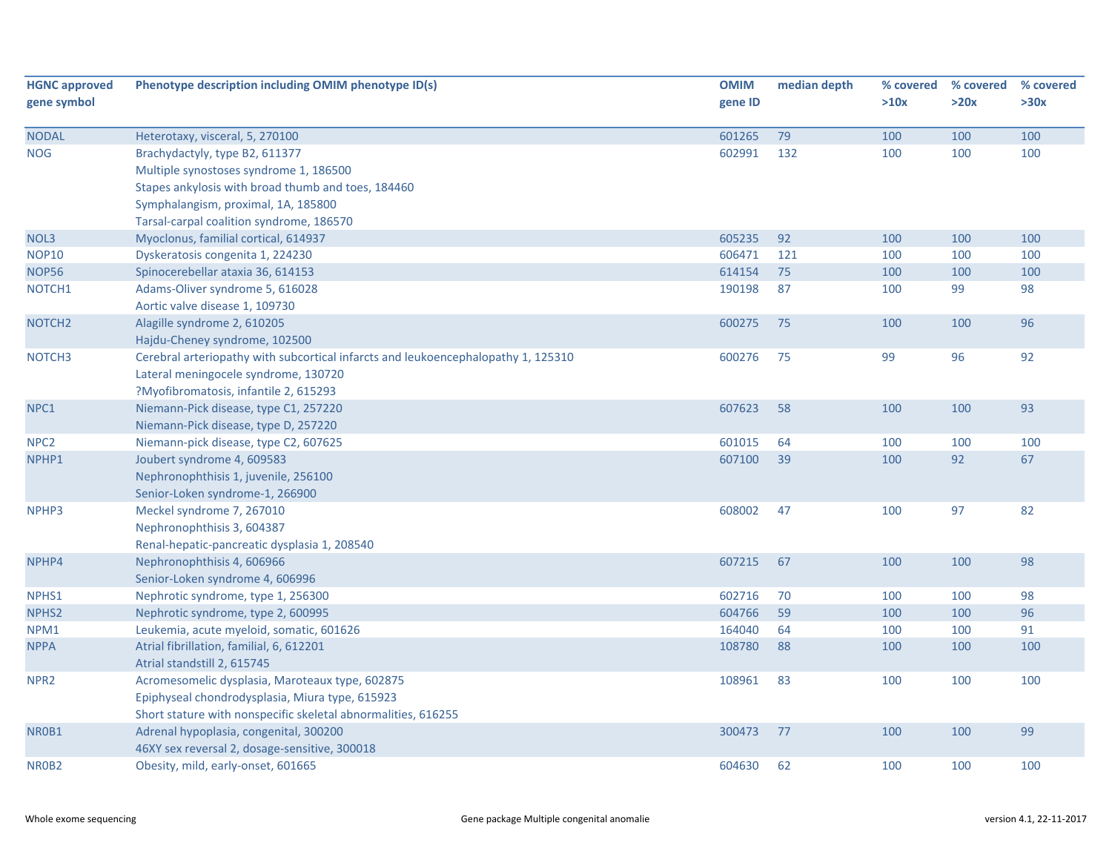| <b>HGNC approved</b> | Phenotype description including OMIM phenotype ID(s)                              | <b>OMIM</b> | median depth | % covered | % covered | % covered |
|----------------------|-----------------------------------------------------------------------------------|-------------|--------------|-----------|-----------|-----------|
| gene symbol          |                                                                                   | gene ID     |              | >10x      | >20x      | >30x      |
| <b>NODAL</b>         | Heterotaxy, visceral, 5, 270100                                                   | 601265      | 79           | 100       | 100       | 100       |
| <b>NOG</b>           | Brachydactyly, type B2, 611377                                                    | 602991      | 132          | 100       | 100       | 100       |
|                      | Multiple synostoses syndrome 1, 186500                                            |             |              |           |           |           |
|                      | Stapes ankylosis with broad thumb and toes, 184460                                |             |              |           |           |           |
|                      | Symphalangism, proximal, 1A, 185800                                               |             |              |           |           |           |
|                      | Tarsal-carpal coalition syndrome, 186570                                          |             |              |           |           |           |
| NOL3                 | Myoclonus, familial cortical, 614937                                              | 605235      | 92           | 100       | 100       | 100       |
| <b>NOP10</b>         | Dyskeratosis congenita 1, 224230                                                  | 606471      | 121          | 100       | 100       | 100       |
| <b>NOP56</b>         | Spinocerebellar ataxia 36, 614153                                                 | 614154      | 75           | 100       | 100       | 100       |
| NOTCH1               | Adams-Oliver syndrome 5, 616028                                                   | 190198      | 87           | 100       | 99        | 98        |
|                      | Aortic valve disease 1, 109730                                                    |             |              |           |           |           |
| NOTCH <sub>2</sub>   | Alagille syndrome 2, 610205                                                       | 600275      | 75           | 100       | 100       | 96        |
|                      | Hajdu-Cheney syndrome, 102500                                                     |             |              |           |           |           |
| NOTCH <sub>3</sub>   | Cerebral arteriopathy with subcortical infarcts and leukoencephalopathy 1, 125310 | 600276      | 75           | 99        | 96        | 92        |
|                      | Lateral meningocele syndrome, 130720                                              |             |              |           |           |           |
|                      | ?Myofibromatosis, infantile 2, 615293                                             |             |              |           |           |           |
| NPC1                 | Niemann-Pick disease, type C1, 257220                                             | 607623      | 58           | 100       | 100       | 93        |
|                      | Niemann-Pick disease, type D, 257220                                              |             |              |           |           |           |
| NPC <sub>2</sub>     | Niemann-pick disease, type C2, 607625                                             | 601015      | 64           | 100       | 100       | 100       |
| NPHP1                | Joubert syndrome 4, 609583                                                        | 607100      | 39           | 100       | 92        | 67        |
|                      | Nephronophthisis 1, juvenile, 256100                                              |             |              |           |           |           |
|                      | Senior-Loken syndrome-1, 266900                                                   |             |              |           |           |           |
| NPHP3                | Meckel syndrome 7, 267010                                                         | 608002      | 47           | 100       | 97        | 82        |
|                      | Nephronophthisis 3, 604387                                                        |             |              |           |           |           |
|                      | Renal-hepatic-pancreatic dysplasia 1, 208540                                      |             |              |           |           |           |
| NPHP4                | Nephronophthisis 4, 606966                                                        | 607215      | 67           | 100       | 100       | 98        |
|                      | Senior-Loken syndrome 4, 606996                                                   |             |              |           |           |           |
| NPHS1                | Nephrotic syndrome, type 1, 256300                                                | 602716      | 70           | 100       | 100       | 98        |
| NPHS <sub>2</sub>    | Nephrotic syndrome, type 2, 600995                                                | 604766      | 59           | 100       | 100       | 96        |
| NPM1                 | Leukemia, acute myeloid, somatic, 601626                                          | 164040      | 64           | 100       | 100       | 91        |
| <b>NPPA</b>          | Atrial fibrillation, familial, 6, 612201                                          | 108780      | 88           | 100       | 100       | 100       |
|                      | Atrial standstill 2, 615745                                                       |             |              |           |           |           |
| NPR <sub>2</sub>     | Acromesomelic dysplasia, Maroteaux type, 602875                                   | 108961      | 83           | 100       | 100       | 100       |
|                      | Epiphyseal chondrodysplasia, Miura type, 615923                                   |             |              |           |           |           |
|                      | Short stature with nonspecific skeletal abnormalities, 616255                     |             |              |           |           |           |
| NR0B1                | Adrenal hypoplasia, congenital, 300200                                            | 300473      | 77           | 100       | 100       | 99        |
|                      | 46XY sex reversal 2, dosage-sensitive, 300018                                     |             |              |           |           |           |
| NR0B2                | Obesity, mild, early-onset, 601665                                                | 604630      | 62           | 100       | 100       | 100       |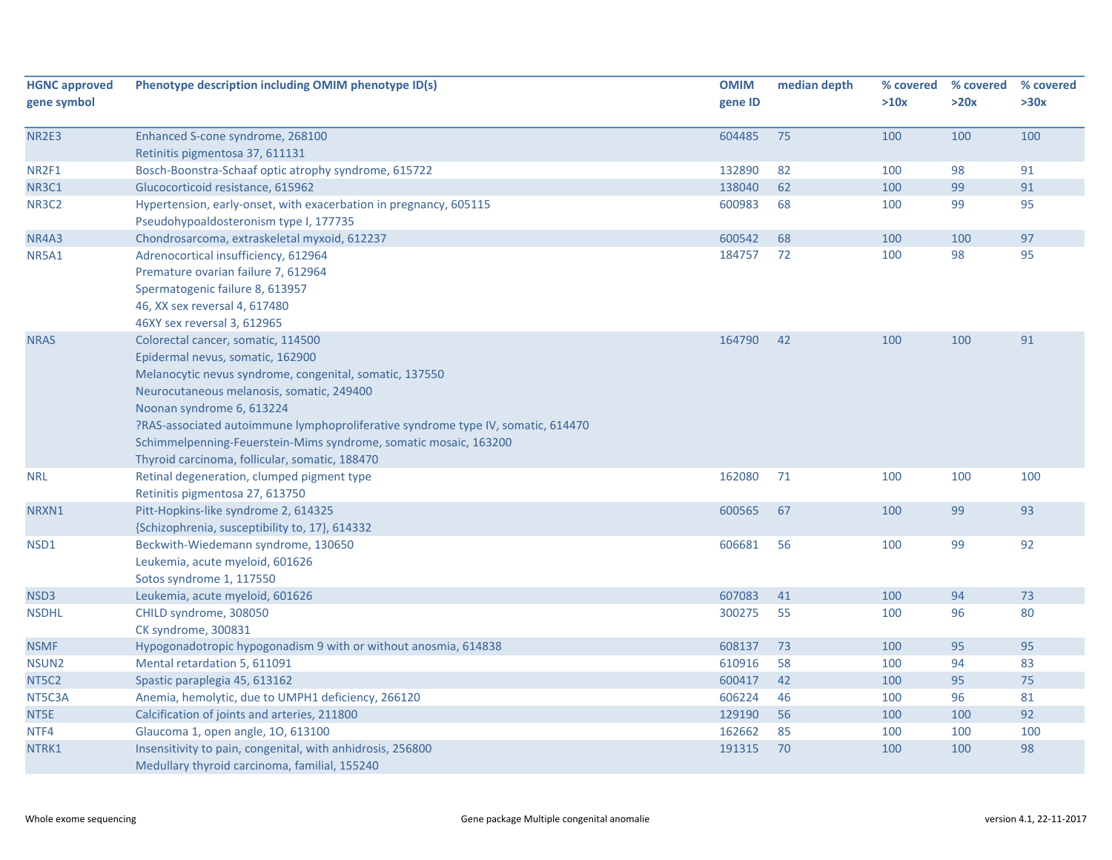| <b>HGNC approved</b><br>gene symbol | Phenotype description including OMIM phenotype ID(s)                                                        | <b>OMIM</b><br>gene ID | median depth | % covered<br>>10x | % covered<br>>20x | % covered<br>>30x |
|-------------------------------------|-------------------------------------------------------------------------------------------------------------|------------------------|--------------|-------------------|-------------------|-------------------|
| NR2E3                               | Enhanced S-cone syndrome, 268100<br>Retinitis pigmentosa 37, 611131                                         | 604485                 | 75           | 100               | 100               | 100               |
| NR2F1                               | Bosch-Boonstra-Schaaf optic atrophy syndrome, 615722                                                        | 132890                 | 82           | 100               | 98                | 91                |
| NR3C1                               | Glucocorticoid resistance, 615962                                                                           | 138040                 | 62           | 100               | 99                | 91                |
| <b>NR3C2</b>                        | Hypertension, early-onset, with exacerbation in pregnancy, 605115                                           | 600983                 | 68           | 100               | 99                | 95                |
|                                     | Pseudohypoaldosteronism type I, 177735                                                                      |                        |              |                   |                   |                   |
| NR4A3                               | Chondrosarcoma, extraskeletal myxoid, 612237                                                                | 600542                 | 68           | 100               | 100               | 97                |
| <b>NR5A1</b>                        | Adrenocortical insufficiency, 612964                                                                        | 184757                 | 72           | 100               | 98                | 95                |
|                                     | Premature ovarian failure 7, 612964                                                                         |                        |              |                   |                   |                   |
|                                     | Spermatogenic failure 8, 613957                                                                             |                        |              |                   |                   |                   |
|                                     | 46, XX sex reversal 4, 617480                                                                               |                        |              |                   |                   |                   |
|                                     | 46XY sex reversal 3, 612965                                                                                 |                        |              |                   |                   |                   |
| <b>NRAS</b>                         | Colorectal cancer, somatic, 114500                                                                          | 164790                 | 42           | 100               | 100               | 91                |
|                                     | Epidermal nevus, somatic, 162900                                                                            |                        |              |                   |                   |                   |
|                                     | Melanocytic nevus syndrome, congenital, somatic, 137550                                                     |                        |              |                   |                   |                   |
|                                     | Neurocutaneous melanosis, somatic, 249400                                                                   |                        |              |                   |                   |                   |
|                                     | Noonan syndrome 6, 613224                                                                                   |                        |              |                   |                   |                   |
|                                     | ?RAS-associated autoimmune lymphoproliferative syndrome type IV, somatic, 614470                            |                        |              |                   |                   |                   |
|                                     | Schimmelpenning-Feuerstein-Mims syndrome, somatic mosaic, 163200                                            |                        |              |                   |                   |                   |
|                                     | Thyroid carcinoma, follicular, somatic, 188470                                                              |                        |              |                   |                   |                   |
| <b>NRL</b>                          | Retinal degeneration, clumped pigment type<br>Retinitis pigmentosa 27, 613750                               | 162080                 | 71           | 100               | 100               | 100               |
| NRXN1                               | Pitt-Hopkins-like syndrome 2, 614325                                                                        | 600565                 | 67           | 100               | 99                | 93                |
|                                     | {Schizophrenia, susceptibility to, 17}, 614332                                                              |                        |              |                   |                   |                   |
| NSD1                                | Beckwith-Wiedemann syndrome, 130650                                                                         | 606681                 | 56           | 100               | 99                | 92                |
|                                     | Leukemia, acute myeloid, 601626                                                                             |                        |              |                   |                   |                   |
|                                     | Sotos syndrome 1, 117550                                                                                    |                        |              |                   |                   |                   |
| NSD3                                | Leukemia, acute myeloid, 601626                                                                             | 607083                 | 41           | 100               | 94                | 73                |
| <b>NSDHL</b>                        | CHILD syndrome, 308050                                                                                      | 300275                 | 55           | 100               | 96                | 80                |
|                                     | CK syndrome, 300831                                                                                         |                        |              |                   |                   |                   |
| <b>NSMF</b>                         | Hypogonadotropic hypogonadism 9 with or without anosmia, 614838                                             | 608137                 | 73           | 100               | 95                | 95                |
| NSUN <sub>2</sub>                   | Mental retardation 5, 611091                                                                                | 610916                 | 58           | 100               | 94                | 83                |
| NT5C2                               | Spastic paraplegia 45, 613162                                                                               | 600417                 | 42           | 100               | 95                | 75                |
| NT5C3A                              | Anemia, hemolytic, due to UMPH1 deficiency, 266120                                                          | 606224                 | 46           | 100               | 96                | 81                |
| NT5E                                | Calcification of joints and arteries, 211800                                                                | 129190                 | 56           | 100               | 100               | 92                |
| NTF4                                | Glaucoma 1, open angle, 10, 613100                                                                          | 162662                 | 85           | 100               | 100               | 100               |
| NTRK1                               | Insensitivity to pain, congenital, with anhidrosis, 256800<br>Medullary thyroid carcinoma, familial, 155240 | 191315                 | 70           | 100               | 100               | 98                |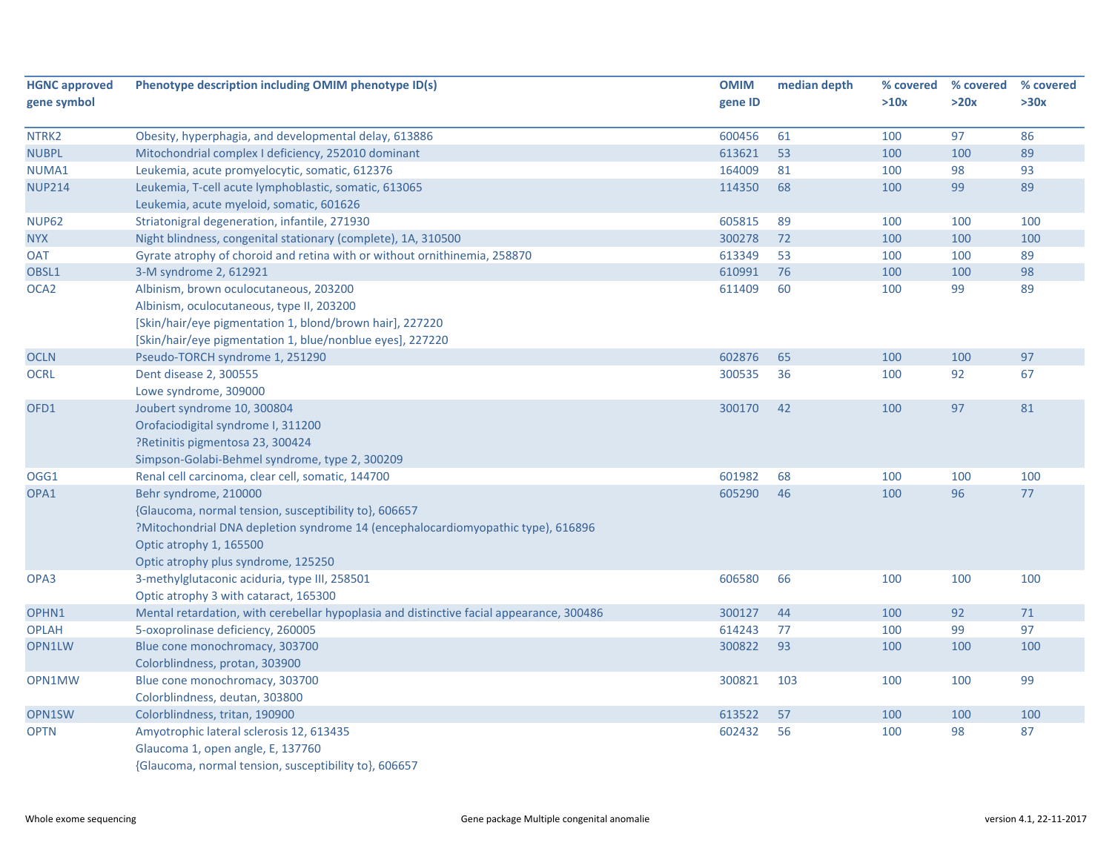| <b>HGNC approved</b> | Phenotype description including OMIM phenotype ID(s)                                     | <b>OMIM</b> | median depth | % covered | % covered | % covered |
|----------------------|------------------------------------------------------------------------------------------|-------------|--------------|-----------|-----------|-----------|
| gene symbol          |                                                                                          | gene ID     |              | >10x      | >20x      | >30x      |
| NTRK <sub>2</sub>    | Obesity, hyperphagia, and developmental delay, 613886                                    | 600456      | 61           | 100       | 97        | 86        |
| <b>NUBPL</b>         | Mitochondrial complex I deficiency, 252010 dominant                                      | 613621      | 53           | 100       | 100       | 89        |
| NUMA1                | Leukemia, acute promyelocytic, somatic, 612376                                           | 164009      | 81           | 100       | 98        | 93        |
| <b>NUP214</b>        | Leukemia, T-cell acute lymphoblastic, somatic, 613065                                    | 114350      | 68           | 100       | 99        | 89        |
|                      | Leukemia, acute myeloid, somatic, 601626                                                 |             |              |           |           |           |
| <b>NUP62</b>         | Striatonigral degeneration, infantile, 271930                                            | 605815      | 89           | 100       | 100       | 100       |
| <b>NYX</b>           | Night blindness, congenital stationary (complete), 1A, 310500                            | 300278      | 72           | 100       | 100       | 100       |
| <b>OAT</b>           | Gyrate atrophy of choroid and retina with or without ornithinemia, 258870                | 613349      | 53           | 100       | 100       | 89        |
| OBSL1                | 3-M syndrome 2, 612921                                                                   | 610991      | 76           | 100       | 100       | 98        |
| OCA <sub>2</sub>     | Albinism, brown oculocutaneous, 203200                                                   | 611409      | 60           | 100       | 99        | 89        |
|                      | Albinism, oculocutaneous, type II, 203200                                                |             |              |           |           |           |
|                      | [Skin/hair/eye pigmentation 1, blond/brown hair], 227220                                 |             |              |           |           |           |
|                      | [Skin/hair/eye pigmentation 1, blue/nonblue eyes], 227220                                |             |              |           |           |           |
| <b>OCLN</b>          | Pseudo-TORCH syndrome 1, 251290                                                          | 602876      | 65           | 100       | 100       | 97        |
| <b>OCRL</b>          | Dent disease 2, 300555                                                                   | 300535      | 36           | 100       | 92        | 67        |
|                      | Lowe syndrome, 309000                                                                    |             |              |           |           |           |
| OFD1                 | Joubert syndrome 10, 300804                                                              | 300170      | 42           | 100       | 97        | 81        |
|                      | Orofaciodigital syndrome I, 311200                                                       |             |              |           |           |           |
|                      | ?Retinitis pigmentosa 23, 300424                                                         |             |              |           |           |           |
|                      | Simpson-Golabi-Behmel syndrome, type 2, 300209                                           |             |              |           |           |           |
| OGG1                 | Renal cell carcinoma, clear cell, somatic, 144700                                        | 601982      | 68           | 100       | 100       | 100       |
| OPA1                 | Behr syndrome, 210000                                                                    | 605290      | 46           | 100       | 96        | 77        |
|                      | {Glaucoma, normal tension, susceptibility to}, 606657                                    |             |              |           |           |           |
|                      | ?Mitochondrial DNA depletion syndrome 14 (encephalocardiomyopathic type), 616896         |             |              |           |           |           |
|                      | Optic atrophy 1, 165500                                                                  |             |              |           |           |           |
|                      | Optic atrophy plus syndrome, 125250                                                      |             |              |           |           |           |
| OPA3                 | 3-methylglutaconic aciduria, type III, 258501                                            | 606580      | 66           | 100       | 100       | 100       |
|                      | Optic atrophy 3 with cataract, 165300                                                    |             |              |           |           |           |
| OPHN1                | Mental retardation, with cerebellar hypoplasia and distinctive facial appearance, 300486 | 300127      | 44           | 100       | 92        | $71\,$    |
| <b>OPLAH</b>         | 5-oxoprolinase deficiency, 260005                                                        | 614243      | 77           | 100       | 99        | 97        |
| OPN1LW               | Blue cone monochromacy, 303700                                                           | 300822      | 93           | 100       | 100       | 100       |
|                      | Colorblindness, protan, 303900                                                           |             |              |           |           |           |
| OPN1MW               | Blue cone monochromacy, 303700                                                           | 300821      | 103          | 100       | 100       | 99        |
|                      | Colorblindness, deutan, 303800                                                           |             |              |           |           |           |
| OPN1SW               | Colorblindness, tritan, 190900                                                           | 613522      | 57           | 100       | 100       | 100       |
| <b>OPTN</b>          | Amyotrophic lateral sclerosis 12, 613435                                                 | 602432      | 56           | 100       | 98        | 87        |
|                      | Glaucoma 1, open angle, E, 137760                                                        |             |              |           |           |           |
|                      | {Glaucoma, normal tension, susceptibility to}, 606657                                    |             |              |           |           |           |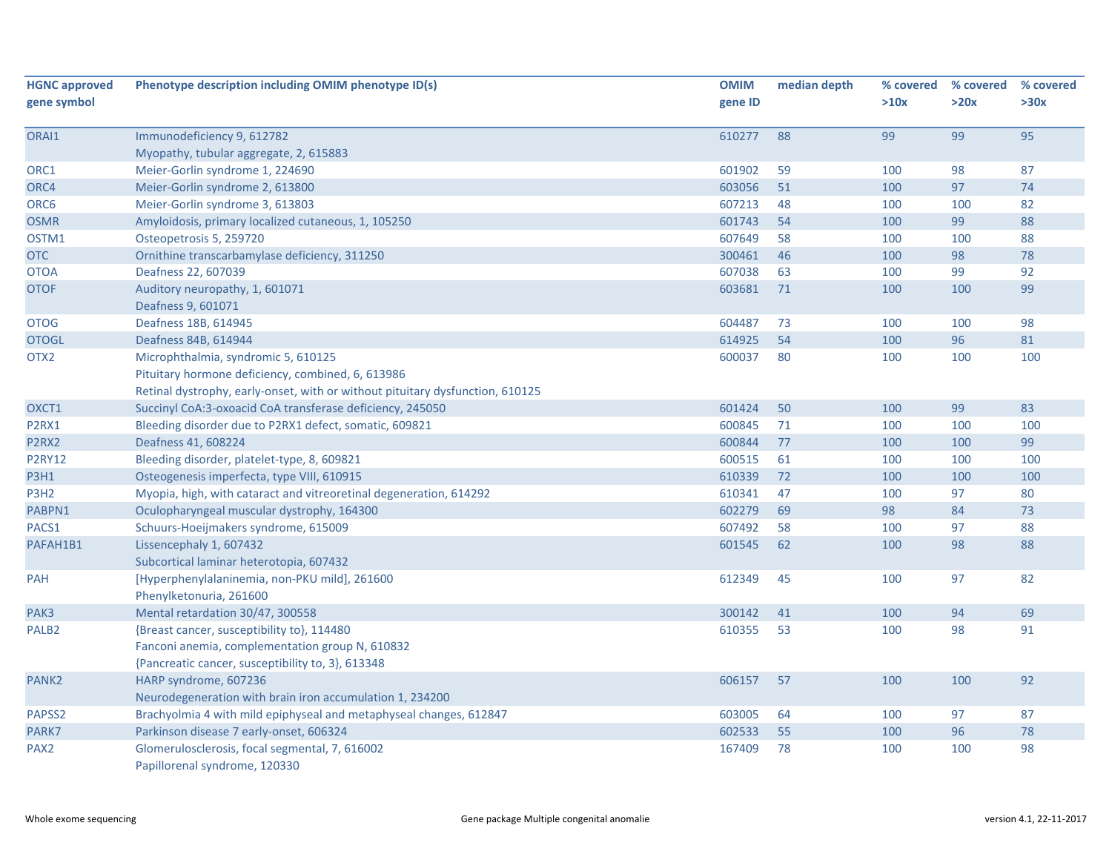| <b>HGNC approved</b> | Phenotype description including OMIM phenotype ID(s)                            | <b>OMIM</b>      | median depth | % covered | % covered | % covered |
|----------------------|---------------------------------------------------------------------------------|------------------|--------------|-----------|-----------|-----------|
| gene symbol          |                                                                                 | gene ID          |              | >10x      | >20x      | >30x      |
| ORAI1                | Immunodeficiency 9, 612782                                                      | 610277           | 88           | 99        | 99        | 95        |
|                      | Myopathy, tubular aggregate, 2, 615883                                          |                  |              |           |           |           |
| ORC1                 | Meier-Gorlin syndrome 1, 224690                                                 | 601902           | 59           | 100       | 98        | 87        |
| ORC4                 | Meier-Gorlin syndrome 2, 613800                                                 | 603056           | 51           | 100       | 97        | 74        |
| ORC6                 | Meier-Gorlin syndrome 3, 613803                                                 | 607213           | 48           | 100       | 100       | 82        |
| <b>OSMR</b>          | Amyloidosis, primary localized cutaneous, 1, 105250                             | 601743           | 54           | 100       | 99        | 88        |
| OSTM1                | Osteopetrosis 5, 259720                                                         | 607649           | 58           | 100       | 100       | 88        |
| <b>OTC</b>           | Ornithine transcarbamylase deficiency, 311250                                   | 300461           | 46           | 100       | 98        | 78        |
| <b>OTOA</b>          | Deafness 22, 607039                                                             | 607038           | 63           | 100       | 99        | 92        |
| <b>OTOF</b>          | Auditory neuropathy, 1, 601071                                                  | 603681           | 71           | 100       | 100       | 99        |
|                      | Deafness 9, 601071                                                              | 604487           |              |           |           | 98        |
| <b>OTOG</b>          | Deafness 18B, 614945                                                            | 614925           | 73           | 100       | 100<br>96 | 81        |
| <b>OTOGL</b>         | Deafness 84B, 614944                                                            |                  | 54           | 100       |           |           |
| OTX2                 | Microphthalmia, syndromic 5, 610125                                             | 600037           | 80           | 100       | 100       | 100       |
|                      | Pituitary hormone deficiency, combined, 6, 613986                               |                  |              |           |           |           |
|                      | Retinal dystrophy, early-onset, with or without pituitary dysfunction, 610125   |                  |              |           |           |           |
| OXCT1                | Succinyl CoA:3-oxoacid CoA transferase deficiency, 245050                       | 601424           | 50           | 100       | 99        | 83        |
| P2RX1                | Bleeding disorder due to P2RX1 defect, somatic, 609821                          | 600845<br>600844 | 71           | 100       | 100       | 100<br>99 |
| P2RX2                | Deafness 41, 608224                                                             |                  | 77           | 100       | 100       |           |
| <b>P2RY12</b>        | Bleeding disorder, platelet-type, 8, 609821                                     | 600515           | 61           | 100       | 100       | 100       |
| <b>P3H1</b>          | Osteogenesis imperfecta, type VIII, 610915                                      | 610339           | 72           | 100       | 100       | 100       |
| P3H <sub>2</sub>     | Myopia, high, with cataract and vitreoretinal degeneration, 614292              | 610341           | 47           | 100       | 97        | 80        |
| PABPN1               | Oculopharyngeal muscular dystrophy, 164300                                      | 602279           | 69           | 98        | 84        | 73        |
| PACS1                | Schuurs-Hoeijmakers syndrome, 615009                                            | 607492           | 58           | 100       | 97        | 88        |
| PAFAH1B1             | Lissencephaly 1, 607432                                                         | 601545           | 62           | 100       | 98        | 88        |
|                      | Subcortical laminar heterotopia, 607432                                         |                  |              |           |           |           |
| PAH                  | [Hyperphenylalaninemia, non-PKU mild], 261600<br>Phenylketonuria, 261600        | 612349           | 45           | 100       | 97        | 82        |
| PAK3                 | Mental retardation 30/47, 300558                                                | 300142           | 41           | 100       | 94        | 69        |
| PALB <sub>2</sub>    | {Breast cancer, susceptibility to}, 114480                                      | 610355           | 53           | 100       | 98        | 91        |
|                      | Fanconi anemia, complementation group N, 610832                                 |                  |              |           |           |           |
|                      | {Pancreatic cancer, susceptibility to, 3}, 613348                               |                  |              |           |           |           |
| PANK <sub>2</sub>    | HARP syndrome, 607236                                                           | 606157           | 57           | 100       | 100       | 92        |
|                      | Neurodegeneration with brain iron accumulation 1, 234200                        |                  |              |           |           |           |
| PAPSS2               | Brachyolmia 4 with mild epiphyseal and metaphyseal changes, 612847              | 603005           | 64           | 100       | 97        | 87        |
| PARK7                | Parkinson disease 7 early-onset, 606324                                         | 602533           | 55           | 100       | 96        | 78        |
| PAX <sub>2</sub>     | Glomerulosclerosis, focal segmental, 7, 616002<br>Papillorenal syndrome, 120330 | 167409           | 78           | 100       | 100       | 98        |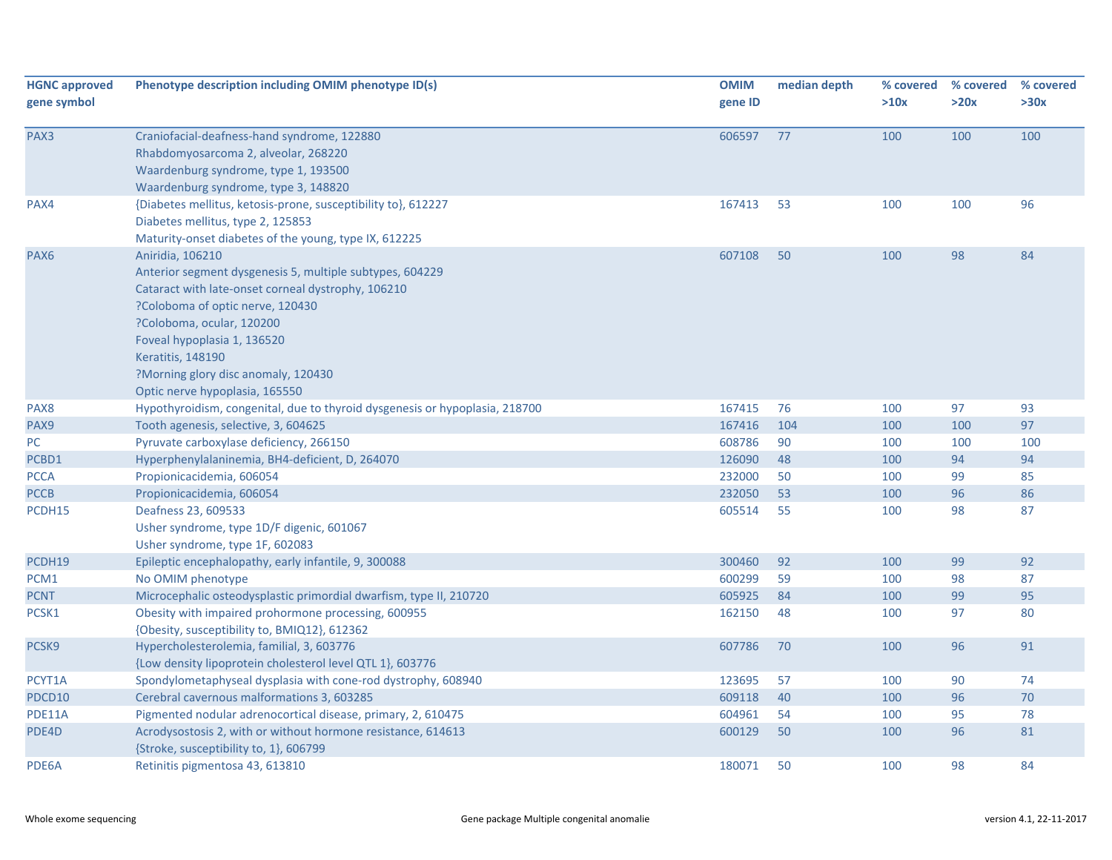| <b>HGNC approved</b> | Phenotype description including OMIM phenotype ID(s)                        | <b>OMIM</b> | median depth | % covered | % covered | % covered |
|----------------------|-----------------------------------------------------------------------------|-------------|--------------|-----------|-----------|-----------|
| gene symbol          |                                                                             | gene ID     |              | >10x      | >20x      | >30x      |
|                      |                                                                             |             |              |           |           |           |
| PAX3                 | Craniofacial-deafness-hand syndrome, 122880                                 | 606597      | 77           | 100       | 100       | 100       |
|                      | Rhabdomyosarcoma 2, alveolar, 268220                                        |             |              |           |           |           |
|                      | Waardenburg syndrome, type 1, 193500                                        |             |              |           |           |           |
|                      | Waardenburg syndrome, type 3, 148820                                        |             |              |           |           |           |
| PAX4                 | {Diabetes mellitus, ketosis-prone, susceptibility to}, 612227               | 167413      | 53           | 100       | 100       | 96        |
|                      | Diabetes mellitus, type 2, 125853                                           |             |              |           |           |           |
|                      | Maturity-onset diabetes of the young, type IX, 612225                       |             |              |           |           |           |
| PAX <sub>6</sub>     | Aniridia, 106210                                                            | 607108      | 50           | 100       | 98        | 84        |
|                      | Anterior segment dysgenesis 5, multiple subtypes, 604229                    |             |              |           |           |           |
|                      | Cataract with late-onset corneal dystrophy, 106210                          |             |              |           |           |           |
|                      | ?Coloboma of optic nerve, 120430                                            |             |              |           |           |           |
|                      | ?Coloboma, ocular, 120200                                                   |             |              |           |           |           |
|                      | Foveal hypoplasia 1, 136520                                                 |             |              |           |           |           |
|                      | Keratitis, 148190                                                           |             |              |           |           |           |
|                      | ?Morning glory disc anomaly, 120430                                         |             |              |           |           |           |
|                      | Optic nerve hypoplasia, 165550                                              |             |              |           |           |           |
| PAX8                 | Hypothyroidism, congenital, due to thyroid dysgenesis or hypoplasia, 218700 | 167415      | 76           | 100       | 97        | 93        |
| PAX9                 | Tooth agenesis, selective, 3, 604625                                        | 167416      | 104          | 100       | 100       | 97        |
| PC                   | Pyruvate carboxylase deficiency, 266150                                     | 608786      | 90           | 100       | 100       | 100       |
| PCBD1                | Hyperphenylalaninemia, BH4-deficient, D, 264070                             | 126090      | 48           | 100       | 94        | 94        |
| <b>PCCA</b>          | Propionicacidemia, 606054                                                   | 232000      | 50           | 100       | 99        | 85        |
| <b>PCCB</b>          | Propionicacidemia, 606054                                                   | 232050      | 53           | 100       | 96        | 86        |
| PCDH15               | Deafness 23, 609533                                                         | 605514      | 55           | 100       | 98        | 87        |
|                      | Usher syndrome, type 1D/F digenic, 601067                                   |             |              |           |           |           |
|                      | Usher syndrome, type 1F, 602083                                             |             |              |           |           |           |
| PCDH19               | Epileptic encephalopathy, early infantile, 9, 300088                        | 300460      | 92           | 100       | 99        | 92        |
| PCM1                 | No OMIM phenotype                                                           | 600299      | 59           | 100       | 98        | 87        |
| <b>PCNT</b>          | Microcephalic osteodysplastic primordial dwarfism, type II, 210720          | 605925      | 84           | 100       | 99        | 95        |
| PCSK1                | Obesity with impaired prohormone processing, 600955                         | 162150      | 48           | 100       | 97        | 80        |
|                      | {Obesity, susceptibility to, BMIQ12}, 612362                                |             |              |           |           |           |
| PCSK9                | Hypercholesterolemia, familial, 3, 603776                                   | 607786      | 70           | 100       | 96        | 91        |
|                      | {Low density lipoprotein cholesterol level QTL 1}, 603776                   |             |              |           |           |           |
| PCYT1A               | Spondylometaphyseal dysplasia with cone-rod dystrophy, 608940               | 123695      | 57           | 100       | 90        | 74        |
| PDCD10               | Cerebral cavernous malformations 3, 603285                                  | 609118      | 40           | 100       | 96        | 70        |
| PDE11A               | Pigmented nodular adrenocortical disease, primary, 2, 610475                | 604961      | 54           | 100       | 95        | 78        |
| PDE4D                | Acrodysostosis 2, with or without hormone resistance, 614613                | 600129      | 50           | 100       | 96        | 81        |
|                      | {Stroke, susceptibility to, 1}, 606799                                      |             |              |           |           |           |
| PDE6A                | Retinitis pigmentosa 43, 613810                                             | 180071      | 50           | 100       | 98        | 84        |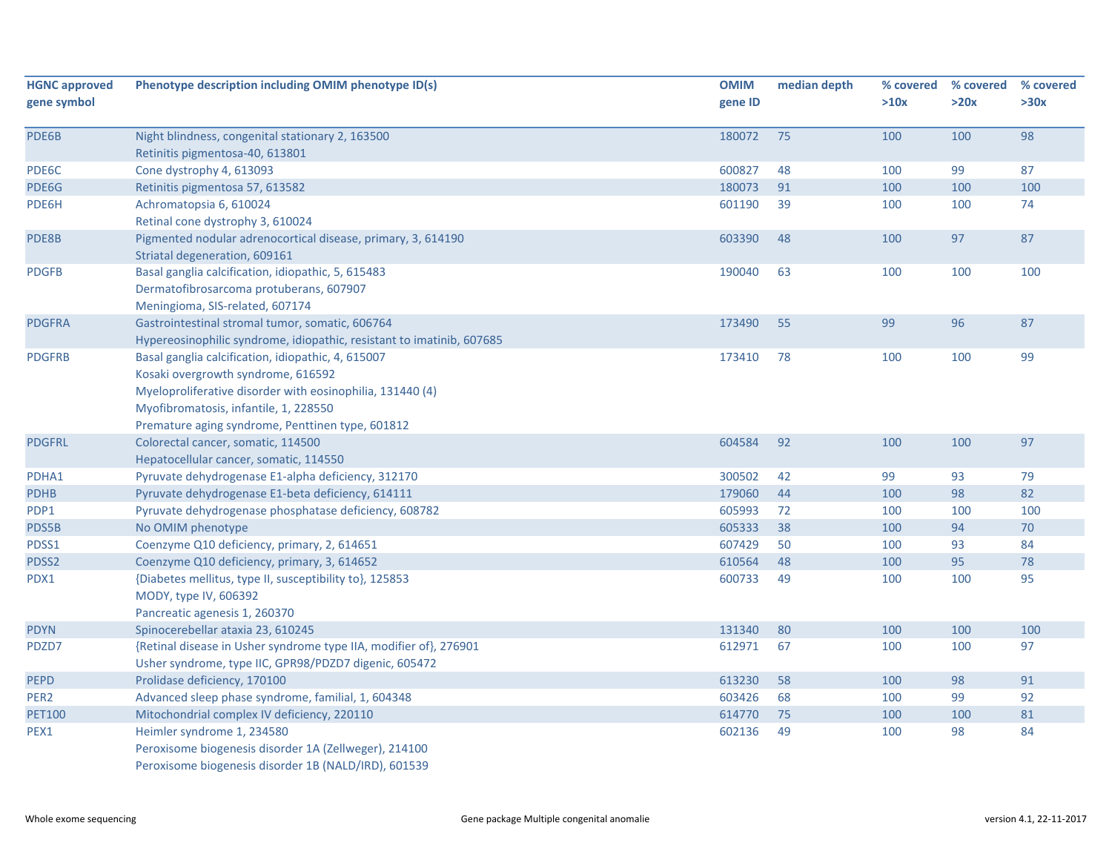| <b>HGNC approved</b> | Phenotype description including OMIM phenotype ID(s)                  | <b>OMIM</b> | median depth | % covered | % covered | % covered |
|----------------------|-----------------------------------------------------------------------|-------------|--------------|-----------|-----------|-----------|
| gene symbol          |                                                                       | gene ID     |              | >10x      | >20x      | >30x      |
| PDE6B                | Night blindness, congenital stationary 2, 163500                      | 180072      | 75           | 100       | 100       | 98        |
|                      | Retinitis pigmentosa-40, 613801                                       |             |              |           |           |           |
| PDE6C                | Cone dystrophy 4, 613093                                              | 600827      | 48           | 100       | 99        | 87        |
| PDE6G                | Retinitis pigmentosa 57, 613582                                       | 180073      | 91           | 100       | 100       | 100       |
| PDE6H                | Achromatopsia 6, 610024                                               | 601190      | 39           | 100       | 100       | 74        |
|                      | Retinal cone dystrophy 3, 610024                                      |             |              |           |           |           |
| PDE8B                | Pigmented nodular adrenocortical disease, primary, 3, 614190          | 603390      | 48           | 100       | 97        | 87        |
|                      | Striatal degeneration, 609161                                         |             |              |           |           |           |
| <b>PDGFB</b>         | Basal ganglia calcification, idiopathic, 5, 615483                    | 190040      | 63           | 100       | 100       | 100       |
|                      | Dermatofibrosarcoma protuberans, 607907                               |             |              |           |           |           |
|                      | Meningioma, SIS-related, 607174                                       |             |              |           |           |           |
| <b>PDGFRA</b>        | Gastrointestinal stromal tumor, somatic, 606764                       | 173490      | 55           | 99        | 96        | 87        |
|                      | Hypereosinophilic syndrome, idiopathic, resistant to imatinib, 607685 |             |              |           |           |           |
| <b>PDGFRB</b>        | Basal ganglia calcification, idiopathic, 4, 615007                    | 173410      | 78           | 100       | 100       | 99        |
|                      | Kosaki overgrowth syndrome, 616592                                    |             |              |           |           |           |
|                      | Myeloproliferative disorder with eosinophilia, 131440 (4)             |             |              |           |           |           |
|                      | Myofibromatosis, infantile, 1, 228550                                 |             |              |           |           |           |
|                      | Premature aging syndrome, Penttinen type, 601812                      |             |              |           |           |           |
| <b>PDGFRL</b>        | Colorectal cancer, somatic, 114500                                    | 604584      | 92           | 100       | 100       | 97        |
|                      | Hepatocellular cancer, somatic, 114550                                |             |              |           |           |           |
| PDHA1                | Pyruvate dehydrogenase E1-alpha deficiency, 312170                    | 300502      | 42           | 99        | 93        | 79        |
| <b>PDHB</b>          | Pyruvate dehydrogenase E1-beta deficiency, 614111                     | 179060      | 44           | 100       | 98        | 82        |
| PDP1                 | Pyruvate dehydrogenase phosphatase deficiency, 608782                 | 605993      | 72           | 100       | 100       | 100       |
| PDS5B                | No OMIM phenotype                                                     | 605333      | 38           | 100       | 94        | $70\,$    |
| PDSS1                | Coenzyme Q10 deficiency, primary, 2, 614651                           | 607429      | 50           | 100       | 93        | 84        |
| PDSS2                | Coenzyme Q10 deficiency, primary, 3, 614652                           | 610564      | 48           | 100       | 95        | 78        |
| PDX1                 | {Diabetes mellitus, type II, susceptibility to}, 125853               | 600733      | 49           | 100       | 100       | 95        |
|                      | MODY, type IV, 606392                                                 |             |              |           |           |           |
|                      | Pancreatic agenesis 1, 260370                                         |             |              |           |           |           |
| <b>PDYN</b>          | Spinocerebellar ataxia 23, 610245                                     | 131340      | 80           | 100       | 100       | 100       |
| PDZD7                | {Retinal disease in Usher syndrome type IIA, modifier of}, 276901     | 612971      | 67           | 100       | 100       | 97        |
|                      | Usher syndrome, type IIC, GPR98/PDZD7 digenic, 605472                 |             |              |           |           |           |
| <b>PEPD</b>          | Prolidase deficiency, 170100                                          | 613230      | 58           | 100       | 98        | 91        |
| PER <sub>2</sub>     | Advanced sleep phase syndrome, familial, 1, 604348                    | 603426      | 68           | 100       | 99        | 92        |
| <b>PET100</b>        | Mitochondrial complex IV deficiency, 220110                           | 614770      | 75           | 100       | 100       | 81        |
| PEX1                 | Heimler syndrome 1, 234580                                            | 602136      | 49           | 100       | 98        | 84        |
|                      | Peroxisome biogenesis disorder 1A (Zellweger), 214100                 |             |              |           |           |           |
|                      | Peroxisome biogenesis disorder 1B (NALD/IRD), 601539                  |             |              |           |           |           |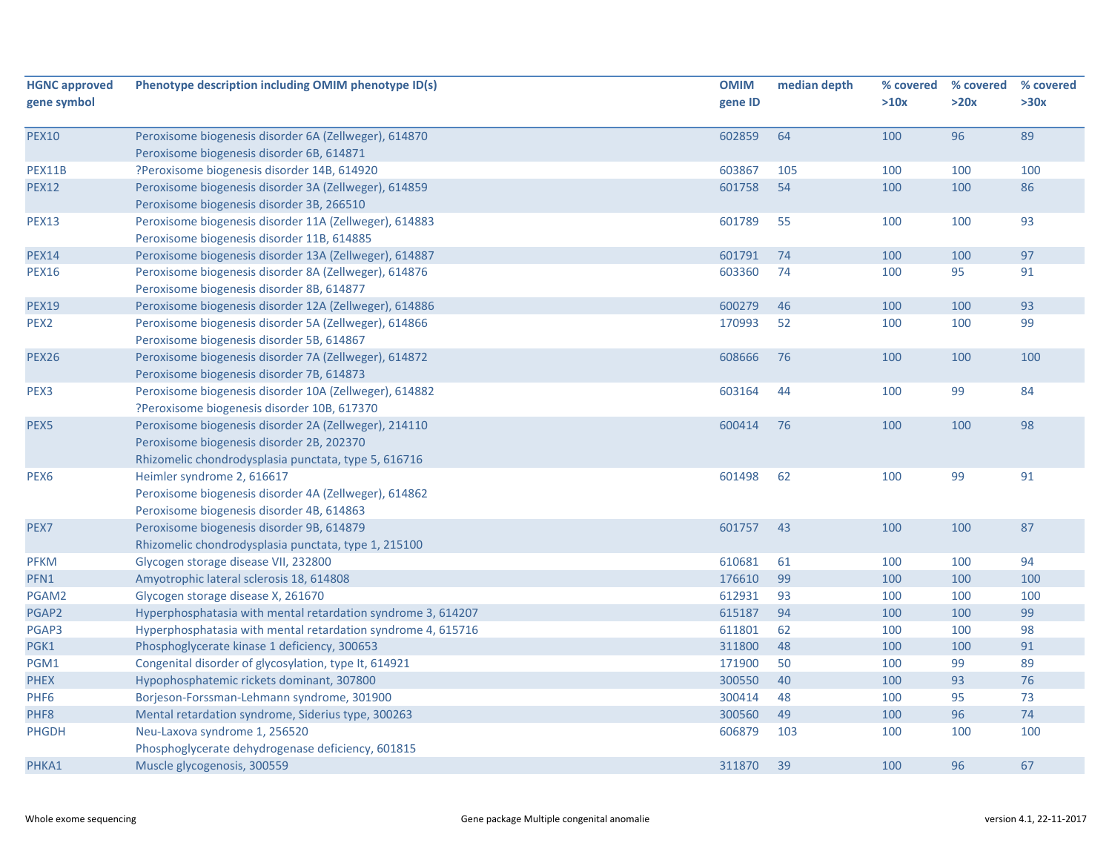| <b>HGNC approved</b><br>gene symbol | Phenotype description including OMIM phenotype ID(s)                                                                                                       | <b>OMIM</b><br>gene ID | median depth | % covered<br>>10x | % covered<br>>20x | % covered<br>>30x |
|-------------------------------------|------------------------------------------------------------------------------------------------------------------------------------------------------------|------------------------|--------------|-------------------|-------------------|-------------------|
| <b>PEX10</b>                        | Peroxisome biogenesis disorder 6A (Zellweger), 614870<br>Peroxisome biogenesis disorder 6B, 614871                                                         | 602859                 | 64           | 100               | 96                | 89                |
| PEX11B                              | ?Peroxisome biogenesis disorder 14B, 614920                                                                                                                | 603867                 | 105          | 100               | 100               | 100               |
| <b>PEX12</b>                        | Peroxisome biogenesis disorder 3A (Zellweger), 614859<br>Peroxisome biogenesis disorder 3B, 266510                                                         | 601758                 | 54           | 100               | 100               | 86                |
| <b>PEX13</b>                        | Peroxisome biogenesis disorder 11A (Zellweger), 614883<br>Peroxisome biogenesis disorder 11B, 614885                                                       | 601789                 | 55           | 100               | 100               | 93                |
| <b>PEX14</b>                        | Peroxisome biogenesis disorder 13A (Zellweger), 614887                                                                                                     | 601791                 | 74           | 100               | 100               | 97                |
| <b>PEX16</b>                        | Peroxisome biogenesis disorder 8A (Zellweger), 614876<br>Peroxisome biogenesis disorder 8B, 614877                                                         | 603360                 | 74           | 100               | 95                | 91                |
| <b>PEX19</b>                        | Peroxisome biogenesis disorder 12A (Zellweger), 614886                                                                                                     | 600279                 | 46           | 100               | 100               | 93                |
| PEX <sub>2</sub>                    | Peroxisome biogenesis disorder 5A (Zellweger), 614866<br>Peroxisome biogenesis disorder 5B, 614867                                                         | 170993                 | 52           | 100               | 100               | 99                |
| <b>PEX26</b>                        | Peroxisome biogenesis disorder 7A (Zellweger), 614872<br>Peroxisome biogenesis disorder 7B, 614873                                                         | 608666                 | 76           | 100               | 100               | 100               |
| PEX3                                | Peroxisome biogenesis disorder 10A (Zellweger), 614882<br>?Peroxisome biogenesis disorder 10B, 617370                                                      | 603164                 | 44           | 100               | 99                | 84                |
| PEX5                                | Peroxisome biogenesis disorder 2A (Zellweger), 214110<br>Peroxisome biogenesis disorder 2B, 202370<br>Rhizomelic chondrodysplasia punctata, type 5, 616716 | 600414                 | 76           | 100               | 100               | 98                |
| PEX <sub>6</sub>                    | Heimler syndrome 2, 616617<br>Peroxisome biogenesis disorder 4A (Zellweger), 614862<br>Peroxisome biogenesis disorder 4B, 614863                           | 601498                 | 62           | 100               | 99                | 91                |
| PEX7                                | Peroxisome biogenesis disorder 9B, 614879<br>Rhizomelic chondrodysplasia punctata, type 1, 215100                                                          | 601757                 | 43           | 100               | 100               | 87                |
| <b>PFKM</b>                         | Glycogen storage disease VII, 232800                                                                                                                       | 610681                 | 61           | 100               | 100               | 94                |
| PFN1                                | Amyotrophic lateral sclerosis 18, 614808                                                                                                                   | 176610                 | 99           | 100               | 100               | 100               |
| PGAM2                               | Glycogen storage disease X, 261670                                                                                                                         | 612931                 | 93           | 100               | 100               | 100               |
| PGAP2                               | Hyperphosphatasia with mental retardation syndrome 3, 614207                                                                                               | 615187                 | 94           | 100               | 100               | 99                |
| PGAP3                               | Hyperphosphatasia with mental retardation syndrome 4, 615716                                                                                               | 611801                 | 62           | 100               | 100               | 98                |
| PGK1                                | Phosphoglycerate kinase 1 deficiency, 300653                                                                                                               | 311800                 | 48           | 100               | 100               | 91                |
| PGM1                                | Congenital disorder of glycosylation, type It, 614921                                                                                                      | 171900                 | 50           | 100               | 99                | 89                |
| <b>PHEX</b>                         | Hypophosphatemic rickets dominant, 307800                                                                                                                  | 300550                 | 40           | 100               | 93                | 76                |
| PHF <sub>6</sub>                    | Borjeson-Forssman-Lehmann syndrome, 301900                                                                                                                 | 300414                 | 48           | 100               | 95                | 73                |
| PHF8                                | Mental retardation syndrome, Siderius type, 300263                                                                                                         | 300560                 | 49           | 100               | 96                | 74                |
| <b>PHGDH</b>                        | Neu-Laxova syndrome 1, 256520<br>Phosphoglycerate dehydrogenase deficiency, 601815                                                                         | 606879                 | 103          | 100               | 100               | 100               |
| PHKA1                               | Muscle glycogenosis, 300559                                                                                                                                | 311870                 | 39           | 100               | 96                | 67                |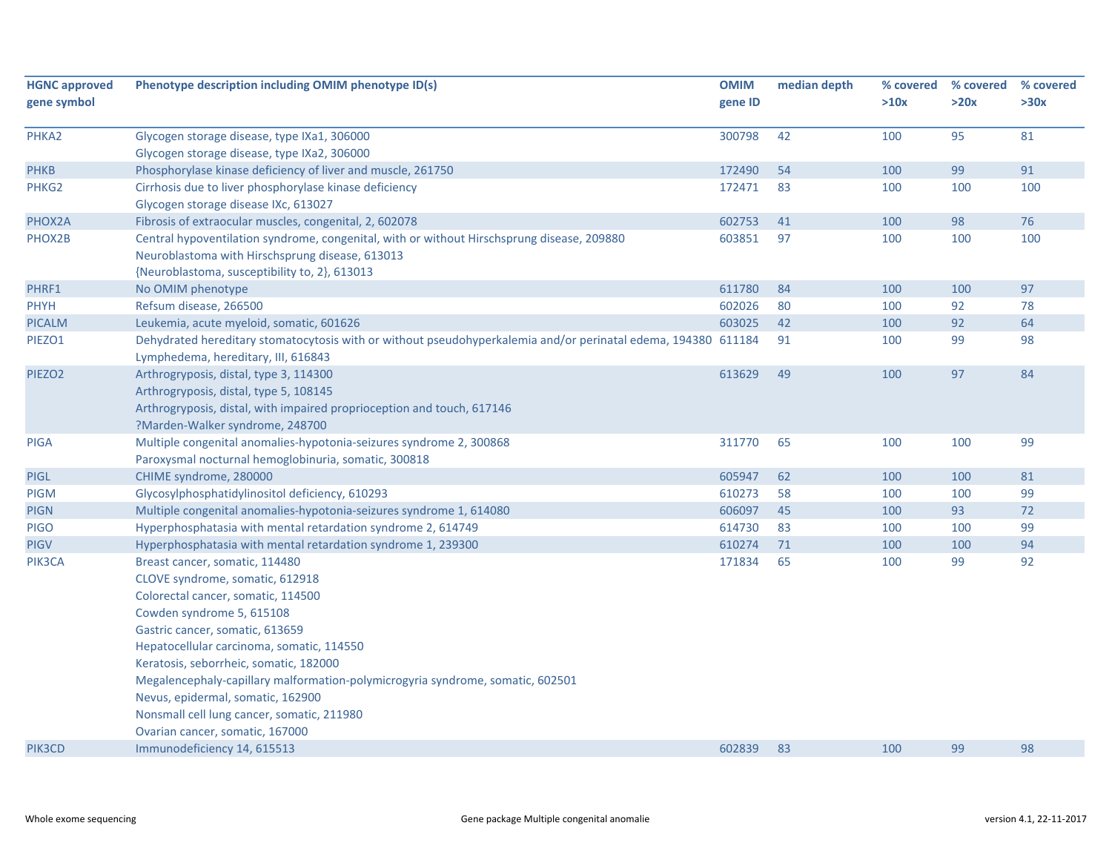| <b>HGNC approved</b> | Phenotype description including OMIM phenotype ID(s)                                                                                                 | <b>OMIM</b> | median depth | % covered | % covered | % covered |
|----------------------|------------------------------------------------------------------------------------------------------------------------------------------------------|-------------|--------------|-----------|-----------|-----------|
| gene symbol          |                                                                                                                                                      | gene ID     |              | >10x      | >20x      | >30x      |
| PHKA2                | Glycogen storage disease, type IXa1, 306000                                                                                                          | 300798      | 42           | 100       | 95        | 81        |
|                      | Glycogen storage disease, type IXa2, 306000                                                                                                          |             |              |           |           |           |
| <b>PHKB</b>          | Phosphorylase kinase deficiency of liver and muscle, 261750                                                                                          | 172490      | 54           | 100       | 99        | 91        |
| PHKG2                | Cirrhosis due to liver phosphorylase kinase deficiency                                                                                               | 172471      | 83           | 100       | 100       | 100       |
|                      | Glycogen storage disease IXc, 613027                                                                                                                 |             |              |           |           |           |
| PHOX2A               | Fibrosis of extraocular muscles, congenital, 2, 602078                                                                                               | 602753      | 41           | 100       | 98        | 76        |
| PHOX2B               | Central hypoventilation syndrome, congenital, with or without Hirschsprung disease, 209880                                                           | 603851      | 97           | 100       | 100       | 100       |
|                      | Neuroblastoma with Hirschsprung disease, 613013                                                                                                      |             |              |           |           |           |
|                      | {Neuroblastoma, susceptibility to, 2}, 613013                                                                                                        |             |              |           |           |           |
| PHRF1                | No OMIM phenotype                                                                                                                                    | 611780      | 84           | 100       | 100       | 97        |
| <b>PHYH</b>          | Refsum disease, 266500                                                                                                                               | 602026      | 80           | 100       | 92        | 78        |
| <b>PICALM</b>        | Leukemia, acute myeloid, somatic, 601626                                                                                                             | 603025      | 42           | 100       | 92        | 64        |
| PIEZO1               | Dehydrated hereditary stomatocytosis with or without pseudohyperkalemia and/or perinatal edema, 194380 611184<br>Lymphedema, hereditary, III, 616843 |             | 91           | 100       | 99        | 98        |
| PIEZO <sub>2</sub>   | Arthrogryposis, distal, type 3, 114300                                                                                                               | 613629      | 49           | 100       | 97        | 84        |
|                      | Arthrogryposis, distal, type 5, 108145                                                                                                               |             |              |           |           |           |
|                      | Arthrogryposis, distal, with impaired proprioception and touch, 617146                                                                               |             |              |           |           |           |
|                      | ?Marden-Walker syndrome, 248700                                                                                                                      |             |              |           |           |           |
| <b>PIGA</b>          | Multiple congenital anomalies-hypotonia-seizures syndrome 2, 300868                                                                                  | 311770      | 65           | 100       | 100       | 99        |
|                      | Paroxysmal nocturnal hemoglobinuria, somatic, 300818                                                                                                 |             |              |           |           |           |
| <b>PIGL</b>          | CHIME syndrome, 280000                                                                                                                               | 605947      | 62           | 100       | 100       | 81        |
| <b>PIGM</b>          | Glycosylphosphatidylinositol deficiency, 610293                                                                                                      | 610273      | 58           | 100       | 100       | 99        |
| <b>PIGN</b>          | Multiple congenital anomalies-hypotonia-seizures syndrome 1, 614080                                                                                  | 606097      | 45           | 100       | 93        | 72        |
| <b>PIGO</b>          | Hyperphosphatasia with mental retardation syndrome 2, 614749                                                                                         | 614730      | 83           | 100       | 100       | 99        |
| <b>PIGV</b>          | Hyperphosphatasia with mental retardation syndrome 1, 239300                                                                                         | 610274      | 71           | 100       | 100       | 94        |
| PIK3CA               | Breast cancer, somatic, 114480                                                                                                                       | 171834      | 65           | 100       | 99        | 92        |
|                      | CLOVE syndrome, somatic, 612918                                                                                                                      |             |              |           |           |           |
|                      | Colorectal cancer, somatic, 114500                                                                                                                   |             |              |           |           |           |
|                      | Cowden syndrome 5, 615108                                                                                                                            |             |              |           |           |           |
|                      | Gastric cancer, somatic, 613659                                                                                                                      |             |              |           |           |           |
|                      | Hepatocellular carcinoma, somatic, 114550                                                                                                            |             |              |           |           |           |
|                      | Keratosis, seborrheic, somatic, 182000                                                                                                               |             |              |           |           |           |
|                      | Megalencephaly-capillary malformation-polymicrogyria syndrome, somatic, 602501                                                                       |             |              |           |           |           |
|                      | Nevus, epidermal, somatic, 162900                                                                                                                    |             |              |           |           |           |
|                      | Nonsmall cell lung cancer, somatic, 211980                                                                                                           |             |              |           |           |           |
|                      | Ovarian cancer, somatic, 167000                                                                                                                      |             |              |           |           |           |
| PIK3CD               | Immunodeficiency 14, 615513                                                                                                                          | 602839      | 83           | 100       | 99        | 98        |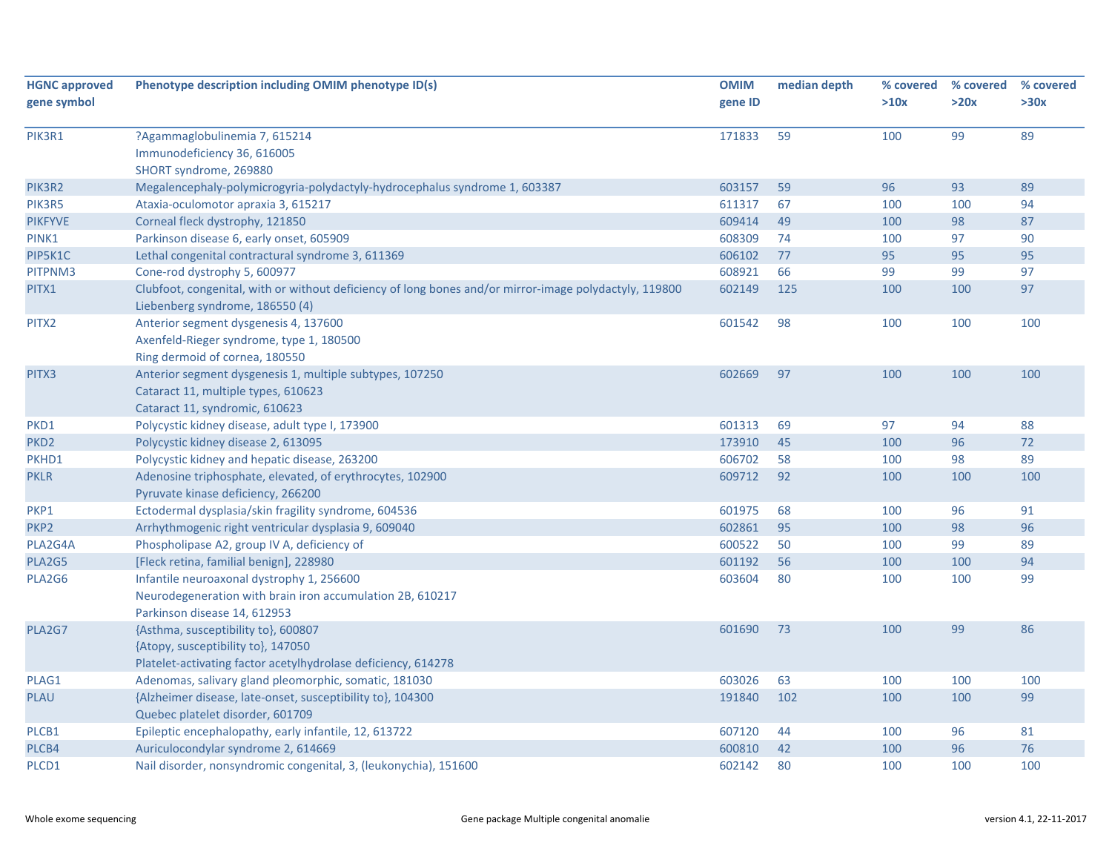| <b>HGNC approved</b><br>gene symbol | Phenotype description including OMIM phenotype ID(s)                                                                                       | <b>OMIM</b><br>gene ID | median depth | % covered<br>>10x | % covered<br>>20x | % covered<br>>30x |
|-------------------------------------|--------------------------------------------------------------------------------------------------------------------------------------------|------------------------|--------------|-------------------|-------------------|-------------------|
|                                     |                                                                                                                                            |                        |              |                   |                   |                   |
| PIK3R1                              | ?Agammaglobulinemia 7, 615214<br>Immunodeficiency 36, 616005<br>SHORT syndrome, 269880                                                     | 171833                 | 59           | 100               | 99                | 89                |
| PIK3R2                              | Megalencephaly-polymicrogyria-polydactyly-hydrocephalus syndrome 1, 603387                                                                 | 603157                 | 59           | 96                | 93                | 89                |
| PIK3R5                              | Ataxia-oculomotor apraxia 3, 615217                                                                                                        | 611317                 | 67           | 100               | 100               | 94                |
| <b>PIKFYVE</b>                      | Corneal fleck dystrophy, 121850                                                                                                            | 609414                 | 49           | 100               | 98                | 87                |
| PINK1                               | Parkinson disease 6, early onset, 605909                                                                                                   | 608309                 | 74           | 100               | 97                | 90                |
| PIP5K1C                             | Lethal congenital contractural syndrome 3, 611369                                                                                          | 606102                 | 77           | 95                | 95                | 95                |
| PITPNM3                             | Cone-rod dystrophy 5, 600977                                                                                                               | 608921                 | 66           | 99                | 99                | 97                |
| PITX1                               | Clubfoot, congenital, with or without deficiency of long bones and/or mirror-image polydactyly, 119800                                     | 602149                 | 125          | 100               | 100               | 97                |
|                                     | Liebenberg syndrome, 186550 (4)                                                                                                            |                        |              |                   |                   |                   |
| PITX2                               | Anterior segment dysgenesis 4, 137600<br>Axenfeld-Rieger syndrome, type 1, 180500<br>Ring dermoid of cornea, 180550                        | 601542                 | 98           | 100               | 100               | 100               |
| PITX3                               | Anterior segment dysgenesis 1, multiple subtypes, 107250<br>Cataract 11, multiple types, 610623<br>Cataract 11, syndromic, 610623          | 602669                 | 97           | 100               | 100               | 100               |
| PKD1                                | Polycystic kidney disease, adult type I, 173900                                                                                            | 601313                 | 69           | 97                | 94                | 88                |
| PKD <sub>2</sub>                    | Polycystic kidney disease 2, 613095                                                                                                        | 173910                 | 45           | 100               | 96                | 72                |
| PKHD1                               | Polycystic kidney and hepatic disease, 263200                                                                                              | 606702                 | 58           | 100               | 98                | 89                |
| <b>PKLR</b>                         | Adenosine triphosphate, elevated, of erythrocytes, 102900<br>Pyruvate kinase deficiency, 266200                                            | 609712                 | 92           | 100               | 100               | 100               |
| PKP1                                | Ectodermal dysplasia/skin fragility syndrome, 604536                                                                                       | 601975                 | 68           | 100               | 96                | 91                |
| PKP <sub>2</sub>                    | Arrhythmogenic right ventricular dysplasia 9, 609040                                                                                       | 602861                 | 95           | 100               | 98                | 96                |
| PLA2G4A                             | Phospholipase A2, group IV A, deficiency of                                                                                                | 600522                 | 50           | 100               | 99                | 89                |
| PLA2G5                              | [Fleck retina, familial benign], 228980                                                                                                    | 601192                 | 56           | 100               | 100               | 94                |
| PLA2G6                              | Infantile neuroaxonal dystrophy 1, 256600<br>Neurodegeneration with brain iron accumulation 2B, 610217<br>Parkinson disease 14, 612953     | 603604                 | 80           | 100               | 100               | 99                |
| PLA2G7                              | {Asthma, susceptibility to}, 600807<br>{Atopy, susceptibility to}, 147050<br>Platelet-activating factor acetylhydrolase deficiency, 614278 | 601690                 | 73           | 100               | 99                | 86                |
| PLAG1                               | Adenomas, salivary gland pleomorphic, somatic, 181030                                                                                      | 603026                 | 63           | 100               | 100               | 100               |
| <b>PLAU</b>                         | {Alzheimer disease, late-onset, susceptibility to}, 104300<br>Quebec platelet disorder, 601709                                             | 191840                 | 102          | 100               | 100               | 99                |
| PLCB1                               | Epileptic encephalopathy, early infantile, 12, 613722                                                                                      | 607120                 | 44           | 100               | 96                | 81                |
| PLCB4                               | Auriculocondylar syndrome 2, 614669                                                                                                        | 600810                 | 42           | 100               | 96                | 76                |
| PLCD1                               | Nail disorder, nonsyndromic congenital, 3, (leukonychia), 151600                                                                           | 602142                 | 80           | 100               | 100               | 100               |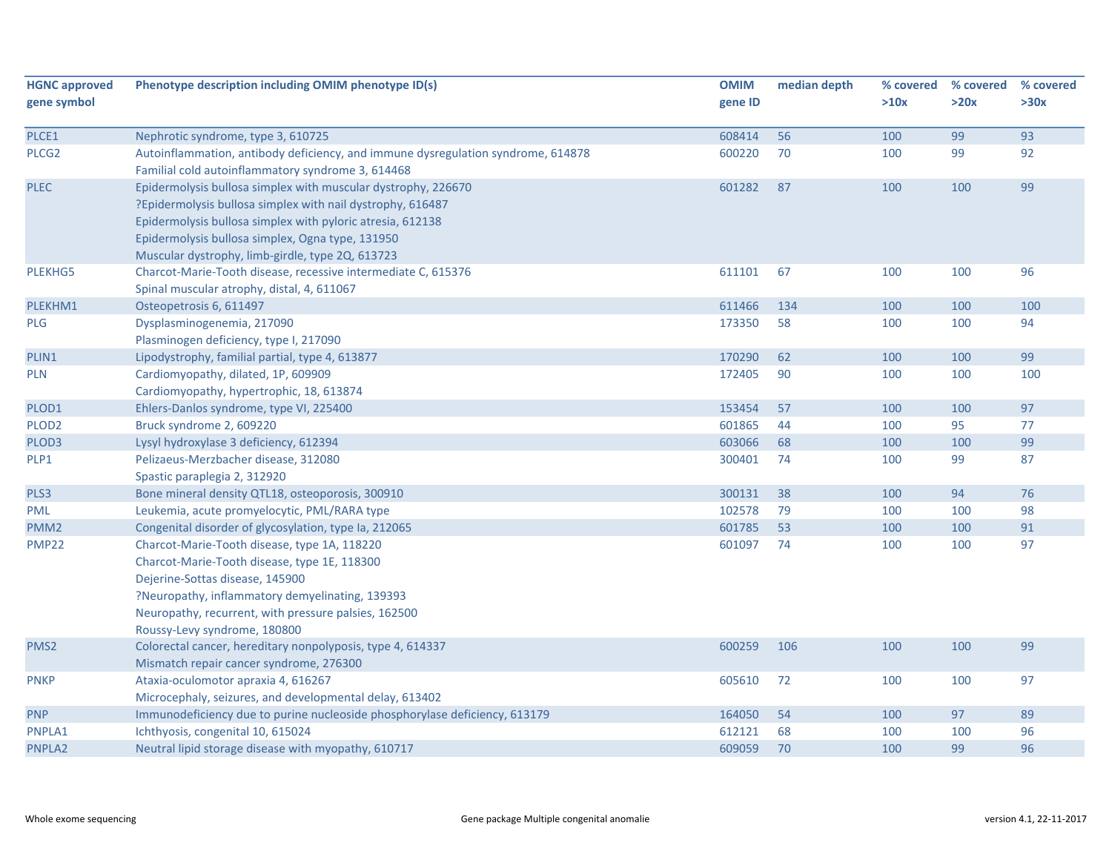| <b>HGNC approved</b><br>gene symbol | Phenotype description including OMIM phenotype ID(s)                                                                                                                                                                                                                                              | <b>OMIM</b><br>gene ID | median depth | % covered<br>>10x | % covered<br>>20x | % covered<br>>30x |
|-------------------------------------|---------------------------------------------------------------------------------------------------------------------------------------------------------------------------------------------------------------------------------------------------------------------------------------------------|------------------------|--------------|-------------------|-------------------|-------------------|
| PLCE1                               | Nephrotic syndrome, type 3, 610725                                                                                                                                                                                                                                                                | 608414                 | 56           | 100               | 99                | 93                |
| PLCG <sub>2</sub>                   | Autoinflammation, antibody deficiency, and immune dysregulation syndrome, 614878<br>Familial cold autoinflammatory syndrome 3, 614468                                                                                                                                                             | 600220                 | 70           | 100               | 99                | 92                |
| <b>PLEC</b>                         | Epidermolysis bullosa simplex with muscular dystrophy, 226670<br>?Epidermolysis bullosa simplex with nail dystrophy, 616487<br>Epidermolysis bullosa simplex with pyloric atresia, 612138<br>Epidermolysis bullosa simplex, Ogna type, 131950<br>Muscular dystrophy, limb-girdle, type 2Q, 613723 | 601282                 | 87           | 100               | 100               | 99                |
| PLEKHG5                             | Charcot-Marie-Tooth disease, recessive intermediate C, 615376<br>Spinal muscular atrophy, distal, 4, 611067                                                                                                                                                                                       | 611101                 | 67           | 100               | 100               | 96                |
| PLEKHM1                             | Osteopetrosis 6, 611497                                                                                                                                                                                                                                                                           | 611466                 | 134          | 100               | 100               | 100               |
| <b>PLG</b>                          | Dysplasminogenemia, 217090<br>Plasminogen deficiency, type I, 217090                                                                                                                                                                                                                              | 173350                 | 58           | 100               | 100               | 94                |
| PLIN1                               | Lipodystrophy, familial partial, type 4, 613877                                                                                                                                                                                                                                                   | 170290                 | 62           | 100               | 100               | 99                |
| <b>PLN</b>                          | Cardiomyopathy, dilated, 1P, 609909<br>Cardiomyopathy, hypertrophic, 18, 613874                                                                                                                                                                                                                   | 172405                 | 90           | 100               | 100               | 100               |
| PLOD1                               | Ehlers-Danlos syndrome, type VI, 225400                                                                                                                                                                                                                                                           | 153454                 | 57           | 100               | 100               | 97                |
| PLOD <sub>2</sub>                   | Bruck syndrome 2, 609220                                                                                                                                                                                                                                                                          | 601865                 | 44           | 100               | 95                | 77                |
| PLOD3                               | Lysyl hydroxylase 3 deficiency, 612394                                                                                                                                                                                                                                                            | 603066                 | 68           | 100               | 100               | 99                |
| PLP1                                | Pelizaeus-Merzbacher disease, 312080<br>Spastic paraplegia 2, 312920                                                                                                                                                                                                                              | 300401                 | 74           | 100               | 99                | 87                |
| PLS3                                | Bone mineral density QTL18, osteoporosis, 300910                                                                                                                                                                                                                                                  | 300131                 | 38           | 100               | 94                | 76                |
| PML                                 | Leukemia, acute promyelocytic, PML/RARA type                                                                                                                                                                                                                                                      | 102578                 | 79           | 100               | 100               | 98                |
| PMM <sub>2</sub>                    | Congenital disorder of glycosylation, type Ia, 212065                                                                                                                                                                                                                                             | 601785                 | 53           | 100               | 100               | 91                |
| <b>PMP22</b>                        | Charcot-Marie-Tooth disease, type 1A, 118220<br>Charcot-Marie-Tooth disease, type 1E, 118300<br>Dejerine-Sottas disease, 145900<br>?Neuropathy, inflammatory demyelinating, 139393<br>Neuropathy, recurrent, with pressure palsies, 162500<br>Roussy-Levy syndrome, 180800                        | 601097                 | 74           | 100               | 100               | 97                |
| PMS <sub>2</sub>                    | Colorectal cancer, hereditary nonpolyposis, type 4, 614337<br>Mismatch repair cancer syndrome, 276300                                                                                                                                                                                             | 600259                 | 106          | 100               | 100               | 99                |
| <b>PNKP</b>                         | Ataxia-oculomotor apraxia 4, 616267<br>Microcephaly, seizures, and developmental delay, 613402                                                                                                                                                                                                    | 605610                 | 72           | 100               | 100               | 97                |
| <b>PNP</b>                          | Immunodeficiency due to purine nucleoside phosphorylase deficiency, 613179                                                                                                                                                                                                                        | 164050                 | 54           | 100               | 97                | 89                |
| PNPLA1                              | Ichthyosis, congenital 10, 615024                                                                                                                                                                                                                                                                 | 612121                 | 68           | 100               | 100               | 96                |
| PNPLA2                              | Neutral lipid storage disease with myopathy, 610717                                                                                                                                                                                                                                               | 609059                 | 70           | 100               | 99                | 96                |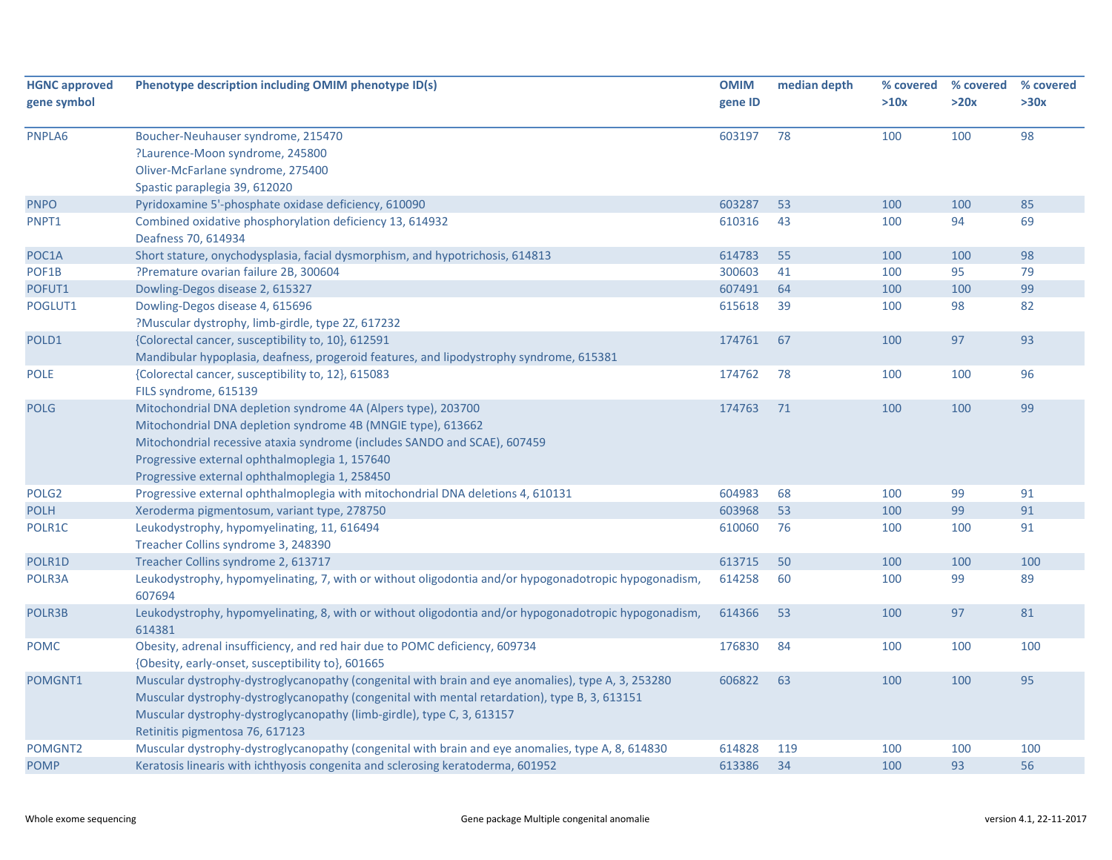| <b>HGNC approved</b> | Phenotype description including OMIM phenotype ID(s)                                                                                                                                                | <b>OMIM</b> | median depth | % covered | % covered | % covered |
|----------------------|-----------------------------------------------------------------------------------------------------------------------------------------------------------------------------------------------------|-------------|--------------|-----------|-----------|-----------|
| gene symbol          |                                                                                                                                                                                                     | gene ID     |              | >10x      | >20x      | >30x      |
|                      |                                                                                                                                                                                                     |             |              |           |           |           |
| PNPLA6               | Boucher-Neuhauser syndrome, 215470                                                                                                                                                                  | 603197      | 78           | 100       | 100       | 98        |
|                      | ?Laurence-Moon syndrome, 245800                                                                                                                                                                     |             |              |           |           |           |
|                      | Oliver-McFarlane syndrome, 275400                                                                                                                                                                   |             |              |           |           |           |
|                      | Spastic paraplegia 39, 612020                                                                                                                                                                       |             |              |           |           |           |
| <b>PNPO</b>          | Pyridoxamine 5'-phosphate oxidase deficiency, 610090                                                                                                                                                | 603287      | 53           | 100       | 100       | 85        |
| PNPT1                | Combined oxidative phosphorylation deficiency 13, 614932<br>Deafness 70, 614934                                                                                                                     | 610316      | 43           | 100       | 94        | 69        |
| POC1A                | Short stature, onychodysplasia, facial dysmorphism, and hypotrichosis, 614813                                                                                                                       | 614783      | 55           | 100       | 100       | 98        |
| POF1B                | ?Premature ovarian failure 2B, 300604                                                                                                                                                               | 300603      | 41           | 100       | 95        | 79        |
| POFUT1               | Dowling-Degos disease 2, 615327                                                                                                                                                                     | 607491      | 64           | 100       | 100       | 99        |
| POGLUT1              | Dowling-Degos disease 4, 615696                                                                                                                                                                     | 615618      | 39           | 100       | 98        | 82        |
|                      | ?Muscular dystrophy, limb-girdle, type 2Z, 617232                                                                                                                                                   |             |              |           |           |           |
| POLD1                | {Colorectal cancer, susceptibility to, 10}, 612591                                                                                                                                                  | 174761      | 67           | 100       | 97        | 93        |
|                      | Mandibular hypoplasia, deafness, progeroid features, and lipodystrophy syndrome, 615381                                                                                                             |             |              |           |           |           |
| <b>POLE</b>          | {Colorectal cancer, susceptibility to, 12}, 615083                                                                                                                                                  | 174762      | 78           | 100       | 100       | 96        |
|                      | FILS syndrome, 615139                                                                                                                                                                               |             |              |           |           |           |
| <b>POLG</b>          | Mitochondrial DNA depletion syndrome 4A (Alpers type), 203700                                                                                                                                       | 174763      | 71           | 100       | 100       | 99        |
|                      | Mitochondrial DNA depletion syndrome 4B (MNGIE type), 613662                                                                                                                                        |             |              |           |           |           |
|                      | Mitochondrial recessive ataxia syndrome (includes SANDO and SCAE), 607459                                                                                                                           |             |              |           |           |           |
|                      | Progressive external ophthalmoplegia 1, 157640                                                                                                                                                      |             |              |           |           |           |
|                      | Progressive external ophthalmoplegia 1, 258450                                                                                                                                                      |             |              |           |           |           |
| POLG <sub>2</sub>    | Progressive external ophthalmoplegia with mitochondrial DNA deletions 4, 610131                                                                                                                     | 604983      | 68           | 100       | 99        | 91        |
| <b>POLH</b>          | Xeroderma pigmentosum, variant type, 278750                                                                                                                                                         | 603968      | 53           | 100       | 99        | 91        |
| POLR1C               | Leukodystrophy, hypomyelinating, 11, 616494                                                                                                                                                         | 610060      | 76           | 100       | 100       | 91        |
|                      | Treacher Collins syndrome 3, 248390                                                                                                                                                                 |             |              |           |           |           |
| POLR1D               | Treacher Collins syndrome 2, 613717                                                                                                                                                                 | 613715      | 50           | 100       | 100       | 100       |
| POLR3A               | Leukodystrophy, hypomyelinating, 7, with or without oligodontia and/or hypogonadotropic hypogonadism,<br>607694                                                                                     | 614258      | 60           | 100       | 99        | 89        |
| POLR3B               | Leukodystrophy, hypomyelinating, 8, with or without oligodontia and/or hypogonadotropic hypogonadism,<br>614381                                                                                     | 614366      | 53           | 100       | 97        | 81        |
| <b>POMC</b>          | Obesity, adrenal insufficiency, and red hair due to POMC deficiency, 609734                                                                                                                         | 176830      | 84           | 100       | 100       | 100       |
| POMGNT1              | {Obesity, early-onset, susceptibility to}, 601665                                                                                                                                                   | 606822      | 63           | 100       | 100       | 95        |
|                      | Muscular dystrophy-dystroglycanopathy (congenital with brain and eye anomalies), type A, 3, 253280<br>Muscular dystrophy-dystroglycanopathy (congenital with mental retardation), type B, 3, 613151 |             |              |           |           |           |
|                      | Muscular dystrophy-dystroglycanopathy (limb-girdle), type C, 3, 613157                                                                                                                              |             |              |           |           |           |
|                      | Retinitis pigmentosa 76, 617123                                                                                                                                                                     |             |              |           |           |           |
| POMGNT2              | Muscular dystrophy-dystroglycanopathy (congenital with brain and eye anomalies, type A, 8, 614830                                                                                                   | 614828      | 119          | 100       | 100       | 100       |
| <b>POMP</b>          | Keratosis linearis with ichthyosis congenita and sclerosing keratoderma, 601952                                                                                                                     | 613386      | 34           | 100       | 93        | 56        |
|                      |                                                                                                                                                                                                     |             |              |           |           |           |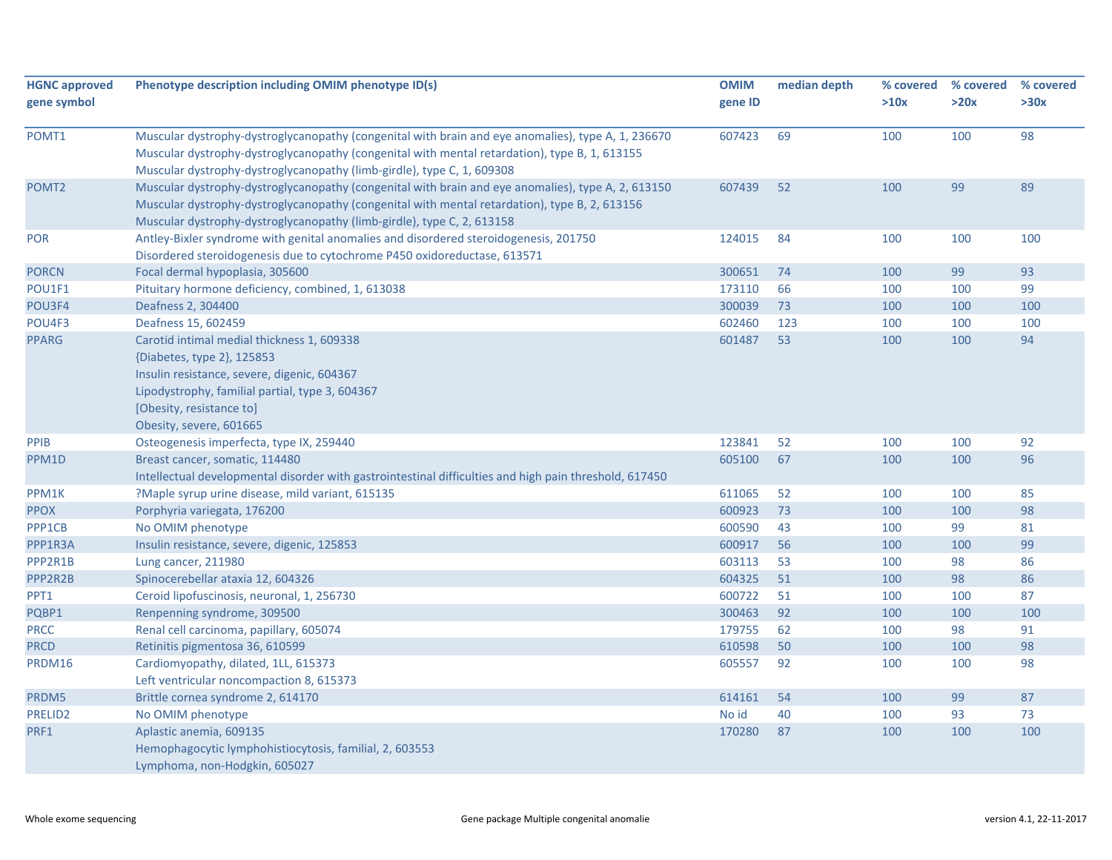| <b>HGNC approved</b> | Phenotype description including OMIM phenotype ID(s)                                                                                                                                                                                                                          | <b>OMIM</b> | median depth | % covered | % covered | % covered |
|----------------------|-------------------------------------------------------------------------------------------------------------------------------------------------------------------------------------------------------------------------------------------------------------------------------|-------------|--------------|-----------|-----------|-----------|
| gene symbol          |                                                                                                                                                                                                                                                                               | gene ID     |              | >10x      | >20x      | >30x      |
| POMT1                | Muscular dystrophy-dystroglycanopathy (congenital with brain and eye anomalies), type A, 1, 236670<br>Muscular dystrophy-dystroglycanopathy (congenital with mental retardation), type B, 1, 613155<br>Muscular dystrophy-dystroglycanopathy (limb-girdle), type C, 1, 609308 | 607423      | 69           | 100       | 100       | 98        |
| POMT <sub>2</sub>    | Muscular dystrophy-dystroglycanopathy (congenital with brain and eye anomalies), type A, 2, 613150<br>Muscular dystrophy-dystroglycanopathy (congenital with mental retardation), type B, 2, 613156<br>Muscular dystrophy-dystroglycanopathy (limb-girdle), type C, 2, 613158 | 607439      | 52           | 100       | 99        | 89        |
| POR                  | Antley-Bixler syndrome with genital anomalies and disordered steroidogenesis, 201750<br>Disordered steroidogenesis due to cytochrome P450 oxidoreductase, 613571                                                                                                              | 124015      | 84           | 100       | 100       | 100       |
| <b>PORCN</b>         | Focal dermal hypoplasia, 305600                                                                                                                                                                                                                                               | 300651      | 74           | 100       | 99        | 93        |
| POU1F1               | Pituitary hormone deficiency, combined, 1, 613038                                                                                                                                                                                                                             | 173110      | 66           | 100       | 100       | 99        |
| POU3F4               | Deafness 2, 304400                                                                                                                                                                                                                                                            | 300039      | 73           | 100       | 100       | 100       |
| POU4F3               | Deafness 15, 602459                                                                                                                                                                                                                                                           | 602460      | 123          | 100       | 100       | 100       |
| <b>PPARG</b>         | Carotid intimal medial thickness 1, 609338<br>{Diabetes, type 2}, 125853<br>Insulin resistance, severe, digenic, 604367<br>Lipodystrophy, familial partial, type 3, 604367<br>[Obesity, resistance to]<br>Obesity, severe, 601665                                             | 601487      | 53           | 100       | 100       | 94        |
| PPIB                 | Osteogenesis imperfecta, type IX, 259440                                                                                                                                                                                                                                      | 123841      | 52           | 100       | 100       | 92        |
| PPM1D                | Breast cancer, somatic, 114480<br>Intellectual developmental disorder with gastrointestinal difficulties and high pain threshold, 617450                                                                                                                                      | 605100      | 67           | 100       | 100       | 96        |
| PPM1K                | ?Maple syrup urine disease, mild variant, 615135                                                                                                                                                                                                                              | 611065      | 52           | 100       | 100       | 85        |
| <b>PPOX</b>          | Porphyria variegata, 176200                                                                                                                                                                                                                                                   | 600923      | 73           | 100       | 100       | 98        |
| PPP1CB               | No OMIM phenotype                                                                                                                                                                                                                                                             | 600590      | 43           | 100       | 99        | 81        |
| PPP1R3A              | Insulin resistance, severe, digenic, 125853                                                                                                                                                                                                                                   | 600917      | 56           | 100       | 100       | 99        |
| PPP2R1B              | Lung cancer, 211980                                                                                                                                                                                                                                                           | 603113      | 53           | 100       | 98        | 86        |
| PPP2R2B              | Spinocerebellar ataxia 12, 604326                                                                                                                                                                                                                                             | 604325      | 51           | 100       | 98        | 86        |
| PPT1                 | Ceroid lipofuscinosis, neuronal, 1, 256730                                                                                                                                                                                                                                    | 600722      | 51           | 100       | 100       | 87        |
| PQBP1                | Renpenning syndrome, 309500                                                                                                                                                                                                                                                   | 300463      | 92           | 100       | 100       | 100       |
| <b>PRCC</b>          | Renal cell carcinoma, papillary, 605074                                                                                                                                                                                                                                       | 179755      | 62           | 100       | 98        | 91        |
| <b>PRCD</b>          | Retinitis pigmentosa 36, 610599                                                                                                                                                                                                                                               | 610598      | 50           | 100       | 100       | 98        |
| PRDM16               | Cardiomyopathy, dilated, 1LL, 615373<br>Left ventricular noncompaction 8, 615373                                                                                                                                                                                              | 605557      | 92           | 100       | 100       | 98        |
| PRDM5                | Brittle cornea syndrome 2, 614170                                                                                                                                                                                                                                             | 614161      | 54           | 100       | 99        | 87        |
| PRELID2              | No OMIM phenotype                                                                                                                                                                                                                                                             | No id       | 40           | 100       | 93        | 73        |
| PRF1                 | Aplastic anemia, 609135<br>Hemophagocytic lymphohistiocytosis, familial, 2, 603553<br>Lymphoma, non-Hodgkin, 605027                                                                                                                                                           | 170280      | 87           | 100       | 100       | 100       |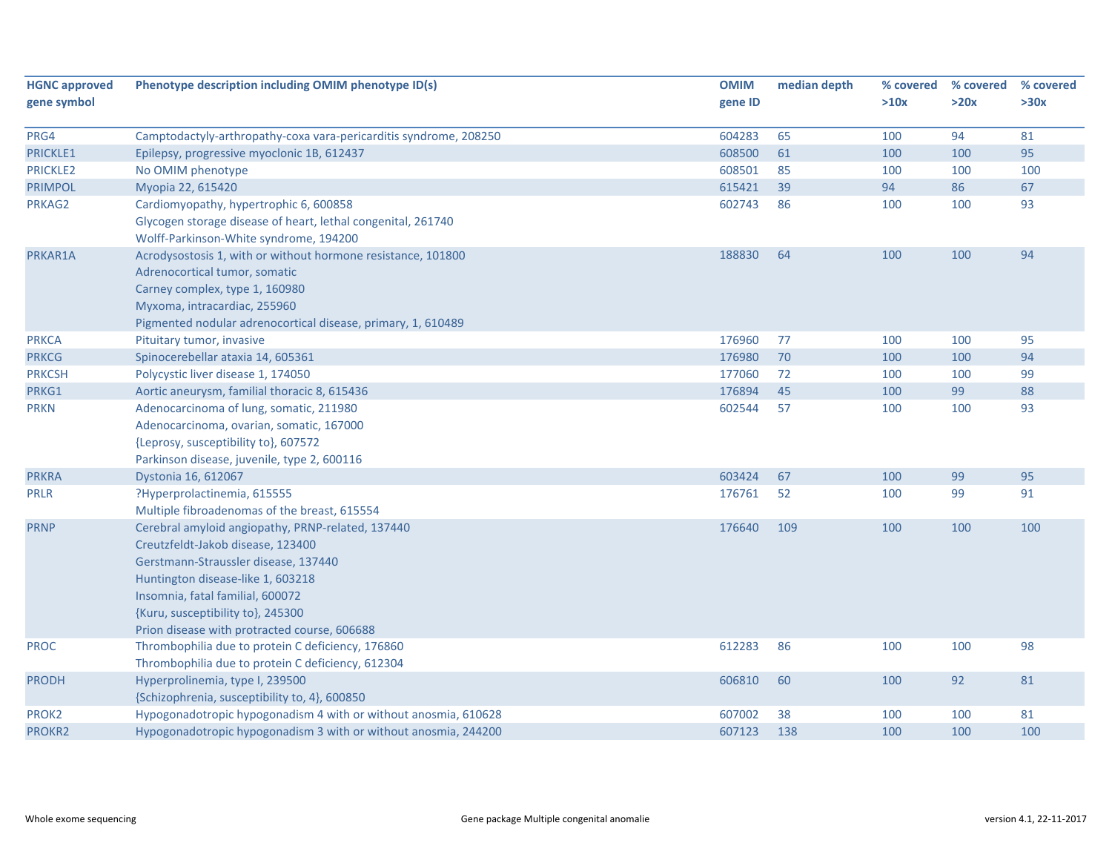| <b>HGNC approved</b> | Phenotype description including OMIM phenotype ID(s)                                                                                                                                                                                                                                         | <b>OMIM</b> | median depth | % covered | % covered | % covered |
|----------------------|----------------------------------------------------------------------------------------------------------------------------------------------------------------------------------------------------------------------------------------------------------------------------------------------|-------------|--------------|-----------|-----------|-----------|
| gene symbol          |                                                                                                                                                                                                                                                                                              | gene ID     |              | >10x      | >20x      | >30x      |
| PRG4                 | Camptodactyly-arthropathy-coxa vara-pericarditis syndrome, 208250                                                                                                                                                                                                                            | 604283      | 65           | 100       | 94        | 81        |
| PRICKLE1             | Epilepsy, progressive myoclonic 1B, 612437                                                                                                                                                                                                                                                   | 608500      | 61           | 100       | 100       | 95        |
| <b>PRICKLE2</b>      | No OMIM phenotype                                                                                                                                                                                                                                                                            | 608501      | 85           | 100       | 100       | 100       |
| <b>PRIMPOL</b>       | Myopia 22, 615420                                                                                                                                                                                                                                                                            | 615421      | 39           | 94        | 86        | 67        |
| PRKAG2               | Cardiomyopathy, hypertrophic 6, 600858                                                                                                                                                                                                                                                       | 602743      | 86           | 100       | 100       | 93        |
|                      | Glycogen storage disease of heart, lethal congenital, 261740<br>Wolff-Parkinson-White syndrome, 194200                                                                                                                                                                                       |             |              |           |           |           |
| PRKAR1A              | Acrodysostosis 1, with or without hormone resistance, 101800<br>Adrenocortical tumor, somatic<br>Carney complex, type 1, 160980<br>Myxoma, intracardiac, 255960<br>Pigmented nodular adrenocortical disease, primary, 1, 610489                                                              | 188830      | 64           | 100       | 100       | 94        |
| <b>PRKCA</b>         | Pituitary tumor, invasive                                                                                                                                                                                                                                                                    | 176960      | 77           | 100       | 100       | 95        |
| <b>PRKCG</b>         | Spinocerebellar ataxia 14, 605361                                                                                                                                                                                                                                                            | 176980      | 70           | 100       | 100       | 94        |
| <b>PRKCSH</b>        | Polycystic liver disease 1, 174050                                                                                                                                                                                                                                                           | 177060      | 72           | 100       | 100       | 99        |
| PRKG1                | Aortic aneurysm, familial thoracic 8, 615436                                                                                                                                                                                                                                                 | 176894      | 45           | 100       | 99        | 88        |
| <b>PRKN</b>          | Adenocarcinoma of lung, somatic, 211980<br>Adenocarcinoma, ovarian, somatic, 167000<br>{Leprosy, susceptibility to}, 607572<br>Parkinson disease, juvenile, type 2, 600116                                                                                                                   | 602544      | 57           | 100       | 100       | 93        |
| <b>PRKRA</b>         | Dystonia 16, 612067                                                                                                                                                                                                                                                                          | 603424      | 67           | 100       | 99        | 95        |
| <b>PRLR</b>          | ?Hyperprolactinemia, 615555<br>Multiple fibroadenomas of the breast, 615554                                                                                                                                                                                                                  | 176761      | 52           | 100       | 99        | 91        |
| <b>PRNP</b>          | Cerebral amyloid angiopathy, PRNP-related, 137440<br>Creutzfeldt-Jakob disease, 123400<br>Gerstmann-Straussler disease, 137440<br>Huntington disease-like 1, 603218<br>Insomnia, fatal familial, 600072<br>{Kuru, susceptibility to}, 245300<br>Prion disease with protracted course, 606688 | 176640      | 109          | 100       | 100       | 100       |
| <b>PROC</b>          | Thrombophilia due to protein C deficiency, 176860<br>Thrombophilia due to protein C deficiency, 612304                                                                                                                                                                                       | 612283      | 86           | 100       | 100       | 98        |
| <b>PRODH</b>         | Hyperprolinemia, type I, 239500<br>{Schizophrenia, susceptibility to, 4}, 600850                                                                                                                                                                                                             | 606810      | 60           | 100       | 92        | 81        |
| PROK2                | Hypogonadotropic hypogonadism 4 with or without anosmia, 610628                                                                                                                                                                                                                              | 607002      | 38           | 100       | 100       | 81        |
| PROKR2               | Hypogonadotropic hypogonadism 3 with or without anosmia, 244200                                                                                                                                                                                                                              | 607123      | 138          | 100       | 100       | 100       |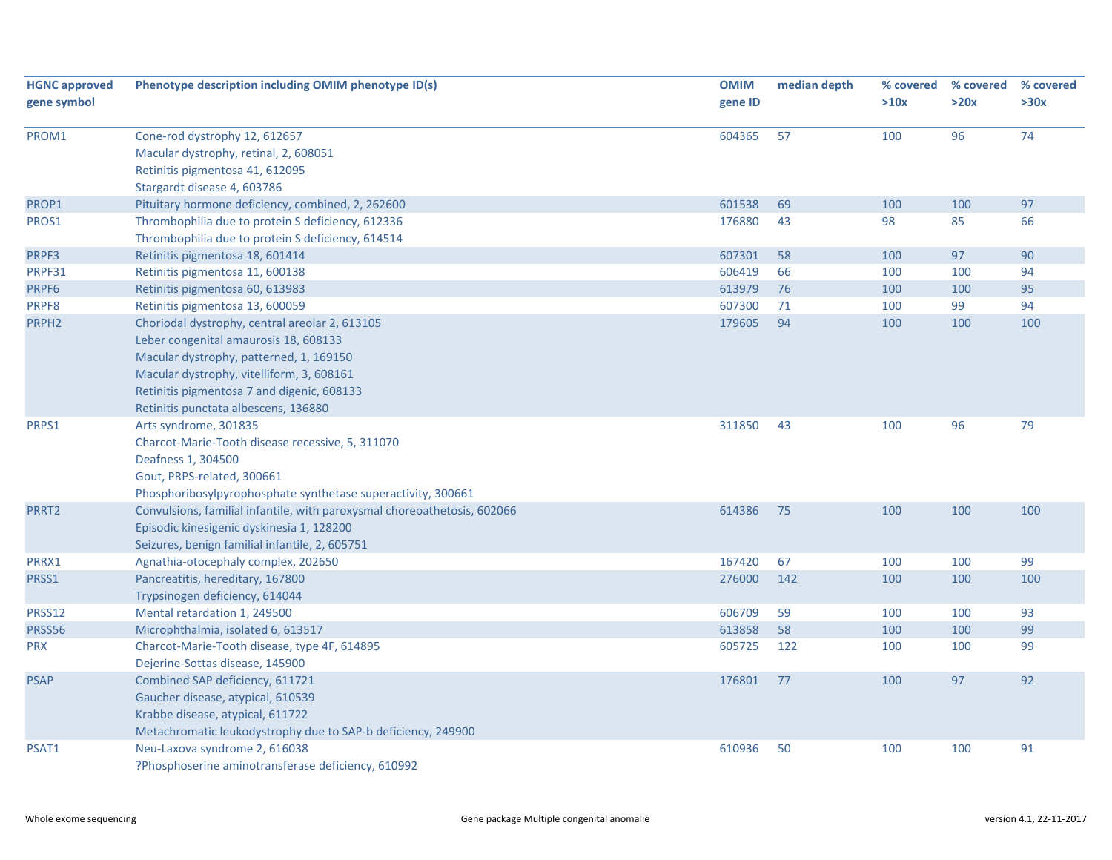| <b>HGNC approved</b> | Phenotype description including OMIM phenotype ID(s)                     | <b>OMIM</b> | median depth | % covered | % covered | % covered |
|----------------------|--------------------------------------------------------------------------|-------------|--------------|-----------|-----------|-----------|
| gene symbol          |                                                                          | gene ID     |              | >10x      | >20x      | >30x      |
| PROM1                | Cone-rod dystrophy 12, 612657                                            | 604365      | 57           | 100       | 96        | 74        |
|                      | Macular dystrophy, retinal, 2, 608051                                    |             |              |           |           |           |
|                      | Retinitis pigmentosa 41, 612095                                          |             |              |           |           |           |
|                      | Stargardt disease 4, 603786                                              |             |              |           |           |           |
| PROP1                | Pituitary hormone deficiency, combined, 2, 262600                        | 601538      | 69           | 100       | 100       | 97        |
| PROS1                | Thrombophilia due to protein S deficiency, 612336                        | 176880      | 43           | 98        | 85        | 66        |
|                      | Thrombophilia due to protein S deficiency, 614514                        |             |              |           |           |           |
| PRPF3                | Retinitis pigmentosa 18, 601414                                          | 607301      | 58           | 100       | 97        | 90        |
| PRPF31               | Retinitis pigmentosa 11, 600138                                          | 606419      | 66           | 100       | 100       | 94        |
| PRPF6                | Retinitis pigmentosa 60, 613983                                          | 613979      | 76           | 100       | 100       | 95        |
| PRPF8                | Retinitis pigmentosa 13, 600059                                          | 607300      | 71           | 100       | 99        | 94        |
| PRPH <sub>2</sub>    | Choriodal dystrophy, central areolar 2, 613105                           | 179605      | 94           | 100       | 100       | 100       |
|                      | Leber congenital amaurosis 18, 608133                                    |             |              |           |           |           |
|                      | Macular dystrophy, patterned, 1, 169150                                  |             |              |           |           |           |
|                      | Macular dystrophy, vitelliform, 3, 608161                                |             |              |           |           |           |
|                      | Retinitis pigmentosa 7 and digenic, 608133                               |             |              |           |           |           |
|                      | Retinitis punctata albescens, 136880                                     |             |              |           |           |           |
| PRPS1                | Arts syndrome, 301835                                                    | 311850      | 43           | 100       | 96        | 79        |
|                      | Charcot-Marie-Tooth disease recessive, 5, 311070                         |             |              |           |           |           |
|                      | Deafness 1, 304500                                                       |             |              |           |           |           |
|                      | Gout, PRPS-related, 300661                                               |             |              |           |           |           |
|                      | Phosphoribosylpyrophosphate synthetase superactivity, 300661             |             |              |           |           |           |
| PRRT2                | Convulsions, familial infantile, with paroxysmal choreoathetosis, 602066 | 614386      | 75           | 100       | 100       | 100       |
|                      | Episodic kinesigenic dyskinesia 1, 128200                                |             |              |           |           |           |
|                      | Seizures, benign familial infantile, 2, 605751                           |             |              |           |           |           |
| PRRX1                | Agnathia-otocephaly complex, 202650                                      | 167420      | 67           | 100       | 100       | 99        |
| PRSS1                | Pancreatitis, hereditary, 167800                                         | 276000      | 142          | 100       | 100       | 100       |
|                      | Trypsinogen deficiency, 614044                                           |             |              |           |           |           |
| PRSS12               | Mental retardation 1, 249500                                             | 606709      | 59           | 100       | 100       | 93        |
| PRSS56               | Microphthalmia, isolated 6, 613517                                       | 613858      | 58           | 100       | 100       | 99        |
| <b>PRX</b>           | Charcot-Marie-Tooth disease, type 4F, 614895                             | 605725      | 122          | 100       | 100       | 99        |
|                      | Dejerine-Sottas disease, 145900                                          |             |              |           |           |           |
| <b>PSAP</b>          | Combined SAP deficiency, 611721                                          | 176801      | 77           | 100       | 97        | 92        |
|                      | Gaucher disease, atypical, 610539                                        |             |              |           |           |           |
|                      | Krabbe disease, atypical, 611722                                         |             |              |           |           |           |
|                      | Metachromatic leukodystrophy due to SAP-b deficiency, 249900             |             |              |           |           |           |
| PSAT1                | Neu-Laxova syndrome 2, 616038                                            | 610936      | 50           | 100       | 100       | 91        |
|                      | ?Phosphoserine aminotransferase deficiency, 610992                       |             |              |           |           |           |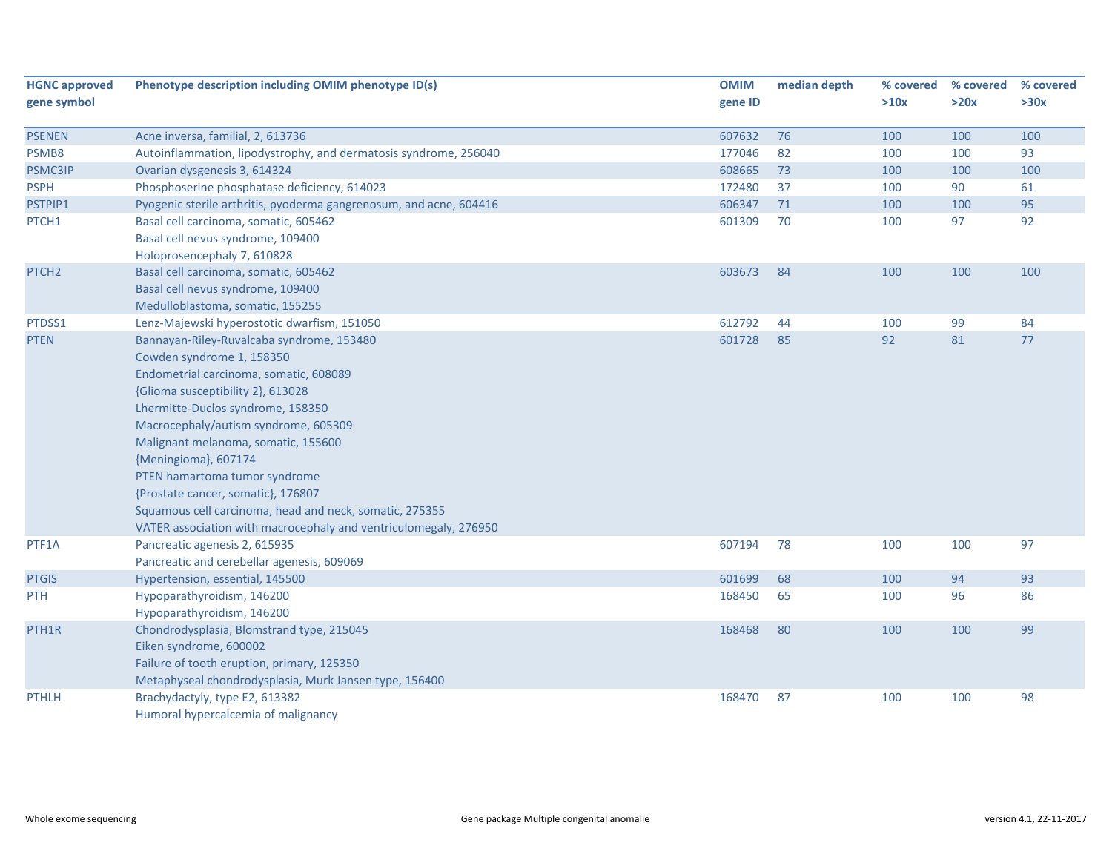| <b>HGNC approved</b><br>gene symbol | Phenotype description including OMIM phenotype ID(s)               | <b>OMIM</b><br>gene ID | median depth | % covered<br>>10x | % covered<br>>20x | % covered<br>>30x |
|-------------------------------------|--------------------------------------------------------------------|------------------------|--------------|-------------------|-------------------|-------------------|
| <b>PSENEN</b>                       | Acne inversa, familial, 2, 613736                                  | 607632                 | 76           | 100               | 100               | 100               |
| PSMB8                               | Autoinflammation, lipodystrophy, and dermatosis syndrome, 256040   | 177046                 | 82           | 100               | 100               | 93                |
| PSMC3IP                             | Ovarian dysgenesis 3, 614324                                       | 608665                 | 73           | 100               | 100               | 100               |
| <b>PSPH</b>                         | Phosphoserine phosphatase deficiency, 614023                       | 172480                 | 37           | 100               | 90                | 61                |
| PSTPIP1                             | Pyogenic sterile arthritis, pyoderma gangrenosum, and acne, 604416 | 606347                 | 71           | 100               | 100               | 95                |
| PTCH1                               | Basal cell carcinoma, somatic, 605462                              | 601309                 | 70           | 100               | 97                | 92                |
|                                     | Basal cell nevus syndrome, 109400                                  |                        |              |                   |                   |                   |
|                                     | Holoprosencephaly 7, 610828                                        |                        |              |                   |                   |                   |
| PTCH <sub>2</sub>                   | Basal cell carcinoma, somatic, 605462                              | 603673                 | 84           | 100               | 100               | 100               |
|                                     | Basal cell nevus syndrome, 109400                                  |                        |              |                   |                   |                   |
|                                     | Medulloblastoma, somatic, 155255                                   |                        |              |                   |                   |                   |
| PTDSS1                              | Lenz-Majewski hyperostotic dwarfism, 151050                        | 612792                 | 44           | 100               | 99                | 84                |
| <b>PTEN</b>                         | Bannayan-Riley-Ruvalcaba syndrome, 153480                          | 601728                 | 85           | 92                | 81                | 77                |
|                                     | Cowden syndrome 1, 158350                                          |                        |              |                   |                   |                   |
|                                     | Endometrial carcinoma, somatic, 608089                             |                        |              |                   |                   |                   |
|                                     | {Glioma susceptibility 2}, 613028                                  |                        |              |                   |                   |                   |
|                                     | Lhermitte-Duclos syndrome, 158350                                  |                        |              |                   |                   |                   |
|                                     | Macrocephaly/autism syndrome, 605309                               |                        |              |                   |                   |                   |
|                                     | Malignant melanoma, somatic, 155600                                |                        |              |                   |                   |                   |
|                                     | {Meningioma}, 607174                                               |                        |              |                   |                   |                   |
|                                     | PTEN hamartoma tumor syndrome                                      |                        |              |                   |                   |                   |
|                                     | {Prostate cancer, somatic}, 176807                                 |                        |              |                   |                   |                   |
|                                     | Squamous cell carcinoma, head and neck, somatic, 275355            |                        |              |                   |                   |                   |
|                                     | VATER association with macrocephaly and ventriculomegaly, 276950   |                        |              |                   |                   |                   |
| PTF1A                               | Pancreatic agenesis 2, 615935                                      | 607194                 | 78           | 100               | 100               | 97                |
|                                     | Pancreatic and cerebellar agenesis, 609069                         |                        |              |                   |                   |                   |
| <b>PTGIS</b>                        | Hypertension, essential, 145500                                    | 601699                 | 68           | 100               | 94                | 93                |
| PTH                                 | Hypoparathyroidism, 146200                                         | 168450                 | 65           | 100               | 96                | 86                |
|                                     | Hypoparathyroidism, 146200                                         |                        |              |                   |                   |                   |
| PTH1R                               | Chondrodysplasia, Blomstrand type, 215045                          | 168468                 | 80           | 100               | 100               | 99                |
|                                     | Eiken syndrome, 600002                                             |                        |              |                   |                   |                   |
|                                     | Failure of tooth eruption, primary, 125350                         |                        |              |                   |                   |                   |
|                                     | Metaphyseal chondrodysplasia, Murk Jansen type, 156400             |                        |              |                   |                   |                   |
| <b>PTHLH</b>                        | Brachydactyly, type E2, 613382                                     | 168470                 | 87           | 100               | 100               | 98                |
|                                     | Humoral hypercalcemia of malignancy                                |                        |              |                   |                   |                   |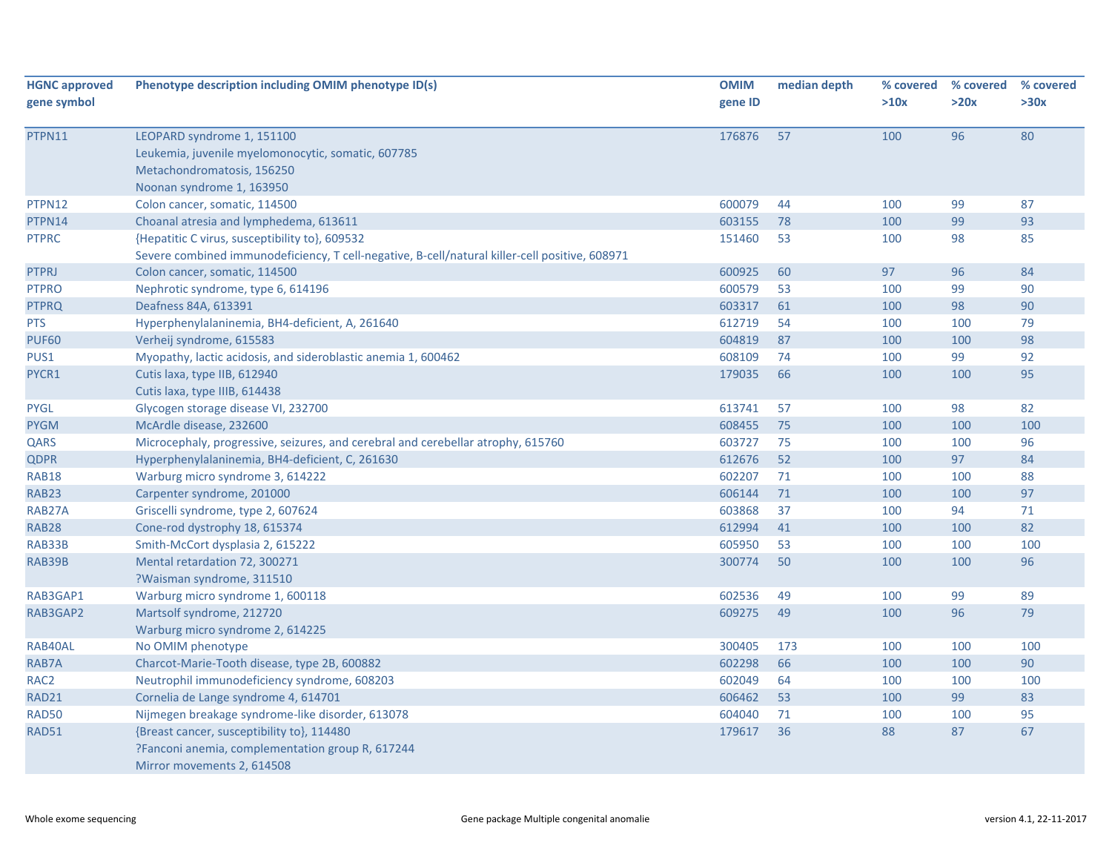| <b>HGNC approved</b><br>gene symbol | Phenotype description including OMIM phenotype ID(s)                                           | <b>OMIM</b><br>gene ID | median depth | % covered<br>>10x | % covered<br>>20x | % covered<br>>30x |
|-------------------------------------|------------------------------------------------------------------------------------------------|------------------------|--------------|-------------------|-------------------|-------------------|
|                                     |                                                                                                |                        |              |                   |                   |                   |
| PTPN11                              | LEOPARD syndrome 1, 151100                                                                     | 176876                 | 57           | 100               | 96                | 80                |
|                                     | Leukemia, juvenile myelomonocytic, somatic, 607785                                             |                        |              |                   |                   |                   |
|                                     | Metachondromatosis, 156250                                                                     |                        |              |                   |                   |                   |
|                                     | Noonan syndrome 1, 163950                                                                      |                        |              |                   |                   |                   |
| PTPN12                              | Colon cancer, somatic, 114500                                                                  | 600079                 | 44           | 100               | 99                | 87                |
| PTPN14                              | Choanal atresia and lymphedema, 613611                                                         | 603155                 | 78           | 100               | 99                | 93                |
| <b>PTPRC</b>                        | {Hepatitic C virus, susceptibility to}, 609532                                                 | 151460                 | 53           | 100               | 98                | 85                |
|                                     | Severe combined immunodeficiency, T cell-negative, B-cell/natural killer-cell positive, 608971 |                        |              |                   |                   |                   |
| <b>PTPRJ</b>                        | Colon cancer, somatic, 114500                                                                  | 600925                 | 60           | 97                | 96                | 84                |
| <b>PTPRO</b>                        | Nephrotic syndrome, type 6, 614196                                                             | 600579                 | 53           | 100               | 99                | 90                |
| <b>PTPRQ</b>                        | Deafness 84A, 613391                                                                           | 603317                 | 61           | 100               | 98                | 90                |
| <b>PTS</b>                          | Hyperphenylalaninemia, BH4-deficient, A, 261640                                                | 612719                 | 54           | 100               | 100               | 79                |
| <b>PUF60</b>                        | Verheij syndrome, 615583                                                                       | 604819                 | 87           | 100               | 100               | 98                |
| PUS1                                | Myopathy, lactic acidosis, and sideroblastic anemia 1, 600462                                  | 608109                 | 74           | 100               | 99                | 92                |
| PYCR1                               | Cutis laxa, type IIB, 612940                                                                   | 179035                 | 66           | 100               | 100               | 95                |
|                                     | Cutis laxa, type IIIB, 614438                                                                  |                        |              |                   |                   |                   |
| <b>PYGL</b>                         | Glycogen storage disease VI, 232700                                                            | 613741                 | 57           | 100               | 98                | 82                |
| <b>PYGM</b>                         | McArdle disease, 232600                                                                        | 608455                 | 75           | 100               | 100               | 100               |
| QARS                                | Microcephaly, progressive, seizures, and cerebral and cerebellar atrophy, 615760               | 603727                 | 75           | 100               | 100               | 96                |
| <b>QDPR</b>                         | Hyperphenylalaninemia, BH4-deficient, C, 261630                                                | 612676                 | 52           | 100               | 97                | 84                |
| <b>RAB18</b>                        | Warburg micro syndrome 3, 614222                                                               | 602207                 | 71           | 100               | 100               | 88                |
| <b>RAB23</b>                        | Carpenter syndrome, 201000                                                                     | 606144                 | 71           | 100               | 100               | 97                |
| RAB27A                              | Griscelli syndrome, type 2, 607624                                                             | 603868                 | 37           | 100               | 94                | 71                |
| <b>RAB28</b>                        | Cone-rod dystrophy 18, 615374                                                                  | 612994                 | 41           | 100               | 100               | 82                |
| RAB33B                              | Smith-McCort dysplasia 2, 615222                                                               | 605950                 | 53           | 100               | 100               | 100               |
| RAB39B                              | Mental retardation 72, 300271                                                                  | 300774                 | 50           | 100               | 100               | 96                |
|                                     | ?Waisman syndrome, 311510                                                                      |                        |              |                   |                   |                   |
| RAB3GAP1                            | Warburg micro syndrome 1, 600118                                                               | 602536                 | 49           | 100               | 99                | 89                |
| RAB3GAP2                            | Martsolf syndrome, 212720                                                                      | 609275                 | 49           | 100               | 96                | 79                |
|                                     | Warburg micro syndrome 2, 614225                                                               |                        |              |                   |                   |                   |
| RAB40AL                             | No OMIM phenotype                                                                              | 300405                 | 173          | 100               | 100               | 100               |
| RAB7A                               | Charcot-Marie-Tooth disease, type 2B, 600882                                                   | 602298                 | 66           | 100               | 100               | 90                |
| RAC <sub>2</sub>                    | Neutrophil immunodeficiency syndrome, 608203                                                   | 602049                 | 64           | 100               | 100               | 100               |
| <b>RAD21</b>                        | Cornelia de Lange syndrome 4, 614701                                                           | 606462                 | 53           | 100               | 99                | 83                |
| <b>RAD50</b>                        | Nijmegen breakage syndrome-like disorder, 613078                                               | 604040                 | 71           | 100               | 100               | 95                |
| RAD51                               | {Breast cancer, susceptibility to}, 114480                                                     | 179617                 | 36           | 88                | 87                | 67                |
|                                     | ?Fanconi anemia, complementation group R, 617244<br>Mirror movements 2, 614508                 |                        |              |                   |                   |                   |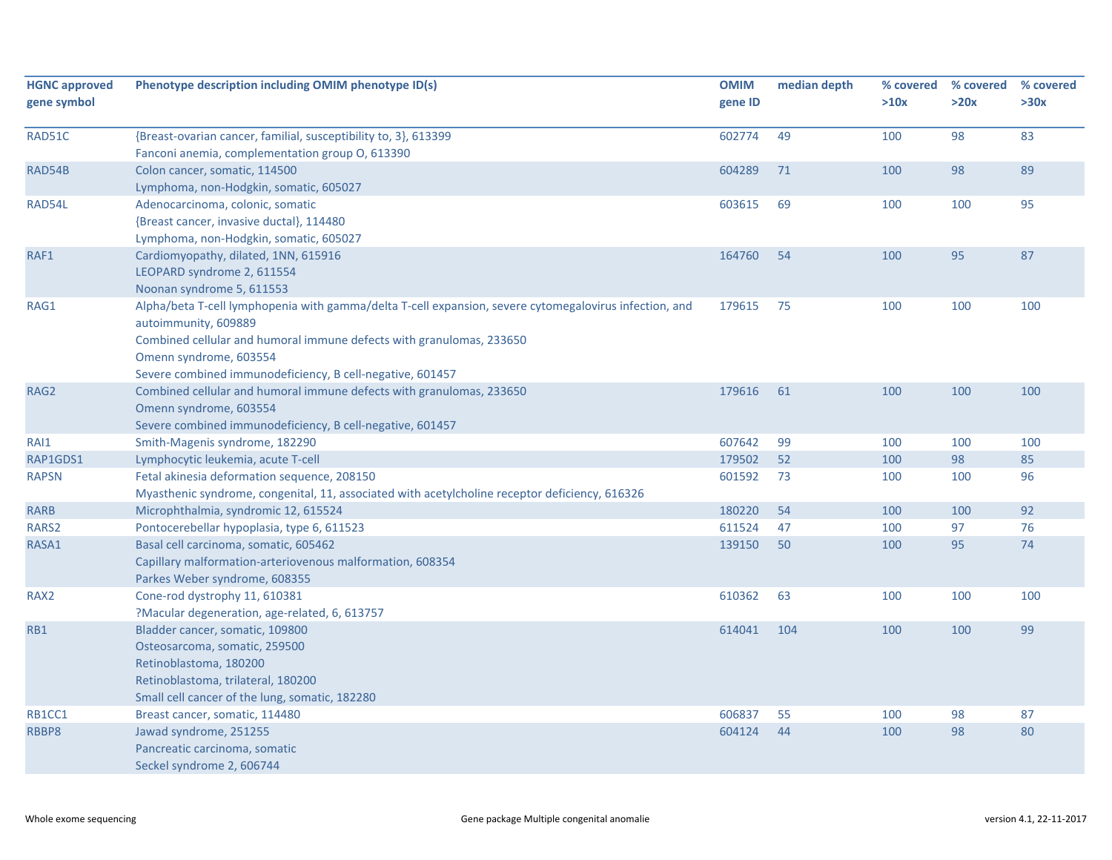| <b>HGNC approved</b><br>gene symbol | Phenotype description including OMIM phenotype ID(s)                                                                                                                                                                                                                                          | <b>OMIM</b><br>gene ID | median depth | % covered<br>>10x | % covered<br>>20x | % covered<br>>30x |
|-------------------------------------|-----------------------------------------------------------------------------------------------------------------------------------------------------------------------------------------------------------------------------------------------------------------------------------------------|------------------------|--------------|-------------------|-------------------|-------------------|
| RAD51C                              | {Breast-ovarian cancer, familial, susceptibility to, 3}, 613399<br>Fanconi anemia, complementation group O, 613390                                                                                                                                                                            | 602774                 | 49           | 100               | 98                | 83                |
| RAD54B                              | Colon cancer, somatic, 114500<br>Lymphoma, non-Hodgkin, somatic, 605027                                                                                                                                                                                                                       | 604289                 | 71           | 100               | 98                | 89                |
| RAD54L                              | Adenocarcinoma, colonic, somatic<br>{Breast cancer, invasive ductal}, 114480<br>Lymphoma, non-Hodgkin, somatic, 605027                                                                                                                                                                        | 603615                 | 69           | 100               | 100               | 95                |
| RAF1                                | Cardiomyopathy, dilated, 1NN, 615916<br>LEOPARD syndrome 2, 611554<br>Noonan syndrome 5, 611553                                                                                                                                                                                               | 164760                 | -54          | 100               | 95                | 87                |
| RAG1                                | Alpha/beta T-cell lymphopenia with gamma/delta T-cell expansion, severe cytomegalovirus infection, and<br>autoimmunity, 609889<br>Combined cellular and humoral immune defects with granulomas, 233650<br>Omenn syndrome, 603554<br>Severe combined immunodeficiency, B cell-negative, 601457 | 179615                 | 75           | 100               | 100               | 100               |
| RAG2                                | Combined cellular and humoral immune defects with granulomas, 233650<br>Omenn syndrome, 603554<br>Severe combined immunodeficiency, B cell-negative, 601457                                                                                                                                   | 179616                 | 61           | 100               | 100               | 100               |
| RAI1                                | Smith-Magenis syndrome, 182290                                                                                                                                                                                                                                                                | 607642                 | 99           | 100               | 100               | 100               |
| RAP1GDS1                            | Lymphocytic leukemia, acute T-cell                                                                                                                                                                                                                                                            | 179502                 | 52           | 100               | 98                | 85                |
| <b>RAPSN</b>                        | Fetal akinesia deformation sequence, 208150<br>Myasthenic syndrome, congenital, 11, associated with acetylcholine receptor deficiency, 616326                                                                                                                                                 | 601592                 | 73           | 100               | 100               | 96                |
| <b>RARB</b>                         | Microphthalmia, syndromic 12, 615524                                                                                                                                                                                                                                                          | 180220                 | 54           | 100               | 100               | 92                |
| RARS2                               | Pontocerebellar hypoplasia, type 6, 611523                                                                                                                                                                                                                                                    | 611524                 | 47           | 100               | 97                | 76                |
| RASA1                               | Basal cell carcinoma, somatic, 605462<br>Capillary malformation-arteriovenous malformation, 608354<br>Parkes Weber syndrome, 608355                                                                                                                                                           | 139150                 | 50           | 100               | 95                | 74                |
| RAX <sub>2</sub>                    | Cone-rod dystrophy 11, 610381<br>?Macular degeneration, age-related, 6, 613757                                                                                                                                                                                                                | 610362                 | 63           | 100               | 100               | 100               |
| RB1                                 | Bladder cancer, somatic, 109800<br>Osteosarcoma, somatic, 259500<br>Retinoblastoma, 180200<br>Retinoblastoma, trilateral, 180200<br>Small cell cancer of the lung, somatic, 182280                                                                                                            | 614041                 | 104          | 100               | 100               | 99                |
| RB1CC1                              | Breast cancer, somatic, 114480                                                                                                                                                                                                                                                                | 606837                 | 55           | 100               | 98                | 87                |
| RBBP8                               | Jawad syndrome, 251255<br>Pancreatic carcinoma, somatic<br>Seckel syndrome 2, 606744                                                                                                                                                                                                          | 604124                 | 44           | 100               | 98                | 80                |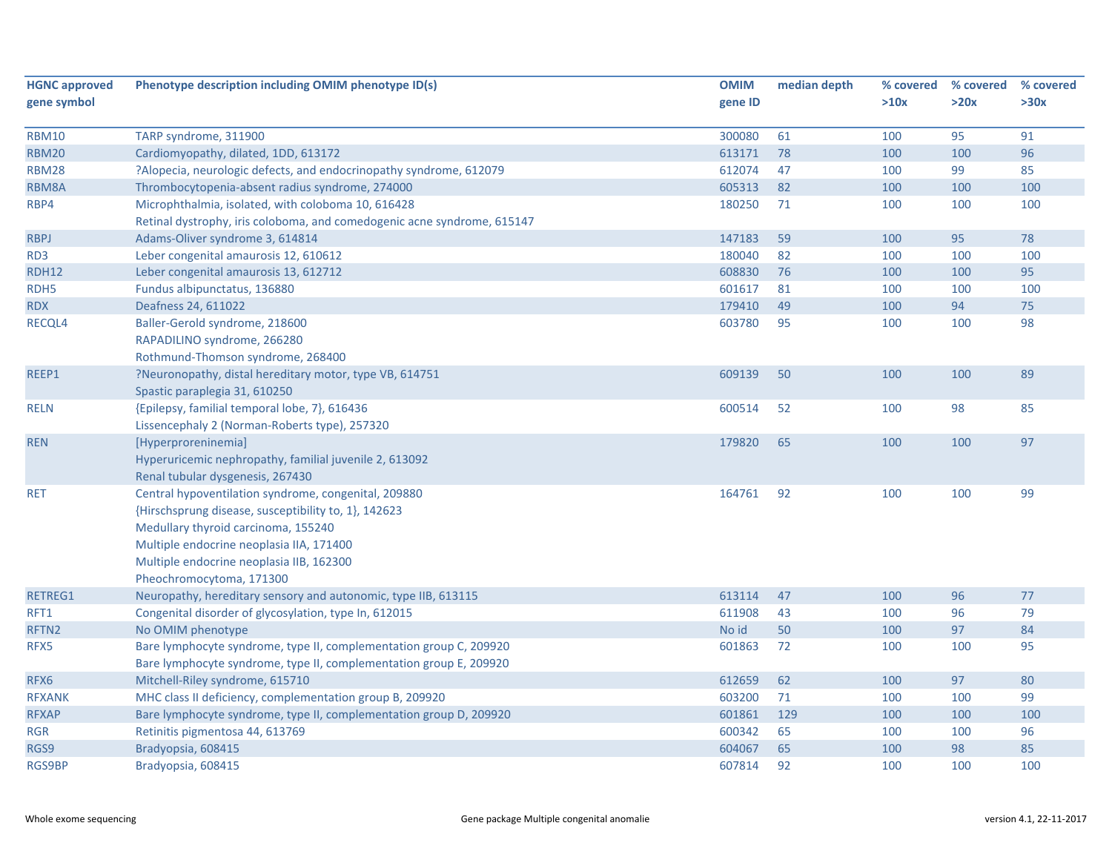| <b>HGNC approved</b> | Phenotype description including OMIM phenotype ID(s)                    | <b>OMIM</b> | median depth | % covered | % covered | % covered |
|----------------------|-------------------------------------------------------------------------|-------------|--------------|-----------|-----------|-----------|
| gene symbol          |                                                                         | gene ID     |              | >10x      | >20x      | >30x      |
|                      |                                                                         |             |              |           |           |           |
| <b>RBM10</b>         | TARP syndrome, 311900                                                   | 300080      | 61           | 100       | 95        | 91        |
| <b>RBM20</b>         | Cardiomyopathy, dilated, 1DD, 613172                                    | 613171      | 78           | 100       | 100       | 96        |
| <b>RBM28</b>         | ?Alopecia, neurologic defects, and endocrinopathy syndrome, 612079      | 612074      | 47           | 100       | 99        | 85        |
| RBM8A                | Thrombocytopenia-absent radius syndrome, 274000                         | 605313      | 82           | 100       | 100       | 100       |
| RBP4                 | Microphthalmia, isolated, with coloboma 10, 616428                      | 180250      | 71           | 100       | 100       | 100       |
|                      | Retinal dystrophy, iris coloboma, and comedogenic acne syndrome, 615147 |             |              |           |           |           |
| <b>RBPJ</b>          | Adams-Oliver syndrome 3, 614814                                         | 147183      | 59           | 100       | 95        | 78        |
| RD3                  | Leber congenital amaurosis 12, 610612                                   | 180040      | 82           | 100       | 100       | 100       |
| <b>RDH12</b>         | Leber congenital amaurosis 13, 612712                                   | 608830      | 76           | 100       | 100       | 95        |
| RDH5                 | Fundus albipunctatus, 136880                                            | 601617      | 81           | 100       | 100       | 100       |
| <b>RDX</b>           | Deafness 24, 611022                                                     | 179410      | 49           | 100       | 94        | 75        |
| RECQL4               | Baller-Gerold syndrome, 218600                                          | 603780      | 95           | 100       | 100       | 98        |
|                      | RAPADILINO syndrome, 266280                                             |             |              |           |           |           |
|                      | Rothmund-Thomson syndrome, 268400                                       |             |              |           |           |           |
| REEP1                | ?Neuronopathy, distal hereditary motor, type VB, 614751                 | 609139      | 50           | 100       | 100       | 89        |
|                      | Spastic paraplegia 31, 610250                                           |             |              |           |           |           |
| <b>RELN</b>          | {Epilepsy, familial temporal lobe, 7}, 616436                           | 600514      | 52           | 100       | 98        | 85        |
|                      | Lissencephaly 2 (Norman-Roberts type), 257320                           |             |              |           |           |           |
| <b>REN</b>           | [Hyperproreninemia]                                                     | 179820      | 65           | 100       | 100       | 97        |
|                      | Hyperuricemic nephropathy, familial juvenile 2, 613092                  |             |              |           |           |           |
|                      | Renal tubular dysgenesis, 267430                                        |             |              |           |           |           |
| <b>RET</b>           | Central hypoventilation syndrome, congenital, 209880                    | 164761      | 92           | 100       | 100       | 99        |
|                      | {Hirschsprung disease, susceptibility to, 1}, 142623                    |             |              |           |           |           |
|                      | Medullary thyroid carcinoma, 155240                                     |             |              |           |           |           |
|                      | Multiple endocrine neoplasia IIA, 171400                                |             |              |           |           |           |
|                      | Multiple endocrine neoplasia IIB, 162300                                |             |              |           |           |           |
|                      | Pheochromocytoma, 171300                                                |             |              |           |           |           |
| RETREG1              | Neuropathy, hereditary sensory and autonomic, type IIB, 613115          | 613114      | 47           | 100       | 96        | 77        |
| RFT1                 | Congenital disorder of glycosylation, type In, 612015                   | 611908      | 43           | 100       | 96        | 79        |
| RFTN2                | No OMIM phenotype                                                       | No id       | 50           | 100       | 97        | 84        |
| RFX5                 | Bare lymphocyte syndrome, type II, complementation group C, 209920      | 601863      | 72           | 100       | 100       | 95        |
|                      | Bare lymphocyte syndrome, type II, complementation group E, 209920      |             |              |           |           |           |
| RFX6                 | Mitchell-Riley syndrome, 615710                                         | 612659      | 62           | 100       | 97        | 80        |
| <b>RFXANK</b>        | MHC class II deficiency, complementation group B, 209920                | 603200      | 71           | 100       | 100       | 99        |
| <b>RFXAP</b>         | Bare lymphocyte syndrome, type II, complementation group D, 209920      | 601861      | 129          | 100       | 100       | 100       |
| RGR                  | Retinitis pigmentosa 44, 613769                                         | 600342      | 65           | 100       | 100       | 96        |
| RGS9                 | Bradyopsia, 608415                                                      | 604067      | 65           | 100       | 98        | 85        |
| <b>RGS9BP</b>        | Bradyopsia, 608415                                                      | 607814      | 92           | 100       | 100       | 100       |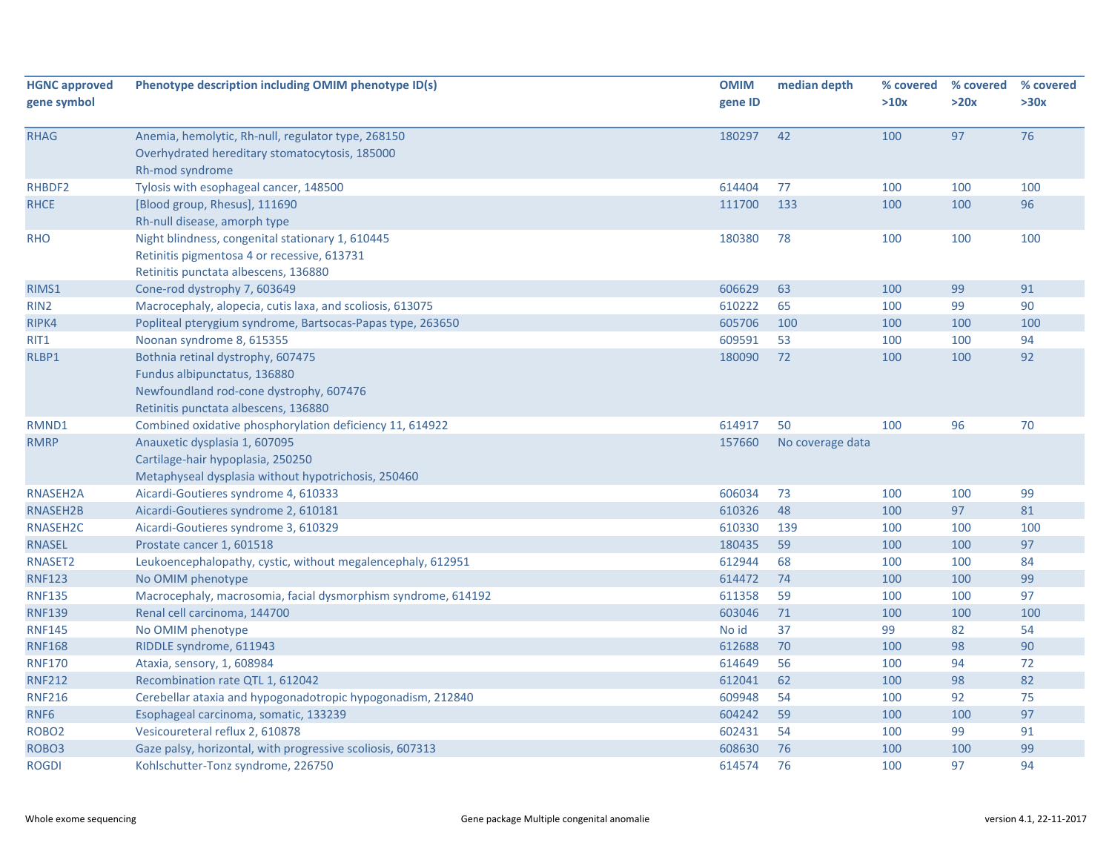| <b>HGNC approved</b><br>gene symbol | Phenotype description including OMIM phenotype ID(s)                                                                                                 | <b>OMIM</b><br>gene ID | median depth     | % covered<br>>10x | % covered<br>>20x | % covered<br>>30x |
|-------------------------------------|------------------------------------------------------------------------------------------------------------------------------------------------------|------------------------|------------------|-------------------|-------------------|-------------------|
|                                     |                                                                                                                                                      |                        |                  |                   |                   |                   |
| <b>RHAG</b>                         | Anemia, hemolytic, Rh-null, regulator type, 268150<br>Overhydrated hereditary stomatocytosis, 185000<br>Rh-mod syndrome                              | 180297                 | 42               | 100               | 97                | 76                |
| RHBDF2                              | Tylosis with esophageal cancer, 148500                                                                                                               | 614404                 | 77               | 100               | 100               | 100               |
| <b>RHCE</b>                         | [Blood group, Rhesus], 111690<br>Rh-null disease, amorph type                                                                                        | 111700                 | 133              | 100               | 100               | 96                |
| <b>RHO</b>                          | Night blindness, congenital stationary 1, 610445<br>Retinitis pigmentosa 4 or recessive, 613731<br>Retinitis punctata albescens, 136880              | 180380                 | 78               | 100               | 100               | 100               |
| RIMS1                               | Cone-rod dystrophy 7, 603649                                                                                                                         | 606629                 | 63               | 100               | 99                | 91                |
| RIN <sub>2</sub>                    | Macrocephaly, alopecia, cutis laxa, and scoliosis, 613075                                                                                            | 610222                 | 65               | 100               | 99                | 90                |
| RIPK4                               | Popliteal pterygium syndrome, Bartsocas-Papas type, 263650                                                                                           | 605706                 | 100              | 100               | 100               | 100               |
| RIT1                                | Noonan syndrome 8, 615355                                                                                                                            | 609591                 | 53               | 100               | 100               | 94                |
| RLBP1                               | Bothnia retinal dystrophy, 607475<br>Fundus albipunctatus, 136880<br>Newfoundland rod-cone dystrophy, 607476<br>Retinitis punctata albescens, 136880 | 180090                 | 72               | 100               | 100               | 92                |
| RMND1                               | Combined oxidative phosphorylation deficiency 11, 614922                                                                                             | 614917                 | 50               | 100               | 96                | 70                |
| <b>RMRP</b>                         | Anauxetic dysplasia 1, 607095<br>Cartilage-hair hypoplasia, 250250<br>Metaphyseal dysplasia without hypotrichosis, 250460                            | 157660                 | No coverage data |                   |                   |                   |
| RNASEH2A                            | Aicardi-Goutieres syndrome 4, 610333                                                                                                                 | 606034                 | 73               | 100               | 100               | 99                |
| RNASEH2B                            | Aicardi-Goutieres syndrome 2, 610181                                                                                                                 | 610326                 | 48               | 100               | 97                | 81                |
| RNASEH2C                            | Aicardi-Goutieres syndrome 3, 610329                                                                                                                 | 610330                 | 139              | 100               | 100               | 100               |
| <b>RNASEL</b>                       | Prostate cancer 1, 601518                                                                                                                            | 180435                 | 59               | 100               | 100               | 97                |
| RNASET2                             | Leukoencephalopathy, cystic, without megalencephaly, 612951                                                                                          | 612944                 | 68               | 100               | 100               | 84                |
| <b>RNF123</b>                       | No OMIM phenotype                                                                                                                                    | 614472                 | 74               | 100               | 100               | 99                |
| <b>RNF135</b>                       | Macrocephaly, macrosomia, facial dysmorphism syndrome, 614192                                                                                        | 611358                 | 59               | 100               | 100               | 97                |
| <b>RNF139</b>                       | Renal cell carcinoma, 144700                                                                                                                         | 603046                 | 71               | 100               | 100               | 100               |
| <b>RNF145</b>                       | No OMIM phenotype                                                                                                                                    | No id                  | 37               | 99                | 82                | 54                |
| <b>RNF168</b>                       | RIDDLE syndrome, 611943                                                                                                                              | 612688                 | 70               | 100               | 98                | 90                |
| <b>RNF170</b>                       | Ataxia, sensory, 1, 608984                                                                                                                           | 614649                 | 56               | 100               | 94                | 72                |
| <b>RNF212</b>                       | Recombination rate QTL 1, 612042                                                                                                                     | 612041                 | 62               | 100               | 98                | 82                |
| <b>RNF216</b>                       | Cerebellar ataxia and hypogonadotropic hypogonadism, 212840                                                                                          | 609948                 | 54               | 100               | 92                | 75                |
| RNF6                                | Esophageal carcinoma, somatic, 133239                                                                                                                | 604242                 | 59               | 100               | 100               | 97                |
| ROBO <sub>2</sub>                   | Vesicoureteral reflux 2, 610878                                                                                                                      | 602431                 | 54               | 100               | 99                | 91                |
| ROBO <sub>3</sub>                   | Gaze palsy, horizontal, with progressive scoliosis, 607313                                                                                           | 608630                 | 76               | 100               | 100               | 99                |
| <b>ROGDI</b>                        | Kohlschutter-Tonz syndrome, 226750                                                                                                                   | 614574                 | 76               | 100               | 97                | 94                |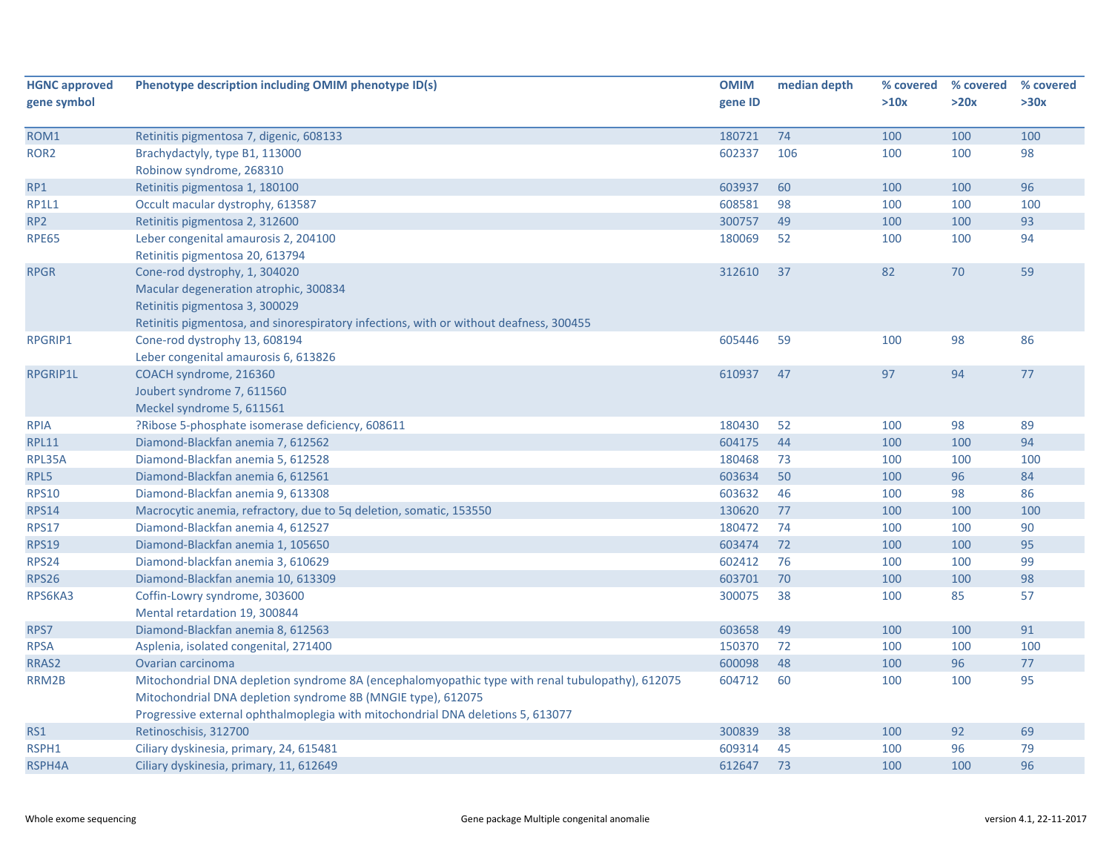| <b>HGNC approved</b> | Phenotype description including OMIM phenotype ID(s)                                             | <b>OMIM</b> | median depth | % covered | % covered | % covered |
|----------------------|--------------------------------------------------------------------------------------------------|-------------|--------------|-----------|-----------|-----------|
| gene symbol          |                                                                                                  | gene ID     |              | >10x      | >20x      | >30x      |
|                      |                                                                                                  |             |              |           |           |           |
| ROM1                 | Retinitis pigmentosa 7, digenic, 608133                                                          | 180721      | 74           | 100       | 100       | 100       |
| ROR <sub>2</sub>     | Brachydactyly, type B1, 113000                                                                   | 602337      | 106          | 100       | 100       | 98        |
|                      | Robinow syndrome, 268310                                                                         |             |              |           |           |           |
| RP1                  | Retinitis pigmentosa 1, 180100                                                                   | 603937      | 60           | 100       | 100       | 96        |
| <b>RP1L1</b>         | Occult macular dystrophy, 613587                                                                 | 608581      | 98           | 100       | 100       | 100       |
| RP <sub>2</sub>      | Retinitis pigmentosa 2, 312600                                                                   | 300757      | 49           | 100       | 100       | 93        |
| <b>RPE65</b>         | Leber congenital amaurosis 2, 204100                                                             | 180069      | 52           | 100       | 100       | 94        |
|                      | Retinitis pigmentosa 20, 613794                                                                  |             |              |           |           |           |
| <b>RPGR</b>          | Cone-rod dystrophy, 1, 304020                                                                    | 312610      | 37           | 82        | 70        | 59        |
|                      | Macular degeneration atrophic, 300834                                                            |             |              |           |           |           |
|                      | Retinitis pigmentosa 3, 300029                                                                   |             |              |           |           |           |
|                      | Retinitis pigmentosa, and sinorespiratory infections, with or without deafness, 300455           |             |              |           |           |           |
| <b>RPGRIP1</b>       | Cone-rod dystrophy 13, 608194                                                                    | 605446      | 59           | 100       | 98        | 86        |
|                      | Leber congenital amaurosis 6, 613826                                                             |             |              |           |           |           |
| RPGRIP1L             | COACH syndrome, 216360                                                                           | 610937      | 47           | 97        | 94        | 77        |
|                      | Joubert syndrome 7, 611560                                                                       |             |              |           |           |           |
|                      | Meckel syndrome 5, 611561                                                                        |             |              |           |           |           |
| <b>RPIA</b>          | ?Ribose 5-phosphate isomerase deficiency, 608611                                                 | 180430      | 52           | 100       | 98        | 89        |
| <b>RPL11</b>         | Diamond-Blackfan anemia 7, 612562                                                                | 604175      | 44           | 100       | 100       | 94        |
| RPL35A               | Diamond-Blackfan anemia 5, 612528                                                                | 180468      | 73           | 100       | 100       | 100       |
| RPL5                 | Diamond-Blackfan anemia 6, 612561                                                                | 603634      | 50           | 100       | 96        | 84        |
| <b>RPS10</b>         | Diamond-Blackfan anemia 9, 613308                                                                | 603632      | 46           | 100       | 98        | 86        |
| <b>RPS14</b>         | Macrocytic anemia, refractory, due to 5q deletion, somatic, 153550                               | 130620      | 77           | 100       | 100       | 100       |
| <b>RPS17</b>         | Diamond-Blackfan anemia 4, 612527                                                                | 180472      | 74           | 100       | 100       | 90        |
| <b>RPS19</b>         | Diamond-Blackfan anemia 1, 105650                                                                | 603474      | 72           | 100       | 100       | 95        |
| <b>RPS24</b>         | Diamond-blackfan anemia 3, 610629                                                                | 602412      | 76           | 100       | 100       | 99        |
| <b>RPS26</b>         | Diamond-Blackfan anemia 10, 613309                                                               | 603701      | 70           | 100       | 100       | 98        |
| RPS6KA3              | Coffin-Lowry syndrome, 303600                                                                    | 300075      | 38           | 100       | 85        | 57        |
|                      | Mental retardation 19, 300844                                                                    |             |              |           |           |           |
| RPS7                 | Diamond-Blackfan anemia 8, 612563                                                                | 603658      | 49           | 100       | 100       | 91        |
| <b>RPSA</b>          | Asplenia, isolated congenital, 271400                                                            | 150370      | 72           | 100       | 100       | 100       |
| RRAS2                | Ovarian carcinoma                                                                                | 600098      | 48           | 100       | 96        | 77        |
| RRM2B                | Mitochondrial DNA depletion syndrome 8A (encephalomyopathic type with renal tubulopathy), 612075 | 604712      | 60           | 100       | 100       | 95        |
|                      | Mitochondrial DNA depletion syndrome 8B (MNGIE type), 612075                                     |             |              |           |           |           |
|                      | Progressive external ophthalmoplegia with mitochondrial DNA deletions 5, 613077                  |             |              |           |           |           |
| RS1                  | Retinoschisis, 312700                                                                            | 300839      | 38           | 100       | 92        | 69        |
| RSPH1                | Ciliary dyskinesia, primary, 24, 615481                                                          | 609314      | 45           | 100       | 96        | 79        |
| RSPH4A               | Ciliary dyskinesia, primary, 11, 612649                                                          | 612647      | 73           | 100       | 100       | 96        |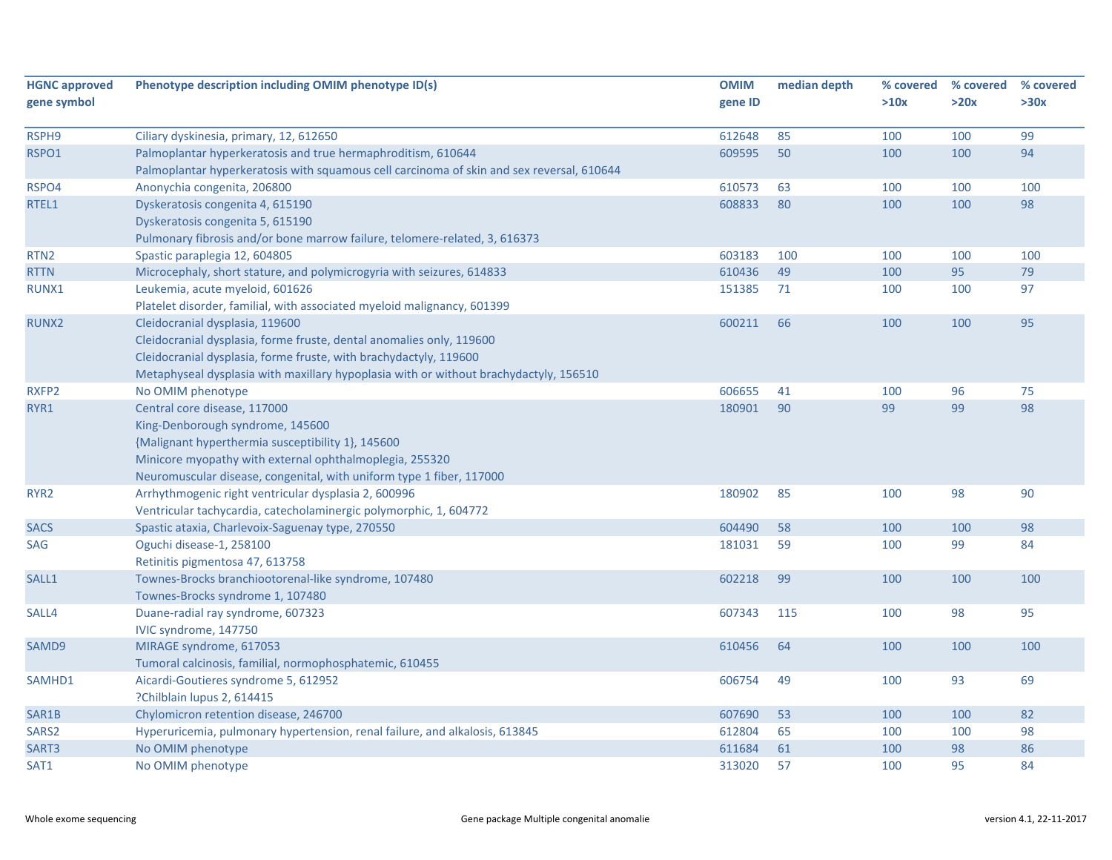| <b>HGNC approved</b><br>gene symbol | Phenotype description including OMIM phenotype ID(s)                                      | <b>OMIM</b><br>gene ID | median depth | % covered<br>>10x | % covered<br>>20x | % covered<br>>30x |
|-------------------------------------|-------------------------------------------------------------------------------------------|------------------------|--------------|-------------------|-------------------|-------------------|
| RSPH9                               | Ciliary dyskinesia, primary, 12, 612650                                                   | 612648                 | 85           | 100               | 100               | 99                |
| RSPO1                               | Palmoplantar hyperkeratosis and true hermaphroditism, 610644                              | 609595                 | 50           | 100               | 100               | 94                |
|                                     | Palmoplantar hyperkeratosis with squamous cell carcinoma of skin and sex reversal, 610644 |                        |              |                   |                   |                   |
| RSPO4                               | Anonychia congenita, 206800                                                               | 610573                 | 63           | 100               | 100               | 100               |
| RTEL1                               | Dyskeratosis congenita 4, 615190                                                          | 608833                 | 80           | 100               | 100               | 98                |
|                                     | Dyskeratosis congenita 5, 615190                                                          |                        |              |                   |                   |                   |
|                                     | Pulmonary fibrosis and/or bone marrow failure, telomere-related, 3, 616373                |                        |              |                   |                   |                   |
| RTN <sub>2</sub>                    | Spastic paraplegia 12, 604805                                                             | 603183                 | 100          | 100               | 100               | 100               |
| <b>RTTN</b>                         | Microcephaly, short stature, and polymicrogyria with seizures, 614833                     | 610436                 | 49           | 100               | 95                | 79                |
| RUNX1                               | Leukemia, acute myeloid, 601626                                                           | 151385                 | 71           | 100               | 100               | 97                |
|                                     | Platelet disorder, familial, with associated myeloid malignancy, 601399                   |                        |              |                   |                   |                   |
| RUNX2                               | Cleidocranial dysplasia, 119600                                                           | 600211                 | 66           | 100               | 100               | 95                |
|                                     | Cleidocranial dysplasia, forme fruste, dental anomalies only, 119600                      |                        |              |                   |                   |                   |
|                                     | Cleidocranial dysplasia, forme fruste, with brachydactyly, 119600                         |                        |              |                   |                   |                   |
|                                     | Metaphyseal dysplasia with maxillary hypoplasia with or without brachydactyly, 156510     |                        |              |                   |                   |                   |
| RXFP2                               | No OMIM phenotype                                                                         | 606655                 | 41           | 100               | 96                | 75                |
| RYR1                                | Central core disease, 117000                                                              | 180901                 | 90           | 99                | 99                | 98                |
|                                     | King-Denborough syndrome, 145600                                                          |                        |              |                   |                   |                   |
|                                     | {Malignant hyperthermia susceptibility 1}, 145600                                         |                        |              |                   |                   |                   |
|                                     | Minicore myopathy with external ophthalmoplegia, 255320                                   |                        |              |                   |                   |                   |
|                                     | Neuromuscular disease, congenital, with uniform type 1 fiber, 117000                      |                        |              |                   |                   |                   |
| RYR <sub>2</sub>                    | Arrhythmogenic right ventricular dysplasia 2, 600996                                      | 180902                 | 85           | 100               | 98                | 90                |
|                                     | Ventricular tachycardia, catecholaminergic polymorphic, 1, 604772                         |                        |              |                   |                   |                   |
| <b>SACS</b>                         | Spastic ataxia, Charlevoix-Saguenay type, 270550                                          | 604490                 | 58           | 100               | 100               | 98                |
| SAG                                 | Oguchi disease-1, 258100                                                                  | 181031                 | 59           | 100               | 99                | 84                |
|                                     | Retinitis pigmentosa 47, 613758                                                           |                        |              |                   |                   |                   |
| SALL1                               | Townes-Brocks branchiootorenal-like syndrome, 107480                                      | 602218                 | 99           | 100               | 100               | 100               |
|                                     | Townes-Brocks syndrome 1, 107480                                                          |                        |              |                   |                   |                   |
| SALL4                               | Duane-radial ray syndrome, 607323                                                         | 607343                 | 115          | 100               | 98                | 95                |
|                                     | IVIC syndrome, 147750                                                                     |                        |              |                   |                   |                   |
| SAMD9                               | MIRAGE syndrome, 617053                                                                   | 610456                 | 64           | 100               | 100               | 100               |
|                                     | Tumoral calcinosis, familial, normophosphatemic, 610455                                   |                        |              |                   |                   |                   |
| SAMHD1                              | Aicardi-Goutieres syndrome 5, 612952                                                      | 606754                 | 49           | 100               | 93                | 69                |
|                                     | ?Chilblain lupus 2, 614415                                                                |                        |              |                   |                   |                   |
| SAR1B                               | Chylomicron retention disease, 246700                                                     | 607690                 | 53           | 100               | 100               | 82                |
| SARS2                               | Hyperuricemia, pulmonary hypertension, renal failure, and alkalosis, 613845               | 612804                 | 65           | 100               | 100               | 98                |
| SART3                               | No OMIM phenotype                                                                         | 611684                 | 61           | 100               | 98                | 86                |
| SAT1                                | No OMIM phenotype                                                                         | 313020                 | 57           | 100               | 95                | 84                |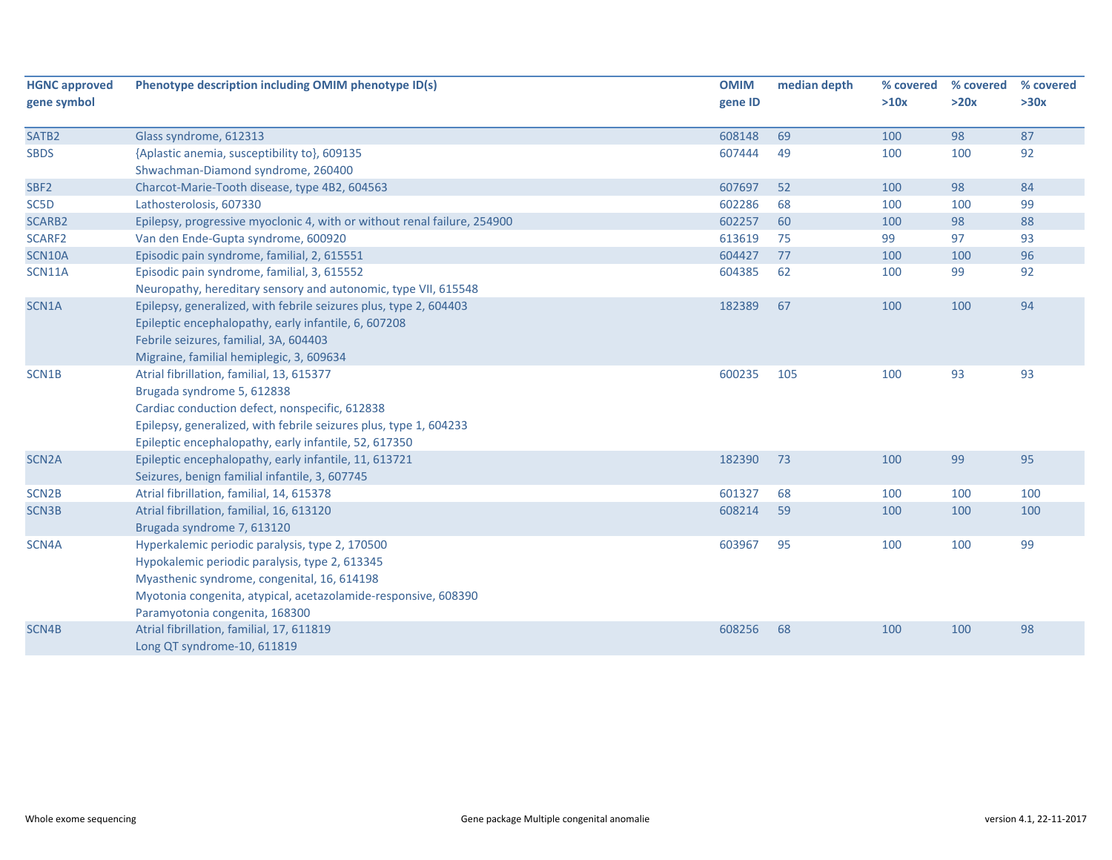| <b>HGNC approved</b><br>gene symbol | Phenotype description including OMIM phenotype ID(s)                                                                                                                                                                                                    | <b>OMIM</b><br>gene ID | median depth | % covered<br>>10x | % covered<br>>20x | % covered<br>>30x |
|-------------------------------------|---------------------------------------------------------------------------------------------------------------------------------------------------------------------------------------------------------------------------------------------------------|------------------------|--------------|-------------------|-------------------|-------------------|
| SATB <sub>2</sub>                   | Glass syndrome, 612313                                                                                                                                                                                                                                  | 608148                 | 69           | 100               | 98                | 87                |
| <b>SBDS</b>                         | {Aplastic anemia, susceptibility to}, 609135<br>Shwachman-Diamond syndrome, 260400                                                                                                                                                                      | 607444                 | 49           | 100               | 100               | 92                |
| SBF <sub>2</sub>                    | Charcot-Marie-Tooth disease, type 4B2, 604563                                                                                                                                                                                                           | 607697                 | 52           | 100               | 98                | 84                |
| SC5D                                | Lathosterolosis, 607330                                                                                                                                                                                                                                 | 602286                 | 68           | 100               | 100               | 99                |
| <b>SCARB2</b>                       | Epilepsy, progressive myoclonic 4, with or without renal failure, 254900                                                                                                                                                                                | 602257                 | 60           | 100               | 98                | 88                |
| SCARF2                              | Van den Ende-Gupta syndrome, 600920                                                                                                                                                                                                                     | 613619                 | 75           | 99                | 97                | 93                |
| <b>SCN10A</b>                       | Episodic pain syndrome, familial, 2, 615551                                                                                                                                                                                                             | 604427                 | 77           | 100               | 100               | 96                |
| <b>SCN11A</b>                       | Episodic pain syndrome, familial, 3, 615552<br>Neuropathy, hereditary sensory and autonomic, type VII, 615548                                                                                                                                           | 604385                 | 62           | 100               | 99                | 92                |
| SCN1A                               | Epilepsy, generalized, with febrile seizures plus, type 2, 604403<br>Epileptic encephalopathy, early infantile, 6, 607208<br>Febrile seizures, familial, 3A, 604403<br>Migraine, familial hemiplegic, 3, 609634                                         | 182389                 | 67           | 100               | 100               | 94                |
| SCN1B                               | Atrial fibrillation, familial, 13, 615377<br>Brugada syndrome 5, 612838<br>Cardiac conduction defect, nonspecific, 612838<br>Epilepsy, generalized, with febrile seizures plus, type 1, 604233<br>Epileptic encephalopathy, early infantile, 52, 617350 | 600235                 | 105          | 100               | 93                | 93                |
| SCN <sub>2</sub> A                  | Epileptic encephalopathy, early infantile, 11, 613721<br>Seizures, benign familial infantile, 3, 607745                                                                                                                                                 | 182390                 | 73           | 100               | 99                | 95                |
| SCN <sub>2B</sub>                   | Atrial fibrillation, familial, 14, 615378                                                                                                                                                                                                               | 601327                 | 68           | 100               | 100               | 100               |
| SCN3B                               | Atrial fibrillation, familial, 16, 613120<br>Brugada syndrome 7, 613120                                                                                                                                                                                 | 608214                 | 59           | 100               | 100               | 100               |
| SCN4A                               | Hyperkalemic periodic paralysis, type 2, 170500<br>Hypokalemic periodic paralysis, type 2, 613345<br>Myasthenic syndrome, congenital, 16, 614198<br>Myotonia congenita, atypical, acetazolamide-responsive, 608390<br>Paramyotonia congenita, 168300    | 603967                 | 95           | 100               | 100               | 99                |
| SCN4B                               | Atrial fibrillation, familial, 17, 611819<br>Long QT syndrome-10, 611819                                                                                                                                                                                | 608256                 | 68           | 100               | 100               | 98                |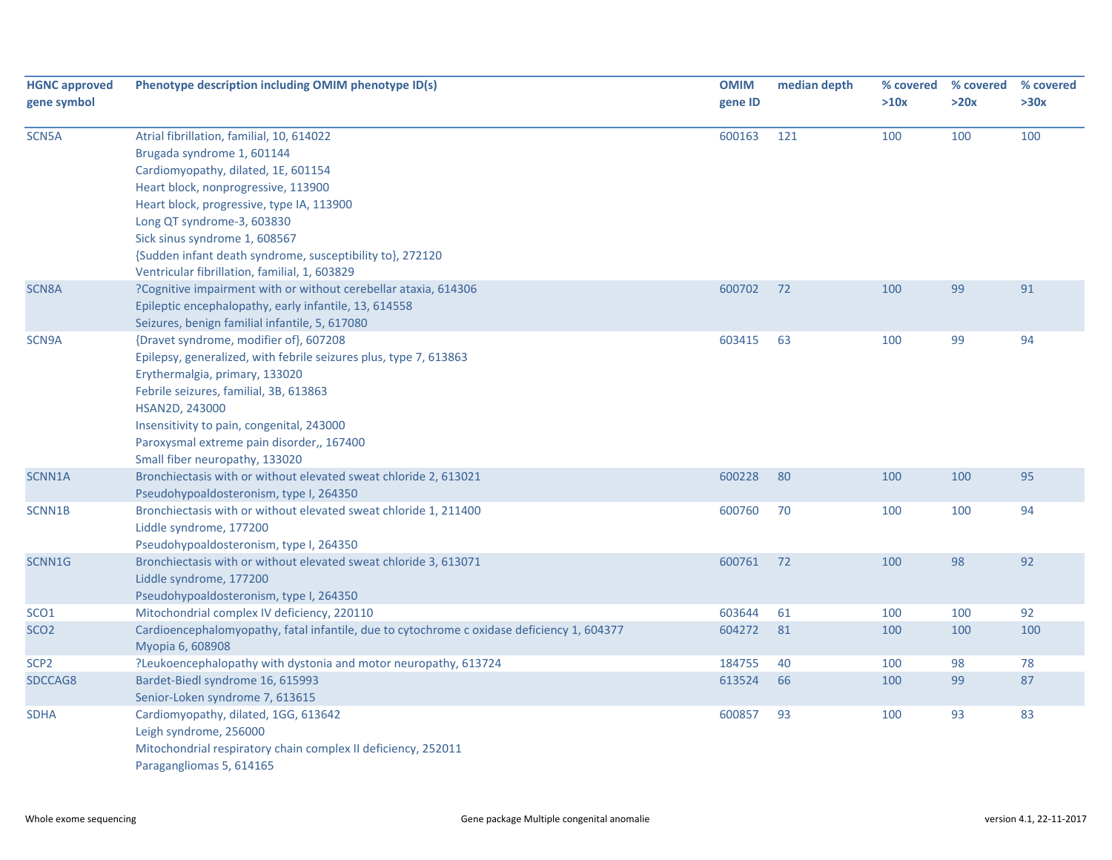| <b>HGNC approved</b><br>gene symbol | Phenotype description including OMIM phenotype ID(s)                                                                                                                                                                                                                                                                                                                            | <b>OMIM</b><br>gene ID | median depth | % covered<br>>10x | % covered<br>>20x | % covered<br>>30x |
|-------------------------------------|---------------------------------------------------------------------------------------------------------------------------------------------------------------------------------------------------------------------------------------------------------------------------------------------------------------------------------------------------------------------------------|------------------------|--------------|-------------------|-------------------|-------------------|
| SCN5A                               | Atrial fibrillation, familial, 10, 614022<br>Brugada syndrome 1, 601144<br>Cardiomyopathy, dilated, 1E, 601154<br>Heart block, nonprogressive, 113900<br>Heart block, progressive, type IA, 113900<br>Long QT syndrome-3, 603830<br>Sick sinus syndrome 1, 608567<br>{Sudden infant death syndrome, susceptibility to}, 272120<br>Ventricular fibrillation, familial, 1, 603829 | 600163                 | 121          | 100               | 100               | 100               |
| SCN8A                               | ?Cognitive impairment with or without cerebellar ataxia, 614306<br>Epileptic encephalopathy, early infantile, 13, 614558<br>Seizures, benign familial infantile, 5, 617080                                                                                                                                                                                                      | 600702                 | 72           | 100               | 99                | 91                |
| SCN9A                               | {Dravet syndrome, modifier of}, 607208<br>Epilepsy, generalized, with febrile seizures plus, type 7, 613863<br>Erythermalgia, primary, 133020<br>Febrile seizures, familial, 3B, 613863<br>HSAN2D, 243000<br>Insensitivity to pain, congenital, 243000<br>Paroxysmal extreme pain disorder,, 167400<br>Small fiber neuropathy, 133020                                           | 603415                 | 63           | 100               | 99                | 94                |
| SCNN1A                              | Bronchiectasis with or without elevated sweat chloride 2, 613021<br>Pseudohypoaldosteronism, type I, 264350                                                                                                                                                                                                                                                                     | 600228                 | 80           | 100               | 100               | 95                |
| SCNN1B                              | Bronchiectasis with or without elevated sweat chloride 1, 211400<br>Liddle syndrome, 177200<br>Pseudohypoaldosteronism, type I, 264350                                                                                                                                                                                                                                          | 600760                 | 70           | 100               | 100               | 94                |
| SCNN1G                              | Bronchiectasis with or without elevated sweat chloride 3, 613071<br>Liddle syndrome, 177200<br>Pseudohypoaldosteronism, type I, 264350                                                                                                                                                                                                                                          | 600761                 | 72           | 100               | 98                | 92                |
| SCO <sub>1</sub>                    | Mitochondrial complex IV deficiency, 220110                                                                                                                                                                                                                                                                                                                                     | 603644                 | 61           | 100               | 100               | 92                |
| SCO <sub>2</sub>                    | Cardioencephalomyopathy, fatal infantile, due to cytochrome c oxidase deficiency 1, 604377<br>Myopia 6, 608908                                                                                                                                                                                                                                                                  | 604272                 | 81           | 100               | 100               | 100               |
| SCP <sub>2</sub>                    | ?Leukoencephalopathy with dystonia and motor neuropathy, 613724                                                                                                                                                                                                                                                                                                                 | 184755                 | 40           | 100               | 98                | 78                |
| SDCCAG8                             | Bardet-Biedl syndrome 16, 615993<br>Senior-Loken syndrome 7, 613615                                                                                                                                                                                                                                                                                                             | 613524                 | 66           | 100               | 99                | 87                |
| <b>SDHA</b>                         | Cardiomyopathy, dilated, 1GG, 613642<br>Leigh syndrome, 256000<br>Mitochondrial respiratory chain complex II deficiency, 252011<br>Paragangliomas 5, 614165                                                                                                                                                                                                                     | 600857                 | 93           | 100               | 93                | 83                |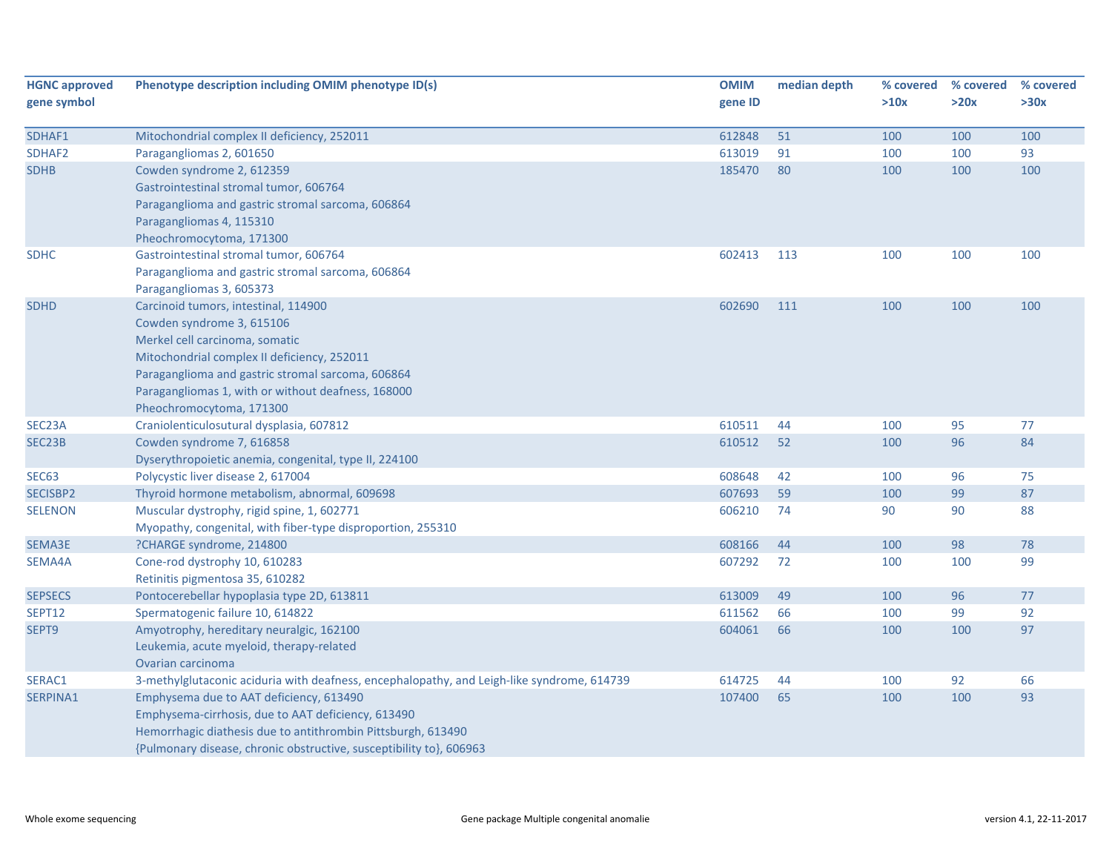| <b>HGNC approved</b><br>gene symbol | Phenotype description including OMIM phenotype ID(s)                                       | <b>OMIM</b><br>gene ID | median depth | % covered<br>>10x | % covered<br>>20x | % covered<br>>30x |
|-------------------------------------|--------------------------------------------------------------------------------------------|------------------------|--------------|-------------------|-------------------|-------------------|
|                                     |                                                                                            |                        |              |                   |                   |                   |
| SDHAF1                              | Mitochondrial complex II deficiency, 252011                                                | 612848                 | 51           | 100               | 100               | 100               |
| SDHAF2                              | Paragangliomas 2, 601650                                                                   | 613019                 | 91           | 100               | 100               | 93                |
| <b>SDHB</b>                         | Cowden syndrome 2, 612359                                                                  | 185470                 | 80           | 100               | 100               | 100               |
|                                     | Gastrointestinal stromal tumor, 606764                                                     |                        |              |                   |                   |                   |
|                                     | Paraganglioma and gastric stromal sarcoma, 606864                                          |                        |              |                   |                   |                   |
|                                     | Paragangliomas 4, 115310                                                                   |                        |              |                   |                   |                   |
|                                     | Pheochromocytoma, 171300                                                                   |                        |              |                   |                   |                   |
| <b>SDHC</b>                         | Gastrointestinal stromal tumor, 606764                                                     | 602413                 | 113          | 100               | 100               | 100               |
|                                     | Paraganglioma and gastric stromal sarcoma, 606864                                          |                        |              |                   |                   |                   |
|                                     | Paragangliomas 3, 605373                                                                   |                        |              |                   |                   |                   |
| <b>SDHD</b>                         | Carcinoid tumors, intestinal, 114900                                                       | 602690                 | 111          | 100               | 100               | 100               |
|                                     | Cowden syndrome 3, 615106                                                                  |                        |              |                   |                   |                   |
|                                     | Merkel cell carcinoma, somatic                                                             |                        |              |                   |                   |                   |
|                                     | Mitochondrial complex II deficiency, 252011                                                |                        |              |                   |                   |                   |
|                                     | Paraganglioma and gastric stromal sarcoma, 606864                                          |                        |              |                   |                   |                   |
|                                     | Paragangliomas 1, with or without deafness, 168000                                         |                        |              |                   |                   |                   |
|                                     | Pheochromocytoma, 171300                                                                   |                        |              |                   |                   |                   |
| SEC23A                              | Craniolenticulosutural dysplasia, 607812                                                   | 610511                 | 44           | 100               | 95                | 77                |
| SEC23B                              | Cowden syndrome 7, 616858                                                                  | 610512                 | 52           | 100               | 96                | 84                |
|                                     | Dyserythropoietic anemia, congenital, type II, 224100                                      |                        |              |                   |                   |                   |
| SEC <sub>63</sub>                   | Polycystic liver disease 2, 617004                                                         | 608648                 | 42           | 100               | 96                | 75                |
| SECISBP2                            | Thyroid hormone metabolism, abnormal, 609698                                               | 607693                 | 59           | 100               | 99                | 87                |
| <b>SELENON</b>                      | Muscular dystrophy, rigid spine, 1, 602771                                                 | 606210                 | 74           | 90                | 90                | 88                |
|                                     | Myopathy, congenital, with fiber-type disproportion, 255310                                |                        |              |                   |                   |                   |
| SEMA3E                              | ?CHARGE syndrome, 214800                                                                   | 608166                 | 44           | 100               | 98                | 78                |
| SEMA4A                              | Cone-rod dystrophy 10, 610283                                                              | 607292                 | 72           | 100               | 100               | 99                |
|                                     | Retinitis pigmentosa 35, 610282                                                            |                        |              |                   |                   |                   |
| <b>SEPSECS</b>                      | Pontocerebellar hypoplasia type 2D, 613811                                                 | 613009                 | 49           | 100               | 96                | 77                |
| <b>SEPT12</b>                       | Spermatogenic failure 10, 614822                                                           | 611562                 | 66           | 100               | 99                | 92                |
| SEPT <sub>9</sub>                   | Amyotrophy, hereditary neuralgic, 162100                                                   | 604061                 | 66           | 100               | 100               | 97                |
|                                     | Leukemia, acute myeloid, therapy-related                                                   |                        |              |                   |                   |                   |
|                                     | Ovarian carcinoma                                                                          |                        |              |                   |                   |                   |
| SERAC1                              | 3-methylglutaconic aciduria with deafness, encephalopathy, and Leigh-like syndrome, 614739 | 614725                 | 44           | 100               | 92                | 66                |
| SERPINA1                            | Emphysema due to AAT deficiency, 613490                                                    | 107400                 | 65           | 100               | 100               | 93                |
|                                     | Emphysema-cirrhosis, due to AAT deficiency, 613490                                         |                        |              |                   |                   |                   |
|                                     | Hemorrhagic diathesis due to antithrombin Pittsburgh, 613490                               |                        |              |                   |                   |                   |
|                                     | {Pulmonary disease, chronic obstructive, susceptibility to}, 606963                        |                        |              |                   |                   |                   |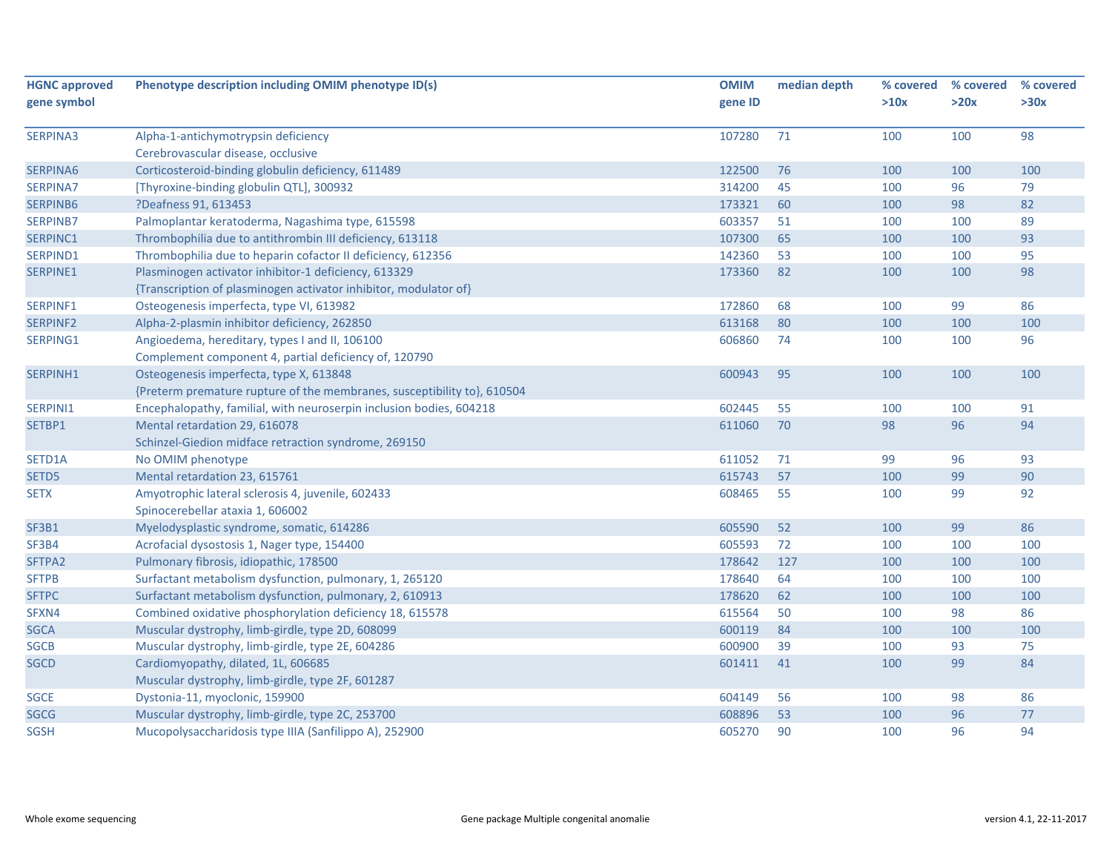| <b>HGNC approved</b>       | Phenotype description including OMIM phenotype ID(s)                    | <b>OMIM</b>      | median depth | % covered  | % covered | % covered |
|----------------------------|-------------------------------------------------------------------------|------------------|--------------|------------|-----------|-----------|
| gene symbol                |                                                                         | gene ID          |              | >10x       | >20x      | >30x      |
|                            |                                                                         |                  |              |            |           |           |
| SERPINA3                   | Alpha-1-antichymotrypsin deficiency                                     | 107280           | 71           | 100        | 100       | 98        |
|                            | Cerebrovascular disease, occlusive                                      |                  |              |            |           |           |
| SERPINA6                   | Corticosteroid-binding globulin deficiency, 611489                      | 122500           | 76           | 100        | 100       | 100       |
| SERPINA7                   | [Thyroxine-binding globulin QTL], 300932                                | 314200           | 45           | 100        | 96        | 79        |
| SERPINB6                   | ?Deafness 91, 613453                                                    | 173321           | 60           | 100        | 98        | 82        |
| <b>SERPINB7</b>            | Palmoplantar keratoderma, Nagashima type, 615598                        | 603357           | 51           | 100        | 100       | 89        |
| SERPINC1                   | Thrombophilia due to antithrombin III deficiency, 613118                | 107300           | 65           | 100        | 100       | 93        |
| SERPIND1                   | Thrombophilia due to heparin cofactor II deficiency, 612356             | 142360           | 53           | 100        | 100       | 95        |
| SERPINE1                   | Plasminogen activator inhibitor-1 deficiency, 613329                    | 173360           | 82           | 100        | 100       | 98        |
|                            | {Transcription of plasminogen activator inhibitor, modulator of}        |                  |              |            |           |           |
| SERPINF1                   | Osteogenesis imperfecta, type VI, 613982                                | 172860           | 68           | 100        | 99        | 86        |
| SERPINF2                   | Alpha-2-plasmin inhibitor deficiency, 262850                            | 613168           | 80           | 100        | 100       | 100       |
| SERPING1                   | Angioedema, hereditary, types I and II, 106100                          | 606860           | 74           | 100        | 100       | 96        |
|                            | Complement component 4, partial deficiency of, 120790                   |                  |              |            |           |           |
| SERPINH1                   | Osteogenesis imperfecta, type X, 613848                                 | 600943           | 95           | 100        | 100       | 100       |
|                            | {Preterm premature rupture of the membranes, susceptibility to}, 610504 |                  |              |            |           |           |
| SERPINI1                   | Encephalopathy, familial, with neuroserpin inclusion bodies, 604218     | 602445           | 55           | 100        | 100       | 91        |
| SETBP1                     | Mental retardation 29, 616078                                           | 611060           | 70           | 98         | 96        | 94        |
|                            | Schinzel-Giedion midface retraction syndrome, 269150                    |                  |              |            |           |           |
| SETD1A                     | No OMIM phenotype                                                       | 611052           | 71           | 99         | 96        | 93        |
| SETD5                      | Mental retardation 23, 615761                                           | 615743           | 57           | 100        | 99        | 90        |
| <b>SETX</b>                | Amyotrophic lateral sclerosis 4, juvenile, 602433                       | 608465           | 55           | 100        | 99        | 92        |
|                            | Spinocerebellar ataxia 1, 606002                                        |                  |              |            |           |           |
| SF3B1                      | Myelodysplastic syndrome, somatic, 614286                               | 605590           | 52           | 100        | 99        | 86        |
| SF3B4                      | Acrofacial dysostosis 1, Nager type, 154400                             | 605593           | 72           | 100        | 100       | 100       |
| SFTPA2                     | Pulmonary fibrosis, idiopathic, 178500                                  | 178642           | 127          | 100        | 100       | 100       |
| <b>SFTPB</b>               | Surfactant metabolism dysfunction, pulmonary, 1, 265120                 | 178640           | 64           | 100        | 100       | 100       |
| <b>SFTPC</b>               | Surfactant metabolism dysfunction, pulmonary, 2, 610913                 | 178620           | 62           | 100        | 100       | 100       |
| SFXN4                      | Combined oxidative phosphorylation deficiency 18, 615578                | 615564           | 50           | 100        | 98        | 86        |
|                            |                                                                         |                  | 84           |            |           | 100       |
| <b>SGCA</b><br><b>SGCB</b> | Muscular dystrophy, limb-girdle, type 2D, 608099                        | 600119<br>600900 | 39           | 100<br>100 | 100<br>93 | 75        |
|                            | Muscular dystrophy, limb-girdle, type 2E, 604286                        |                  |              |            |           |           |
| <b>SGCD</b>                | Cardiomyopathy, dilated, 1L, 606685                                     | 601411           | 41           | 100        | 99        | 84        |
|                            | Muscular dystrophy, limb-girdle, type 2F, 601287                        |                  |              |            |           |           |
| <b>SGCE</b>                | Dystonia-11, myoclonic, 159900                                          | 604149           | 56           | 100        | 98        | 86        |
| <b>SGCG</b>                | Muscular dystrophy, limb-girdle, type 2C, 253700                        | 608896           | 53           | 100        | 96        | $77$      |
| <b>SGSH</b>                | Mucopolysaccharidosis type IIIA (Sanfilippo A), 252900                  | 605270           | 90           | 100        | 96        | 94        |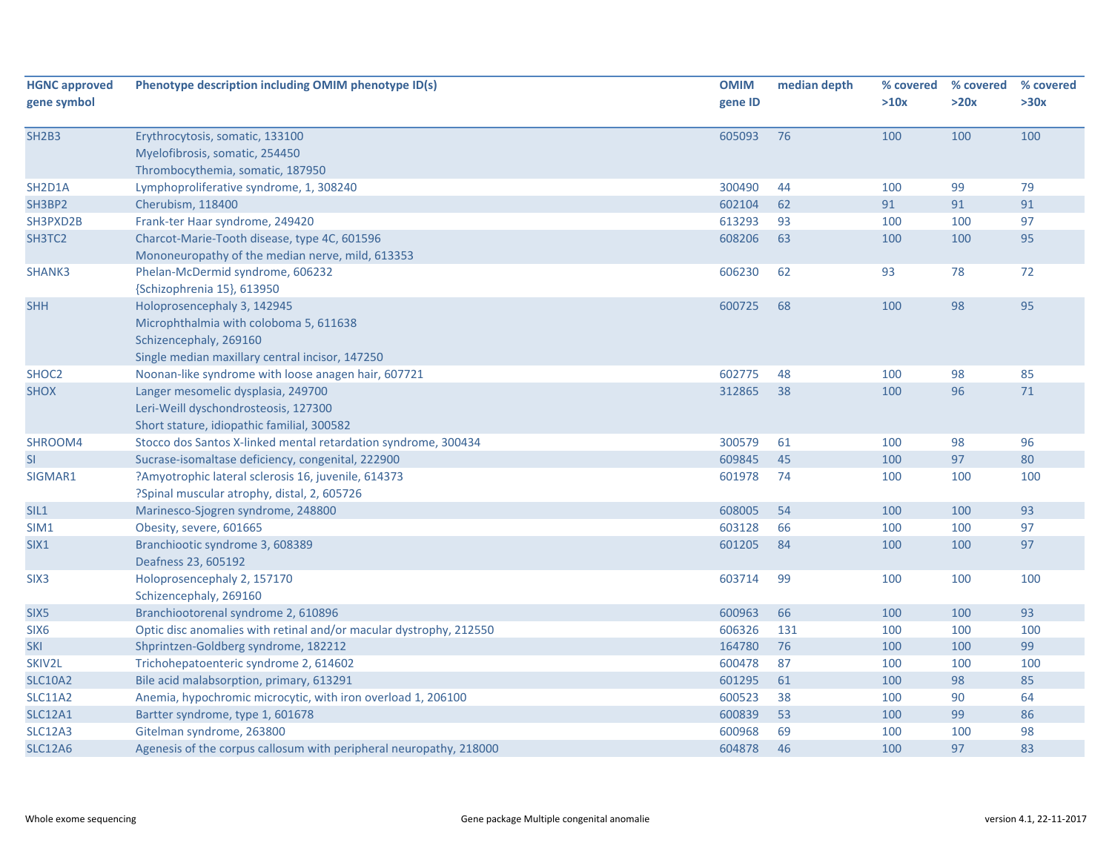| <b>HGNC approved</b> | Phenotype description including OMIM phenotype ID(s)               | <b>OMIM</b> | median depth | % covered | % covered | % covered |
|----------------------|--------------------------------------------------------------------|-------------|--------------|-----------|-----------|-----------|
| gene symbol          |                                                                    | gene ID     |              | >10x      | >20x      | >30x      |
| <b>SH2B3</b>         | Erythrocytosis, somatic, 133100                                    | 605093      | 76           | 100       | 100       | 100       |
|                      | Myelofibrosis, somatic, 254450                                     |             |              |           |           |           |
|                      | Thrombocythemia, somatic, 187950                                   |             |              |           |           |           |
| SH2D1A               | Lymphoproliferative syndrome, 1, 308240                            | 300490      | 44           | 100       | 99        | 79        |
| SH3BP2               | Cherubism, 118400                                                  | 602104      | 62           | 91        | 91        | 91        |
| SH3PXD2B             | Frank-ter Haar syndrome, 249420                                    | 613293      | 93           | 100       | 100       | 97        |
| SH3TC2               | Charcot-Marie-Tooth disease, type 4C, 601596                       | 608206      | 63           | 100       | 100       | 95        |
|                      | Mononeuropathy of the median nerve, mild, 613353                   |             |              |           |           |           |
| SHANK3               | Phelan-McDermid syndrome, 606232                                   | 606230      | 62           | 93        | 78        | 72        |
|                      | {Schizophrenia 15}, 613950                                         |             |              |           |           |           |
| <b>SHH</b>           | Holoprosencephaly 3, 142945                                        | 600725      | 68           | 100       | 98        | 95        |
|                      | Microphthalmia with coloboma 5, 611638                             |             |              |           |           |           |
|                      | Schizencephaly, 269160                                             |             |              |           |           |           |
|                      | Single median maxillary central incisor, 147250                    |             |              |           |           |           |
| SHOC <sub>2</sub>    | Noonan-like syndrome with loose anagen hair, 607721                | 602775      | 48           | 100       | 98        | 85        |
| <b>SHOX</b>          | Langer mesomelic dysplasia, 249700                                 | 312865      | 38           | 100       | 96        | 71        |
|                      | Leri-Weill dyschondrosteosis, 127300                               |             |              |           |           |           |
|                      | Short stature, idiopathic familial, 300582                         |             |              |           |           |           |
| SHROOM4              | Stocco dos Santos X-linked mental retardation syndrome, 300434     | 300579      | 61           | 100       | 98        | 96        |
| <b>SI</b>            | Sucrase-isomaltase deficiency, congenital, 222900                  | 609845      | 45           | 100       | 97        | 80        |
| SIGMAR1              | ?Amyotrophic lateral sclerosis 16, juvenile, 614373                | 601978      | 74           | 100       | 100       | 100       |
|                      | ?Spinal muscular atrophy, distal, 2, 605726                        |             |              |           |           |           |
| SIL1                 | Marinesco-Sjogren syndrome, 248800                                 | 608005      | 54           | 100       | 100       | 93        |
| SIM1                 | Obesity, severe, 601665                                            | 603128      | 66           | 100       | 100       | 97        |
| SIX1                 | Branchiootic syndrome 3, 608389                                    | 601205      | 84           | 100       | 100       | 97        |
|                      | Deafness 23, 605192                                                |             |              |           |           |           |
| SIX <sub>3</sub>     | Holoprosencephaly 2, 157170                                        | 603714      | 99           | 100       | 100       | 100       |
|                      | Schizencephaly, 269160                                             |             |              |           |           |           |
| SIX <sub>5</sub>     | Branchiootorenal syndrome 2, 610896                                | 600963      | 66           | 100       | 100       | 93        |
| SIX <sub>6</sub>     | Optic disc anomalies with retinal and/or macular dystrophy, 212550 | 606326      | 131          | 100       | 100       | 100       |
| <b>SKI</b>           | Shprintzen-Goldberg syndrome, 182212                               | 164780      | 76           | 100       | 100       | 99        |
| SKIV2L               | Trichohepatoenteric syndrome 2, 614602                             | 600478      | 87           | 100       | 100       | 100       |
| <b>SLC10A2</b>       | Bile acid malabsorption, primary, 613291                           | 601295      | 61           | 100       | 98        | 85        |
| <b>SLC11A2</b>       | Anemia, hypochromic microcytic, with iron overload 1, 206100       | 600523      | 38           | 100       | 90        | 64        |
| <b>SLC12A1</b>       | Bartter syndrome, type 1, 601678                                   | 600839      | 53           | 100       | 99        | 86        |
| <b>SLC12A3</b>       | Gitelman syndrome, 263800                                          | 600968      | 69           | 100       | 100       | 98        |
| <b>SLC12A6</b>       | Agenesis of the corpus callosum with peripheral neuropathy, 218000 | 604878      | 46           | 100       | 97        | 83        |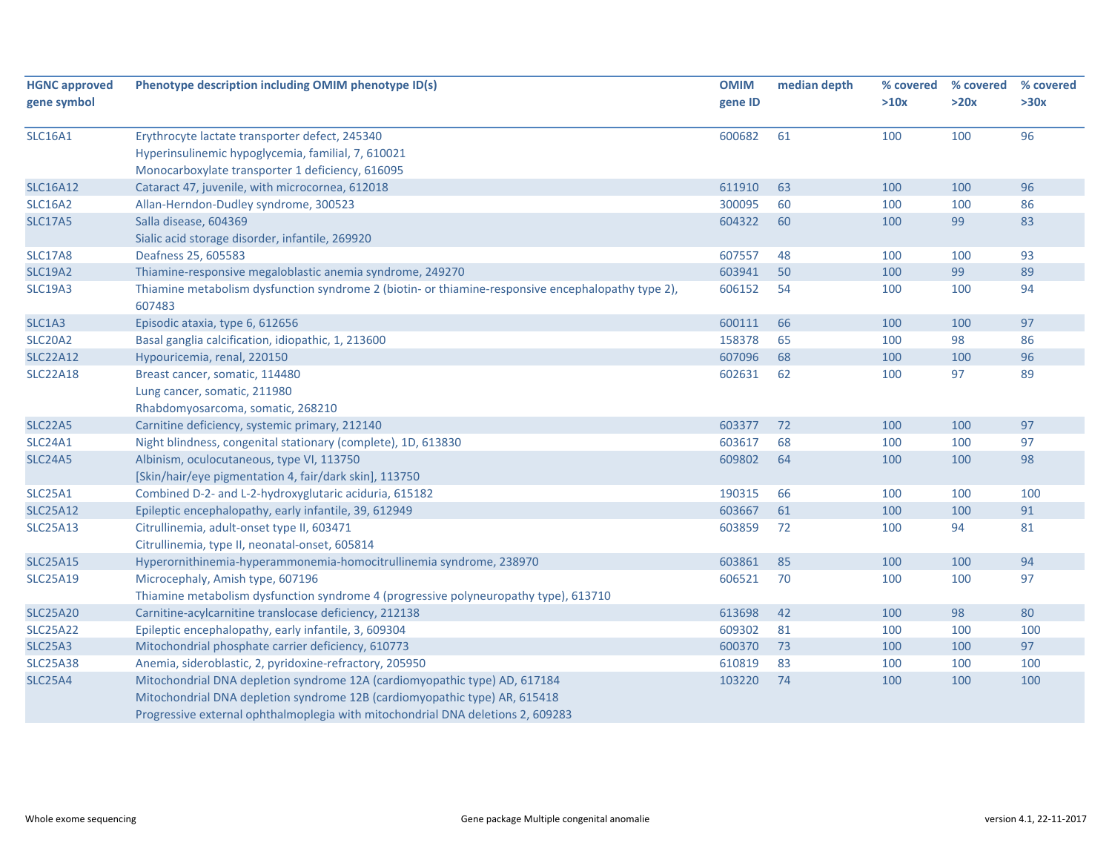| <b>HGNC approved</b> | Phenotype description including OMIM phenotype ID(s)                                               | <b>OMIM</b> | median depth | % covered | % covered | % covered |
|----------------------|----------------------------------------------------------------------------------------------------|-------------|--------------|-----------|-----------|-----------|
| gene symbol          |                                                                                                    | gene ID     |              | >10x      | >20x      | >30x      |
|                      |                                                                                                    |             |              |           |           |           |
| <b>SLC16A1</b>       | Erythrocyte lactate transporter defect, 245340                                                     | 600682      | 61           | 100       | 100       | 96        |
|                      | Hyperinsulinemic hypoglycemia, familial, 7, 610021                                                 |             |              |           |           |           |
|                      | Monocarboxylate transporter 1 deficiency, 616095                                                   |             |              |           |           |           |
| <b>SLC16A12</b>      | Cataract 47, juvenile, with microcornea, 612018                                                    | 611910      | 63           | 100       | 100       | 96        |
| <b>SLC16A2</b>       | Allan-Herndon-Dudley syndrome, 300523                                                              | 300095      | 60           | 100       | 100       | 86        |
| <b>SLC17A5</b>       | Salla disease, 604369                                                                              | 604322      | 60           | 100       | 99        | 83        |
|                      | Sialic acid storage disorder, infantile, 269920                                                    |             |              |           |           |           |
| <b>SLC17A8</b>       | Deafness 25, 605583                                                                                | 607557      | 48           | 100       | 100       | 93        |
| <b>SLC19A2</b>       | Thiamine-responsive megaloblastic anemia syndrome, 249270                                          | 603941      | 50           | 100       | 99        | 89        |
| <b>SLC19A3</b>       | Thiamine metabolism dysfunction syndrome 2 (biotin- or thiamine-responsive encephalopathy type 2), | 606152      | 54           | 100       | 100       | 94        |
|                      | 607483                                                                                             |             |              |           |           |           |
| SLC1A3               | Episodic ataxia, type 6, 612656                                                                    | 600111      | 66           | 100       | 100       | 97        |
| <b>SLC20A2</b>       | Basal ganglia calcification, idiopathic, 1, 213600                                                 | 158378      | 65           | 100       | 98        | 86        |
| <b>SLC22A12</b>      | Hypouricemia, renal, 220150                                                                        | 607096      | 68           | 100       | 100       | 96        |
| <b>SLC22A18</b>      | Breast cancer, somatic, 114480                                                                     | 602631      | 62           | 100       | 97        | 89        |
|                      | Lung cancer, somatic, 211980                                                                       |             |              |           |           |           |
|                      | Rhabdomyosarcoma, somatic, 268210                                                                  |             |              |           |           |           |
| <b>SLC22A5</b>       | Carnitine deficiency, systemic primary, 212140                                                     | 603377      | 72           | 100       | 100       | 97        |
| <b>SLC24A1</b>       | Night blindness, congenital stationary (complete), 1D, 613830                                      | 603617      | 68           | 100       | 100       | 97        |
| <b>SLC24A5</b>       | Albinism, oculocutaneous, type VI, 113750                                                          | 609802      | 64           | 100       | 100       | 98        |
|                      | [Skin/hair/eye pigmentation 4, fair/dark skin], 113750                                             |             |              |           |           |           |
| <b>SLC25A1</b>       | Combined D-2- and L-2-hydroxyglutaric aciduria, 615182                                             | 190315      | 66           | 100       | 100       | 100       |
| <b>SLC25A12</b>      | Epileptic encephalopathy, early infantile, 39, 612949                                              | 603667      | 61           | 100       | 100       | 91        |
| <b>SLC25A13</b>      | Citrullinemia, adult-onset type II, 603471                                                         | 603859      | 72           | 100       | 94        | 81        |
|                      | Citrullinemia, type II, neonatal-onset, 605814                                                     |             |              |           |           |           |
| <b>SLC25A15</b>      | Hyperornithinemia-hyperammonemia-homocitrullinemia syndrome, 238970                                | 603861      | 85           | 100       | 100       | 94        |
| <b>SLC25A19</b>      | Microcephaly, Amish type, 607196                                                                   | 606521      | 70           | 100       | 100       | 97        |
|                      | Thiamine metabolism dysfunction syndrome 4 (progressive polyneuropathy type), 613710               |             |              |           |           |           |
| <b>SLC25A20</b>      | Carnitine-acylcarnitine translocase deficiency, 212138                                             | 613698      | 42           | 100       | 98        | 80        |
| <b>SLC25A22</b>      | Epileptic encephalopathy, early infantile, 3, 609304                                               | 609302      | 81           | 100       | 100       | 100       |
| <b>SLC25A3</b>       | Mitochondrial phosphate carrier deficiency, 610773                                                 | 600370      | 73           | 100       | 100       | 97        |
| <b>SLC25A38</b>      | Anemia, sideroblastic, 2, pyridoxine-refractory, 205950                                            | 610819      | 83           | 100       | 100       | 100       |
| <b>SLC25A4</b>       | Mitochondrial DNA depletion syndrome 12A (cardiomyopathic type) AD, 617184                         | 103220      | 74           | 100       | 100       | 100       |
|                      | Mitochondrial DNA depletion syndrome 12B (cardiomyopathic type) AR, 615418                         |             |              |           |           |           |
|                      | Progressive external ophthalmoplegia with mitochondrial DNA deletions 2, 609283                    |             |              |           |           |           |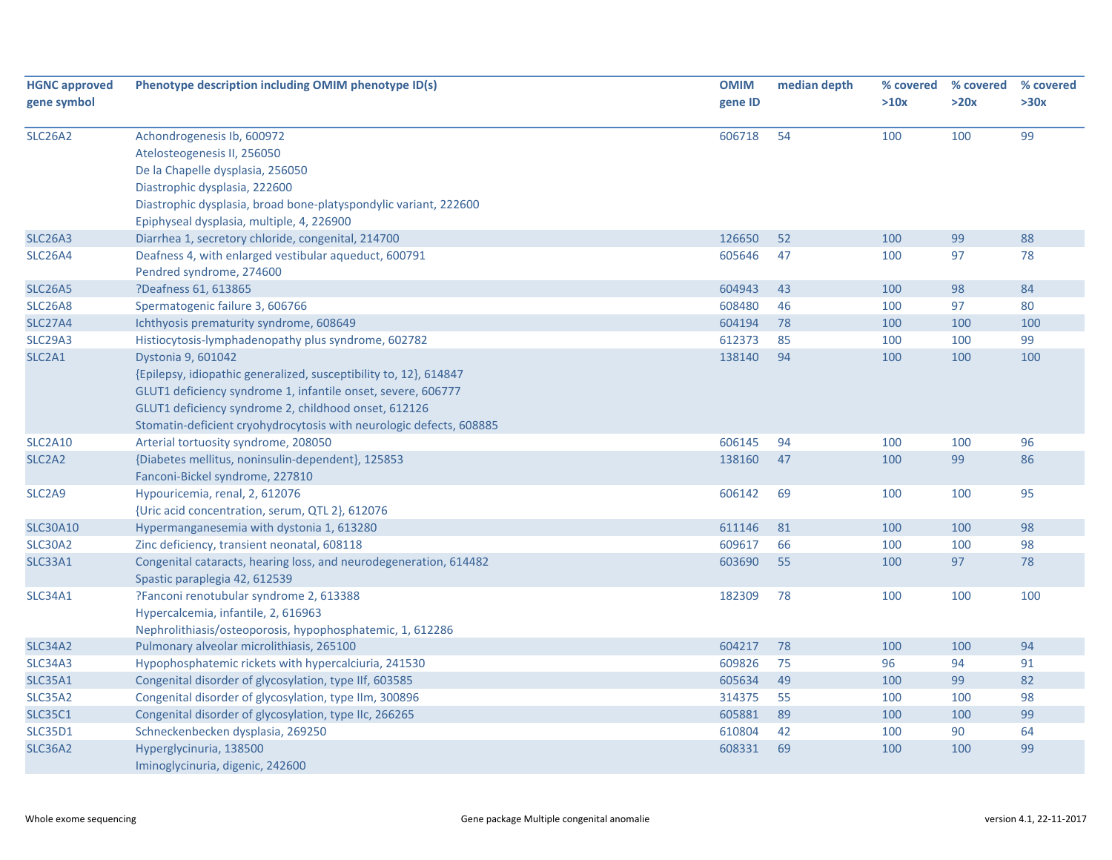| <b>HGNC approved</b><br>gene symbol | Phenotype description including OMIM phenotype ID(s)                                                                                                                                                                                                                                   | <b>OMIM</b><br>gene ID | median depth | % covered<br>>10x | % covered<br>>20x | % covered<br>>30x |
|-------------------------------------|----------------------------------------------------------------------------------------------------------------------------------------------------------------------------------------------------------------------------------------------------------------------------------------|------------------------|--------------|-------------------|-------------------|-------------------|
| SLC26A2                             | Achondrogenesis Ib, 600972<br>Atelosteogenesis II, 256050<br>De la Chapelle dysplasia, 256050<br>Diastrophic dysplasia, 222600<br>Diastrophic dysplasia, broad bone-platyspondylic variant, 222600<br>Epiphyseal dysplasia, multiple, 4, 226900                                        | 606718                 | 54           | 100               | 100               | 99                |
| <b>SLC26A3</b>                      | Diarrhea 1, secretory chloride, congenital, 214700                                                                                                                                                                                                                                     | 126650                 | 52           | 100               | 99                | 88                |
| <b>SLC26A4</b>                      | Deafness 4, with enlarged vestibular aqueduct, 600791<br>Pendred syndrome, 274600                                                                                                                                                                                                      | 605646                 | 47           | 100               | 97                | 78                |
| <b>SLC26A5</b>                      | ?Deafness 61, 613865                                                                                                                                                                                                                                                                   | 604943                 | 43           | 100               | 98                | 84                |
| <b>SLC26A8</b>                      | Spermatogenic failure 3, 606766                                                                                                                                                                                                                                                        | 608480                 | 46           | 100               | 97                | 80                |
| <b>SLC27A4</b>                      | Ichthyosis prematurity syndrome, 608649                                                                                                                                                                                                                                                | 604194                 | 78           | 100               | 100               | 100               |
| <b>SLC29A3</b>                      | Histiocytosis-lymphadenopathy plus syndrome, 602782                                                                                                                                                                                                                                    | 612373                 | 85           | 100               | 100               | 99                |
| SLC2A1                              | Dystonia 9, 601042<br>{Epilepsy, idiopathic generalized, susceptibility to, 12}, 614847<br>GLUT1 deficiency syndrome 1, infantile onset, severe, 606777<br>GLUT1 deficiency syndrome 2, childhood onset, 612126<br>Stomatin-deficient cryohydrocytosis with neurologic defects, 608885 | 138140                 | 94           | 100               | 100               | 100               |
| <b>SLC2A10</b>                      | Arterial tortuosity syndrome, 208050                                                                                                                                                                                                                                                   | 606145                 | 94           | 100               | 100               | 96                |
| SLC <sub>2</sub> A <sub>2</sub>     | {Diabetes mellitus, noninsulin-dependent}, 125853<br>Fanconi-Bickel syndrome, 227810                                                                                                                                                                                                   | 138160                 | 47           | 100               | 99                | 86                |
| SLC <sub>2</sub> A9                 | Hypouricemia, renal, 2, 612076<br>{Uric acid concentration, serum, QTL 2}, 612076                                                                                                                                                                                                      | 606142                 | 69           | 100               | 100               | 95                |
| <b>SLC30A10</b>                     | Hypermanganesemia with dystonia 1, 613280                                                                                                                                                                                                                                              | 611146                 | 81           | 100               | 100               | 98                |
| SLC30A2                             | Zinc deficiency, transient neonatal, 608118                                                                                                                                                                                                                                            | 609617                 | 66           | 100               | 100               | 98                |
| <b>SLC33A1</b>                      | Congenital cataracts, hearing loss, and neurodegeneration, 614482<br>Spastic paraplegia 42, 612539                                                                                                                                                                                     | 603690                 | 55           | 100               | 97                | 78                |
| <b>SLC34A1</b>                      | ?Fanconi renotubular syndrome 2, 613388<br>Hypercalcemia, infantile, 2, 616963<br>Nephrolithiasis/osteoporosis, hypophosphatemic, 1, 612286                                                                                                                                            | 182309                 | 78           | 100               | 100               | 100               |
| <b>SLC34A2</b>                      | Pulmonary alveolar microlithiasis, 265100                                                                                                                                                                                                                                              | 604217                 | 78           | 100               | 100               | 94                |
| SLC34A3                             | Hypophosphatemic rickets with hypercalciuria, 241530                                                                                                                                                                                                                                   | 609826                 | 75           | 96                | 94                | 91                |
| <b>SLC35A1</b>                      | Congenital disorder of glycosylation, type IIf, 603585                                                                                                                                                                                                                                 | 605634                 | 49           | 100               | 99                | 82                |
| SLC35A2                             | Congenital disorder of glycosylation, type IIm, 300896                                                                                                                                                                                                                                 | 314375                 | 55           | 100               | 100               | 98                |
| <b>SLC35C1</b>                      | Congenital disorder of glycosylation, type IIc, 266265                                                                                                                                                                                                                                 | 605881                 | 89           | 100               | 100               | 99                |
| <b>SLC35D1</b>                      | Schneckenbecken dysplasia, 269250                                                                                                                                                                                                                                                      | 610804                 | 42           | 100               | 90                | 64                |
| <b>SLC36A2</b>                      | Hyperglycinuria, 138500<br>Iminoglycinuria, digenic, 242600                                                                                                                                                                                                                            | 608331                 | 69           | 100               | 100               | 99                |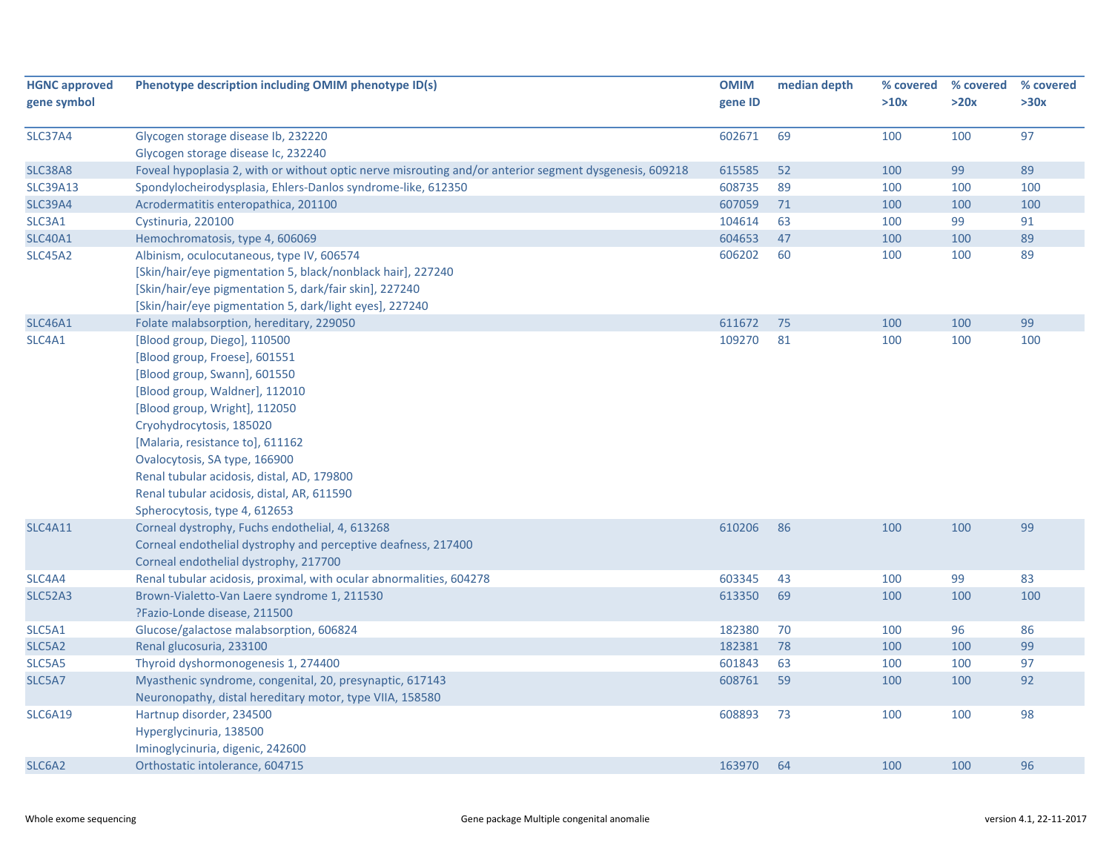| <b>HGNC approved</b><br>gene symbol | Phenotype description including OMIM phenotype ID(s)                                                   | <b>OMIM</b><br>gene ID | median depth | % covered<br>>10x | % covered<br>>20x | % covered<br>>30x |
|-------------------------------------|--------------------------------------------------------------------------------------------------------|------------------------|--------------|-------------------|-------------------|-------------------|
|                                     |                                                                                                        |                        |              |                   |                   |                   |
| <b>SLC37A4</b>                      | Glycogen storage disease Ib, 232220                                                                    | 602671                 | 69           | 100               | 100               | 97                |
|                                     | Glycogen storage disease Ic, 232240                                                                    |                        |              |                   |                   |                   |
| <b>SLC38A8</b>                      | Foveal hypoplasia 2, with or without optic nerve misrouting and/or anterior segment dysgenesis, 609218 | 615585                 | 52           | 100               | 99                | 89                |
| <b>SLC39A13</b>                     | Spondylocheirodysplasia, Ehlers-Danlos syndrome-like, 612350                                           | 608735                 | 89           | 100               | 100               | 100               |
| <b>SLC39A4</b>                      | Acrodermatitis enteropathica, 201100                                                                   | 607059                 | 71           | 100               | 100               | 100               |
| SLC3A1                              | Cystinuria, 220100                                                                                     | 104614                 | 63           | 100               | 99                | 91                |
| <b>SLC40A1</b>                      | Hemochromatosis, type 4, 606069                                                                        | 604653                 | 47           | 100               | 100               | 89                |
| <b>SLC45A2</b>                      | Albinism, oculocutaneous, type IV, 606574                                                              | 606202                 | 60           | 100               | 100               | 89                |
|                                     | [Skin/hair/eye pigmentation 5, black/nonblack hair], 227240                                            |                        |              |                   |                   |                   |
|                                     | [Skin/hair/eye pigmentation 5, dark/fair skin], 227240                                                 |                        |              |                   |                   |                   |
|                                     | [Skin/hair/eye pigmentation 5, dark/light eyes], 227240                                                |                        |              |                   |                   |                   |
| <b>SLC46A1</b>                      | Folate malabsorption, hereditary, 229050                                                               | 611672                 | 75           | 100               | 100               | 99                |
| SLC4A1                              | [Blood group, Diego], 110500                                                                           | 109270                 | 81           | 100               | 100               | 100               |
|                                     | [Blood group, Froese], 601551                                                                          |                        |              |                   |                   |                   |
|                                     | [Blood group, Swann], 601550                                                                           |                        |              |                   |                   |                   |
|                                     | [Blood group, Waldner], 112010                                                                         |                        |              |                   |                   |                   |
|                                     | [Blood group, Wright], 112050                                                                          |                        |              |                   |                   |                   |
|                                     | Cryohydrocytosis, 185020                                                                               |                        |              |                   |                   |                   |
|                                     | [Malaria, resistance to], 611162                                                                       |                        |              |                   |                   |                   |
|                                     | Ovalocytosis, SA type, 166900                                                                          |                        |              |                   |                   |                   |
|                                     | Renal tubular acidosis, distal, AD, 179800                                                             |                        |              |                   |                   |                   |
|                                     | Renal tubular acidosis, distal, AR, 611590                                                             |                        |              |                   |                   |                   |
|                                     | Spherocytosis, type 4, 612653                                                                          |                        |              |                   |                   |                   |
| <b>SLC4A11</b>                      | Corneal dystrophy, Fuchs endothelial, 4, 613268                                                        | 610206                 | 86           | 100               | 100               | 99                |
|                                     | Corneal endothelial dystrophy and perceptive deafness, 217400                                          |                        |              |                   |                   |                   |
|                                     | Corneal endothelial dystrophy, 217700                                                                  |                        |              |                   |                   |                   |
| SLC4A4                              | Renal tubular acidosis, proximal, with ocular abnormalities, 604278                                    | 603345                 | 43           | 100               | 99                | 83                |
| <b>SLC52A3</b>                      | Brown-Vialetto-Van Laere syndrome 1, 211530                                                            | 613350                 | 69           | 100               | 100               | 100               |
|                                     | ?Fazio-Londe disease, 211500                                                                           |                        |              |                   |                   |                   |
| SLC5A1                              | Glucose/galactose malabsorption, 606824                                                                | 182380                 | 70           | 100               | 96                | 86                |
| SLC5A2                              | Renal glucosuria, 233100                                                                               | 182381                 | 78           | 100               | 100               | 99                |
| SLC5A5                              | Thyroid dyshormonogenesis 1, 274400                                                                    | 601843                 | 63           | 100               | 100               | 97                |
| SLC5A7                              | Myasthenic syndrome, congenital, 20, presynaptic, 617143                                               | 608761                 | 59           | 100               | 100               | 92                |
|                                     | Neuronopathy, distal hereditary motor, type VIIA, 158580                                               |                        |              |                   |                   |                   |
| <b>SLC6A19</b>                      | Hartnup disorder, 234500                                                                               | 608893                 | 73           | 100               | 100               | 98                |
|                                     | Hyperglycinuria, 138500                                                                                |                        |              |                   |                   |                   |
|                                     | Iminoglycinuria, digenic, 242600                                                                       |                        |              |                   |                   |                   |
| SLC6A2                              | Orthostatic intolerance, 604715                                                                        | 163970                 | 64           | 100               | 100               | 96                |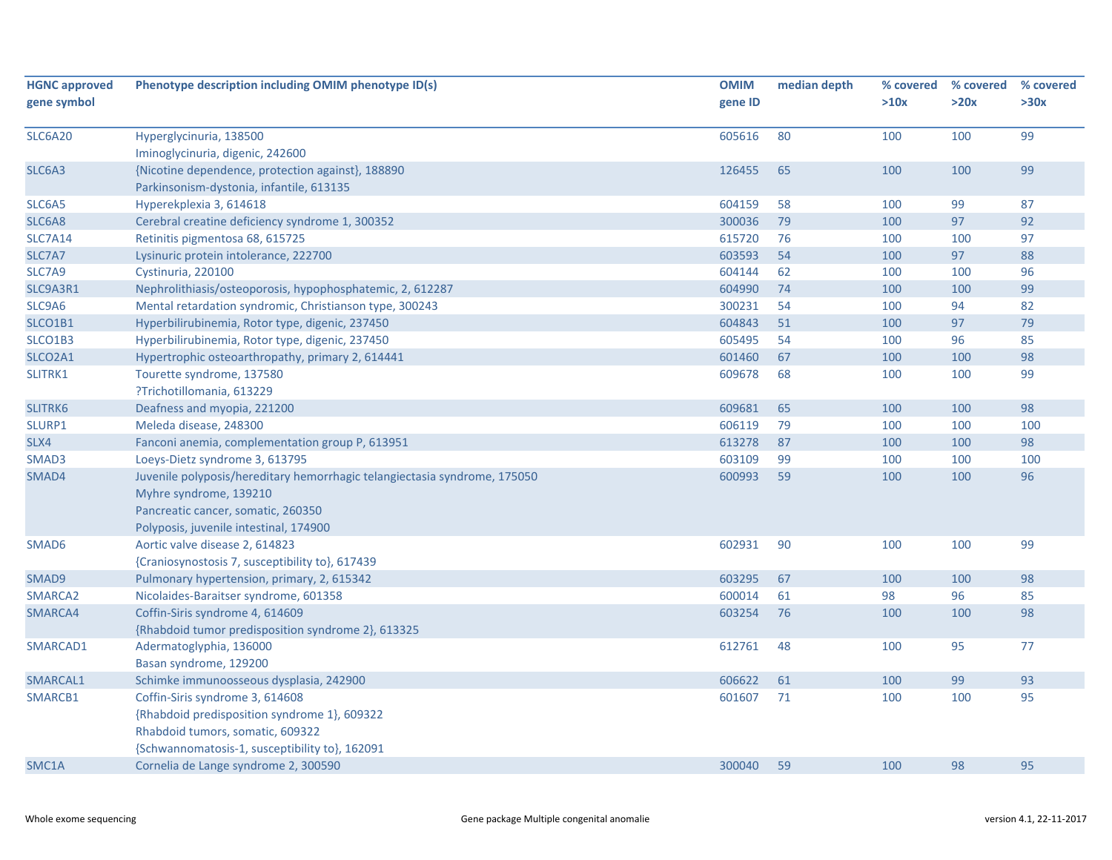| <b>HGNC approved</b> | Phenotype description including OMIM phenotype ID(s)                                   | <b>OMIM</b> | median depth | % covered | % covered | % covered |
|----------------------|----------------------------------------------------------------------------------------|-------------|--------------|-----------|-----------|-----------|
| gene symbol          |                                                                                        | gene ID     |              | >10x      | >20x      | >30x      |
|                      |                                                                                        |             |              |           |           |           |
| <b>SLC6A20</b>       | Hyperglycinuria, 138500                                                                | 605616      | 80           | 100       | 100       | 99        |
|                      | Iminoglycinuria, digenic, 242600                                                       |             |              |           |           |           |
| SLC6A3               | {Nicotine dependence, protection against}, 188890                                      | 126455      | 65           | 100       | 100       | 99        |
|                      | Parkinsonism-dystonia, infantile, 613135                                               |             |              |           |           |           |
| SLC6A5               | Hyperekplexia 3, 614618                                                                | 604159      | 58           | 100       | 99        | 87        |
| SLC6A8               | Cerebral creatine deficiency syndrome 1, 300352                                        | 300036      | 79           | 100       | 97        | 92        |
| <b>SLC7A14</b>       | Retinitis pigmentosa 68, 615725                                                        | 615720      | 76           | 100       | 100       | 97        |
| SLC7A7               | Lysinuric protein intolerance, 222700                                                  | 603593      | 54           | 100       | 97        | 88        |
| SLC7A9               | Cystinuria, 220100                                                                     | 604144      | 62           | 100       | 100       | 96        |
| SLC9A3R1             | Nephrolithiasis/osteoporosis, hypophosphatemic, 2, 612287                              | 604990      | 74           | 100       | 100       | 99        |
| SLC9A6               | Mental retardation syndromic, Christianson type, 300243                                | 300231      | 54           | 100       | 94        | 82        |
| SLCO1B1              | Hyperbilirubinemia, Rotor type, digenic, 237450                                        | 604843      | 51           | 100       | 97        | 79        |
| SLCO1B3              | Hyperbilirubinemia, Rotor type, digenic, 237450                                        | 605495      | 54           | 100       | 96        | 85        |
| SLCO2A1              | Hypertrophic osteoarthropathy, primary 2, 614441                                       | 601460      | 67           | 100       | 100       | 98        |
| SLITRK1              | Tourette syndrome, 137580                                                              | 609678      | 68           | 100       | 100       | 99        |
|                      | ?Trichotillomania, 613229                                                              |             |              |           |           |           |
| SLITRK6              | Deafness and myopia, 221200                                                            | 609681      | 65           | 100       | 100       | 98        |
| SLURP1               | Meleda disease, 248300                                                                 | 606119      | 79           | 100       | 100       | 100       |
| SLX4                 | Fanconi anemia, complementation group P, 613951                                        | 613278      | 87           | 100       | 100       | 98        |
| SMAD3                | Loeys-Dietz syndrome 3, 613795                                                         | 603109      | 99           | 100       | 100       | 100       |
| SMAD4                | Juvenile polyposis/hereditary hemorrhagic telangiectasia syndrome, 175050              | 600993      | 59           | 100       | 100       | 96        |
|                      | Myhre syndrome, 139210                                                                 |             |              |           |           |           |
|                      | Pancreatic cancer, somatic, 260350                                                     |             |              |           |           |           |
|                      | Polyposis, juvenile intestinal, 174900                                                 |             |              |           |           |           |
| SMAD6                | Aortic valve disease 2, 614823                                                         | 602931      | 90           | 100       | 100       | 99        |
|                      | {Craniosynostosis 7, susceptibility to}, 617439                                        |             |              |           |           |           |
| SMAD9                | Pulmonary hypertension, primary, 2, 615342                                             | 603295      | 67           | 100       | 100       | 98        |
| SMARCA2              | Nicolaides-Baraitser syndrome, 601358                                                  | 600014      | 61           | 98        | 96        | 85        |
| SMARCA4              | Coffin-Siris syndrome 4, 614609                                                        | 603254      | 76           | 100       | 100       | 98        |
|                      | {Rhabdoid tumor predisposition syndrome 2}, 613325                                     |             |              |           |           |           |
| SMARCAD1             | Adermatoglyphia, 136000                                                                | 612761      | 48           | 100       | 95        | 77        |
|                      | Basan syndrome, 129200                                                                 |             |              |           |           |           |
| SMARCAL1             | Schimke immunoosseous dysplasia, 242900                                                | 606622      | 61           | 100       | 99        | 93        |
| SMARCB1              | Coffin-Siris syndrome 3, 614608                                                        | 601607      | 71           | 100       | 100       | 95        |
|                      | {Rhabdoid predisposition syndrome 1}, 609322                                           |             |              |           |           |           |
|                      | Rhabdoid tumors, somatic, 609322                                                       |             |              |           |           |           |
|                      |                                                                                        |             |              |           |           |           |
| SMC1A                |                                                                                        |             | 59           | 100       |           |           |
|                      | {Schwannomatosis-1, susceptibility to}, 162091<br>Cornelia de Lange syndrome 2, 300590 | 300040      |              |           | 98        | 95        |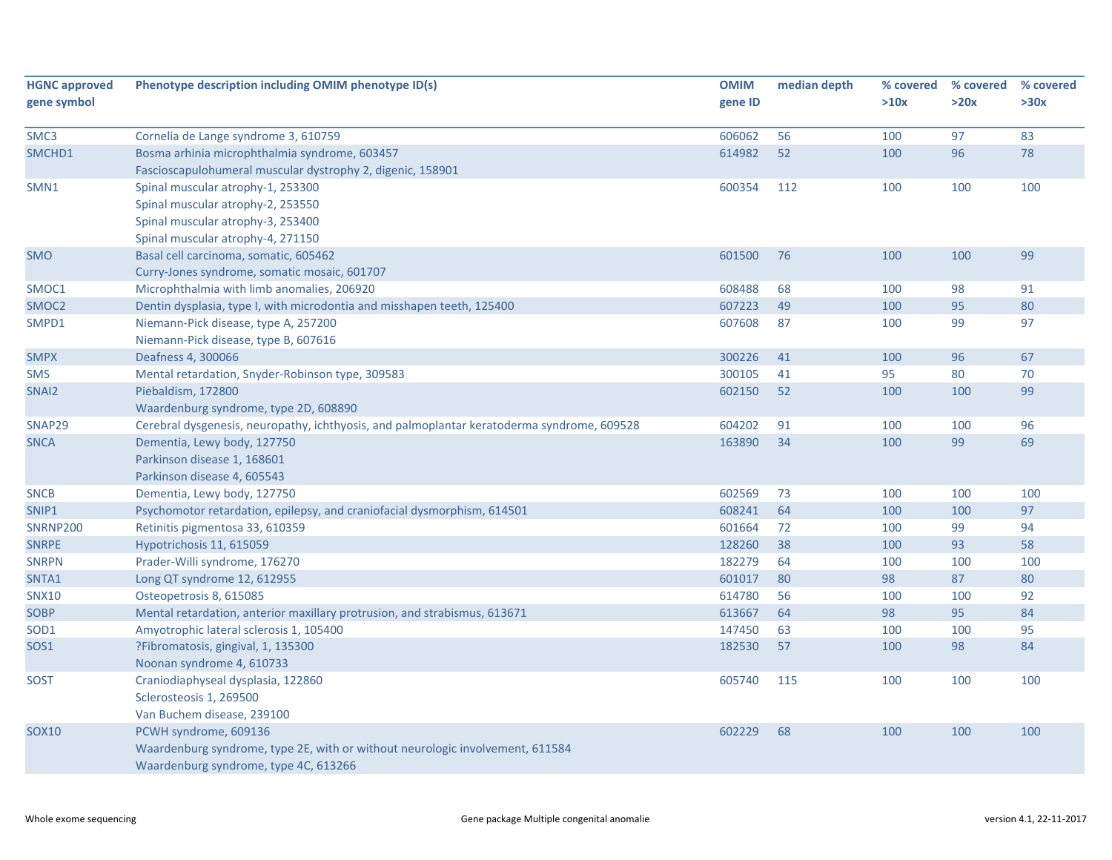| <b>HGNC approved</b> | Phenotype description including OMIM phenotype ID(s)                                       | <b>OMIM</b> | median depth | % covered | % covered | % covered |
|----------------------|--------------------------------------------------------------------------------------------|-------------|--------------|-----------|-----------|-----------|
| gene symbol          |                                                                                            | gene ID     |              | >10x      | >20x      | >30x      |
|                      |                                                                                            |             |              |           |           |           |
| SMC3                 | Cornelia de Lange syndrome 3, 610759                                                       | 606062      | 56           | 100       | 97        | 83        |
| SMCHD1               | Bosma arhinia microphthalmia syndrome, 603457                                              | 614982      | 52           | 100       | 96        | 78        |
|                      | Fascioscapulohumeral muscular dystrophy 2, digenic, 158901                                 |             |              |           |           |           |
| SMN1                 | Spinal muscular atrophy-1, 253300                                                          | 600354      | 112          | 100       | 100       | 100       |
|                      | Spinal muscular atrophy-2, 253550                                                          |             |              |           |           |           |
|                      | Spinal muscular atrophy-3, 253400                                                          |             |              |           |           |           |
|                      | Spinal muscular atrophy-4, 271150                                                          |             |              |           |           |           |
| <b>SMO</b>           | Basal cell carcinoma, somatic, 605462                                                      | 601500      | 76           | 100       | 100       | 99        |
|                      | Curry-Jones syndrome, somatic mosaic, 601707                                               |             |              |           |           |           |
| SMOC1                | Microphthalmia with limb anomalies, 206920                                                 | 608488      | 68           | 100       | 98        | 91        |
| SMOC <sub>2</sub>    | Dentin dysplasia, type I, with microdontia and misshapen teeth, 125400                     | 607223      | 49           | 100       | 95        | 80        |
| SMPD1                | Niemann-Pick disease, type A, 257200                                                       | 607608      | 87           | 100       | 99        | 97        |
|                      | Niemann-Pick disease, type B, 607616                                                       |             |              |           |           |           |
| <b>SMPX</b>          | Deafness 4, 300066                                                                         | 300226      | 41           | 100       | 96        | 67        |
| <b>SMS</b>           | Mental retardation, Snyder-Robinson type, 309583                                           | 300105      | 41           | 95        | 80        | 70        |
| SNAI2                | Piebaldism, 172800                                                                         | 602150      | 52           | 100       | 100       | 99        |
|                      | Waardenburg syndrome, type 2D, 608890                                                      |             |              |           |           |           |
| SNAP29               | Cerebral dysgenesis, neuropathy, ichthyosis, and palmoplantar keratoderma syndrome, 609528 | 604202      | 91           | 100       | 100       | 96        |
| <b>SNCA</b>          | Dementia, Lewy body, 127750                                                                | 163890      | 34           | 100       | 99        | 69        |
|                      | Parkinson disease 1, 168601                                                                |             |              |           |           |           |
|                      | Parkinson disease 4, 605543                                                                |             |              |           |           |           |
| <b>SNCB</b>          | Dementia, Lewy body, 127750                                                                | 602569      | 73           | 100       | 100       | 100       |
| SNIP1                | Psychomotor retardation, epilepsy, and craniofacial dysmorphism, 614501                    | 608241      | 64           | 100       | 100       | 97        |
| <b>SNRNP200</b>      | Retinitis pigmentosa 33, 610359                                                            | 601664      | 72           | 100       | 99        | 94        |
| <b>SNRPE</b>         | Hypotrichosis 11, 615059                                                                   | 128260      | 38           | 100       | 93        | 58        |
| <b>SNRPN</b>         | Prader-Willi syndrome, 176270                                                              | 182279      | 64           | 100       | 100       | 100       |
| SNTA1                | Long QT syndrome 12, 612955                                                                | 601017      | 80           | 98        | 87        | 80        |
| <b>SNX10</b>         | Osteopetrosis 8, 615085                                                                    | 614780      | 56           | 100       | 100       | 92        |
| <b>SOBP</b>          | Mental retardation, anterior maxillary protrusion, and strabismus, 613671                  | 613667      | 64           | 98        | 95        | 84        |
| SOD <sub>1</sub>     | Amyotrophic lateral sclerosis 1, 105400                                                    | 147450      | 63           | 100       | 100       | 95        |
| <b>SOS1</b>          | ?Fibromatosis, gingival, 1, 135300                                                         | 182530      | 57           | 100       | 98        | 84        |
|                      | Noonan syndrome 4, 610733                                                                  |             |              |           |           |           |
| <b>SOST</b>          | Craniodiaphyseal dysplasia, 122860                                                         | 605740      | 115          | 100       | 100       | 100       |
|                      | Sclerosteosis 1, 269500                                                                    |             |              |           |           |           |
|                      | Van Buchem disease, 239100                                                                 |             |              |           |           |           |
| <b>SOX10</b>         | PCWH syndrome, 609136                                                                      | 602229      | 68           | 100       | 100       | 100       |
|                      | Waardenburg syndrome, type 2E, with or without neurologic involvement, 611584              |             |              |           |           |           |
|                      | Waardenburg syndrome, type 4C, 613266                                                      |             |              |           |           |           |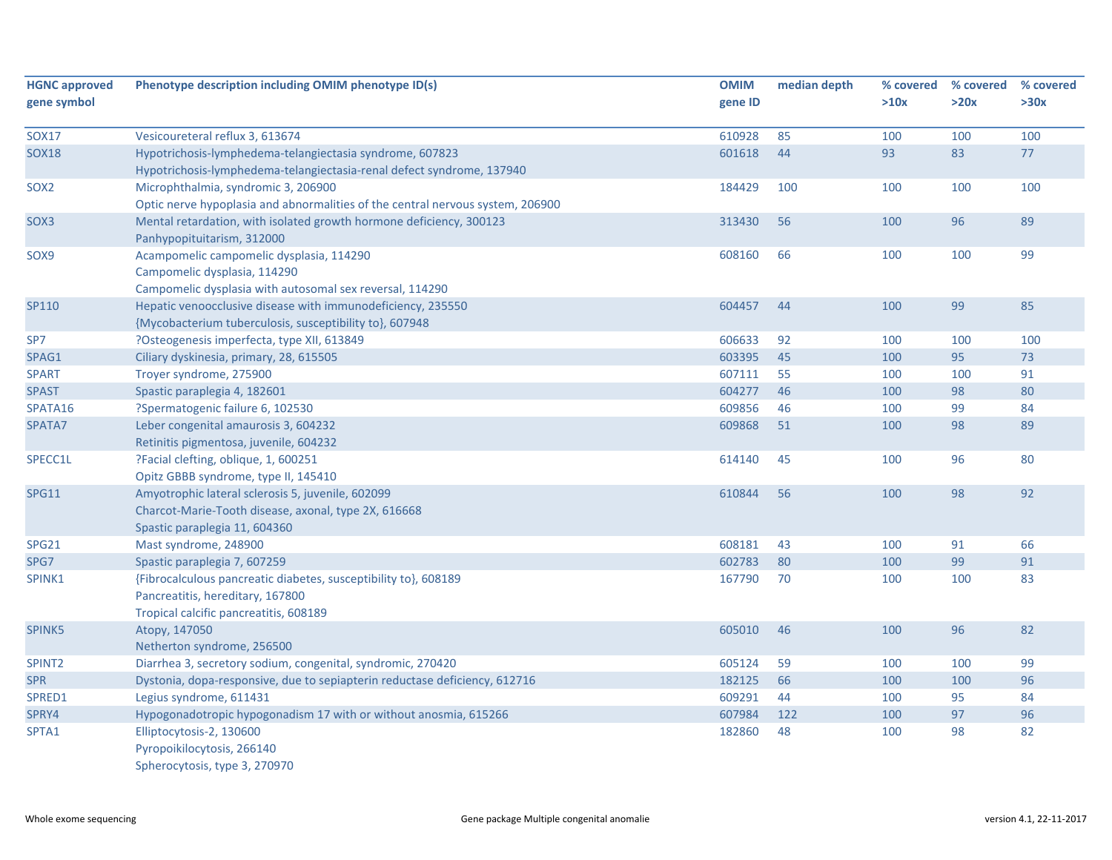| <b>HGNC approved</b> | Phenotype description including OMIM phenotype ID(s)                           | <b>OMIM</b> | median depth | % covered | % covered | % covered |
|----------------------|--------------------------------------------------------------------------------|-------------|--------------|-----------|-----------|-----------|
| gene symbol          |                                                                                | gene ID     |              | >10x      | >20x      | >30x      |
| <b>SOX17</b>         | Vesicoureteral reflux 3, 613674                                                | 610928      | 85           | 100       | 100       | 100       |
| <b>SOX18</b>         | Hypotrichosis-lymphedema-telangiectasia syndrome, 607823                       | 601618      | 44           | 93        | 83        | 77        |
|                      | Hypotrichosis-lymphedema-telangiectasia-renal defect syndrome, 137940          |             |              |           |           |           |
| SOX <sub>2</sub>     | Microphthalmia, syndromic 3, 206900                                            | 184429      | 100          | 100       | 100       | 100       |
|                      | Optic nerve hypoplasia and abnormalities of the central nervous system, 206900 |             |              |           |           |           |
| SOX3                 | Mental retardation, with isolated growth hormone deficiency, 300123            | 313430      | 56           | 100       | 96        | 89        |
|                      | Panhypopituitarism, 312000                                                     |             |              |           |           |           |
| SOX9                 | Acampomelic campomelic dysplasia, 114290                                       | 608160      | 66           | 100       | 100       | 99        |
|                      | Campomelic dysplasia, 114290                                                   |             |              |           |           |           |
|                      | Campomelic dysplasia with autosomal sex reversal, 114290                       |             |              |           |           |           |
| SP110                | Hepatic venoocclusive disease with immunodeficiency, 235550                    | 604457      | 44           | 100       | 99        | 85        |
|                      | {Mycobacterium tuberculosis, susceptibility to}, 607948                        |             |              |           |           |           |
| SP7                  | ?Osteogenesis imperfecta, type XII, 613849                                     | 606633      | 92           | 100       | 100       | 100       |
| SPAG1                | Ciliary dyskinesia, primary, 28, 615505                                        | 603395      | 45           | 100       | 95        | 73        |
| <b>SPART</b>         | Troyer syndrome, 275900                                                        | 607111      | 55           | 100       | 100       | 91        |
| <b>SPAST</b>         | Spastic paraplegia 4, 182601                                                   | 604277      | 46           | 100       | 98        | 80        |
| SPATA16              | ?Spermatogenic failure 6, 102530                                               | 609856      | 46           | 100       | 99        | 84        |
| SPATA7               | Leber congenital amaurosis 3, 604232                                           | 609868      | 51           | 100       | 98        | 89        |
|                      | Retinitis pigmentosa, juvenile, 604232                                         |             |              |           |           |           |
| SPECC1L              | ?Facial clefting, oblique, 1, 600251                                           | 614140      | 45           | 100       | 96        | 80        |
|                      | Opitz GBBB syndrome, type II, 145410                                           |             |              |           |           |           |
| <b>SPG11</b>         | Amyotrophic lateral sclerosis 5, juvenile, 602099                              | 610844      | 56           | 100       | 98        | 92        |
|                      | Charcot-Marie-Tooth disease, axonal, type 2X, 616668                           |             |              |           |           |           |
|                      | Spastic paraplegia 11, 604360                                                  |             |              |           |           |           |
| SPG21                | Mast syndrome, 248900                                                          | 608181      | 43           | 100       | 91        | 66        |
| SPG7                 | Spastic paraplegia 7, 607259                                                   | 602783      | 80           | 100       | 99        | 91        |
| SPINK1               | {Fibrocalculous pancreatic diabetes, susceptibility to}, 608189                | 167790      | 70           | 100       | 100       | 83        |
|                      | Pancreatitis, hereditary, 167800                                               |             |              |           |           |           |
|                      | Tropical calcific pancreatitis, 608189                                         |             |              |           |           |           |
| SPINK5               | Atopy, 147050                                                                  | 605010      | 46           | 100       | 96        | 82        |
|                      | Netherton syndrome, 256500                                                     |             |              |           |           |           |
| SPINT <sub>2</sub>   | Diarrhea 3, secretory sodium, congenital, syndromic, 270420                    | 605124      | 59           | 100       | 100       | 99        |
| <b>SPR</b>           | Dystonia, dopa-responsive, due to sepiapterin reductase deficiency, 612716     | 182125      | 66           | 100       | 100       | 96        |
| SPRED1               | Legius syndrome, 611431                                                        | 609291      | 44           | 100       | 95        | 84        |
| SPRY4                | Hypogonadotropic hypogonadism 17 with or without anosmia, 615266               | 607984      | 122          | 100       | 97        | 96        |
| SPTA1                | Elliptocytosis-2, 130600                                                       | 182860      | 48           | 100       | 98        | 82        |
|                      | Pyropoikilocytosis, 266140                                                     |             |              |           |           |           |
|                      | Spherocytosis, type 3, 270970                                                  |             |              |           |           |           |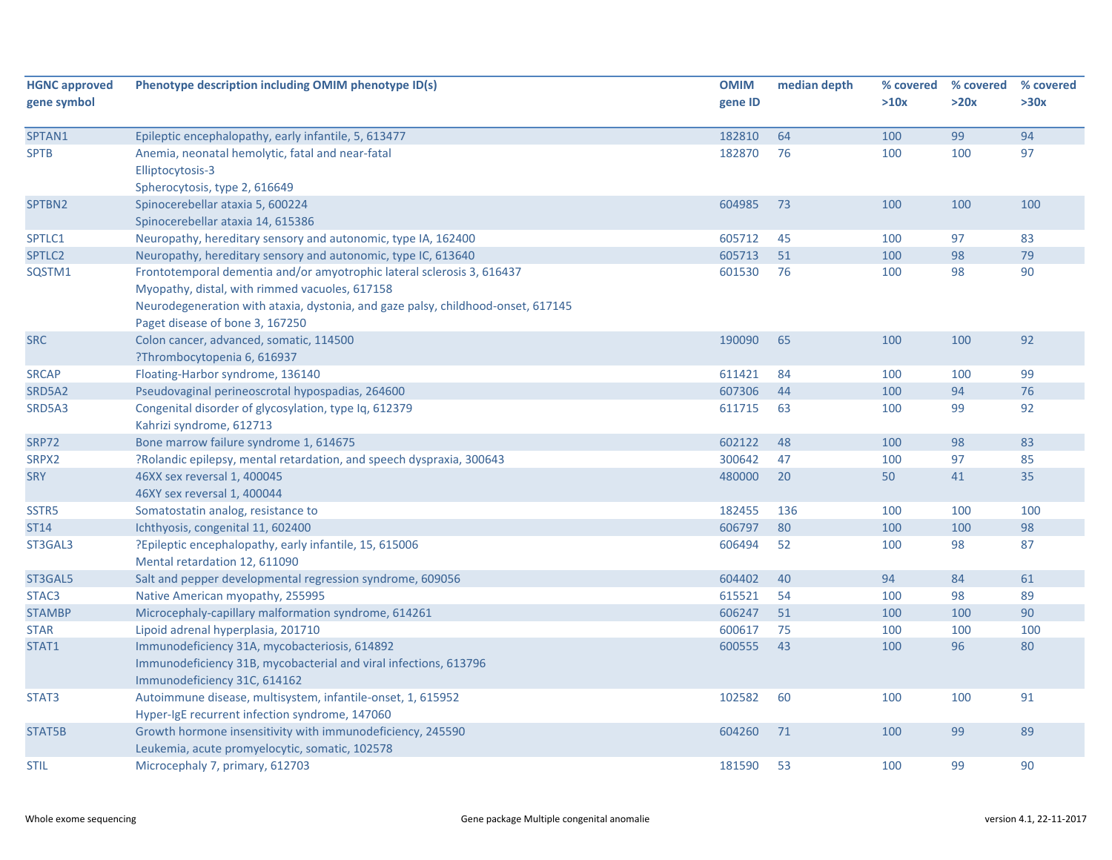| <b>HGNC approved</b> | Phenotype description including OMIM phenotype ID(s)                             | <b>OMIM</b> | median depth | % covered | % covered | % covered |
|----------------------|----------------------------------------------------------------------------------|-------------|--------------|-----------|-----------|-----------|
| gene symbol          |                                                                                  | gene ID     |              | >10x      | >20x      | >30x      |
| SPTAN1               | Epileptic encephalopathy, early infantile, 5, 613477                             | 182810      | 64           | 100       | 99        | 94        |
| <b>SPTB</b>          | Anemia, neonatal hemolytic, fatal and near-fatal                                 | 182870      | 76           | 100       | 100       | 97        |
|                      | Elliptocytosis-3                                                                 |             |              |           |           |           |
|                      | Spherocytosis, type 2, 616649                                                    |             |              |           |           |           |
| SPTBN2               | Spinocerebellar ataxia 5, 600224                                                 | 604985      | 73           | 100       | 100       | 100       |
|                      | Spinocerebellar ataxia 14, 615386                                                |             |              |           |           |           |
| SPTLC1               | Neuropathy, hereditary sensory and autonomic, type IA, 162400                    | 605712      | 45           | 100       | 97        | 83        |
| SPTLC2               | Neuropathy, hereditary sensory and autonomic, type IC, 613640                    | 605713      | 51           | 100       | 98        | 79        |
| SQSTM1               | Frontotemporal dementia and/or amyotrophic lateral sclerosis 3, 616437           | 601530      | 76           | 100       | 98        | 90        |
|                      | Myopathy, distal, with rimmed vacuoles, 617158                                   |             |              |           |           |           |
|                      | Neurodegeneration with ataxia, dystonia, and gaze palsy, childhood-onset, 617145 |             |              |           |           |           |
|                      | Paget disease of bone 3, 167250                                                  |             |              |           |           |           |
| <b>SRC</b>           | Colon cancer, advanced, somatic, 114500                                          | 190090      | 65           | 100       | 100       | 92        |
|                      | ?Thrombocytopenia 6, 616937                                                      |             |              |           |           |           |
| <b>SRCAP</b>         | Floating-Harbor syndrome, 136140                                                 | 611421      | 84           | 100       | 100       | 99        |
| SRD5A2               | Pseudovaginal perineoscrotal hypospadias, 264600                                 | 607306      | 44           | 100       | 94        | 76        |
| SRD5A3               | Congenital disorder of glycosylation, type Iq, 612379                            | 611715      | 63           | 100       | 99        | 92        |
|                      | Kahrizi syndrome, 612713                                                         |             |              |           |           |           |
| <b>SRP72</b>         | Bone marrow failure syndrome 1, 614675                                           | 602122      | 48           | 100       | 98        | 83        |
| SRPX2                | ?Rolandic epilepsy, mental retardation, and speech dyspraxia, 300643             | 300642      | 47           | 100       | 97        | 85        |
| <b>SRY</b>           | 46XX sex reversal 1, 400045                                                      | 480000      | 20           | 50        | 41        | 35        |
|                      | 46XY sex reversal 1, 400044                                                      |             |              |           |           |           |
| SSTR5                | Somatostatin analog, resistance to                                               | 182455      | 136          | 100       | 100       | 100       |
| <b>ST14</b>          | Ichthyosis, congenital 11, 602400                                                | 606797      | 80           | 100       | 100       | 98        |
| ST3GAL3              | ?Epileptic encephalopathy, early infantile, 15, 615006                           | 606494      | 52           | 100       | 98        | 87        |
|                      | Mental retardation 12, 611090                                                    |             |              |           |           |           |
| ST3GAL5              | Salt and pepper developmental regression syndrome, 609056                        | 604402      | 40           | 94        | 84        | 61        |
| STAC <sub>3</sub>    | Native American myopathy, 255995                                                 | 615521      | 54           | 100       | 98        | 89        |
| <b>STAMBP</b>        | Microcephaly-capillary malformation syndrome, 614261                             | 606247      | 51           | 100       | 100       | 90        |
| <b>STAR</b>          | Lipoid adrenal hyperplasia, 201710                                               | 600617      | 75           | 100       | 100       | 100       |
| STAT1                | Immunodeficiency 31A, mycobacteriosis, 614892                                    | 600555      | 43           | 100       | 96        | 80        |
|                      | Immunodeficiency 31B, mycobacterial and viral infections, 613796                 |             |              |           |           |           |
|                      | Immunodeficiency 31C, 614162                                                     |             |              |           |           |           |
| STAT3                | Autoimmune disease, multisystem, infantile-onset, 1, 615952                      | 102582      | 60           | 100       | 100       | 91        |
|                      | Hyper-IgE recurrent infection syndrome, 147060                                   |             |              |           |           |           |
| STAT5B               | Growth hormone insensitivity with immunodeficiency, 245590                       | 604260      | 71           | 100       | 99        | 89        |
|                      | Leukemia, acute promyelocytic, somatic, 102578                                   |             |              |           |           |           |
| <b>STIL</b>          | Microcephaly 7, primary, 612703                                                  | 181590      | 53           | 100       | 99        | 90        |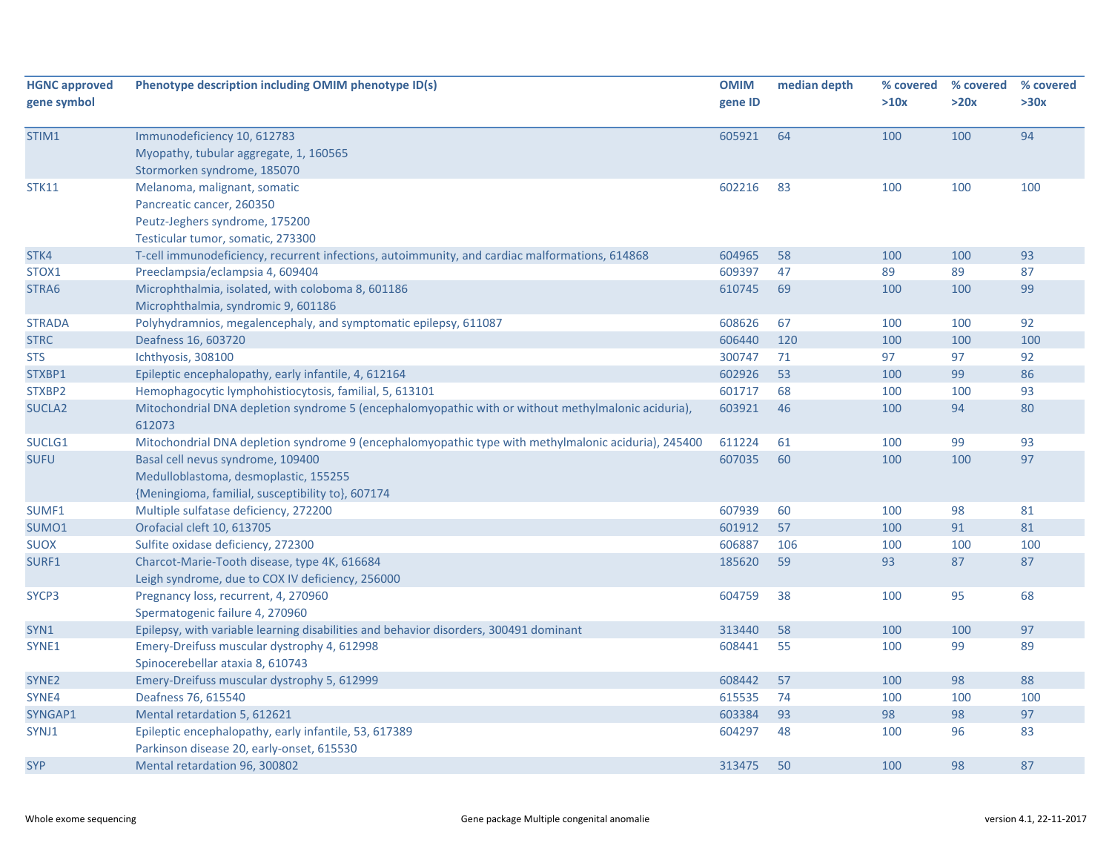| <b>HGNC approved</b><br>gene symbol | Phenotype description including OMIM phenotype ID(s)                                                                             | <b>OMIM</b><br>gene ID | median depth | % covered<br>>10x | % covered<br>>20x | % covered<br>>30x |
|-------------------------------------|----------------------------------------------------------------------------------------------------------------------------------|------------------------|--------------|-------------------|-------------------|-------------------|
| STIM1                               | Immunodeficiency 10, 612783<br>Myopathy, tubular aggregate, 1, 160565<br>Stormorken syndrome, 185070                             | 605921                 | 64           | 100               | 100               | 94                |
| <b>STK11</b>                        | Melanoma, malignant, somatic<br>Pancreatic cancer, 260350<br>Peutz-Jeghers syndrome, 175200<br>Testicular tumor, somatic, 273300 | 602216                 | 83           | 100               | 100               | 100               |
| STK4                                | T-cell immunodeficiency, recurrent infections, autoimmunity, and cardiac malformations, 614868                                   | 604965                 | 58           | 100               | 100               | 93                |
| STOX1                               | Preeclampsia/eclampsia 4, 609404                                                                                                 | 609397                 | 47           | 89                | 89                | 87                |
| STRA6                               | Microphthalmia, isolated, with coloboma 8, 601186<br>Microphthalmia, syndromic 9, 601186                                         | 610745                 | 69           | 100               | 100               | 99                |
| <b>STRADA</b>                       | Polyhydramnios, megalencephaly, and symptomatic epilepsy, 611087                                                                 | 608626                 | 67           | 100               | 100               | 92                |
| <b>STRC</b>                         | Deafness 16, 603720                                                                                                              | 606440                 | 120          | 100               | 100               | 100               |
| <b>STS</b>                          | Ichthyosis, 308100                                                                                                               | 300747                 | 71           | 97                | 97                | 92                |
| STXBP1                              | Epileptic encephalopathy, early infantile, 4, 612164                                                                             | 602926                 | 53           | 100               | 99                | 86                |
| STXBP2                              | Hemophagocytic lymphohistiocytosis, familial, 5, 613101                                                                          | 601717                 | 68           | 100               | 100               | 93                |
| <b>SUCLA2</b>                       | Mitochondrial DNA depletion syndrome 5 (encephalomyopathic with or without methylmalonic aciduria),<br>612073                    | 603921                 | 46           | 100               | 94                | 80                |
| SUCLG1                              | Mitochondrial DNA depletion syndrome 9 (encephalomyopathic type with methylmalonic aciduria), 245400                             | 611224                 | 61           | 100               | 99                | 93                |
| <b>SUFU</b>                         | Basal cell nevus syndrome, 109400<br>Medulloblastoma, desmoplastic, 155255<br>{Meningioma, familial, susceptibility to}, 607174  | 607035                 | 60           | 100               | 100               | 97                |
| SUMF1                               | Multiple sulfatase deficiency, 272200                                                                                            | 607939                 | 60           | 100               | 98                | 81                |
| SUMO1                               | Orofacial cleft 10, 613705                                                                                                       | 601912                 | 57           | 100               | 91                | 81                |
| <b>SUOX</b>                         | Sulfite oxidase deficiency, 272300                                                                                               | 606887                 | 106          | 100               | 100               | 100               |
| SURF1                               | Charcot-Marie-Tooth disease, type 4K, 616684<br>Leigh syndrome, due to COX IV deficiency, 256000                                 | 185620                 | 59           | 93                | 87                | 87                |
| SYCP3                               | Pregnancy loss, recurrent, 4, 270960<br>Spermatogenic failure 4, 270960                                                          | 604759                 | 38           | 100               | 95                | 68                |
| SYN1                                | Epilepsy, with variable learning disabilities and behavior disorders, 300491 dominant                                            | 313440                 | 58           | 100               | 100               | 97                |
| SYNE1                               | Emery-Dreifuss muscular dystrophy 4, 612998<br>Spinocerebellar ataxia 8, 610743                                                  | 608441                 | 55           | 100               | 99                | 89                |
| SYNE <sub>2</sub>                   | Emery-Dreifuss muscular dystrophy 5, 612999                                                                                      | 608442                 | 57           | 100               | 98                | 88                |
| SYNE4                               | Deafness 76, 615540                                                                                                              | 615535                 | 74           | 100               | 100               | 100               |
| SYNGAP1                             | Mental retardation 5, 612621                                                                                                     | 603384                 | 93           | 98                | 98                | 97                |
| SYNJ1                               | Epileptic encephalopathy, early infantile, 53, 617389<br>Parkinson disease 20, early-onset, 615530                               | 604297                 | 48           | 100               | 96                | 83                |
| <b>SYP</b>                          | Mental retardation 96, 300802                                                                                                    | 313475                 | 50           | 100               | 98                | 87                |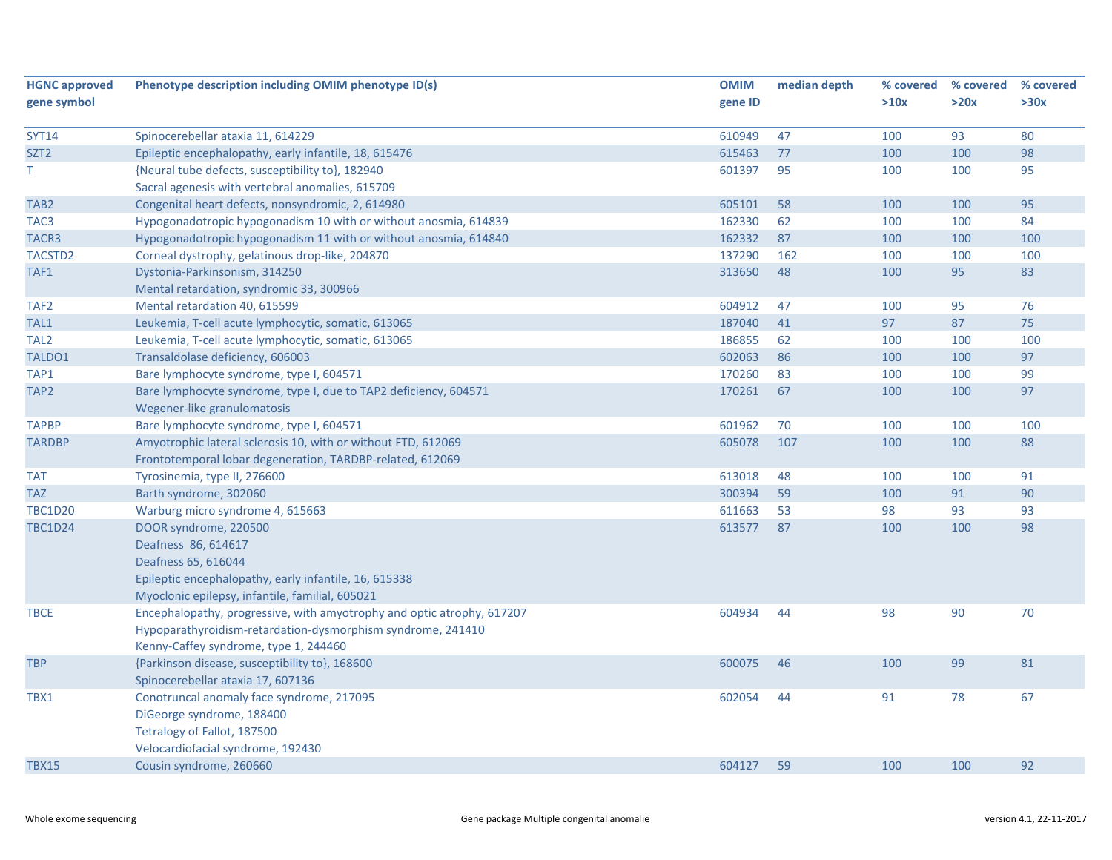| <b>HGNC approved</b> | Phenotype description including OMIM phenotype ID(s)                   | <b>OMIM</b> | median depth | % covered | % covered | % covered |
|----------------------|------------------------------------------------------------------------|-------------|--------------|-----------|-----------|-----------|
| gene symbol          |                                                                        | gene ID     |              | >10x      | >20x      | >30x      |
|                      |                                                                        |             |              |           |           |           |
| <b>SYT14</b>         | Spinocerebellar ataxia 11, 614229                                      | 610949      | 47           | 100       | 93        | 80        |
| SZT <sub>2</sub>     | Epileptic encephalopathy, early infantile, 18, 615476                  | 615463      | 77           | 100       | 100       | 98        |
| T.                   | {Neural tube defects, susceptibility to}, 182940                       | 601397      | 95           | 100       | 100       | 95        |
|                      | Sacral agenesis with vertebral anomalies, 615709                       |             |              |           |           |           |
| TAB <sub>2</sub>     | Congenital heart defects, nonsyndromic, 2, 614980                      | 605101      | 58           | 100       | 100       | 95        |
| TAC <sub>3</sub>     | Hypogonadotropic hypogonadism 10 with or without anosmia, 614839       | 162330      | 62           | 100       | 100       | 84        |
| TACR3                | Hypogonadotropic hypogonadism 11 with or without anosmia, 614840       | 162332      | 87           | 100       | 100       | 100       |
| TACSTD <sub>2</sub>  | Corneal dystrophy, gelatinous drop-like, 204870                        | 137290      | 162          | 100       | 100       | 100       |
| TAF1                 | Dystonia-Parkinsonism, 314250                                          | 313650      | 48           | 100       | 95        | 83        |
|                      | Mental retardation, syndromic 33, 300966                               |             |              |           |           |           |
| TAF <sub>2</sub>     | Mental retardation 40, 615599                                          | 604912      | 47           | 100       | 95        | 76        |
| TAL1                 | Leukemia, T-cell acute lymphocytic, somatic, 613065                    | 187040      | 41           | 97        | 87        | 75        |
| TAL <sub>2</sub>     | Leukemia, T-cell acute lymphocytic, somatic, 613065                    | 186855      | 62           | 100       | 100       | 100       |
| TALDO1               | Transaldolase deficiency, 606003                                       | 602063      | 86           | 100       | 100       | 97        |
| TAP1                 | Bare lymphocyte syndrome, type I, 604571                               | 170260      | 83           | 100       | 100       | 99        |
| TAP <sub>2</sub>     | Bare lymphocyte syndrome, type I, due to TAP2 deficiency, 604571       | 170261      | 67           | 100       | 100       | 97        |
|                      | Wegener-like granulomatosis                                            |             |              |           |           |           |
| <b>TAPBP</b>         | Bare lymphocyte syndrome, type I, 604571                               | 601962      | 70           | 100       | 100       | 100       |
| <b>TARDBP</b>        | Amyotrophic lateral sclerosis 10, with or without FTD, 612069          | 605078      | 107          | 100       | 100       | 88        |
|                      | Frontotemporal lobar degeneration, TARDBP-related, 612069              |             |              |           |           |           |
| <b>TAT</b>           | Tyrosinemia, type II, 276600                                           | 613018      | 48           | 100       | 100       | 91        |
| <b>TAZ</b>           | Barth syndrome, 302060                                                 | 300394      | 59           | 100       | 91        | 90        |
| <b>TBC1D20</b>       | Warburg micro syndrome 4, 615663                                       | 611663      | 53           | 98        | 93        | 93        |
| <b>TBC1D24</b>       | DOOR syndrome, 220500                                                  | 613577      | 87           | 100       | 100       | 98        |
|                      | Deafness 86, 614617                                                    |             |              |           |           |           |
|                      | Deafness 65, 616044                                                    |             |              |           |           |           |
|                      | Epileptic encephalopathy, early infantile, 16, 615338                  |             |              |           |           |           |
|                      | Myoclonic epilepsy, infantile, familial, 605021                        |             |              |           |           |           |
| <b>TBCE</b>          | Encephalopathy, progressive, with amyotrophy and optic atrophy, 617207 | 604934      | 44           | 98        | 90        | 70        |
|                      | Hypoparathyroidism-retardation-dysmorphism syndrome, 241410            |             |              |           |           |           |
|                      | Kenny-Caffey syndrome, type 1, 244460                                  |             |              |           |           |           |
| <b>TBP</b>           | {Parkinson disease, susceptibility to}, 168600                         | 600075      | 46           | 100       | 99        | 81        |
|                      | Spinocerebellar ataxia 17, 607136                                      |             |              |           |           |           |
| TBX1                 | Conotruncal anomaly face syndrome, 217095                              | 602054      | 44           | 91        | 78        | 67        |
|                      | DiGeorge syndrome, 188400                                              |             |              |           |           |           |
|                      | Tetralogy of Fallot, 187500                                            |             |              |           |           |           |
|                      | Velocardiofacial syndrome, 192430                                      |             |              |           |           |           |
| <b>TBX15</b>         | Cousin syndrome, 260660                                                | 604127      | 59           | 100       | 100       | 92        |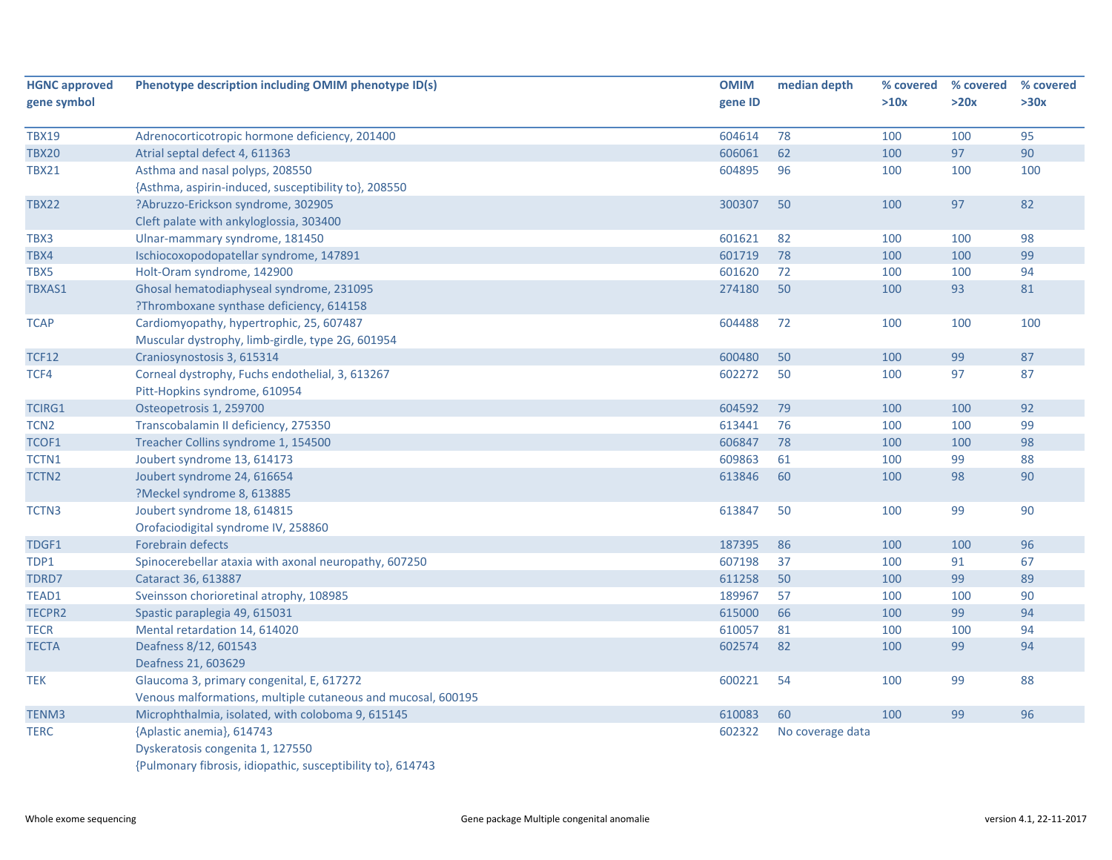| <b>HGNC approved</b> | Phenotype description including OMIM phenotype ID(s)         | <b>OMIM</b> | median depth     | % covered | % covered | % covered |
|----------------------|--------------------------------------------------------------|-------------|------------------|-----------|-----------|-----------|
| gene symbol          |                                                              | gene ID     |                  | >10x      | >20x      | >30x      |
| <b>TBX19</b>         | Adrenocorticotropic hormone deficiency, 201400               | 604614      | 78               | 100       | 100       | 95        |
| <b>TBX20</b>         | Atrial septal defect 4, 611363                               | 606061      | 62               | 100       | 97        | 90        |
| <b>TBX21</b>         | Asthma and nasal polyps, 208550                              | 604895      | 96               | 100       | 100       | 100       |
|                      | {Asthma, aspirin-induced, susceptibility to}, 208550         |             |                  |           |           |           |
| <b>TBX22</b>         | ?Abruzzo-Erickson syndrome, 302905                           | 300307      | 50               | 100       | 97        | 82        |
|                      | Cleft palate with ankyloglossia, 303400                      |             |                  |           |           |           |
| TBX3                 | Ulnar-mammary syndrome, 181450                               | 601621      | 82               | 100       | 100       | 98        |
| TBX4                 | Ischiocoxopodopatellar syndrome, 147891                      | 601719      | 78               | 100       | 100       | 99        |
| TBX5                 | Holt-Oram syndrome, 142900                                   | 601620      | 72               | 100       | 100       | 94        |
| TBXAS1               | Ghosal hematodiaphyseal syndrome, 231095                     | 274180      | 50               | 100       | 93        | 81        |
|                      | ?Thromboxane synthase deficiency, 614158                     |             |                  |           |           |           |
| <b>TCAP</b>          | Cardiomyopathy, hypertrophic, 25, 607487                     | 604488      | 72               | 100       | 100       | 100       |
|                      | Muscular dystrophy, limb-girdle, type 2G, 601954             |             |                  |           |           |           |
| <b>TCF12</b>         | Craniosynostosis 3, 615314                                   | 600480      | 50               | 100       | 99        | 87        |
| TCF4                 | Corneal dystrophy, Fuchs endothelial, 3, 613267              | 602272      | 50               | 100       | 97        | 87        |
|                      | Pitt-Hopkins syndrome, 610954                                |             |                  |           |           |           |
| TCIRG1               | Osteopetrosis 1, 259700                                      | 604592      | 79               | 100       | 100       | 92        |
| TCN <sub>2</sub>     | Transcobalamin II deficiency, 275350                         | 613441      | 76               | 100       | 100       | 99        |
| TCOF1                | Treacher Collins syndrome 1, 154500                          | 606847      | 78               | 100       | 100       | 98        |
| TCTN1                | Joubert syndrome 13, 614173                                  | 609863      | 61               | 100       | 99        | 88        |
| TCTN <sub>2</sub>    | Joubert syndrome 24, 616654                                  | 613846      | 60               | 100       | 98        | 90        |
|                      | ?Meckel syndrome 8, 613885                                   |             |                  |           |           |           |
| TCTN3                | Joubert syndrome 18, 614815                                  | 613847      | 50               | 100       | 99        | 90        |
|                      | Orofaciodigital syndrome IV, 258860                          |             |                  |           |           |           |
| TDGF1                | <b>Forebrain defects</b>                                     | 187395      | 86               | 100       | 100       | 96        |
| TDP1                 | Spinocerebellar ataxia with axonal neuropathy, 607250        | 607198      | 37               | 100       | 91        | 67        |
| TDRD7                | Cataract 36, 613887                                          | 611258      | 50               | 100       | 99        | 89        |
| TEAD1                | Sveinsson chorioretinal atrophy, 108985                      | 189967      | 57               | 100       | 100       | 90        |
| TECPR2               | Spastic paraplegia 49, 615031                                | 615000      | 66               | 100       | 99        | 94        |
| <b>TECR</b>          | Mental retardation 14, 614020                                | 610057      | 81               | 100       | 100       | 94        |
| <b>TECTA</b>         | Deafness 8/12, 601543                                        | 602574      | 82               | 100       | 99        | 94        |
|                      | Deafness 21, 603629                                          |             |                  |           |           |           |
| <b>TEK</b>           | Glaucoma 3, primary congenital, E, 617272                    | 600221      | 54               | 100       | 99        | 88        |
|                      | Venous malformations, multiple cutaneous and mucosal, 600195 |             |                  |           |           |           |
| TENM3                | Microphthalmia, isolated, with coloboma 9, 615145            | 610083      | 60               | 100       | 99        | 96        |
| <b>TERC</b>          | {Aplastic anemia}, 614743                                    | 602322      | No coverage data |           |           |           |
|                      | Dyskeratosis congenita 1, 127550                             |             |                  |           |           |           |
|                      | {Pulmonary fibrosis, idiopathic, susceptibility to}, 614743  |             |                  |           |           |           |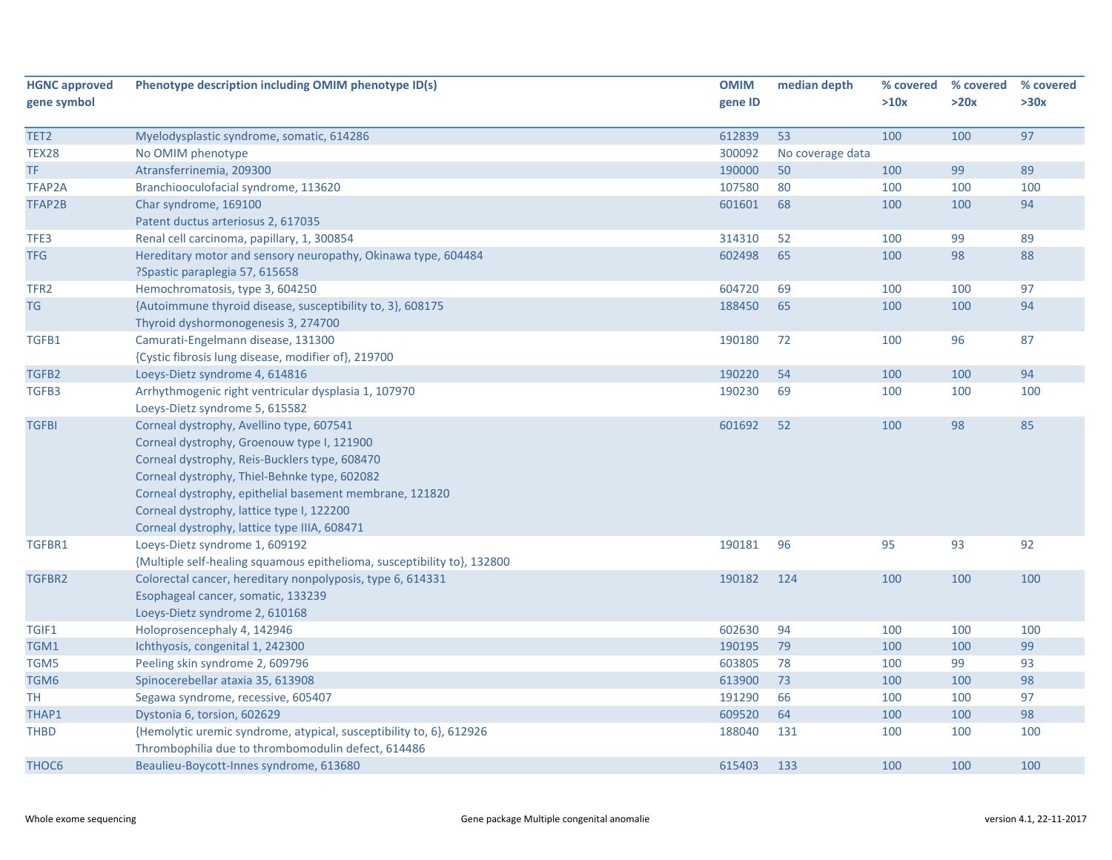| <b>HGNC approved</b> | Phenotype description including OMIM phenotype ID(s)                    | <b>OMIM</b> | median depth     | % covered | % covered | % covered |
|----------------------|-------------------------------------------------------------------------|-------------|------------------|-----------|-----------|-----------|
| gene symbol          |                                                                         | gene ID     |                  | >10x      | >20x      | >30x      |
|                      |                                                                         |             |                  |           |           |           |
| TET2                 | Myelodysplastic syndrome, somatic, 614286                               | 612839      | 53               | 100       | 100       | 97        |
| <b>TEX28</b>         | No OMIM phenotype                                                       | 300092      | No coverage data |           |           |           |
| TF                   | Atransferrinemia, 209300                                                | 190000      | 50               | 100       | 99        | 89        |
| <b>TFAP2A</b>        | Branchiooculofacial syndrome, 113620                                    | 107580      | 80               | 100       | 100       | 100       |
| TFAP2B               | Char syndrome, 169100                                                   | 601601      | 68               | 100       | 100       | 94        |
|                      | Patent ductus arteriosus 2, 617035                                      |             |                  |           |           |           |
| TFE3                 | Renal cell carcinoma, papillary, 1, 300854                              | 314310      | 52               | 100       | 99        | 89        |
| <b>TFG</b>           | Hereditary motor and sensory neuropathy, Okinawa type, 604484           | 602498      | 65               | 100       | 98        | 88        |
|                      | ?Spastic paraplegia 57, 615658                                          |             |                  |           |           |           |
| TFR <sub>2</sub>     | Hemochromatosis, type 3, 604250                                         | 604720      | 69               | 100       | 100       | 97        |
| TG                   | {Autoimmune thyroid disease, susceptibility to, 3}, 608175              | 188450      | 65               | 100       | 100       | 94        |
|                      | Thyroid dyshormonogenesis 3, 274700                                     |             |                  |           |           |           |
| TGFB1                | Camurati-Engelmann disease, 131300                                      | 190180      | 72               | 100       | 96        | 87        |
|                      | {Cystic fibrosis lung disease, modifier of}, 219700                     |             |                  |           |           |           |
| TGFB2                | Loeys-Dietz syndrome 4, 614816                                          | 190220      | 54               | 100       | 100       | 94        |
| TGFB3                | Arrhythmogenic right ventricular dysplasia 1, 107970                    | 190230      | 69               | 100       | 100       | 100       |
|                      | Loeys-Dietz syndrome 5, 615582                                          |             |                  |           |           |           |
| <b>TGFBI</b>         | Corneal dystrophy, Avellino type, 607541                                | 601692      | 52               | 100       | 98        | 85        |
|                      | Corneal dystrophy, Groenouw type I, 121900                              |             |                  |           |           |           |
|                      | Corneal dystrophy, Reis-Bucklers type, 608470                           |             |                  |           |           |           |
|                      | Corneal dystrophy, Thiel-Behnke type, 602082                            |             |                  |           |           |           |
|                      | Corneal dystrophy, epithelial basement membrane, 121820                 |             |                  |           |           |           |
|                      | Corneal dystrophy, lattice type I, 122200                               |             |                  |           |           |           |
|                      | Corneal dystrophy, lattice type IIIA, 608471                            |             |                  |           |           |           |
| TGFBR1               | Loeys-Dietz syndrome 1, 609192                                          | 190181      | 96               | 95        | 93        | 92        |
|                      | {Multiple self-healing squamous epithelioma, susceptibility to}, 132800 |             |                  |           |           |           |
| TGFBR2               | Colorectal cancer, hereditary nonpolyposis, type 6, 614331              | 190182      | 124              | 100       | 100       | 100       |
|                      | Esophageal cancer, somatic, 133239                                      |             |                  |           |           |           |
|                      | Loeys-Dietz syndrome 2, 610168                                          |             |                  |           |           |           |
| TGIF1                | Holoprosencephaly 4, 142946                                             | 602630      | 94               | 100       | 100       | 100       |
| TGM1                 | Ichthyosis, congenital 1, 242300                                        | 190195      | 79               | 100       | 100       | 99        |
| TGM5                 | Peeling skin syndrome 2, 609796                                         | 603805      | 78               | 100       | 99        | 93        |
| TGM6                 | Spinocerebellar ataxia 35, 613908                                       | 613900      | 73               | 100       | 100       | 98        |
| TН                   | Segawa syndrome, recessive, 605407                                      | 191290      | 66               | 100       | 100       | 97        |
| THAP1                | Dystonia 6, torsion, 602629                                             | 609520      | 64               | 100       | 100       | 98        |
| <b>THBD</b>          | {Hemolytic uremic syndrome, atypical, susceptibility to, 6}, 612926     | 188040      | 131              | 100       | 100       | 100       |
|                      | Thrombophilia due to thrombomodulin defect, 614486                      |             |                  |           |           |           |
| THOC <sub>6</sub>    | Beaulieu-Boycott-Innes syndrome, 613680                                 | 615403      | 133              | 100       | 100       | 100       |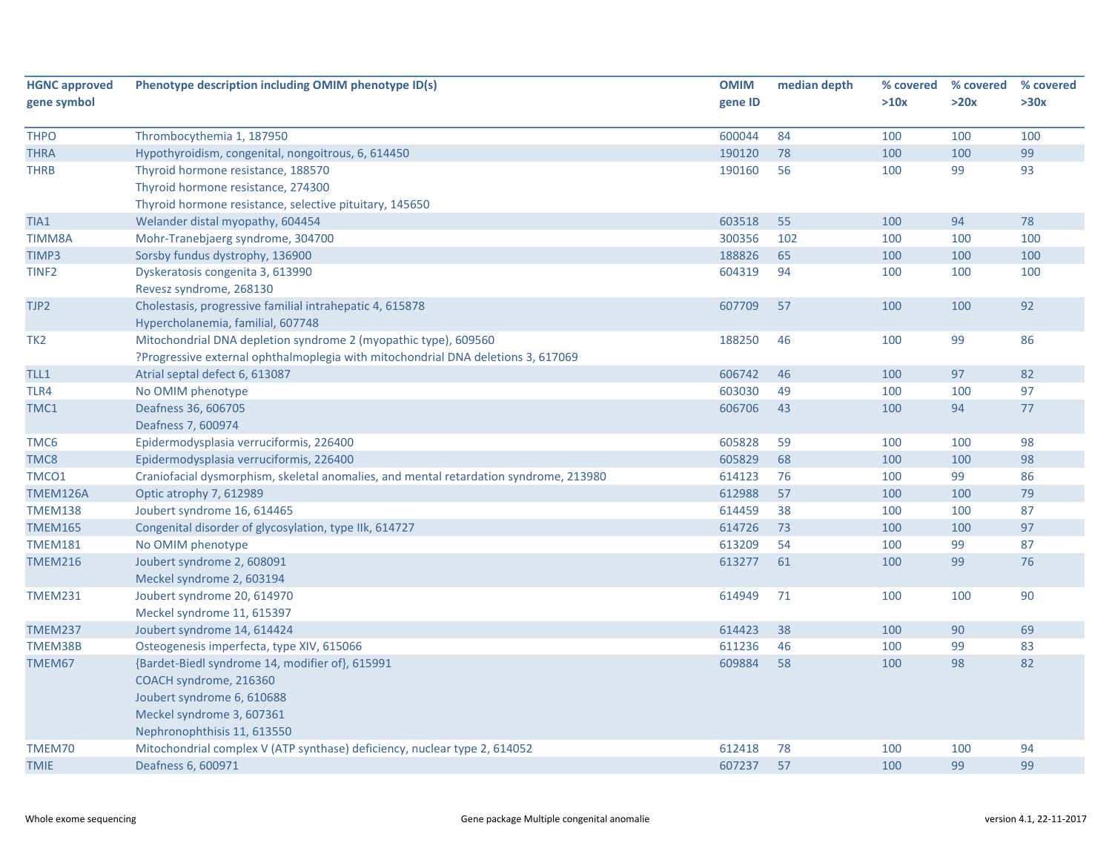| <b>HGNC approved</b> | Phenotype description including OMIM phenotype ID(s)                                  | <b>OMIM</b> | median depth | % covered | % covered | % covered |
|----------------------|---------------------------------------------------------------------------------------|-------------|--------------|-----------|-----------|-----------|
| gene symbol          |                                                                                       | gene ID     |              | >10x      | >20x      | >30x      |
|                      |                                                                                       |             |              |           |           |           |
| <b>THPO</b>          | Thrombocythemia 1, 187950                                                             | 600044      | 84           | 100       | 100       | 100       |
| <b>THRA</b>          | Hypothyroidism, congenital, nongoitrous, 6, 614450                                    | 190120      | 78           | 100       | 100       | 99        |
| <b>THRB</b>          | Thyroid hormone resistance, 188570                                                    | 190160      | 56           | 100       | 99        | 93        |
|                      | Thyroid hormone resistance, 274300                                                    |             |              |           |           |           |
|                      | Thyroid hormone resistance, selective pituitary, 145650                               |             |              |           |           |           |
| TIA1                 | Welander distal myopathy, 604454                                                      | 603518      | 55           | 100       | 94        | 78        |
| <b>TIMM8A</b>        | Mohr-Tranebjaerg syndrome, 304700                                                     | 300356      | 102          | 100       | 100       | 100       |
| TIMP3                | Sorsby fundus dystrophy, 136900                                                       | 188826      | 65           | 100       | 100       | 100       |
| TINF <sub>2</sub>    | Dyskeratosis congenita 3, 613990                                                      | 604319      | 94           | 100       | 100       | 100       |
|                      | Revesz syndrome, 268130                                                               |             |              |           |           |           |
| TJP2                 | Cholestasis, progressive familial intrahepatic 4, 615878                              | 607709      | 57           | 100       | 100       | 92        |
|                      | Hypercholanemia, familial, 607748                                                     |             |              |           |           |           |
| TK <sub>2</sub>      | Mitochondrial DNA depletion syndrome 2 (myopathic type), 609560                       | 188250      | 46           | 100       | 99        | 86        |
|                      | ?Progressive external ophthalmoplegia with mitochondrial DNA deletions 3, 617069      |             |              |           |           |           |
| TLL1                 | Atrial septal defect 6, 613087                                                        | 606742      | 46           | 100       | 97        | 82        |
| TLR4                 | No OMIM phenotype                                                                     | 603030      | 49           | 100       | 100       | 97        |
| TMC1                 | Deafness 36, 606705                                                                   | 606706      | 43           | 100       | 94        | 77        |
|                      | Deafness 7, 600974                                                                    |             |              |           |           |           |
| TMC6                 | Epidermodysplasia verruciformis, 226400                                               | 605828      | 59           | 100       | 100       | 98        |
| TMC8                 | Epidermodysplasia verruciformis, 226400                                               | 605829      | 68           | 100       | 100       | 98        |
| TMCO1                | Craniofacial dysmorphism, skeletal anomalies, and mental retardation syndrome, 213980 | 614123      | 76           | 100       | 99        | 86        |
| TMEM126A             | Optic atrophy 7, 612989                                                               | 612988      | 57           | 100       | 100       | 79        |
| <b>TMEM138</b>       | Joubert syndrome 16, 614465                                                           | 614459      | 38           | 100       | 100       | 87        |
| <b>TMEM165</b>       | Congenital disorder of glycosylation, type IIk, 614727                                | 614726      | 73           | 100       | 100       | 97        |
| <b>TMEM181</b>       | No OMIM phenotype                                                                     | 613209      | 54           | 100       | 99        | 87        |
| <b>TMEM216</b>       | Joubert syndrome 2, 608091                                                            | 613277      | 61           | 100       | 99        | 76        |
|                      | Meckel syndrome 2, 603194                                                             |             |              |           |           |           |
| <b>TMEM231</b>       | Joubert syndrome 20, 614970                                                           | 614949      | 71           | 100       | 100       | 90        |
|                      | Meckel syndrome 11, 615397                                                            |             |              |           |           |           |
| <b>TMEM237</b>       | Joubert syndrome 14, 614424                                                           | 614423      | 38           | 100       | 90        | 69        |
| TMEM38B              | Osteogenesis imperfecta, type XIV, 615066                                             | 611236      | 46           | 100       | 99        | 83        |
| TMEM67               | {Bardet-Biedl syndrome 14, modifier of}, 615991                                       | 609884      | 58           | 100       | 98        | 82        |
|                      | COACH syndrome, 216360                                                                |             |              |           |           |           |
|                      | Joubert syndrome 6, 610688                                                            |             |              |           |           |           |
|                      | Meckel syndrome 3, 607361                                                             |             |              |           |           |           |
|                      | Nephronophthisis 11, 613550                                                           |             |              |           |           |           |
| TMEM70               | Mitochondrial complex V (ATP synthase) deficiency, nuclear type 2, 614052             | 612418      | 78           | 100       | 100       | 94        |
| <b>TMIE</b>          | Deafness 6, 600971                                                                    | 607237      | 57           | 100       | 99        | 99        |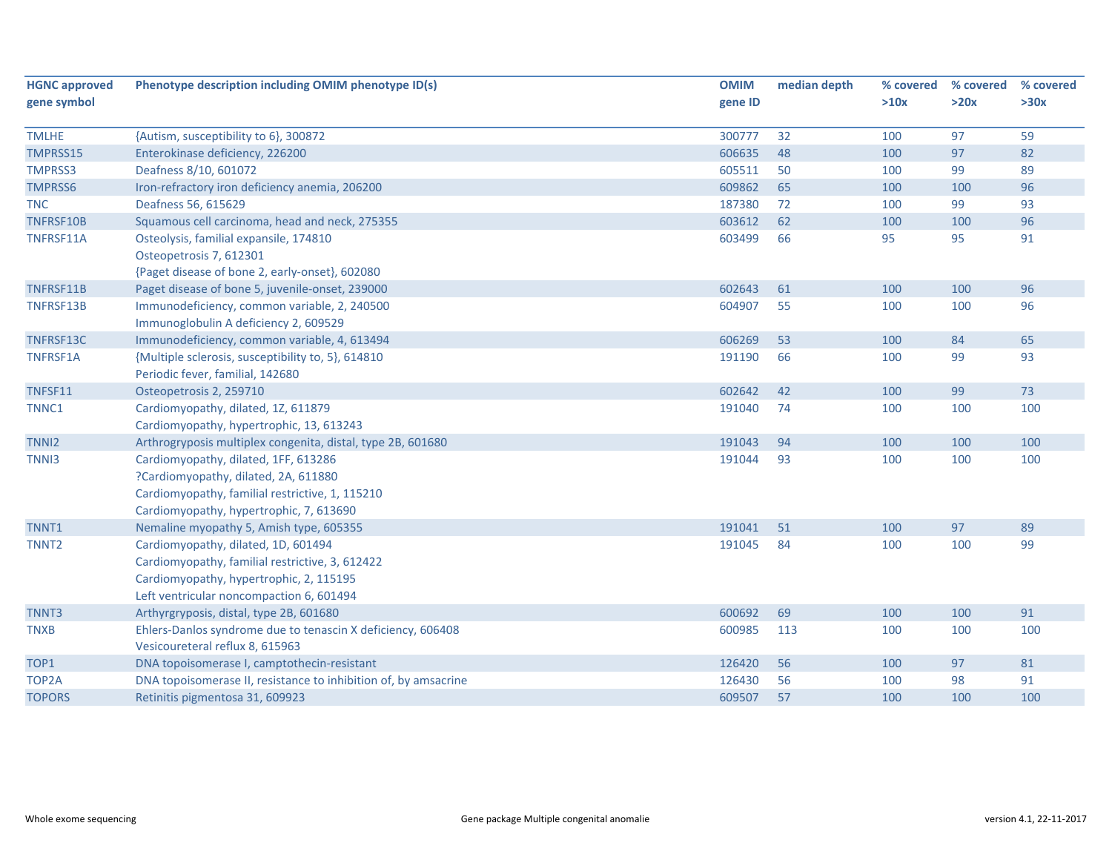| <b>HGNC approved</b> | Phenotype description including OMIM phenotype ID(s)                                           | <b>OMIM</b> | median depth | % covered | % covered | % covered |
|----------------------|------------------------------------------------------------------------------------------------|-------------|--------------|-----------|-----------|-----------|
| gene symbol          |                                                                                                | gene ID     |              | >10x      | >20x      | >30x      |
| <b>TMLHE</b>         | {Autism, susceptibility to 6}, 300872                                                          | 300777      | 32           | 100       | 97        | 59        |
| TMPRSS15             | Enterokinase deficiency, 226200                                                                | 606635      | 48           | 100       | 97        | 82        |
| <b>TMPRSS3</b>       | Deafness 8/10, 601072                                                                          | 605511      | 50           | 100       | 99        | 89        |
| <b>TMPRSS6</b>       | Iron-refractory iron deficiency anemia, 206200                                                 | 609862      | 65           | 100       | 100       | 96        |
| <b>TNC</b>           | Deafness 56, 615629                                                                            | 187380      | 72           | 100       | 99        | 93        |
| TNFRSF10B            | Squamous cell carcinoma, head and neck, 275355                                                 | 603612      | 62           | 100       | 100       | 96        |
| TNFRSF11A            | Osteolysis, familial expansile, 174810                                                         | 603499      | 66           | 95        | 95        | 91        |
|                      | Osteopetrosis 7, 612301                                                                        |             |              |           |           |           |
|                      | {Paget disease of bone 2, early-onset}, 602080                                                 |             |              |           |           |           |
| TNFRSF11B            | Paget disease of bone 5, juvenile-onset, 239000                                                | 602643      | 61           | 100       | 100       | 96        |
| TNFRSF13B            | Immunodeficiency, common variable, 2, 240500                                                   | 604907      | 55           | 100       | 100       | 96        |
|                      | Immunoglobulin A deficiency 2, 609529                                                          |             |              |           |           |           |
| TNFRSF13C            | Immunodeficiency, common variable, 4, 613494                                                   | 606269      | 53           | 100       | 84        | 65        |
| <b>TNFRSF1A</b>      | {Multiple sclerosis, susceptibility to, 5}, 614810                                             | 191190      | 66           | 100       | 99        | 93        |
|                      | Periodic fever, familial, 142680                                                               |             |              |           |           |           |
| TNFSF11              | Osteopetrosis 2, 259710                                                                        | 602642      | 42           | 100       | 99        | 73        |
| TNNC1                | Cardiomyopathy, dilated, 1Z, 611879                                                            | 191040      | 74           | 100       | 100       | 100       |
|                      | Cardiomyopathy, hypertrophic, 13, 613243                                                       |             |              |           |           |           |
| TNNI <sub>2</sub>    | Arthrogryposis multiplex congenita, distal, type 2B, 601680                                    | 191043      | 94           | 100       | 100       | 100       |
| TNN <sub>13</sub>    | Cardiomyopathy, dilated, 1FF, 613286                                                           | 191044      | 93           | 100       | 100       | 100       |
|                      | ?Cardiomyopathy, dilated, 2A, 611880                                                           |             |              |           |           |           |
|                      | Cardiomyopathy, familial restrictive, 1, 115210                                                |             |              |           |           |           |
|                      | Cardiomyopathy, hypertrophic, 7, 613690                                                        |             |              |           |           |           |
| TNNT1                | Nemaline myopathy 5, Amish type, 605355                                                        | 191041      | 51           | 100       | 97        | 89        |
| TNNT <sub>2</sub>    | Cardiomyopathy, dilated, 1D, 601494                                                            | 191045      | 84           | 100       | 100       | 99        |
|                      | Cardiomyopathy, familial restrictive, 3, 612422                                                |             |              |           |           |           |
|                      | Cardiomyopathy, hypertrophic, 2, 115195                                                        |             |              |           |           |           |
|                      | Left ventricular noncompaction 6, 601494                                                       |             |              |           |           |           |
| TNNT3                | Arthyrgryposis, distal, type 2B, 601680                                                        | 600692      | 69           | 100       | 100       | 91        |
| <b>TNXB</b>          | Ehlers-Danlos syndrome due to tenascin X deficiency, 606408<br>Vesicoureteral reflux 8, 615963 | 600985      | 113          | 100       | 100       | 100       |
| TOP1                 | DNA topoisomerase I, camptothecin-resistant                                                    | 126420      | 56           | 100       | 97        | 81        |
| TOP2A                | DNA topoisomerase II, resistance to inhibition of, by amsacrine                                | 126430      | 56           | 100       | 98        | 91        |
| <b>TOPORS</b>        | Retinitis pigmentosa 31, 609923                                                                | 609507      | 57           | 100       | 100       | 100       |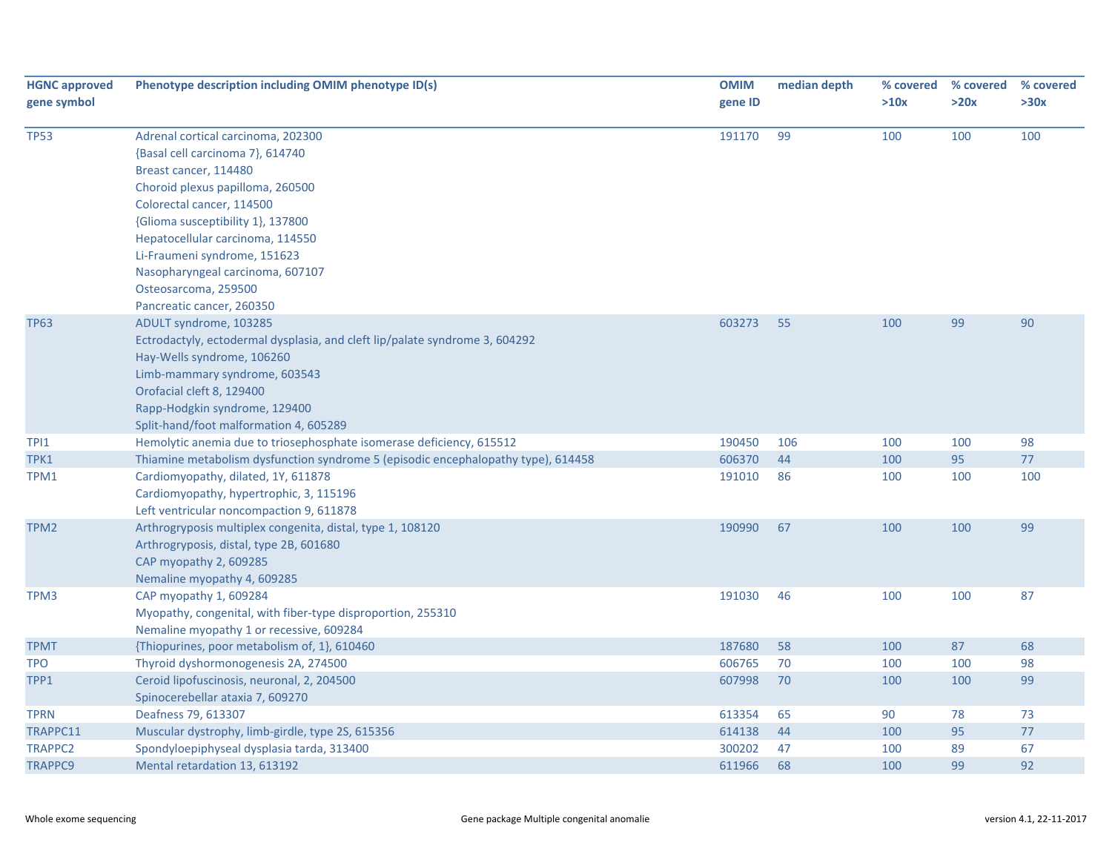| <b>HGNC approved</b><br>gene symbol | Phenotype description including OMIM phenotype ID(s)                                                                                                                                                                                                                                                      | <b>OMIM</b><br>gene ID | median depth | % covered<br>>10x | % covered<br>>20x | % covered<br>>30x |
|-------------------------------------|-----------------------------------------------------------------------------------------------------------------------------------------------------------------------------------------------------------------------------------------------------------------------------------------------------------|------------------------|--------------|-------------------|-------------------|-------------------|
| <b>TP53</b>                         | Adrenal cortical carcinoma, 202300<br>{Basal cell carcinoma 7}, 614740<br>Breast cancer, 114480                                                                                                                                                                                                           | 191170                 | 99           | 100               | 100               | 100               |
|                                     | Choroid plexus papilloma, 260500<br>Colorectal cancer, 114500<br>{Glioma susceptibility 1}, 137800<br>Hepatocellular carcinoma, 114550<br>Li-Fraumeni syndrome, 151623<br>Nasopharyngeal carcinoma, 607107<br>Osteosarcoma, 259500                                                                        |                        |              |                   |                   |                   |
| <b>TP63</b>                         | Pancreatic cancer, 260350<br>ADULT syndrome, 103285<br>Ectrodactyly, ectodermal dysplasia, and cleft lip/palate syndrome 3, 604292<br>Hay-Wells syndrome, 106260<br>Limb-mammary syndrome, 603543<br>Orofacial cleft 8, 129400<br>Rapp-Hodgkin syndrome, 129400<br>Split-hand/foot malformation 4, 605289 | 603273                 | 55           | 100               | 99                | 90                |
| TPI1                                | Hemolytic anemia due to triosephosphate isomerase deficiency, 615512                                                                                                                                                                                                                                      | 190450                 | 106          | 100               | 100               | 98                |
| TPK1                                | Thiamine metabolism dysfunction syndrome 5 (episodic encephalopathy type), 614458                                                                                                                                                                                                                         | 606370                 | 44           | 100               | 95                | 77                |
| TPM1                                | Cardiomyopathy, dilated, 1Y, 611878<br>Cardiomyopathy, hypertrophic, 3, 115196<br>Left ventricular noncompaction 9, 611878                                                                                                                                                                                | 191010                 | 86           | 100               | 100               | 100               |
| TPM2                                | Arthrogryposis multiplex congenita, distal, type 1, 108120<br>Arthrogryposis, distal, type 2B, 601680<br>CAP myopathy 2, 609285<br>Nemaline myopathy 4, 609285                                                                                                                                            | 190990                 | 67           | 100               | 100               | 99                |
| TPM3                                | CAP myopathy 1, 609284<br>Myopathy, congenital, with fiber-type disproportion, 255310<br>Nemaline myopathy 1 or recessive, 609284                                                                                                                                                                         | 191030                 | 46           | 100               | 100               | 87                |
| <b>TPMT</b>                         | {Thiopurines, poor metabolism of, 1}, 610460                                                                                                                                                                                                                                                              | 187680                 | 58           | 100               | 87                | 68                |
| <b>TPO</b>                          | Thyroid dyshormonogenesis 2A, 274500                                                                                                                                                                                                                                                                      | 606765                 | 70           | 100               | 100               | 98                |
| TPP1                                | Ceroid lipofuscinosis, neuronal, 2, 204500<br>Spinocerebellar ataxia 7, 609270                                                                                                                                                                                                                            | 607998                 | 70           | 100               | 100               | 99                |
| <b>TPRN</b>                         | Deafness 79, 613307                                                                                                                                                                                                                                                                                       | 613354                 | 65           | 90                | 78                | 73                |
| TRAPPC11                            | Muscular dystrophy, limb-girdle, type 2S, 615356                                                                                                                                                                                                                                                          | 614138                 | 44           | 100               | 95                | 77                |
| <b>TRAPPC2</b>                      | Spondyloepiphyseal dysplasia tarda, 313400                                                                                                                                                                                                                                                                | 300202                 | 47           | 100               | 89                | 67                |
| <b>TRAPPC9</b>                      | Mental retardation 13, 613192                                                                                                                                                                                                                                                                             | 611966                 | 68           | 100               | 99                | 92                |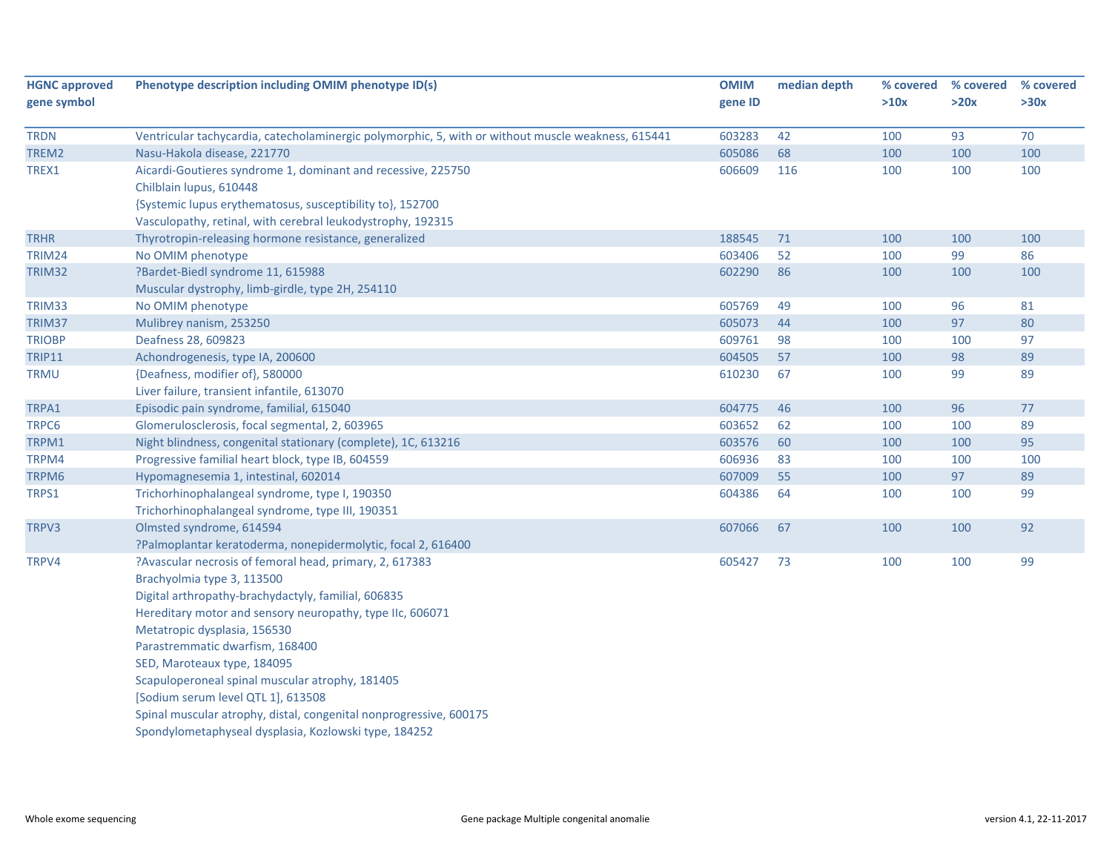| <b>HGNC approved</b> | Phenotype description including OMIM phenotype ID(s)                                               | <b>OMIM</b> | median depth | % covered | % covered | % covered |
|----------------------|----------------------------------------------------------------------------------------------------|-------------|--------------|-----------|-----------|-----------|
| gene symbol          |                                                                                                    | gene ID     |              | >10x      | >20x      | >30x      |
|                      |                                                                                                    |             |              |           |           |           |
| <b>TRDN</b>          | Ventricular tachycardia, catecholaminergic polymorphic, 5, with or without muscle weakness, 615441 | 603283      | 42           | 100       | 93        | 70        |
| TREM2                | Nasu-Hakola disease, 221770                                                                        | 605086      | 68           | 100       | 100       | 100       |
| TREX1                | Aicardi-Goutieres syndrome 1, dominant and recessive, 225750                                       | 606609      | 116          | 100       | 100       | 100       |
|                      | Chilblain lupus, 610448                                                                            |             |              |           |           |           |
|                      | {Systemic lupus erythematosus, susceptibility to}, 152700                                          |             |              |           |           |           |
|                      | Vasculopathy, retinal, with cerebral leukodystrophy, 192315                                        |             |              |           |           |           |
| <b>TRHR</b>          | Thyrotropin-releasing hormone resistance, generalized                                              | 188545      | 71           | 100       | 100       | 100       |
| <b>TRIM24</b>        | No OMIM phenotype                                                                                  | 603406      | 52           | 100       | 99        | 86        |
| TRIM32               | ?Bardet-Biedl syndrome 11, 615988                                                                  | 602290      | 86           | 100       | 100       | 100       |
|                      | Muscular dystrophy, limb-girdle, type 2H, 254110                                                   |             |              |           |           |           |
| TRIM33               | No OMIM phenotype                                                                                  | 605769      | 49           | 100       | 96        | 81        |
| TRIM37               | Mulibrey nanism, 253250                                                                            | 605073      | 44           | 100       | 97        | 80        |
| <b>TRIOBP</b>        | Deafness 28, 609823                                                                                | 609761      | 98           | 100       | 100       | 97        |
| <b>TRIP11</b>        | Achondrogenesis, type IA, 200600                                                                   | 604505      | 57           | 100       | 98        | 89        |
| <b>TRMU</b>          | {Deafness, modifier of}, 580000                                                                    | 610230      | 67           | 100       | 99        | 89        |
|                      | Liver failure, transient infantile, 613070                                                         |             |              |           |           |           |
| TRPA1                | Episodic pain syndrome, familial, 615040                                                           | 604775      | 46           | 100       | 96        | 77        |
| TRPC6                | Glomerulosclerosis, focal segmental, 2, 603965                                                     | 603652      | 62           | 100       | 100       | 89        |
| TRPM1                | Night blindness, congenital stationary (complete), 1C, 613216                                      | 603576      | 60           | 100       | 100       | 95        |
| TRPM4                | Progressive familial heart block, type IB, 604559                                                  | 606936      | 83           | 100       | 100       | 100       |
| TRPM6                | Hypomagnesemia 1, intestinal, 602014                                                               | 607009      | 55           | 100       | 97        | 89        |
| TRPS1                | Trichorhinophalangeal syndrome, type I, 190350                                                     | 604386      | 64           | 100       | 100       | 99        |
|                      | Trichorhinophalangeal syndrome, type III, 190351                                                   |             |              |           |           |           |
| TRPV3                | Olmsted syndrome, 614594                                                                           | 607066      | 67           | 100       | 100       | 92        |
|                      | ?Palmoplantar keratoderma, nonepidermolytic, focal 2, 616400                                       |             |              |           |           |           |
| TRPV4                | ?Avascular necrosis of femoral head, primary, 2, 617383                                            | 605427      | 73           | 100       | 100       | 99        |
|                      | Brachyolmia type 3, 113500                                                                         |             |              |           |           |           |
|                      | Digital arthropathy-brachydactyly, familial, 606835                                                |             |              |           |           |           |
|                      | Hereditary motor and sensory neuropathy, type IIc, 606071                                          |             |              |           |           |           |
|                      | Metatropic dysplasia, 156530                                                                       |             |              |           |           |           |
|                      | Parastremmatic dwarfism, 168400                                                                    |             |              |           |           |           |
|                      | SED, Maroteaux type, 184095                                                                        |             |              |           |           |           |
|                      | Scapuloperoneal spinal muscular atrophy, 181405                                                    |             |              |           |           |           |
|                      | [Sodium serum level QTL 1], 613508                                                                 |             |              |           |           |           |
|                      | Spinal muscular atrophy, distal, congenital nonprogressive, 600175                                 |             |              |           |           |           |
|                      | Spondylometaphyseal dysplasia, Kozlowski type, 184252                                              |             |              |           |           |           |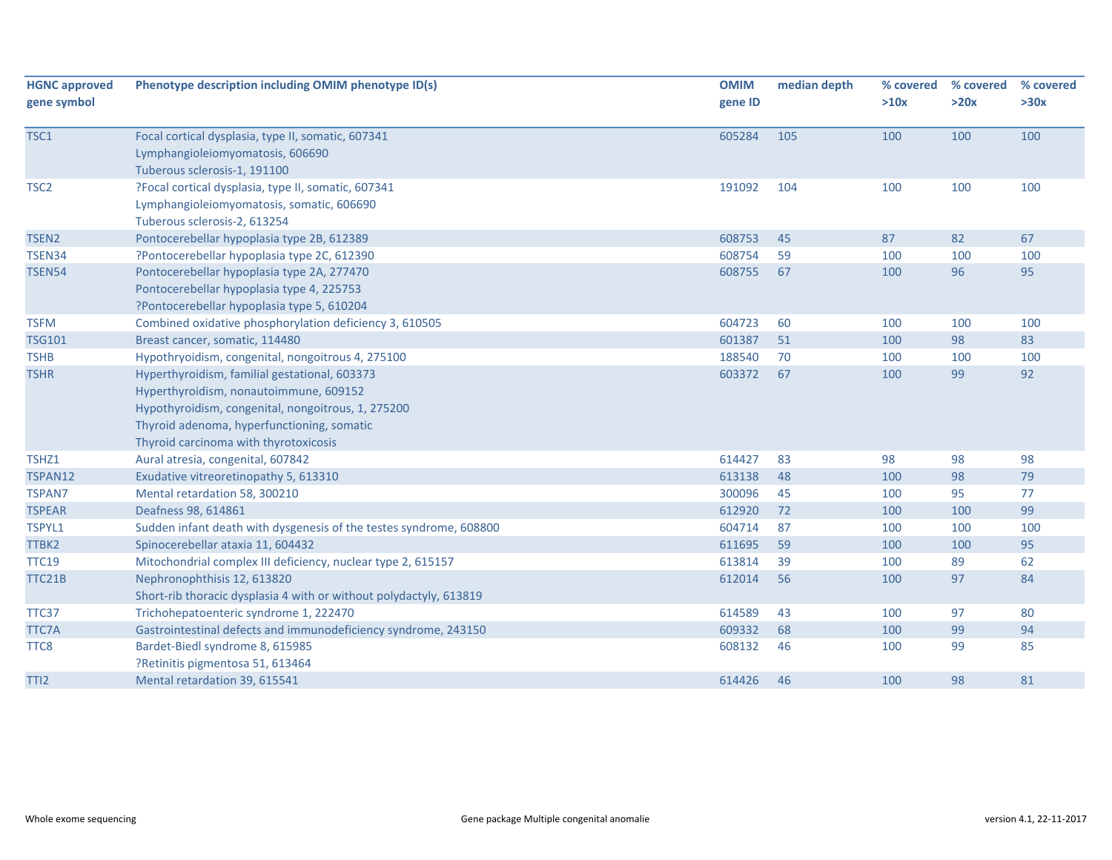| <b>HGNC approved</b> | Phenotype description including OMIM phenotype ID(s)                                                    | <b>OMIM</b>      | median depth | % covered  | % covered | % covered |
|----------------------|---------------------------------------------------------------------------------------------------------|------------------|--------------|------------|-----------|-----------|
| gene symbol          |                                                                                                         | gene ID          |              | >10x       | >20x      | >30x      |
| TSC1                 | Focal cortical dysplasia, type II, somatic, 607341                                                      | 605284           | 105          | 100        | 100       | 100       |
|                      | Lymphangioleiomyomatosis, 606690                                                                        |                  |              |            |           |           |
|                      | Tuberous sclerosis-1, 191100                                                                            |                  |              |            |           |           |
| TSC <sub>2</sub>     | ?Focal cortical dysplasia, type II, somatic, 607341                                                     | 191092           | 104          | 100        | 100       | 100       |
|                      | Lymphangioleiomyomatosis, somatic, 606690                                                               |                  |              |            |           |           |
|                      | Tuberous sclerosis-2, 613254                                                                            |                  |              |            |           |           |
| TSEN <sub>2</sub>    | Pontocerebellar hypoplasia type 2B, 612389                                                              | 608753           | 45           | 87         | 82        | 67        |
| TSEN34               | ?Pontocerebellar hypoplasia type 2C, 612390                                                             | 608754           | 59           | 100        | 100       | 100       |
| <b>TSEN54</b>        | Pontocerebellar hypoplasia type 2A, 277470                                                              | 608755           | 67           | 100        | 96        | 95        |
|                      | Pontocerebellar hypoplasia type 4, 225753                                                               |                  |              |            |           |           |
|                      | ?Pontocerebellar hypoplasia type 5, 610204                                                              |                  |              |            |           |           |
| <b>TSFM</b>          | Combined oxidative phosphorylation deficiency 3, 610505                                                 | 604723           | 60           | 100        | 100       | 100       |
| <b>TSG101</b>        | Breast cancer, somatic, 114480                                                                          | 601387           | 51           | 100        | 98        | 83        |
| <b>TSHB</b>          | Hypothryoidism, congenital, nongoitrous 4, 275100                                                       | 188540           | 70           | 100        | 100       | 100       |
| <b>TSHR</b>          | Hyperthyroidism, familial gestational, 603373                                                           | 603372           | 67           | 100        | 99        | 92        |
|                      | Hyperthyroidism, nonautoimmune, 609152                                                                  |                  |              |            |           |           |
|                      | Hypothyroidism, congenital, nongoitrous, 1, 275200                                                      |                  |              |            |           |           |
|                      | Thyroid adenoma, hyperfunctioning, somatic                                                              |                  |              |            |           |           |
|                      | Thyroid carcinoma with thyrotoxicosis                                                                   |                  |              |            |           |           |
|                      |                                                                                                         | 614427           | 83           | 98         | 98        | 98        |
| TSHZ1<br>TSPAN12     | Aural atresia, congenital, 607842<br>Exudative vitreoretinopathy 5, 613310                              |                  | 48           |            |           |           |
| <b>TSPAN7</b>        | Mental retardation 58, 300210                                                                           | 613138<br>300096 | 45           | 100<br>100 | 98<br>95  | 79<br>77  |
| <b>TSPEAR</b>        | Deafness 98, 614861                                                                                     | 612920           | 72           | 100        | 100       | 99        |
|                      |                                                                                                         | 604714           | 87           | 100        | 100       |           |
| TSPYL1<br>TTBK2      | Sudden infant death with dysgenesis of the testes syndrome, 608800<br>Spinocerebellar ataxia 11, 604432 | 611695           | 59           | 100        | 100       | 100<br>95 |
| <b>TTC19</b>         |                                                                                                         | 613814           | 39           | 100        | 89        |           |
|                      | Mitochondrial complex III deficiency, nuclear type 2, 615157                                            |                  | 56           |            | 97        | 62        |
| TTC21B               | Nephronophthisis 12, 613820                                                                             | 612014           |              | 100        |           | 84        |
|                      | Short-rib thoracic dysplasia 4 with or without polydactyly, 613819                                      |                  |              |            |           |           |
| TTC37                | Trichohepatoenteric syndrome 1, 222470                                                                  | 614589           | 43           | 100        | 97        | 80        |
| TTC7A                | Gastrointestinal defects and immunodeficiency syndrome, 243150                                          | 609332           | 68           | 100        | 99        | 94        |
| TTC8                 | Bardet-Biedl syndrome 8, 615985                                                                         | 608132           | 46           | 100        | 99        | 85        |
|                      | ?Retinitis pigmentosa 51, 613464                                                                        |                  |              |            |           |           |
| TTI <sub>2</sub>     | Mental retardation 39, 615541                                                                           | 614426           | 46           | 100        | 98        | 81        |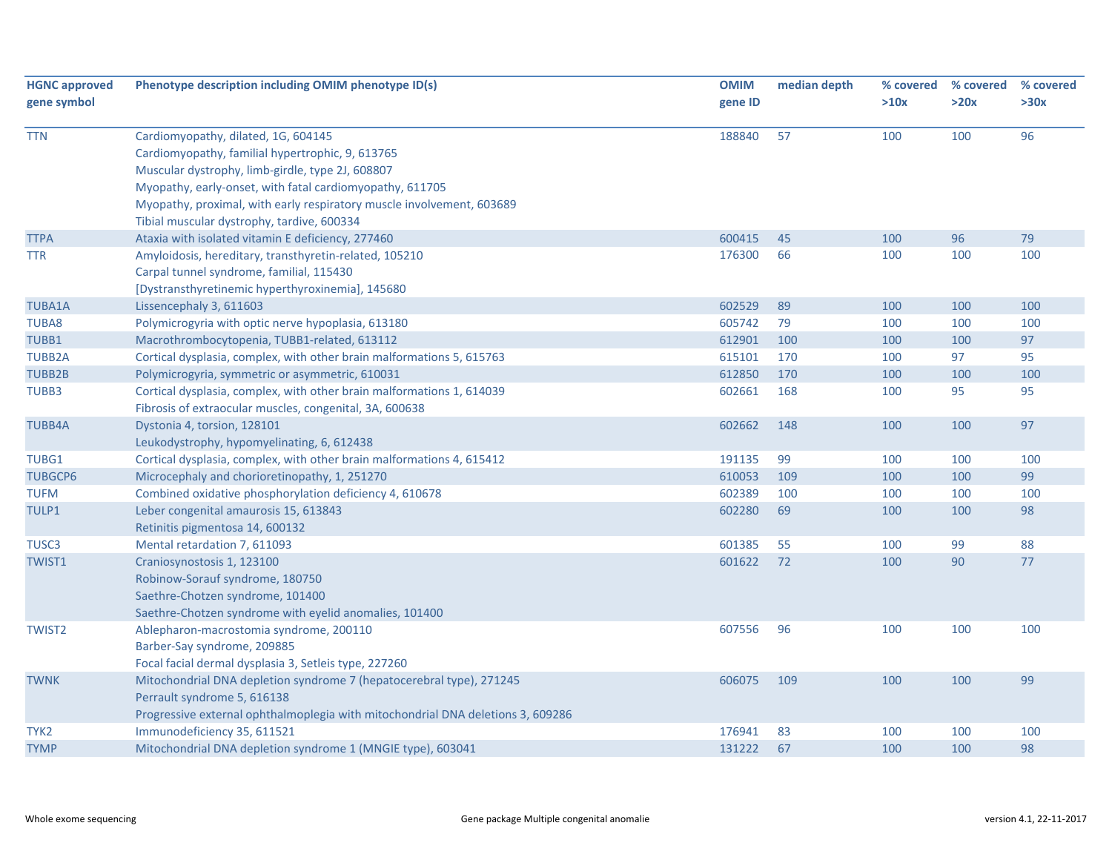| <b>HGNC approved</b> | Phenotype description including OMIM phenotype ID(s)                            | <b>OMIM</b> | median depth | % covered | % covered | % covered |
|----------------------|---------------------------------------------------------------------------------|-------------|--------------|-----------|-----------|-----------|
| gene symbol          |                                                                                 | gene ID     |              | >10x      | >20x      | >30x      |
|                      |                                                                                 |             |              |           |           |           |
| <b>TTN</b>           | Cardiomyopathy, dilated, 1G, 604145                                             | 188840      | 57           | 100       | 100       | 96        |
|                      | Cardiomyopathy, familial hypertrophic, 9, 613765                                |             |              |           |           |           |
|                      | Muscular dystrophy, limb-girdle, type 2J, 608807                                |             |              |           |           |           |
|                      | Myopathy, early-onset, with fatal cardiomyopathy, 611705                        |             |              |           |           |           |
|                      | Myopathy, proximal, with early respiratory muscle involvement, 603689           |             |              |           |           |           |
|                      | Tibial muscular dystrophy, tardive, 600334                                      |             |              |           |           |           |
| <b>TTPA</b>          | Ataxia with isolated vitamin E deficiency, 277460                               | 600415      | 45           | 100       | 96        | 79        |
| TTR                  | Amyloidosis, hereditary, transthyretin-related, 105210                          | 176300      | 66           | 100       | 100       | 100       |
|                      | Carpal tunnel syndrome, familial, 115430                                        |             |              |           |           |           |
|                      | [Dystransthyretinemic hyperthyroxinemia], 145680                                |             |              |           |           |           |
| <b>TUBA1A</b>        | Lissencephaly 3, 611603                                                         | 602529      | 89           | 100       | 100       | 100       |
| TUBA8                | Polymicrogyria with optic nerve hypoplasia, 613180                              | 605742      | 79           | 100       | 100       | 100       |
| TUBB1                | Macrothrombocytopenia, TUBB1-related, 613112                                    | 612901      | 100          | 100       | 100       | 97        |
| <b>TUBB2A</b>        | Cortical dysplasia, complex, with other brain malformations 5, 615763           | 615101      | 170          | 100       | 97        | 95        |
| <b>TUBB2B</b>        | Polymicrogyria, symmetric or asymmetric, 610031                                 | 612850      | 170          | 100       | 100       | 100       |
| TUBB3                | Cortical dysplasia, complex, with other brain malformations 1, 614039           | 602661      | 168          | 100       | 95        | 95        |
|                      | Fibrosis of extraocular muscles, congenital, 3A, 600638                         |             |              |           |           |           |
| <b>TUBB4A</b>        | Dystonia 4, torsion, 128101                                                     | 602662      | 148          | 100       | 100       | 97        |
|                      | Leukodystrophy, hypomyelinating, 6, 612438                                      |             |              |           |           |           |
| TUBG1                | Cortical dysplasia, complex, with other brain malformations 4, 615412           | 191135      | 99           | 100       | 100       | 100       |
| <b>TUBGCP6</b>       | Microcephaly and chorioretinopathy, 1, 251270                                   | 610053      | 109          | 100       | 100       | 99        |
| <b>TUFM</b>          | Combined oxidative phosphorylation deficiency 4, 610678                         | 602389      | 100          | 100       | 100       | 100       |
| TULP1                | Leber congenital amaurosis 15, 613843                                           | 602280      | 69           | 100       | 100       | 98        |
|                      | Retinitis pigmentosa 14, 600132                                                 |             |              |           |           |           |
| TUSC <sub>3</sub>    | Mental retardation 7, 611093                                                    | 601385      | 55           | 100       | 99        | 88        |
| TWIST1               | Craniosynostosis 1, 123100                                                      | 601622      | 72           | 100       | 90        | 77        |
|                      | Robinow-Sorauf syndrome, 180750                                                 |             |              |           |           |           |
|                      | Saethre-Chotzen syndrome, 101400                                                |             |              |           |           |           |
|                      | Saethre-Chotzen syndrome with eyelid anomalies, 101400                          |             |              |           |           |           |
| <b>TWIST2</b>        | Ablepharon-macrostomia syndrome, 200110                                         | 607556      | 96           | 100       | 100       | 100       |
|                      | Barber-Say syndrome, 209885                                                     |             |              |           |           |           |
|                      | Focal facial dermal dysplasia 3, Setleis type, 227260                           |             |              |           |           |           |
| <b>TWNK</b>          | Mitochondrial DNA depletion syndrome 7 (hepatocerebral type), 271245            | 606075      | 109          | 100       | 100       | 99        |
|                      | Perrault syndrome 5, 616138                                                     |             |              |           |           |           |
|                      | Progressive external ophthalmoplegia with mitochondrial DNA deletions 3, 609286 |             |              |           |           |           |
| TYK2                 | Immunodeficiency 35, 611521                                                     | 176941      | 83           | 100       | 100       | 100       |
| <b>TYMP</b>          | Mitochondrial DNA depletion syndrome 1 (MNGIE type), 603041                     | 131222      | 67           | 100       | 100       | 98        |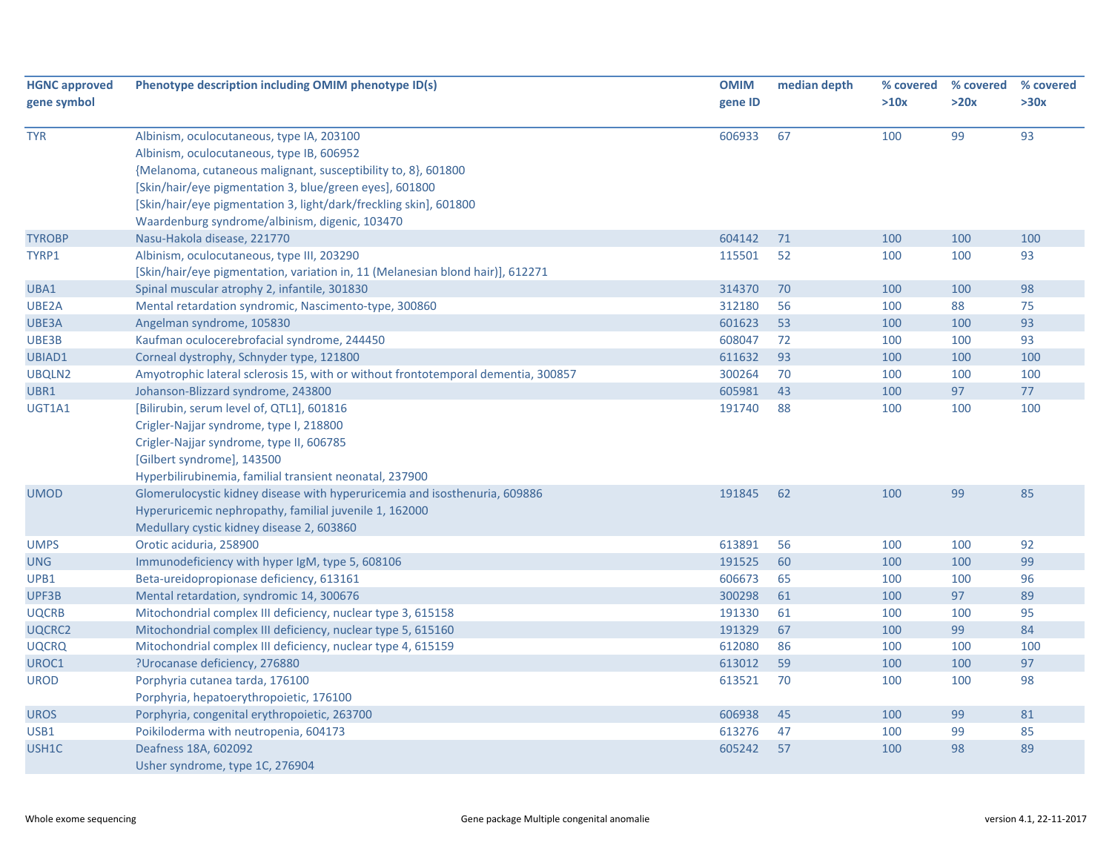| <b>HGNC approved</b> | Phenotype description including OMIM phenotype ID(s)                              | <b>OMIM</b> | median depth | % covered | % covered | % covered |
|----------------------|-----------------------------------------------------------------------------------|-------------|--------------|-----------|-----------|-----------|
| gene symbol          |                                                                                   | gene ID     |              | >10x      | >20x      | >30x      |
|                      |                                                                                   |             |              |           |           |           |
| <b>TYR</b>           | Albinism, oculocutaneous, type IA, 203100                                         | 606933      | 67           | 100       | 99        | 93        |
|                      | Albinism, oculocutaneous, type IB, 606952                                         |             |              |           |           |           |
|                      | {Melanoma, cutaneous malignant, susceptibility to, 8}, 601800                     |             |              |           |           |           |
|                      | [Skin/hair/eye pigmentation 3, blue/green eyes], 601800                           |             |              |           |           |           |
|                      | [Skin/hair/eye pigmentation 3, light/dark/freckling skin], 601800                 |             |              |           |           |           |
|                      | Waardenburg syndrome/albinism, digenic, 103470                                    |             |              |           |           |           |
| <b>TYROBP</b>        | Nasu-Hakola disease, 221770                                                       | 604142      | 71           | 100       | 100       | 100       |
| TYRP1                | Albinism, oculocutaneous, type III, 203290                                        | 115501      | 52           | 100       | 100       | 93        |
|                      | [Skin/hair/eye pigmentation, variation in, 11 (Melanesian blond hair)], 612271    |             |              |           |           |           |
| UBA1                 | Spinal muscular atrophy 2, infantile, 301830                                      | 314370      | 70           | 100       | 100       | 98        |
| UBE2A                | Mental retardation syndromic, Nascimento-type, 300860                             | 312180      | 56           | 100       | 88        | 75        |
| UBE3A                | Angelman syndrome, 105830                                                         | 601623      | 53           | 100       | 100       | 93        |
| UBE3B                | Kaufman oculocerebrofacial syndrome, 244450                                       | 608047      | 72           | 100       | 100       | 93        |
| UBIAD1               | Corneal dystrophy, Schnyder type, 121800                                          | 611632      | 93           | 100       | 100       | 100       |
| UBQLN2               | Amyotrophic lateral sclerosis 15, with or without frontotemporal dementia, 300857 | 300264      | 70           | 100       | 100       | 100       |
| UBR1                 | Johanson-Blizzard syndrome, 243800                                                | 605981      | 43           | 100       | 97        | 77        |
| UGT1A1               | [Bilirubin, serum level of, QTL1], 601816                                         | 191740      | 88           | 100       | 100       | 100       |
|                      | Crigler-Najjar syndrome, type I, 218800                                           |             |              |           |           |           |
|                      | Crigler-Najjar syndrome, type II, 606785                                          |             |              |           |           |           |
|                      | [Gilbert syndrome], 143500                                                        |             |              |           |           |           |
|                      | Hyperbilirubinemia, familial transient neonatal, 237900                           |             |              |           |           |           |
| UMOD                 | Glomerulocystic kidney disease with hyperuricemia and isosthenuria, 609886        | 191845      | 62           | 100       | 99        | 85        |
|                      | Hyperuricemic nephropathy, familial juvenile 1, 162000                            |             |              |           |           |           |
|                      | Medullary cystic kidney disease 2, 603860                                         |             |              |           |           |           |
| <b>UMPS</b>          | Orotic aciduria, 258900                                                           | 613891      | 56           | 100       | 100       | 92        |
| <b>UNG</b>           | Immunodeficiency with hyper IgM, type 5, 608106                                   | 191525      | 60           | 100       | 100       | 99        |
| UPB1                 | Beta-ureidopropionase deficiency, 613161                                          | 606673      | 65           | 100       | 100       | 96        |
| UPF3B                | Mental retardation, syndromic 14, 300676                                          | 300298      | 61           | 100       | 97        | 89        |
| <b>UQCRB</b>         | Mitochondrial complex III deficiency, nuclear type 3, 615158                      | 191330      | 61           | 100       | 100       | 95        |
| UQCRC2               | Mitochondrial complex III deficiency, nuclear type 5, 615160                      | 191329      | 67           | 100       | 99        | 84        |
| <b>UQCRQ</b>         | Mitochondrial complex III deficiency, nuclear type 4, 615159                      | 612080      | 86           | 100       | 100       | 100       |
| UROC1                | ?Urocanase deficiency, 276880                                                     | 613012      | 59           | 100       | 100       | 97        |
| <b>UROD</b>          | Porphyria cutanea tarda, 176100                                                   | 613521      | 70           | 100       | 100       | 98        |
|                      | Porphyria, hepatoerythropoietic, 176100                                           |             |              |           |           |           |
| <b>UROS</b>          | Porphyria, congenital erythropoietic, 263700                                      | 606938      | 45           | 100       | 99        | 81        |
| USB1                 | Poikiloderma with neutropenia, 604173                                             | 613276      | 47           | 100       | 99        | 85        |
| USH1C                | Deafness 18A, 602092                                                              | 605242      | 57           | 100       | 98        | 89        |
|                      | Usher syndrome, type 1C, 276904                                                   |             |              |           |           |           |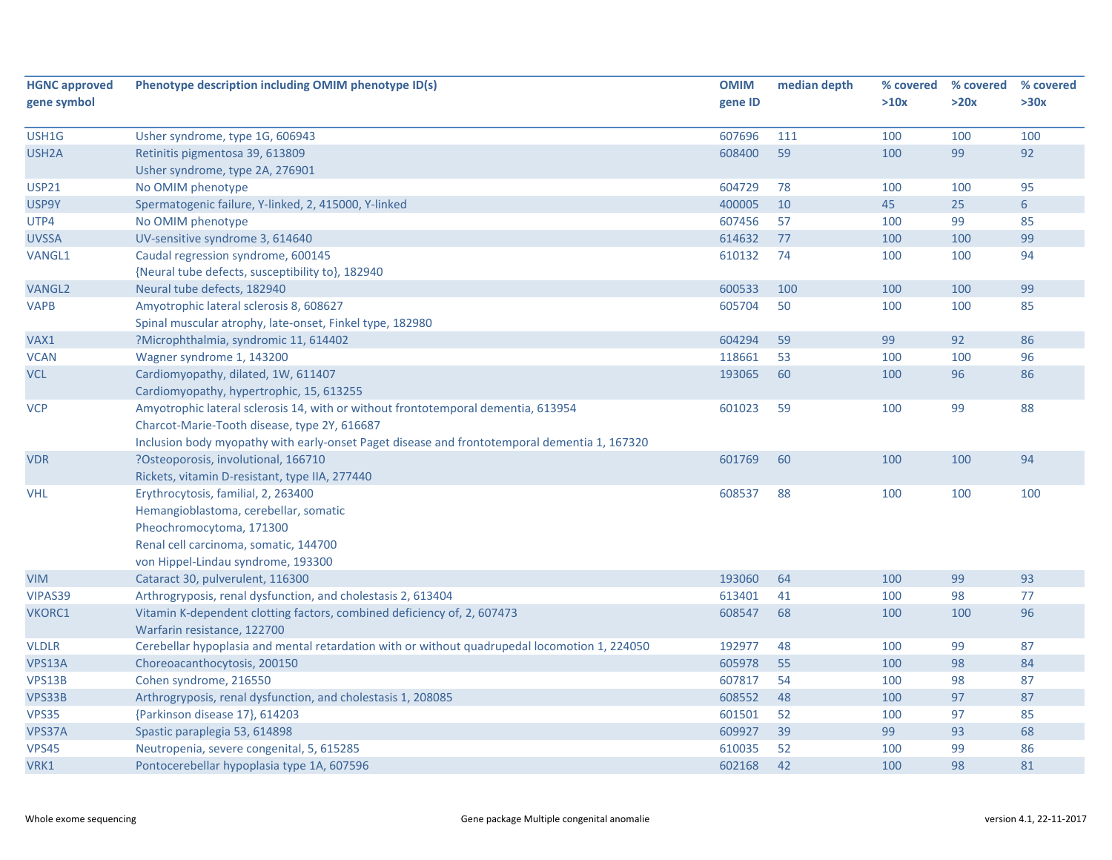| <b>HGNC approved</b> | Phenotype description including OMIM phenotype ID(s)                                          | <b>OMIM</b> | median depth | % covered | % covered | % covered       |
|----------------------|-----------------------------------------------------------------------------------------------|-------------|--------------|-----------|-----------|-----------------|
| gene symbol          |                                                                                               | gene ID     |              | >10x      | >20x      | >30x            |
|                      |                                                                                               |             |              |           |           |                 |
| USH1G                | Usher syndrome, type 1G, 606943                                                               | 607696      | 111          | 100       | 100       | 100             |
| USH <sub>2</sub> A   | Retinitis pigmentosa 39, 613809                                                               | 608400      | 59           | 100       | 99        | 92              |
|                      | Usher syndrome, type 2A, 276901                                                               |             |              |           |           |                 |
| <b>USP21</b>         | No OMIM phenotype                                                                             | 604729      | 78           | 100       | 100       | 95              |
| USP9Y                | Spermatogenic failure, Y-linked, 2, 415000, Y-linked                                          | 400005      | 10           | 45        | 25        | $6\overline{6}$ |
| UTP4                 | No OMIM phenotype                                                                             | 607456      | 57           | 100       | 99        | 85              |
| <b>UVSSA</b>         | UV-sensitive syndrome 3, 614640                                                               | 614632      | 77           | 100       | 100       | 99              |
| <b>VANGL1</b>        | Caudal regression syndrome, 600145                                                            | 610132      | 74           | 100       | 100       | 94              |
|                      | {Neural tube defects, susceptibility to}, 182940                                              |             |              |           |           |                 |
| <b>VANGL2</b>        | Neural tube defects, 182940                                                                   | 600533      | 100          | 100       | 100       | 99              |
| <b>VAPB</b>          | Amyotrophic lateral sclerosis 8, 608627                                                       | 605704      | 50           | 100       | 100       | 85              |
|                      | Spinal muscular atrophy, late-onset, Finkel type, 182980                                      |             |              |           |           |                 |
| VAX1                 | ?Microphthalmia, syndromic 11, 614402                                                         | 604294      | 59           | 99        | 92        | 86              |
| <b>VCAN</b>          | Wagner syndrome 1, 143200                                                                     | 118661      | 53           | 100       | 100       | 96              |
| <b>VCL</b>           | Cardiomyopathy, dilated, 1W, 611407                                                           | 193065      | 60           | 100       | 96        | 86              |
|                      | Cardiomyopathy, hypertrophic, 15, 613255                                                      |             |              |           |           |                 |
| <b>VCP</b>           | Amyotrophic lateral sclerosis 14, with or without frontotemporal dementia, 613954             | 601023      | 59           | 100       | 99        | 88              |
|                      | Charcot-Marie-Tooth disease, type 2Y, 616687                                                  |             |              |           |           |                 |
|                      | Inclusion body myopathy with early-onset Paget disease and frontotemporal dementia 1, 167320  |             |              |           |           |                 |
| <b>VDR</b>           | ?Osteoporosis, involutional, 166710                                                           | 601769      | 60           | 100       | 100       | 94              |
|                      | Rickets, vitamin D-resistant, type IIA, 277440                                                |             |              |           |           |                 |
| <b>VHL</b>           | Erythrocytosis, familial, 2, 263400                                                           | 608537      | 88           | 100       | 100       | 100             |
|                      | Hemangioblastoma, cerebellar, somatic                                                         |             |              |           |           |                 |
|                      | Pheochromocytoma, 171300                                                                      |             |              |           |           |                 |
|                      | Renal cell carcinoma, somatic, 144700                                                         |             |              |           |           |                 |
|                      | von Hippel-Lindau syndrome, 193300                                                            |             |              |           |           |                 |
| <b>VIM</b>           | Cataract 30, pulverulent, 116300                                                              | 193060      | 64           | 100       | 99        | 93              |
| VIPAS39              | Arthrogryposis, renal dysfunction, and cholestasis 2, 613404                                  | 613401      | 41           | 100       | 98        | 77              |
| <b>VKORC1</b>        | Vitamin K-dependent clotting factors, combined deficiency of, 2, 607473                       | 608547      | 68           | 100       | 100       | 96              |
|                      | Warfarin resistance, 122700                                                                   |             |              |           |           |                 |
| <b>VLDLR</b>         | Cerebellar hypoplasia and mental retardation with or without quadrupedal locomotion 1, 224050 | 192977      | 48           | 100       | 99        | 87              |
| VPS13A               | Choreoacanthocytosis, 200150                                                                  | 605978      | 55           | 100       | 98        | 84              |
| VPS13B               | Cohen syndrome, 216550                                                                        | 607817      | 54           | 100       | 98        | 87              |
| VPS33B               | Arthrogryposis, renal dysfunction, and cholestasis 1, 208085                                  | 608552      | 48           | 100       | 97        | 87              |
| VPS35                | {Parkinson disease 17}, 614203                                                                | 601501      | 52           | 100       | 97        | 85              |
| VPS37A               | Spastic paraplegia 53, 614898                                                                 | 609927      | 39           | 99        | 93        | 68              |
| <b>VPS45</b>         | Neutropenia, severe congenital, 5, 615285                                                     | 610035      | 52           | 100       | 99        | 86              |
| VRK1                 | Pontocerebellar hypoplasia type 1A, 607596                                                    | 602168      | 42           | 100       | 98        | 81              |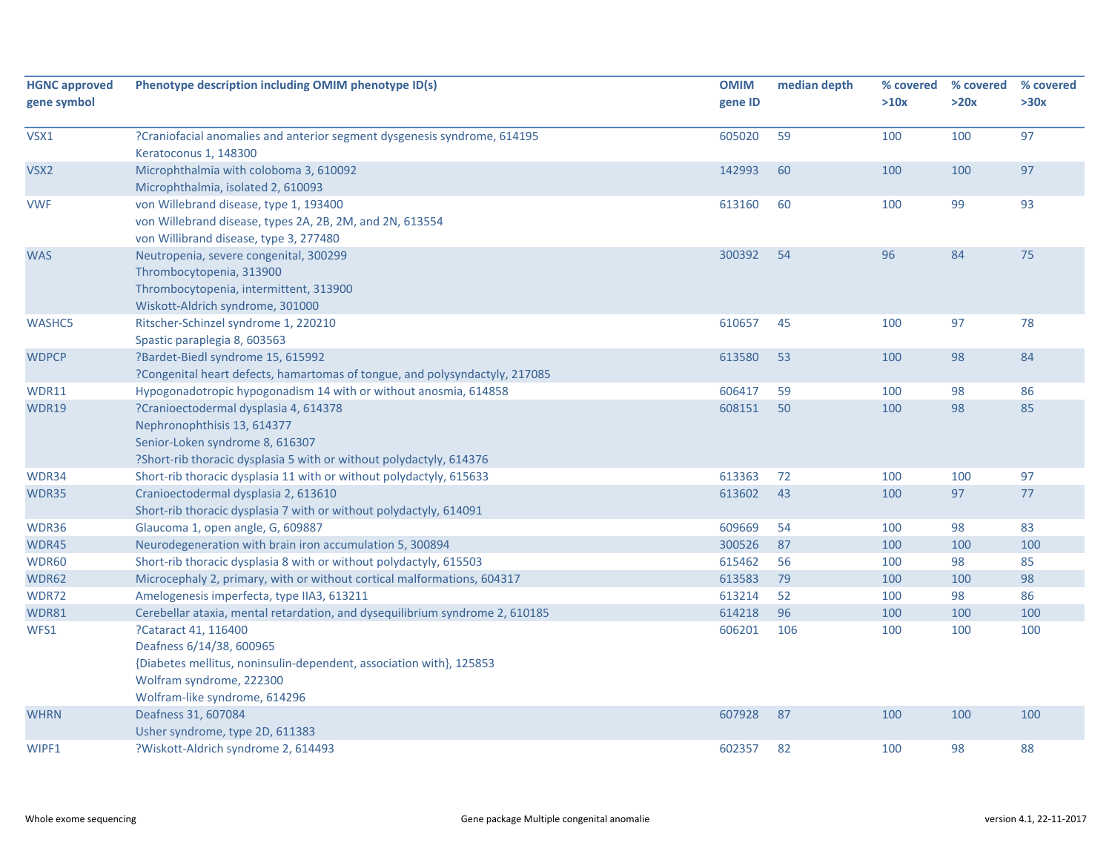| <b>HGNC approved</b><br>gene symbol | Phenotype description including OMIM phenotype ID(s)                                                                                                                                 | <b>OMIM</b><br>gene ID | median depth | % covered<br>>10x | % covered<br>>20x | % covered<br>>30x |
|-------------------------------------|--------------------------------------------------------------------------------------------------------------------------------------------------------------------------------------|------------------------|--------------|-------------------|-------------------|-------------------|
| VSX1                                | ?Craniofacial anomalies and anterior segment dysgenesis syndrome, 614195<br>Keratoconus 1, 148300                                                                                    | 605020                 | 59           | 100               | 100               | 97                |
| VSX2                                | Microphthalmia with coloboma 3, 610092<br>Microphthalmia, isolated 2, 610093                                                                                                         | 142993                 | 60           | 100               | 100               | 97                |
| <b>VWF</b>                          | von Willebrand disease, type 1, 193400<br>von Willebrand disease, types 2A, 2B, 2M, and 2N, 613554<br>von Willibrand disease, type 3, 277480                                         | 613160                 | 60           | 100               | 99                | 93                |
| <b>WAS</b>                          | Neutropenia, severe congenital, 300299<br>Thrombocytopenia, 313900<br>Thrombocytopenia, intermittent, 313900<br>Wiskott-Aldrich syndrome, 301000                                     | 300392                 | 54           | 96                | 84                | 75                |
| WASHC5                              | Ritscher-Schinzel syndrome 1, 220210<br>Spastic paraplegia 8, 603563                                                                                                                 | 610657                 | 45           | 100               | 97                | 78                |
| <b>WDPCP</b>                        | ?Bardet-Biedl syndrome 15, 615992<br>?Congenital heart defects, hamartomas of tongue, and polysyndactyly, 217085                                                                     | 613580                 | 53           | 100               | 98                | 84                |
| WDR11                               | Hypogonadotropic hypogonadism 14 with or without anosmia, 614858                                                                                                                     | 606417                 | 59           | 100               | 98                | 86                |
| WDR19                               | ?Cranioectodermal dysplasia 4, 614378<br>Nephronophthisis 13, 614377<br>Senior-Loken syndrome 8, 616307<br>?Short-rib thoracic dysplasia 5 with or without polydactyly, 614376       | 608151                 | 50           | 100               | 98                | 85                |
| WDR34                               | Short-rib thoracic dysplasia 11 with or without polydactyly, 615633                                                                                                                  | 613363                 | 72           | 100               | 100               | 97                |
| WDR35                               | Cranioectodermal dysplasia 2, 613610<br>Short-rib thoracic dysplasia 7 with or without polydactyly, 614091                                                                           | 613602                 | 43           | 100               | 97                | 77                |
| WDR36                               | Glaucoma 1, open angle, G, 609887                                                                                                                                                    | 609669                 | 54           | 100               | 98                | 83                |
| WDR45                               | Neurodegeneration with brain iron accumulation 5, 300894                                                                                                                             | 300526                 | 87           | 100               | 100               | 100               |
| WDR60                               | Short-rib thoracic dysplasia 8 with or without polydactyly, 615503                                                                                                                   | 615462                 | 56           | 100               | 98                | 85                |
| WDR62                               | Microcephaly 2, primary, with or without cortical malformations, 604317                                                                                                              | 613583                 | 79           | 100               | 100               | 98                |
| WDR72                               | Amelogenesis imperfecta, type IIA3, 613211                                                                                                                                           | 613214                 | 52           | 100               | 98                | 86                |
| WDR81                               | Cerebellar ataxia, mental retardation, and dysequilibrium syndrome 2, 610185                                                                                                         | 614218                 | 96           | 100               | 100               | 100               |
| WFS1                                | ?Cataract 41, 116400<br>Deafness 6/14/38, 600965<br>{Diabetes mellitus, noninsulin-dependent, association with}, 125853<br>Wolfram syndrome, 222300<br>Wolfram-like syndrome, 614296 | 606201                 | 106          | 100               | 100               | 100               |
| <b>WHRN</b>                         | Deafness 31, 607084<br>Usher syndrome, type 2D, 611383                                                                                                                               | 607928                 | 87           | 100               | 100               | 100               |
| WIPF1                               | ?Wiskott-Aldrich syndrome 2, 614493                                                                                                                                                  | 602357                 | 82           | 100               | 98                | 88                |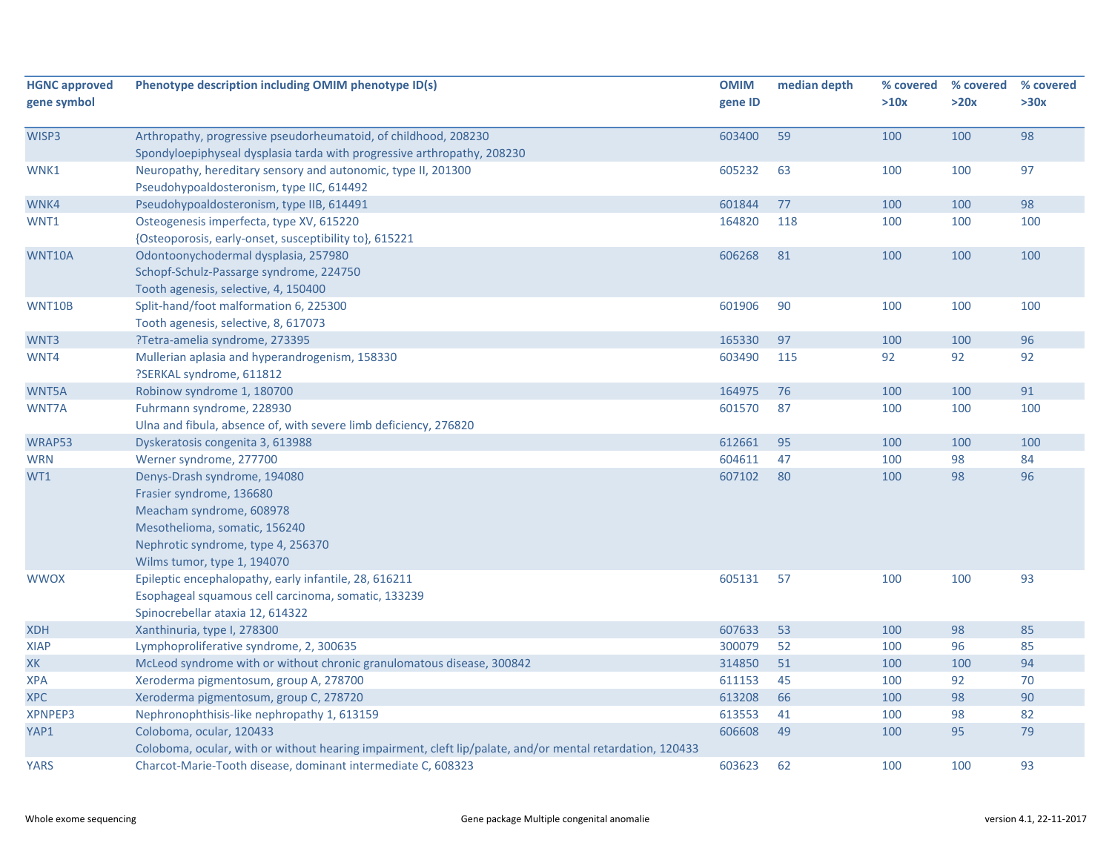| <b>HGNC approved</b><br>gene symbol | Phenotype description including OMIM phenotype ID(s)                                                                                                                                       | <b>OMIM</b><br>gene ID | median depth | % covered<br>>10x | % covered<br>>20x | % covered<br>>30x |
|-------------------------------------|--------------------------------------------------------------------------------------------------------------------------------------------------------------------------------------------|------------------------|--------------|-------------------|-------------------|-------------------|
| WISP3                               | Arthropathy, progressive pseudorheumatoid, of childhood, 208230<br>Spondyloepiphyseal dysplasia tarda with progressive arthropathy, 208230                                                 | 603400                 | 59           | 100               | 100               | 98                |
| WNK1                                | Neuropathy, hereditary sensory and autonomic, type II, 201300<br>Pseudohypoaldosteronism, type IIC, 614492                                                                                 | 605232                 | 63           | 100               | 100               | 97                |
| WNK4                                | Pseudohypoaldosteronism, type IIB, 614491                                                                                                                                                  | 601844                 | 77           | 100               | 100               | 98                |
| WNT1                                | Osteogenesis imperfecta, type XV, 615220<br>{Osteoporosis, early-onset, susceptibility to}, 615221                                                                                         | 164820                 | 118          | 100               | 100               | 100               |
| WNT10A                              | Odontoonychodermal dysplasia, 257980<br>Schopf-Schulz-Passarge syndrome, 224750<br>Tooth agenesis, selective, 4, 150400                                                                    | 606268                 | 81           | 100               | 100               | 100               |
| WNT10B                              | Split-hand/foot malformation 6, 225300<br>Tooth agenesis, selective, 8, 617073                                                                                                             | 601906                 | 90           | 100               | 100               | 100               |
| WNT3                                | ?Tetra-amelia syndrome, 273395                                                                                                                                                             | 165330                 | 97           | 100               | 100               | 96                |
| WNT4                                | Mullerian aplasia and hyperandrogenism, 158330<br>?SERKAL syndrome, 611812                                                                                                                 | 603490                 | 115          | 92                | 92                | 92                |
| WNT5A                               | Robinow syndrome 1, 180700                                                                                                                                                                 | 164975                 | 76           | 100               | 100               | 91                |
| WNT7A                               | Fuhrmann syndrome, 228930<br>Ulna and fibula, absence of, with severe limb deficiency, 276820                                                                                              | 601570                 | 87           | 100               | 100               | 100               |
| WRAP53                              | Dyskeratosis congenita 3, 613988                                                                                                                                                           | 612661                 | 95           | 100               | 100               | 100               |
| <b>WRN</b>                          | Werner syndrome, 277700                                                                                                                                                                    | 604611                 | 47           | 100               | 98                | 84                |
| WT1                                 | Denys-Drash syndrome, 194080<br>Frasier syndrome, 136680<br>Meacham syndrome, 608978<br>Mesothelioma, somatic, 156240<br>Nephrotic syndrome, type 4, 256370<br>Wilms tumor, type 1, 194070 | 607102                 | 80           | 100               | 98                | 96                |
| <b>WWOX</b>                         | Epileptic encephalopathy, early infantile, 28, 616211<br>Esophageal squamous cell carcinoma, somatic, 133239<br>Spinocrebellar ataxia 12, 614322                                           | 605131                 | 57           | 100               | 100               | 93                |
| <b>XDH</b>                          | Xanthinuria, type I, 278300                                                                                                                                                                | 607633                 | 53           | 100               | 98                | 85                |
| XIAP                                | Lymphoproliferative syndrome, 2, 300635                                                                                                                                                    | 300079                 | 52           | 100               | 96                | 85                |
| XK                                  | McLeod syndrome with or without chronic granulomatous disease, 300842                                                                                                                      | 314850                 | 51           | 100               | 100               | 94                |
| <b>XPA</b>                          | Xeroderma pigmentosum, group A, 278700                                                                                                                                                     | 611153                 | 45           | 100               | 92                | 70                |
| <b>XPC</b>                          | Xeroderma pigmentosum, group C, 278720                                                                                                                                                     | 613208                 | 66           | 100               | 98                | 90                |
| XPNPEP3                             | Nephronophthisis-like nephropathy 1, 613159                                                                                                                                                | 613553                 | 41           | 100               | 98                | 82                |
| YAP1                                | Coloboma, ocular, 120433<br>Coloboma, ocular, with or without hearing impairment, cleft lip/palate, and/or mental retardation, 120433                                                      | 606608                 | 49           | 100               | 95                | 79                |
| <b>YARS</b>                         | Charcot-Marie-Tooth disease, dominant intermediate C, 608323                                                                                                                               | 603623                 | 62           | 100               | 100               | 93                |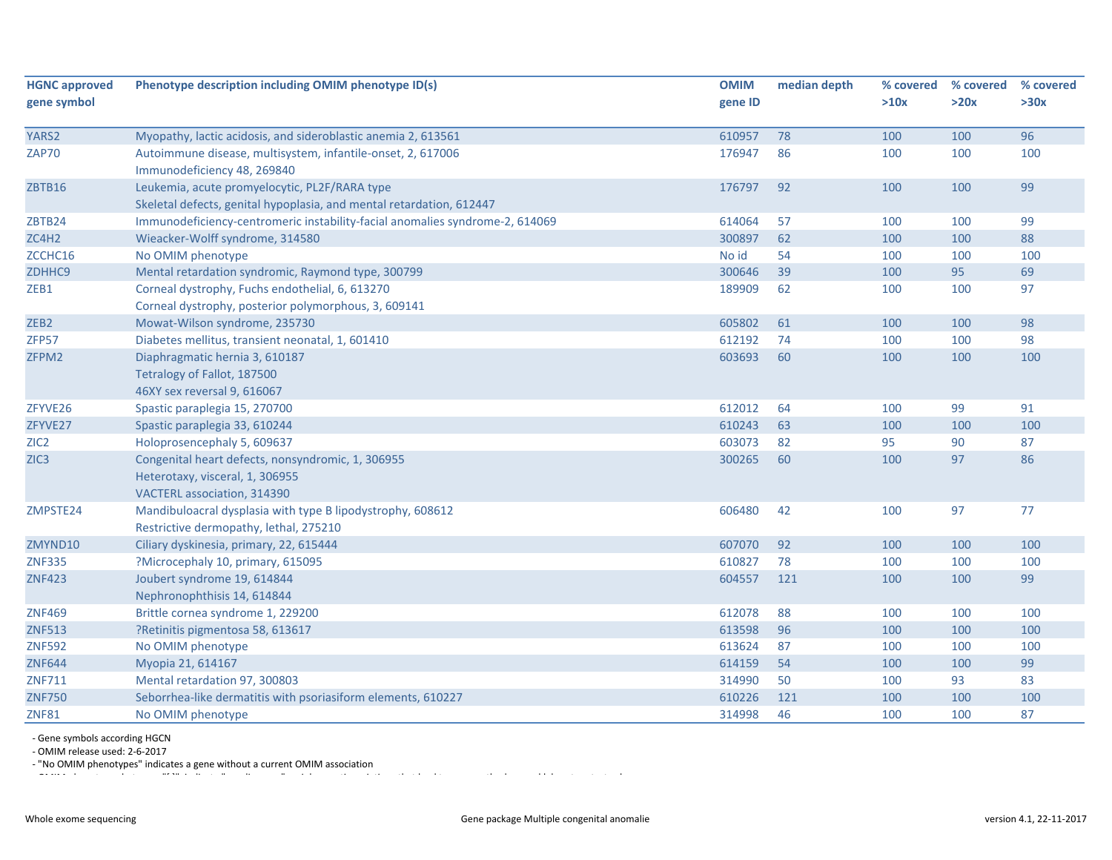| <b>HGNC approved</b> | Phenotype description including OMIM phenotype ID(s)                         | <b>OMIM</b> | median depth | % covered | % covered | % covered |
|----------------------|------------------------------------------------------------------------------|-------------|--------------|-----------|-----------|-----------|
| gene symbol          |                                                                              | gene ID     |              | >10x      | >20x      | >30x      |
|                      |                                                                              |             |              |           |           |           |
| YARS2                | Myopathy, lactic acidosis, and sideroblastic anemia 2, 613561                | 610957      | 78           | 100       | 100       | 96        |
| <b>ZAP70</b>         | Autoimmune disease, multisystem, infantile-onset, 2, 617006                  | 176947      | 86           | 100       | 100       | 100       |
|                      | Immunodeficiency 48, 269840                                                  |             |              |           |           |           |
| ZBTB16               | Leukemia, acute promyelocytic, PL2F/RARA type                                | 176797      | 92           | 100       | 100       | 99        |
|                      | Skeletal defects, genital hypoplasia, and mental retardation, 612447         |             |              |           |           |           |
| ZBTB24               | Immunodeficiency-centromeric instability-facial anomalies syndrome-2, 614069 | 614064      | 57           | 100       | 100       | 99        |
| ZC4H2                | Wieacker-Wolff syndrome, 314580                                              | 300897      | 62           | 100       | 100       | 88        |
| ZCCHC16              | No OMIM phenotype                                                            | No id       | 54           | 100       | 100       | 100       |
| ZDHHC9               | Mental retardation syndromic, Raymond type, 300799                           | 300646      | 39           | 100       | 95        | 69        |
| ZEB1                 | Corneal dystrophy, Fuchs endothelial, 6, 613270                              | 189909      | 62           | 100       | 100       | 97        |
|                      | Corneal dystrophy, posterior polymorphous, 3, 609141                         |             |              |           |           |           |
| ZEB <sub>2</sub>     | Mowat-Wilson syndrome, 235730                                                | 605802      | 61           | 100       | 100       | 98        |
| ZFP57                | Diabetes mellitus, transient neonatal, 1, 601410                             | 612192      | 74           | 100       | 100       | 98        |
| ZFPM2                | Diaphragmatic hernia 3, 610187                                               | 603693      | 60           | 100       | 100       | 100       |
|                      | Tetralogy of Fallot, 187500                                                  |             |              |           |           |           |
|                      | 46XY sex reversal 9, 616067                                                  |             |              |           |           |           |
| ZFYVE26              | Spastic paraplegia 15, 270700                                                | 612012      | 64           | 100       | 99        | 91        |
| ZFYVE27              | Spastic paraplegia 33, 610244                                                | 610243      | 63           | 100       | 100       | 100       |
| ZIC <sub>2</sub>     | Holoprosencephaly 5, 609637                                                  | 603073      | 82           | 95        | 90        | 87        |
| ZIC <sub>3</sub>     | Congenital heart defects, nonsyndromic, 1, 306955                            | 300265      | 60           | 100       | 97        | 86        |
|                      | Heterotaxy, visceral, 1, 306955                                              |             |              |           |           |           |
|                      | VACTERL association, 314390                                                  |             |              |           |           |           |
| ZMPSTE24             | Mandibuloacral dysplasia with type B lipodystrophy, 608612                   | 606480      | 42           | 100       | 97        | 77        |
|                      | Restrictive dermopathy, lethal, 275210                                       |             |              |           |           |           |
| ZMYND10              | Ciliary dyskinesia, primary, 22, 615444                                      | 607070      | 92           | 100       | 100       | 100       |
| <b>ZNF335</b>        | ?Microcephaly 10, primary, 615095                                            | 610827      | 78           | 100       | 100       | 100       |
| <b>ZNF423</b>        | Joubert syndrome 19, 614844                                                  | 604557      | 121          | 100       | 100       | 99        |
|                      | Nephronophthisis 14, 614844                                                  |             |              |           |           |           |
| <b>ZNF469</b>        | Brittle cornea syndrome 1, 229200                                            | 612078      | 88           | 100       | 100       | 100       |
| <b>ZNF513</b>        | ?Retinitis pigmentosa 58, 613617                                             | 613598      | 96           | 100       | 100       | 100       |
| <b>ZNF592</b>        | No OMIM phenotype                                                            | 613624      | 87           | 100       | 100       | 100       |
| <b>ZNF644</b>        | Myopia 21, 614167                                                            | 614159      | 54           | 100       | 100       | 99        |
| ZNF711               | Mental retardation 97, 300803                                                | 314990      | 50           | 100       | 93        | 83        |
| <b>ZNF750</b>        | Seborrhea-like dermatitis with psoriasiform elements, 610227                 | 610226      | 121          | 100       | 100       | 100       |
| <b>ZNF81</b>         | No OMIM phenotype                                                            | 314998      | 46           | 100       | 100       | 87        |

‐ Gene symbols according HGCN

‐ OMIM release used: 2‐6‐2017

and the most person indicates a gene without a current OMIM association<br>
OMIM https://www.association.com/www.association/www.association/www.association/www.association/www.associatio